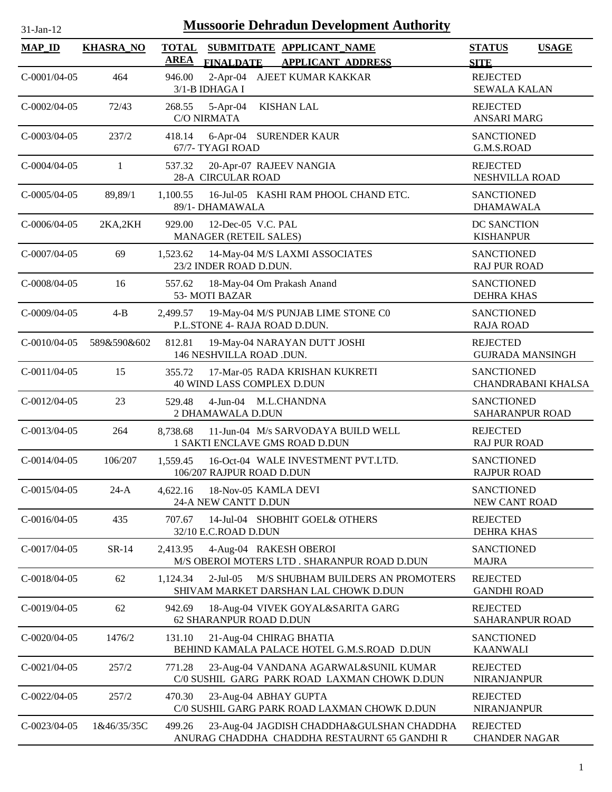| <b>MAP_ID</b>  | <b>KHASRA_NO</b> | <b>TOTAL</b><br><b>AREA</b> |                                                      | SUBMITDATE APPLICANT_NAME                                                                 | <b>STATUS</b><br><b>USAGE</b>                         |
|----------------|------------------|-----------------------------|------------------------------------------------------|-------------------------------------------------------------------------------------------|-------------------------------------------------------|
| $C-0001/04-05$ | 464              | 946.00                      | <b>FINALDATE</b><br>3/1-B IDHAGA I                   | <b>APPLICANT ADDRESS</b><br>2-Apr-04 AJEET KUMAR KAKKAR                                   | <b>SITE</b><br><b>REJECTED</b><br><b>SEWALA KALAN</b> |
| $C-0002/04-05$ | 72/43            | 268.55                      | $5-Apr-04$<br><b>C/O NIRMATA</b>                     | <b>KISHAN LAL</b>                                                                         | <b>REJECTED</b><br><b>ANSARI MARG</b>                 |
| $C-0003/04-05$ | 237/2            | 418.14                      | 6-Apr-04 SURENDER KAUR<br>67/7- TYAGI ROAD           |                                                                                           | <b>SANCTIONED</b><br>G.M.S.ROAD                       |
| $C-0004/04-05$ | $\mathbf{1}$     | 537.32                      | 20-Apr-07 RAJEEV NANGIA<br><b>28-A CIRCULAR ROAD</b> |                                                                                           | <b>REJECTED</b><br>NESHVILLA ROAD                     |
| $C-0005/04-05$ | 89,89/1          | 1,100.55                    | 89/1- DHAMAWALA                                      | 16-Jul-05 KASHI RAM PHOOL CHAND ETC.                                                      | <b>SANCTIONED</b><br><b>DHAMAWALA</b>                 |
| $C-0006/04-05$ | 2KA,2KH          | 929.00                      | 12-Dec-05 V.C. PAL<br>MANAGER (RETEIL SALES)         |                                                                                           | DC SANCTION<br><b>KISHANPUR</b>                       |
| $C-0007/04-05$ | 69               | 1,523.62                    | 23/2 INDER ROAD D.DUN.                               | 14-May-04 M/S LAXMI ASSOCIATES                                                            | <b>SANCTIONED</b><br><b>RAJ PUR ROAD</b>              |
| C-0008/04-05   | 16               | 557.62                      | 18-May-04 Om Prakash Anand<br>53-MOTI BAZAR          |                                                                                           | <b>SANCTIONED</b><br><b>DEHRA KHAS</b>                |
| $C-0009/04-05$ | $4 - B$          | 2,499.57                    | P.L.STONE 4- RAJA ROAD D.DUN.                        | 19-May-04 M/S PUNJAB LIME STONE C0                                                        | <b>SANCTIONED</b><br><b>RAJA ROAD</b>                 |
| $C-0010/04-05$ | 589&590&602      | 812.81                      | 146 NESHVILLA ROAD .DUN.                             | 19-May-04 NARAYAN DUTT JOSHI                                                              | <b>REJECTED</b><br><b>GUJRADA MANSINGH</b>            |
| $C-0011/04-05$ | 15               | 355.72                      | 40 WIND LASS COMPLEX D.DUN                           | 17-Mar-05 RADA KRISHAN KUKRETI                                                            | <b>SANCTIONED</b><br><b>CHANDRABANI KHALSA</b>        |
| $C-0012/04-05$ | 23               | 529.48                      | 4-Jun-04 M.L.CHANDNA<br>2 DHAMAWALA D.DUN            |                                                                                           | <b>SANCTIONED</b><br>SAHARANPUR ROAD                  |
| $C-0013/04-05$ | 264              | 8,738.68                    | 1 SAKTI ENCLAVE GMS ROAD D.DUN                       | 11-Jun-04 M/s SARVODAYA BUILD WELL                                                        | <b>REJECTED</b><br><b>RAJ PUR ROAD</b>                |
| $C-0014/04-05$ | 106/207          | 1,559.45                    | 106/207 RAJPUR ROAD D.DUN                            | 16-Oct-04 WALE INVESTMENT PVT.LTD.                                                        | <b>SANCTIONED</b><br><b>RAJPUR ROAD</b>               |
| $C-0015/04-05$ | $24-A$           | 4,622.16                    | 18-Nov-05 KAMLA DEVI<br>24-A NEW CANTT D.DUN         |                                                                                           | <b>SANCTIONED</b><br>NEW CANT ROAD                    |
| C-0016/04-05   | 435              | 707.67                      | 32/10 E.C.ROAD D.DUN                                 | 14-Jul-04 SHOBHIT GOEL& OTHERS                                                            | <b>REJECTED</b><br><b>DEHRA KHAS</b>                  |
| $C-0017/04-05$ | SR-14            | 2,413.95                    | 4-Aug-04 RAKESH OBEROI                               | M/S OBEROI MOTERS LTD. SHARANPUR ROAD D.DUN                                               | <b>SANCTIONED</b><br><b>MAJRA</b>                     |
| $C-0018/04-05$ | 62               | 1,124.34                    | $2$ -Jul-05                                          | M/S SHUBHAM BUILDERS AN PROMOTERS<br>SHIVAM MARKET DARSHAN LAL CHOWK D.DUN                | <b>REJECTED</b><br><b>GANDHI ROAD</b>                 |
| $C-0019/04-05$ | 62               | 942.69                      | 62 SHARANPUR ROAD D.DUN                              | 18-Aug-04 VIVEK GOYAL&SARITA GARG                                                         | <b>REJECTED</b><br><b>SAHARANPUR ROAD</b>             |
| $C-0020/04-05$ | 1476/2           | 131.10                      | 21-Aug-04 CHIRAG BHATIA                              | BEHIND KAMALA PALACE HOTEL G.M.S.ROAD D.DUN                                               | <b>SANCTIONED</b><br><b>KAANWALI</b>                  |
| $C-0021/04-05$ | 257/2            | 771.28                      |                                                      | 23-Aug-04 VANDANA AGARWAL&SUNIL KUMAR<br>C/0 SUSHIL GARG PARK ROAD LAXMAN CHOWK D.DUN     | <b>REJECTED</b><br><b>NIRANJANPUR</b>                 |
| $C-0022/04-05$ | 257/2            | 470.30                      | 23-Aug-04 ABHAY GUPTA                                | C/0 SUSHIL GARG PARK ROAD LAXMAN CHOWK D.DUN                                              | <b>REJECTED</b><br><b>NIRANJANPUR</b>                 |
| $C-0023/04-05$ | 1&46/35/35C      | 499.26                      |                                                      | 23-Aug-04 JAGDISH CHADDHA&GULSHAN CHADDHA<br>ANURAG CHADDHA CHADDHA RESTAURNT 65 GANDHI R | <b>REJECTED</b><br><b>CHANDER NAGAR</b>               |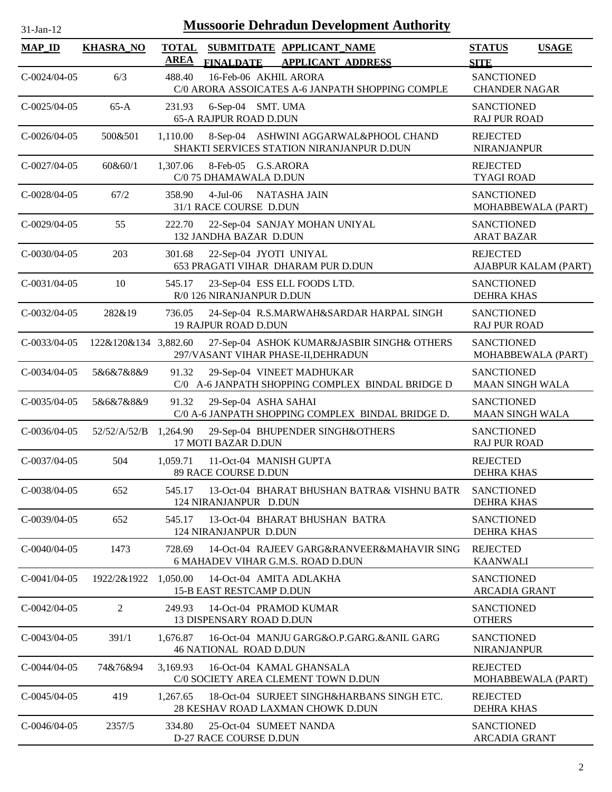| <b>Mussoorie Dehradun Development Authority</b><br>$31-Jan-12$ |                      |                             |                                                                                        |                                             |                      |  |
|----------------------------------------------------------------|----------------------|-----------------------------|----------------------------------------------------------------------------------------|---------------------------------------------|----------------------|--|
| <b>MAP_ID</b>                                                  | <b>KHASRA_NO</b>     | <b>TOTAL</b><br><b>AREA</b> | SUBMITDATE APPLICANT NAME<br><b>FINALDATE</b><br><b>APPLICANT ADDRESS</b>              | <b>STATUS</b><br><b>SITE</b>                | <b>USAGE</b>         |  |
| $C-0024/04-05$                                                 | 6/3                  | 488.40                      | 16-Feb-06 AKHIL ARORA<br>C/0 ARORA ASSOICATES A-6 JANPATH SHOPPING COMPLE              | <b>SANCTIONED</b><br><b>CHANDER NAGAR</b>   |                      |  |
| $C-0025/04-05$                                                 | $65-A$               | 231.93                      | 6-Sep-04 SMT. UMA<br><b>65-A RAJPUR ROAD D.DUN</b>                                     | <b>SANCTIONED</b><br><b>RAJ PUR ROAD</b>    |                      |  |
| $C-0026/04-05$                                                 | 500&501              | 1,110.00                    | 8-Sep-04 ASHWINI AGGARWAL&PHOOL CHAND<br>SHAKTI SERVICES STATION NIRANJANPUR D.DUN     | <b>REJECTED</b><br><b>NIRANJANPUR</b>       |                      |  |
| $C-0027/04-05$                                                 | 60&60/1              | 1,307.06                    | 8-Feb-05 G.S.ARORA<br>C/0 75 DHAMAWALA D.DUN                                           | <b>REJECTED</b><br><b>TYAGI ROAD</b>        |                      |  |
| $C-0028/04-05$                                                 | 67/2                 | 358.90                      | 4-Jul-06 NATASHA JAIN<br>31/1 RACE COURSE D.DUN                                        | <b>SANCTIONED</b><br>MOHABBEWALA (PART)     |                      |  |
| $C-0029/04-05$                                                 | 55                   | 222.70                      | 22-Sep-04 SANJAY MOHAN UNIYAL<br>132 JANDHA BAZAR D.DUN                                | <b>SANCTIONED</b><br><b>ARAT BAZAR</b>      |                      |  |
| $C-0030/04-05$                                                 | 203                  | 301.68                      | 22-Sep-04 JYOTI UNIYAL<br>653 PRAGATI VIHAR DHARAM PUR D.DUN                           | <b>REJECTED</b>                             | AJABPUR KALAM (PART) |  |
| $C-0031/04-05$                                                 | 10                   | 545.17                      | 23-Sep-04 ESS ELL FOODS LTD.<br>R/0 126 NIRANJANPUR D.DUN                              | <b>SANCTIONED</b><br><b>DEHRA KHAS</b>      |                      |  |
| $C-0032/04-05$                                                 | 282&19               | 736.05                      | 24-Sep-04 R.S.MARWAH&SARDAR HARPAL SINGH<br><b>19 RAJPUR ROAD D.DUN</b>                | <b>SANCTIONED</b><br><b>RAJ PUR ROAD</b>    |                      |  |
| $C-0033/04-05$                                                 | 122&120&134 3,882.60 |                             | 27-Sep-04 ASHOK KUMAR&JASBIR SINGH& OTHERS<br>297/VASANT VIHAR PHASE-II, DEHRADUN      | <b>SANCTIONED</b><br>MOHABBEWALA (PART)     |                      |  |
| $C-0034/04-05$                                                 | 5&6&7&8&9            | 91.32                       | 29-Sep-04 VINEET MADHUKAR<br>C/0 A-6 JANPATH SHOPPING COMPLEX BINDAL BRIDGE D          | <b>SANCTIONED</b><br><b>MAAN SINGH WALA</b> |                      |  |
| $C-0035/04-05$                                                 | 5&6&7&8&9            | 91.32                       | 29-Sep-04 ASHA SAHAI<br>C/0 A-6 JANPATH SHOPPING COMPLEX BINDAL BRIDGE D.              | <b>SANCTIONED</b><br><b>MAAN SINGH WALA</b> |                      |  |
| $C-0036/04-05$                                                 | 52/52/A/52/B         | 1,264.90                    | 29-Sep-04 BHUPENDER SINGH&OTHERS<br>17 MOTI BAZAR D.DUN                                | <b>SANCTIONED</b><br><b>RAJ PUR ROAD</b>    |                      |  |
| $C-0037/04-05$                                                 | 504                  | 1,059.71                    | 11-Oct-04 MANISH GUPTA<br>89 RACE COURSE D.DUN                                         | <b>REJECTED</b><br><b>DEHRA KHAS</b>        |                      |  |
| $C-0038/04-05$                                                 | 652                  | 545.17                      | 13-Oct-04 BHARAT BHUSHAN BATRA& VISHNU BATR<br>124 NIRANJANPUR D.DUN                   | <b>SANCTIONED</b><br><b>DEHRA KHAS</b>      |                      |  |
| $C-0039/04-05$                                                 | 652                  | 545.17                      | 13-Oct-04 BHARAT BHUSHAN BATRA<br>124 NIRANJANPUR D.DUN                                | <b>SANCTIONED</b><br><b>DEHRA KHAS</b>      |                      |  |
| $C-0040/04-05$                                                 | 1473                 | 728.69                      | 14-Oct-04 RAJEEV GARG&RANVEER&MAHAVIR SING<br><b>6 MAHADEV VIHAR G.M.S. ROAD D.DUN</b> | <b>REJECTED</b><br><b>KAANWALI</b>          |                      |  |
| $C-0041/04-05$                                                 | 1922/2&1922          | 1,050.00                    | 14-Oct-04 AMITA ADLAKHA<br>15-B EAST RESTCAMP D.DUN                                    | <b>SANCTIONED</b><br><b>ARCADIA GRANT</b>   |                      |  |
| $C-0042/04-05$                                                 | 2                    | 249.93                      | 14-Oct-04 PRAMOD KUMAR<br><b>13 DISPENSARY ROAD D.DUN</b>                              | <b>SANCTIONED</b><br><b>OTHERS</b>          |                      |  |
| $C-0043/04-05$                                                 | 391/1                | 1,676.87                    | 16-Oct-04 MANJU GARG&O.P.GARG.&ANIL GARG<br><b>46 NATIONAL ROAD D.DUN</b>              | <b>SANCTIONED</b><br><b>NIRANJANPUR</b>     |                      |  |
| $C-0044/04-05$                                                 | 74&76&94             | 3,169.93                    | 16-Oct-04 KAMAL GHANSALA<br>C/0 SOCIETY AREA CLEMENT TOWN D.DUN                        | <b>REJECTED</b><br>MOHABBEWALA (PART)       |                      |  |
| $C-0045/04-05$                                                 | 419                  | 1,267.65                    | 18-Oct-04 SURJEET SINGH&HARBANS SINGH ETC.<br>28 KESHAV ROAD LAXMAN CHOWK D.DUN        | <b>REJECTED</b><br><b>DEHRA KHAS</b>        |                      |  |
| $C-0046/04-05$                                                 | 2357/5               | 334.80                      | 25-Oct-04 SUMEET NANDA<br>D-27 RACE COURSE D.DUN                                       | <b>SANCTIONED</b><br><b>ARCADIA GRANT</b>   |                      |  |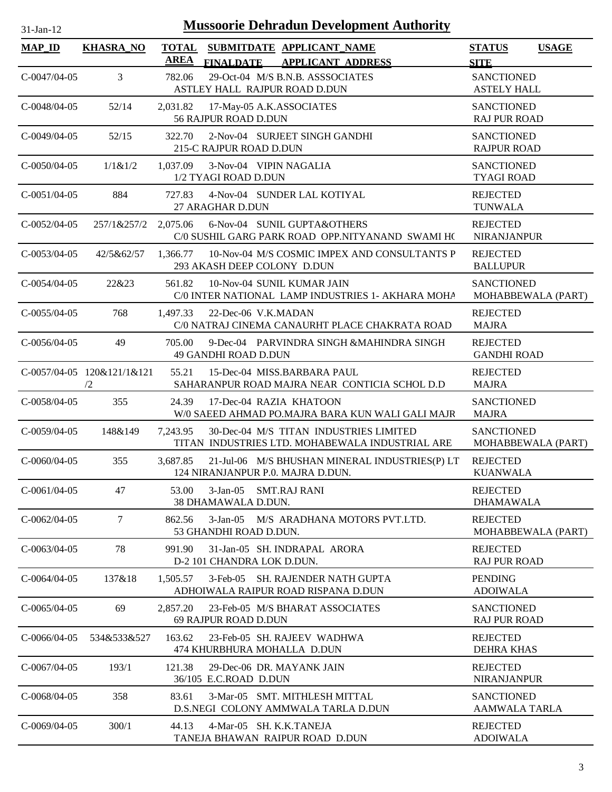| $31-Jan-12$          |                                  |                             |                            | <b>Mussoorie Dehradun Development Authority</b>                                           |                                          |                    |
|----------------------|----------------------------------|-----------------------------|----------------------------|-------------------------------------------------------------------------------------------|------------------------------------------|--------------------|
| <b>MAP_ID</b>        | <b>KHASRA_NO</b>                 | <b>TOTAL</b><br><b>AREA</b> | <b>FINALDATE</b>           | SUBMITDATE APPLICANT_NAME<br><b>APPLICANT ADDRESS</b>                                     | <b>STATUS</b><br><b>SITE</b>             | <b>USAGE</b>       |
| $C-0047/04-05$       | 3                                | 782.06                      |                            | 29-Oct-04 M/S B.N.B. ASSSOCIATES<br>ASTLEY HALL RAJPUR ROAD D.DUN                         | <b>SANCTIONED</b><br><b>ASTELY HALL</b>  |                    |
| $C-0048/04-05$       | 52/14                            | 2,031.82                    | 56 RAJPUR ROAD D.DUN       | 17-May-05 A.K.ASSOCIATES                                                                  | <b>SANCTIONED</b><br><b>RAJ PUR ROAD</b> |                    |
| $C - 0.049/04 - 0.5$ | 52/15                            | 322.70                      | 215-C RAJPUR ROAD D.DUN    | 2-Nov-04 SURJEET SINGH GANDHI                                                             | <b>SANCTIONED</b><br><b>RAJPUR ROAD</b>  |                    |
| $C-0050/04-05$       | 1/1& 1/2                         | 1,037.09                    | 1/2 TYAGI ROAD D.DUN       | 3-Nov-04 VIPIN NAGALIA                                                                    | <b>SANCTIONED</b><br><b>TYAGI ROAD</b>   |                    |
| $C-0051/04-05$       | 884                              | 727.83                      | 27 ARAGHAR D.DUN           | 4-Nov-04 SUNDER LAL KOTIYAL                                                               | <b>REJECTED</b><br><b>TUNWALA</b>        |                    |
| $C-0052/04-05$       | 257/1&257/2                      | 2,075.06                    |                            | 6-Nov-04 SUNIL GUPTA&OTHERS<br>C/0 SUSHIL GARG PARK ROAD OPP.NITYANAND SWAMI HO           | <b>REJECTED</b><br><b>NIRANJANPUR</b>    |                    |
| $C - 0.053/04 - 0.5$ | 42/5&62/57                       | 1,366.77                    |                            | 10-Nov-04 M/S COSMIC IMPEX AND CONSULTANTS P<br>293 AKASH DEEP COLONY D.DUN               | <b>REJECTED</b><br><b>BALLUPUR</b>       |                    |
| $C-0054/04-05$       | 22&23                            | 561.82                      |                            | 10-Nov-04 SUNIL KUMAR JAIN<br>C/0 INTER NATIONAL LAMP INDUSTRIES 1- AKHARA MOHA           | <b>SANCTIONED</b>                        | MOHABBEWALA (PART) |
| $C-0055/04-05$       | 768                              | 1,497.33                    | 22-Dec-06 V.K.MADAN        | C/0 NATRAJ CINEMA CANAURHT PLACE CHAKRATA ROAD                                            | <b>REJECTED</b><br><b>MAJRA</b>          |                    |
| $C-0056/04-05$       | 49                               | 705.00                      | 49 GANDHI ROAD D.DUN       | 9-Dec-04 PARVINDRA SINGH &MAHINDRA SINGH                                                  | <b>REJECTED</b><br><b>GANDHI ROAD</b>    |                    |
|                      | C-0057/04-05 120&121/1&121<br>/2 | 55.21                       |                            | 15-Dec-04 MISS.BARBARA PAUL<br>SAHARANPUR ROAD MAJRA NEAR CONTICIA SCHOL D.D              | <b>REJECTED</b><br><b>MAJRA</b>          |                    |
| $C-0058/04-05$       | 355                              | 24.39                       |                            | 17-Dec-04 RAZIA KHATOON<br>W/0 SAEED AHMAD PO.MAJRA BARA KUN WALI GALI MAJR               | <b>SANCTIONED</b><br><b>MAJRA</b>        |                    |
| $C-0059/04-05$       | 148&149                          | 7,243.95                    |                            | 30-Dec-04 M/S TITAN INDUSTRIES LIMITED<br>TITAN INDUSTRIES LTD. MOHABEWALA INDUSTRIAL ARE | <b>SANCTIONED</b>                        | MOHABBEWALA (PART) |
| C-0060/04-05         | 355                              | 3,687.85                    |                            | 21-Jul-06 M/S BHUSHAN MINERAL INDUSTRIES(P) LT<br>124 NIRANJANPUR P.0. MAJRA D.DUN.       | <b>REJECTED</b><br><b>KUANWALA</b>       |                    |
| $C-0061/04-05$       | 47                               | 53.00                       | 38 DHAMAWALA D.DUN.        | 3-Jan-05 SMT.RAJ RANI                                                                     | <b>REJECTED</b><br><b>DHAMAWALA</b>      |                    |
| $C-0062/04-05$       | 7                                | 862.56                      | 53 GHANDHI ROAD D.DUN.     | 3-Jan-05 M/S ARADHANA MOTORS PVT.LTD.                                                     | <b>REJECTED</b>                          | MOHABBEWALA (PART) |
| $C - 0063/04 - 05$   | 78                               | 991.90                      | D-2 101 CHANDRA LOK D.DUN. | 31-Jan-05 SH. INDRAPAL ARORA                                                              | <b>REJECTED</b><br><b>RAJ PUR ROAD</b>   |                    |
| $C-0064/04-05$       | 137&18                           | 1,505.57                    |                            | 3-Feb-05 SH. RAJENDER NATH GUPTA<br>ADHOIWALA RAIPUR ROAD RISPANA D.DUN                   | <b>PENDING</b><br><b>ADOIWALA</b>        |                    |
| $C-0065/04-05$       | 69                               | 2,857.20                    | 69 RAJPUR ROAD D.DUN       | 23-Feb-05 M/S BHARAT ASSOCIATES                                                           | <b>SANCTIONED</b><br><b>RAJ PUR ROAD</b> |                    |
| $C-0066/04-05$       | 534&533&527                      | 163.62                      |                            | 23-Feb-05 SH. RAJEEV WADHWA<br>474 KHURBHURA MOHALLA D.DUN                                | <b>REJECTED</b><br><b>DEHRA KHAS</b>     |                    |
| $C-0067/04-05$       | 193/1                            | 121.38                      | 36/105 E.C.ROAD D.DUN      | 29-Dec-06 DR. MAYANK JAIN                                                                 | <b>REJECTED</b><br>NIRANJANPUR           |                    |
| $C-0068/04-05$       | 358                              | 83.61                       |                            | 3-Mar-05 SMT. MITHLESH MITTAL<br>D.S.NEGI COLONY AMMWALA TARLA D.DUN                      | <b>SANCTIONED</b><br>AAMWALA TARLA       |                    |
| $C-0069/04-05$       | 300/1                            | 44.13                       |                            | 4-Mar-05 SH. K.K.TANEJA                                                                   | <b>REJECTED</b>                          |                    |

TANEJA BHAWAN RAIPUR ROAD D.DUN

ADOIWALA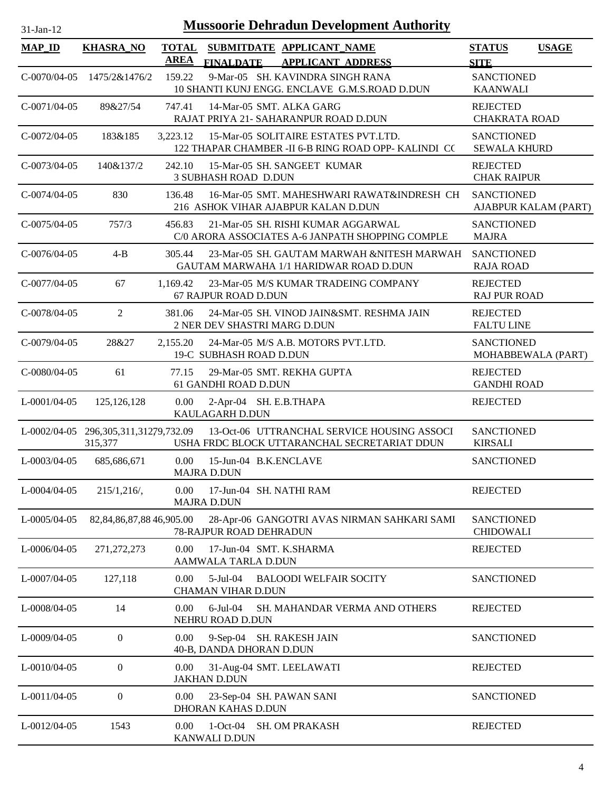| $31-Jan-12$     | <b>Mussoorie Dehradun Development Authority</b>  |                             |                                             |  |                                                                                              |                                          |                      |
|-----------------|--------------------------------------------------|-----------------------------|---------------------------------------------|--|----------------------------------------------------------------------------------------------|------------------------------------------|----------------------|
| <b>MAP_ID</b>   | <b>KHASRA_NO</b>                                 | <b>TOTAL</b><br><b>AREA</b> | <b>FINALDATE</b>                            |  | SUBMITDATE APPLICANT_NAME<br><b>APPLICANT ADDRESS</b>                                        | <b>STATUS</b><br><b>SITE</b>             | <b>USAGE</b>         |
| $C-0070/04-05$  | 1475/2&1476/2                                    | 159.22                      |                                             |  | 9-Mar-05 SH. KAVINDRA SINGH RANA<br>10 SHANTI KUNJ ENGG. ENCLAVE G.M.S.ROAD D.DUN            | <b>SANCTIONED</b><br><b>KAANWALI</b>     |                      |
| $C-0071/04-05$  | 89&27/54                                         | 747.41                      |                                             |  | 14-Mar-05 SMT. ALKA GARG<br>RAJAT PRIYA 21- SAHARANPUR ROAD D.DUN                            | <b>REJECTED</b><br><b>CHAKRATA ROAD</b>  |                      |
| $C-0072/04-05$  | 183&185                                          | 3,223.12                    |                                             |  | 15-Mar-05 SOLITAIRE ESTATES PVT.LTD.<br>122 THAPAR CHAMBER -II 6-B RING ROAD OPP- KALINDI CO | <b>SANCTIONED</b><br><b>SEWALA KHURD</b> |                      |
| $C-0073/04-05$  | 140&137/2                                        | 242.10                      | <b>3 SUBHASH ROAD D.DUN</b>                 |  | 15-Mar-05 SH, SANGEET KUMAR                                                                  | <b>REJECTED</b><br><b>CHAK RAIPUR</b>    |                      |
| $C-0074/04-05$  | 830                                              | 136.48                      |                                             |  | 16-Mar-05 SMT. MAHESHWARI RAWAT&INDRESH CH<br>216 ASHOK VIHAR AJABPUR KALAN D.DUN            | <b>SANCTIONED</b>                        | AJABPUR KALAM (PART) |
| $C-0075/04-05$  | 757/3                                            | 456.83                      |                                             |  | 21-Mar-05 SH. RISHI KUMAR AGGARWAL<br>C/0 ARORA ASSOCIATES A-6 JANPATH SHOPPING COMPLE       | <b>SANCTIONED</b><br><b>MAJRA</b>        |                      |
| $C-0076/04-05$  | $4 - B$                                          | 305.44                      |                                             |  | 23-Mar-05 SH. GAUTAM MARWAH &NITESH MARWAH<br>GAUTAM MARWAHA 1/1 HARIDWAR ROAD D.DUN         | <b>SANCTIONED</b><br><b>RAJA ROAD</b>    |                      |
| $C-0077/04-05$  | 67                                               | 1,169.42                    | 67 RAJPUR ROAD D.DUN                        |  | 23-Mar-05 M/S KUMAR TRADEING COMPANY                                                         | <b>REJECTED</b><br><b>RAJ PUR ROAD</b>   |                      |
| C-0078/04-05    | 2                                                | 381.06                      |                                             |  | 24-Mar-05 SH. VINOD JAIN&SMT. RESHMA JAIN<br>2 NER DEV SHASTRI MARG D.DUN                    | <b>REJECTED</b><br><b>FALTU LINE</b>     |                      |
| $C-0079/04-05$  | 28&27                                            | 2,155.20                    | 19-C SUBHASH ROAD D.DUN                     |  | 24-Mar-05 M/S A.B. MOTORS PVT.LTD.                                                           | <b>SANCTIONED</b>                        | MOHABBEWALA (PART)   |
| $C-0080/04-05$  | 61                                               | 77.15                       | 61 GANDHI ROAD D.DUN                        |  | 29-Mar-05 SMT. REKHA GUPTA                                                                   | <b>REJECTED</b><br><b>GANDHI ROAD</b>    |                      |
| $L$ -0001/04-05 | 125, 126, 128                                    | $0.00\,$                    | KAULAGARH D.DUN                             |  | 2-Apr-04 SH. E.B.THAPA                                                                       | <b>REJECTED</b>                          |                      |
|                 | L-0002/04-05 296,305,311,31279,732.09<br>315,377 |                             |                                             |  | 13-Oct-06 UTTRANCHAL SERVICE HOUSING ASSOCI<br>USHA FRDC BLOCK UTTARANCHAL SECRETARIAT DDUN  | <b>SANCTIONED</b><br><b>KIRSALI</b>      |                      |
| L-0003/04-05    | 685,686,671                                      | 0.00                        | 15-Jun-04 B.K.ENCLAVE<br><b>MAJRA D.DUN</b> |  |                                                                                              | SANCTIONED                               |                      |
| L-0004/04-05    | 215/1,216/                                       | $0.00\,$                    | <b>MAJRA D.DUN</b>                          |  | 17-Jun-04 SH. NATHI RAM                                                                      | <b>REJECTED</b>                          |                      |
| L-0005/04-05    | 82, 84, 86, 87, 88 46, 905. 00                   |                             | 78-RAJPUR ROAD DEHRADUN                     |  | 28-Apr-06 GANGOTRI AVAS NIRMAN SAHKARI SAMI                                                  | <b>SANCTIONED</b><br><b>CHIDOWALI</b>    |                      |
| $L$ -0006/04-05 | 271, 272, 273                                    | 0.00                        | AAMWALA TARLA D.DUN                         |  | 17-Jun-04 SMT. K.SHARMA                                                                      | <b>REJECTED</b>                          |                      |
| $L$ -0007/04-05 | 127,118                                          | $0.00\,$                    | 5-Jul-04<br><b>CHAMAN VIHAR D.DUN</b>       |  | <b>BALOODI WELFAIR SOCITY</b>                                                                | <b>SANCTIONED</b>                        |                      |
| L-0008/04-05    | 14                                               | 0.00                        | 6-Jul-04<br>NEHRU ROAD D.DUN                |  | SH. MAHANDAR VERMA AND OTHERS                                                                | <b>REJECTED</b>                          |                      |
| $L$ -0009/04-05 | $\mathbf{0}$                                     | 0.00                        | 40-B, DANDA DHORAN D.DUN                    |  | 9-Sep-04 SH. RAKESH JAIN                                                                     | <b>SANCTIONED</b>                        |                      |
| $L$ -0010/04-05 | $\mathbf{0}$                                     | 0.00                        | <b>JAKHAN D.DUN</b>                         |  | 31-Aug-04 SMT. LEELAWATI                                                                     | <b>REJECTED</b>                          |                      |
| $L$ -0011/04-05 | $\boldsymbol{0}$                                 | 0.00                        | DHORAN KAHAS D.DUN                          |  | 23-Sep-04 SH. PAWAN SANI                                                                     | <b>SANCTIONED</b>                        |                      |
| $L$ -0012/04-05 | 1543                                             | 0.00                        | KANWALI D.DUN                               |  | 1-Oct-04 SH. OM PRAKASH                                                                      | <b>REJECTED</b>                          |                      |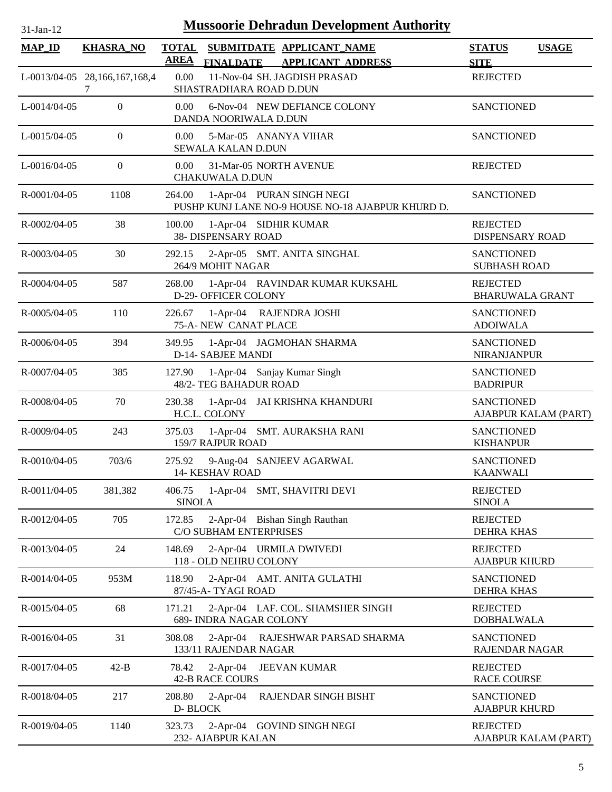| <b>MAP_ID</b>      | <b>KHASRA_NO</b>                   | <b>AREA</b>             |                                                       | TOTAL SUBMITDATE APPLICANT NAME<br>FINALDATE APPLICANT ADDRESS                 | <b>STATUS</b><br><b>SITE</b>              | <b>USAGE</b>         |
|--------------------|------------------------------------|-------------------------|-------------------------------------------------------|--------------------------------------------------------------------------------|-------------------------------------------|----------------------|
|                    | L-0013/04-05 28,166,167,168,4<br>7 | 0.00                    | SHASTRADHARA ROAD D.DUN                               | 11-Nov-04 SH. JAGDISH PRASAD                                                   | <b>REJECTED</b>                           |                      |
| $L$ -0014/04-05    | $\overline{0}$                     | 0.00                    | DANDA NOORIWALA D.DUN                                 | 6-Nov-04 NEW DEFIANCE COLONY                                                   | <b>SANCTIONED</b>                         |                      |
| $L$ -0015/04-05    | $\overline{0}$                     | 0.00                    | 5-Mar-05 ANANYA VIHAR<br><b>SEWALA KALAN D.DUN</b>    |                                                                                | <b>SANCTIONED</b>                         |                      |
| L-0016/04-05       | $\overline{0}$                     | 0.00                    | 31-Mar-05 NORTH AVENUE<br><b>CHAKUWALA D.DUN</b>      |                                                                                | <b>REJECTED</b>                           |                      |
| R-0001/04-05       | 1108                               | 264.00                  |                                                       | 1-Apr-04 PURAN SINGH NEGI<br>PUSHP KUNJ LANE NO-9 HOUSE NO-18 AJABPUR KHURD D. | <b>SANCTIONED</b>                         |                      |
| R-0002/04-05       | 38                                 | 100.00                  | 1-Apr-04 SIDHIR KUMAR<br>38- DISPENSARY ROAD          |                                                                                | <b>REJECTED</b><br><b>DISPENSARY ROAD</b> |                      |
| $R - 0003/04 - 05$ | 30                                 | 292.15                  | 264/9 MOHIT NAGAR                                     | 2-Apr-05 SMT. ANITA SINGHAL                                                    | <b>SANCTIONED</b><br><b>SUBHASH ROAD</b>  |                      |
| R-0004/04-05       | 587                                | 268.00                  | D-29- OFFICER COLONY                                  | 1-Apr-04 RAVINDAR KUMAR KUKSAHL                                                | <b>REJECTED</b><br><b>BHARUWALA GRANT</b> |                      |
| R-0005/04-05       | 110                                | 226.67                  | 1-Apr-04 RAJENDRA JOSHI<br>75-A-NEW CANAT PLACE       |                                                                                | <b>SANCTIONED</b><br><b>ADOIWALA</b>      |                      |
| R-0006/04-05       | 394                                | 349.95                  | D-14- SABJEE MANDI                                    | 1-Apr-04 JAGMOHAN SHARMA                                                       | <b>SANCTIONED</b><br>NIRANJANPUR          |                      |
| R-0007/04-05       | 385                                | 127.90                  | 1-Apr-04 Sanjay Kumar Singh<br>48/2- TEG BAHADUR ROAD |                                                                                | <b>SANCTIONED</b><br><b>BADRIPUR</b>      |                      |
| R-0008/04-05       | 70                                 | 230.38                  | H.C.L. COLONY                                         | 1-Apr-04 JAI KRISHNA KHANDURI                                                  | <b>SANCTIONED</b>                         | AJABPUR KALAM (PART) |
| R-0009/04-05       | 243                                | 375.03                  | 159/7 RAJPUR ROAD                                     | 1-Apr-04 SMT. AURAKSHA RANI                                                    | <b>SANCTIONED</b><br><b>KISHANPUR</b>     |                      |
| R-0010/04-05       | 703/6                              | 275.92                  | <b>14- KESHAV ROAD</b>                                | 9-Aug-04 SANJEEV AGARWAL                                                       | <b>SANCTIONED</b><br><b>KAANWALI</b>      |                      |
| R-0011/04-05       | 381,382                            | 406.75<br><b>SINOLA</b> |                                                       | 1-Apr-04 SMT, SHAVITRI DEVI                                                    | <b>REJECTED</b><br><b>SINOLA</b>          |                      |
| R-0012/04-05       | 705                                | 172.85                  | C/O SUBHAM ENTERPRISES                                | 2-Apr-04 Bishan Singh Rauthan                                                  | <b>REJECTED</b><br><b>DEHRA KHAS</b>      |                      |
| R-0013/04-05       | 24                                 | 148.69                  | 2-Apr-04 URMILA DWIVEDI<br>118 - OLD NEHRU COLONY     |                                                                                | <b>REJECTED</b><br><b>AJABPUR KHURD</b>   |                      |
| R-0014/04-05       | 953M                               | 118.90                  | 87/45-A-TYAGI ROAD                                    | 2-Apr-04 AMT. ANITA GULATHI                                                    | <b>SANCTIONED</b><br><b>DEHRA KHAS</b>    |                      |
| R-0015/04-05       | 68                                 | 171.21                  | 689- INDRA NAGAR COLONY                               | 2-Apr-04 LAF. COL. SHAMSHER SINGH                                              | <b>REJECTED</b><br><b>DOBHALWALA</b>      |                      |
| R-0016/04-05       | 31                                 | 308.08                  | 133/11 RAJENDAR NAGAR                                 | 2-Apr-04 RAJESHWAR PARSAD SHARMA                                               | <b>SANCTIONED</b><br>RAJENDAR NAGAR       |                      |
| R-0017/04-05       | $42-B$                             | 78.42                   | $2-Apr-04$<br><b>42-B RACE COURS</b>                  | <b>JEEVAN KUMAR</b>                                                            | <b>REJECTED</b><br><b>RACE COURSE</b>     |                      |
| R-0018/04-05       | 217                                | 208.80<br>D-BLOCK       | $2$ -Apr-04                                           | RAJENDAR SINGH BISHT                                                           | <b>SANCTIONED</b><br><b>AJABPUR KHURD</b> |                      |
| R-0019/04-05       | 1140                               | 323.73                  | 232- AJABPUR KALAN                                    | 2-Apr-04 GOVIND SINGH NEGI                                                     | <b>REJECTED</b>                           | AJABPUR KALAM (PART) |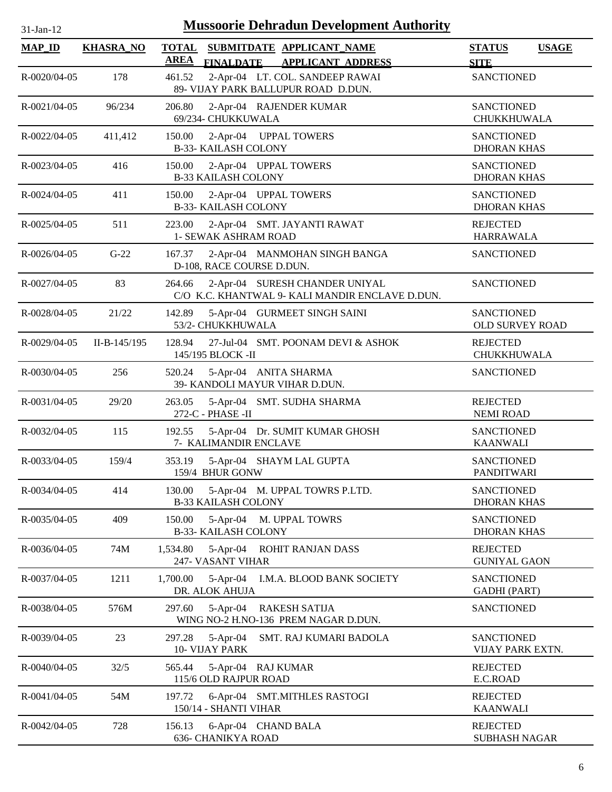| 31-Jan-12          |                  | <b>Mussoorie Dehradun Development Authority</b>                                             |                                              |
|--------------------|------------------|---------------------------------------------------------------------------------------------|----------------------------------------------|
| <b>MAP_ID</b>      | <b>KHASRA_NO</b> | <b>TOTAL</b><br>SUBMITDATE APPLICANT_NAME<br><b>AREA</b><br>FINALDATE APPLICANT ADDRESS     | <b>STATUS</b><br><b>USAGE</b><br><b>SITE</b> |
| R-0020/04-05       | 178              | 2-Apr-04 LT. COL. SANDEEP RAWAI<br>461.52<br>89- VIJAY PARK BALLUPUR ROAD D.DUN.            | <b>SANCTIONED</b>                            |
| $R - 0021/04 - 05$ | 96/234           | 206.80<br>2-Apr-04 RAJENDER KUMAR<br>69/234- CHUKKUWALA                                     | <b>SANCTIONED</b><br>CHUKKHUWALA             |
| R-0022/04-05       | 411,412          | 2-Apr-04 UPPAL TOWERS<br>150.00<br><b>B-33- KAILASH COLONY</b>                              | <b>SANCTIONED</b><br><b>DHORAN KHAS</b>      |
| R-0023/04-05       | 416              | 150.00<br>2-Apr-04 UPPAL TOWERS<br><b>B-33 KAILASH COLONY</b>                               | <b>SANCTIONED</b><br><b>DHORAN KHAS</b>      |
| R-0024/04-05       | 411              | 150.00<br>2-Apr-04 UPPAL TOWERS<br><b>B-33- KAILASH COLONY</b>                              | <b>SANCTIONED</b><br><b>DHORAN KHAS</b>      |
| R-0025/04-05       | 511              | 223.00<br>2-Apr-04 SMT. JAYANTI RAWAT<br>1- SEWAK ASHRAM ROAD                               | <b>REJECTED</b><br><b>HARRAWALA</b>          |
| R-0026/04-05       | $G-22$           | 2-Apr-04 MANMOHAN SINGH BANGA<br>167.37<br>D-108, RACE COURSE D.DUN.                        | <b>SANCTIONED</b>                            |
| R-0027/04-05       | 83               | 2-Apr-04 SURESH CHANDER UNIYAL<br>264.66<br>C/O K.C. KHANTWAL 9- KALI MANDIR ENCLAVE D.DUN. | <b>SANCTIONED</b>                            |
| R-0028/04-05       | 21/22            | 5-Apr-04 GURMEET SINGH SAINI<br>142.89<br>53/2- CHUKKHUWALA                                 | <b>SANCTIONED</b><br><b>OLD SURVEY ROAD</b>  |
| R-0029/04-05       | $II-B-145/195$   | 128.94<br>27-Jul-04 SMT. POONAM DEVI & ASHOK<br>145/195 BLOCK -II                           | <b>REJECTED</b><br><b>CHUKKHUWALA</b>        |
| R-0030/04-05       | 256              | 5-Apr-04 ANITA SHARMA<br>520.24<br>39- KANDOLI MAYUR VIHAR D.DUN.                           | <b>SANCTIONED</b>                            |
| R-0031/04-05       | 29/20            | 5-Apr-04 SMT. SUDHA SHARMA<br>263.05<br>272-C - PHASE -II                                   | <b>REJECTED</b><br><b>NEMI ROAD</b>          |
| R-0032/04-05       | 115              | 192.55<br>5-Apr-04 Dr. SUMIT KUMAR GHOSH<br>7- KALIMANDIR ENCLAVE                           | <b>SANCTIONED</b><br><b>KAANWALI</b>         |
| R-0033/04-05       | 159/4            | 353.19<br>5-Apr-04 SHAYM LAL GUPTA<br>159/4 BHUR GONW                                       | <b>SANCTIONED</b><br><b>PANDITWARI</b>       |
| R-0034/04-05       | 414              | 5-Apr-04 M. UPPAL TOWRS P.LTD.<br>130.00<br><b>B-33 KAILASH COLONY</b>                      | <b>SANCTIONED</b><br><b>DHORAN KHAS</b>      |
| R-0035/04-05       | 409              | 150.00<br>5-Apr-04 M. UPPAL TOWRS<br><b>B-33- KAILASH COLONY</b>                            | <b>SANCTIONED</b><br><b>DHORAN KHAS</b>      |
| R-0036/04-05       | 74M              | 1,534.80<br>5-Apr-04 ROHIT RANJAN DASS<br>247- VASANT VIHAR                                 | <b>REJECTED</b><br><b>GUNIYAL GAON</b>       |
| R-0037/04-05       | 1211             | 1,700.00<br>$5-Apr-04$<br>I.M.A. BLOOD BANK SOCIETY<br>DR. ALOK AHUJA                       | <b>SANCTIONED</b><br><b>GADHI</b> (PART)     |
| R-0038/04-05       | 576M             | 297.60<br>$5-Apr-04$<br><b>RAKESH SATIJA</b><br>WING NO-2 H.NO-136 PREM NAGAR D.DUN.        | <b>SANCTIONED</b>                            |
| R-0039/04-05       | 23               | 297.28<br>$5-Apr-04$<br>SMT. RAJ KUMARI BADOLA<br>10- VIJAY PARK                            | <b>SANCTIONED</b><br>VIJAY PARK EXTN.        |
| R-0040/04-05       | 32/5             | 565.44<br>5-Apr-04 RAJ KUMAR<br>115/6 OLD RAJPUR ROAD                                       | <b>REJECTED</b><br>E.C.ROAD                  |
| R-0041/04-05       | 54M              | 197.72<br>6-Apr-04 SMT.MITHLES RASTOGI<br>150/14 - SHANTI VIHAR                             | <b>REJECTED</b><br><b>KAANWALI</b>           |
| R-0042/04-05       | 728              | 156.13<br>6-Apr-04 CHAND BALA<br><b>636- CHANIKYA ROAD</b>                                  | <b>REJECTED</b><br><b>SUBHASH NAGAR</b>      |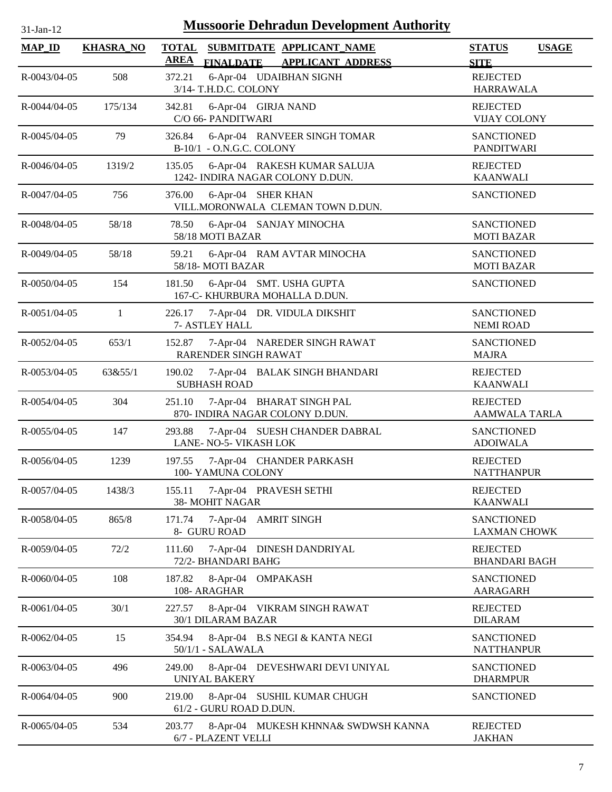| $31$ -Jan- $12$    | <b>Mussoorie Dehradun Development Authority</b> |                                                                                         |                                              |  |  |  |
|--------------------|-------------------------------------------------|-----------------------------------------------------------------------------------------|----------------------------------------------|--|--|--|
| <b>MAP_ID</b>      | <b>KHASRA_NO</b>                                | <b>TOTAL</b><br>SUBMITDATE APPLICANT_NAME<br><b>AREA</b><br>FINALDATE APPLICANT ADDRESS | <b>STATUS</b><br><b>USAGE</b><br><b>SITE</b> |  |  |  |
| R-0043/04-05       | 508                                             | 6-Apr-04 UDAIBHAN SIGNH<br>372.21<br>3/14- T.H.D.C. COLONY                              | <b>REJECTED</b><br><b>HARRAWALA</b>          |  |  |  |
| R-0044/04-05       | 175/134                                         | 342.81<br>6-Apr-04 GIRJA NAND<br>C/O 66- PANDITWARI                                     | <b>REJECTED</b><br><b>VIJAY COLONY</b>       |  |  |  |
| R-0045/04-05       | 79                                              | 6-Apr-04 RANVEER SINGH TOMAR<br>326.84<br>B-10/1 - O.N.G.C. COLONY                      | <b>SANCTIONED</b><br><b>PANDITWARI</b>       |  |  |  |
| R-0046/04-05       | 1319/2                                          | 6-Apr-04 RAKESH KUMAR SALUJA<br>135.05<br>1242- INDIRA NAGAR COLONY D.DUN.              | <b>REJECTED</b><br><b>KAANWALI</b>           |  |  |  |
| R-0047/04-05       | 756                                             | 6-Apr-04 SHER KHAN<br>376.00<br>VILL.MORONWALA CLEMAN TOWN D.DUN.                       | <b>SANCTIONED</b>                            |  |  |  |
| R-0048/04-05       | 58/18                                           | 78.50<br>6-Apr-04 SANJAY MINOCHA<br>58/18 MOTI BAZAR                                    | <b>SANCTIONED</b><br><b>MOTI BAZAR</b>       |  |  |  |
| R-0049/04-05       | 58/18                                           | 6-Apr-04 RAM AVTAR MINOCHA<br>59.21<br>58/18-MOTI BAZAR                                 | <b>SANCTIONED</b><br><b>MOTI BAZAR</b>       |  |  |  |
| R-0050/04-05       | 154                                             | 181.50<br>6-Apr-04 SMT. USHA GUPTA<br>167-C- KHURBURA MOHALLA D.DUN.                    | <b>SANCTIONED</b>                            |  |  |  |
| R-0051/04-05       | 1                                               | 226.17<br>7-Apr-04 DR. VIDULA DIKSHIT<br>7- ASTLEY HALL                                 | <b>SANCTIONED</b><br><b>NEMI ROAD</b>        |  |  |  |
| R-0052/04-05       | 653/1                                           | 7-Apr-04 NAREDER SINGH RAWAT<br>152.87<br>RARENDER SINGH RAWAT                          | <b>SANCTIONED</b><br><b>MAJRA</b>            |  |  |  |
| R-0053/04-05       | 63&55/1                                         | 7-Apr-04 BALAK SINGH BHANDARI<br>190.02<br><b>SUBHASH ROAD</b>                          | <b>REJECTED</b><br><b>KAANWALI</b>           |  |  |  |
| R-0054/04-05       | 304                                             | 7-Apr-04 BHARAT SINGH PAL<br>251.10<br>870- INDIRA NAGAR COLONY D.DUN.                  | <b>REJECTED</b><br><b>AAMWALA TARLA</b>      |  |  |  |
| R-0055/04-05       | 147                                             | 293.88<br>7-Apr-04 SUESH CHANDER DABRAL<br>LANE- NO-5- VIKASH LOK                       | <b>SANCTIONED</b><br><b>ADOIWALA</b>         |  |  |  |
| R-0056/04-05       | 1239                                            | 197.55<br>7-Apr-04 CHANDER PARKASH<br>100-YAMUNA COLONY                                 | <b>REJECTED</b><br><b>NATTHANPUR</b>         |  |  |  |
| R-0057/04-05       | 1438/3                                          | 155.11<br>7-Apr-04 PRAVESH SETHI<br>38- MOHIT NAGAR                                     | <b>REJECTED</b><br><b>KAANWALI</b>           |  |  |  |
| R-0058/04-05       | 865/8                                           | 171.74<br>$7-Apr-04$<br><b>AMRIT SINGH</b><br>8- GURU ROAD                              | <b>SANCTIONED</b><br><b>LAXMAN CHOWK</b>     |  |  |  |
| R-0059/04-05       | 72/2                                            | 7-Apr-04 DINESH DANDRIYAL<br>111.60<br>72/2- BHANDARI BAHG                              | <b>REJECTED</b><br><b>BHANDARI BAGH</b>      |  |  |  |
| R-0060/04-05       | 108                                             | 187.82<br>$8-Apr-04$<br>OMPAKASH<br>108- ARAGHAR                                        | <b>SANCTIONED</b><br><b>AARAGARH</b>         |  |  |  |
| R-0061/04-05       | 30/1                                            | 227.57<br>8-Apr-04 VIKRAM SINGH RAWAT<br>30/1 DILARAM BAZAR                             | <b>REJECTED</b><br><b>DILARAM</b>            |  |  |  |
| R-0062/04-05       | 15                                              | 354.94<br>8-Apr-04 B.S NEGI & KANTA NEGI<br>$50/1/1$ - SALAWALA                         | <b>SANCTIONED</b><br><b>NATTHANPUR</b>       |  |  |  |
| R-0063/04-05       | 496                                             | 249.00<br>8-Apr-04 DEVESHWARI DEVI UNIYAL<br><b>UNIYAL BAKERY</b>                       | <b>SANCTIONED</b><br><b>DHARMPUR</b>         |  |  |  |
| $R - 0064/04 - 05$ | 900                                             | 219.00<br>8-Apr-04 SUSHIL KUMAR CHUGH<br>61/2 - GURU ROAD D.DUN.                        | <b>SANCTIONED</b>                            |  |  |  |
| R-0065/04-05       | 534                                             | 203.77<br>8-Apr-04 MUKESH KHNNA& SWDWSH KANNA<br>6/7 - PLAZENT VELLI                    | <b>REJECTED</b><br><b>JAKHAN</b>             |  |  |  |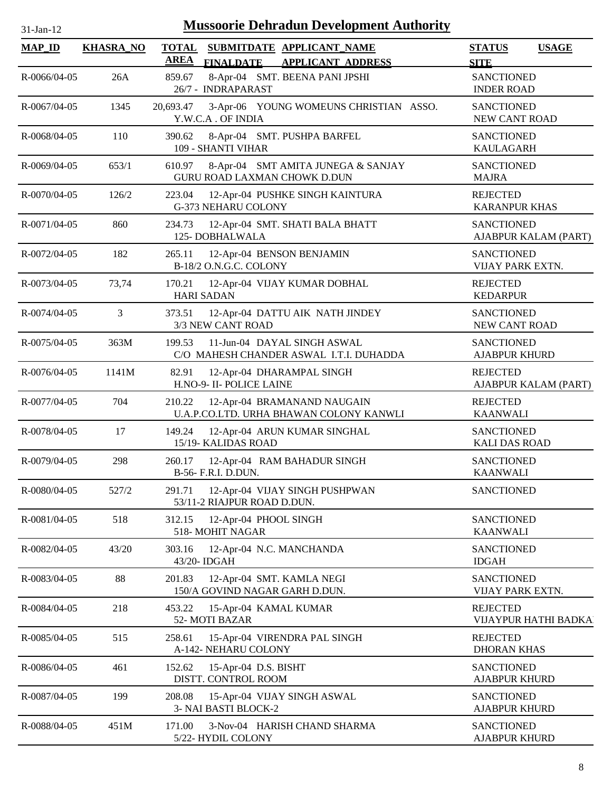| -Jan- |  |
|-------|--|

| <b>MAP_ID</b>      | <b>KHASRA_NO</b> | SUBMITDATE APPLICANT NAME<br><b>TOTAL</b><br><b>AREA</b>                                 | <b>STATUS</b><br><b>USAGE</b>             |
|--------------------|------------------|------------------------------------------------------------------------------------------|-------------------------------------------|
| R-0066/04-05       | 26A              | <b>FINALDATE</b><br><b>APPLICANT ADDRESS</b><br>859.67<br>8-Apr-04 SMT. BEENA PANI JPSHI | <b>SITE</b><br><b>SANCTIONED</b>          |
|                    |                  | 26/7 - INDRAPARAST                                                                       | <b>INDER ROAD</b>                         |
| R-0067/04-05       | 1345             | 3-Apr-06 YOUNG WOMEUNS CHRISTIAN ASSO.<br>20,693.47<br>Y.W.C.A. OF INDIA                 | <b>SANCTIONED</b><br>NEW CANT ROAD        |
| R-0068/04-05       | 110              | 390.62<br>8-Apr-04 SMT. PUSHPA BARFEL<br>109 - SHANTI VIHAR                              | <b>SANCTIONED</b><br><b>KAULAGARH</b>     |
| R-0069/04-05       | 653/1            | 8-Apr-04 SMT AMITA JUNEGA & SANJAY<br>610.97<br>GURU ROAD LAXMAN CHOWK D.DUN             | <b>SANCTIONED</b><br><b>MAJRA</b>         |
| R-0070/04-05       | 126/2            | 223.04<br>12-Apr-04 PUSHKE SINGH KAINTURA<br><b>G-373 NEHARU COLONY</b>                  | <b>REJECTED</b><br><b>KARANPUR KHAS</b>   |
| R-0071/04-05       | 860              | 12-Apr-04 SMT. SHATI BALA BHATT<br>234.73<br>125-DOBHALWALA                              | <b>SANCTIONED</b><br>AJABPUR KALAM (PART) |
| R-0072/04-05       | 182              | 265.11<br>12-Apr-04 BENSON BENJAMIN<br>B-18/2 O.N.G.C. COLONY                            | <b>SANCTIONED</b><br>VIJAY PARK EXTN.     |
| R-0073/04-05       | 73,74            | 170.21<br>12-Apr-04 VIJAY KUMAR DOBHAL<br><b>HARI SADAN</b>                              | <b>REJECTED</b><br><b>KEDARPUR</b>        |
| R-0074/04-05       | 3                | 373.51<br>12-Apr-04 DATTU AIK NATH JINDEY<br>3/3 NEW CANT ROAD                           | <b>SANCTIONED</b><br>NEW CANT ROAD        |
| R-0075/04-05       | 363M             | 11-Jun-04 DAYAL SINGH ASWAL<br>199.53<br>C/O MAHESH CHANDER ASWAL I.T.I. DUHADDA         | <b>SANCTIONED</b><br><b>AJABPUR KHURD</b> |
| R-0076/04-05       | 1141M            | 82.91<br>12-Apr-04 DHARAMPAL SINGH<br>H.NO-9- II- POLICE LAINE                           | <b>REJECTED</b><br>AJABPUR KALAM (PART)   |
| R-0077/04-05       | 704              | 210.22<br>12-Apr-04 BRAMANAND NAUGAIN<br>U.A.P.CO.LTD. URHA BHAWAN COLONY KANWLI         | <b>REJECTED</b><br><b>KAANWALI</b>        |
| R-0078/04-05       | 17               | 12-Apr-04 ARUN KUMAR SINGHAL<br>149.24<br>15/19- KALIDAS ROAD                            | <b>SANCTIONED</b><br><b>KALI DAS ROAD</b> |
| R-0079/04-05       | 298              | 260.17<br>12-Apr-04 RAM BAHADUR SINGH<br>B-56- F.R.I. D.DUN.                             | <b>SANCTIONED</b><br><b>KAANWALI</b>      |
| R-0080/04-05       | 527/2            | 12-Apr-04 VIJAY SINGH PUSHPWAN<br>291.71<br>53/11-2 RIAJPUR ROAD D.DUN.                  | <b>SANCTIONED</b>                         |
| $R - 0081/04 - 05$ | 518              | 312.15<br>12-Apr-04 PHOOL SINGH<br>518-MOHIT NAGAR                                       | <b>SANCTIONED</b><br><b>KAANWALI</b>      |
| R-0082/04-05       | 43/20            | 303.16<br>12-Apr-04 N.C. MANCHANDA<br>43/20- IDGAH                                       | <b>SANCTIONED</b><br><b>IDGAH</b>         |
| R-0083/04-05       | 88               | 12-Apr-04 SMT. KAMLA NEGI<br>201.83<br>150/A GOVIND NAGAR GARH D.DUN.                    | <b>SANCTIONED</b><br>VIJAY PARK EXTN.     |
| R-0084/04-05       | 218              | 453.22<br>15-Apr-04 KAMAL KUMAR<br>52-MOTI BAZAR                                         | <b>REJECTED</b><br>VIJAYPUR HATHI BADKAI  |
| R-0085/04-05       | 515              | 258.61<br>15-Apr-04 VIRENDRA PAL SINGH<br>A-142- NEHARU COLONY                           | <b>REJECTED</b><br><b>DHORAN KHAS</b>     |
| R-0086/04-05       | 461              | 152.62<br>15-Apr-04 D.S. BISHT<br>DISTT. CONTROL ROOM                                    | <b>SANCTIONED</b><br><b>AJABPUR KHURD</b> |
| R-0087/04-05       | 199              | 208.08<br>15-Apr-04 VIJAY SINGH ASWAL<br>3- NAI BASTI BLOCK-2                            | <b>SANCTIONED</b><br><b>AJABPUR KHURD</b> |
| R-0088/04-05       | 451M             | 3-Nov-04 HARISH CHAND SHARMA<br>171.00<br>5/22- HYDIL COLONY                             | <b>SANCTIONED</b><br><b>AJABPUR KHURD</b> |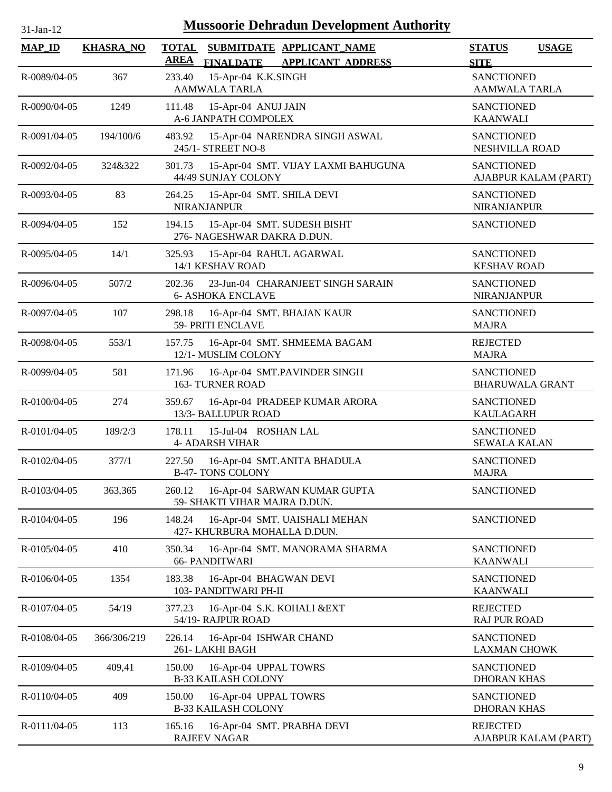| <b>Mussoorie Dehradun Development Authority</b><br>31-Jan-12 |                  |                                                                                                          |                                              |  |  |  |
|--------------------------------------------------------------|------------------|----------------------------------------------------------------------------------------------------------|----------------------------------------------|--|--|--|
| <b>MAP_ID</b>                                                | <b>KHASRA_NO</b> | <b>TOTAL</b><br>SUBMITDATE APPLICANT_NAME<br><b>AREA</b><br><b>FINALDATE</b><br><b>APPLICANT ADDRESS</b> | <b>STATUS</b><br><b>USAGE</b><br><b>SITE</b> |  |  |  |
| R-0089/04-05                                                 | 367              | 15-Apr-04 K.K.SINGH<br>233.40<br><b>AAMWALA TARLA</b>                                                    | <b>SANCTIONED</b><br><b>AAMWALA TARLA</b>    |  |  |  |
| R-0090/04-05                                                 | 1249             | 111.48<br>15-Apr-04 ANUJ JAIN<br>A-6 JANPATH COMPOLEX                                                    | <b>SANCTIONED</b><br><b>KAANWALI</b>         |  |  |  |
| R-0091/04-05                                                 | 194/100/6        | 483.92<br>15-Apr-04 NARENDRA SINGH ASWAL<br>245/1- STREET NO-8                                           | <b>SANCTIONED</b><br>NESHVILLA ROAD          |  |  |  |
| R-0092/04-05                                                 | 324&322          | 301.73<br>15-Apr-04 SMT. VIJAY LAXMI BAHUGUNA<br>44/49 SUNJAY COLONY                                     | <b>SANCTIONED</b><br>AJABPUR KALAM (PART)    |  |  |  |
| R-0093/04-05                                                 | 83               | 264.25<br>15-Apr-04 SMT. SHILA DEVI<br><b>NIRANJANPUR</b>                                                | <b>SANCTIONED</b><br><b>NIRANJANPUR</b>      |  |  |  |
| R-0094/04-05                                                 | 152              | 194.15<br>15-Apr-04 SMT. SUDESH BISHT<br>276- NAGESHWAR DAKRA D.DUN.                                     | <b>SANCTIONED</b>                            |  |  |  |
| R-0095/04-05                                                 | 14/1             | 325.93<br>15-Apr-04 RAHUL AGARWAL<br>14/1 KESHAV ROAD                                                    | <b>SANCTIONED</b><br><b>KESHAV ROAD</b>      |  |  |  |
| R-0096/04-05                                                 | 507/2            | 202.36<br>23-Jun-04 CHARANJEET SINGH SARAIN<br><b>6- ASHOKA ENCLAVE</b>                                  | <b>SANCTIONED</b><br><b>NIRANJANPUR</b>      |  |  |  |
| R-0097/04-05                                                 | 107              | 16-Apr-04 SMT. BHAJAN KAUR<br>298.18<br>59- PRITI ENCLAVE                                                | <b>SANCTIONED</b><br><b>MAJRA</b>            |  |  |  |
| R-0098/04-05                                                 | 553/1            | 157.75<br>16-Apr-04 SMT. SHMEEMA BAGAM<br>12/1- MUSLIM COLONY                                            | <b>REJECTED</b><br><b>MAJRA</b>              |  |  |  |
| R-0099/04-05                                                 | 581              | 16-Apr-04 SMT.PAVINDER SINGH<br>171.96<br><b>163- TURNER ROAD</b>                                        | <b>SANCTIONED</b><br><b>BHARUWALA GRANT</b>  |  |  |  |
| R-0100/04-05                                                 | 274              | 359.67<br>16-Apr-04 PRADEEP KUMAR ARORA<br>13/3- BALLUPUR ROAD                                           | <b>SANCTIONED</b><br><b>KAULAGARH</b>        |  |  |  |
| R-0101/04-05                                                 | 189/2/3          | 178.11<br>15-Jul-04 ROSHAN LAL<br><b>4- ADARSH VIHAR</b>                                                 | <b>SANCTIONED</b><br><b>SEWALA KALAN</b>     |  |  |  |
| R-0102/04-05                                                 | 377/1            | 227.50<br>16-Apr-04 SMT.ANITA BHADULA<br><b>B-47-TONS COLONY</b>                                         | SANCTIONED<br><b>MAJRA</b>                   |  |  |  |
| R-0103/04-05                                                 | 363,365          | 16-Apr-04 SARWAN KUMAR GUPTA<br>260.12<br>59- SHAKTI VIHAR MAJRA D.DUN.                                  | <b>SANCTIONED</b>                            |  |  |  |
| R-0104/04-05                                                 | 196              | 148.24<br>16-Apr-04 SMT. UAISHALI MEHAN<br>427- KHURBURA MOHALLA D.DUN.                                  | <b>SANCTIONED</b>                            |  |  |  |
| R-0105/04-05                                                 | 410              | 350.34<br>16-Apr-04 SMT. MANORAMA SHARMA<br><b>66- PANDITWARI</b>                                        | <b>SANCTIONED</b><br><b>KAANWALI</b>         |  |  |  |
| R-0106/04-05                                                 | 1354             | 183.38<br>16-Apr-04 BHAGWAN DEVI<br>103- PANDITWARI PH-II                                                | <b>SANCTIONED</b><br><b>KAANWALI</b>         |  |  |  |
| R-0107/04-05                                                 | 54/19            | 377.23<br>16-Apr-04 S.K. KOHALI & EXT<br>54/19- RAJPUR ROAD                                              | <b>REJECTED</b><br><b>RAJ PUR ROAD</b>       |  |  |  |
| R-0108/04-05                                                 | 366/306/219      | 226.14<br>16-Apr-04 ISHWAR CHAND<br>261-LAKHI BAGH                                                       | <b>SANCTIONED</b><br><b>LAXMAN CHOWK</b>     |  |  |  |
| R-0109/04-05                                                 | 409,41           | 150.00<br>16-Apr-04 UPPAL TOWRS<br><b>B-33 KAILASH COLONY</b>                                            | <b>SANCTIONED</b><br><b>DHORAN KHAS</b>      |  |  |  |
| R-0110/04-05                                                 | 409              | 150.00<br>16-Apr-04 UPPAL TOWRS<br><b>B-33 KAILASH COLONY</b>                                            | <b>SANCTIONED</b><br><b>DHORAN KHAS</b>      |  |  |  |
| R-0111/04-05                                                 | 113              | 165.16<br>16-Apr-04 SMT. PRABHA DEVI<br><b>RAJEEV NAGAR</b>                                              | <b>REJECTED</b><br>AJABPUR KALAM (PART)      |  |  |  |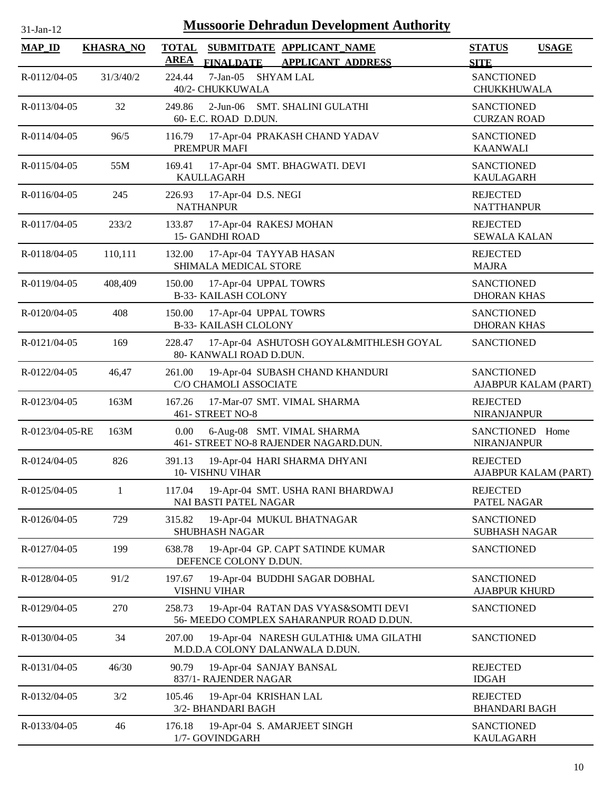| <b>Mussoorie Dehradun Development Authority</b><br>31-Jan-12 |                  |                             |                                                       |                                                                                 |                                           |                      |  |
|--------------------------------------------------------------|------------------|-----------------------------|-------------------------------------------------------|---------------------------------------------------------------------------------|-------------------------------------------|----------------------|--|
| <b>MAP_ID</b>                                                | <b>KHASRA_NO</b> | <b>TOTAL</b><br><b>AREA</b> | <b>FINALDATE</b>                                      | SUBMITDATE APPLICANT NAME<br><b>APPLICANT ADDRESS</b>                           | <b>STATUS</b><br><b>SITE</b>              | <b>USAGE</b>         |  |
| R-0112/04-05                                                 | 31/3/40/2        | 224.44                      | 7-Jan-05 SHYAM LAL<br>40/2- CHUKKUWALA                |                                                                                 | <b>SANCTIONED</b><br>CHUKKHUWALA          |                      |  |
| R-0113/04-05                                                 | 32               | 249.86                      | 60- E.C. ROAD D.DUN.                                  | 2-Jun-06 SMT. SHALINI GULATHI                                                   | <b>SANCTIONED</b><br><b>CURZAN ROAD</b>   |                      |  |
| R-0114/04-05                                                 | 96/5             | 116.79                      | PREMPUR MAFI                                          | 17-Apr-04 PRAKASH CHAND YADAV                                                   | <b>SANCTIONED</b><br><b>KAANWALI</b>      |                      |  |
| R-0115/04-05                                                 | 55M              | 169.41                      | KAULLAGARH                                            | 17-Apr-04 SMT. BHAGWATI. DEVI                                                   | <b>SANCTIONED</b><br><b>KAULAGARH</b>     |                      |  |
| R-0116/04-05                                                 | 245              | 226.93                      | 17-Apr-04 D.S. NEGI<br><b>NATHANPUR</b>               |                                                                                 | <b>REJECTED</b><br><b>NATTHANPUR</b>      |                      |  |
| R-0117/04-05                                                 | 233/2            | 133.87                      | 17-Apr-04 RAKESJ MOHAN<br><b>15- GANDHI ROAD</b>      |                                                                                 | <b>REJECTED</b><br><b>SEWALA KALAN</b>    |                      |  |
| R-0118/04-05                                                 | 110,111          | 132.00                      | 17-Apr-04 TAYYAB HASAN<br>SHIMALA MEDICAL STORE       |                                                                                 | <b>REJECTED</b><br><b>MAJRA</b>           |                      |  |
| R-0119/04-05                                                 | 408,409          | 150.00                      | 17-Apr-04 UPPAL TOWRS<br><b>B-33- KAILASH COLONY</b>  |                                                                                 | <b>SANCTIONED</b><br><b>DHORAN KHAS</b>   |                      |  |
| R-0120/04-05                                                 | 408              | 150.00                      | 17-Apr-04 UPPAL TOWRS<br><b>B-33- KAILASH CLOLONY</b> |                                                                                 | <b>SANCTIONED</b><br><b>DHORAN KHAS</b>   |                      |  |
| R-0121/04-05                                                 | 169              | 228.47                      | 80- KANWALI ROAD D.DUN.                               | 17-Apr-04 ASHUTOSH GOYAL&MITHLESH GOYAL                                         | <b>SANCTIONED</b>                         |                      |  |
| R-0122/04-05                                                 | 46,47            | 261.00                      | C/O CHAMOLI ASSOCIATE                                 | 19-Apr-04 SUBASH CHAND KHANDURI                                                 | <b>SANCTIONED</b>                         | AJABPUR KALAM (PART) |  |
| R-0123/04-05                                                 | 163M             | 167.26                      | 461- STREET NO-8                                      | 17-Mar-07 SMT. VIMAL SHARMA                                                     | <b>REJECTED</b><br><b>NIRANJANPUR</b>     |                      |  |
| R-0123/04-05-RE                                              | 163M             | 0.00                        |                                                       | 6-Aug-08 SMT. VIMAL SHARMA<br>461- STREET NO-8 RAJENDER NAGARD.DUN.             | <b>SANCTIONED</b><br><b>NIRANJANPUR</b>   | Home                 |  |
| R-0124/04-05                                                 | 826              | 391.13                      | 10- VISHNU VIHAR                                      | 19-Apr-04 HARI SHARMA DHYANI                                                    | <b>REJECTED</b>                           | AJABPUR KALAM (PART) |  |
| R-0125/04-05                                                 | 1                | 117.04                      | NAI BASTI PATEL NAGAR                                 | 19-Apr-04 SMT. USHA RANI BHARDWAJ                                               | <b>REJECTED</b><br>PATEL NAGAR            |                      |  |
| R-0126/04-05                                                 | 729              | 315.82                      | <b>SHUBHASH NAGAR</b>                                 | 19-Apr-04 MUKUL BHATNAGAR                                                       | <b>SANCTIONED</b><br><b>SUBHASH NAGAR</b> |                      |  |
| R-0127/04-05                                                 | 199              | 638.78                      | DEFENCE COLONY D.DUN.                                 | 19-Apr-04 GP. CAPT SATINDE KUMAR                                                | <b>SANCTIONED</b>                         |                      |  |
| R-0128/04-05                                                 | 91/2             | 197.67                      | <b>VISHNU VIHAR</b>                                   | 19-Apr-04 BUDDHI SAGAR DOBHAL                                                   | <b>SANCTIONED</b><br><b>AJABPUR KHURD</b> |                      |  |
| R-0129/04-05                                                 | 270              | 258.73                      |                                                       | 19-Apr-04 RATAN DAS VYAS&SOMTI DEVI<br>56- MEEDO COMPLEX SAHARANPUR ROAD D.DUN. | <b>SANCTIONED</b>                         |                      |  |
| R-0130/04-05                                                 | 34               | 207.00                      |                                                       | 19-Apr-04 NARESH GULATHI& UMA GILATHI<br>M.D.D.A COLONY DALANWALA D.DUN.        | SANCTIONED                                |                      |  |
| R-0131/04-05                                                 | 46/30            | 90.79                       | 19-Apr-04 SANJAY BANSAL<br>837/1- RAJENDER NAGAR      |                                                                                 | <b>REJECTED</b><br><b>IDGAH</b>           |                      |  |
| R-0132/04-05                                                 | 3/2              | 105.46                      | 19-Apr-04 KRISHAN LAL<br>3/2- BHANDARI BAGH           |                                                                                 | <b>REJECTED</b><br><b>BHANDARI BAGH</b>   |                      |  |
| R-0133/04-05                                                 | 46               | 176.18                      | 1/7- GOVINDGARH                                       | 19-Apr-04 S. AMARJEET SINGH                                                     | <b>SANCTIONED</b><br><b>KAULAGARH</b>     |                      |  |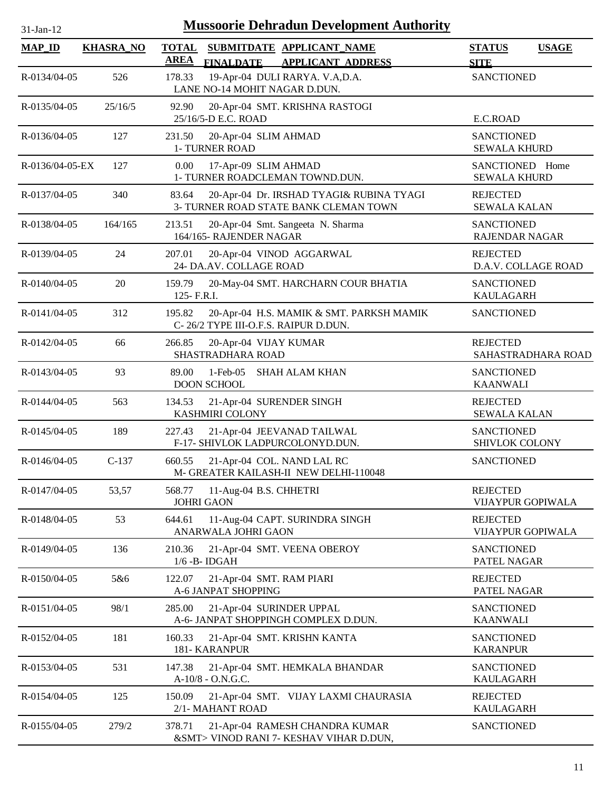| $31$ -Jan- $12$    |                  | <b>Mussoorie Dehradun Development Authority</b>                                                          |                                              |
|--------------------|------------------|----------------------------------------------------------------------------------------------------------|----------------------------------------------|
| <b>MAP_ID</b>      | <b>KHASRA_NO</b> | <b>TOTAL</b><br>SUBMITDATE APPLICANT_NAME<br><b>AREA</b><br><b>APPLICANT ADDRESS</b><br><b>FINALDATE</b> | <b>STATUS</b><br><b>USAGE</b><br><b>SITE</b> |
| R-0134/04-05       | 526              | 19-Apr-04 DULI RARYA. V.A,D.A.<br>178.33<br>LANE NO-14 MOHIT NAGAR D.DUN.                                | <b>SANCTIONED</b>                            |
| R-0135/04-05       | 25/16/5          | 92.90<br>20-Apr-04 SMT. KRISHNA RASTOGI<br>25/16/5-D E.C. ROAD                                           | E.C.ROAD                                     |
| $R - 0136/04 - 05$ | 127              | 231.50<br>20-Apr-04 SLIM AHMAD<br>1- TURNER ROAD                                                         | <b>SANCTIONED</b><br><b>SEWALA KHURD</b>     |
| R-0136/04-05-EX    | 127              | 0.00<br>17-Apr-09 SLIM AHMAD<br>1- TURNER ROADCLEMAN TOWND.DUN.                                          | SANCTIONED Home<br><b>SEWALA KHURD</b>       |
| R-0137/04-05       | 340              | 20-Apr-04 Dr. IRSHAD TYAGI& RUBINA TYAGI<br>83.64<br>3- TURNER ROAD STATE BANK CLEMAN TOWN               | <b>REJECTED</b><br><b>SEWALA KALAN</b>       |
| R-0138/04-05       | 164/165          | 213.51<br>20-Apr-04 Smt. Sangeeta N. Sharma<br>164/165- RAJENDER NAGAR                                   | <b>SANCTIONED</b><br>RAJENDAR NAGAR          |
| R-0139/04-05       | 24               | 20-Apr-04 VINOD AGGARWAL<br>207.01<br>24- DA.AV. COLLAGE ROAD                                            | <b>REJECTED</b><br>D.A.V. COLLAGE ROAD       |
| R-0140/04-05       | 20               | 159.79<br>20-May-04 SMT. HARCHARN COUR BHATIA<br>125- F.R.I.                                             | <b>SANCTIONED</b><br><b>KAULAGARH</b>        |
| R-0141/04-05       | 312              | 195.82<br>20-Apr-04 H.S. MAMIK & SMT. PARKSH MAMIK<br>C-26/2 TYPE III-O.F.S. RAIPUR D.DUN.               | <b>SANCTIONED</b>                            |
| R-0142/04-05       | 66               | 266.85<br>20-Apr-04 VIJAY KUMAR<br>SHASTRADHARA ROAD                                                     | <b>REJECTED</b><br>SAHASTRADHARA ROAD        |
| R-0143/04-05       | 93               | $1-Feb-05$<br><b>SHAH ALAM KHAN</b><br>89.00<br><b>DOON SCHOOL</b>                                       | <b>SANCTIONED</b><br><b>KAANWALI</b>         |
| $R - 0144/04 - 05$ | 563              | 21-Apr-04 SURENDER SINGH<br>134.53<br><b>KASHMIRI COLONY</b>                                             | <b>REJECTED</b><br><b>SEWALA KALAN</b>       |
| R-0145/04-05       | 189              | 21-Apr-04 JEEVANAD TAILWAL<br>227.43<br>F-17- SHIVLOK LADPURCOLONYD.DUN.                                 | <b>SANCTIONED</b><br>SHIVLOK COLONY          |
| $R - 0146/04 - 05$ | $C-137$          | 660.55<br>21-Apr-04 COL. NAND LAL RC<br>M- GREATER KAILASH-II NEW DELHI-110048                           | <b>SANCTIONED</b>                            |
| R-0147/04-05       | 53,57            | 11-Aug-04 B.S. CHHETRI<br>568.77<br><b>JOHRI GAON</b>                                                    | <b>REJECTED</b><br><b>VIJAYPUR GOPIWALA</b>  |
| R-0148/04-05       | 53               | 644.61<br>11-Aug-04 CAPT. SURINDRA SINGH<br>ANARWALA JOHRI GAON                                          | <b>REJECTED</b><br>VIJAYPUR GOPIWALA         |
| R-0149/04-05       | 136              | 21-Apr-04 SMT. VEENA OBEROY<br>210.36<br>$1/6$ -B-IDGAH                                                  | <b>SANCTIONED</b><br>PATEL NAGAR             |
| $R - 0150/04 - 05$ | 5&6              | 122.07<br>21-Apr-04 SMT. RAM PIARI<br>A-6 JANPAT SHOPPING                                                | <b>REJECTED</b><br>PATEL NAGAR               |
| R-0151/04-05       | 98/1             | 21-Apr-04 SURINDER UPPAL<br>285.00<br>A-6- JANPAT SHOPPINGH COMPLEX D.DUN.                               | <b>SANCTIONED</b><br><b>KAANWALI</b>         |
| R-0152/04-05       | 181              | 160.33<br>21-Apr-04 SMT. KRISHN KANTA<br>181- KARANPUR                                                   | <b>SANCTIONED</b><br><b>KARANPUR</b>         |
| R-0153/04-05       | 531              | 147.38<br>21-Apr-04 SMT. HEMKALA BHANDAR<br>A-10/8 - O.N.G.C.                                            | <b>SANCTIONED</b><br><b>KAULAGARH</b>        |
| R-0154/04-05       | 125              | 150.09<br>21-Apr-04 SMT. VIJAY LAXMI CHAURASIA<br>2/1- MAHANT ROAD                                       | <b>REJECTED</b><br>KAULAGARH                 |
| R-0155/04-05       | 279/2            | 378.71<br>21-Apr-04 RAMESH CHANDRA KUMAR<br>&SMT> VINOD RANI 7- KESHAV VIHAR D.DUN,                      | <b>SANCTIONED</b>                            |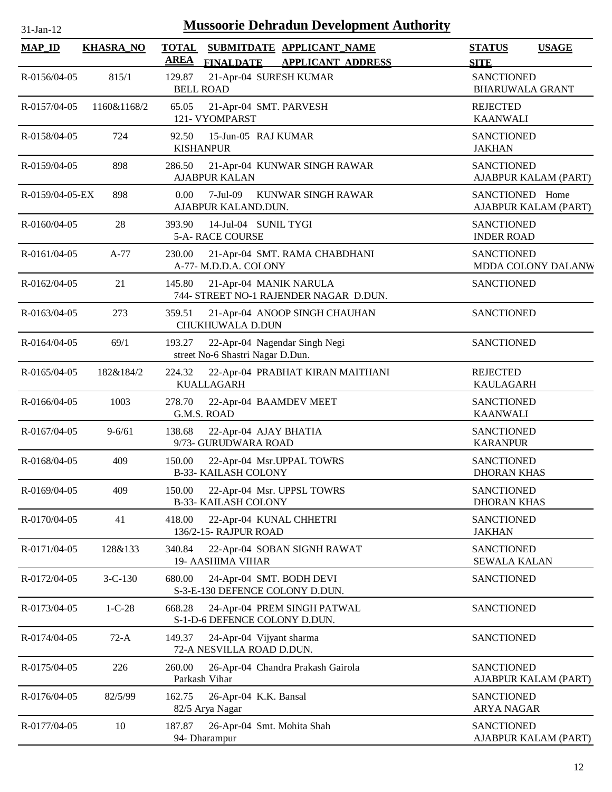| <b>MAP_ID</b>      | <b>KHASRA_NO</b> | <b>TOTAL</b><br>SUBMITDATE APPLICANT_NAME<br><b>AREA</b><br><b>APPLICANT ADDRESS</b><br><b>FINALDATE</b> | <b>STATUS</b><br><b>USAGE</b><br><b>SITE</b> |
|--------------------|------------------|----------------------------------------------------------------------------------------------------------|----------------------------------------------|
| R-0156/04-05       | 815/1            | 129.87<br>21-Apr-04 SURESH KUMAR<br><b>BELL ROAD</b>                                                     | <b>SANCTIONED</b><br><b>BHARUWALA GRANT</b>  |
| R-0157/04-05       | 1160&1168/2      | 21-Apr-04 SMT. PARVESH<br>65.05<br>121- VYOMPARST                                                        | <b>REJECTED</b><br><b>KAANWALI</b>           |
| R-0158/04-05       | 724              | 92.50<br>15-Jun-05 RAJ KUMAR<br><b>KISHANPUR</b>                                                         | <b>SANCTIONED</b><br><b>JAKHAN</b>           |
| $R - 0159/04 - 05$ | 898              | 21-Apr-04 KUNWAR SINGH RAWAR<br>286.50<br><b>AJABPUR KALAN</b>                                           | <b>SANCTIONED</b><br>AJABPUR KALAM (PART)    |
| R-0159/04-05-EX    | 898              | 0.00<br>$7-Jul-09$<br>KUNWAR SINGH RAWAR<br>AJABPUR KALAND.DUN.                                          | SANCTIONED Home<br>AJABPUR KALAM (PART)      |
| R-0160/04-05       | 28               | 14-Jul-04 SUNIL TYGI<br>393.90<br>5-A- RACE COURSE                                                       | <b>SANCTIONED</b><br><b>INDER ROAD</b>       |
| R-0161/04-05       | $A-77$           | 230.00<br>21-Apr-04 SMT. RAMA CHABDHANI<br>A-77- M.D.D.A. COLONY                                         | <b>SANCTIONED</b><br>MDDA COLONY DALANW      |
| R-0162/04-05       | 21               | 21-Apr-04 MANIK NARULA<br>145.80<br>744- STREET NO-1 RAJENDER NAGAR D.DUN.                               | <b>SANCTIONED</b>                            |
| R-0163/04-05       | 273              | 359.51<br>21-Apr-04 ANOOP SINGH CHAUHAN<br>CHUKHUWALA D.DUN                                              | <b>SANCTIONED</b>                            |
| R-0164/04-05       | 69/1             | 22-Apr-04 Nagendar Singh Negi<br>193.27<br>street No-6 Shastri Nagar D.Dun.                              | <b>SANCTIONED</b>                            |
| R-0165/04-05       | 182&184/2        | 224.32<br>22-Apr-04 PRABHAT KIRAN MAITHANI<br><b>KUALLAGARH</b>                                          | <b>REJECTED</b><br><b>KAULAGARH</b>          |
| R-0166/04-05       | 1003             | 278.70<br>22-Apr-04 BAAMDEV MEET<br>G.M.S. ROAD                                                          | <b>SANCTIONED</b><br><b>KAANWALI</b>         |
| R-0167/04-05       | $9 - 6/61$       | 22-Apr-04 AJAY BHATIA<br>138.68<br>9/73- GURUDWARA ROAD                                                  | <b>SANCTIONED</b><br><b>KARANPUR</b>         |
| R-0168/04-05       | 409              | 150.00<br>22-Apr-04 Msr.UPPAL TOWRS<br><b>B-33- KAILASH COLONY</b>                                       | <b>SANCTIONED</b><br><b>DHORAN KHAS</b>      |
| R-0169/04-05       | 409              | 22-Apr-04 Msr. UPPSL TOWRS<br>150.00<br><b>B-33- KAILASH COLONY</b>                                      | <b>SANCTIONED</b><br><b>DHORAN KHAS</b>      |
| R-0170/04-05       | 41               | 22-Apr-04 KUNAL CHHETRI<br>418.00<br>136/2-15- RAJPUR ROAD                                               | <b>SANCTIONED</b><br><b>JAKHAN</b>           |
| R-0171/04-05       | 128&133          | 340.84<br>22-Apr-04 SOBAN SIGNH RAWAT<br>19- AASHIMA VIHAR                                               | <b>SANCTIONED</b><br><b>SEWALA KALAN</b>     |
| R-0172/04-05       | $3 - C - 130$    | 24-Apr-04 SMT. BODH DEVI<br>680.00<br>S-3-E-130 DEFENCE COLONY D.DUN.                                    | <b>SANCTIONED</b>                            |
| R-0173/04-05       | $1 - C - 28$     | 668.28<br>24-Apr-04 PREM SINGH PATWAL<br>S-1-D-6 DEFENCE COLONY D.DUN.                                   | <b>SANCTIONED</b>                            |
| R-0174/04-05       | $72-A$           | 149.37<br>24-Apr-04 Vijyant sharma<br>72-A NESVILLA ROAD D.DUN.                                          | <b>SANCTIONED</b>                            |
| R-0175/04-05       | 226              | 260.00<br>26-Apr-04 Chandra Prakash Gairola<br>Parkash Vihar                                             | <b>SANCTIONED</b><br>AJABPUR KALAM (PART)    |
| R-0176/04-05       | 82/5/99          | 162.75<br>26-Apr-04 K.K. Bansal<br>82/5 Arya Nagar                                                       | <b>SANCTIONED</b><br><b>ARYA NAGAR</b>       |
| R-0177/04-05       | 10               | 187.87<br>26-Apr-04 Smt. Mohita Shah<br>94- Dharampur                                                    | <b>SANCTIONED</b><br>AJABPUR KALAM (PART)    |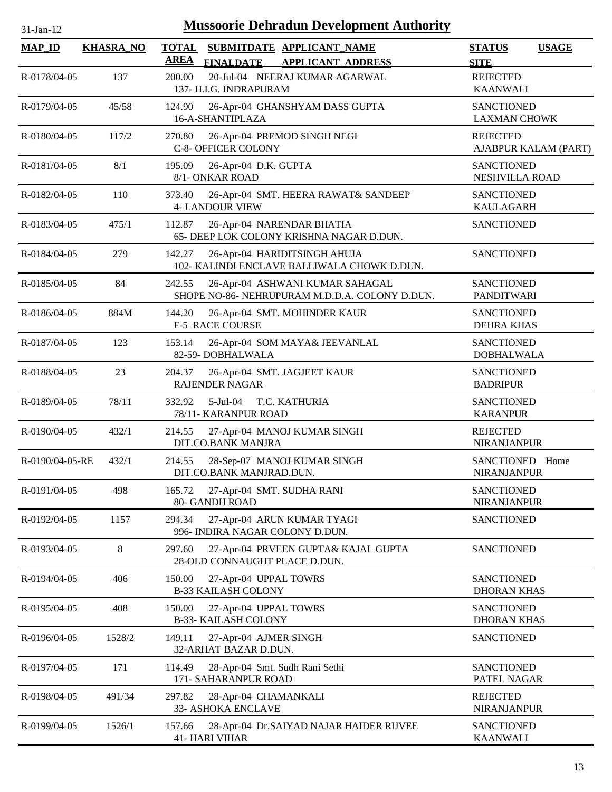| <b>Mussoorie Dehradun Development Authority</b><br>$31$ -Jan-12 |                  |                                                                                                          |                                              |  |  |  |
|-----------------------------------------------------------------|------------------|----------------------------------------------------------------------------------------------------------|----------------------------------------------|--|--|--|
| <b>MAP_ID</b>                                                   | <b>KHASRA_NO</b> | <b>TOTAL</b><br>SUBMITDATE APPLICANT_NAME<br><b>AREA</b><br><b>FINALDATE</b><br><b>APPLICANT ADDRESS</b> | <b>STATUS</b><br><b>USAGE</b><br><b>SITE</b> |  |  |  |
| R-0178/04-05                                                    | 137              | 20-Jul-04 NEERAJ KUMAR AGARWAL<br>200.00<br>137- H.I.G. INDRAPURAM                                       | <b>REJECTED</b><br><b>KAANWALI</b>           |  |  |  |
| R-0179/04-05                                                    | 45/58            | 124.90<br>26-Apr-04 GHANSHYAM DASS GUPTA<br>16-A-SHANTIPLAZA                                             | <b>SANCTIONED</b><br><b>LAXMAN CHOWK</b>     |  |  |  |
| R-0180/04-05                                                    | 117/2            | 270.80<br>26-Apr-04 PREMOD SINGH NEGI<br><b>C-8- OFFICER COLONY</b>                                      | <b>REJECTED</b><br>AJABPUR KALAM (PART)      |  |  |  |
| R-0181/04-05                                                    | 8/1              | 195.09<br>26-Apr-04 D.K. GUPTA<br>8/1- ONKAR ROAD                                                        | <b>SANCTIONED</b><br>NESHVILLA ROAD          |  |  |  |
| R-0182/04-05                                                    | 110              | 373.40<br>26-Apr-04 SMT. HEERA RAWAT& SANDEEP<br><b>4- LANDOUR VIEW</b>                                  | <b>SANCTIONED</b><br><b>KAULAGARH</b>        |  |  |  |
| R-0183/04-05                                                    | 475/1            | 112.87<br>26-Apr-04 NARENDAR BHATIA<br>65- DEEP LOK COLONY KRISHNA NAGAR D.DUN.                          | <b>SANCTIONED</b>                            |  |  |  |
| R-0184/04-05                                                    | 279              | 26-Apr-04 HARIDITSINGH AHUJA<br>142.27<br>102- KALINDI ENCLAVE BALLIWALA CHOWK D.DUN.                    | <b>SANCTIONED</b>                            |  |  |  |
| $R - 0185/04 - 05$                                              | 84               | 242.55<br>26-Apr-04 ASHWANI KUMAR SAHAGAL<br>SHOPE NO-86- NEHRUPURAM M.D.D.A. COLONY D.DUN.              | <b>SANCTIONED</b><br><b>PANDITWARI</b>       |  |  |  |
| R-0186/04-05                                                    | 884M             | 144.20<br>26-Apr-04 SMT. MOHINDER KAUR<br><b>F-5 RACE COURSE</b>                                         | <b>SANCTIONED</b><br><b>DEHRA KHAS</b>       |  |  |  |
| R-0187/04-05                                                    | 123              | 153.14<br>26-Apr-04 SOM MAYA& JEEVANLAL<br>82-59-DOBHALWALA                                              | <b>SANCTIONED</b><br><b>DOBHALWALA</b>       |  |  |  |
| R-0188/04-05                                                    | 23               | 204.37<br>26-Apr-04 SMT. JAGJEET KAUR<br><b>RAJENDER NAGAR</b>                                           | <b>SANCTIONED</b><br><b>BADRIPUR</b>         |  |  |  |
| R-0189/04-05                                                    | 78/11            | 332.92<br>$5$ -Jul $-04$<br>T.C. KATHURIA<br>78/11- KARANPUR ROAD                                        | <b>SANCTIONED</b><br><b>KARANPUR</b>         |  |  |  |
| R-0190/04-05                                                    | 432/1            | 214.55<br>27-Apr-04 MANOJ KUMAR SINGH<br>DIT.CO.BANK MANJRA                                              | <b>REJECTED</b><br><b>NIRANJANPUR</b>        |  |  |  |
| R-0190/04-05-RE                                                 | 432/1            | 214.55<br>28-Sep-07 MANOJ KUMAR SINGH<br>DIT.CO.BANK MANJRAD.DUN.                                        | SANCTIONED Home<br>NIRANJANPUR               |  |  |  |
| R-0191/04-05                                                    | 498              | 27-Apr-04 SMT. SUDHA RANI<br>165.72<br>80- GANDH ROAD                                                    | <b>SANCTIONED</b><br><b>NIRANJANPUR</b>      |  |  |  |
| R-0192/04-05                                                    | 1157             | 294.34<br>27-Apr-04 ARUN KUMAR TYAGI<br>996- INDIRA NAGAR COLONY D.DUN.                                  | <b>SANCTIONED</b>                            |  |  |  |
| R-0193/04-05                                                    | 8                | 297.60<br>27-Apr-04 PRVEEN GUPTA& KAJAL GUPTA<br>28-OLD CONNAUGHT PLACE D.DUN.                           | <b>SANCTIONED</b>                            |  |  |  |
| R-0194/04-05                                                    | 406              | 150.00<br>27-Apr-04 UPPAL TOWRS<br><b>B-33 KAILASH COLONY</b>                                            | <b>SANCTIONED</b><br><b>DHORAN KHAS</b>      |  |  |  |
| R-0195/04-05                                                    | 408              | 150.00<br>27-Apr-04 UPPAL TOWRS<br><b>B-33- KAILASH COLONY</b>                                           | <b>SANCTIONED</b><br><b>DHORAN KHAS</b>      |  |  |  |
| R-0196/04-05                                                    | 1528/2           | 149.11<br>27-Apr-04 AJMER SINGH<br>32-ARHAT BAZAR D.DUN.                                                 | <b>SANCTIONED</b>                            |  |  |  |
| R-0197/04-05                                                    | 171              | 114.49<br>28-Apr-04 Smt. Sudh Rani Sethi<br>171- SAHARANPUR ROAD                                         | <b>SANCTIONED</b><br>PATEL NAGAR             |  |  |  |
| R-0198/04-05                                                    | 491/34           | 297.82<br>28-Apr-04 CHAMANKALI<br>33- ASHOKA ENCLAVE                                                     | <b>REJECTED</b><br><b>NIRANJANPUR</b>        |  |  |  |
| R-0199/04-05                                                    | 1526/1           | 157.66<br>28-Apr-04 Dr.SAIYAD NAJAR HAIDER RIJVEE<br><b>41- HARI VIHAR</b>                               | <b>SANCTIONED</b><br><b>KAANWALI</b>         |  |  |  |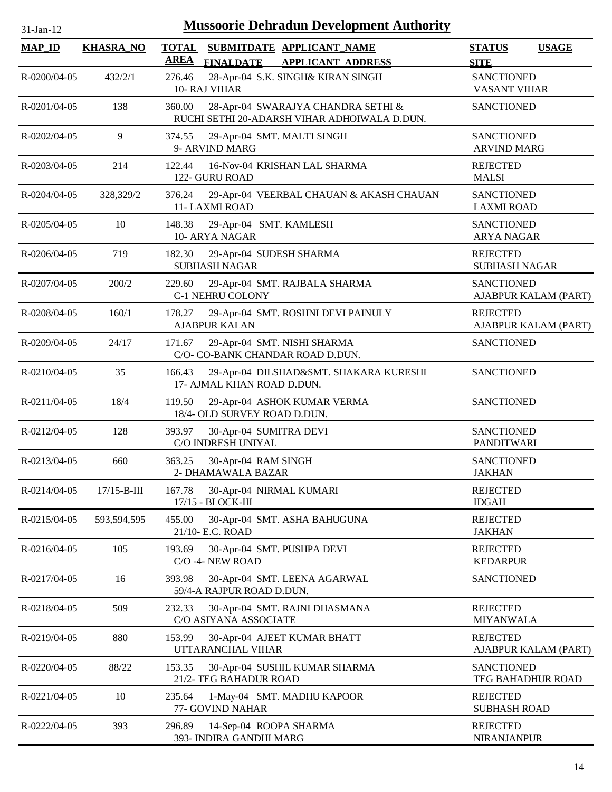| <b>Mussoorie Dehradun Development Authority</b><br>31-Jan-12 |                   |                                                                                              |                                              |  |  |  |
|--------------------------------------------------------------|-------------------|----------------------------------------------------------------------------------------------|----------------------------------------------|--|--|--|
| <b>MAP_ID</b>                                                | <b>KHASRA_NO</b>  | <b>TOTAL</b><br>SUBMITDATE APPLICANT_NAME<br><b>AREA</b><br>FINALDATE APPLICANT ADDRESS      | <b>STATUS</b><br><b>USAGE</b><br><b>SITE</b> |  |  |  |
| R-0200/04-05                                                 | 432/2/1           | 28-Apr-04 S.K. SINGH& KIRAN SINGH<br>276.46<br>10- RAJ VIHAR                                 | <b>SANCTIONED</b><br>VASANT VIHAR            |  |  |  |
| R-0201/04-05                                                 | 138               | 360.00<br>28-Apr-04 SWARAJYA CHANDRA SETHI &<br>RUCHI SETHI 20-ADARSH VIHAR ADHOIWALA D.DUN. | <b>SANCTIONED</b>                            |  |  |  |
| R-0202/04-05                                                 | 9                 | 29-Apr-04 SMT. MALTI SINGH<br>374.55<br>9- ARVIND MARG                                       | <b>SANCTIONED</b><br><b>ARVIND MARG</b>      |  |  |  |
| R-0203/04-05                                                 | 214               | 122.44<br>16-Nov-04 KRISHAN LAL SHARMA<br>122- GURU ROAD                                     | <b>REJECTED</b><br><b>MALSI</b>              |  |  |  |
| R-0204/04-05                                                 | 328,329/2         | 29-Apr-04 VEERBAL CHAUAN & AKASH CHAUAN<br>376.24<br>11-LAXMI ROAD                           | <b>SANCTIONED</b><br><b>LAXMI ROAD</b>       |  |  |  |
| R-0205/04-05                                                 | 10                | 148.38<br>29-Apr-04 SMT. KAMLESH<br>10- ARYA NAGAR                                           | <b>SANCTIONED</b><br><b>ARYA NAGAR</b>       |  |  |  |
| R-0206/04-05                                                 | 719               | 182.30<br>29-Apr-04 SUDESH SHARMA<br><b>SUBHASH NAGAR</b>                                    | <b>REJECTED</b><br><b>SUBHASH NAGAR</b>      |  |  |  |
| R-0207/04-05                                                 | 200/2             | 229.60<br>29-Apr-04 SMT. RAJBALA SHARMA<br><b>C-1 NEHRU COLONY</b>                           | <b>SANCTIONED</b><br>AJABPUR KALAM (PART)    |  |  |  |
| R-0208/04-05                                                 | 160/1             | 29-Apr-04 SMT. ROSHNI DEVI PAINULY<br>178.27<br><b>AJABPUR KALAN</b>                         | <b>REJECTED</b><br>AJABPUR KALAM (PART)      |  |  |  |
| R-0209/04-05                                                 | 24/17             | 29-Apr-04 SMT. NISHI SHARMA<br>171.67<br>C/O- CO-BANK CHANDAR ROAD D.DUN.                    | <b>SANCTIONED</b>                            |  |  |  |
| R-0210/04-05                                                 | 35                | 29-Apr-04 DILSHAD&SMT. SHAKARA KURESHI<br>166.43<br>17- AJMAL KHAN ROAD D.DUN.               | <b>SANCTIONED</b>                            |  |  |  |
| R-0211/04-05                                                 | 18/4              | 119.50<br>29-Apr-04 ASHOK KUMAR VERMA<br>18/4- OLD SURVEY ROAD D.DUN.                        | <b>SANCTIONED</b>                            |  |  |  |
| R-0212/04-05                                                 | 128               | 393.97<br>30-Apr-04 SUMITRA DEVI<br>C/O INDRESH UNIYAL                                       | <b>SANCTIONED</b><br><b>PANDITWARI</b>       |  |  |  |
| R-0213/04-05                                                 | 660               | 363.25<br>30-Apr-04 RAM SINGH<br>2- DHAMAWALA BAZAR                                          | SANCTIONED<br><b>JAKHAN</b>                  |  |  |  |
| R-0214/04-05                                                 | $17/15 - B - III$ | 167.78<br>30-Apr-04 NIRMAL KUMARI<br>17/15 - BLOCK-III                                       | <b>REJECTED</b><br><b>IDGAH</b>              |  |  |  |
| R-0215/04-05                                                 | 593,594,595       | 455.00<br>30-Apr-04 SMT. ASHA BAHUGUNA<br>21/10- E.C. ROAD                                   | <b>REJECTED</b><br><b>JAKHAN</b>             |  |  |  |
| R-0216/04-05                                                 | 105               | 30-Apr-04 SMT. PUSHPA DEVI<br>193.69<br>C/O -4- NEW ROAD                                     | <b>REJECTED</b><br><b>KEDARPUR</b>           |  |  |  |
| R-0217/04-05                                                 | 16                | 393.98<br>30-Apr-04 SMT. LEENA AGARWAL<br>59/4-A RAJPUR ROAD D.DUN.                          | <b>SANCTIONED</b>                            |  |  |  |
| R-0218/04-05                                                 | 509               | 232.33<br>30-Apr-04 SMT. RAJNI DHASMANA<br>C/O ASIYANA ASSOCIATE                             | <b>REJECTED</b><br><b>MIYANWALA</b>          |  |  |  |
| R-0219/04-05                                                 | 880               | 153.99<br>30-Apr-04 AJEET KUMAR BHATT<br>UTTARANCHAL VIHAR                                   | <b>REJECTED</b><br>AJABPUR KALAM (PART)      |  |  |  |
| R-0220/04-05                                                 | 88/22             | 153.35<br>30-Apr-04 SUSHIL KUMAR SHARMA<br>21/2- TEG BAHADUR ROAD                            | <b>SANCTIONED</b><br>TEG BAHADHUR ROAD       |  |  |  |
| R-0221/04-05                                                 | 10                | 235.64<br>1-May-04 SMT. MADHU KAPOOR<br>77- GOVIND NAHAR                                     | <b>REJECTED</b><br><b>SUBHASH ROAD</b>       |  |  |  |
| R-0222/04-05                                                 | 393               | 14-Sep-04 ROOPA SHARMA<br>296.89<br>393- INDIRA GANDHI MARG                                  | <b>REJECTED</b><br>NIRANJANPUR               |  |  |  |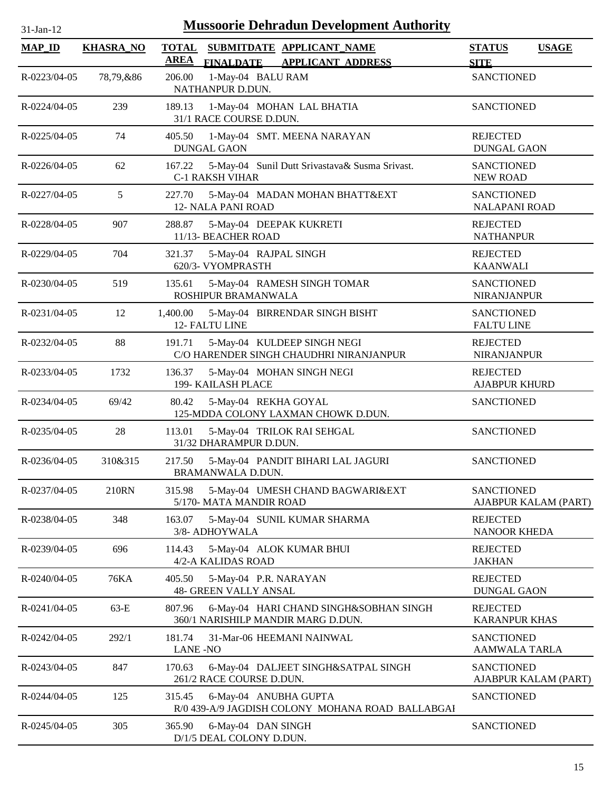| $31$ -Jan-12       |                  | <b>Mussoorie Dehradun Development Authority</b>                                        |                                              |
|--------------------|------------------|----------------------------------------------------------------------------------------|----------------------------------------------|
| <b>MAP_ID</b>      | <b>KHASRA_NO</b> | TOTAL SUBMITDATE APPLICANT NAME<br><b>AREA</b><br>FINALDATE APPLICANT ADDRESS          | <b>STATUS</b><br><b>USAGE</b><br><b>SITE</b> |
| R-0223/04-05       | 78,79,&86        | 1-May-04 BALU RAM<br>206.00<br>NATHANPUR D.DUN.                                        | <b>SANCTIONED</b>                            |
| $R - 0224/04 - 05$ | 239              | 189.13<br>1-May-04 MOHAN LAL BHATIA<br>31/1 RACE COURSE D.DUN.                         | <b>SANCTIONED</b>                            |
| $R - 0225/04 - 05$ | 74               | 1-May-04 SMT. MEENA NARAYAN<br>405.50<br><b>DUNGAL GAON</b>                            | <b>REJECTED</b><br><b>DUNGAL GAON</b>        |
| $R - 0226/04 - 05$ | 62               | 167.22 5-May-04 Sunil Dutt Srivastava& Susma Srivast.<br><b>C-1 RAKSH VIHAR</b>        | <b>SANCTIONED</b><br><b>NEW ROAD</b>         |
| R-0227/04-05       | 5                | 5-May-04 MADAN MOHAN BHATT&EXT<br>227.70<br><b>12- NALA PANI ROAD</b>                  | <b>SANCTIONED</b><br><b>NALAPANI ROAD</b>    |
| R-0228/04-05       | 907              | 288.87<br>5-May-04 DEEPAK KUKRETI<br>11/13- BEACHER ROAD                               | <b>REJECTED</b><br><b>NATHANPUR</b>          |
| R-0229/04-05       | 704              | 5-May-04 RAJPAL SINGH<br>321.37<br>620/3- VYOMPRASTH                                   | <b>REJECTED</b><br><b>KAANWALI</b>           |
| R-0230/04-05       | 519              | 5-May-04 RAMESH SINGH TOMAR<br>135.61<br>ROSHIPUR BRAMANWALA                           | <b>SANCTIONED</b><br><b>NIRANJANPUR</b>      |
| R-0231/04-05       | 12               | 1,400.00<br>5-May-04 BIRRENDAR SINGH BISHT<br><b>12- FALTU LINE</b>                    | <b>SANCTIONED</b><br><b>FALTU LINE</b>       |
| R-0232/04-05       | 88               | 5-May-04 KULDEEP SINGH NEGI<br>191.71<br>C/O HARENDER SINGH CHAUDHRI NIRANJANPUR       | <b>REJECTED</b><br><b>NIRANJANPUR</b>        |
| R-0233/04-05       | 1732             | 5-May-04 MOHAN SINGH NEGI<br>136.37<br><b>199- KAILASH PLACE</b>                       | <b>REJECTED</b><br><b>AJABPUR KHURD</b>      |
| $R - 0234/04 - 05$ | 69/42            | 80.42<br>5-May-04 REKHA GOYAL<br>125-MDDA COLONY LAXMAN CHOWK D.DUN.                   | <b>SANCTIONED</b>                            |
| $R - 0235/04 - 05$ | 28               | 113.01<br>5-May-04 TRILOK RAI SEHGAL<br>31/32 DHARAMPUR D.DUN.                         | <b>SANCTIONED</b>                            |
| R-0236/04-05       | 310&315          | 5-May-04 PANDIT BIHARI LAL JAGURI<br>217.50<br>BRAMANWALA D.DUN.                       | <b>SANCTIONED</b>                            |
| R-0237/04-05       | 210RN            | 5-May-04 UMESH CHAND BAGWARI&EXT<br>315.98<br>5/170- MATA MANDIR ROAD                  | <b>SANCTIONED</b><br>AJABPUR KALAM (PART)    |
| R-0238/04-05       | 348              | 163.07<br>5-May-04 SUNIL KUMAR SHARMA<br>3/8- ADHOYWALA                                | <b>REJECTED</b><br>NANOOR KHEDA              |
| R-0239/04-05       | 696              | 5-May-04 ALOK KUMAR BHUI<br>114.43<br>4/2-A KALIDAS ROAD                               | <b>REJECTED</b><br><b>JAKHAN</b>             |
| $R - 0240/04 - 05$ | <b>76KA</b>      | 405.50<br>5-May-04 P.R. NARAYAN<br>48- GREEN VALLY ANSAL                               | <b>REJECTED</b><br><b>DUNGAL GAON</b>        |
| R-0241/04-05       | $63-E$           | 6-May-04 HARI CHAND SINGH&SOBHAN SINGH<br>807.96<br>360/1 NARISHILP MANDIR MARG D.DUN. | <b>REJECTED</b><br><b>KARANPUR KHAS</b>      |
| R-0242/04-05       | 292/1            | 181.74<br>31-Mar-06 HEEMANI NAINWAL                                                    | <b>SANCTIONED</b>                            |

R-0243/04-05 847 6-May-04 SANCTIONED DALJEET SINGH&SATPAL SINGH

R-0244/04-05 125 6-May-04 ANUBHA GUPTA SANCTIONED

R-0245/04-05 305 365.90 6-May-04 DAN SINGH SANCTIONED

R/0 439-A/9 JAGDISH COLONY MOHANA ROAD BALLABGAR

261/2 RACE COURSE D.DUN.

D/1/5 DEAL COLONY D.DUN.

LANE -NO

170.63

315.45

365.90

AAMWALA TARLA

AJABPUR KALAM (PART)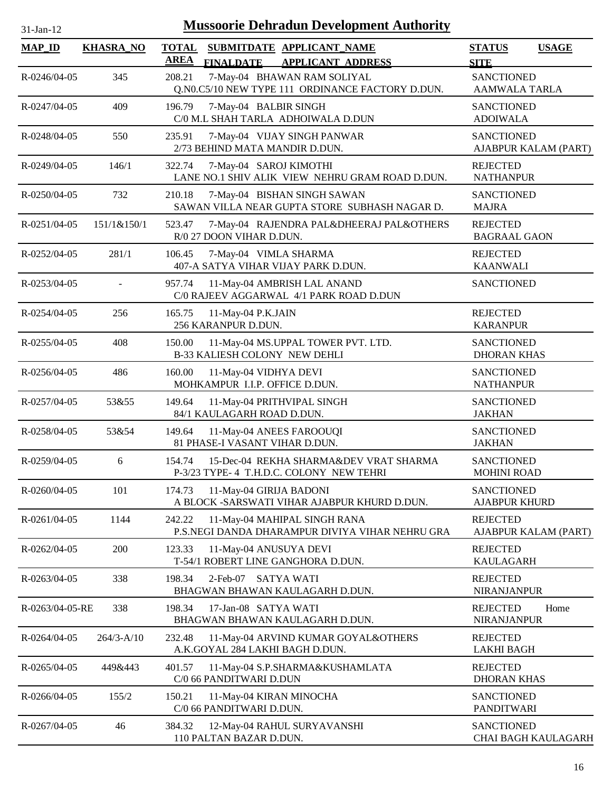| $31$ -Jan-12       |                  | <b>Mussoorie Dehradun Development Authority</b>                                                          |                                              |
|--------------------|------------------|----------------------------------------------------------------------------------------------------------|----------------------------------------------|
| <b>MAP_ID</b>      | <b>KHASRA_NO</b> | <b>TOTAL</b><br>SUBMITDATE APPLICANT_NAME<br><b>AREA</b><br><b>FINALDATE</b><br><b>APPLICANT ADDRESS</b> | <b>STATUS</b><br><b>USAGE</b><br><b>SITE</b> |
| R-0246/04-05       | 345              | 7-May-04 BHAWAN RAM SOLIYAL<br>208.21<br>Q.N0.C5/10 NEW TYPE 111 ORDINANCE FACTORY D.DUN.                | <b>SANCTIONED</b><br>AAMWALA TARLA           |
| R-0247/04-05       | 409              | 196.79<br>7-May-04 BALBIR SINGH<br>C/0 M.L SHAH TARLA ADHOIWALA D.DUN                                    | <b>SANCTIONED</b><br><b>ADOIWALA</b>         |
| R-0248/04-05       | 550              | 7-May-04 VIJAY SINGH PANWAR<br>235.91<br>2/73 BEHIND MATA MANDIR D.DUN.                                  | <b>SANCTIONED</b><br>AJABPUR KALAM (PART)    |
| R-0249/04-05       | 146/1            | 322.74<br>7-May-04 SAROJ KIMOTHI<br>LANE NO.1 SHIV ALIK VIEW NEHRU GRAM ROAD D.DUN.                      | <b>REJECTED</b><br><b>NATHANPUR</b>          |
| R-0250/04-05       | 732              | 210.18<br>7-May-04 BISHAN SINGH SAWAN<br>SAWAN VILLA NEAR GUPTA STORE SUBHASH NAGAR D.                   | <b>SANCTIONED</b><br><b>MAJRA</b>            |
| $R - 0251/04 - 05$ | 151/1&150/1      | 523.47<br>7-May-04 RAJENDRA PAL&DHEERAJ PAL&OTHERS<br>R/0 27 DOON VIHAR D.DUN.                           | <b>REJECTED</b><br><b>BAGRAAL GAON</b>       |
| R-0252/04-05       | 281/1            | 106.45<br>7-May-04 VIMLA SHARMA<br>407-A SATYA VIHAR VIJAY PARK D.DUN.                                   | <b>REJECTED</b><br><b>KAANWALI</b>           |
| R-0253/04-05       |                  | 11-May-04 AMBRISH LAL ANAND<br>957.74<br>C/0 RAJEEV AGGARWAL 4/1 PARK ROAD D.DUN                         | <b>SANCTIONED</b>                            |
| $R - 0254/04 - 05$ | 256              | 165.75<br>11-May-04 P.K.JAIN<br>256 KARANPUR D.DUN.                                                      | <b>REJECTED</b><br><b>KARANPUR</b>           |
| R-0255/04-05       | 408              | 11-May-04 MS.UPPAL TOWER PVT. LTD.<br>150.00<br><b>B-33 KALIESH COLONY NEW DEHLI</b>                     | <b>SANCTIONED</b><br><b>DHORAN KHAS</b>      |
| R-0256/04-05       | 486              | 160.00<br>11-May-04 VIDHYA DEVI<br>MOHKAMPUR I.I.P. OFFICE D.DUN.                                        | <b>SANCTIONED</b><br><b>NATHANPUR</b>        |
| R-0257/04-05       | 53&55            | 149.64<br>11-May-04 PRITHVIPAL SINGH<br>84/1 KAULAGARH ROAD D.DUN.                                       | <b>SANCTIONED</b><br><b>JAKHAN</b>           |
| R-0258/04-05       | 53&54            | 149.64<br>11-May-04 ANEES FAROOUQI<br>81 PHASE-I VASANT VIHAR D.DUN.                                     | <b>SANCTIONED</b><br><b>JAKHAN</b>           |
| R-0259/04-05       | 6                | 15-Dec-04 REKHA SHARMA&DEV VRAT SHARMA<br>154.74<br>P-3/23 TYPE- 4 T.H.D.C. COLONY NEW TEHRI             | <b>SANCTIONED</b><br><b>MOHINI ROAD</b>      |
| R-0260/04-05       | 101              | 11-May-04 GIRIJA BADONI<br>174.73<br>A BLOCK -SARSWATI VIHAR AJABPUR KHURD D.DUN.                        | <b>SANCTIONED</b><br><b>AJABPUR KHURD</b>    |
| $R - 0261/04 - 05$ | 1144             | 242.22<br>11-May-04 MAHIPAL SINGH RANA<br>P.S.NEGI DANDA DHARAMPUR DIVIYA VIHAR NEHRU GRA                | <b>REJECTED</b><br>AJABPUR KALAM (PART)      |
| R-0262/04-05       | 200              | 123.33<br>11-May-04 ANUSUYA DEVI<br>T-54/1 ROBERT LINE GANGHORA D.DUN.                                   | <b>REJECTED</b><br><b>KAULAGARH</b>          |
| R-0263/04-05       | 338              | 198.34<br><b>SATYA WATI</b><br>$2$ -Feb-07<br>BHAGWAN BHAWAN KAULAGARH D.DUN.                            | <b>REJECTED</b><br><b>NIRANJANPUR</b>        |
| R-0263/04-05-RE    | 338              | 198.34<br>17-Jan-08 SATYA WATI<br>BHAGWAN BHAWAN KAULAGARH D.DUN.                                        | <b>REJECTED</b><br>Home<br>NIRANJANPUR       |
| $R - 0264/04 - 05$ | $264/3 - A/10$   | 232.48<br>11-May-04 ARVIND KUMAR GOYAL&OTHERS<br>A.K.GOYAL 284 LAKHI BAGH D.DUN.                         | <b>REJECTED</b><br><b>LAKHI BAGH</b>         |
| $R - 0265/04 - 05$ | 449&443          | 401.57<br>11-May-04 S.P.SHARMA&KUSHAMLATA<br>C/0 66 PANDITWARI D.DUN                                     | <b>REJECTED</b><br><b>DHORAN KHAS</b>        |
| R-0266/04-05       | 155/2            | 150.21<br>11-May-04 KIRAN MINOCHA<br>C/0 66 PANDITWARI D.DUN.                                            | <b>SANCTIONED</b><br><b>PANDITWARI</b>       |
| R-0267/04-05       | 46               | 384.32<br>12-May-04 RAHUL SURYAVANSHI<br>110 PALTAN BAZAR D.DUN.                                         | <b>SANCTIONED</b><br>CHAI BAGH KAULAGARH     |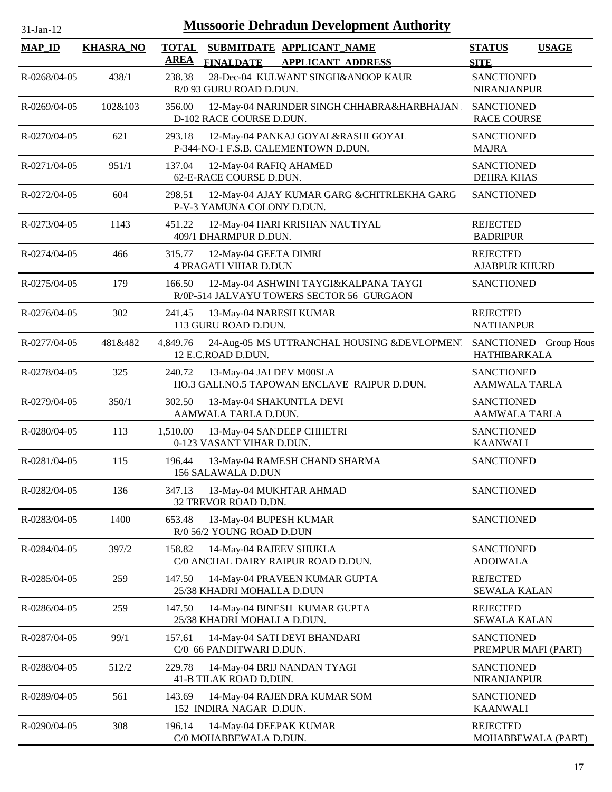| $31$ -Jan-12  |                  |                             | <b>Mussoorie Dehradun Development Authority</b>                                    |                                              |              |
|---------------|------------------|-----------------------------|------------------------------------------------------------------------------------|----------------------------------------------|--------------|
| <b>MAP_ID</b> | <b>KHASRA_NO</b> | <b>TOTAL</b><br><b>AREA</b> | SUBMITDATE APPLICANT_NAME<br><b>APPLICANT ADDRESS</b><br><b>FINALDATE</b>          | <b>STATUS</b><br><b>SITE</b>                 | <b>USAGE</b> |
| R-0268/04-05  | 438/1            | 238.38                      | 28-Dec-04 KULWANT SINGH&ANOOP KAUR<br>R/0 93 GURU ROAD D.DUN.                      | <b>SANCTIONED</b><br><b>NIRANJANPUR</b>      |              |
| R-0269/04-05  | 102&103          | 356.00                      | 12-May-04 NARINDER SINGH CHHABRA&HARBHAJAN<br>D-102 RACE COURSE D.DUN.             | <b>SANCTIONED</b><br><b>RACE COURSE</b>      |              |
| R-0270/04-05  | 621              | 293.18                      | 12-May-04 PANKAJ GOYAL&RASHI GOYAL<br>P-344-NO-1 F.S.B. CALEMENTOWN D.DUN.         | <b>SANCTIONED</b><br><b>MAJRA</b>            |              |
| R-0271/04-05  | 951/1            | 137.04                      | 12-May-04 RAFIQ AHAMED<br>62-E-RACE COURSE D.DUN.                                  | <b>SANCTIONED</b><br><b>DEHRA KHAS</b>       |              |
| R-0272/04-05  | 604              | 298.51                      | 12-May-04 AJAY KUMAR GARG & CHITRLEKHA GARG<br>P-V-3 YAMUNA COLONY D.DUN.          | <b>SANCTIONED</b>                            |              |
| R-0273/04-05  | 1143             | 451.22                      | 12-May-04 HARI KRISHAN NAUTIYAL<br>409/1 DHARMPUR D.DUN.                           | <b>REJECTED</b><br><b>BADRIPUR</b>           |              |
| R-0274/04-05  | 466              | 315.77                      | 12-May-04 GEETA DIMRI<br><b>4 PRAGATI VIHAR D.DUN</b>                              | <b>REJECTED</b><br><b>AJABPUR KHURD</b>      |              |
| R-0275/04-05  | 179              | 166.50                      | 12-May-04 ASHWINI TAYGI&KALPANA TAYGI<br>R/0P-514 JALVAYU TOWERS SECTOR 56 GURGAON | <b>SANCTIONED</b>                            |              |
| R-0276/04-05  | 302              | 241.45                      | 13-May-04 NARESH KUMAR<br>113 GURU ROAD D.DUN.                                     | <b>REJECTED</b><br><b>NATHANPUR</b>          |              |
| R-0277/04-05  | 481&482          | 4,849.76                    | 24-Aug-05 MS UTTRANCHAL HOUSING &DEVLOPMENT<br>12 E.C.ROAD D.DUN.                  | SANCTIONED Group Hous<br><b>HATHIBARKALA</b> |              |
| R-0278/04-05  | 325              | 240.72                      | 13-May-04 JAI DEV M00SLA<br>HO.3 GALI.NO.5 TAPOWAN ENCLAVE RAIPUR D.DUN.           | <b>SANCTIONED</b><br>AAMWALA TARLA           |              |
| R-0279/04-05  | 350/1            | 302.50                      | 13-May-04 SHAKUNTLA DEVI<br>AAMWALA TARLA D.DUN.                                   | <b>SANCTIONED</b><br><b>AAMWALA TARLA</b>    |              |
| R-0280/04-05  | 113              | 1,510.00                    | 13-May-04 SANDEEP CHHETRI<br>0-123 VASANT VIHAR D.DUN.                             | <b>SANCTIONED</b><br><b>KAANWALI</b>         |              |
| R-0281/04-05  | 115              | 196.44                      | 13-May-04 RAMESH CHAND SHARMA<br>156 SALAWALA D.DUN                                | <b>SANCTIONED</b>                            |              |
| R-0282/04-05  | 136              | 347.13                      | 13-May-04 MUKHTAR AHMAD<br>32 TREVOR ROAD D.DN.                                    | <b>SANCTIONED</b>                            |              |
| R-0283/04-05  | 1400             | 653.48                      | 13-May-04 BUPESH KUMAR<br>R/0 56/2 YOUNG ROAD D.DUN                                | <b>SANCTIONED</b>                            |              |
| R-0284/04-05  | 397/2            | 158.82                      | 14-May-04 RAJEEV SHUKLA<br>C/0 ANCHAL DAIRY RAIPUR ROAD D.DUN.                     | <b>SANCTIONED</b><br><b>ADOIWALA</b>         |              |
| R-0285/04-05  | 259              | 147.50                      | 14-May-04 PRAVEEN KUMAR GUPTA<br>25/38 KHADRI MOHALLA D.DUN                        | <b>REJECTED</b><br><b>SEWALA KALAN</b>       |              |
| R-0286/04-05  | 259              | 147.50                      | 14-May-04 BINESH KUMAR GUPTA<br>25/38 KHADRI MOHALLA D.DUN.                        | <b>REJECTED</b><br><b>SEWALA KALAN</b>       |              |
| R-0287/04-05  | 99/1             | 157.61                      | 14-May-04 SATI DEVI BHANDARI<br>C/0 66 PANDITWARI D.DUN.                           | <b>SANCTIONED</b><br>PREMPUR MAFI (PART)     |              |
| R-0288/04-05  | 512/2            | 229.78                      | 14-May-04 BRIJ NANDAN TYAGI<br>41-B TILAK ROAD D.DUN.                              | <b>SANCTIONED</b><br><b>NIRANJANPUR</b>      |              |
| R-0289/04-05  | 561              | 143.69                      | 14-May-04 RAJENDRA KUMAR SOM<br>152 INDIRA NAGAR D.DUN.                            | <b>SANCTIONED</b><br><b>KAANWALI</b>         |              |
| R-0290/04-05  | 308              | 196.14                      | 14-May-04 DEEPAK KUMAR<br>C/0 MOHABBEWALA D.DUN.                                   | <b>REJECTED</b><br>MOHABBEWALA (PART)        |              |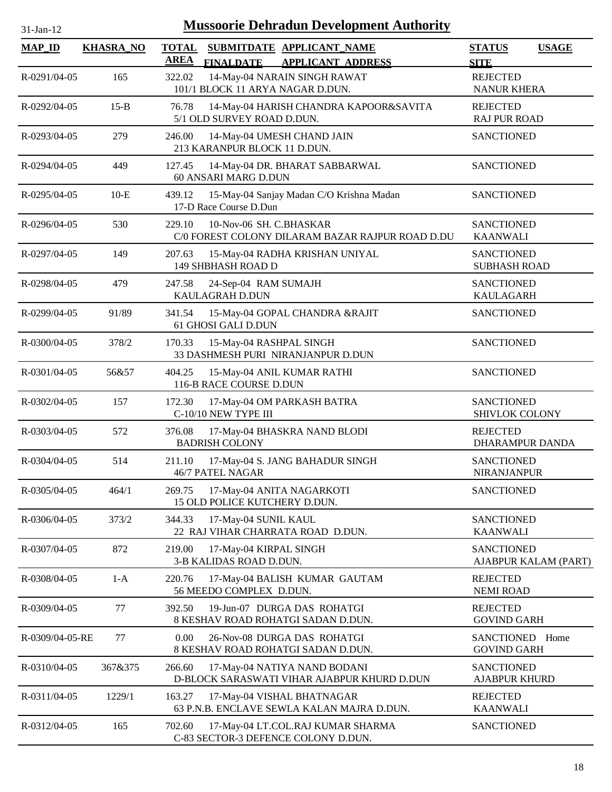| <b>Mussoorie Dehradun Development Authority</b><br>31-Jan-12 |                  |                                                                                                          |                                           |              |  |  |
|--------------------------------------------------------------|------------------|----------------------------------------------------------------------------------------------------------|-------------------------------------------|--------------|--|--|
| <b>MAP_ID</b>                                                | <b>KHASRA_NO</b> | <b>TOTAL</b><br>SUBMITDATE APPLICANT_NAME<br><b>AREA</b><br><b>FINALDATE</b><br><b>APPLICANT ADDRESS</b> | <b>STATUS</b><br><b>SITE</b>              | <b>USAGE</b> |  |  |
| R-0291/04-05                                                 | 165              | 14-May-04 NARAIN SINGH RAWAT<br>322.02<br>101/1 BLOCK 11 ARYA NAGAR D.DUN.                               | <b>REJECTED</b><br><b>NANUR KHERA</b>     |              |  |  |
| R-0292/04-05                                                 | $15-B$           | 76.78<br>14-May-04 HARISH CHANDRA KAPOOR&SAVITA<br>5/1 OLD SURVEY ROAD D.DUN.                            | <b>REJECTED</b><br><b>RAJ PUR ROAD</b>    |              |  |  |
| R-0293/04-05                                                 | 279              | 14-May-04 UMESH CHAND JAIN<br>246.00<br>213 KARANPUR BLOCK 11 D.DUN.                                     | <b>SANCTIONED</b>                         |              |  |  |
| R-0294/04-05                                                 | 449              | 127.45<br>14-May-04 DR. BHARAT SABBARWAL<br>60 ANSARI MARG D.DUN                                         | <b>SANCTIONED</b>                         |              |  |  |
| R-0295/04-05                                                 | $10-E$           | 15-May-04 Sanjay Madan C/O Krishna Madan<br>439.12<br>17-D Race Course D.Dun                             | <b>SANCTIONED</b>                         |              |  |  |
| R-0296/04-05                                                 | 530              | 10-Nov-06 SH. C.BHASKAR<br>229.10<br>C/0 FOREST COLONY DILARAM BAZAR RAJPUR ROAD D.DU                    | <b>SANCTIONED</b><br><b>KAANWALI</b>      |              |  |  |
| R-0297/04-05                                                 | 149              | 207.63<br>15-May-04 RADHA KRISHAN UNIYAL<br>149 SHBHASH ROAD D                                           | <b>SANCTIONED</b><br><b>SUBHASH ROAD</b>  |              |  |  |
| R-0298/04-05                                                 | 479              | 247.58<br>24-Sep-04 RAM SUMAJH<br>KAULAGRAH D.DUN                                                        | <b>SANCTIONED</b><br><b>KAULAGARH</b>     |              |  |  |
| R-0299/04-05                                                 | 91/89            | 15-May-04 GOPAL CHANDRA &RAJIT<br>341.54<br>61 GHOSI GALI D.DUN                                          | <b>SANCTIONED</b>                         |              |  |  |
| R-0300/04-05                                                 | 378/2            | 15-May-04 RASHPAL SINGH<br>170.33<br>33 DASHMESH PURI NIRANJANPUR D.DUN                                  | <b>SANCTIONED</b>                         |              |  |  |
| R-0301/04-05                                                 | 56&57            | 404.25<br>15-May-04 ANIL KUMAR RATHI<br>116-B RACE COURSE D.DUN                                          | <b>SANCTIONED</b>                         |              |  |  |
| R-0302/04-05                                                 | 157              | 172.30<br>17-May-04 OM PARKASH BATRA<br>C-10/10 NEW TYPE III                                             | <b>SANCTIONED</b><br>SHIVLOK COLONY       |              |  |  |
| R-0303/04-05                                                 | 572              | 17-May-04 BHASKRA NAND BLODI<br>376.08<br><b>BADRISH COLONY</b>                                          | <b>REJECTED</b><br><b>DHARAMPUR DANDA</b> |              |  |  |
| R-0304/04-05                                                 | 514              | 211.10<br>17-May-04 S. JANG BAHADUR SINGH<br><b>46/7 PATEL NAGAR</b>                                     | <b>SANCTIONED</b><br><b>NIRANJANPUR</b>   |              |  |  |
| R-0305/04-05                                                 | 464/1            | 17-May-04 ANITA NAGARKOTI<br>269.75<br>15 OLD POLICE KUTCHERY D.DUN.                                     | <b>SANCTIONED</b>                         |              |  |  |
| R-0306/04-05                                                 | 373/2            | 344.33<br>17-May-04 SUNIL KAUL<br>22 RAJ VIHAR CHARRATA ROAD D.DUN.                                      | <b>SANCTIONED</b><br><b>KAANWALI</b>      |              |  |  |
| R-0307/04-05                                                 | 872              | 219.00<br>17-May-04 KIRPAL SINGH<br>3-B KALIDAS ROAD D.DUN.                                              | <b>SANCTIONED</b><br>AJABPUR KALAM (PART) |              |  |  |
| R-0308/04-05                                                 | $1-A$            | 220.76<br>17-May-04 BALISH KUMAR GAUTAM<br>56 MEEDO COMPLEX D.DUN.                                       | <b>REJECTED</b><br><b>NEMI ROAD</b>       |              |  |  |
| R-0309/04-05                                                 | 77               | 19-Jun-07 DURGA DAS ROHATGI<br>392.50<br>8 KESHAV ROAD ROHATGI SADAN D.DUN.                              | <b>REJECTED</b><br><b>GOVIND GARH</b>     |              |  |  |
| R-0309/04-05-RE                                              | 77               | 26-Nov-08 DURGA DAS ROHATGI<br>0.00<br>8 KESHAV ROAD ROHATGI SADAN D.DUN.                                | <b>SANCTIONED</b><br><b>GOVIND GARH</b>   | Home         |  |  |
| R-0310/04-05                                                 | 367&375          | 266.60<br>17-May-04 NATIYA NAND BODANI<br>D-BLOCK SARASWATI VIHAR AJABPUR KHURD D.DUN                    | <b>SANCTIONED</b><br><b>AJABPUR KHURD</b> |              |  |  |
| R-0311/04-05                                                 | 1229/1           | 163.27<br>17-May-04 VISHAL BHATNAGAR<br>63 P.N.B. ENCLAVE SEWLA KALAN MAJRA D.DUN.                       | <b>REJECTED</b><br><b>KAANWALI</b>        |              |  |  |
| R-0312/04-05                                                 | 165              | 17-May-04 LT.COL.RAJ KUMAR SHARMA<br>702.60<br>C-83 SECTOR-3 DEFENCE COLONY D.DUN.                       | <b>SANCTIONED</b>                         |              |  |  |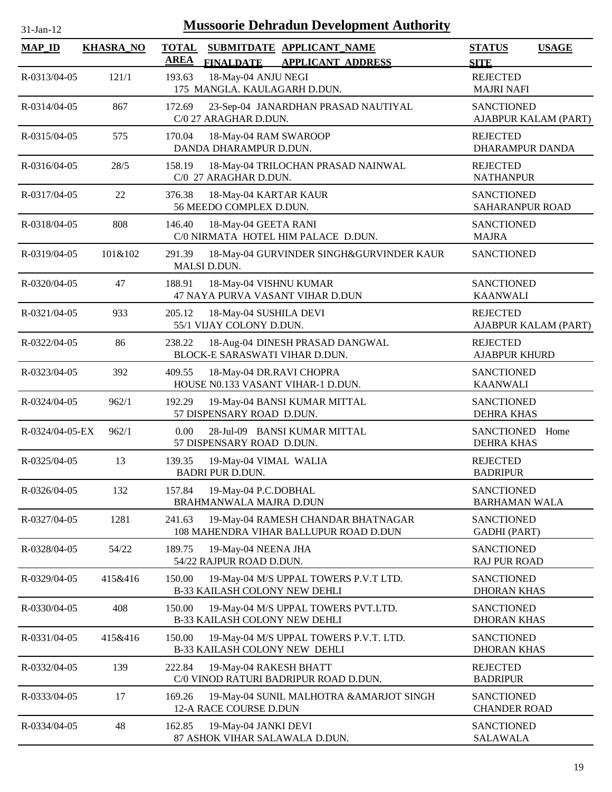| 31-Jan-12       | <b>Mussoorie Dehradun Development Authority</b> |                                                                                                          |                                                |  |  |  |  |
|-----------------|-------------------------------------------------|----------------------------------------------------------------------------------------------------------|------------------------------------------------|--|--|--|--|
| <b>MAP_ID</b>   | <b>KHASRA_NO</b>                                | <b>TOTAL</b><br>SUBMITDATE APPLICANT NAME<br><b>AREA</b><br><b>FINALDATE</b><br><b>APPLICANT ADDRESS</b> | <b>STATUS</b><br><b>USAGE</b><br><b>SITE</b>   |  |  |  |  |
| R-0313/04-05    | 121/1                                           | 18-May-04 ANJU NEGI<br>193.63<br>175 MANGLA. KAULAGARH D.DUN.                                            | <b>REJECTED</b><br><b>MAJRI NAFI</b>           |  |  |  |  |
| R-0314/04-05    | 867                                             | 172.69<br>23-Sep-04 JANARDHAN PRASAD NAUTIYAL<br>C/0 27 ARAGHAR D.DUN.                                   | <b>SANCTIONED</b><br>AJABPUR KALAM (PART)      |  |  |  |  |
| R-0315/04-05    | 575                                             | 170.04<br>18-May-04 RAM SWAROOP<br>DANDA DHARAMPUR D.DUN.                                                | <b>REJECTED</b><br><b>DHARAMPUR DANDA</b>      |  |  |  |  |
| R-0316/04-05    | 28/5                                            | 158.19<br>18-May-04 TRILOCHAN PRASAD NAINWAL<br>C/0 27 ARAGHAR D.DUN.                                    | <b>REJECTED</b><br><b>NATHANPUR</b>            |  |  |  |  |
| R-0317/04-05    | 22                                              | 376.38<br>18-May-04 KARTAR KAUR<br>56 MEEDO COMPLEX D.DUN.                                               | <b>SANCTIONED</b><br><b>SAHARANPUR ROAD</b>    |  |  |  |  |
| R-0318/04-05    | 808                                             | 18-May-04 GEETA RANI<br>146.40<br>C/0 NIRMATA HOTEL HIM PALACE D.DUN.                                    | <b>SANCTIONED</b><br><b>MAJRA</b>              |  |  |  |  |
| R-0319/04-05    | 101&102                                         | 291.39<br>18-May-04 GURVINDER SINGH&GURVINDER KAUR<br>MALSI D.DUN.                                       | <b>SANCTIONED</b>                              |  |  |  |  |
| R-0320/04-05    | 47                                              | 188.91<br>18-May-04 VISHNU KUMAR<br>47 NAYA PURVA VASANT VIHAR D.DUN                                     | <b>SANCTIONED</b><br><b>KAANWALI</b>           |  |  |  |  |
| R-0321/04-05    | 933                                             | 205.12<br>18-May-04 SUSHILA DEVI<br>55/1 VIJAY COLONY D.DUN.                                             | <b>REJECTED</b><br>AJABPUR KALAM (PART)        |  |  |  |  |
| R-0322/04-05    | 86                                              | 238.22<br>18-Aug-04 DINESH PRASAD DANGWAL<br>BLOCK-E SARASWATI VIHAR D.DUN.                              | <b>REJECTED</b><br><b>AJABPUR KHURD</b>        |  |  |  |  |
| R-0323/04-05    | 392                                             | 409.55<br>18-May-04 DR.RAVI CHOPRA<br>HOUSE N0.133 VASANT VIHAR-1 D.DUN.                                 | <b>SANCTIONED</b><br><b>KAANWALI</b>           |  |  |  |  |
| R-0324/04-05    | 962/1                                           | 19-May-04 BANSI KUMAR MITTAL<br>192.29<br>57 DISPENSARY ROAD D.DUN.                                      | <b>SANCTIONED</b><br><b>DEHRA KHAS</b>         |  |  |  |  |
| R-0324/04-05-EX | 962/1                                           | 0.00<br>28-Jul-09 BANSI KUMAR MITTAL<br>57 DISPENSARY ROAD D.DUN.                                        | <b>SANCTIONED</b><br>Home<br><b>DEHRA KHAS</b> |  |  |  |  |
| R-0325/04-05    | 13                                              | 139.35<br>19-May-04 VIMAL WALIA<br><b>BADRI PUR D.DUN.</b>                                               | <b>REJECTED</b><br><b>BADRIPUR</b>             |  |  |  |  |
| R-0326/04-05    | 132                                             | 157.84<br>19-May-04 P.C.DOBHAL<br>BRAHMANWALA MAJRA D.DUN                                                | <b>SANCTIONED</b><br><b>BARHAMAN WALA</b>      |  |  |  |  |
| R-0327/04-05    | 1281                                            | 19-May-04 RAMESH CHANDAR BHATNAGAR<br>241.63<br>108 MAHENDRA VIHAR BALLUPUR ROAD D.DUN                   | <b>SANCTIONED</b><br><b>GADHI (PART)</b>       |  |  |  |  |
| R-0328/04-05    | 54/22                                           | 189.75<br>19-May-04 NEENA JHA<br>54/22 RAJPUR ROAD D.DUN.                                                | <b>SANCTIONED</b><br><b>RAJ PUR ROAD</b>       |  |  |  |  |
| R-0329/04-05    | 415&416                                         | 19-May-04 M/S UPPAL TOWERS P.V.T LTD.<br>150.00<br>B-33 KAILASH COLONY NEW DEHLI                         | <b>SANCTIONED</b><br><b>DHORAN KHAS</b>        |  |  |  |  |
| R-0330/04-05    | 408                                             | 150.00<br>19-May-04 M/S UPPAL TOWERS PVT.LTD.<br>B-33 KAILASH COLONY NEW DEHLI                           | <b>SANCTIONED</b><br><b>DHORAN KHAS</b>        |  |  |  |  |
| R-0331/04-05    | 415&416                                         | 19-May-04 M/S UPPAL TOWERS P.V.T. LTD.<br>150.00<br><b>B-33 KAILASH COLONY NEW DEHLI</b>                 | <b>SANCTIONED</b><br><b>DHORAN KHAS</b>        |  |  |  |  |
| R-0332/04-05    | 139                                             | 222.84<br>19-May-04 RAKESH BHATT<br>C/0 VINOD RATURI BADRIPUR ROAD D.DUN.                                | <b>REJECTED</b><br><b>BADRIPUR</b>             |  |  |  |  |
| R-0333/04-05    | 17                                              | 169.26<br>19-May-04 SUNIL MALHOTRA &AMARJOT SINGH<br>12-A RACE COURSE D.DUN                              | <b>SANCTIONED</b><br><b>CHANDER ROAD</b>       |  |  |  |  |
| R-0334/04-05    | 48                                              | 162.85<br>19-May-04 JANKI DEVI<br>87 ASHOK VIHAR SALAWALA D.DUN.                                         | <b>SANCTIONED</b><br><b>SALAWALA</b>           |  |  |  |  |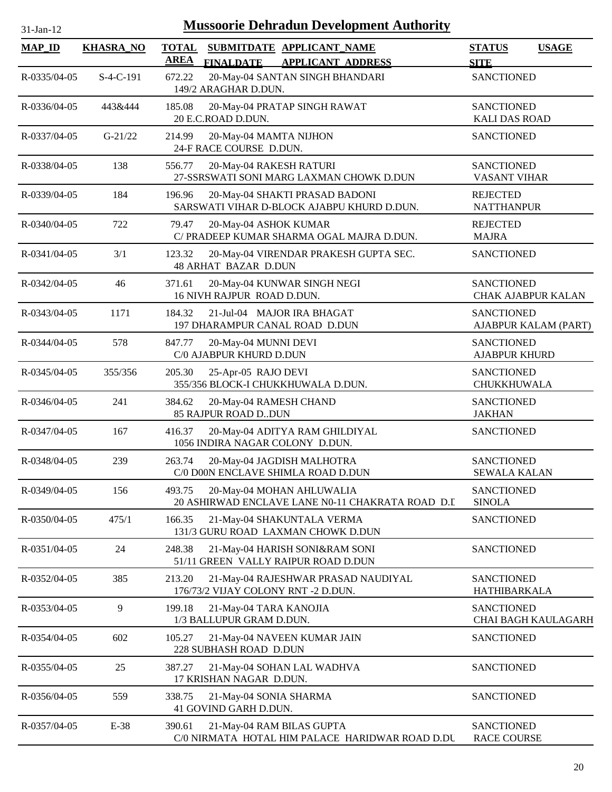| <b>Mussoorie Dehradun Development Authority</b><br>31-Jan-12 |                  |                                                                                                          |                                                |  |  |  |
|--------------------------------------------------------------|------------------|----------------------------------------------------------------------------------------------------------|------------------------------------------------|--|--|--|
| <b>MAP_ID</b>                                                | <b>KHASRA_NO</b> | <b>TOTAL</b><br>SUBMITDATE APPLICANT_NAME<br><b>AREA</b><br><b>FINALDATE</b><br><b>APPLICANT ADDRESS</b> | <b>STATUS</b><br><b>USAGE</b><br><b>SITE</b>   |  |  |  |
| R-0335/04-05                                                 | $S-4-C-191$      | 20-May-04 SANTAN SINGH BHANDARI<br>672.22<br>149/2 ARAGHAR D.DUN.                                        | <b>SANCTIONED</b>                              |  |  |  |
| R-0336/04-05                                                 | 443&444          | 185.08<br>20-May-04 PRATAP SINGH RAWAT<br>20 E.C.ROAD D.DUN.                                             | <b>SANCTIONED</b><br><b>KALI DAS ROAD</b>      |  |  |  |
| R-0337/04-05                                                 | $G-21/22$        | 20-May-04 MAMTA NIJHON<br>214.99<br>24-F RACE COURSE D.DUN.                                              | <b>SANCTIONED</b>                              |  |  |  |
| R-0338/04-05                                                 | 138              | 556.77<br>20-May-04 RAKESH RATURI<br>27-SSRSWATI SONI MARG LAXMAN CHOWK D.DUN                            | <b>SANCTIONED</b><br><b>VASANT VIHAR</b>       |  |  |  |
| R-0339/04-05                                                 | 184              | 20-May-04 SHAKTI PRASAD BADONI<br>196.96<br>SARSWATI VIHAR D-BLOCK AJABPU KHURD D.DUN.                   | <b>REJECTED</b><br><b>NATTHANPUR</b>           |  |  |  |
| R-0340/04-05                                                 | 722              | 79.47<br>20-May-04 ASHOK KUMAR<br>C/ PRADEEP KUMAR SHARMA OGAL MAJRA D.DUN.                              | <b>REJECTED</b><br><b>MAJRA</b>                |  |  |  |
| R-0341/04-05                                                 | 3/1              | 123.32<br>20-May-04 VIRENDAR PRAKESH GUPTA SEC.<br><b>48 ARHAT BAZAR D.DUN</b>                           | <b>SANCTIONED</b>                              |  |  |  |
| R-0342/04-05                                                 | 46               | 371.61<br>20-May-04 KUNWAR SINGH NEGI<br>16 NIVH RAJPUR ROAD D.DUN.                                      | <b>SANCTIONED</b><br><b>CHAK AJABPUR KALAN</b> |  |  |  |
| R-0343/04-05                                                 | 1171             | 184.32<br>21-Jul-04 MAJOR IRA BHAGAT<br>197 DHARAMPUR CANAL ROAD D.DUN                                   | <b>SANCTIONED</b><br>AJABPUR KALAM (PART)      |  |  |  |
| R-0344/04-05                                                 | 578              | 847.77<br>20-May-04 MUNNI DEVI<br>C/0 AJABPUR KHURD D.DUN                                                | <b>SANCTIONED</b><br><b>AJABPUR KHURD</b>      |  |  |  |
| R-0345/04-05                                                 | 355/356          | 205.30<br>25-Apr-05 RAJO DEVI<br>355/356 BLOCK-I CHUKKHUWALA D.DUN.                                      | <b>SANCTIONED</b><br><b>CHUKKHUWALA</b>        |  |  |  |
| R-0346/04-05                                                 | 241              | 384.62<br>20-May-04 RAMESH CHAND<br>85 RAJPUR ROAD DDUN                                                  | <b>SANCTIONED</b><br><b>JAKHAN</b>             |  |  |  |
| R-0347/04-05                                                 | 167              | 20-May-04 ADITYA RAM GHILDIYAL<br>416.37<br>1056 INDIRA NAGAR COLONY D.DUN.                              | <b>SANCTIONED</b>                              |  |  |  |
| R-0348/04-05                                                 | 239              | 263.74<br>20-May-04 JAGDISH MALHOTRA<br>C/0 D00N ENCLAVE SHIMLA ROAD D.DUN                               | SANCTIONED<br><b>SEWALA KALAN</b>              |  |  |  |
| R-0349/04-05                                                 | 156              | 493.75<br>20-May-04 MOHAN AHLUWALIA<br>20 ASHIRWAD ENCLAVE LANE N0-11 CHAKRATA ROAD D.I.                 | <b>SANCTIONED</b><br><b>SINOLA</b>             |  |  |  |
| R-0350/04-05                                                 | 475/1            | 166.35<br>21-May-04 SHAKUNTALA VERMA<br>131/3 GURU ROAD LAXMAN CHOWK D.DUN                               | <b>SANCTIONED</b>                              |  |  |  |
| R-0351/04-05                                                 | 24               | 21-May-04 HARISH SONI&RAM SONI<br>248.38<br>51/11 GREEN VALLY RAIPUR ROAD D.DUN                          | <b>SANCTIONED</b>                              |  |  |  |
| R-0352/04-05                                                 | 385              | 213.20<br>21-May-04 RAJESHWAR PRASAD NAUDIYAL<br>176/73/2 VIJAY COLONY RNT -2 D.DUN.                     | <b>SANCTIONED</b><br>HATHIBARKALA              |  |  |  |
| R-0353/04-05                                                 | 9                | 21-May-04 TARA KANOJIA<br>199.18<br>1/3 BALLUPUR GRAM D.DUN.                                             | <b>SANCTIONED</b><br>CHAI BAGH KAULAGARH       |  |  |  |
| R-0354/04-05                                                 | 602              | 105.27<br>21-May-04 NAVEEN KUMAR JAIN<br>228 SUBHASH ROAD D.DUN                                          | <b>SANCTIONED</b>                              |  |  |  |
| R-0355/04-05                                                 | 25               | 387.27<br>21-May-04 SOHAN LAL WADHVA<br>17 KRISHAN NAGAR D.DUN.                                          | <b>SANCTIONED</b>                              |  |  |  |
| R-0356/04-05                                                 | 559              | 338.75<br>21-May-04 SONIA SHARMA<br>41 GOVIND GARH D.DUN.                                                | <b>SANCTIONED</b>                              |  |  |  |
| R-0357/04-05                                                 | $E-38$           | 21-May-04 RAM BILAS GUPTA<br>390.61<br>C/0 NIRMATA HOTAL HIM PALACE HARIDWAR ROAD D.DU                   | <b>SANCTIONED</b><br><b>RACE COURSE</b>        |  |  |  |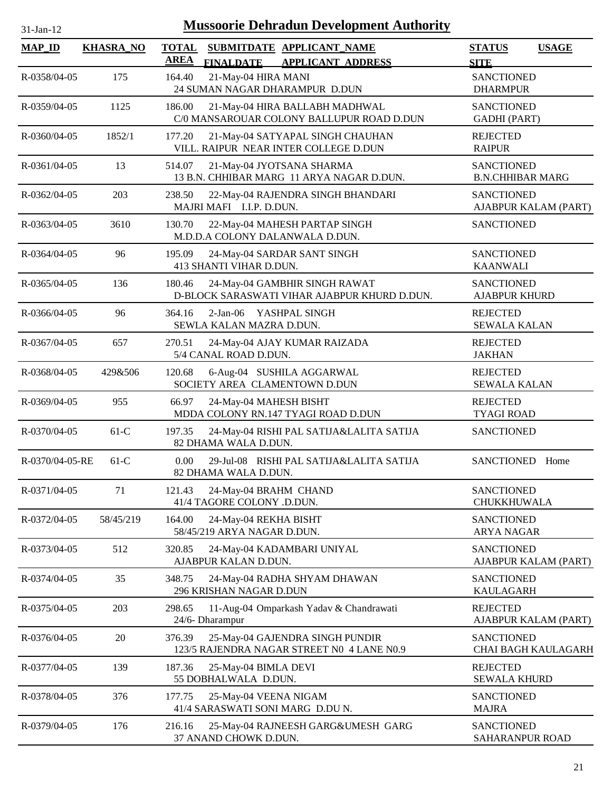| $31$ -Jan-12    | <b>Mussoorie Dehradun Development Authority</b> |                             |                                                      |                                                                               |                                              |                      |  |  |
|-----------------|-------------------------------------------------|-----------------------------|------------------------------------------------------|-------------------------------------------------------------------------------|----------------------------------------------|----------------------|--|--|
| <b>MAP_ID</b>   | <b>KHASRA_NO</b>                                | <b>TOTAL</b><br><b>AREA</b> | <b>FINALDATE</b>                                     | SUBMITDATE APPLICANT NAME<br><b>APPLICANT ADDRESS</b>                         | <b>STATUS</b><br><b>SITE</b>                 | <b>USAGE</b>         |  |  |
| R-0358/04-05    | 175                                             | 164.40                      | 21-May-04 HIRA MANI                                  | 24 SUMAN NAGAR DHARAMPUR D.DUN                                                | <b>SANCTIONED</b><br><b>DHARMPUR</b>         |                      |  |  |
| R-0359/04-05    | 1125                                            | 186.00                      |                                                      | 21-May-04 HIRA BALLABH MADHWAL<br>C/0 MANSAROUAR COLONY BALLUPUR ROAD D.DUN   | <b>SANCTIONED</b><br><b>GADHI</b> (PART)     |                      |  |  |
| R-0360/04-05    | 1852/1                                          | 177.20                      |                                                      | 21-May-04 SATYAPAL SINGH CHAUHAN<br>VILL. RAIPUR NEAR INTER COLLEGE D.DUN     | <b>REJECTED</b><br><b>RAIPUR</b>             |                      |  |  |
| R-0361/04-05    | 13                                              | 514.07                      |                                                      | 21-May-04 JYOTSANA SHARMA<br>13 B.N. CHHIBAR MARG 11 ARYA NAGAR D.DUN.        | <b>SANCTIONED</b><br><b>B.N.CHHIBAR MARG</b> |                      |  |  |
| R-0362/04-05    | 203                                             | 238.50                      | MAJRI MAFI I.I.P. D.DUN.                             | 22-May-04 RAJENDRA SINGH BHANDARI                                             | <b>SANCTIONED</b>                            | AJABPUR KALAM (PART) |  |  |
| R-0363/04-05    | 3610                                            | 130.70                      |                                                      | 22-May-04 MAHESH PARTAP SINGH<br>M.D.D.A COLONY DALANWALA D.DUN.              | <b>SANCTIONED</b>                            |                      |  |  |
| R-0364/04-05    | 96                                              | 195.09                      | 413 SHANTI VIHAR D.DUN.                              | 24-May-04 SARDAR SANT SINGH                                                   | <b>SANCTIONED</b><br><b>KAANWALI</b>         |                      |  |  |
| R-0365/04-05    | 136                                             | 180.46                      |                                                      | 24-May-04 GAMBHIR SINGH RAWAT<br>D-BLOCK SARASWATI VIHAR AJABPUR KHURD D.DUN. | <b>SANCTIONED</b><br><b>AJABPUR KHURD</b>    |                      |  |  |
| R-0366/04-05    | 96                                              | 364.16                      | 2-Jan-06 YASHPAL SINGH<br>SEWLA KALAN MAZRA D.DUN.   |                                                                               | <b>REJECTED</b><br><b>SEWALA KALAN</b>       |                      |  |  |
| R-0367/04-05    | 657                                             | 270.51                      | 5/4 CANAL ROAD D.DUN.                                | 24-May-04 AJAY KUMAR RAIZADA                                                  | <b>REJECTED</b><br><b>JAKHAN</b>             |                      |  |  |
| R-0368/04-05    | 429&506                                         | 120.68                      |                                                      | 6-Aug-04 SUSHILA AGGARWAL<br>SOCIETY AREA CLAMENTOWN D.DUN                    | <b>REJECTED</b><br><b>SEWALA KALAN</b>       |                      |  |  |
| R-0369/04-05    | 955                                             | 66.97                       | 24-May-04 MAHESH BISHT                               | MDDA COLONY RN.147 TYAGI ROAD D.DUN                                           | <b>REJECTED</b><br><b>TYAGI ROAD</b>         |                      |  |  |
| R-0370/04-05    | $61-C$                                          | 197.35                      | 82 DHAMA WALA D.DUN.                                 | 24-May-04 RISHI PAL SATIJA&LALITA SATIJA                                      | <b>SANCTIONED</b>                            |                      |  |  |
| R-0370/04-05-RE | $61-C$                                          | 0.00                        | 82 DHAMA WALA D.DUN.                                 | 29-Jul-08 RISHI PAL SATIJA&LALITA SATIJA                                      | SANCTIONED Home                              |                      |  |  |
| R-0371/04-05    | 71                                              | 121.43                      | 24-May-04 BRAHM CHAND<br>41/4 TAGORE COLONY .D.DUN.  |                                                                               | <b>SANCTIONED</b><br><b>CHUKKHUWALA</b>      |                      |  |  |
| R-0372/04-05    | 58/45/219                                       | 164.00                      | 24-May-04 REKHA BISHT<br>58/45/219 ARYA NAGAR D.DUN. |                                                                               | <b>SANCTIONED</b><br><b>ARYA NAGAR</b>       |                      |  |  |
| R-0373/04-05    | 512                                             | 320.85                      | AJABPUR KALAN D.DUN.                                 | 24-May-04 KADAMBARI UNIYAL                                                    | <b>SANCTIONED</b>                            | AJABPUR KALAM (PART) |  |  |
| R-0374/04-05    | 35                                              | 348.75                      | 296 KRISHAN NAGAR D.DUN                              | 24-May-04 RADHA SHYAM DHAWAN                                                  | <b>SANCTIONED</b><br><b>KAULAGARH</b>        |                      |  |  |
| R-0375/04-05    | 203                                             | 298.65                      | 24/6- Dharampur                                      | 11-Aug-04 Omparkash Yadav & Chandrawati                                       | <b>REJECTED</b>                              | AJABPUR KALAM (PART) |  |  |
| R-0376/04-05    | 20                                              | 376.39                      |                                                      | 25-May-04 GAJENDRA SINGH PUNDIR<br>123/5 RAJENDRA NAGAR STREET N0 4 LANE N0.9 | <b>SANCTIONED</b>                            | CHAI BAGH KAULAGARH  |  |  |
| R-0377/04-05    | 139                                             | 187.36                      | 25-May-04 BIMLA DEVI<br>55 DOBHALWALA D.DUN.         |                                                                               | <b>REJECTED</b><br><b>SEWALA KHURD</b>       |                      |  |  |
| R-0378/04-05    | 376                                             | 177.75                      | 25-May-04 VEENA NIGAM                                | 41/4 SARASWATI SONI MARG D.DU N.                                              | <b>SANCTIONED</b><br><b>MAJRA</b>            |                      |  |  |
| R-0379/04-05    | 176                                             | 216.16                      | 37 ANAND CHOWK D.DUN.                                | 25-May-04 RAJNEESH GARG&UMESH GARG                                            | <b>SANCTIONED</b><br>SAHARANPUR ROAD         |                      |  |  |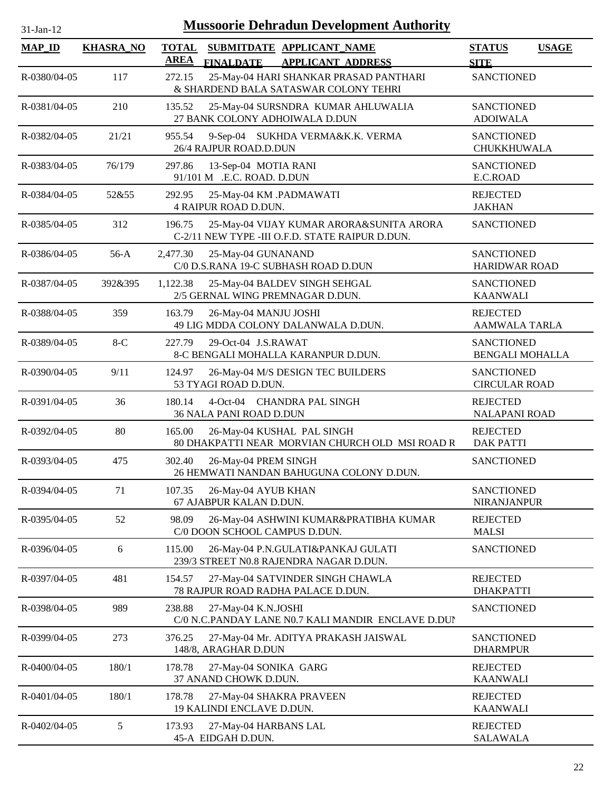| $31-Jan-12$  |                  | <b>Mussoorie Dehradun Development Authority</b>                                                          |                                             |              |
|--------------|------------------|----------------------------------------------------------------------------------------------------------|---------------------------------------------|--------------|
| $MAP$ ID     | <b>KHASRA_NO</b> | <b>TOTAL</b><br>SUBMITDATE APPLICANT_NAME<br><b>AREA</b><br><b>FINALDATE</b><br><b>APPLICANT ADDRESS</b> | <b>STATUS</b><br><b>SITE</b>                | <b>USAGE</b> |
| R-0380/04-05 | 117              | 272.15<br>25-May-04 HARI SHANKAR PRASAD PANTHARI<br>& SHARDEND BALA SATASWAR COLONY TEHRI                | <b>SANCTIONED</b>                           |              |
| R-0381/04-05 | 210              | 135.52<br>25-May-04 SURSNDRA KUMAR AHLUWALIA<br>27 BANK COLONY ADHOIWALA D.DUN                           | <b>SANCTIONED</b><br><b>ADOIWALA</b>        |              |
| R-0382/04-05 | 21/21            | 9-Sep-04 SUKHDA VERMA&K.K. VERMA<br>955.54<br>26/4 RAJPUR ROAD.D.DUN                                     | <b>SANCTIONED</b><br>CHUKKHUWALA            |              |
| R-0383/04-05 | 76/179           | 297.86<br>13-Sep-04 MOTIA RANI<br>91/101 M .E.C. ROAD. D.DUN                                             | <b>SANCTIONED</b><br>E.C.ROAD               |              |
| R-0384/04-05 | 52&55            | 292.95<br>25-May-04 KM .PADMAWATI<br><b>4 RAIPUR ROAD D.DUN.</b>                                         | <b>REJECTED</b><br><b>JAKHAN</b>            |              |
| R-0385/04-05 | 312              | 25-May-04 VIJAY KUMAR ARORA&SUNITA ARORA<br>196.75<br>C-2/11 NEW TYPE -III O.F.D. STATE RAIPUR D.DUN.    | <b>SANCTIONED</b>                           |              |
| R-0386/04-05 | $56-A$           | 2,477.30<br>25-May-04 GUNANAND<br>C/0 D.S.RANA 19-C SUBHASH ROAD D.DUN                                   | <b>SANCTIONED</b><br><b>HARIDWAR ROAD</b>   |              |
| R-0387/04-05 | 392&395          | 1,122.38<br>25-May-04 BALDEV SINGH SEHGAL<br>2/5 GERNAL WING PREMNAGAR D.DUN.                            | <b>SANCTIONED</b><br><b>KAANWALI</b>        |              |
| R-0388/04-05 | 359              | 163.79<br>26-May-04 MANJU JOSHI<br>49 LIG MDDA COLONY DALANWALA D.DUN.                                   | <b>REJECTED</b><br><b>AAMWALA TARLA</b>     |              |
| R-0389/04-05 | $8-C$            | 29-Oct-04 J.S.RAWAT<br>227.79<br>8-C BENGALI MOHALLA KARANPUR D.DUN.                                     | <b>SANCTIONED</b><br><b>BENGALI MOHALLA</b> |              |
| R-0390/04-05 | 9/11             | 124.97<br>26-May-04 M/S DESIGN TEC BUILDERS<br>53 TYAGI ROAD D.DUN.                                      | <b>SANCTIONED</b><br><b>CIRCULAR ROAD</b>   |              |
| R-0391/04-05 | 36               | 180.14<br>4-Oct-04 CHANDRA PAL SINGH<br>36 NALA PANI ROAD D.DUN                                          | <b>REJECTED</b><br><b>NALAPANI ROAD</b>     |              |
| R-0392/04-05 | 80               | 165.00<br>26-May-04 KUSHAL PAL SINGH<br>80 DHAKPATTI NEAR MORVIAN CHURCH OLD MSI ROAD R                  | <b>REJECTED</b><br><b>DAK PATTI</b>         |              |
| R-0393/04-05 | 475              | 302.40<br>26-May-04 PREM SINGH<br>26 HEMWATI NANDAN BAHUGUNA COLONY D.DUN.                               | <b>SANCTIONED</b>                           |              |
| R-0394/04-05 | 71               | 26-May-04 AYUB KHAN<br>107.35<br>67 AJABPUR KALAN D.DUN.                                                 | <b>SANCTIONED</b><br><b>NIRANJANPUR</b>     |              |
| R-0395/04-05 | 52               | 98.09<br>26-May-04 ASHWINI KUMAR&PRATIBHA KUMAR<br>C/0 DOON SCHOOL CAMPUS D.DUN.                         | <b>REJECTED</b><br><b>MALSI</b>             |              |
| R-0396/04-05 | 6                | 26-May-04 P.N.GULATI&PANKAJ GULATI<br>115.00<br>239/3 STREET N0.8 RAJENDRA NAGAR D.DUN.                  | <b>SANCTIONED</b>                           |              |
| R-0397/04-05 | 481              | 154.57<br>27-May-04 SATVINDER SINGH CHAWLA<br>78 RAJPUR ROAD RADHA PALACE D.DUN.                         | <b>REJECTED</b><br><b>DHAKPATTI</b>         |              |
| R-0398/04-05 | 989              | 238.88<br>27-May-04 K.N.JOSHI<br>C/0 N.C.PANDAY LANE N0.7 KALI MANDIR ENCLAVE D.DUI                      | <b>SANCTIONED</b>                           |              |
| R-0399/04-05 | 273              | 376.25<br>27-May-04 Mr. ADITYA PRAKASH JAISWAL<br>148/8, ARAGHAR D.DUN                                   | <b>SANCTIONED</b><br><b>DHARMPUR</b>        |              |
| R-0400/04-05 | 180/1            | 178.78<br>27-May-04 SONIKA GARG<br>37 ANAND CHOWK D.DUN.                                                 | <b>REJECTED</b><br><b>KAANWALI</b>          |              |
| R-0401/04-05 | 180/1            | 178.78<br>27-May-04 SHAKRA PRAVEEN<br>19 KALINDI ENCLAVE D.DUN.                                          | <b>REJECTED</b><br><b>KAANWALI</b>          |              |
| R-0402/04-05 | 5                | 173.93<br>27-May-04 HARBANS LAL<br>45-A EIDGAH D.DUN.                                                    | <b>REJECTED</b><br><b>SALAWALA</b>          |              |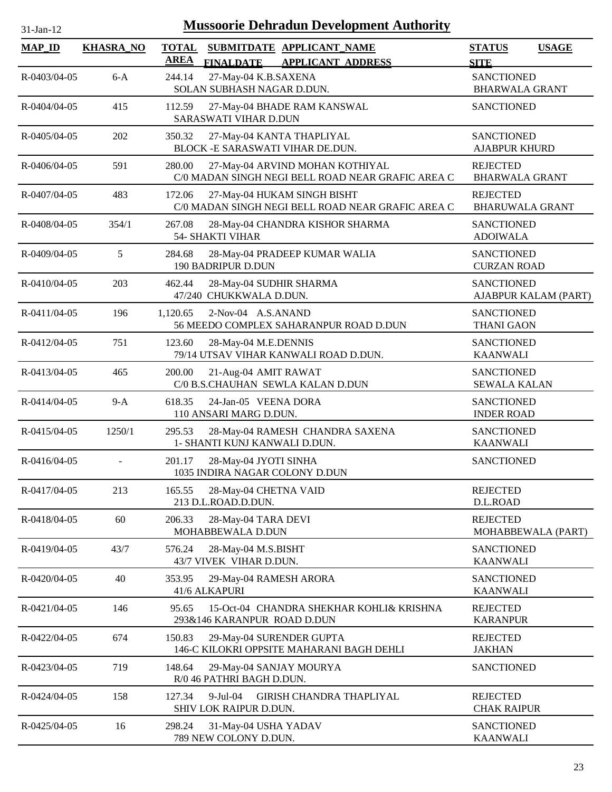| 31-Jan-12          | <b>Mussoorie Dehradun Development Authority</b> |                             |                                                               |                                                                                      |                                            |                      |  |
|--------------------|-------------------------------------------------|-----------------------------|---------------------------------------------------------------|--------------------------------------------------------------------------------------|--------------------------------------------|----------------------|--|
| <b>MAP_ID</b>      | <b>KHASRA_NO</b>                                | <b>TOTAL</b><br><b>AREA</b> | <b>FINALDATE</b>                                              | SUBMITDATE APPLICANT_NAME<br><b>APPLICANT ADDRESS</b>                                | <b>STATUS</b><br><b>SITE</b>               | <b>USAGE</b>         |  |
| R-0403/04-05       | $6-A$                                           | 244.14                      | 27-May-04 K.B.SAXENA<br>SOLAN SUBHASH NAGAR D.DUN.            |                                                                                      | <b>SANCTIONED</b><br><b>BHARWALA GRANT</b> |                      |  |
| R-0404/04-05       | 415                                             | 112.59                      | <b>SARASWATI VIHAR D.DUN</b>                                  | 27-May-04 BHADE RAM KANSWAL                                                          | <b>SANCTIONED</b>                          |                      |  |
| R-0405/04-05       | 202                                             | 350.32                      | 27-May-04 KANTA THAPLIYAL<br>BLOCK -E SARASWATI VIHAR DE.DUN. |                                                                                      | <b>SANCTIONED</b><br><b>AJABPUR KHURD</b>  |                      |  |
| $R - 0406/04 - 05$ | 591                                             | 280.00                      |                                                               | 27-May-04 ARVIND MOHAN KOTHIYAL<br>C/0 MADAN SINGH NEGI BELL ROAD NEAR GRAFIC AREA C | <b>REJECTED</b><br><b>BHARWALA GRANT</b>   |                      |  |
| R-0407/04-05       | 483                                             | 172.06                      |                                                               | 27-May-04 HUKAM SINGH BISHT<br>C/0 MADAN SINGH NEGI BELL ROAD NEAR GRAFIC AREA C     | <b>REJECTED</b><br><b>BHARUWALA GRANT</b>  |                      |  |
| R-0408/04-05       | 354/1                                           | 267.08                      | <b>54- SHAKTI VIHAR</b>                                       | 28-May-04 CHANDRA KISHOR SHARMA                                                      | <b>SANCTIONED</b><br><b>ADOIWALA</b>       |                      |  |
| R-0409/04-05       | 5                                               | 284.68                      | 190 BADRIPUR D.DUN                                            | 28-May-04 PRADEEP KUMAR WALIA                                                        | <b>SANCTIONED</b><br><b>CURZAN ROAD</b>    |                      |  |
| R-0410/04-05       | 203                                             | 462.44                      | 28-May-04 SUDHIR SHARMA<br>47/240 CHUKKWALA D.DUN.            |                                                                                      | <b>SANCTIONED</b>                          | AJABPUR KALAM (PART) |  |
| R-0411/04-05       | 196                                             | 1,120.65                    | 2-Nov-04 A.S.ANAND                                            | 56 MEEDO COMPLEX SAHARANPUR ROAD D.DUN                                               | <b>SANCTIONED</b><br><b>THANI GAON</b>     |                      |  |
| R-0412/04-05       | 751                                             | 123.60                      | 28-May-04 M.E.DENNIS                                          | 79/14 UTSAV VIHAR KANWALI ROAD D.DUN.                                                | <b>SANCTIONED</b><br><b>KAANWALI</b>       |                      |  |
| R-0413/04-05       | 465                                             | 200.00                      | 21-Aug-04 AMIT RAWAT                                          | C/0 B.S.CHAUHAN SEWLA KALAN D.DUN                                                    | <b>SANCTIONED</b><br><b>SEWALA KALAN</b>   |                      |  |
| R-0414/04-05       | $9-A$                                           | 618.35                      | 24-Jan-05 VEENA DORA<br>110 ANSARI MARG D.DUN.                |                                                                                      | <b>SANCTIONED</b><br><b>INDER ROAD</b>     |                      |  |
| R-0415/04-05       | 1250/1                                          | 295.53                      | 1- SHANTI KUNJ KANWALI D.DUN.                                 | 28-May-04 RAMESH CHANDRA SAXENA                                                      | <b>SANCTIONED</b><br><b>KAANWALI</b>       |                      |  |
| $R - 0416/04 - 05$ | $\blacksquare$                                  | 201.17                      | 28-May-04 JYOTI SINHA<br>1035 INDIRA NAGAR COLONY D.DUN       |                                                                                      | <b>SANCTIONED</b>                          |                      |  |
| R-0417/04-05       | 213                                             | 165.55                      | 28-May-04 CHETNA VAID<br>213 D.L.ROAD.D.DUN.                  |                                                                                      | <b>REJECTED</b><br>D.L.ROAD                |                      |  |
| R-0418/04-05       | 60                                              | 206.33                      | 28-May-04 TARA DEVI<br>MOHABBEWALA D.DUN                      |                                                                                      | <b>REJECTED</b>                            | MOHABBEWALA (PART)   |  |
| R-0419/04-05       | 43/7                                            | 576.24                      | 28-May-04 M.S.BISHT<br>43/7 VIVEK VIHAR D.DUN.                |                                                                                      | <b>SANCTIONED</b><br><b>KAANWALI</b>       |                      |  |
| R-0420/04-05       | 40                                              | 353.95                      | 29-May-04 RAMESH ARORA<br>41/6 ALKAPURI                       |                                                                                      | <b>SANCTIONED</b><br><b>KAANWALI</b>       |                      |  |
| R-0421/04-05       | 146                                             | 95.65                       | 293&146 KARANPUR ROAD D.DUN                                   | 15-Oct-04 CHANDRA SHEKHAR KOHLI& KRISHNA                                             | <b>REJECTED</b><br><b>KARANPUR</b>         |                      |  |
| R-0422/04-05       | 674                                             | 150.83                      | 29-May-04 SURENDER GUPTA                                      | 146-C KILOKRI OPPSITE MAHARANI BAGH DEHLI                                            | <b>REJECTED</b><br><b>JAKHAN</b>           |                      |  |
| R-0423/04-05       | 719                                             | 148.64                      | 29-May-04 SANJAY MOURYA<br>R/0 46 PATHRI BAGH D.DUN.          |                                                                                      | <b>SANCTIONED</b>                          |                      |  |
| R-0424/04-05       | 158                                             | 127.34                      | $9$ -Jul-04<br>SHIV LOK RAIPUR D.DUN.                         | GIRISH CHANDRA THAPLIYAL                                                             | <b>REJECTED</b><br><b>CHAK RAIPUR</b>      |                      |  |
| R-0425/04-05       | 16                                              | 298.24                      | 31-May-04 USHA YADAV<br>789 NEW COLONY D.DUN.                 |                                                                                      | <b>SANCTIONED</b><br><b>KAANWALI</b>       |                      |  |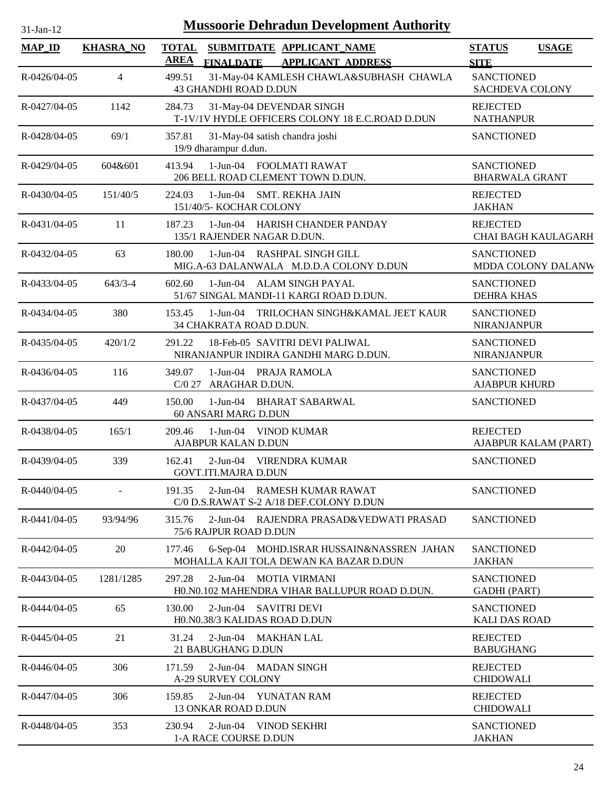| 31-Jan-12          | <b>Mussoorie Dehradun Development Authority</b> |                      |                                                                                     |                                            |              |  |  |  |
|--------------------|-------------------------------------------------|----------------------|-------------------------------------------------------------------------------------|--------------------------------------------|--------------|--|--|--|
| <b>MAP_ID</b>      | <b>KHASRA_NO</b>                                | <b>TOTAL</b><br>AREA | SUBMITDATE APPLICANT_NAME<br><b>FINALDATE</b><br><b>APPLICANT ADDRESS</b>           | <b>STATUS</b><br><b>SITE</b>               | <b>USAGE</b> |  |  |  |
| R-0426/04-05       | $\overline{4}$                                  | 499.51               | 31-May-04 KAMLESH CHAWLA&SUBHASH CHAWLA<br>43 GHANDHI ROAD D.DUN                    | <b>SANCTIONED</b><br>SACHDEVA COLONY       |              |  |  |  |
| R-0427/04-05       | 1142                                            | 284.73               | 31-May-04 DEVENDAR SINGH<br>T-1V/1V HYDLE OFFICERS COLONY 18 E.C.ROAD D.DUN         | <b>REJECTED</b><br><b>NATHANPUR</b>        |              |  |  |  |
| R-0428/04-05       | 69/1                                            | 357.81               | 31-May-04 satish chandra joshi<br>19/9 dharampur d.dun.                             | <b>SANCTIONED</b>                          |              |  |  |  |
| R-0429/04-05       | 604&601                                         | 413.94               | 1-Jun-04 FOOLMATI RAWAT<br>206 BELL ROAD CLEMENT TOWN D.DUN.                        | <b>SANCTIONED</b><br><b>BHARWALA GRANT</b> |              |  |  |  |
| R-0430/04-05       | 151/40/5                                        | 224.03               | 1-Jun-04 SMT. REKHA JAIN<br>151/40/5- KOCHAR COLONY                                 | <b>REJECTED</b><br><b>JAKHAN</b>           |              |  |  |  |
| R-0431/04-05       | 11                                              | 187.23               | 1-Jun-04 HARISH CHANDER PANDAY<br>135/1 RAJENDER NAGAR D.DUN.                       | <b>REJECTED</b><br>CHAI BAGH KAULAGARH     |              |  |  |  |
| $R - 0432/04 - 05$ | 63                                              | 180.00               | 1-Jun-04 RASHPAL SINGH GILL<br>MIG.A-63 DALANWALA M.D.D.A COLONY D.DUN              | <b>SANCTIONED</b><br>MDDA COLONY DALANW    |              |  |  |  |
| R-0433/04-05       | $643/3 - 4$                                     | 602.60               | 1-Jun-04 ALAM SINGH PAYAL<br>51/67 SINGAL MANDI-11 KARGI ROAD D.DUN.                | <b>SANCTIONED</b><br><b>DEHRA KHAS</b>     |              |  |  |  |
| R-0434/04-05       | 380                                             | 153.45               | 1-Jun-04 TRILOCHAN SINGH&KAMAL JEET KAUR<br>34 CHAKRATA ROAD D.DUN.                 | <b>SANCTIONED</b><br><b>NIRANJANPUR</b>    |              |  |  |  |
| R-0435/04-05       | 420/1/2                                         | 291.22               | 18-Feb-05 SAVITRI DEVI PALIWAL<br>NIRANJANPUR INDIRA GANDHI MARG D.DUN.             | <b>SANCTIONED</b><br><b>NIRANJANPUR</b>    |              |  |  |  |
| R-0436/04-05       | 116                                             | 349.07               | 1-Jun-04 PRAJA RAMOLA<br>C/0 27 ARAGHAR D.DUN.                                      | <b>SANCTIONED</b><br><b>AJABPUR KHURD</b>  |              |  |  |  |
| R-0437/04-05       | 449                                             | 150.00               | 1-Jun-04 BHARAT SABARWAL<br>60 ANSARI MARG D.DUN                                    | <b>SANCTIONED</b>                          |              |  |  |  |
| R-0438/04-05       | 165/1                                           | 209.46               | 1-Jun-04 VINOD KUMAR<br>AJABPUR KALAN D.DUN                                         | <b>REJECTED</b><br>AJABPUR KALAM (PART)    |              |  |  |  |
| R-0439/04-05       | 339                                             | 162.41               | 2-Jun-04 VIRENDRA KUMAR<br><b>GOVT.ITI.MAJRA D.DUN</b>                              | <b>SANCTIONED</b>                          |              |  |  |  |
| R-0440/04-05       |                                                 | 191.35               | 2-Jun-04 RAMESH KUMAR RAWAT<br>C/0 D.S.RAWAT S-2 A/18 DEF.COLONY D.DUN              | <b>SANCTIONED</b>                          |              |  |  |  |
| $R - 0441/04 - 05$ | 93/94/96                                        | 315.76               | 2-Jun-04 RAJENDRA PRASAD&VEDWATI PRASAD<br>75/6 RAJPUR ROAD D.DUN                   | <b>SANCTIONED</b>                          |              |  |  |  |
| R-0442/04-05       | 20                                              | 177.46               | 6-Sep-04 MOHD.ISRAR HUSSAIN&NASSREN JAHAN<br>MOHALLA KAJI TOLA DEWAN KA BAZAR D.DUN | <b>SANCTIONED</b><br><b>JAKHAN</b>         |              |  |  |  |
| R-0443/04-05       | 1281/1285                                       | 297.28               | 2-Jun-04 MOTIA VIRMANI<br>HO.NO.102 MAHENDRA VIHAR BALLUPUR ROAD D.DUN.             | <b>SANCTIONED</b><br><b>GADHI</b> (PART)   |              |  |  |  |
| R-0444/04-05       | 65                                              | 130.00               | 2-Jun-04 SAVITRI DEVI<br>H0.N0.38/3 KALIDAS ROAD D.DUN                              | <b>SANCTIONED</b><br><b>KALI DAS ROAD</b>  |              |  |  |  |
| R-0445/04-05       | 21                                              | 31.24                | 2-Jun-04 MAKHAN LAL<br>21 BABUGHANG D.DUN                                           | <b>REJECTED</b><br><b>BABUGHANG</b>        |              |  |  |  |
| R-0446/04-05       | 306                                             | 171.59               | 2-Jun-04 MADAN SINGH<br>A-29 SURVEY COLONY                                          | <b>REJECTED</b><br><b>CHIDOWALI</b>        |              |  |  |  |
| R-0447/04-05       | 306                                             | 159.85               | 2-Jun-04 YUNATAN RAM<br>13 ONKAR ROAD D.DUN                                         | <b>REJECTED</b><br><b>CHIDOWALI</b>        |              |  |  |  |
| R-0448/04-05       | 353                                             | 230.94               | 2-Jun-04 VINOD SEKHRI<br>1-A RACE COURSE D.DUN                                      | <b>SANCTIONED</b><br><b>JAKHAN</b>         |              |  |  |  |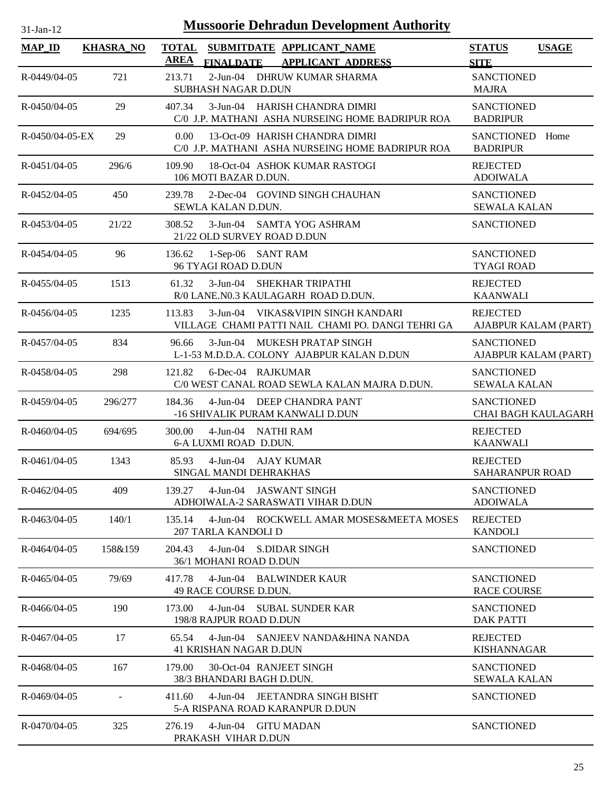| $31-Jan-12$        |                  |                | <b>Mussoorie Dehradun Development Authority</b>                                         |                                                 |              |
|--------------------|------------------|----------------|-----------------------------------------------------------------------------------------|-------------------------------------------------|--------------|
| <b>MAP_ID</b>      | <b>KHASRA_NO</b> | <b>AREA</b>    | TOTAL SUBMITDATE APPLICANT NAME<br><b>FINALDATE</b><br><b>APPLICANT ADDRESS</b>         | <b>STATUS</b><br><b>SITE</b>                    | <b>USAGE</b> |
| R-0449/04-05       | 721              | 213.71         | 2-Jun-04 DHRUW KUMAR SHARMA<br>SUBHASH NAGAR D.DUN                                      | <b>SANCTIONED</b><br><b>MAJRA</b>               |              |
| $R - 0450/04 - 05$ | 29               | 407.34         | 3-Jun-04 HARISH CHANDRA DIMRI<br>C/0 J.P. MATHANI ASHA NURSEING HOME BADRIPUR ROA       | <b>SANCTIONED</b><br><b>BADRIPUR</b>            |              |
| R-0450/04-05-EX    | 29               | $0.00^{\circ}$ | 13-Oct-09 HARISH CHANDRA DIMRI<br>C/0 J.P. MATHANI ASHA NURSEING HOME BADRIPUR ROA      | SANCTIONED Home<br><b>BADRIPUR</b>              |              |
| $R - 0451/04 - 05$ | 296/6            | 109.90         | 18-Oct-04 ASHOK KUMAR RASTOGI<br>106 MOTI BAZAR D.DUN.                                  | <b>REJECTED</b><br><b>ADOIWALA</b>              |              |
| R-0452/04-05       | 450              | 239.78         | 2-Dec-04 GOVIND SINGH CHAUHAN<br>SEWLA KALAN D.DUN.                                     | <b>SANCTIONED</b><br><b>SEWALA KALAN</b>        |              |
| R-0453/04-05       | 21/22            | 308.52         | 3-Jun-04 SAMTA YOG ASHRAM<br>21/22 OLD SURVEY ROAD D.DUN                                | <b>SANCTIONED</b>                               |              |
| R-0454/04-05       | 96               | 136.62         | 1-Sep-06 SANT RAM<br>96 TYAGI ROAD D.DUN                                                | <b>SANCTIONED</b><br><b>TYAGI ROAD</b>          |              |
| R-0455/04-05       | 1513             | 61.32          | 3-Jun-04 SHEKHAR TRIPATHI<br>R/0 LANE.N0.3 KAULAGARH ROAD D.DUN.                        | <b>REJECTED</b><br><b>KAANWALI</b>              |              |
| R-0456/04-05       | 1235             | 113.83         | 3-Jun-04 VIKAS&VIPIN SINGH KANDARI<br>VILLAGE CHAMI PATTI NAIL CHAMI PO. DANGI TEHRI GA | <b>REJECTED</b><br>AJABPUR KALAM (PART)         |              |
| R-0457/04-05       | 834              | 96.66          | 3-Jun-04 MUKESH PRATAP SINGH<br>L-1-53 M.D.D.A. COLONY AJABPUR KALAN D.DUN              | <b>SANCTIONED</b><br>AJABPUR KALAM (PART)       |              |
| R-0458/04-05       | 298              | 121.82         | 6-Dec-04 RAJKUMAR<br>C/0 WEST CANAL ROAD SEWLA KALAN MAJRA D.DUN.                       | <b>SANCTIONED</b><br><b>SEWALA KALAN</b>        |              |
| R-0459/04-05       | 296/277          | 184.36         | 4-Jun-04 DEEP CHANDRA PANT<br>-16 SHIVALIK PURAM KANWALI D.DUN                          | <b>SANCTIONED</b><br><b>CHAI BAGH KAULAGARH</b> |              |
| $R - 0460/04 - 05$ | 694/695          | 300.00         | 4-Jun-04 NATHI RAM<br>6-A LUXMI ROAD D.DUN.                                             | <b>REJECTED</b><br><b>KAANWALI</b>              |              |
| $R - 0461/04 - 05$ | 1343             | 85.93          | 4-Jun-04 AJAY KUMAR<br>SINGAL MANDI DEHRAKHAS                                           | <b>REJECTED</b><br><b>SAHARANPUR ROAD</b>       |              |
| R-0462/04-05       | 409              | 139.27         | 4-Jun-04 JASWANT SINGH<br>ADHOIWALA-2 SARASWATI VIHAR D.DUN                             | <b>SANCTIONED</b><br><b>ADOIWALA</b>            |              |
| R-0463/04-05       | 140/1            | 135.14         | 4-Jun-04 ROCKWELL AMAR MOSES&MEETA MOSES<br>207 TARLA KANDOLI D                         | <b>REJECTED</b><br><b>KANDOLI</b>               |              |
| $R - 0464/04 - 05$ | 158&159          | 204.43         | 4-Jun-04 S.DIDAR SINGH<br>36/1 MOHANI ROAD D.DUN                                        | <b>SANCTIONED</b>                               |              |
| R-0465/04-05       | 79/69            | 417.78         | 4-Jun-04 BALWINDER KAUR<br>49 RACE COURSE D.DUN.                                        | <b>SANCTIONED</b><br><b>RACE COURSE</b>         |              |
| R-0466/04-05       | 190              | 173.00         | 4-Jun-04 SUBAL SUNDER KAR<br>198/8 RAJPUR ROAD D.DUN                                    | <b>SANCTIONED</b><br><b>DAK PATTI</b>           |              |
| R-0467/04-05       | 17               | 65.54          | 4-Jun-04 SANJEEV NANDA&HINA NANDA<br>41 KRISHAN NAGAR D.DUN                             | <b>REJECTED</b><br><b>KISHANNAGAR</b>           |              |
| R-0468/04-05       | 167              | 179.00         | 30-Oct-04 RANJEET SINGH<br>38/3 BHANDARI BAGH D.DUN.                                    | <b>SANCTIONED</b><br><b>SEWALA KALAN</b>        |              |
| R-0469/04-05       |                  | 411.60         | 4-Jun-04 JEETANDRA SINGH BISHT<br>5-A RISPANA ROAD KARANPUR D.DUN                       | <b>SANCTIONED</b>                               |              |
| R-0470/04-05       | 325              | 276.19         | 4-Jun-04 GITU MADAN<br>PRAKASH VIHAR D.DUN                                              | <b>SANCTIONED</b>                               |              |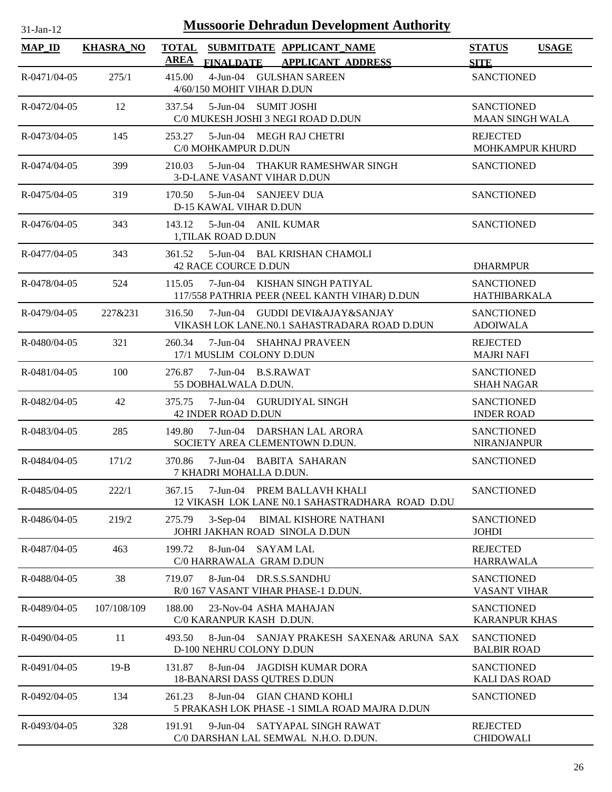| $31-Jan-12$        | <b>Mussoorie Dehradun Development Authority</b> |                       |                                                                                                       |                                             |              |  |  |  |
|--------------------|-------------------------------------------------|-----------------------|-------------------------------------------------------------------------------------------------------|---------------------------------------------|--------------|--|--|--|
| <b>MAP ID</b>      | <b>KHASRA NO</b>                                | <b>TOTAL</b>          | SUBMITDATE APPLICANT NAME                                                                             | <b>STATUS</b>                               | <b>USAGE</b> |  |  |  |
| R-0471/04-05       | 275/1                                           | <b>AREA</b><br>415.00 | <b>FINALDATE</b><br><b>APPLICANT ADDRESS</b><br>4-Jun-04 GULSHAN SAREEN<br>4/60/150 MOHIT VIHAR D.DUN | <b>SITE</b><br><b>SANCTIONED</b>            |              |  |  |  |
| R-0472/04-05       | 12                                              | 337.54                | 5-Jun-04 SUMIT JOSHI<br>C/0 MUKESH JOSHI 3 NEGI ROAD D.DUN                                            | <b>SANCTIONED</b><br><b>MAAN SINGH WALA</b> |              |  |  |  |
| R-0473/04-05       | 145                                             | 253.27                | 5-Jun-04 MEGH RAJ CHETRI<br>C/0 MOHKAMPUR D.DUN                                                       | <b>REJECTED</b><br><b>MOHKAMPUR KHURD</b>   |              |  |  |  |
| R-0474/04-05       | 399                                             | 210.03                | 5-Jun-04 THAKUR RAMESHWAR SINGH<br>3-D-LANE VASANT VIHAR D.DUN                                        | <b>SANCTIONED</b>                           |              |  |  |  |
| R-0475/04-05       | 319                                             | 170.50                | 5-Jun-04 SANJEEV DUA<br>D-15 KAWAL VIHAR D.DUN                                                        | <b>SANCTIONED</b>                           |              |  |  |  |
| $R - 0476/04 - 05$ | 343                                             | 143.12                | 5-Jun-04 ANIL KUMAR<br>1, TILAK ROAD D.DUN                                                            | <b>SANCTIONED</b>                           |              |  |  |  |
| R-0477/04-05       | 343                                             | 361.52                | 5-Jun-04 BAL KRISHAN CHAMOLI<br><b>42 RACE COURCE D.DUN</b>                                           | <b>DHARMPUR</b>                             |              |  |  |  |
| R-0478/04-05       | 524                                             | 115.05                | 7-Jun-04 KISHAN SINGH PATIYAL<br>117/558 PATHRIA PEER (NEEL KANTH VIHAR) D.DUN                        | <b>SANCTIONED</b><br>HATHIBARKALA           |              |  |  |  |
| R-0479/04-05       | 227&231                                         | 316.50                | 7-Jun-04 GUDDI DEVI&AJAY&SANJAY<br>VIKASH LOK LANE.N0.1 SAHASTRADARA ROAD D.DUN                       | <b>SANCTIONED</b><br><b>ADOIWALA</b>        |              |  |  |  |
| $R - 0480/04 - 05$ | 321                                             | 260.34                | 7-Jun-04 SHAHNAJ PRAVEEN<br>17/1 MUSLIM COLONY D.DUN                                                  | <b>REJECTED</b><br><b>MAJRI NAFI</b>        |              |  |  |  |
| R-0481/04-05       | 100                                             | 276.87                | 7-Jun-04 B.S.RAWAT<br>55 DOBHALWALA D.DUN.                                                            | <b>SANCTIONED</b><br><b>SHAH NAGAR</b>      |              |  |  |  |
| R-0482/04-05       | 42                                              | 375.75                | 7-Jun-04 GURUDIYAL SINGH<br>42 INDER ROAD D.DUN                                                       | <b>SANCTIONED</b><br><b>INDER ROAD</b>      |              |  |  |  |
| R-0483/04-05       | 285                                             | 149.80                | 7-Jun-04 DARSHAN LAL ARORA<br>SOCIETY AREA CLEMENTOWN D.DUN.                                          | <b>SANCTIONED</b><br><b>NIRANJANPUR</b>     |              |  |  |  |
| R-0484/04-05       | 171/2                                           | 370.86                | 7-Jun-04 BABITA SAHARAN<br>7 KHADRI MOHALLA D.DUN.                                                    | <b>SANCTIONED</b>                           |              |  |  |  |
| R-0485/04-05       | 222/1                                           | 367.15                | 7-Jun-04 PREM BALLAVH KHALI<br>12 VIKASH LOK LANE N0.1 SAHASTRADHARA ROAD D.DU                        | <b>SANCTIONED</b>                           |              |  |  |  |
| R-0486/04-05       | 219/2                                           | 275.79                | 3-Sep-04 BIMAL KISHORE NATHANI<br>JOHRI JAKHAN ROAD SINOLA D.DUN                                      | <b>SANCTIONED</b><br><b>JOHDI</b>           |              |  |  |  |
| R-0487/04-05       | 463                                             | 199.72                | 8-Jun-04 SAYAM LAL<br>C/0 HARRAWALA GRAM D.DUN                                                        | <b>REJECTED</b><br><b>HARRAWALA</b>         |              |  |  |  |
| R-0488/04-05       | 38                                              | 719.07                | 8-Jun-04 DR.S.S.SANDHU<br>R/0 167 VASANT VIHAR PHASE-1 D.DUN.                                         | <b>SANCTIONED</b><br><b>VASANT VIHAR</b>    |              |  |  |  |
| R-0489/04-05       | 107/108/109                                     | 188.00                | 23-Nov-04 ASHA MAHAJAN<br>C/0 KARANPUR KASH D.DUN.                                                    | <b>SANCTIONED</b><br><b>KARANPUR KHAS</b>   |              |  |  |  |
| R-0490/04-05       | 11                                              | 493.50                | 8-Jun-04 SANJAY PRAKESH SAXENA& ARUNA SAX<br>D-100 NEHRU COLONY D.DUN                                 | <b>SANCTIONED</b><br><b>BALBIR ROAD</b>     |              |  |  |  |
| R-0491/04-05       | $19-B$                                          | 131.87                | 8-Jun-04 JAGDISH KUMAR DORA<br><b>18-BANARSI DASS QUTRES D.DUN</b>                                    | <b>SANCTIONED</b><br><b>KALI DAS ROAD</b>   |              |  |  |  |
| R-0492/04-05       | 134                                             | 261.23                | 8-Jun-04 GIAN CHAND KOHLI<br>5 PRAKASH LOK PHASE -1 SIMLA ROAD MAJRA D.DUN                            | <b>SANCTIONED</b>                           |              |  |  |  |
| R-0493/04-05       | 328                                             | 191.91                | 9-Jun-04 SATYAPAL SINGH RAWAT<br>C/0 DARSHAN LAL SEMWAL N.H.O. D.DUN.                                 | <b>REJECTED</b><br><b>CHIDOWALI</b>         |              |  |  |  |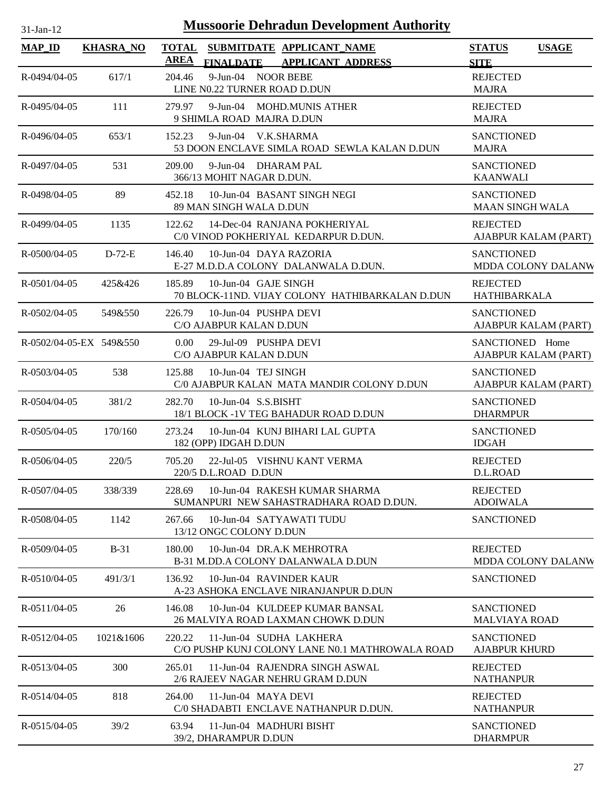| <b>Mussoorie Dehradun Development Authority</b><br>$31-Jan-12$ |                  |                                                                                                          |                                              |  |  |  |
|----------------------------------------------------------------|------------------|----------------------------------------------------------------------------------------------------------|----------------------------------------------|--|--|--|
| <b>MAP_ID</b>                                                  | <b>KHASRA_NO</b> | <b>TOTAL</b><br>SUBMITDATE APPLICANT NAME<br><b>AREA</b><br><b>FINALDATE</b><br><b>APPLICANT ADDRESS</b> | <b>STATUS</b><br><b>USAGE</b><br><b>SITE</b> |  |  |  |
| R-0494/04-05                                                   | 617/1            | 9-Jun-04 NOOR BEBE<br>204.46<br>LINE N0.22 TURNER ROAD D.DUN                                             | <b>REJECTED</b><br><b>MAJRA</b>              |  |  |  |
| R-0495/04-05                                                   | 111              | 9-Jun-04 MOHD.MUNIS ATHER<br>279.97<br>9 SHIMLA ROAD MAJRA D.DUN                                         | <b>REJECTED</b><br><b>MAJRA</b>              |  |  |  |
| R-0496/04-05                                                   | 653/1            | 9-Jun-04 V.K.SHARMA<br>152.23<br>53 DOON ENCLAVE SIMLA ROAD SEWLA KALAN D.DUN                            | <b>SANCTIONED</b><br><b>MAJRA</b>            |  |  |  |
| R-0497/04-05                                                   | 531              | 9-Jun-04 DHARAM PAL<br>209.00<br>366/13 MOHIT NAGAR D.DUN.                                               | <b>SANCTIONED</b><br><b>KAANWALI</b>         |  |  |  |
| R-0498/04-05                                                   | 89               | 10-Jun-04 BASANT SINGH NEGI<br>452.18<br>89 MAN SINGH WALA D.DUN                                         | <b>SANCTIONED</b><br><b>MAAN SINGH WALA</b>  |  |  |  |
| R-0499/04-05                                                   | 1135             | 122.62<br>14-Dec-04 RANJANA POKHERIYAL<br>C/0 VINOD POKHERIYAL KEDARPUR D.DUN.                           | <b>REJECTED</b><br>AJABPUR KALAM (PART)      |  |  |  |
| $R - 0.500/04 - 0.5$                                           | $D-72-E$         | 10-Jun-04 DAYA RAZORIA<br>146.40<br>E-27 M.D.D.A COLONY DALANWALA D.DUN.                                 | <b>SANCTIONED</b><br>MDDA COLONY DALANW      |  |  |  |
| $R - 0501/04 - 05$                                             | 425&426          | 10-Jun-04 GAJE SINGH<br>185.89<br>70 BLOCK-11ND. VIJAY COLONY HATHIBARKALAN D.DUN                        | <b>REJECTED</b><br><b>HATHIBARKALA</b>       |  |  |  |
| $R - 0502/04 - 05$                                             | 549&550          | 226.79<br>10-Jun-04 PUSHPA DEVI<br>C/O AJABPUR KALAN D.DUN                                               | <b>SANCTIONED</b><br>AJABPUR KALAM (PART)    |  |  |  |
| R-0502/04-05-EX 549&550                                        |                  | $0.00^{\circ}$<br>29-Jul-09 PUSHPA DEVI<br>C/O AJABPUR KALAN D.DUN                                       | SANCTIONED Home<br>AJABPUR KALAM (PART)      |  |  |  |
| R-0503/04-05                                                   | 538              | 10-Jun-04 TEJ SINGH<br>125.88<br>C/0 AJABPUR KALAN MATA MANDIR COLONY D.DUN                              | <b>SANCTIONED</b><br>AJABPUR KALAM (PART)    |  |  |  |
| $R - 0504/04 - 05$                                             | 381/2            | 282.70<br>$10$ -Jun-04 S.S.BISHT<br>18/1 BLOCK -1V TEG BAHADUR ROAD D.DUN                                | <b>SANCTIONED</b><br><b>DHARMPUR</b>         |  |  |  |
| $R - 0505/04 - 05$                                             | 170/160          | 273.24<br>10-Jun-04 KUNJ BIHARI LAL GUPTA<br>182 (OPP) IDGAH D.DUN                                       | <b>SANCTIONED</b><br><b>IDGAH</b>            |  |  |  |
| $R - 0.506/04 - 0.5$                                           | 220/5            | 705.20<br>22-Jul-05 VISHNU KANT VERMA<br>220/5 D.L.ROAD D.DUN                                            | <b>REJECTED</b><br>D.L.ROAD                  |  |  |  |
| R-0507/04-05                                                   | 338/339          | 10-Jun-04 RAKESH KUMAR SHARMA<br>228.69<br>SUMANPURI NEW SAHASTRADHARA ROAD D.DUN.                       | <b>REJECTED</b><br><b>ADOIWALA</b>           |  |  |  |
| R-0508/04-05                                                   | 1142             | 10-Jun-04 SATYAWATI TUDU<br>267.66<br>13/12 ONGC COLONY D.DUN                                            | <b>SANCTIONED</b>                            |  |  |  |
| R-0509/04-05                                                   | $B-31$           | 10-Jun-04 DR.A.K MEHROTRA<br>180.00<br>B-31 M.DD.A COLONY DALANWALA D.DUN                                | <b>REJECTED</b><br>MDDA COLONY DALANW        |  |  |  |
| $R - 0510/04 - 05$                                             | 491/3/1          | 136.92<br>10-Jun-04 RAVINDER KAUR<br>A-23 ASHOKA ENCLAVE NIRANJANPUR D.DUN                               | <b>SANCTIONED</b>                            |  |  |  |
| $R - 0511/04 - 05$                                             | 26               | 10-Jun-04 KULDEEP KUMAR BANSAL<br>146.08<br>26 MALVIYA ROAD LAXMAN CHOWK D.DUN                           | <b>SANCTIONED</b><br><b>MALVIAYA ROAD</b>    |  |  |  |
| R-0512/04-05                                                   | 1021&1606        | 220.22<br>11-Jun-04 SUDHA LAKHERA<br>C/O PUSHP KUNJ COLONY LANE N0.1 MATHROWALA ROAD                     | <b>SANCTIONED</b><br><b>AJABPUR KHURD</b>    |  |  |  |
| R-0513/04-05                                                   | 300              | 265.01<br>11-Jun-04 RAJENDRA SINGH ASWAL<br>2/6 RAJEEV NAGAR NEHRU GRAM D.DUN                            | <b>REJECTED</b><br><b>NATHANPUR</b>          |  |  |  |
| $R - 0514/04 - 05$                                             | 818              | 11-Jun-04 MAYA DEVI<br>264.00<br>C/0 SHADABTI ENCLAVE NATHANPUR D.DUN.                                   | <b>REJECTED</b><br><b>NATHANPUR</b>          |  |  |  |
| R-0515/04-05                                                   | 39/2             | 63.94<br>11-Jun-04 MADHURI BISHT<br>39/2, DHARAMPUR D.DUN                                                | <b>SANCTIONED</b><br><b>DHARMPUR</b>         |  |  |  |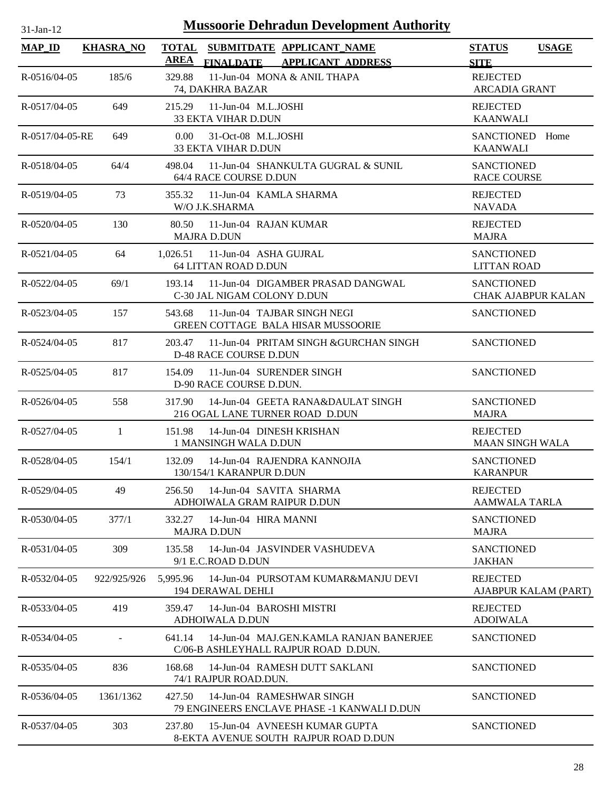| $31-Jan-12$          |                  | <b>Mussoorie Dehradun Development Authority</b>                                           |                                                |
|----------------------|------------------|-------------------------------------------------------------------------------------------|------------------------------------------------|
| <b>MAP_ID</b>        | <b>KHASRA_NO</b> | <b>TOTAL</b><br>SUBMITDATE APPLICANT_NAME<br><b>AREA</b><br>FINALDATE APPLICANT ADDRESS   | <b>STATUS</b><br><b>USAGE</b><br><b>SITE</b>   |
| $R - 0516/04 - 05$   | 185/6            | 11-Jun-04 MONA & ANIL THAPA<br>329.88<br>74, DAKHRA BAZAR                                 | <b>REJECTED</b><br><b>ARCADIA GRANT</b>        |
| R-0517/04-05         | 649              | 215.29<br>$11$ -Jun-04 M.L.JOSHI<br><b>33 EKTA VIHAR D.DUN</b>                            | <b>REJECTED</b><br><b>KAANWALI</b>             |
| R-0517/04-05-RE      | 649              | 31-Oct-08 M.L.JOSHI<br>0.00 <sub>1</sub><br><b>33 EKTA VIHAR D.DUN</b>                    | <b>SANCTIONED</b><br>Home<br><b>KAANWALI</b>   |
| $R - 0518/04 - 05$   | 64/4             | 498.04<br>11-Jun-04 SHANKULTA GUGRAL & SUNIL<br>64/4 RACE COURSE D.DUN                    | <b>SANCTIONED</b><br><b>RACE COURSE</b>        |
| R-0519/04-05         | 73               | 11-Jun-04 KAMLA SHARMA<br>355.32<br>W/O J.K.SHARMA                                        | <b>REJECTED</b><br><b>NAVADA</b>               |
| R-0520/04-05         | 130              | 80.50<br>11-Jun-04 RAJAN KUMAR<br><b>MAJRA D.DUN</b>                                      | <b>REJECTED</b><br><b>MAJRA</b>                |
| $R - 0521/04 - 05$   | 64               | 1,026.51<br>11-Jun-04 ASHA GUJRAL<br>64 LITTAN ROAD D.DUN                                 | <b>SANCTIONED</b><br><b>LITTAN ROAD</b>        |
| R-0522/04-05         | 69/1             | 11-Jun-04 DIGAMBER PRASAD DANGWAL<br>193.14<br>C-30 JAL NIGAM COLONY D.DUN                | <b>SANCTIONED</b><br><b>CHAK AJABPUR KALAN</b> |
| R-0523/04-05         | 157              | 543.68<br>11-Jun-04 TAJBAR SINGH NEGI<br>GREEN COTTAGE BALA HISAR MUSSOORIE               | <b>SANCTIONED</b>                              |
| R-0524/04-05         | 817              | 203.47<br>11-Jun-04 PRITAM SINGH & GURCHAN SINGH<br><b>D-48 RACE COURSE D.DUN</b>         | <b>SANCTIONED</b>                              |
| $R - 0525/04 - 05$   | 817              | 11-Jun-04 SURENDER SINGH<br>154.09<br>D-90 RACE COURSE D.DUN.                             | <b>SANCTIONED</b>                              |
| $R - 0526/04 - 05$   | 558              | 317.90<br>14-Jun-04 GEETA RANA&DAULAT SINGH<br>216 OGAL LANE TURNER ROAD D.DUN            | <b>SANCTIONED</b><br><b>MAJRA</b>              |
| R-0527/04-05         | 1                | 151.98<br>14-Jun-04 DINESH KRISHAN<br>1 MANSINGH WALA D.DUN                               | <b>REJECTED</b><br><b>MAAN SINGH WALA</b>      |
| R-0528/04-05         | 154/1            | 132.09<br>14-Jun-04 RAJENDRA KANNOJIA<br>130/154/1 KARANPUR D.DUN                         | SANCTIONED<br><b>KARANPUR</b>                  |
| R-0529/04-05         | 49               | 14-Jun-04 SAVITA SHARMA<br>256.50<br>ADHOIWALA GRAM RAIPUR D.DUN                          | <b>REJECTED</b><br><b>AAMWALA TARLA</b>        |
| R-0530/04-05         | 377/1            | 14-Jun-04 HIRA MANNI<br>332.27<br><b>MAJRA D.DUN</b>                                      | <b>SANCTIONED</b><br><b>MAJRA</b>              |
| $R - 0531/04 - 05$   | 309              | 135.58<br>14-Jun-04 JASVINDER VASHUDEVA<br>9/1 E.C.ROAD D.DUN                             | <b>SANCTIONED</b><br><b>JAKHAN</b>             |
| R-0532/04-05         | 922/925/926      | 5,995.96<br>14-Jun-04 PURSOTAM KUMAR&MANJU DEVI<br><b>194 DERAWAL DEHLI</b>               | <b>REJECTED</b><br>AJABPUR KALAM (PART)        |
| R-0533/04-05         | 419              | 14-Jun-04 BAROSHI MISTRI<br>359.47<br>ADHOIWALA D.DUN                                     | <b>REJECTED</b><br><b>ADOIWALA</b>             |
| R-0534/04-05         |                  | 641.14<br>14-Jun-04 MAJ.GEN.KAMLA RANJAN BANERJEE<br>C/06-B ASHLEYHALL RAJPUR ROAD D.DUN. | <b>SANCTIONED</b>                              |
| $R - 0.535/04 - 0.5$ | 836              | 168.68<br>14-Jun-04 RAMESH DUTT SAKLANI<br>74/1 RAJPUR ROAD.DUN.                          | <b>SANCTIONED</b>                              |
| $R - 0536/04 - 05$   | 1361/1362        | 427.50<br>14-Jun-04 RAMESHWAR SINGH<br>79 ENGINEERS ENCLAVE PHASE -1 KANWALI D.DUN        | <b>SANCTIONED</b>                              |
| R-0537/04-05         | 303              | 237.80<br>15-Jun-04 AVNEESH KUMAR GUPTA                                                   | <b>SANCTIONED</b>                              |

8-EKTA AVENUE SOUTH RAJPUR ROAD D.DUN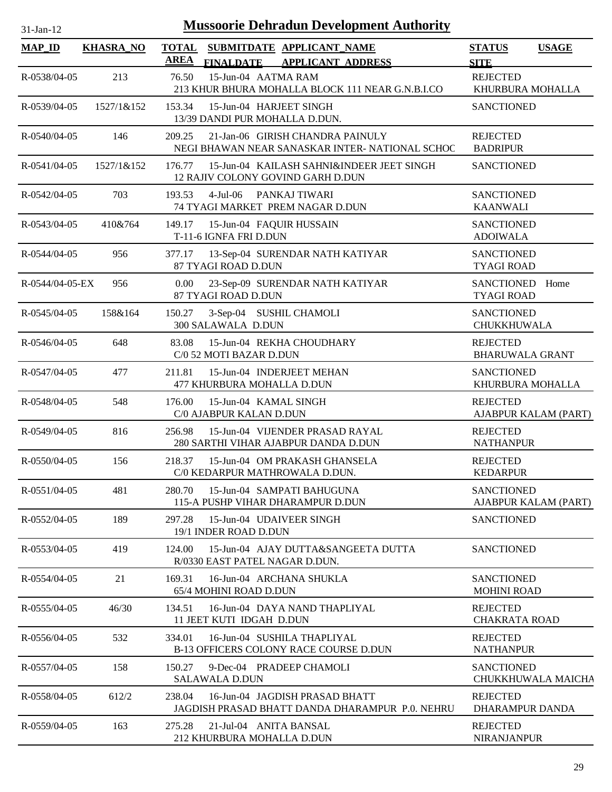| 31-Jan-12            |                  | <b>Mussoorie Dehradun Development Authority</b>                                              |                                           |
|----------------------|------------------|----------------------------------------------------------------------------------------------|-------------------------------------------|
| <b>MAP_ID</b>        | <b>KHASRA_NO</b> | TOTAL SUBMITDATE APPLICANT NAME                                                              | <b>STATUS</b><br><b>USAGE</b>             |
|                      |                  | <b>AREA</b><br>FINALDATE APPLICANT ADDRESS                                                   | <b>SITE</b>                               |
| R-0538/04-05         | 213              | 15-Jun-04 AATMA RAM<br>76.50<br>213 KHUR BHURA MOHALLA BLOCK 111 NEAR G.N.B.I.CO             | <b>REJECTED</b><br>KHURBURA MOHALLA       |
| R-0539/04-05         | 1527/1&152       | 15-Jun-04 HARJEET SINGH<br>153.34<br>13/39 DANDI PUR MOHALLA D.DUN.                          | <b>SANCTIONED</b>                         |
| R-0540/04-05         | 146              | 21-Jan-06 GIRISH CHANDRA PAINULY<br>209.25<br>NEGI BHAWAN NEAR SANASKAR INTER-NATIONAL SCHOC | <b>REJECTED</b><br><b>BADRIPUR</b>        |
| $R - 0541/04 - 05$   | 1527/1&152       | 15-Jun-04 KAILASH SAHNI&INDEER JEET SINGH<br>176.77<br>12 RAJIV COLONY GOVIND GARH D.DUN     | <b>SANCTIONED</b>                         |
| R-0542/04-05         | 703              | $4$ -Jul-06<br>193.53<br>PANKAJ TIWARI<br>74 TYAGI MARKET PREM NAGAR D.DUN                   | <b>SANCTIONED</b><br><b>KAANWALI</b>      |
| R-0543/04-05         | 410&764          | 149.17<br>15-Jun-04 FAQUIR HUSSAIN<br>T-11-6 IGNFA FRI D.DUN                                 | <b>SANCTIONED</b><br><b>ADOIWALA</b>      |
| R-0544/04-05         | 956              | 13-Sep-04 SURENDAR NATH KATIYAR<br>377.17<br>87 TYAGI ROAD D.DUN                             | <b>SANCTIONED</b><br><b>TYAGI ROAD</b>    |
| R-0544/04-05-EX      | 956              | 23-Sep-09 SURENDAR NATH KATIYAR<br>0.00<br>87 TYAGI ROAD D.DUN                               | SANCTIONED Home<br><b>TYAGI ROAD</b>      |
| $R - 0545/04 - 05$   | 158&164          | 3-Sep-04 SUSHIL CHAMOLI<br>150.27<br>300 SALAWALA D.DUN                                      | <b>SANCTIONED</b><br>CHUKKHUWALA          |
| R-0546/04-05         | 648              | 83.08<br>15-Jun-04 REKHA CHOUDHARY<br>C/0 52 MOTI BAZAR D.DUN                                | <b>REJECTED</b><br><b>BHARUWALA GRANT</b> |
| R-0547/04-05         | 477              | 15-Jun-04 INDERJEET MEHAN<br>211.81<br>477 KHURBURA MOHALLA D.DUN                            | <b>SANCTIONED</b><br>KHURBURA MOHALLA     |
| R-0548/04-05         | 548              | 176.00<br>15-Jun-04 KAMAL SINGH<br>C/0 AJABPUR KALAN D.DUN                                   | <b>REJECTED</b><br>AJABPUR KALAM (PART)   |
| R-0549/04-05         | 816              | 15-Jun-04 VIJENDER PRASAD RAYAL<br>256.98<br>280 SARTHI VIHAR AJABPUR DANDA D.DUN            | <b>REJECTED</b><br><b>NATHANPUR</b>       |
| R-0550/04-05         | 156              | 218.37<br>15-Jun-04 OM PRAKASH GHANSELA<br>C/0 KEDARPUR MATHROWALA D.DUN.                    | <b>REJECTED</b><br><b>KEDARPUR</b>        |
| R-0551/04-05         | 481              | 15-Jun-04 SAMPATI BAHUGUNA<br>280.70<br>115-A PUSHP VIHAR DHARAMPUR D.DUN                    | <b>SANCTIONED</b><br>AJABPUR KALAM (PART) |
| $R - 0.552/04 - 0.5$ | 189              | 15-Jun-04 UDAIVEER SINGH<br>297.28<br>19/1 INDER ROAD D.DUN                                  | <b>SANCTIONED</b>                         |
| R-0553/04-05         | 419              | 124.00<br>15-Jun-04 AJAY DUTTA&SANGEETA DUTTA<br>R/0330 EAST PATEL NAGAR D.DUN.              | <b>SANCTIONED</b>                         |
| R-0554/04-05         | 21               | 16-Jun-04 ARCHANA SHUKLA<br>169.31<br>65/4 MOHINI ROAD D.DUN                                 | <b>SANCTIONED</b><br><b>MOHINI ROAD</b>   |
| R-0555/04-05         | 46/30            | 134.51<br>16-Jun-04 DAYA NAND THAPLIYAL<br>11 JEET KUTI IDGAH D.DUN                          | <b>REJECTED</b><br><b>CHAKRATA ROAD</b>   |
| R-0556/04-05         | 532              | 16-Jun-04 SUSHILA THAPLIYAL<br>334.01<br><b>B-13 OFFICERS COLONY RACE COURSE D.DUN</b>       | <b>REJECTED</b><br><b>NATHANPUR</b>       |
| R-0557/04-05         | 158              | 150.27<br>9-Dec-04 PRADEEP CHAMOLI<br><b>SALAWALA D.DUN</b>                                  | <b>SANCTIONED</b><br>CHUKKHUWALA MAICHA   |
| R-0558/04-05         | 612/2            | 238.04<br>16-Jun-04 JAGDISH PRASAD BHATT<br>JAGDISH PRASAD BHATT DANDA DHARAMPUR P.O. NEHRU  | <b>REJECTED</b><br>DHARAMPUR DANDA        |
| R-0559/04-05         | 163              | 275.28<br>21-Jul-04 ANITA BANSAL<br>212 KHURBURA MOHALLA D.DUN                               | <b>REJECTED</b><br><b>NIRANJANPUR</b>     |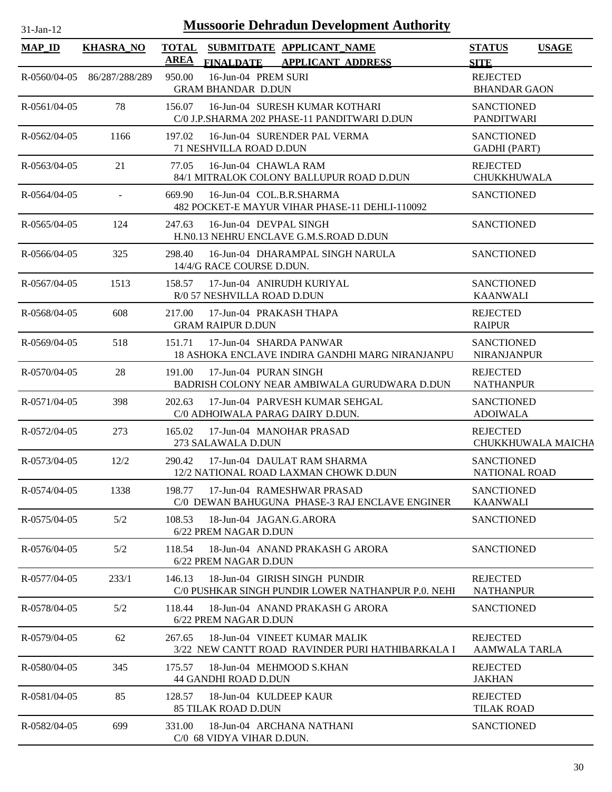| <b>MAP_ID</b>           | <b>KHASRA_NO</b> | <b>TOTAL</b><br>SUBMITDATE APPLICANT_NAME<br><b>AREA</b><br><b>APPLICANT ADDRESS</b><br><b>FINALDATE</b> | <b>STATUS</b><br><b>USAGE</b><br><b>SITE</b> |
|-------------------------|------------------|----------------------------------------------------------------------------------------------------------|----------------------------------------------|
| $R - 0560/04 - 05$      | 86/287/288/289   | 16-Jun-04 PREM SURI<br>950.00<br><b>GRAM BHANDAR D.DUN</b>                                               | <b>REJECTED</b><br><b>BHANDAR GAON</b>       |
| $R - 0561/04 - 05$      | 78               | 16-Jun-04 SURESH KUMAR KOTHARI<br>156.07<br>C/0 J.P.SHARMA 202 PHASE-11 PANDITWARI D.DUN                 | <b>SANCTIONED</b><br><b>PANDITWARI</b>       |
| $R - 0.562/04 - 0.5$    | 1166             | 197.02<br>16-Jun-04 SURENDER PAL VERMA<br>71 NESHVILLA ROAD D.DUN                                        | <b>SANCTIONED</b><br><b>GADHI</b> (PART)     |
| R-0563/04-05            | 21               | 16-Jun-04 CHAWLA RAM<br>77.05<br>84/1 MITRALOK COLONY BALLUPUR ROAD D.DUN                                | <b>REJECTED</b><br><b>CHUKKHUWALA</b>        |
| $R - 0.564/04 - 0.5$    |                  | 669.90<br>16-Jun-04 COL.B.R.SHARMA<br>482 POCKET-E MAYUR VIHAR PHASE-11 DEHLI-110092                     | <b>SANCTIONED</b>                            |
| $R - 0565/04 - 05$      | 124              | 247.63<br>16-Jun-04 DEVPAL SINGH<br>H.NO.13 NEHRU ENCLAVE G.M.S.ROAD D.DUN                               | <b>SANCTIONED</b>                            |
| $R - 0.566 / 0.4 - 0.5$ | 325              | 298.40<br>16-Jun-04 DHARAMPAL SINGH NARULA<br>14/4/G RACE COURSE D.DUN.                                  | <b>SANCTIONED</b>                            |
| R-0567/04-05            | 1513             | 158.57<br>17-Jun-04 ANIRUDH KURIYAL<br>R/0 57 NESHVILLA ROAD D.DUN                                       | <b>SANCTIONED</b><br><b>KAANWALI</b>         |
| R-0568/04-05            | 608              | 17-Jun-04 PRAKASH THAPA<br>217.00<br><b>GRAM RAIPUR D.DUN</b>                                            | <b>REJECTED</b><br><b>RAIPUR</b>             |
| R-0569/04-05            | 518              | 151.71<br>17-Jun-04 SHARDA PANWAR<br>18 ASHOKA ENCLAVE INDIRA GANDHI MARG NIRANJANPU                     | <b>SANCTIONED</b><br><b>NIRANJANPUR</b>      |
| R-0570/04-05            | 28               | 17-Jun-04 PURAN SINGH<br>191.00<br>BADRISH COLONY NEAR AMBIWALA GURUDWARA D.DUN                          | <b>REJECTED</b><br><b>NATHANPUR</b>          |
| R-0571/04-05            | 398              | 202.63<br>17-Jun-04 PARVESH KUMAR SEHGAL<br>C/0 ADHOIWALA PARAG DAIRY D.DUN.                             | <b>SANCTIONED</b><br><b>ADOIWALA</b>         |
| R-0572/04-05            | 273              | 17-Jun-04 MANOHAR PRASAD<br>165.02<br>273 SALAWALA D.DUN                                                 | <b>REJECTED</b><br>CHUKKHUWALA MAICHA        |
| R-0573/04-05            | 12/2             | 17-Jun-04 DAULAT RAM SHARMA<br>290.42<br>12/2 NATIONAL ROAD LAXMAN CHOWK D.DUN                           | <b>SANCTIONED</b><br><b>NATIONAL ROAD</b>    |
| R-0574/04-05            | 1338             | 17-Jun-04 RAMESHWAR PRASAD<br>198.77<br>C/0 DEWAN BAHUGUNA PHASE-3 RAJ ENCLAVE ENGINER                   | <b>SANCTIONED</b><br><b>KAANWALI</b>         |
| R-0575/04-05            | 5/2              | 108.53<br>18-Jun-04 JAGAN.G.ARORA<br>6/22 PREM NAGAR D.DUN                                               | <b>SANCTIONED</b>                            |
| R-0576/04-05            | 5/2              | 18-Jun-04 ANAND PRAKASH G ARORA<br>118.54<br>6/22 PREM NAGAR D.DUN                                       | <b>SANCTIONED</b>                            |
| R-0577/04-05            | 233/1            | 146.13<br>18-Jun-04 GIRISH SINGH PUNDIR<br>C/0 PUSHKAR SINGH PUNDIR LOWER NATHANPUR P.0. NEHI            | <b>REJECTED</b><br><b>NATHANPUR</b>          |
| R-0578/04-05            | 5/2              | 18-Jun-04 ANAND PRAKASH G ARORA<br>118.44<br>6/22 PREM NAGAR D.DUN                                       | <b>SANCTIONED</b>                            |
| R-0579/04-05            | 62               | 267.65<br>18-Jun-04 VINEET KUMAR MALIK<br>3/22 NEW CANTT ROAD RAVINDER PURI HATHIBARKALA I               | <b>REJECTED</b><br><b>AAMWALA TARLA</b>      |
| R-0580/04-05            | 345              | 18-Jun-04 MEHMOOD S.KHAN<br>175.57<br>44 GANDHI ROAD D.DUN                                               | <b>REJECTED</b><br><b>JAKHAN</b>             |
| R-0581/04-05            | 85               | 128.57<br>18-Jun-04 KULDEEP KAUR<br><b>85 TILAK ROAD D.DUN</b>                                           | <b>REJECTED</b><br><b>TILAK ROAD</b>         |
| R-0582/04-05            | 699              | 18-Jun-04 ARCHANA NATHANI<br>331.00<br>C/0 68 VIDYA VIHAR D.DUN.                                         | <b>SANCTIONED</b>                            |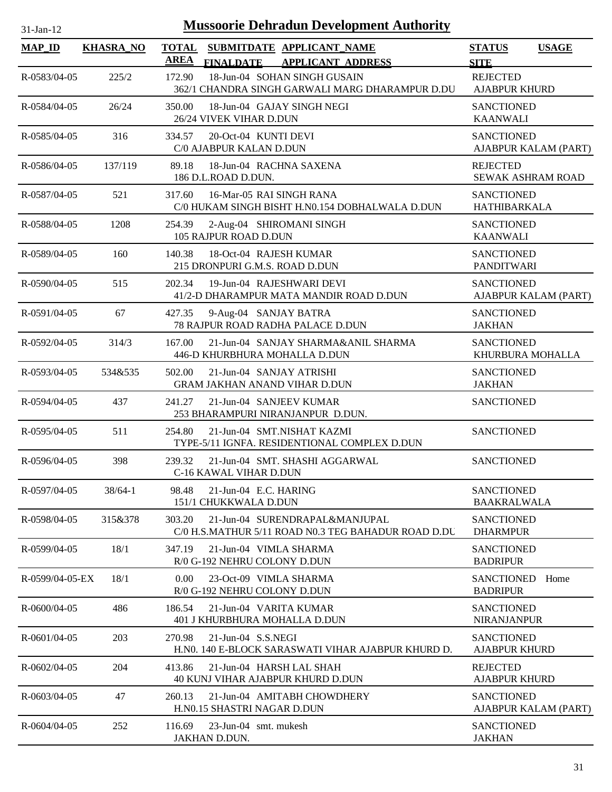| <b>Mussoorie Dehradun Development Authority</b><br>$31$ -Jan-12 |                  |                             |                                                                                       |                                             |                      |  |
|-----------------------------------------------------------------|------------------|-----------------------------|---------------------------------------------------------------------------------------|---------------------------------------------|----------------------|--|
| <b>MAP ID</b>                                                   | <b>KHASRA_NO</b> | <b>TOTAL</b><br><b>AREA</b> | SUBMITDATE APPLICANT_NAME<br><b>APPLICANT ADDRESS</b><br><b>FINALDATE</b>             | <b>STATUS</b><br><b>SITE</b>                | <b>USAGE</b>         |  |
| R-0583/04-05                                                    | 225/2            | 172.90                      | 18-Jun-04 SOHAN SINGH GUSAIN<br>362/1 CHANDRA SINGH GARWALI MARG DHARAMPUR D.DU       | <b>REJECTED</b><br><b>AJABPUR KHURD</b>     |                      |  |
| R-0584/04-05                                                    | 26/24            | 350.00                      | 18-Jun-04 GAJAY SINGH NEGI<br>26/24 VIVEK VIHAR D.DUN                                 | <b>SANCTIONED</b><br><b>KAANWALI</b>        |                      |  |
| R-0585/04-05                                                    | 316              | 334.57                      | 20-Oct-04 KUNTI DEVI<br>C/0 AJABPUR KALAN D.DUN                                       | <b>SANCTIONED</b>                           | AJABPUR KALAM (PART) |  |
| R-0586/04-05                                                    | 137/119          | 89.18                       | 18-Jun-04 RACHNA SAXENA<br>186 D.L.ROAD D.DUN.                                        | <b>REJECTED</b><br><b>SEWAK ASHRAM ROAD</b> |                      |  |
| R-0587/04-05                                                    | 521              | 317.60                      | 16-Mar-05 RAI SINGH RANA<br>C/0 HUKAM SINGH BISHT H.N0.154 DOBHALWALA D.DUN           | <b>SANCTIONED</b><br><b>HATHIBARKALA</b>    |                      |  |
| R-0588/04-05                                                    | 1208             | 254.39                      | 2-Aug-04 SHIROMANI SINGH<br>105 RAJPUR ROAD D.DUN                                     | <b>SANCTIONED</b><br><b>KAANWALI</b>        |                      |  |
| R-0589/04-05                                                    | 160              | 140.38                      | 18-Oct-04 RAJESH KUMAR<br>215 DRONPURI G.M.S. ROAD D.DUN                              | <b>SANCTIONED</b><br><b>PANDITWARI</b>      |                      |  |
| R-0590/04-05                                                    | 515              | 202.34                      | 19-Jun-04 RAJESHWARI DEVI<br>41/2-D DHARAMPUR MATA MANDIR ROAD D.DUN                  | <b>SANCTIONED</b>                           | AJABPUR KALAM (PART) |  |
| R-0591/04-05                                                    | 67               | 427.35                      | 9-Aug-04 SANJAY BATRA<br>78 RAJPUR ROAD RADHA PALACE D.DUN                            | <b>SANCTIONED</b><br><b>JAKHAN</b>          |                      |  |
| R-0592/04-05                                                    | 314/3            | 167.00                      | 21-Jun-04 SANJAY SHARMA&ANIL SHARMA<br>446-D KHURBHURA MOHALLA D.DUN                  | <b>SANCTIONED</b><br>KHURBURA MOHALLA       |                      |  |
| R-0593/04-05                                                    | 534&535          | 502.00                      | 21-Jun-04 SANJAY ATRISHI<br><b>GRAM JAKHAN ANAND VIHAR D.DUN</b>                      | <b>SANCTIONED</b><br><b>JAKHAN</b>          |                      |  |
| R-0594/04-05                                                    | 437              | 241.27                      | 21-Jun-04 SANJEEV KUMAR<br>253 BHARAMPURI NIRANJANPUR D.DUN.                          | <b>SANCTIONED</b>                           |                      |  |
| R-0595/04-05                                                    | 511              | 254.80                      | 21-Jun-04 SMT.NISHAT KAZMI<br>TYPE-5/11 IGNFA. RESIDENTIONAL COMPLEX D.DUN            | <b>SANCTIONED</b>                           |                      |  |
| $R - 0596/04 - 05$                                              | 398              | 239.32                      | 21-Jun-04 SMT. SHASHI AGGARWAL<br>C-16 KAWAL VIHAR D.DUN                              | <b>SANCTIONED</b>                           |                      |  |
| R-0597/04-05                                                    | $38/64 - 1$      | 98.48                       | 21-Jun-04 E.C. HARING<br>151/1 CHUKKWALA D.DUN                                        | <b>SANCTIONED</b><br><b>BAAKRALWALA</b>     |                      |  |
| R-0598/04-05                                                    | 315&378          | 303.20                      | 21-Jun-04 SURENDRAPAL&MANJUPAL<br>C/0 H.S.MATHUR 5/11 ROAD N0.3 TEG BAHADUR ROAD D.DU | <b>SANCTIONED</b><br><b>DHARMPUR</b>        |                      |  |
| R-0599/04-05                                                    | 18/1             | 347.19                      | 21-Jun-04 VIMLA SHARMA<br>R/0 G-192 NEHRU COLONY D.DUN                                | <b>SANCTIONED</b><br><b>BADRIPUR</b>        |                      |  |
| R-0599/04-05-EX                                                 | 18/1             | 0.00                        | 23-Oct-09 VIMLA SHARMA<br>R/0 G-192 NEHRU COLONY D.DUN                                | <b>SANCTIONED</b><br><b>BADRIPUR</b>        | Home                 |  |
| $R - 0600/04 - 05$                                              | 486              | 186.54                      | 21-Jun-04 VARITA KUMAR<br>401 J KHURBHURA MOHALLA D.DUN                               | <b>SANCTIONED</b><br><b>NIRANJANPUR</b>     |                      |  |
| $R - 0601/04 - 05$                                              | 203              | 270.98                      | $21$ -Jun-04 S.S.NEGI<br>H.NO. 140 E-BLOCK SARASWATI VIHAR AJABPUR KHURD D.           | <b>SANCTIONED</b><br><b>AJABPUR KHURD</b>   |                      |  |
| R-0602/04-05                                                    | 204              | 413.86                      | 21-Jun-04 HARSH LAL SHAH<br>40 KUNJ VIHAR AJABPUR KHURD D.DUN                         | <b>REJECTED</b><br><b>AJABPUR KHURD</b>     |                      |  |
| R-0603/04-05                                                    | 47               | 260.13                      | 21-Jun-04 AMITABH CHOWDHERY<br>H.NO.15 SHASTRI NAGAR D.DUN                            | <b>SANCTIONED</b>                           | AJABPUR KALAM (PART) |  |
| R-0604/04-05                                                    | 252              | 116.69                      | 23-Jun-04 smt. mukesh<br>JAKHAN D.DUN.                                                | <b>SANCTIONED</b><br><b>JAKHAN</b>          |                      |  |

JAKHAN D.DUN.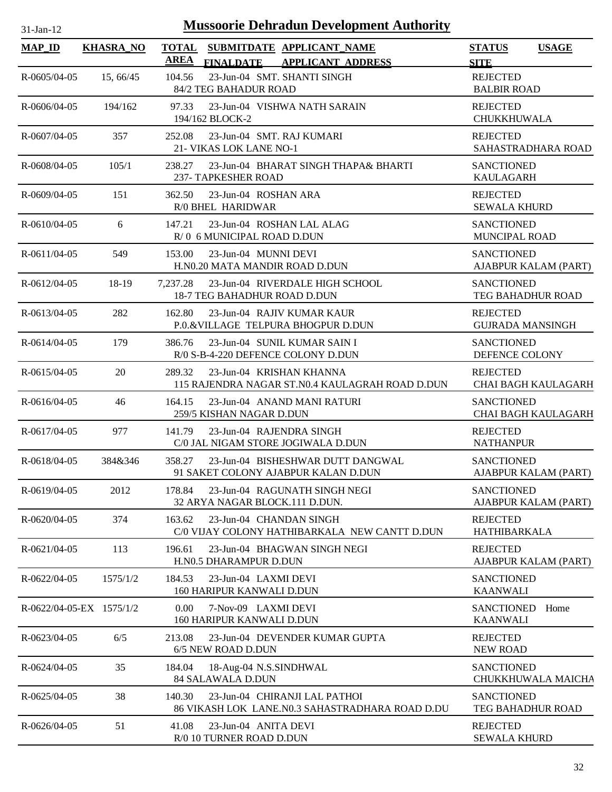| -Jan- |
|-------|
|       |

| <b>MAP_ID</b>            | <b>KHASRA_NO</b> | <b>TOTAL</b><br><b>SUBMITDATE APPLICANT NAME</b><br>AREA<br><b>APPLICANT ADDRESS</b><br><b>FINALDATE</b> | <b>STATUS</b><br><b>USAGE</b><br><b>SITE</b>  |
|--------------------------|------------------|----------------------------------------------------------------------------------------------------------|-----------------------------------------------|
| $R - 0605/04 - 05$       | 15, 66/45        | 23-Jun-04 SMT. SHANTI SINGH<br>104.56<br>84/2 TEG BAHADUR ROAD                                           | <b>REJECTED</b><br><b>BALBIR ROAD</b>         |
| $R - 0606/04 - 05$       | 194/162          | 23-Jun-04 VISHWA NATH SARAIN<br>97.33<br>194/162 BLOCK-2                                                 | <b>REJECTED</b><br><b>CHUKKHUWALA</b>         |
| R-0607/04-05             | 357              | 23-Jun-04 SMT. RAJ KUMARI<br>252.08<br>21- VIKAS LOK LANE NO-1                                           | <b>REJECTED</b><br>SAHASTRADHARA ROAD         |
| $R - 0608/04 - 05$       | 105/1            | 23-Jun-04 BHARAT SINGH THAPA& BHARTI<br>238.27<br><b>237- TAPKESHER ROAD</b>                             | <b>SANCTIONED</b><br><b>KAULAGARH</b>         |
| R-0609/04-05             | 151              | 362.50<br>23-Jun-04 ROSHAN ARA<br>R/0 BHEL HARIDWAR                                                      | <b>REJECTED</b><br><b>SEWALA KHURD</b>        |
| $R - 0610/04 - 05$       | 6                | 23-Jun-04 ROSHAN LAL ALAG<br>147.21<br>R/0 6 MUNICIPAL ROAD D.DUN                                        | <b>SANCTIONED</b><br><b>MUNCIPAL ROAD</b>     |
| $R-0611/04-05$           | 549              | 23-Jun-04 MUNNI DEVI<br>153.00<br>H.N0.20 MATA MANDIR ROAD D.DUN                                         | <b>SANCTIONED</b><br>AJABPUR KALAM (PART)     |
| R-0612/04-05             | 18-19            | 23-Jun-04 RIVERDALE HIGH SCHOOL<br>7.237.28<br>18-7 TEG BAHADHUR ROAD D.DUN                              | <b>SANCTIONED</b><br>TEG BAHADHUR ROAD        |
| R-0613/04-05             | 282              | 162.80<br>23-Jun-04 RAJIV KUMAR KAUR<br>P.O.&VILLAGE TELPURA BHOGPUR D.DUN                               | <b>REJECTED</b><br><b>GUJRADA MANSINGH</b>    |
| $R - 0614/04 - 05$       | 179              | 386.76<br>23-Jun-04 SUNIL KUMAR SAIN I<br>R/0 S-B-4-220 DEFENCE COLONY D.DUN                             | <b>SANCTIONED</b><br>DEFENCE COLONY           |
| $R - 0615/04 - 05$       | 20               | 23-Jun-04 KRISHAN KHANNA<br>289.32<br>115 RAJENDRA NAGAR ST.N0.4 KAULAGRAH ROAD D.DUN                    | <b>REJECTED</b><br><b>CHAI BAGH KAULAGARH</b> |
| R-0616/04-05             | 46               | 23-Jun-04 ANAND MANI RATURI<br>164.15<br>259/5 KISHAN NAGAR D.DUN                                        | <b>SANCTIONED</b><br>CHAI BAGH KAULAGARH      |
| R-0617/04-05             | 977              | 141.79<br>23-Jun-04 RAJENDRA SINGH<br>C/0 JAL NIGAM STORE JOGIWALA D.DUN                                 | <b>REJECTED</b><br><b>NATHANPUR</b>           |
| R-0618/04-05             | 384&346          | 23-Jun-04 BISHESHWAR DUTT DANGWAL<br>358.27<br>91 SAKET COLONY AJABPUR KALAN D.DUN                       | <b>SANCTIONED</b><br>AJABPUR KALAM (PART)     |
| R-0619/04-05             | 2012             | 23-Jun-04 RAGUNATH SINGH NEGI<br>178.84<br>32 ARYA NAGAR BLOCK.111 D.DUN.                                | <b>SANCTIONED</b><br>AJABPUR KALAM (PART)     |
| R-0620/04-05             | 374              | 23-Jun-04 CHANDAN SINGH<br>163.62<br>C/0 VIJAY COLONY HATHIBARKALA NEW CANTT D.DUN                       | <b>REJECTED</b><br><b>HATHIBARKALA</b>        |
| $R-0621/04-05$           | 113              | 196.61<br>23-Jun-04 BHAGWAN SINGH NEGI<br>H.N0.5 DHARAMPUR D.DUN                                         | <b>REJECTED</b><br>AJABPUR KALAM (PART)       |
| R-0622/04-05             | 1575/1/2         | 184.53<br>23-Jun-04 LAXMI DEVI<br>160 HARIPUR KANWALI D.DUN                                              | <b>SANCTIONED</b><br><b>KAANWALI</b>          |
| R-0622/04-05-EX 1575/1/2 |                  | 0.00<br>7-Nov-09 LAXMI DEVI<br><b>160 HARIPUR KANWALI D.DUN</b>                                          | <b>SANCTIONED</b><br>Home<br><b>KAANWALI</b>  |
| R-0623/04-05             | 6/5              | 23-Jun-04 DEVENDER KUMAR GUPTA<br>213.08<br>6/5 NEW ROAD D.DUN                                           | <b>REJECTED</b><br><b>NEW ROAD</b>            |
| R-0624/04-05             | 35               | 184.04<br>18-Aug-04 N.S.SINDHWAL<br>84 SALAWALA D.DUN                                                    | <b>SANCTIONED</b><br>CHUKKHUWALA MAICHA       |
| R-0625/04-05             | 38               | 140.30<br>23-Jun-04 CHIRANJI LAL PATHOI<br>86 VIKASH LOK LANE.NO.3 SAHASTRADHARA ROAD D.DU               | <b>SANCTIONED</b><br><b>TEG BAHADHUR ROAD</b> |
| R-0626/04-05             | 51               | 41.08<br>23-Jun-04 ANITA DEVI<br>R/0 10 TURNER ROAD D.DUN                                                | <b>REJECTED</b><br><b>SEWALA KHURD</b>        |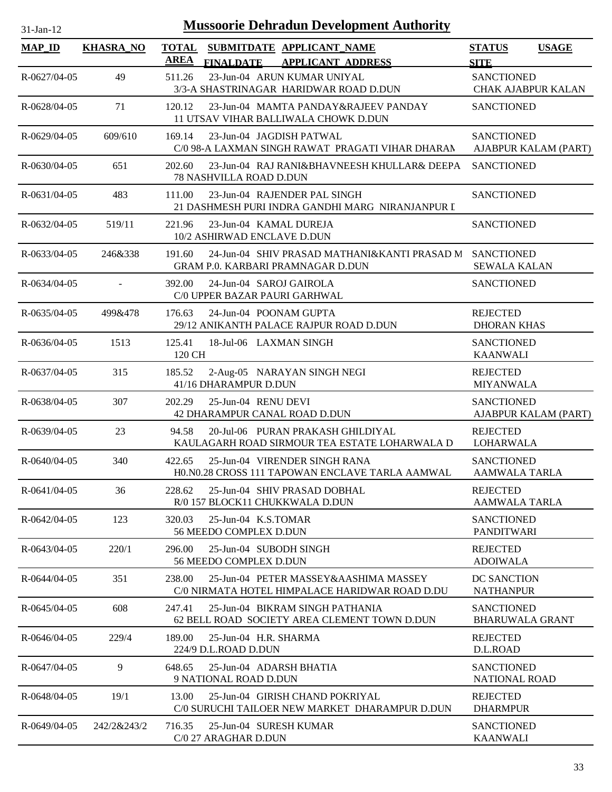| $31-Jan-12$        | <b>Mussoorie Dehradun Development Authority</b> |                  |                                                                                                     |                                                |              |  |  |
|--------------------|-------------------------------------------------|------------------|-----------------------------------------------------------------------------------------------------|------------------------------------------------|--------------|--|--|
| <b>MAP_ID</b>      | <b>KHASRA_NO</b>                                | <b>AREA</b>      | TOTAL SUBMITDATE APPLICANT_NAME<br><b>FINALDATE</b><br><b>APPLICANT ADDRESS</b>                     | <b>STATUS</b><br><b>SITE</b>                   | <b>USAGE</b> |  |  |
| R-0627/04-05       | 49                                              | 511.26           | 23-Jun-04 ARUN KUMAR UNIYAL<br>3/3-A SHASTRINAGAR HARIDWAR ROAD D.DUN                               | <b>SANCTIONED</b><br><b>CHAK AJABPUR KALAN</b> |              |  |  |
| R-0628/04-05       | 71                                              | 120.12           | 23-Jun-04 MAMTA PANDAY&RAJEEV PANDAY<br>11 UTSAV VIHAR BALLIWALA CHOWK D.DUN                        | <b>SANCTIONED</b>                              |              |  |  |
| R-0629/04-05       | 609/610                                         | 169.14           | 23-Jun-04 JAGDISH PATWAL<br>C/0 98-A LAXMAN SINGH RAWAT PRAGATI VIHAR DHARAN                        | <b>SANCTIONED</b><br>AJABPUR KALAM (PART)      |              |  |  |
| $R - 0630/04 - 05$ | 651                                             | 202.60           | 23-Jun-04 RAJ RANI&BHAVNEESH KHULLAR& DEEPA<br><b>78 NASHVILLA ROAD D.DUN</b>                       | <b>SANCTIONED</b>                              |              |  |  |
| R-0631/04-05       | 483                                             | 111.00           | 23-Jun-04 RAJENDER PAL SINGH<br>21 DASHMESH PURI INDRA GANDHI MARG NIRANJANPUR I                    | <b>SANCTIONED</b>                              |              |  |  |
| R-0632/04-05       | 519/11                                          | 221.96           | 23-Jun-04 KAMAL DUREJA<br>10/2 ASHIRWAD ENCLAVE D.DUN                                               | <b>SANCTIONED</b>                              |              |  |  |
| $R - 0633/04 - 05$ | 246&338                                         | 191.60           | 24-Jun-04 SHIV PRASAD MATHANI&KANTI PRASAD M SANCTIONED<br><b>GRAM P.0. KARBARI PRAMNAGAR D.DUN</b> | <b>SEWALA KALAN</b>                            |              |  |  |
| R-0634/04-05       |                                                 | 392.00           | 24-Jun-04 SAROJ GAIROLA<br>C/0 UPPER BAZAR PAURI GARHWAL                                            | <b>SANCTIONED</b>                              |              |  |  |
| $R - 0635/04 - 05$ | 499&478                                         | 176.63           | 24-Jun-04 POONAM GUPTA<br>29/12 ANIKANTH PALACE RAJPUR ROAD D.DUN                                   | <b>REJECTED</b><br><b>DHORAN KHAS</b>          |              |  |  |
| R-0636/04-05       | 1513                                            | 125.41<br>120 CH | 18-Jul-06 LAXMAN SINGH                                                                              | <b>SANCTIONED</b><br><b>KAANWALI</b>           |              |  |  |
| R-0637/04-05       | 315                                             | 185.52           | 2-Aug-05 NARAYAN SINGH NEGI<br>41/16 DHARAMPUR D.DUN                                                | <b>REJECTED</b><br><b>MIYANWALA</b>            |              |  |  |
| R-0638/04-05       | 307                                             | 202.29           | 25-Jun-04 RENU DEVI<br>42 DHARAMPUR CANAL ROAD D.DUN                                                | <b>SANCTIONED</b><br>AJABPUR KALAM (PART)      |              |  |  |
| $R - 0639/04 - 05$ | 23                                              | 94.58            | 20-Jul-06 PURAN PRAKASH GHILDIYAL<br>KAULAGARH ROAD SIRMOUR TEA ESTATE LOHARWALA D                  | <b>REJECTED</b><br><b>LOHARWALA</b>            |              |  |  |
| $R - 0640/04 - 05$ | 340                                             | 422.65           | 25-Jun-04 VIRENDER SINGH RANA<br>H0.N0.28 CROSS 111 TAPOWAN ENCLAVE TARLA AAMWAL                    | <b>SANCTIONED</b><br><b>AAMWALA TARLA</b>      |              |  |  |
| $R-0641/04-05$     | 36                                              | 228.62           | 25-Jun-04 SHIV PRASAD DOBHAL<br>R/0 157 BLOCK11 CHUKKWALA D.DUN                                     | <b>REJECTED</b><br><b>AAMWALA TARLA</b>        |              |  |  |
| R-0642/04-05       | 123                                             | 320.03           | $25$ -Jun-04 K.S.TOMAR<br>56 MEEDO COMPLEX D.DUN                                                    | <b>SANCTIONED</b><br><b>PANDITWARI</b>         |              |  |  |
| R-0643/04-05       | 220/1                                           | 296.00           | 25-Jun-04 SUBODH SINGH<br>56 MEEDO COMPLEX D.DUN                                                    | <b>REJECTED</b><br><b>ADOIWALA</b>             |              |  |  |
| R-0644/04-05       | 351                                             | 238.00           | 25-Jun-04 PETER MASSEY&AASHIMA MASSEY<br>C/0 NIRMATA HOTEL HIMPALACE HARIDWAR ROAD D.DU             | DC SANCTION<br><b>NATHANPUR</b>                |              |  |  |
| $R - 0645/04 - 05$ | 608                                             | 247.41           | 25-Jun-04 BIKRAM SINGH PATHANIA<br>62 BELL ROAD SOCIETY AREA CLEMENT TOWN D.DUN                     | <b>SANCTIONED</b><br><b>BHARUWALA GRANT</b>    |              |  |  |
| R-0646/04-05       | 229/4                                           | 189.00           | 25-Jun-04 H.R. SHARMA<br>224/9 D.L.ROAD D.DUN                                                       | <b>REJECTED</b><br>D.L.ROAD                    |              |  |  |
| R-0647/04-05       | 9                                               | 648.65           | 25-Jun-04 ADARSH BHATIA<br>9 NATIONAL ROAD D.DUN                                                    | <b>SANCTIONED</b><br><b>NATIONAL ROAD</b>      |              |  |  |
| R-0648/04-05       | 19/1                                            | 13.00            | 25-Jun-04 GIRISH CHAND POKRIYAL<br>C/0 SURUCHI TAILOER NEW MARKET DHARAMPUR D.DUN                   | <b>REJECTED</b><br><b>DHARMPUR</b>             |              |  |  |
| R-0649/04-05       | 242/2&243/2                                     | 716.35           | 25-Jun-04 SURESH KUMAR<br>C/0 27 ARAGHAR D.DUN                                                      | <b>SANCTIONED</b><br><b>KAANWALI</b>           |              |  |  |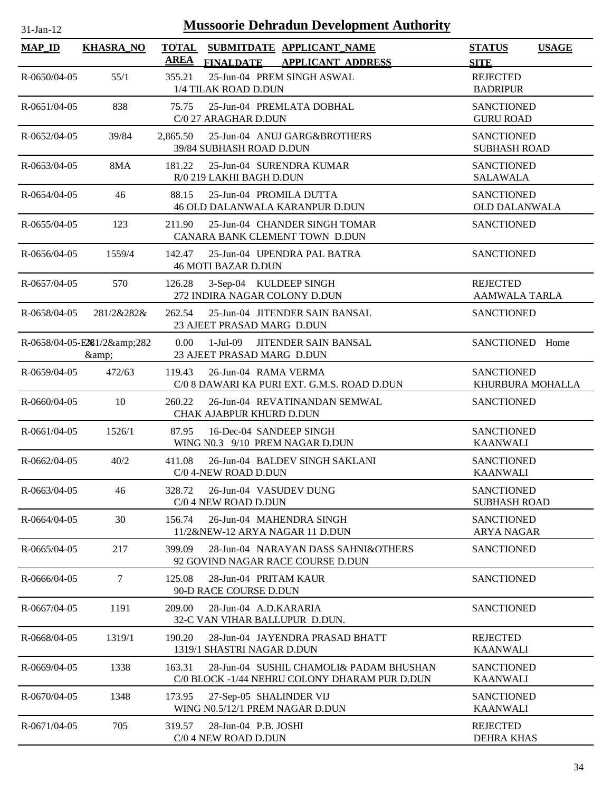| 31-Jan-12          | <b>Mussoorie Dehradun Development Authority</b> |                             |                                                                                          |                                           |              |  |  |
|--------------------|-------------------------------------------------|-----------------------------|------------------------------------------------------------------------------------------|-------------------------------------------|--------------|--|--|
| <b>MAP_ID</b>      | <b>KHASRA_NO</b>                                | <b>TOTAL</b><br><b>AREA</b> | SUBMITDATE APPLICANT_NAME<br><b>APPLICANT ADDRESS</b>                                    | <b>STATUS</b><br><b>SITE</b>              | <b>USAGE</b> |  |  |
| R-0650/04-05       | 55/1                                            | 355.21                      | <b>FINALDATE</b><br>25-Jun-04 PREM SINGH ASWAL<br>1/4 TILAK ROAD D.DUN                   | <b>REJECTED</b><br><b>BADRIPUR</b>        |              |  |  |
| R-0651/04-05       | 838                                             | 75.75                       | 25-Jun-04 PREMLATA DOBHAL<br>C/0 27 ARAGHAR D.DUN                                        | <b>SANCTIONED</b><br><b>GURU ROAD</b>     |              |  |  |
| R-0652/04-05       | 39/84                                           | 2.865.50                    | 25-Jun-04 ANUJ GARG&BROTHERS<br>39/84 SUBHASH ROAD D.DUN                                 | <b>SANCTIONED</b><br><b>SUBHASH ROAD</b>  |              |  |  |
| $R - 0653/04 - 05$ | 8MA                                             | 181.22                      | 25-Jun-04 SURENDRA KUMAR<br>R/0 219 LAKHI BAGH D.DUN                                     | <b>SANCTIONED</b><br><b>SALAWALA</b>      |              |  |  |
| R-0654/04-05       | 46                                              | 88.15                       | 25-Jun-04 PROMILA DUTTA<br>46 OLD DALANWALA KARANPUR D.DUN                               | <b>SANCTIONED</b><br><b>OLD DALANWALA</b> |              |  |  |
| $R - 0655/04 - 05$ | 123                                             | 211.90                      | 25-Jun-04 CHANDER SINGH TOMAR<br>CANARA BANK CLEMENT TOWN D.DUN                          | <b>SANCTIONED</b>                         |              |  |  |
| R-0656/04-05       | 1559/4                                          | 142.47                      | 25-Jun-04 UPENDRA PAL BATRA<br><b>46 MOTI BAZAR D.DUN</b>                                | <b>SANCTIONED</b>                         |              |  |  |
| R-0657/04-05       | 570                                             | 126.28                      | 3-Sep-04 KULDEEP SINGH<br>272 INDIRA NAGAR COLONY D.DUN                                  | <b>REJECTED</b><br><b>AAMWALA TARLA</b>   |              |  |  |
| $R - 0658/04 - 05$ | 281/2&282&                                      | 262.54                      | 25-Jun-04 JITENDER SAIN BANSAL<br>23 AJEET PRASAD MARG D.DUN                             | <b>SANCTIONED</b>                         |              |  |  |
|                    | R-0658/04-05-E281/2&282<br>&                    | 0.00                        | 1-Jul-09 JITENDER SAIN BANSAL<br>23 AJEET PRASAD MARG D.DUN                              | SANCTIONED Home                           |              |  |  |
| $R - 0659/04 - 05$ | 472/63                                          | 119.43                      | 26-Jun-04 RAMA VERMA<br>C/0 8 DAWARI KA PURI EXT. G.M.S. ROAD D.DUN                      | <b>SANCTIONED</b><br>KHURBURA MOHALLA     |              |  |  |
| $R-0660/04-05$     | 10                                              | 260.22                      | 26-Jun-04 REVATINANDAN SEMWAL<br>CHAK AJABPUR KHURD D.DUN                                | <b>SANCTIONED</b>                         |              |  |  |
| R-0661/04-05       | 1526/1                                          | 87.95                       | 16-Dec-04 SANDEEP SINGH<br>WING N0.3 9/10 PREM NAGAR D.DUN                               | <b>SANCTIONED</b><br><b>KAANWALI</b>      |              |  |  |
| $R-0662/04-05$     | 40/2                                            | 411.08                      | 26-Jun-04 BALDEV SINGH SAKLANI<br>C/0 4-NEW ROAD D.DUN                                   | <b>SANCTIONED</b><br><b>KAANWALI</b>      |              |  |  |
| R-0663/04-05       | 46                                              | 328.72                      | 26-Jun-04 VASUDEV DUNG<br>C/0 4 NEW ROAD D.DUN                                           | <b>SANCTIONED</b><br><b>SUBHASH ROAD</b>  |              |  |  |
| $R - 0664/04 - 05$ | 30                                              | 156.74                      | 26-Jun-04 MAHENDRA SINGH<br>11/2&NEW-12 ARYA NAGAR 11 D.DUN                              | <b>SANCTIONED</b><br><b>ARYA NAGAR</b>    |              |  |  |
| $R-0665/04-05$     | 217                                             | 399.09                      | 28-Jun-04 NARAYAN DASS SAHNI&OTHERS<br>92 GOVIND NAGAR RACE COURSE D.DUN                 | <b>SANCTIONED</b>                         |              |  |  |
| R-0666/04-05       | 7                                               | 125.08                      | 28-Jun-04 PRITAM KAUR<br>90-D RACE COURSE D.DUN                                          | <b>SANCTIONED</b>                         |              |  |  |
| R-0667/04-05       | 1191                                            | 209.00                      | 28-Jun-04 A.D.KARARIA<br>32-C VAN VIHAR BALLUPUR D.DUN.                                  | <b>SANCTIONED</b>                         |              |  |  |
| R-0668/04-05       | 1319/1                                          | 190.20                      | 28-Jun-04 JAYENDRA PRASAD BHATT<br>1319/1 SHASTRI NAGAR D.DUN                            | <b>REJECTED</b><br><b>KAANWALI</b>        |              |  |  |
| R-0669/04-05       | 1338                                            | 163.31                      | 28-Jun-04 SUSHIL CHAMOLI& PADAM BHUSHAN<br>C/0 BLOCK -1/44 NEHRU COLONY DHARAM PUR D.DUN | <b>SANCTIONED</b><br><b>KAANWALI</b>      |              |  |  |
| R-0670/04-05       | 1348                                            | 173.95                      | 27-Sep-05 SHALINDER VIJ<br>WING N0.5/12/1 PREM NAGAR D.DUN                               | <b>SANCTIONED</b><br><b>KAANWALI</b>      |              |  |  |
| R-0671/04-05       | 705                                             | 319.57                      | 28-Jun-04 P.B. JOSHI<br>C/0 4 NEW ROAD D.DUN                                             | <b>REJECTED</b><br><b>DEHRA KHAS</b>      |              |  |  |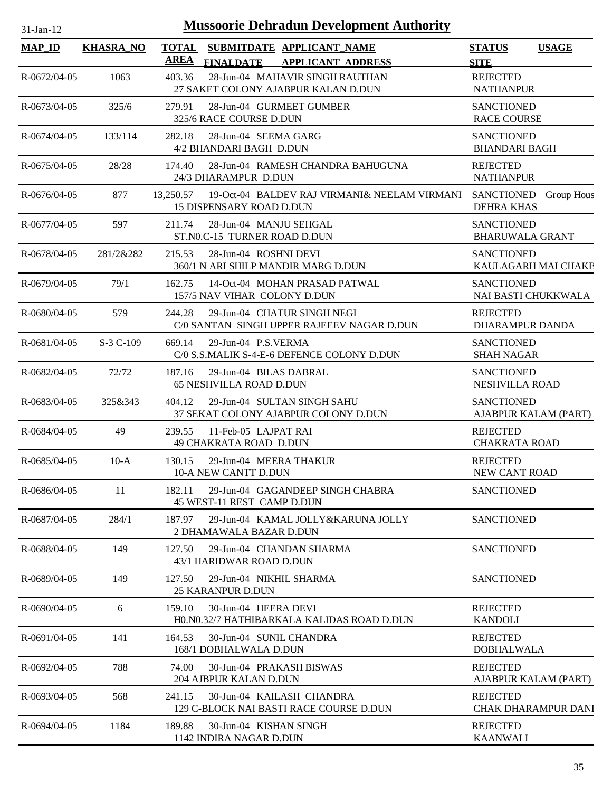| $31-Jan-12$        | <b>Mussoorie Dehradun Development Authority</b> |                             |                                                          |                                                                           |                                             |                            |  |  |  |
|--------------------|-------------------------------------------------|-----------------------------|----------------------------------------------------------|---------------------------------------------------------------------------|---------------------------------------------|----------------------------|--|--|--|
| <b>MAP_ID</b>      | <b>KHASRA_NO</b>                                | <b>TOTAL</b><br><b>AREA</b> | <b>FINALDATE</b>                                         | SUBMITDATE APPLICANT_NAME<br><b>APPLICANT ADDRESS</b>                     | <b>STATUS</b><br><b>SITE</b>                | <b>USAGE</b>               |  |  |  |
| R-0672/04-05       | 1063                                            | 403.36                      |                                                          | 28-Jun-04 MAHAVIR SINGH RAUTHAN<br>27 SAKET COLONY AJABPUR KALAN D.DUN    | <b>REJECTED</b><br><b>NATHANPUR</b>         |                            |  |  |  |
| $R - 0673/04 - 05$ | 325/6                                           | 279.91                      | 325/6 RACE COURSE D.DUN                                  | 28-Jun-04 GURMEET GUMBER                                                  | <b>SANCTIONED</b><br><b>RACE COURSE</b>     |                            |  |  |  |
| $R - 0674/04 - 05$ | 133/114                                         | 282.18                      | 28-Jun-04 SEEMA GARG<br>4/2 BHANDARI BAGH D.DUN          |                                                                           | <b>SANCTIONED</b><br><b>BHANDARI BAGH</b>   |                            |  |  |  |
| $R - 0675/04 - 05$ | 28/28                                           | 174.40                      | 24/3 DHARAMPUR D.DUN                                     | 28-Jun-04 RAMESH CHANDRA BAHUGUNA                                         | <b>REJECTED</b><br><b>NATHANPUR</b>         |                            |  |  |  |
| R-0676/04-05       | 877                                             | 13,250.57                   | 15 DISPENSARY ROAD D.DUN                                 | 19-Oct-04 BALDEV RAJ VIRMANI& NEELAM VIRMANI                              | SANCTIONED Group Hous<br>DEHRA KHAS         |                            |  |  |  |
| R-0677/04-05       | 597                                             | 211.74                      | 28-Jun-04 MANJU SEHGAL<br>ST.NO.C-15 TURNER ROAD D.DUN   |                                                                           | <b>SANCTIONED</b><br><b>BHARUWALA GRANT</b> |                            |  |  |  |
| R-0678/04-05       | 281/2&282                                       | 215.53                      | 28-Jun-04 ROSHNI DEVI                                    | 360/1 N ARI SHILP MANDIR MARG D.DUN                                       | <b>SANCTIONED</b>                           | KAULAGARH MAI CHAKE        |  |  |  |
| R-0679/04-05       | 79/1                                            | 162.75                      | 157/5 NAV VIHAR COLONY D.DUN                             | 14-Oct-04 MOHAN PRASAD PATWAL                                             | <b>SANCTIONED</b><br>NAI BASTI CHUKKWALA    |                            |  |  |  |
| $R - 0680/04 - 05$ | 579                                             | 244.28                      |                                                          | 29-Jun-04 CHATUR SINGH NEGI<br>C/0 SANTAN SINGH UPPER RAJEEEV NAGAR D.DUN | <b>REJECTED</b><br>DHARAMPUR DANDA          |                            |  |  |  |
| R-0681/04-05       | S-3 C-109                                       | 669.14                      | 29-Jun-04 P.S.VERMA                                      | C/0 S.S.MALIK S-4-E-6 DEFENCE COLONY D.DUN                                | <b>SANCTIONED</b><br><b>SHAH NAGAR</b>      |                            |  |  |  |
| R-0682/04-05       | 72/72                                           | 187.16                      | 29-Jun-04 BILAS DABRAL<br><b>65 NESHVILLA ROAD D.DUN</b> |                                                                           | <b>SANCTIONED</b><br>NESHVILLA ROAD         |                            |  |  |  |
| R-0683/04-05       | 325&343                                         | 404.12                      |                                                          | 29-Jun-04 SULTAN SINGH SAHU<br>37 SEKAT COLONY AJABPUR COLONY D.DUN       | <b>SANCTIONED</b><br>AJABPUR KALAM (PART)   |                            |  |  |  |
| R-0684/04-05       | 49                                              | 239.55                      | 11-Feb-05 LAJPAT RAI<br><b>49 CHAKRATA ROAD D.DUN</b>    |                                                                           | <b>REJECTED</b><br><b>CHAKRATA ROAD</b>     |                            |  |  |  |
| $R - 0685/04 - 05$ | $10-A$                                          | 130.15                      | 29-Jun-04 MEERA THAKUR<br>10-A NEW CANTT D.DUN           |                                                                           | <b>REJECTED</b><br>NEW CANT ROAD            |                            |  |  |  |
| $R - 0686/04 - 05$ | 11                                              | 182.11                      | 45 WEST-11 REST CAMP D.DUN                               | 29-Jun-04 GAGANDEEP SINGH CHABRA                                          | <b>SANCTIONED</b>                           |                            |  |  |  |
| R-0687/04-05       | 284/1                                           | 187.97                      | 2 DHAMAWALA BAZAR D.DUN                                  | 29-Jun-04 KAMAL JOLLY&KARUNA JOLLY                                        | <b>SANCTIONED</b>                           |                            |  |  |  |
| R-0688/04-05       | 149                                             | 127.50                      | 43/1 HARIDWAR ROAD D.DUN                                 | 29-Jun-04 CHANDAN SHARMA                                                  | <b>SANCTIONED</b>                           |                            |  |  |  |
| R-0689/04-05       | 149                                             | 127.50                      | 29-Jun-04 NIKHIL SHARMA<br><b>25 KARANPUR D.DUN</b>      |                                                                           | <b>SANCTIONED</b>                           |                            |  |  |  |
| $R - 0690/04 - 05$ | 6                                               | 159.10                      | 30-Jun-04 HEERA DEVI                                     | HO.NO.32/7 HATHIBARKALA KALIDAS ROAD D.DUN                                | <b>REJECTED</b><br><b>KANDOLI</b>           |                            |  |  |  |
| $R-0691/04-05$     | 141                                             | 164.53                      | 30-Jun-04 SUNIL CHANDRA<br>168/1 DOBHALWALA D.DUN        |                                                                           | <b>REJECTED</b><br><b>DOBHALWALA</b>        |                            |  |  |  |
| R-0692/04-05       | 788                                             | 74.00                       | 30-Jun-04 PRAKASH BISWAS<br>204 AJBPUR KALAN D.DUN       |                                                                           | <b>REJECTED</b><br>AJABPUR KALAM (PART)     |                            |  |  |  |
| R-0693/04-05       | 568                                             | 241.15                      |                                                          | 30-Jun-04 KAILASH CHANDRA<br>129 C-BLOCK NAI BASTI RACE COURSE D.DUN      | <b>REJECTED</b>                             | <b>CHAK DHARAMPUR DANI</b> |  |  |  |
| R-0694/04-05       | 1184                                            | 189.88                      | 30-Jun-04 KISHAN SINGH<br>1142 INDIRA NAGAR D.DUN        |                                                                           | <b>REJECTED</b><br><b>KAANWALI</b>          |                            |  |  |  |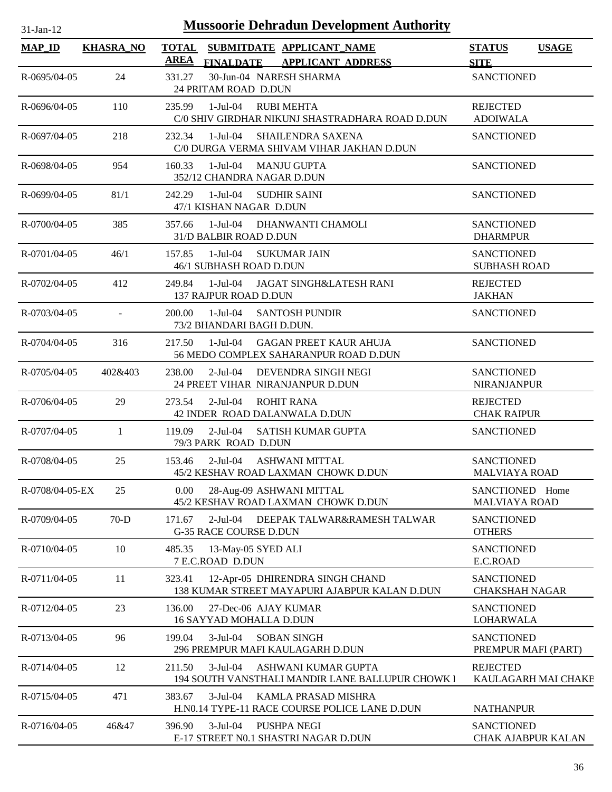| $31$ -Jan-12       | <b>Mussoorie Dehradun Development Authority</b> |              |                                                 |                                                                                  |                                            |                     |  |  |  |  |
|--------------------|-------------------------------------------------|--------------|-------------------------------------------------|----------------------------------------------------------------------------------|--------------------------------------------|---------------------|--|--|--|--|
| <b>MAP_ID</b>      | <b>KHASRA_NO</b>                                | <b>TOTAL</b> |                                                 | SUBMITDATE APPLICANT_NAME                                                        | <b>STATUS</b>                              | <b>USAGE</b>        |  |  |  |  |
|                    |                                                 | <b>AREA</b>  | <b>FINALDATE</b>                                | <b>APPLICANT ADDRESS</b>                                                         | <b>SITE</b>                                |                     |  |  |  |  |
| $R - 0695/04 - 05$ | 24                                              | 331.27       | 24 PRITAM ROAD D.DUN                            | 30-Jun-04 NARESH SHARMA                                                          | <b>SANCTIONED</b>                          |                     |  |  |  |  |
| $R - 0696/04 - 05$ | 110                                             | 235.99       | $1-Jul-04$                                      | <b>RUBI MEHTA</b><br>C/0 SHIV GIRDHAR NIKUNJ SHASTRADHARA ROAD D.DUN             | <b>REJECTED</b><br><b>ADOIWALA</b>         |                     |  |  |  |  |
| R-0697/04-05       | 218                                             | 232.34       | 1-Jul-04                                        | <b>SHAILENDRA SAXENA</b><br>C/0 DURGA VERMA SHIVAM VIHAR JAKHAN D.DUN            | <b>SANCTIONED</b>                          |                     |  |  |  |  |
| R-0698/04-05       | 954                                             | 160.33       | 1-Jul-04<br>352/12 CHANDRA NAGAR D.DUN          | <b>MANJU GUPTA</b>                                                               | <b>SANCTIONED</b>                          |                     |  |  |  |  |
| R-0699/04-05       | 81/1                                            | 242.29       | $1-Jul-04$<br>47/1 KISHAN NAGAR D.DUN           | <b>SUDHIR SAINI</b>                                                              | <b>SANCTIONED</b>                          |                     |  |  |  |  |
| R-0700/04-05       | 385                                             | 357.66       | 31/D BALBIR ROAD D.DUN                          | 1-Jul-04 DHANWANTI CHAMOLI                                                       | <b>SANCTIONED</b><br><b>DHARMPUR</b>       |                     |  |  |  |  |
| $R - 0701/04 - 05$ | 46/1                                            | 157.85       | 1-Jul-04<br>46/1 SUBHASH ROAD D.DUN             | <b>SUKUMAR JAIN</b>                                                              | <b>SANCTIONED</b><br><b>SUBHASH ROAD</b>   |                     |  |  |  |  |
| R-0702/04-05       | 412                                             | 249.84       | 137 RAJPUR ROAD D.DUN                           | 1-Jul-04 JAGAT SINGH&LATESH RANI                                                 | <b>REJECTED</b><br><b>JAKHAN</b>           |                     |  |  |  |  |
| R-0703/04-05       |                                                 | 200.00       | 1-Jul-04<br>73/2 BHANDARI BAGH D.DUN.           | <b>SANTOSH PUNDIR</b>                                                            | <b>SANCTIONED</b>                          |                     |  |  |  |  |
| R-0704/04-05       | 316                                             | 217.50       | $1-Jul-04$                                      | <b>GAGAN PREET KAUR AHUJA</b><br>56 MEDO COMPLEX SAHARANPUR ROAD D.DUN           | <b>SANCTIONED</b>                          |                     |  |  |  |  |
| $R - 0705/04 - 05$ | 402&403                                         | 238.00       | $2-Jul-04$                                      | DEVENDRA SINGH NEGI<br>24 PREET VIHAR NIRANJANPUR D.DUN                          | <b>SANCTIONED</b><br><b>NIRANJANPUR</b>    |                     |  |  |  |  |
| R-0706/04-05       | 29                                              | 273.54       | $2-Jul-04$                                      | <b>ROHIT RANA</b><br>42 INDER ROAD DALANWALA D.DUN                               | <b>REJECTED</b><br><b>CHAK RAIPUR</b>      |                     |  |  |  |  |
| R-0707/04-05       | 1                                               | 119.09       | $2-Jul-04$<br>79/3 PARK ROAD D.DUN              | <b>SATISH KUMAR GUPTA</b>                                                        | <b>SANCTIONED</b>                          |                     |  |  |  |  |
| R-0708/04-05       | 25                                              | 153.46       | 2-Jul-04                                        | <b>ASHWANI MITTAL</b><br>45/2 KESHAV ROAD LAXMAN CHOWK D.DUN                     | <b>SANCTIONED</b><br><b>MALVIAYA ROAD</b>  |                     |  |  |  |  |
| R-0708/04-05-EX    | 25                                              | 0.00         |                                                 | 28-Aug-09 ASHWANI MITTAL<br>45/2 KESHAV ROAD LAXMAN CHOWK D.DUN                  | SANCTIONED Home<br><b>MALVIAYA ROAD</b>    |                     |  |  |  |  |
| R-0709/04-05       | $70-D$                                          | 171.67       | <b>G-35 RACE COURSE D.DUN</b>                   | 2-Jul-04 DEEPAK TALWAR&RAMESH TALWAR                                             | <b>SANCTIONED</b><br><b>OTHERS</b>         |                     |  |  |  |  |
| R-0710/04-05       | 10                                              | 485.35       | 13-May-05 SYED ALI<br>7 E.C.ROAD D.DUN          |                                                                                  | <b>SANCTIONED</b><br>E.C.ROAD              |                     |  |  |  |  |
| R-0711/04-05       | 11                                              | 323.41       |                                                 | 12-Apr-05 DHIRENDRA SINGH CHAND<br>138 KUMAR STREET MAYAPURI AJABPUR KALAN D.DUN | <b>SANCTIONED</b><br><b>CHAKSHAH NAGAR</b> |                     |  |  |  |  |
| R-0712/04-05       | 23                                              | 136.00       | 27-Dec-06 AJAY KUMAR<br>16 SAYYAD MOHALLA D.DUN |                                                                                  | <b>SANCTIONED</b><br><b>LOHARWALA</b>      |                     |  |  |  |  |
| R-0713/04-05       | 96                                              | 199.04       | $3-Jul-04$                                      | <b>SOBAN SINGH</b><br>296 PREMPUR MAFI KAULAGARH D.DUN                           | <b>SANCTIONED</b><br>PREMPUR MAFI (PART)   |                     |  |  |  |  |
| R-0714/04-05       | 12                                              | 211.50       | $3-Jul-04$                                      | ASHWANI KUMAR GUPTA<br>194 SOUTH VANSTHALI MANDIR LANE BALLUPUR CHOWK I          | <b>REJECTED</b>                            | KAULAGARH MAI CHAKE |  |  |  |  |
| R-0715/04-05       | 471                                             | 383.67       | $3-Jul-04$                                      | KAMLA PRASAD MISHRA<br>H.NO.14 TYPE-11 RACE COURSE POLICE LANE D.DUN             | <b>NATHANPUR</b>                           |                     |  |  |  |  |
| R-0716/04-05       | 46&47                                           | 396.90       | $3-Jul-04$                                      | PUSHPA NEGI<br>E-17 STREET N0.1 SHASTRI NAGAR D.DUN                              | <b>SANCTIONED</b>                          | CHAK AJABPUR KALAN  |  |  |  |  |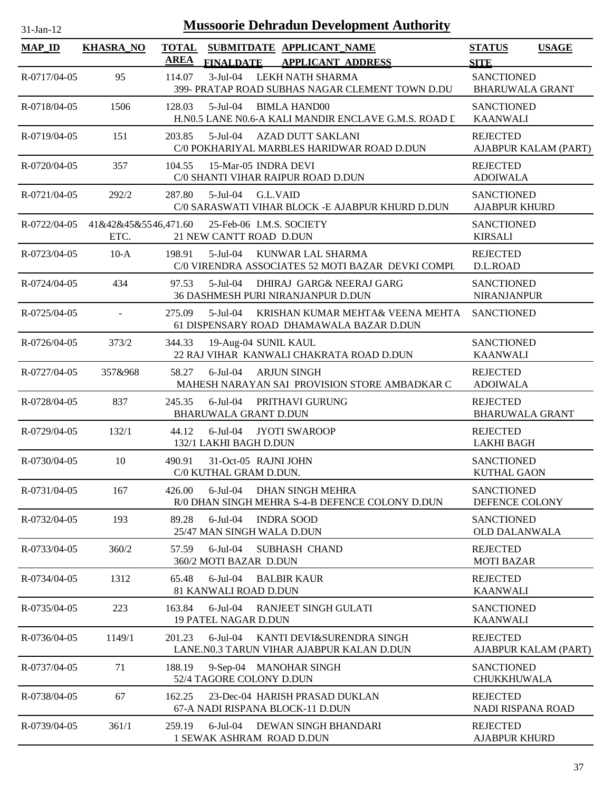| $31-Jan-12$   |                              |                             |                                                |          | <b>Mussoorie Dehradun Development Authority</b>                               |                                             |                      |
|---------------|------------------------------|-----------------------------|------------------------------------------------|----------|-------------------------------------------------------------------------------|---------------------------------------------|----------------------|
| <b>MAP_ID</b> | <b>KHASRA_NO</b>             | <b>TOTAL</b><br><b>AREA</b> | <b>FINALDATE</b>                               |          | SUBMITDATE APPLICANT_NAME<br><b>APPLICANT ADDRESS</b>                         | <b>STATUS</b><br><b>SITE</b>                | <b>USAGE</b>         |
| R-0717/04-05  | 95                           | 114.07                      | $3-Jul-04$                                     |          | LEKH NATH SHARMA<br>399- PRATAP ROAD SUBHAS NAGAR CLEMENT TOWN D.DU           | <b>SANCTIONED</b><br><b>BHARUWALA GRANT</b> |                      |
| R-0718/04-05  | 1506                         | 128.03                      |                                                |          | 5-Jul-04 BIMLA HAND00<br>H.N0.5 LANE N0.6-A KALI MANDIR ENCLAVE G.M.S. ROAD L | <b>SANCTIONED</b><br><b>KAANWALI</b>        |                      |
| R-0719/04-05  | 151                          | 203.85                      | $5$ -Jul-04                                    |          | AZAD DUTT SAKLANI<br>C/0 POKHARIYAL MARBLES HARIDWAR ROAD D.DUN               | <b>REJECTED</b>                             | AJABPUR KALAM (PART) |
| R-0720/04-05  | 357                          | 104.55                      | 15-Mar-05 INDRA DEVI                           |          | C/0 SHANTI VIHAR RAIPUR ROAD D.DUN                                            | <b>REJECTED</b><br><b>ADOIWALA</b>          |                      |
| R-0721/04-05  | 292/2                        | 287.80                      | $5$ -Jul $-04$                                 | G.L.VAID | C/0 SARASWATI VIHAR BLOCK -E AJABPUR KHURD D.DUN                              | <b>SANCTIONED</b><br><b>AJABPUR KHURD</b>   |                      |
| R-0722/04-05  | 41&42&45&5546,471.60<br>ETC. |                             | 21 NEW CANTT ROAD D.DUN                        |          | 25-Feb-06 I.M.S. SOCIETY                                                      | <b>SANCTIONED</b><br><b>KIRSALI</b>         |                      |
| R-0723/04-05  | $10-A$                       | 198.91                      | $5$ -Jul $-04$                                 |          | KUNWAR LAL SHARMA<br>C/0 VIRENDRA ASSOCIATES 52 MOTI BAZAR DEVKI COMPL        | <b>REJECTED</b><br>D.L.ROAD                 |                      |
| R-0724/04-05  | 434                          | 97.53                       | 5-Jul-04                                       |          | DHIRAJ GARG& NEERAJ GARG<br>36 DASHMESH PURI NIRANJANPUR D.DUN                | <b>SANCTIONED</b><br><b>NIRANJANPUR</b>     |                      |
| R-0725/04-05  | $\blacksquare$               | 275.09                      | $5$ -Jul-04                                    |          | KRISHAN KUMAR MEHTA& VEENA MEHTA<br>61 DISPENSARY ROAD DHAMAWALA BAZAR D.DUN  | <b>SANCTIONED</b>                           |                      |
| R-0726/04-05  | 373/2                        | 344.33                      | 19-Aug-04 SUNIL KAUL                           |          | 22 RAJ VIHAR KANWALI CHAKRATA ROAD D.DUN                                      | <b>SANCTIONED</b><br><b>KAANWALI</b>        |                      |
| R-0727/04-05  | 357&968                      | 58.27                       | $6$ -Jul-04                                    |          | <b>ARJUN SINGH</b><br>MAHESH NARAYAN SAI PROVISION STORE AMBADKAR C           | <b>REJECTED</b><br><b>ADOIWALA</b>          |                      |
| R-0728/04-05  | 837                          | 245.35                      | $6$ -Jul-04<br><b>BHARUWALA GRANT D.DUN</b>    |          | PRITHAVI GURUNG                                                               | <b>REJECTED</b><br><b>BHARUWALA GRANT</b>   |                      |
| R-0729/04-05  | 132/1                        | 44.12                       | $6$ -Jul-04<br>132/1 LAKHI BAGH D.DUN          |          | <b>JYOTI SWAROOP</b>                                                          | <b>REJECTED</b><br><b>LAKHI BAGH</b>        |                      |
| R-0730/04-05  | 10                           | 490.91                      | 31-Oct-05 RAJNI JOHN<br>C/0 KUTHAL GRAM D.DUN. |          |                                                                               | <b>SANCTIONED</b><br><b>KUTHAL GAON</b>     |                      |
| R-0731/04-05  | 167                          | 426.00                      | $6$ -Jul-04                                    |          | DHAN SINGH MEHRA<br>R/0 DHAN SINGH MEHRA S-4-B DEFENCE COLONY D.DUN           | <b>SANCTIONED</b><br>DEFENCE COLONY         |                      |
| R-0732/04-05  | 193                          | 89.28                       | $6$ -Jul-04<br>25/47 MAN SINGH WALA D.DUN      |          | <b>INDRA SOOD</b>                                                             | <b>SANCTIONED</b><br><b>OLD DALANWALA</b>   |                      |
| R-0733/04-05  | 360/2                        | 57.59                       | $6$ -Jul-04<br>360/2 MOTI BAZAR D.DUN          |          | SUBHASH CHAND                                                                 | <b>REJECTED</b><br><b>MOTI BAZAR</b>        |                      |
| R-0734/04-05  | 1312                         | 65.48                       | $6$ -Jul-04<br>81 KANWALI ROAD D.DUN           |          | <b>BALBIR KAUR</b>                                                            | <b>REJECTED</b><br><b>KAANWALI</b>          |                      |
| R-0735/04-05  | 223                          | 163.84                      | $6$ -Jul-04<br>19 PATEL NAGAR D.DUN            |          | RANJEET SINGH GULATI                                                          | <b>SANCTIONED</b><br><b>KAANWALI</b>        |                      |
| R-0736/04-05  | 1149/1                       | 201.23                      | $6$ -Jul-04                                    |          | KANTI DEVI&SURENDRA SINGH<br>LANE.N0.3 TARUN VIHAR AJABPUR KALAN D.DUN        | <b>REJECTED</b>                             | AJABPUR KALAM (PART) |
| R-0737/04-05  | 71                           | 188.19                      | 52/4 TAGORE COLONY D.DUN                       |          | 9-Sep-04 MANOHAR SINGH                                                        | <b>SANCTIONED</b><br>CHUKKHUWALA            |                      |
| R-0738/04-05  | 67                           | 162.25                      |                                                |          | 23-Dec-04 HARISH PRASAD DUKLAN<br>67-A NADI RISPANA BLOCK-11 D.DUN            | <b>REJECTED</b><br>NADI RISPANA ROAD        |                      |
| R-0739/04-05  | 361/1                        | 259.19                      | $6$ -Jul-04<br>1 SEWAK ASHRAM ROAD D.DUN       |          | DEWAN SINGH BHANDARI                                                          | <b>REJECTED</b><br><b>AJABPUR KHURD</b>     |                      |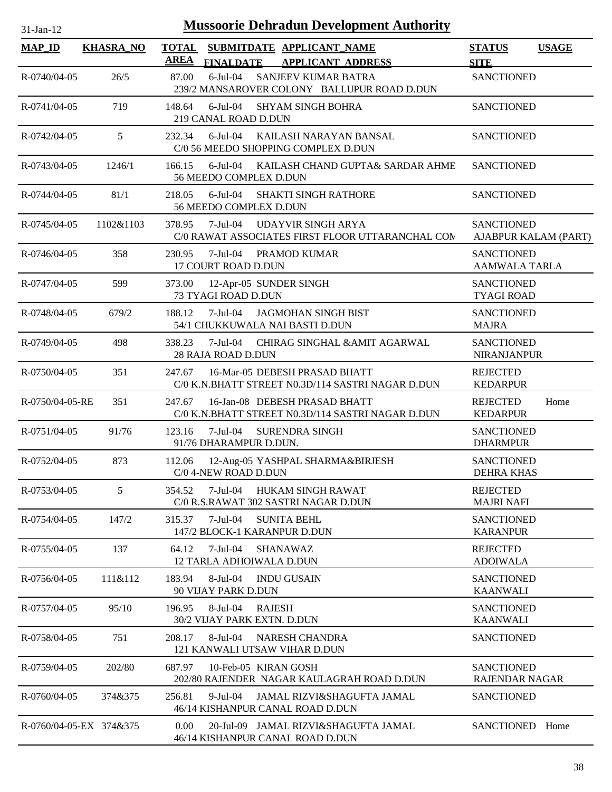| <b>Mussoorie Dehradun Development Authority</b><br>$31-Jan-12$ |                  |             |                                                                                    |                                            |              |  |  |
|----------------------------------------------------------------|------------------|-------------|------------------------------------------------------------------------------------|--------------------------------------------|--------------|--|--|
| <b>MAP_ID</b>                                                  | <b>KHASRA_NO</b> |             | TOTAL SUBMITDATE APPLICANT NAME                                                    | <b>STATUS</b>                              | <b>USAGE</b> |  |  |
|                                                                |                  | <b>AREA</b> | <b>FINALDATE</b><br><b>APPLICANT ADDRESS</b>                                       | <b>SITE</b>                                |              |  |  |
| R-0740/04-05                                                   | 26/5             | 87.00       | $6$ -Jul-04<br>SANJEEV KUMAR BATRA<br>239/2 MANSAROVER COLONY BALLUPUR ROAD D.DUN  | <b>SANCTIONED</b>                          |              |  |  |
| R-0741/04-05                                                   | 719              | 148.64      | $6$ -Jul-04<br><b>SHYAM SINGH BOHRA</b><br>219 CANAL ROAD D.DUN                    | <b>SANCTIONED</b>                          |              |  |  |
| R-0742/04-05                                                   | 5                | 232.34      | $6$ -Jul-04<br>KAILASH NARAYAN BANSAL<br>C/0 56 MEEDO SHOPPING COMPLEX D.DUN       | <b>SANCTIONED</b>                          |              |  |  |
| R-0743/04-05                                                   | 1246/1           | 166.15      | $6$ -Jul-04<br>KAILASH CHAND GUPTA& SARDAR AHME<br>56 MEEDO COMPLEX D.DUN          | <b>SANCTIONED</b>                          |              |  |  |
| R-0744/04-05                                                   | 81/1             | 218.05      | $6$ -Jul-04<br><b>SHAKTI SINGH RATHORE</b><br>56 MEEDO COMPLEX D.DUN               | <b>SANCTIONED</b>                          |              |  |  |
| R-0745/04-05                                                   | 1102&1103        | 378.95      | 7-Jul-04<br>UDAYVIR SINGH ARYA<br>C/0 RAWAT ASSOCIATES FIRST FLOOR UTTARANCHAL COM | <b>SANCTIONED</b><br>AJABPUR KALAM (PART)  |              |  |  |
| R-0746/04-05                                                   | 358              | 230.95      | 7-Jul-04 PRAMOD KUMAR<br>17 COURT ROAD D.DUN                                       | <b>SANCTIONED</b><br><b>AAMWALA TARLA</b>  |              |  |  |
| R-0747/04-05                                                   | 599              | 373.00      | 12-Apr-05 SUNDER SINGH<br>73 TYAGI ROAD D.DUN                                      | <b>SANCTIONED</b><br><b>TYAGI ROAD</b>     |              |  |  |
| R-0748/04-05                                                   | 679/2            | 188.12      | 7-Jul-04 JAGMOHAN SINGH BIST<br>54/1 CHUKKUWALA NAI BASTI D.DUN                    | <b>SANCTIONED</b><br><b>MAJRA</b>          |              |  |  |
| R-0749/04-05                                                   | 498              | 338.23      | 7-Jul-04 CHIRAG SINGHAL & AMIT AGARWAL<br>28 RAJA ROAD D.DUN                       | <b>SANCTIONED</b><br><b>NIRANJANPUR</b>    |              |  |  |
| R-0750/04-05                                                   | 351              | 247.67      | 16-Mar-05 DEBESH PRASAD BHATT<br>C/0 K.N.BHATT STREET N0.3D/114 SASTRI NAGAR D.DUN | <b>REJECTED</b><br><b>KEDARPUR</b>         |              |  |  |
| R-0750/04-05-RE                                                | 351              | 247.67      | 16-Jan-08 DEBESH PRASAD BHATT<br>C/0 K.N.BHATT STREET N0.3D/114 SASTRI NAGAR D.DUN | <b>REJECTED</b><br><b>KEDARPUR</b>         | Home         |  |  |
| $R - 0751/04 - 05$                                             | 91/76            | 123.16      | 7-Jul-04<br><b>SURENDRA SINGH</b><br>91/76 DHARAMPUR D.DUN.                        | <b>SANCTIONED</b><br><b>DHARMPUR</b>       |              |  |  |
| R-0752/04-05                                                   | 873              | 112.06      | 12-Aug-05 YASHPAL SHARMA&BIRJESH<br>C/0 4-NEW ROAD D.DUN                           | <b>SANCTIONED</b><br><b>DEHRA KHAS</b>     |              |  |  |
| R-0753/04-05                                                   | 5                | 354.52      | 7-Jul-04<br>HUKAM SINGH RAWAT<br>C/0 R.S.RAWAT 302 SASTRI NAGAR D.DUN              | <b>REJECTED</b><br><b>MAJRI NAFI</b>       |              |  |  |
| R-0754/04-05                                                   | 147/2            | 315.37      | $7$ -Jul-04<br><b>SUNITA BEHL</b><br>147/2 BLOCK-1 KARANPUR D.DUN                  | <b>SANCTIONED</b><br><b>KARANPUR</b>       |              |  |  |
| R-0755/04-05                                                   | 137              | 64.12       | 7-Jul-04<br>SHANAWAZ<br>12 TARLA ADHOIWALA D.DUN                                   | <b>REJECTED</b><br><b>ADOIWALA</b>         |              |  |  |
| R-0756/04-05                                                   | 111&112          | 183.94      | 8-Jul-04<br><b>INDU GUSAIN</b><br>90 VIJAY PARK D.DUN                              | <b>SANCTIONED</b><br><b>KAANWALI</b>       |              |  |  |
| R-0757/04-05                                                   | 95/10            | 196.95      | 8-Jul-04<br><b>RAJESH</b><br>30/2 VIJAY PARK EXTN. D.DUN                           | <b>SANCTIONED</b><br><b>KAANWALI</b>       |              |  |  |
| R-0758/04-05                                                   | 751              | 208.17      | 8-Jul-04<br>NARESH CHANDRA<br>121 KANWALI UTSAW VIHAR D.DUN                        | <b>SANCTIONED</b>                          |              |  |  |
| R-0759/04-05                                                   | 202/80           | 687.97      | 10-Feb-05 KIRAN GOSH<br>202/80 RAJENDER NAGAR KAULAGRAH ROAD D.DUN                 | <b>SANCTIONED</b><br><b>RAJENDAR NAGAR</b> |              |  |  |
| $R - 0760/04 - 05$                                             | 374&375          | 256.81      | $9$ -Jul-04<br>JAMAL RIZVI&SHAGUFTA JAMAL<br>46/14 KISHANPUR CANAL ROAD D.DUN      | <b>SANCTIONED</b>                          |              |  |  |
| R-0760/04-05-EX 374&375                                        |                  | 0.00        | 20-Jul-09 JAMAL RIZVI&SHAGUFTA JAMAL<br>46/14 KISHANPUR CANAL ROAD D.DUN           | SANCTIONED Home                            |              |  |  |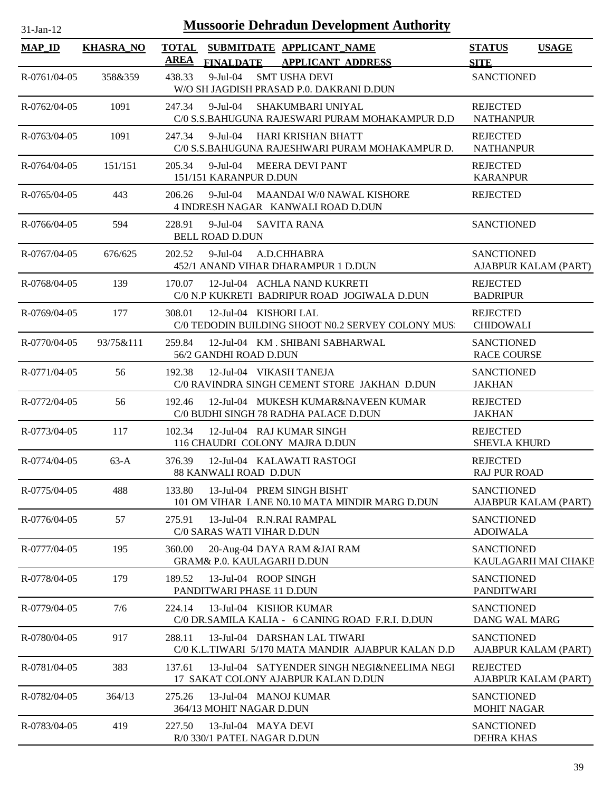| <b>Mussoorie Dehradun Development Authority</b><br>$31-Jan-12$ |                  |                             |                                                        |                                                                                    |                                         |                      |  |
|----------------------------------------------------------------|------------------|-----------------------------|--------------------------------------------------------|------------------------------------------------------------------------------------|-----------------------------------------|----------------------|--|
| <b>MAP_ID</b>                                                  | <b>KHASRA_NO</b> | <b>TOTAL</b><br><b>AREA</b> | <b>FINALDATE</b>                                       | SUBMITDATE APPLICANT_NAME<br><b>APPLICANT ADDRESS</b>                              | <b>STATUS</b><br><b>SITE</b>            | <b>USAGE</b>         |  |
| R-0761/04-05                                                   | 358&359          | 438.33                      | $9-Jul-04$                                             | <b>SMT USHA DEVI</b><br>W/O SH JAGDISH PRASAD P.0. DAKRANI D.DUN                   | <b>SANCTIONED</b>                       |                      |  |
| R-0762/04-05                                                   | 1091             | 247.34                      | 9-Jul-04                                               | SHAKUMBARI UNIYAL<br>C/0 S.S.BAHUGUNA RAJESWARI PURAM MOHAKAMPUR D.D               | <b>REJECTED</b><br><b>NATHANPUR</b>     |                      |  |
| R-0763/04-05                                                   | 1091             | 247.34                      | $9-Jul-04$                                             | <b>HARI KRISHAN BHATT</b><br>C/0 S.S.BAHUGUNA RAJESHWARI PURAM MOHAKAMPUR D.       | <b>REJECTED</b><br><b>NATHANPUR</b>     |                      |  |
| R-0764/04-05                                                   | 151/151          | 205.34                      | 9-Jul-04 MEERA DEVI PANT<br>151/151 KARANPUR D.DUN     |                                                                                    | <b>REJECTED</b><br><b>KARANPUR</b>      |                      |  |
| R-0765/04-05                                                   | 443              | 206.26                      | 9-Jul-04                                               | <b>MAANDAI W/0 NAWAL KISHORE</b><br>4 INDRESH NAGAR KANWALI ROAD D.DUN             | <b>REJECTED</b>                         |                      |  |
| R-0766/04-05                                                   | 594              | 228.91                      | 9-Jul-04<br><b>BELL ROAD D.DUN</b>                     | <b>SAVITA RANA</b>                                                                 | <b>SANCTIONED</b>                       |                      |  |
| R-0767/04-05                                                   | 676/625          | 202.52                      | 9-Jul-04                                               | A.D.CHHABRA<br>452/1 ANAND VIHAR DHARAMPUR 1 D.DUN                                 | <b>SANCTIONED</b>                       | AJABPUR KALAM (PART) |  |
| R-0768/04-05                                                   | 139              | 170.07                      |                                                        | 12-Jul-04 ACHLA NAND KUKRETI<br>C/0 N.P KUKRETI BADRIPUR ROAD JOGIWALA D.DUN       | <b>REJECTED</b><br><b>BADRIPUR</b>      |                      |  |
| R-0769/04-05                                                   | 177              | 308.01                      | 12-Jul-04 KISHORI LAL                                  | C/0 TEDODIN BUILDING SHOOT N0.2 SERVEY COLONY MUS.                                 | <b>REJECTED</b><br><b>CHIDOWALI</b>     |                      |  |
| R-0770/04-05                                                   | 93/75&111        | 259.84                      | 56/2 GANDHI ROAD D.DUN                                 | 12-Jul-04 KM. SHIBANI SABHARWAL                                                    | <b>SANCTIONED</b><br><b>RACE COURSE</b> |                      |  |
| R-0771/04-05                                                   | 56               | 192.38                      | 12-Jul-04 VIKASH TANEJA                                | C/0 RAVINDRA SINGH CEMENT STORE JAKHAN D.DUN                                       | <b>SANCTIONED</b><br><b>JAKHAN</b>      |                      |  |
| R-0772/04-05                                                   | 56               | 192.46                      |                                                        | 12-Jul-04 MUKESH KUMAR&NAVEEN KUMAR<br>C/0 BUDHI SINGH 78 RADHA PALACE D.DUN       | <b>REJECTED</b><br><b>JAKHAN</b>        |                      |  |
| R-0773/04-05                                                   | 117              | 102.34                      | 12-Jul-04 RAJ KUMAR SINGH                              | 116 CHAUDRI COLONY MAJRA D.DUN                                                     | <b>REJECTED</b><br><b>SHEVLA KHURD</b>  |                      |  |
| R-0774/04-05                                                   | $63-A$           | 376.39                      | 88 KANWALI ROAD D.DUN                                  | 12-Jul-04 KALAWATI RASTOGI                                                         | <b>REJECTED</b><br><b>RAJ PUR ROAD</b>  |                      |  |
| R-0775/04-05                                                   | 488              | 133.80                      |                                                        | 13-Jul-04 PREM SINGH BISHT<br>101 OM VIHAR LANE N0.10 MATA MINDIR MARG D.DUN       | <b>SANCTIONED</b>                       | AJABPUR KALAM (PART) |  |
| R-0776/04-05                                                   | 57               | 275.91                      | 13-Jul-04 R.N.RAI RAMPAL<br>C/0 SARAS WATI VIHAR D.DUN |                                                                                    | <b>SANCTIONED</b><br><b>ADOIWALA</b>    |                      |  |
| R-0777/04-05                                                   | 195              | 360.00                      | <b>GRAM&amp; P.0. KAULAGARH D.DUN</b>                  | 20-Aug-04 DAYA RAM &JAI RAM                                                        | <b>SANCTIONED</b>                       | KAULAGARH MAI CHAKE  |  |
| R-0778/04-05                                                   | 179              | 189.52                      | 13-Jul-04 ROOP SINGH<br>PANDITWARI PHASE 11 D.DUN      |                                                                                    | <b>SANCTIONED</b><br><b>PANDITWARI</b>  |                      |  |
| R-0779/04-05                                                   | 7/6              | 224.14                      | 13-Jul-04 KISHOR KUMAR                                 | C/0 DR.SAMILA KALIA - 6 CANING ROAD F.R.I. D.DUN                                   | <b>SANCTIONED</b><br>DANG WAL MARG      |                      |  |
| R-0780/04-05                                                   | 917              | 288.11                      |                                                        | 13-Jul-04 DARSHAN LAL TIWARI<br>C/0 K.L.TIWARI 5/170 MATA MANDIR AJABPUR KALAN D.D | <b>SANCTIONED</b>                       | AJABPUR KALAM (PART) |  |
| R-0781/04-05                                                   | 383              | 137.61                      |                                                        | 13-Jul-04 SATYENDER SINGH NEGI&NEELIMA NEGI<br>17 SAKAT COLONY AJABPUR KALAN D.DUN | <b>REJECTED</b>                         | AJABPUR KALAM (PART) |  |
| R-0782/04-05                                                   | 364/13           | 275.26                      | 13-Jul-04 MANOJ KUMAR<br>364/13 MOHIT NAGAR D.DUN      |                                                                                    | <b>SANCTIONED</b><br><b>MOHIT NAGAR</b> |                      |  |
| R-0783/04-05                                                   | 419              | 227.50                      | 13-Jul-04 MAYA DEVI<br>R/0 330/1 PATEL NAGAR D.DUN     |                                                                                    | <b>SANCTIONED</b><br><b>DEHRA KHAS</b>  |                      |  |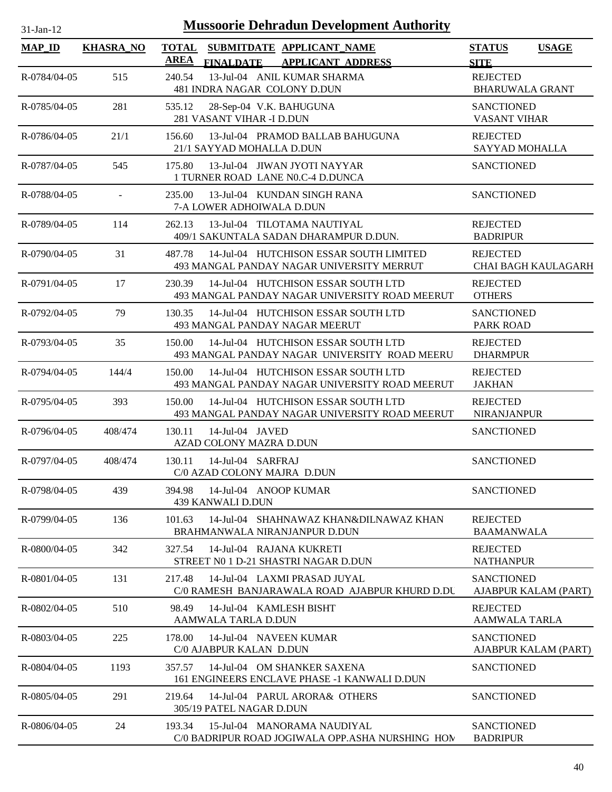| <b>Mussoorie Dehradun Development Authority</b><br>$31-Jan-12$ |                  |                                                                                                 |                                              |  |  |  |
|----------------------------------------------------------------|------------------|-------------------------------------------------------------------------------------------------|----------------------------------------------|--|--|--|
| <b>MAP_ID</b>                                                  | <b>KHASRA_NO</b> | <b>TOTAL</b><br>SUBMITDATE APPLICANT_NAME<br><b>AREA</b><br><b>FINALDATE APPLICANT ADDRESS</b>  | <b>STATUS</b><br><b>USAGE</b><br><b>SITE</b> |  |  |  |
| R-0784/04-05                                                   | 515              | 13-Jul-04 ANIL KUMAR SHARMA<br>240.54<br>481 INDRA NAGAR COLONY D.DUN                           | <b>REJECTED</b><br><b>BHARUWALA GRANT</b>    |  |  |  |
| R-0785/04-05                                                   | 281              | 535.12<br>28-Sep-04 V.K. BAHUGUNA<br>281 VASANT VIHAR -I D.DUN                                  | <b>SANCTIONED</b><br><b>VASANT VIHAR</b>     |  |  |  |
| R-0786/04-05                                                   | 21/1             | 13-Jul-04 PRAMOD BALLAB BAHUGUNA<br>156.60<br>21/1 SAYYAD MOHALLA D.DUN                         | <b>REJECTED</b><br>SAYYAD MOHALLA            |  |  |  |
| R-0787/04-05                                                   | 545              | 13-Jul-04 JIWAN JYOTI NAYYAR<br>175.80<br>1 TURNER ROAD LANE N0.C-4 D.DUNCA                     | <b>SANCTIONED</b>                            |  |  |  |
| R-0788/04-05                                                   | $\blacksquare$   | 13-Jul-04 KUNDAN SINGH RANA<br>235.00<br>7-A LOWER ADHOIWALA D.DUN                              | <b>SANCTIONED</b>                            |  |  |  |
| R-0789/04-05                                                   | 114              | 13-Jul-04 TILOTAMA NAUTIYAL<br>262.13<br>409/1 SAKUNTALA SADAN DHARAMPUR D.DUN.                 | <b>REJECTED</b><br><b>BADRIPUR</b>           |  |  |  |
| R-0790/04-05                                                   | 31               | 14-Jul-04 HUTCHISON ESSAR SOUTH LIMITED<br>487.78<br>493 MANGAL PANDAY NAGAR UNIVERSITY MERRUT  | <b>REJECTED</b><br>CHAI BAGH KAULAGARH       |  |  |  |
| $R-0791/04-05$                                                 | 17               | 14-Jul-04 HUTCHISON ESSAR SOUTH LTD<br>230.39<br>493 MANGAL PANDAY NAGAR UNIVERSITY ROAD MEERUT | <b>REJECTED</b><br><b>OTHERS</b>             |  |  |  |
| R-0792/04-05                                                   | 79               | 14-Jul-04 HUTCHISON ESSAR SOUTH LTD<br>130.35<br>493 MANGAL PANDAY NAGAR MEERUT                 | <b>SANCTIONED</b><br><b>PARK ROAD</b>        |  |  |  |
| R-0793/04-05                                                   | 35               | 14-Jul-04 HUTCHISON ESSAR SOUTH LTD<br>150.00<br>493 MANGAL PANDAY NAGAR UNIVERSITY ROAD MEERU  | <b>REJECTED</b><br><b>DHARMPUR</b>           |  |  |  |
| R-0794/04-05                                                   | 144/4            | 14-Jul-04 HUTCHISON ESSAR SOUTH LTD<br>150.00<br>493 MANGAL PANDAY NAGAR UNIVERSITY ROAD MEERUT | <b>REJECTED</b><br><b>JAKHAN</b>             |  |  |  |
| R-0795/04-05                                                   | 393              | 14-Jul-04 HUTCHISON ESSAR SOUTH LTD<br>150.00<br>493 MANGAL PANDAY NAGAR UNIVERSITY ROAD MEERUT | <b>REJECTED</b><br><b>NIRANJANPUR</b>        |  |  |  |
| R-0796/04-05                                                   | 408/474          | 130.11<br>14-Jul-04 JAVED<br>AZAD COLONY MAZRA D.DUN                                            | <b>SANCTIONED</b>                            |  |  |  |
| R-0797/04-05                                                   | 408/474          | 130.11<br>14-Jul-04 SARFRAJ<br>C/0 AZAD COLONY MAJRA D.DUN                                      | <b>SANCTIONED</b>                            |  |  |  |
| R-0798/04-05                                                   | 439              | 14-Jul-04 ANOOP KUMAR<br>394.98<br>439 KANWALI D.DUN                                            | <b>SANCTIONED</b>                            |  |  |  |
| R-0799/04-05                                                   | 136              | 14-Jul-04 SHAHNAWAZ KHAN&DILNAWAZ KHAN<br>101.63<br>BRAHMANWALA NIRANJANPUR D.DUN               | <b>REJECTED</b><br><b>BAAMANWALA</b>         |  |  |  |
| R-0800/04-05                                                   | 342              | 327.54<br>14-Jul-04 RAJANA KUKRETI<br>STREET NO 1 D-21 SHASTRI NAGAR D.DUN                      | <b>REJECTED</b><br><b>NATHANPUR</b>          |  |  |  |
| R-0801/04-05                                                   | 131              | 217.48<br>14-Jul-04 LAXMI PRASAD JUYAL<br>C/0 RAMESH BANJARAWALA ROAD AJABPUR KHURD D.DU        | <b>SANCTIONED</b><br>AJABPUR KALAM (PART)    |  |  |  |
| R-0802/04-05                                                   | 510              | 98.49<br>14-Jul-04 KAMLESH BISHT<br>AAMWALA TARLA D.DUN                                         | <b>REJECTED</b><br>AAMWALA TARLA             |  |  |  |
| R-0803/04-05                                                   | 225              | 178.00<br>14-Jul-04 NAVEEN KUMAR<br>C/0 AJABPUR KALAN D.DUN                                     | <b>SANCTIONED</b><br>AJABPUR KALAM (PART)    |  |  |  |
| R-0804/04-05                                                   | 1193             | 14-Jul-04 OM SHANKER SAXENA<br>357.57<br>161 ENGINEERS ENCLAVE PHASE -1 KANWALI D.DUN           | <b>SANCTIONED</b>                            |  |  |  |
| R-0805/04-05                                                   | 291              | 219.64<br>14-Jul-04 PARUL ARORA& OTHERS<br>305/19 PATEL NAGAR D.DUN                             | <b>SANCTIONED</b>                            |  |  |  |
| R-0806/04-05                                                   | 24               | 193.34<br>15-Jul-04 MANORAMA NAUDIYAL<br>C/0 BADRIPUR ROAD JOGIWALA OPP.ASHA NURSHING HOM       | <b>SANCTIONED</b><br><b>BADRIPUR</b>         |  |  |  |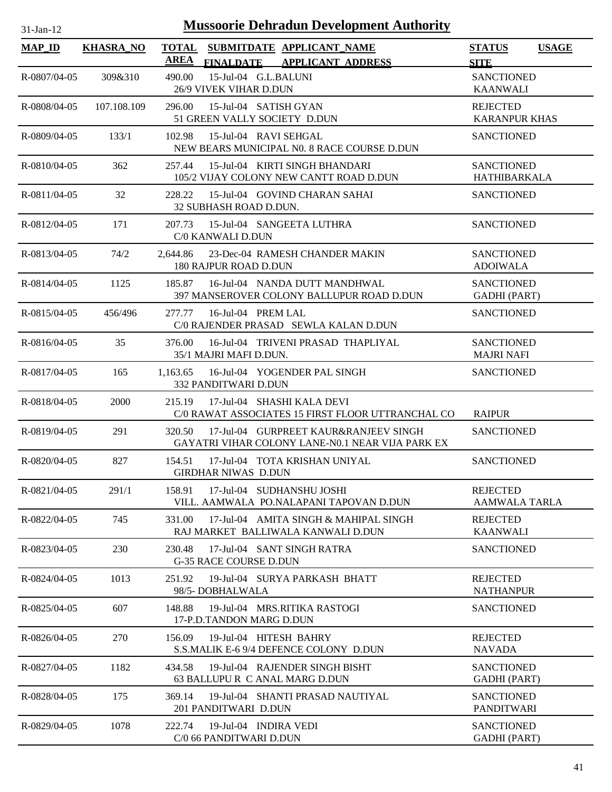| <b>MAP_ID</b>      | <b>KHASRA_NO</b> | <b>TOTAL</b><br>AREA | SUBMITDATE APPLICANT NAME<br><b>APPLICANT ADDRESS</b><br><b>FINALDATE</b>                 | <b>STATUS</b><br><b>SITE</b>             | <b>USAGE</b> |
|--------------------|------------------|----------------------|-------------------------------------------------------------------------------------------|------------------------------------------|--------------|
| R-0807/04-05       | 309&310          | 490.00               | 15-Jul-04 G.L.BALUNI<br>26/9 VIVEK VIHAR D.DUN                                            | <b>SANCTIONED</b><br><b>KAANWALI</b>     |              |
| R-0808/04-05       | 107.108.109      | 296.00               | 15-Jul-04 SATISH GYAN<br>51 GREEN VALLY SOCIETY D.DUN                                     | <b>REJECTED</b><br><b>KARANPUR KHAS</b>  |              |
| $R - 0809/04 - 05$ | 133/1            | 102.98               | 15-Jul-04 RAVI SEHGAL<br>NEW BEARS MUNICIPAL N0. 8 RACE COURSE D.DUN                      | <b>SANCTIONED</b>                        |              |
| R-0810/04-05       | 362              | 257.44               | 15-Jul-04 KIRTI SINGH BHANDARI<br>105/2 VIJAY COLONY NEW CANTT ROAD D.DUN                 | <b>SANCTIONED</b><br>HATHIBARKALA        |              |
| $R-0811/04-05$     | 32               | 228.22               | 15-Jul-04 GOVIND CHARAN SAHAI<br>32 SUBHASH ROAD D.DUN.                                   | <b>SANCTIONED</b>                        |              |
| R-0812/04-05       | 171              | 207.73               | 15-Jul-04 SANGEETA LUTHRA<br>C/0 KANWALI D.DUN                                            | <b>SANCTIONED</b>                        |              |
| R-0813/04-05       | 74/2             | 2,644.86             | 23-Dec-04 RAMESH CHANDER MAKIN<br><b>180 RAJPUR ROAD D.DUN</b>                            | <b>SANCTIONED</b><br><b>ADOIWALA</b>     |              |
| R-0814/04-05       | 1125             | 185.87               | 16-Jul-04 NANDA DUTT MANDHWAL<br>397 MANSEROVER COLONY BALLUPUR ROAD D.DUN                | <b>SANCTIONED</b><br><b>GADHI</b> (PART) |              |
| $R - 0815/04 - 05$ | 456/496          | 277.77               | 16-Jul-04 PREM LAL<br>C/0 RAJENDER PRASAD SEWLA KALAN D.DUN                               | <b>SANCTIONED</b>                        |              |
| R-0816/04-05       | 35               | 376.00               | 16-Jul-04 TRIVENI PRASAD THAPLIYAL<br>35/1 MAJRI MAFI D.DUN.                              | <b>SANCTIONED</b><br><b>MAJRI NAFI</b>   |              |
| R-0817/04-05       | 165              | 1,163.65             | 16-Jul-04 YOGENDER PAL SINGH<br>332 PANDITWARI D.DUN                                      | <b>SANCTIONED</b>                        |              |
| R-0818/04-05       | 2000             | 215.19               | 17-Jul-04 SHASHI KALA DEVI<br>C/0 RAWAT ASSOCIATES 15 FIRST FLOOR UTTRANCHAL CO           | <b>RAIPUR</b>                            |              |
| R-0819/04-05       | 291              | 320.50               | 17-Jul-04 GURPREET KAUR&RANJEEV SINGH<br>GAYATRI VIHAR COLONY LANE-N0.1 NEAR VIJA PARK EX | <b>SANCTIONED</b>                        |              |
| R-0820/04-05       | 827              | 154.51               | 17-Jul-04 TOTA KRISHAN UNIYAL<br><b>GIRDHAR NIWAS D.DUN</b>                               | <b>SANCTIONED</b>                        |              |
| R-0821/04-05       | 291/1            | 158.91               | 17-Jul-04 SUDHANSHU JOSHI<br>VILL. AAMWALA PO.NALAPANI TAPOVAN D.DUN                      | <b>REJECTED</b><br>AAMWALA TARLA         |              |
| R-0822/04-05       | 745              | 331.00               | 17-Jul-04 AMITA SINGH & MAHIPAL SINGH<br>RAJ MARKET BALLIWALA KANWALI D.DUN               | <b>REJECTED</b><br><b>KAANWALI</b>       |              |
| R-0823/04-05       | 230              | 230.48               | 17-Jul-04 SANT SINGH RATRA<br><b>G-35 RACE COURSE D.DUN</b>                               | <b>SANCTIONED</b>                        |              |
| R-0824/04-05       | 1013             | 251.92               | 19-Jul-04 SURYA PARKASH BHATT<br>98/5-DOBHALWALA                                          | <b>REJECTED</b><br><b>NATHANPUR</b>      |              |
| R-0825/04-05       | 607              | 148.88               | 19-Jul-04 MRS.RITIKA RASTOGI<br>17-P.D.TANDON MARG D.DUN                                  | <b>SANCTIONED</b>                        |              |
| R-0826/04-05       | 270              | 156.09               | 19-Jul-04 HITESH BAHRY<br>S.S.MALIK E-6 9/4 DEFENCE COLONY D.DUN                          | <b>REJECTED</b><br><b>NAVADA</b>         |              |
| R-0827/04-05       | 1182             | 434.58               | 19-Jul-04 RAJENDER SINGH BISHT<br>63 BALLUPU R C ANAL MARG D.DUN                          | <b>SANCTIONED</b><br><b>GADHI</b> (PART) |              |
| R-0828/04-05       | 175              | 369.14               | 19-Jul-04 SHANTI PRASAD NAUTIYAL<br>201 PANDITWARI D.DUN                                  | <b>SANCTIONED</b><br><b>PANDITWARI</b>   |              |
| R-0829/04-05       | 1078             | 222.74               | 19-Jul-04 INDIRA VEDI<br>C/0 66 PANDITWARI D.DUN                                          | <b>SANCTIONED</b><br><b>GADHI</b> (PART) |              |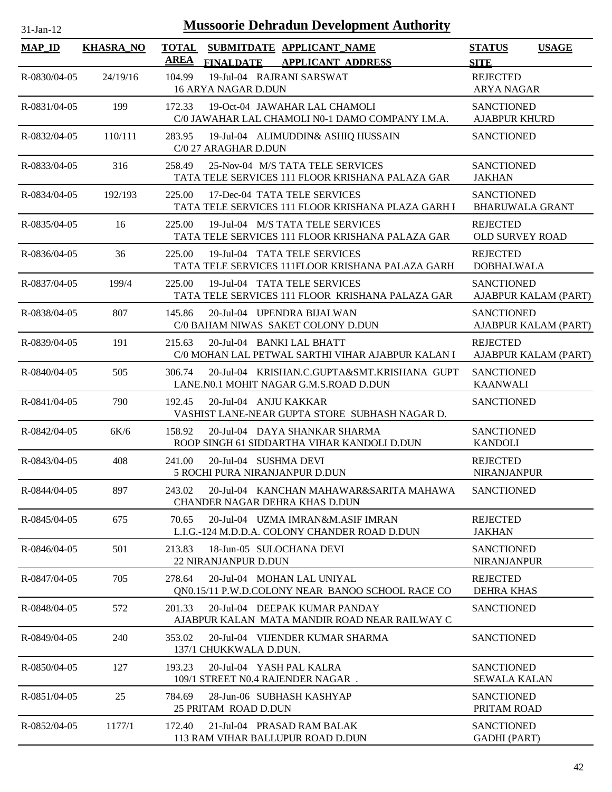| $31$ -Jan-12 |  |
|--------------|--|

| <b>MAP_ID</b>      | <b>KHASRA_NO</b> | <b>AREA</b> | <b>FINALDATE</b>                                        | TOTAL SUBMITDATE APPLICANT_NAME<br><b>APPLICANT ADDRESS</b>                           | <b>STATUS</b><br><b>SITE</b>                | <b>USAGE</b>         |
|--------------------|------------------|-------------|---------------------------------------------------------|---------------------------------------------------------------------------------------|---------------------------------------------|----------------------|
| R-0830/04-05       | 24/19/16         | 104.99      | 16 ARYA NAGAR D.DUN                                     | 19-Jul-04 RAJRANI SARSWAT                                                             | <b>REJECTED</b><br><b>ARYA NAGAR</b>        |                      |
| R-0831/04-05       | 199              | 172.33      |                                                         | 19-Oct-04 JAWAHAR LAL CHAMOLI<br>C/0 JAWAHAR LAL CHAMOLI N0-1 DAMO COMPANY I.M.A.     | <b>SANCTIONED</b><br><b>AJABPUR KHURD</b>   |                      |
| R-0832/04-05       | 110/111          | 283.95      | C/0 27 ARAGHAR D.DUN                                    | 19-Jul-04 ALIMUDDIN& ASHIQ HUSSAIN                                                    | <b>SANCTIONED</b>                           |                      |
| R-0833/04-05       | 316              | 258.49      |                                                         | 25-Nov-04 M/S TATA TELE SERVICES<br>TATA TELE SERVICES 111 FLOOR KRISHANA PALAZA GAR  | <b>SANCTIONED</b><br><b>JAKHAN</b>          |                      |
| R-0834/04-05       | 192/193          | 225.00      |                                                         | 17-Dec-04 TATA TELE SERVICES<br>TATA TELE SERVICES 111 FLOOR KRISHANA PLAZA GARH I    | <b>SANCTIONED</b><br><b>BHARUWALA GRANT</b> |                      |
| R-0835/04-05       | 16               | 225.00      |                                                         | 19-Jul-04 M/S TATA TELE SERVICES<br>TATA TELE SERVICES 111 FLOOR KRISHANA PALAZA GAR  | <b>REJECTED</b><br><b>OLD SURVEY ROAD</b>   |                      |
| $R - 0836/04 - 05$ | 36               | 225.00      |                                                         | 19-Jul-04 TATA TELE SERVICES<br>TATA TELE SERVICES 111FLOOR KRISHANA PALAZA GARH      | <b>REJECTED</b><br><b>DOBHALWALA</b>        |                      |
| R-0837/04-05       | 199/4            | 225.00      |                                                         | 19-Jul-04 TATA TELE SERVICES<br>TATA TELE SERVICES 111 FLOOR KRISHANA PALAZA GAR      | <b>SANCTIONED</b>                           | AJABPUR KALAM (PART) |
| R-0838/04-05       | 807              | 145.86      |                                                         | 20-Jul-04 UPENDRA BIJALWAN<br>C/0 BAHAM NIWAS SAKET COLONY D.DUN                      | <b>SANCTIONED</b>                           | AJABPUR KALAM (PART) |
| R-0839/04-05       | 191              | 215.63      | 20-Jul-04 BANKI LAL BHATT                               | C/0 MOHAN LAL PETWAL SARTHI VIHAR AJABPUR KALAN I                                     | <b>REJECTED</b>                             | AJABPUR KALAM (PART) |
| R-0840/04-05       | 505              | 306.74      |                                                         | 20-Jul-04 KRISHAN.C.GUPTA&SMT.KRISHANA GUPT<br>LANE.N0.1 MOHIT NAGAR G.M.S.ROAD D.DUN | <b>SANCTIONED</b><br><b>KAANWALI</b>        |                      |
| R-0841/04-05       | 790              | 192.45      | 20-Jul-04 ANJU KAKKAR                                   | VASHIST LANE-NEAR GUPTA STORE SUBHASH NAGAR D.                                        | <b>SANCTIONED</b>                           |                      |
| R-0842/04-05       | 6K/6             | 158.92      |                                                         | 20-Jul-04 DAYA SHANKAR SHARMA<br>ROOP SINGH 61 SIDDARTHA VIHAR KANDOLI D.DUN          | <b>SANCTIONED</b><br><b>KANDOLI</b>         |                      |
| R-0843/04-05       | 408              | 241.00      | 20-Jul-04 SUSHMA DEVI<br>5 ROCHI PURA NIRANJANPUR D.DUN |                                                                                       | <b>REJECTED</b><br>NIRANJANPUR              |                      |
| R-0844/04-05       | 897              | 243.02      |                                                         | 20-Jul-04 KANCHAN MAHAWAR&SARITA MAHAWA<br>CHANDER NAGAR DEHRA KHAS D.DUN             | <b>SANCTIONED</b>                           |                      |
| R-0845/04-05       | 675              | 70.65       |                                                         | 20-Jul-04 UZMA IMRAN&M.ASIF IMRAN<br>L.I.G.-124 M.D.D.A. COLONY CHANDER ROAD D.DUN    | <b>REJECTED</b><br><b>JAKHAN</b>            |                      |
| R-0846/04-05       | 501              | 213.83      | 18-Jun-05 SULOCHANA DEVI<br>22 NIRANJANPUR D.DUN        |                                                                                       | <b>SANCTIONED</b><br><b>NIRANJANPUR</b>     |                      |
| R-0847/04-05       | 705              | 278.64      |                                                         | 20-Jul-04 MOHAN LAL UNIYAL<br>QN0.15/11 P.W.D.COLONY NEAR BANOO SCHOOL RACE CO        | <b>REJECTED</b><br>DEHRA KHAS               |                      |
| R-0848/04-05       | 572              | 201.33      |                                                         | 20-Jul-04 DEEPAK KUMAR PANDAY<br>AJABPUR KALAN MATA MANDIR ROAD NEAR RAILWAY C        | <b>SANCTIONED</b>                           |                      |
| R-0849/04-05       | 240              | 353.02      | 137/1 CHUKKWALA D.DUN.                                  | 20-Jul-04 VIJENDER KUMAR SHARMA                                                       | <b>SANCTIONED</b>                           |                      |
| R-0850/04-05       | 127              | 193.23      | 20-Jul-04 YASH PAL KALRA                                | 109/1 STREET N0.4 RAJENDER NAGAR.                                                     | <b>SANCTIONED</b><br><b>SEWALA KALAN</b>    |                      |
| R-0851/04-05       | 25               | 784.69      | 25 PRITAM ROAD D.DUN                                    | 28-Jun-06 SUBHASH KASHYAP                                                             | <b>SANCTIONED</b><br>PRITAM ROAD            |                      |
| R-0852/04-05       | 1177/1           | 172.40      |                                                         | 21-Jul-04 PRASAD RAM BALAK<br>113 RAM VIHAR BALLUPUR ROAD D.DUN                       | <b>SANCTIONED</b><br><b>GADHI</b> (PART)    |                      |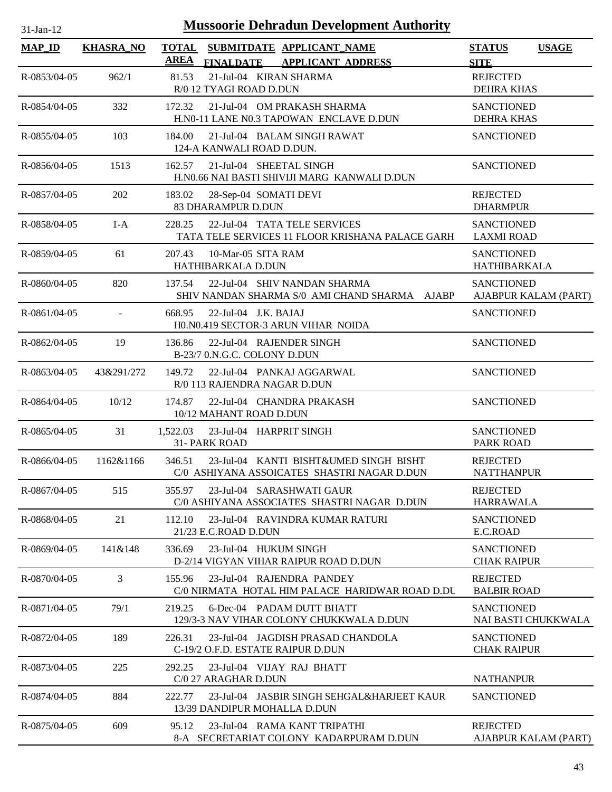| <b>Mussoorie Dehradun Development Authority</b><br>$31$ -Jan-12 |                  |              |                                                                                       |                                          |                      |  |
|-----------------------------------------------------------------|------------------|--------------|---------------------------------------------------------------------------------------|------------------------------------------|----------------------|--|
| $MAP$ <sub>ID</sub>                                             | <b>KHASRA_NO</b> | <b>TOTAL</b> | SUBMITDATE APPLICANT_NAME                                                             | <b>STATUS</b>                            | <b>USAGE</b>         |  |
|                                                                 |                  | <b>AREA</b>  | FINALDATE APPLICANT ADDRESS                                                           | <b>SITE</b>                              |                      |  |
| R-0853/04-05                                                    | 962/1            | 81.53        | 21-Jul-04 KIRAN SHARMA<br>R/0 12 TYAGI ROAD D.DUN                                     | <b>REJECTED</b><br><b>DEHRA KHAS</b>     |                      |  |
| R-0854/04-05                                                    | 332              | 172.32       | 21-Jul-04 OM PRAKASH SHARMA<br>H.N0-11 LANE N0.3 TAPOWAN ENCLAVE D.DUN                | <b>SANCTIONED</b><br><b>DEHRA KHAS</b>   |                      |  |
| R-0855/04-05                                                    | 103              | 184.00       | 21-Jul-04 BALAM SINGH RAWAT<br>124-A KANWALI ROAD D.DUN.                              | <b>SANCTIONED</b>                        |                      |  |
| R-0856/04-05                                                    | 1513             | 162.57       | 21-Jul-04 SHEETAL SINGH<br>H.N0.66 NAI BASTI SHIVIJI MARG KANWALI D.DUN               | <b>SANCTIONED</b>                        |                      |  |
| R-0857/04-05                                                    | 202              | 183.02       | 28-Sep-04 SOMATI DEVI<br>83 DHARAMPUR D.DUN                                           | <b>REJECTED</b><br><b>DHARMPUR</b>       |                      |  |
| R-0858/04-05                                                    | $1-A$            | 228.25       | 22-Jul-04 TATA TELE SERVICES<br>TATA TELE SERVICES 11 FLOOR KRISHANA PALACE GARH      | <b>SANCTIONED</b><br><b>LAXMI ROAD</b>   |                      |  |
| $R - 0859/04 - 05$                                              | 61               | 207.43       | 10-Mar-05 SITA RAM<br>HATHIBARKALA D.DUN                                              | <b>SANCTIONED</b><br><b>HATHIBARKALA</b> |                      |  |
| R-0860/04-05                                                    | 820              | 137.54       | 22-Jul-04 SHIV NANDAN SHARMA<br>SHIV NANDAN SHARMA S/0 AMI CHAND SHARMA AJABP         | <b>SANCTIONED</b>                        | AJABPUR KALAM (PART) |  |
| R-0861/04-05                                                    | $\mathbf{r}$     | 668.95       | $22$ -Jul-04 J.K. BAJAJ<br>H0.N0.419 SECTOR-3 ARUN VIHAR NOIDA                        | <b>SANCTIONED</b>                        |                      |  |
| R-0862/04-05                                                    | 19               | 136.86       | 22-Jul-04 RAJENDER SINGH<br>B-23/7 0.N.G.C. COLONY D.DUN                              | <b>SANCTIONED</b>                        |                      |  |
| $R - 0863/04 - 05$                                              | 43&291/272       | 149.72       | 22-Jul-04 PANKAJ AGGARWAL<br>R/0 113 RAJENDRA NAGAR D.DUN                             | <b>SANCTIONED</b>                        |                      |  |
| $R - 0864/04 - 05$                                              | 10/12            | 174.87       | 22-Jul-04 CHANDRA PRAKASH<br>10/12 MAHANT ROAD D.DUN                                  | <b>SANCTIONED</b>                        |                      |  |
| $R - 0865/04 - 05$                                              | 31               | 1,522.03     | 23-Jul-04 HARPRIT SINGH<br>31- PARK ROAD                                              | <b>SANCTIONED</b><br>PARK ROAD           |                      |  |
| $R - 0866/04 - 05$                                              | 1162&1166        | 346.51       | 23-Jul-04 KANTI BISHT&UMED SINGH BISHT<br>C/0 ASHIYANA ASSOICATES SHASTRI NAGAR D.DUN | <b>REJECTED</b><br><b>NATTHANPUR</b>     |                      |  |
| R-0867/04-05                                                    | 515              | 355.97       | 23-Jul-04 SARASHWATI GAUR<br>C/0 ASHIYANA ASSOCIATES SHASTRI NAGAR D.DUN              | <b>REJECTED</b><br><b>HARRAWALA</b>      |                      |  |
| $R - 0868/04 - 05$                                              | 21               | 112.10       | 23-Jul-04 RAVINDRA KUMAR RATURI<br>21/23 E.C.ROAD D.DUN                               | <b>SANCTIONED</b><br>E.C.ROAD            |                      |  |
| R-0869/04-05                                                    | 141&148          | 336.69       | 23-Jul-04 HUKUM SINGH<br>D-2/14 VIGYAN VIHAR RAIPUR ROAD D.DUN                        | <b>SANCTIONED</b><br><b>CHAK RAIPUR</b>  |                      |  |
| R-0870/04-05                                                    | 3                | 155.96       | 23-Jul-04 RAJENDRA PANDEY<br>C/0 NIRMATA HOTAL HIM PALACE HARIDWAR ROAD D.DU          | <b>REJECTED</b><br><b>BALBIR ROAD</b>    |                      |  |
| R-0871/04-05                                                    | 79/1             | 219.25       | 6-Dec-04 PADAM DUTT BHATT<br>129/3-3 NAV VIHAR COLONY CHUKKWALA D.DUN                 | <b>SANCTIONED</b>                        | NAI BASTI CHUKKWALA  |  |
| R-0872/04-05                                                    | 189              | 226.31       | 23-Jul-04 JAGDISH PRASAD CHANDOLA<br>C-19/2 O.F.D. ESTATE RAIPUR D.DUN                | <b>SANCTIONED</b><br><b>CHAK RAIPUR</b>  |                      |  |
| R-0873/04-05                                                    | 225              | 292.25       | 23-Jul-04 VIJAY RAJ BHATT<br>C/0 27 ARAGHAR D.DUN                                     | <b>NATHANPUR</b>                         |                      |  |
| R-0874/04-05                                                    | 884              | 222.77       | 23-Jul-04 JASBIR SINGH SEHGAL&HARJEET KAUR<br>13/39 DANDIPUR MOHALLA D.DUN            | <b>SANCTIONED</b>                        |                      |  |
| R-0875/04-05                                                    | 609              | 95.12        | 23-Jul-04 RAMA KANT TRIPATHI<br>8-A SECRETARIAT COLONY KADARPURAM D.DUN               | <b>REJECTED</b>                          | AJABPUR KALAM (PART) |  |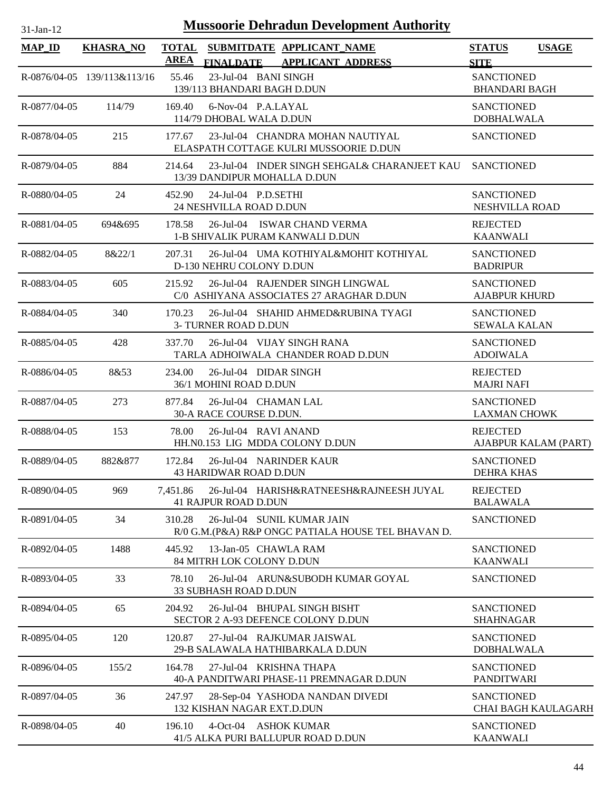| <b>MAP_ID</b> | <b>KHASRA_NO</b>            | <b>AREA</b> | <b>FINALDATE</b>                                         | TOTAL SUBMITDATE APPLICANT NAME<br><b>APPLICANT ADDRESS</b>                      | <b>STATUS</b><br><b>SITE</b>              | <b>USAGE</b>               |
|---------------|-----------------------------|-------------|----------------------------------------------------------|----------------------------------------------------------------------------------|-------------------------------------------|----------------------------|
|               | R-0876/04-05 139/113&113/16 | 55.46       | 23-Jul-04 BANI SINGH<br>139/113 BHANDARI BAGH D.DUN      |                                                                                  | <b>SANCTIONED</b><br><b>BHANDARI BAGH</b> |                            |
| R-0877/04-05  | 114/79                      | 169.40      | 6-Nov-04 P.A.LAYAL<br>114/79 DHOBAL WALA D.DUN           |                                                                                  | <b>SANCTIONED</b><br><b>DOBHALWALA</b>    |                            |
| R-0878/04-05  | 215                         | 177.67      |                                                          | 23-Jul-04 CHANDRA MOHAN NAUTIYAL<br>ELASPATH COTTAGE KULRI MUSSOORIE D.DUN       | <b>SANCTIONED</b>                         |                            |
| R-0879/04-05  | 884                         | 214.64      | 13/39 DANDIPUR MOHALLA D.DUN                             | 23-Jul-04 INDER SINGH SEHGAL& CHARANJEET KAU                                     | <b>SANCTIONED</b>                         |                            |
| R-0880/04-05  | 24                          | 452.90      | 24-Jul-04 P.D.SETHI<br>24 NESHVILLA ROAD D.DUN           |                                                                                  | <b>SANCTIONED</b><br>NESHVILLA ROAD       |                            |
| R-0881/04-05  | 694&695                     | 178.58      |                                                          | 26-Jul-04 ISWAR CHAND VERMA<br>1-B SHIVALIK PURAM KANWALI D.DUN                  | <b>REJECTED</b><br><b>KAANWALI</b>        |                            |
| R-0882/04-05  | 8&22/1                      | 207.31      | D-130 NEHRU COLONY D.DUN                                 | 26-Jul-04 UMA KOTHIYAL&MOHIT KOTHIYAL                                            | <b>SANCTIONED</b><br><b>BADRIPUR</b>      |                            |
| R-0883/04-05  | 605                         | 215.92      |                                                          | 26-Jul-04 RAJENDER SINGH LINGWAL<br>C/0 ASHIYANA ASSOCIATES 27 ARAGHAR D.DUN     | <b>SANCTIONED</b><br><b>AJABPUR KHURD</b> |                            |
| R-0884/04-05  | 340                         | 170.23      | 3- TURNER ROAD D.DUN                                     | 26-Jul-04 SHAHID AHMED&RUBINA TYAGI                                              | <b>SANCTIONED</b><br><b>SEWALA KALAN</b>  |                            |
| R-0885/04-05  | 428                         | 337.70      |                                                          | 26-Jul-04 VIJAY SINGH RANA<br>TARLA ADHOIWALA CHANDER ROAD D.DUN                 | <b>SANCTIONED</b><br><b>ADOIWALA</b>      |                            |
| R-0886/04-05  | 8&53                        | 234.00      | 26-Jul-04 DIDAR SINGH<br>36/1 MOHINI ROAD D.DUN          |                                                                                  | <b>REJECTED</b><br><b>MAJRI NAFI</b>      |                            |
| R-0887/04-05  | 273                         | 877.84      | 26-Jul-04 CHAMAN LAL<br>30-A RACE COURSE D.DUN.          |                                                                                  | <b>SANCTIONED</b><br><b>LAXMAN CHOWK</b>  |                            |
| R-0888/04-05  | 153                         | 78.00       | 26-Jul-04 RAVI ANAND                                     | HH.N0.153 LIG MDDA COLONY D.DUN                                                  | <b>REJECTED</b>                           | AJABPUR KALAM (PART)       |
| R-0889/04-05  | 882&877                     | 172.84      | 26-Jul-04 NARINDER KAUR<br><b>43 HARIDWAR ROAD D.DUN</b> |                                                                                  | <b>SANCTIONED</b><br><b>DEHRA KHAS</b>    |                            |
| R-0890/04-05  | 969                         | 7,451.86    | <b>41 RAJPUR ROAD D.DUN</b>                              | 26-Jul-04 HARISH&RATNEESH&RAJNEESH JUYAL                                         | <b>REJECTED</b><br><b>BALAWALA</b>        |                            |
| R-0891/04-05  | 34                          | 310.28      |                                                          | 26-Jul-04 SUNIL KUMAR JAIN<br>R/0 G.M.(P&A) R&P ONGC PATIALA HOUSE TEL BHAVAN D. | <b>SANCTIONED</b>                         |                            |
| R-0892/04-05  | 1488                        | 445.92      | 13-Jan-05 CHAWLA RAM<br>84 MITRH LOK COLONY D.DUN        |                                                                                  | <b>SANCTIONED</b><br><b>KAANWALI</b>      |                            |
| R-0893/04-05  | 33                          | 78.10       | <b>33 SUBHASH ROAD D.DUN</b>                             | 26-Jul-04 ARUN&SUBODH KUMAR GOYAL                                                | <b>SANCTIONED</b>                         |                            |
| R-0894/04-05  | 65                          | 204.92      |                                                          | 26-Jul-04 BHUPAL SINGH BISHT<br>SECTOR 2 A-93 DEFENCE COLONY D.DUN               | <b>SANCTIONED</b><br><b>SHAHNAGAR</b>     |                            |
| R-0895/04-05  | 120                         | 120.87      |                                                          | 27-Jul-04 RAJKUMAR JAISWAL<br>29-B SALAWALA HATHIBARKALA D.DUN                   | <b>SANCTIONED</b><br><b>DOBHALWALA</b>    |                            |
| R-0896/04-05  | 155/2                       | 164.78      | 27-Jul-04 KRISHNA THAPA                                  | 40-A PANDITWARI PHASE-11 PREMNAGAR D.DUN                                         | <b>SANCTIONED</b><br><b>PANDITWARI</b>    |                            |
| R-0897/04-05  | 36                          | 247.97      | 132 KISHAN NAGAR EXT.D.DUN                               | 28-Sep-04 YASHODA NANDAN DIVEDI                                                  | <b>SANCTIONED</b>                         | <b>CHAI BAGH KAULAGARH</b> |
| R-0898/04-05  | 40                          | 196.10      | 4-Oct-04 ASHOK KUMAR                                     | 41/5 ALKA PURI BALLUPUR ROAD D.DUN                                               | <b>SANCTIONED</b><br><b>KAANWALI</b>      |                            |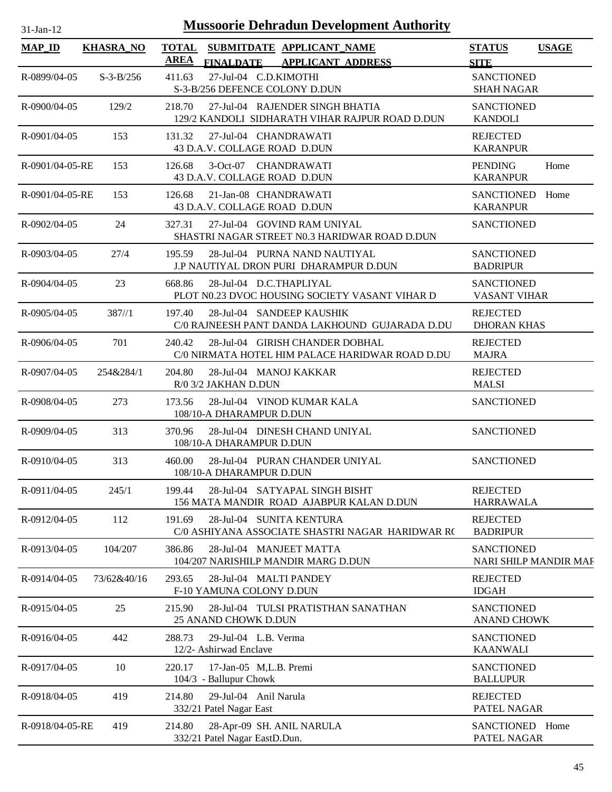| $31$ -Jan-12 |  |
|--------------|--|
|              |  |

| <b>MAP_ID</b>      | <b>KHASRA NO</b> | <b>TOTAL</b><br>SUBMITDATE APPLICANT_NAME<br>AREA                                                                 | <b>USAGE</b><br><b>STATUS</b>                         |
|--------------------|------------------|-------------------------------------------------------------------------------------------------------------------|-------------------------------------------------------|
| R-0899/04-05       | $S - 3 - B/256$  | <b>FINALDATE</b><br><b>APPLICANT ADDRESS</b><br>411.63<br>27-Jul-04 C.D.KIMOTHI<br>S-3-B/256 DEFENCE COLONY D.DUN | <b>SITE</b><br><b>SANCTIONED</b><br><b>SHAH NAGAR</b> |
| R-0900/04-05       | 129/2            | 27-Jul-04 RAJENDER SINGH BHATIA<br>218.70<br>129/2 KANDOLI SIDHARATH VIHAR RAJPUR ROAD D.DUN                      | <b>SANCTIONED</b><br><b>KANDOLI</b>                   |
| R-0901/04-05       | 153              | 131.32<br>27-Jul-04 CHANDRAWATI<br>43 D.A.V. COLLAGE ROAD D.DUN                                                   | <b>REJECTED</b><br><b>KARANPUR</b>                    |
| R-0901/04-05-RE    | 153              | 126.68<br>3-Oct-07 CHANDRAWATI<br>43 D.A.V. COLLAGE ROAD D.DUN                                                    | <b>PENDING</b><br>Home<br><b>KARANPUR</b>             |
| R-0901/04-05-RE    | 153              | 21-Jan-08 CHANDRAWATI<br>126.68<br>43 D.A.V. COLLAGE ROAD D.DUN                                                   | SANCTIONED Home<br><b>KARANPUR</b>                    |
| R-0902/04-05       | 24               | 27-Jul-04 GOVIND RAM UNIYAL<br>327.31<br>SHASTRI NAGAR STREET N0.3 HARIDWAR ROAD D.DUN                            | <b>SANCTIONED</b>                                     |
| $R - 0903/04 - 05$ | 27/4             | 195.59<br>28-Jul-04 PURNA NAND NAUTIYAL<br>J.P NAUTIYAL DRON PURI DHARAMPUR D.DUN                                 | <b>SANCTIONED</b><br><b>BADRIPUR</b>                  |
| R-0904/04-05       | 23               | 668.86<br>28-Jul-04 D.C.THAPLIYAL<br>PLOT N0.23 DVOC HOUSING SOCIETY VASANT VIHAR D                               | <b>SANCTIONED</b><br><b>VASANT VIHAR</b>              |
| R-0905/04-05       | 387/1            | 28-Jul-04 SANDEEP KAUSHIK<br>197.40<br>C/0 RAJNEESH PANT DANDA LAKHOUND GUJARADA D.DU                             | <b>REJECTED</b><br><b>DHORAN KHAS</b>                 |
| R-0906/04-05       | 701              | 240.42<br>28-Jul-04 GIRISH CHANDER DOBHAL<br>C/0 NIRMATA HOTEL HIM PALACE HARIDWAR ROAD D.DU                      | <b>REJECTED</b><br><b>MAJRA</b>                       |
| R-0907/04-05       | 254&284/1        | 28-Jul-04 MANOJ KAKKAR<br>204.80<br>R/0 3/2 JAKHAN D.DUN                                                          | <b>REJECTED</b><br><b>MALSI</b>                       |
| R-0908/04-05       | 273              | 173.56<br>28-Jul-04 VINOD KUMAR KALA<br>108/10-A DHARAMPUR D.DUN                                                  | <b>SANCTIONED</b>                                     |
| R-0909/04-05       | 313              | 370.96<br>28-Jul-04 DINESH CHAND UNIYAL<br>108/10-A DHARAMPUR D.DUN                                               | <b>SANCTIONED</b>                                     |
| $R - 0910/04 - 05$ | 313              | 460.00<br>28-Jul-04 PURAN CHANDER UNIYAL<br>108/10-A DHARAMPUR D.DUN                                              | <b>SANCTIONED</b>                                     |
| R-0911/04-05       | 245/1            | 28-Jul-04 SATYAPAL SINGH BISHT<br>199.44<br>156 MATA MANDIR ROAD AJABPUR KALAN D.DUN                              | <b>REJECTED</b><br><b>HARRAWALA</b>                   |
| R-0912/04-05       | 112              | 191.69<br>28-Jul-04 SUNITA KENTURA<br>C/0 ASHIYANA ASSOCIATE SHASTRI NAGAR HARIDWAR RO                            | <b>REJECTED</b><br><b>BADRIPUR</b>                    |
| R-0913/04-05       | 104/207          | 28-Jul-04 MANJEET MATTA<br>386.86<br>104/207 NARISHILP MANDIR MARG D.DUN                                          | <b>SANCTIONED</b><br>NARI SHILP MANDIR MAF            |
| R-0914/04-05       | 73/62&40/16      | 293.65<br>28-Jul-04 MALTI PANDEY<br>F-10 YAMUNA COLONY D.DUN                                                      | <b>REJECTED</b><br><b>IDGAH</b>                       |
| R-0915/04-05       | 25               | 215.90<br>28-Jul-04 TULSI PRATISTHAN SANATHAN<br>25 ANAND CHOWK D.DUN                                             | <b>SANCTIONED</b><br><b>ANAND CHOWK</b>               |
| R-0916/04-05       | 442              | 288.73<br>29-Jul-04 L.B. Verma<br>12/2- Ashirwad Enclave                                                          | <b>SANCTIONED</b><br><b>KAANWALI</b>                  |
| R-0917/04-05       | 10               | 220.17<br>17-Jan-05 M,L.B. Premi<br>104/3 - Ballupur Chowk                                                        | <b>SANCTIONED</b><br><b>BALLUPUR</b>                  |
| R-0918/04-05       | 419              | 214.80<br>29-Jul-04 Anil Narula<br>332/21 Patel Nagar East                                                        | <b>REJECTED</b><br>PATEL NAGAR                        |
| R-0918/04-05-RE    | 419              | 28-Apr-09 SH. ANIL NARULA<br>214.80<br>332/21 Patel Nagar EastD.Dun.                                              | SANCTIONED Home<br>PATEL NAGAR                        |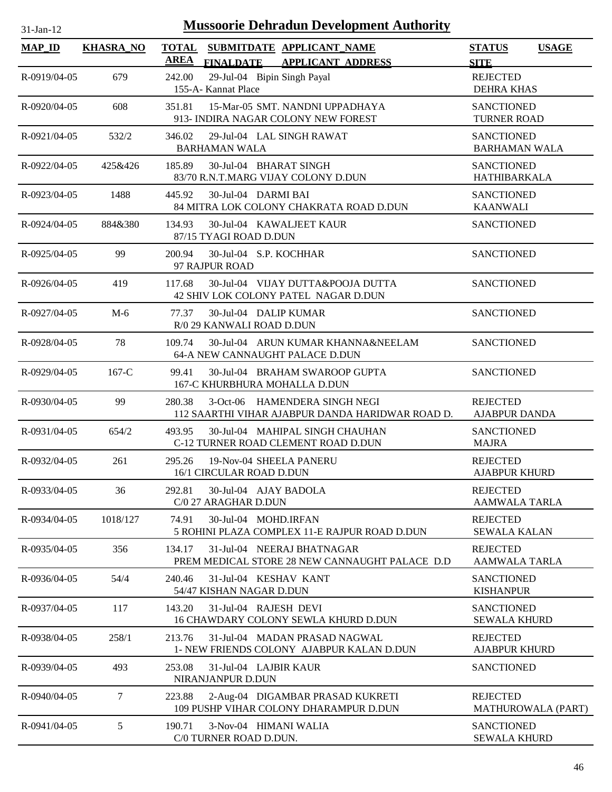| <b>Mussoorie Dehradun Development Authority</b><br>31-Jan-12 |                  |                                                                                             |                                              |  |  |  |
|--------------------------------------------------------------|------------------|---------------------------------------------------------------------------------------------|----------------------------------------------|--|--|--|
| <b>MAP ID</b>                                                | <b>KHASRA_NO</b> | <b>TOTAL</b><br>SUBMITDATE APPLICANT_NAME<br>AREA<br>FINALDATE APPLICANT ADDRESS            | <b>STATUS</b><br><b>USAGE</b><br><b>SITE</b> |  |  |  |
| R-0919/04-05                                                 | 679              | 242.00<br>29-Jul-04 Bipin Singh Payal<br>155-A- Kannat Place                                | <b>REJECTED</b><br><b>DEHRA KHAS</b>         |  |  |  |
| R-0920/04-05                                                 | 608              | 15-Mar-05 SMT. NANDNI UPPADHAYA<br>351.81<br>913- INDIRA NAGAR COLONY NEW FOREST            | <b>SANCTIONED</b><br><b>TURNER ROAD</b>      |  |  |  |
| $R - 0921/04 - 05$                                           | 532/2            | 29-Jul-04 LAL SINGH RAWAT<br>346.02<br><b>BARHAMAN WALA</b>                                 | <b>SANCTIONED</b><br><b>BARHAMAN WALA</b>    |  |  |  |
| R-0922/04-05                                                 | 425&426          | 185.89<br>30-Jul-04 BHARAT SINGH<br>83/70 R.N.T.MARG VIJAY COLONY D.DUN                     | <b>SANCTIONED</b><br>HATHIBARKALA            |  |  |  |
| R-0923/04-05                                                 | 1488             | 30-Jul-04 DARMI BAI<br>445.92<br>84 MITRA LOK COLONY CHAKRATA ROAD D.DUN                    | <b>SANCTIONED</b><br><b>KAANWALI</b>         |  |  |  |
| R-0924/04-05                                                 | 884&380          | 134.93<br>30-Jul-04 KAWALJEET KAUR<br>87/15 TYAGI ROAD D.DUN                                | <b>SANCTIONED</b>                            |  |  |  |
| R-0925/04-05                                                 | 99               | 200.94<br>30-Jul-04 S.P. KOCHHAR<br>97 RAJPUR ROAD                                          | <b>SANCTIONED</b>                            |  |  |  |
| R-0926/04-05                                                 | 419              | 117.68<br>30-Jul-04 VIJAY DUTTA&POOJA DUTTA<br>42 SHIV LOK COLONY PATEL NAGAR D.DUN         | <b>SANCTIONED</b>                            |  |  |  |
| R-0927/04-05                                                 | $M-6$            | 30-Jul-04 DALIP KUMAR<br>77.37<br>R/0 29 KANWALI ROAD D.DUN                                 | <b>SANCTIONED</b>                            |  |  |  |
| R-0928/04-05                                                 | 78               | 30-Jul-04 ARUN KUMAR KHANNA&NEELAM<br>109.74<br>64-A NEW CANNAUGHT PALACE D.DUN             | <b>SANCTIONED</b>                            |  |  |  |
| R-0929/04-05                                                 | $167-C$          | 99.41<br>30-Jul-04 BRAHAM SWAROOP GUPTA<br>167-C KHURBHURA MOHALLA D.DUN                    | <b>SANCTIONED</b>                            |  |  |  |
| R-0930/04-05                                                 | 99               | 280.38<br>3-Oct-06 HAMENDERA SINGH NEGI<br>112 SAARTHI VIHAR AJABPUR DANDA HARIDWAR ROAD D. | <b>REJECTED</b><br><b>AJABPUR DANDA</b>      |  |  |  |
| R-0931/04-05                                                 | 654/2            | 493.95<br>30-Jul-04 MAHIPAL SINGH CHAUHAN<br>C-12 TURNER ROAD CLEMENT ROAD D.DUN            | <b>SANCTIONED</b><br><b>MAJRA</b>            |  |  |  |
| R-0932/04-05                                                 | 261              | 295.26<br>19-Nov-04 SHEELA PANERU<br>16/1 CIRCULAR ROAD D.DUN                               | <b>REJECTED</b><br><b>AJABPUR KHURD</b>      |  |  |  |
| R-0933/04-05                                                 | 36               | 30-Jul-04 AJAY BADOLA<br>292.81<br>C/0 27 ARAGHAR D.DUN                                     | <b>REJECTED</b><br>AAMWALA TARLA             |  |  |  |
| R-0934/04-05                                                 | 1018/127         | 30-Jul-04 MOHD.IRFAN<br>74.91<br>5 ROHINI PLAZA COMPLEX 11-E RAJPUR ROAD D.DUN              | <b>REJECTED</b><br><b>SEWALA KALAN</b>       |  |  |  |
| R-0935/04-05                                                 | 356              | 31-Jul-04 NEERAJ BHATNAGAR<br>134.17<br>PREM MEDICAL STORE 28 NEW CANNAUGHT PALACE D.D      | <b>REJECTED</b><br><b>AAMWALA TARLA</b>      |  |  |  |
| R-0936/04-05                                                 | 54/4             | 240.46<br>31-Jul-04 KESHAV KANT<br>54/47 KISHAN NAGAR D.DUN                                 | <b>SANCTIONED</b><br><b>KISHANPUR</b>        |  |  |  |
| R-0937/04-05                                                 | 117              | 31-Jul-04 RAJESH DEVI<br>143.20<br>16 CHAWDARY COLONY SEWLA KHURD D.DUN                     | <b>SANCTIONED</b><br><b>SEWALA KHURD</b>     |  |  |  |
| R-0938/04-05                                                 | 258/1            | 213.76<br>31-Jul-04 MADAN PRASAD NAGWAL<br>1- NEW FRIENDS COLONY AJABPUR KALAN D.DUN        | <b>REJECTED</b><br><b>AJABPUR KHURD</b>      |  |  |  |
| R-0939/04-05                                                 | 493              | 253.08<br>31-Jul-04 LAJBIR KAUR<br>NIRANJANPUR D.DUN                                        | <b>SANCTIONED</b>                            |  |  |  |
| R-0940/04-05                                                 | 7                | 223.88<br>2-Aug-04 DIGAMBAR PRASAD KUKRETI<br>109 PUSHP VIHAR COLONY DHARAMPUR D.DUN        | <b>REJECTED</b><br>MATHUROWALA (PART)        |  |  |  |
| R-0941/04-05                                                 | 5                | 190.71<br>3-Nov-04 HIMANI WALIA                                                             | <b>SANCTIONED</b>                            |  |  |  |

C/0 TURNER ROAD D.DUN.

SEWALA KHURD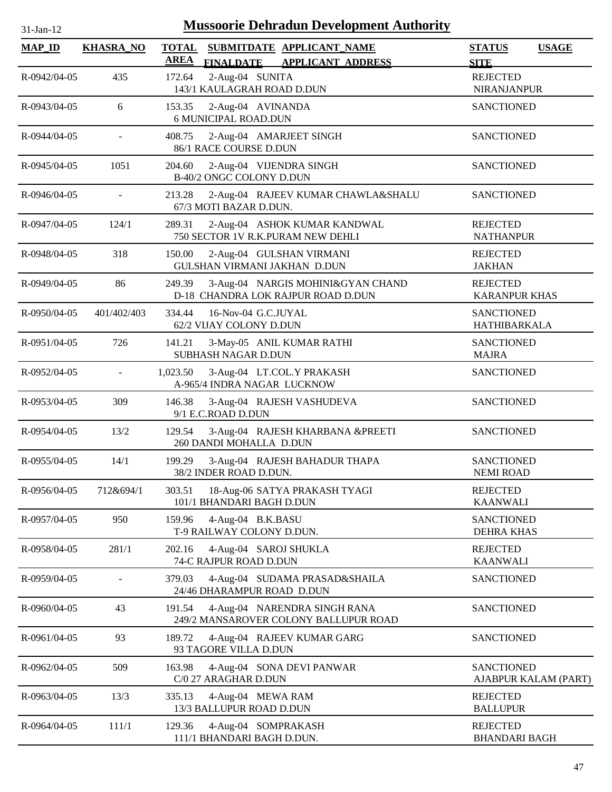| 31-Jan-12           | <b>Mussoorie Dehradun Development Authority</b> |                             |                                                   |  |                                                                         |  |                                         |                      |  |
|---------------------|-------------------------------------------------|-----------------------------|---------------------------------------------------|--|-------------------------------------------------------------------------|--|-----------------------------------------|----------------------|--|
| $MAP$ <sub>ID</sub> | <b>KHASRA_NO</b>                                | <b>TOTAL</b><br><b>AREA</b> | <b>FINALDATE</b>                                  |  | SUBMITDATE APPLICANT NAME<br><b>APPLICANT ADDRESS</b>                   |  | <b>STATUS</b><br><b>SITE</b>            | <b>USAGE</b>         |  |
| R-0942/04-05        | 435                                             | 172.64                      | 2-Aug-04 SUNITA<br>143/1 KAULAGRAH ROAD D.DUN     |  |                                                                         |  | <b>REJECTED</b><br><b>NIRANJANPUR</b>   |                      |  |
| R-0943/04-05        | 6                                               | 153.35                      | 2-Aug-04 AVINANDA<br><b>6 MUNICIPAL ROAD.DUN</b>  |  |                                                                         |  | <b>SANCTIONED</b>                       |                      |  |
| R-0944/04-05        |                                                 | 408.75                      | 86/1 RACE COURSE D.DUN                            |  | 2-Aug-04 AMARJEET SINGH                                                 |  | <b>SANCTIONED</b>                       |                      |  |
| R-0945/04-05        | 1051                                            | 204.60                      | B-40/2 ONGC COLONY D.DUN                          |  | 2-Aug-04 VIJENDRA SINGH                                                 |  | <b>SANCTIONED</b>                       |                      |  |
| R-0946/04-05        |                                                 | 213.28                      | 67/3 MOTI BAZAR D.DUN.                            |  | 2-Aug-04 RAJEEV KUMAR CHAWLA&SHALU                                      |  | <b>SANCTIONED</b>                       |                      |  |
| R-0947/04-05        | 124/1                                           | 289.31                      |                                                   |  | 2-Aug-04 ASHOK KUMAR KANDWAL<br>750 SECTOR 1V R.K.PURAM NEW DEHLI       |  | <b>REJECTED</b><br><b>NATHANPUR</b>     |                      |  |
| R-0948/04-05        | 318                                             | 150.00                      |                                                   |  | 2-Aug-04 GULSHAN VIRMANI<br>GULSHAN VIRMANI JAKHAN D.DUN                |  | <b>REJECTED</b><br><b>JAKHAN</b>        |                      |  |
| R-0949/04-05        | 86                                              | 249.39                      |                                                   |  | 3-Aug-04 NARGIS MOHINI&GYAN CHAND<br>D-18 CHANDRA LOK RAJPUR ROAD D.DUN |  | <b>REJECTED</b><br><b>KARANPUR KHAS</b> |                      |  |
| R-0950/04-05        | 401/402/403                                     | 334.44                      | 16-Nov-04 G.C.JUYAL<br>62/2 VIJAY COLONY D.DUN    |  |                                                                         |  | <b>SANCTIONED</b><br>HATHIBARKALA       |                      |  |
| R-0951/04-05        | 726                                             | 141.21                      | SUBHASH NAGAR D.DUN                               |  | 3-May-05 ANIL KUMAR RATHI                                               |  | <b>SANCTIONED</b><br><b>MAJRA</b>       |                      |  |
| R-0952/04-05        | $\omega$                                        | 1,023.50                    | A-965/4 INDRA NAGAR LUCKNOW                       |  | 3-Aug-04 LT.COL.Y PRAKASH                                               |  | <b>SANCTIONED</b>                       |                      |  |
| R-0953/04-05        | 309                                             | 146.38                      | 9/1 E.C.ROAD D.DUN                                |  | 3-Aug-04 RAJESH VASHUDEVA                                               |  | <b>SANCTIONED</b>                       |                      |  |
| R-0954/04-05        | 13/2                                            | 129.54                      | 260 DANDI MOHALLA D.DUN                           |  | 3-Aug-04 RAJESH KHARBANA &PREETI                                        |  | <b>SANCTIONED</b>                       |                      |  |
| R-0955/04-05        | 14/1                                            | 199.29                      | 38/2 INDER ROAD D.DUN.                            |  | 3-Aug-04 RAJESH BAHADUR THAPA                                           |  | <b>SANCTIONED</b><br><b>NEMI ROAD</b>   |                      |  |
| R-0956/04-05        | 712&694/1                                       | 303.51                      | 101/1 BHANDARI BAGH D.DUN                         |  | 18-Aug-06 SATYA PRAKASH TYAGI                                           |  | <b>REJECTED</b><br><b>KAANWALI</b>      |                      |  |
| R-0957/04-05        | 950                                             | 159.96                      | 4-Aug-04 B.K.BASU<br>T-9 RAILWAY COLONY D.DUN.    |  |                                                                         |  | <b>SANCTIONED</b><br><b>DEHRA KHAS</b>  |                      |  |
| R-0958/04-05        | 281/1                                           | 202.16                      | 4-Aug-04 SAROJ SHUKLA<br>74-C RAJPUR ROAD D.DUN   |  |                                                                         |  | <b>REJECTED</b><br><b>KAANWALI</b>      |                      |  |
| R-0959/04-05        |                                                 | 379.03                      | 24/46 DHARAMPUR ROAD D.DUN                        |  | 4-Aug-04 SUDAMA PRASAD&SHAILA                                           |  | <b>SANCTIONED</b>                       |                      |  |
| R-0960/04-05        | 43                                              | 191.54                      |                                                   |  | 4-Aug-04 NARENDRA SINGH RANA<br>249/2 MANSAROVER COLONY BALLUPUR ROAD   |  | <b>SANCTIONED</b>                       |                      |  |
| R-0961/04-05        | 93                                              | 189.72                      | 93 TAGORE VILLA D.DUN                             |  | 4-Aug-04 RAJEEV KUMAR GARG                                              |  | <b>SANCTIONED</b>                       |                      |  |
| R-0962/04-05        | 509                                             | 163.98                      | C/0 27 ARAGHAR D.DUN                              |  | 4-Aug-04 SONA DEVI PANWAR                                               |  | <b>SANCTIONED</b>                       | AJABPUR KALAM (PART) |  |
| R-0963/04-05        | 13/3                                            | 335.13                      | 4-Aug-04 MEWA RAM<br>13/3 BALLUPUR ROAD D.DUN     |  |                                                                         |  | <b>REJECTED</b><br><b>BALLUPUR</b>      |                      |  |
| R-0964/04-05        | 111/1                                           | 129.36                      | 4-Aug-04 SOMPRAKASH<br>111/1 BHANDARI BAGH D.DUN. |  |                                                                         |  | <b>REJECTED</b><br><b>BHANDARI BAGH</b> |                      |  |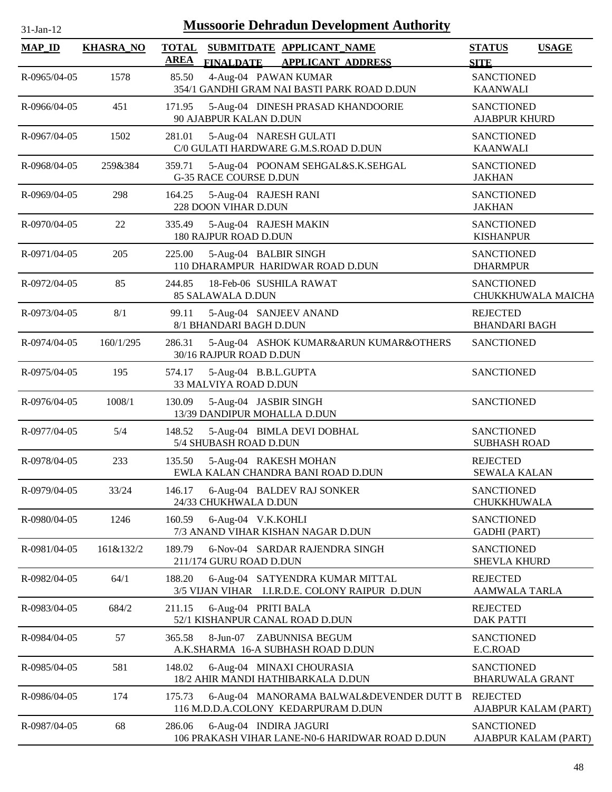| <b>Mussoorie Dehradun Development Authority</b><br>31-Jan-12 |                  |             |                                                                                   |                                           |                        |  |  |
|--------------------------------------------------------------|------------------|-------------|-----------------------------------------------------------------------------------|-------------------------------------------|------------------------|--|--|
| <b>MAP_ID</b>                                                | <b>KHASRA_NO</b> | <b>AREA</b> | TOTAL SUBMITDATE APPLICANT NAME<br>FINALDATE APPLICANT ADDRESS                    | <b>STATUS</b><br><b>SITE</b>              | <b>USAGE</b>           |  |  |
| R-0965/04-05                                                 | 1578             | 85.50       | 4-Aug-04 PAWAN KUMAR<br>354/1 GANDHI GRAM NAI BASTI PARK ROAD D.DUN               | <b>SANCTIONED</b><br><b>KAANWALI</b>      |                        |  |  |
| R-0966/04-05                                                 | 451              | 171.95      | 5-Aug-04 DINESH PRASAD KHANDOORIE<br>90 AJABPUR KALAN D.DUN                       | <b>SANCTIONED</b><br><b>AJABPUR KHURD</b> |                        |  |  |
| R-0967/04-05                                                 | 1502             | 281.01      | 5-Aug-04 NARESH GULATI<br>C/0 GULATI HARDWARE G.M.S.ROAD D.DUN                    | <b>SANCTIONED</b><br><b>KAANWALI</b>      |                        |  |  |
| R-0968/04-05                                                 | 259&384          | 359.71      | 5-Aug-04 POONAM SEHGAL&S.K.SEHGAL<br><b>G-35 RACE COURSE D.DUN</b>                | <b>SANCTIONED</b><br><b>JAKHAN</b>        |                        |  |  |
| R-0969/04-05                                                 | 298              | 164.25      | 5-Aug-04 RAJESH RANI<br>228 DOON VIHAR D.DUN                                      | <b>SANCTIONED</b><br><b>JAKHAN</b>        |                        |  |  |
| R-0970/04-05                                                 | 22               | 335.49      | 5-Aug-04 RAJESH MAKIN<br>180 RAJPUR ROAD D.DUN                                    | <b>SANCTIONED</b><br><b>KISHANPUR</b>     |                        |  |  |
| R-0971/04-05                                                 | 205              | 225.00      | 5-Aug-04 BALBIR SINGH<br>110 DHARAMPUR HARIDWAR ROAD D.DUN                        | <b>SANCTIONED</b><br><b>DHARMPUR</b>      |                        |  |  |
| R-0972/04-05                                                 | 85               | 244.85      | 18-Feb-06 SUSHILA RAWAT<br><b>85 SALAWALA D.DUN</b>                               | <b>SANCTIONED</b>                         | CHUKKHUWALA MAICHA     |  |  |
| R-0973/04-05                                                 | 8/1              | 99.11       | 5-Aug-04 SANJEEV ANAND<br>8/1 BHANDARI BAGH D.DUN                                 | <b>REJECTED</b><br><b>BHANDARI BAGH</b>   |                        |  |  |
| R-0974/04-05                                                 | 160/1/295        | 286.31      | 5-Aug-04 ASHOK KUMAR&ARUN KUMAR&OTHERS<br>30/16 RAJPUR ROAD D.DUN                 | <b>SANCTIONED</b>                         |                        |  |  |
| R-0975/04-05                                                 | 195              | 574.17      | 5-Aug-04 B.B.L.GUPTA<br>33 MALVIYA ROAD D.DUN                                     | <b>SANCTIONED</b>                         |                        |  |  |
| R-0976/04-05                                                 | 1008/1           | 130.09      | 5-Aug-04 JASBIR SINGH<br>13/39 DANDIPUR MOHALLA D.DUN                             | <b>SANCTIONED</b>                         |                        |  |  |
| R-0977/04-05                                                 | 5/4              | 148.52      | 5-Aug-04 BIMLA DEVI DOBHAL<br>5/4 SHUBASH ROAD D.DUN                              | <b>SANCTIONED</b><br><b>SUBHASH ROAD</b>  |                        |  |  |
| R-0978/04-05                                                 | 233              | 135.50      | 5-Aug-04 RAKESH MOHAN<br>EWLA KALAN CHANDRA BANI ROAD D.DUN                       | <b>REJECTED</b><br><b>SEWALA KALAN</b>    |                        |  |  |
| R-0979/04-05                                                 | 33/24            | 146.17      | 6-Aug-04 BALDEV RAJ SONKER<br>24/33 CHUKHWALA D.DUN                               | <b>SANCTIONED</b><br>CHUKKHUWALA          |                        |  |  |
| R-0980/04-05                                                 | 1246             | 160.59      | 6-Aug-04 V.K.KOHLI<br>7/3 ANAND VIHAR KISHAN NAGAR D.DUN                          | <b>SANCTIONED</b><br><b>GADHI</b> (PART)  |                        |  |  |
| R-0981/04-05                                                 | 161&132/2        | 189.79      | 6-Nov-04 SARDAR RAJENDRA SINGH<br>211/174 GURU ROAD D.DUN                         | <b>SANCTIONED</b><br><b>SHEVLA KHURD</b>  |                        |  |  |
| R-0982/04-05                                                 | 64/1             | 188.20      | 6-Aug-04 SATYENDRA KUMAR MITTAL<br>3/5 VIJAN VIHAR I.I.R.D.E. COLONY RAIPUR D.DUN | <b>REJECTED</b><br>AAMWALA TARLA          |                        |  |  |
| R-0983/04-05                                                 | 684/2            | 211.15      | 6-Aug-04 PRITI BALA<br>52/1 KISHANPUR CANAL ROAD D.DUN                            | <b>REJECTED</b><br><b>DAK PATTI</b>       |                        |  |  |
| R-0984/04-05                                                 | 57               | 365.58      | 8-Jun-07 ZABUNNISA BEGUM<br>A.K.SHARMA 16-A SUBHASH ROAD D.DUN                    | <b>SANCTIONED</b><br>E.C.ROAD             |                        |  |  |
| R-0985/04-05                                                 | 581              | 148.02      | 6-Aug-04 MINAXI CHOURASIA<br>18/2 AHIR MANDI HATHIBARKALA D.DUN                   | <b>SANCTIONED</b>                         | <b>BHARUWALA GRANT</b> |  |  |
| R-0986/04-05                                                 | 174              | 175.73      | 6-Aug-04 MANORAMA BALWAL&DEVENDER DUTT B<br>116 M.D.D.A.COLONY KEDARPURAM D.DUN   | <b>REJECTED</b>                           | AJABPUR KALAM (PART)   |  |  |
| R-0987/04-05                                                 | 68               | 286.06      | 6-Aug-04 INDIRA JAGURI<br>106 PRAKASH VIHAR LANE-N0-6 HARIDWAR ROAD D.DUN         | <b>SANCTIONED</b>                         | AJABPUR KALAM (PART)   |  |  |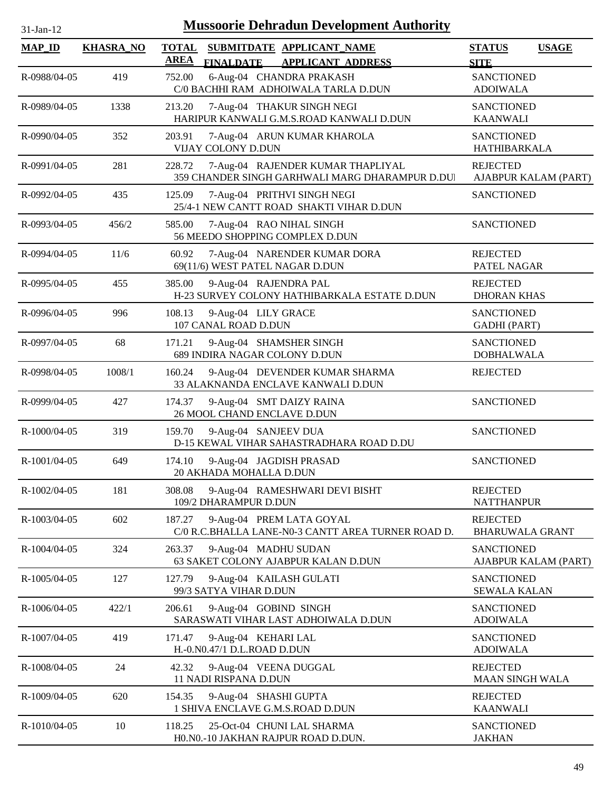| 31-Jan-12           |                  | <b>Mussoorie Dehradun Development Authority</b>                                                |                                              |
|---------------------|------------------|------------------------------------------------------------------------------------------------|----------------------------------------------|
| $MAP$ <sub>ID</sub> | <b>KHASRA_NO</b> | SUBMITDATE APPLICANT NAME<br><b>TOTAL</b><br><b>AREA</b><br>FINALDATE APPLICANT ADDRESS        | <b>STATUS</b><br><b>USAGE</b><br><b>SITE</b> |
| R-0988/04-05        | 419              | 6-Aug-04 CHANDRA PRAKASH<br>752.00<br>C/0 BACHHI RAM ADHOIWALA TARLA D.DUN                     | <b>SANCTIONED</b><br><b>ADOIWALA</b>         |
| R-0989/04-05        | 1338             | 213.20<br>7-Aug-04 THAKUR SINGH NEGI<br>HARIPUR KANWALI G.M.S.ROAD KANWALI D.DUN               | <b>SANCTIONED</b><br><b>KAANWALI</b>         |
| R-0990/04-05        | 352              | 7-Aug-04 ARUN KUMAR KHAROLA<br>203.91<br>VIJAY COLONY D.DUN                                    | <b>SANCTIONED</b><br><b>HATHIBARKALA</b>     |
| R-0991/04-05        | 281              | 228.72<br>7-Aug-04 RAJENDER KUMAR THAPLIYAL<br>359 CHANDER SINGH GARHWALI MARG DHARAMPUR D.DUI | <b>REJECTED</b><br>AJABPUR KALAM (PART)      |
| R-0992/04-05        | 435              | 7-Aug-04 PRITHVI SINGH NEGI<br>125.09<br>25/4-1 NEW CANTT ROAD SHAKTI VIHAR D.DUN              | <b>SANCTIONED</b>                            |
| R-0993/04-05        | 456/2            | 585.00<br>7-Aug-04 RAO NIHAL SINGH<br>56 MEEDO SHOPPING COMPLEX D.DUN                          | <b>SANCTIONED</b>                            |
| R-0994/04-05        | 11/6             | 7-Aug-04 NARENDER KUMAR DORA<br>60.92<br>69(11/6) WEST PATEL NAGAR D.DUN                       | <b>REJECTED</b><br>PATEL NAGAR               |
| R-0995/04-05        | 455              | 385.00<br>9-Aug-04 RAJENDRA PAL<br>H-23 SURVEY COLONY HATHIBARKALA ESTATE D.DUN                | <b>REJECTED</b><br><b>DHORAN KHAS</b>        |
| R-0996/04-05        | 996              | 9-Aug-04 LILY GRACE<br>108.13<br>107 CANAL ROAD D.DUN                                          | <b>SANCTIONED</b><br><b>GADHI</b> (PART)     |
| R-0997/04-05        | 68               | 9-Aug-04 SHAMSHER SINGH<br>171.21<br>689 INDIRA NAGAR COLONY D.DUN                             | <b>SANCTIONED</b><br><b>DOBHALWALA</b>       |
| R-0998/04-05        | 1008/1           | 9-Aug-04 DEVENDER KUMAR SHARMA<br>160.24<br>33 ALAKNANDA ENCLAVE KANWALI D.DUN                 | <b>REJECTED</b>                              |
| R-0999/04-05        | 427              | 9-Aug-04 SMT DAIZY RAINA<br>174.37<br>26 MOOL CHAND ENCLAVE D.DUN                              | <b>SANCTIONED</b>                            |
| R-1000/04-05        | 319              | 9-Aug-04 SANJEEV DUA<br>159.70<br>D-15 KEWAL VIHAR SAHASTRADHARA ROAD D.DU                     | <b>SANCTIONED</b>                            |
| R-1001/04-05        | 649              | 174.10<br>9-Aug-04 JAGDISH PRASAD<br>20 AKHADA MOHALLA D.DUN                                   | SANCTIONED                                   |
| R-1002/04-05        | 181              | 308.08<br>9-Aug-04 RAMESHWARI DEVI BISHT<br>109/2 DHARAMPUR D.DUN                              | <b>REJECTED</b><br><b>NATTHANPUR</b>         |
| R-1003/04-05        | 602              | 187.27<br>9-Aug-04 PREM LATA GOYAL<br>C/0 R.C.BHALLA LANE-N0-3 CANTT AREA TURNER ROAD D.       | <b>REJECTED</b><br><b>BHARUWALA GRANT</b>    |
| R-1004/04-05        | 324              | 9-Aug-04 MADHU SUDAN<br>263.37<br>63 SAKET COLONY AJABPUR KALAN D.DUN                          | <b>SANCTIONED</b><br>AJABPUR KALAM (PART)    |
| R-1005/04-05        | 127              | 127.79<br>9-Aug-04 KAILASH GULATI<br>99/3 SATYA VIHAR D.DUN                                    | <b>SANCTIONED</b><br><b>SEWALA KALAN</b>     |
| R-1006/04-05        | 422/1            | 9-Aug-04 GOBIND SINGH<br>206.61<br>SARASWATI VIHAR LAST ADHOIWALA D.DUN                        | <b>SANCTIONED</b><br><b>ADOIWALA</b>         |
| R-1007/04-05        | 419              | 9-Aug-04 KEHARI LAL<br>171.47<br>H.-0.N0.47/1 D.L.ROAD D.DUN                                   | <b>SANCTIONED</b><br><b>ADOIWALA</b>         |
| R-1008/04-05        | 24               | 42.32<br>9-Aug-04 VEENA DUGGAL<br>11 NADI RISPANA D.DUN                                        | <b>REJECTED</b><br><b>MAAN SINGH WALA</b>    |
| R-1009/04-05        | 620              | 9-Aug-04 SHASHI GUPTA<br>154.35<br>1 SHIVA ENCLAVE G.M.S.ROAD D.DUN                            | <b>REJECTED</b><br><b>KAANWALI</b>           |
| R-1010/04-05        | 10               | 118.25<br>25-Oct-04 CHUNI LAL SHARMA<br>H0.N0.-10 JAKHAN RAJPUR ROAD D.DUN.                    | <b>SANCTIONED</b><br><b>JAKHAN</b>           |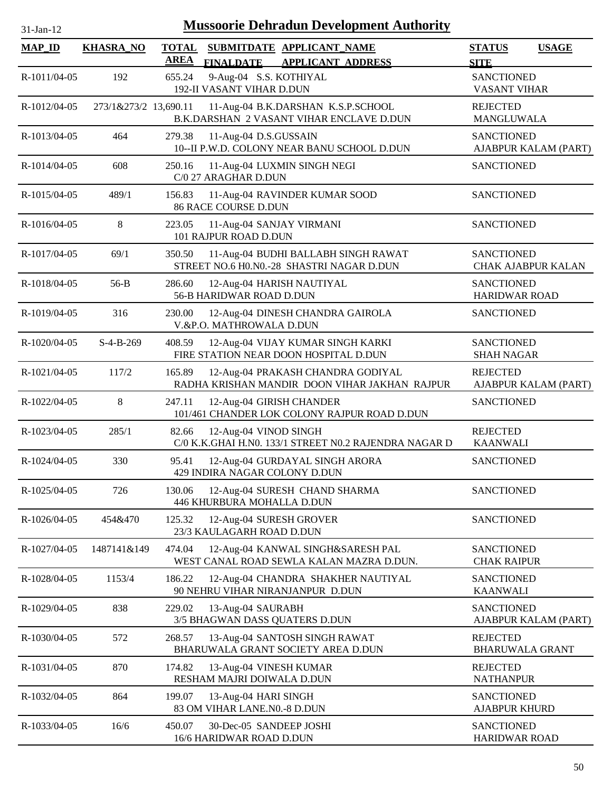| 31-Jan-12     |                       |                             | <b>Mussoorie Dehradun Development Authority</b>                                    |                                                |                      |
|---------------|-----------------------|-----------------------------|------------------------------------------------------------------------------------|------------------------------------------------|----------------------|
| <b>MAP_ID</b> | <b>KHASRA_NO</b>      | <b>TOTAL</b><br><b>AREA</b> | SUBMITDATE APPLICANT_NAME<br>FINALDATE APPLICANT ADDRESS                           | <b>STATUS</b><br><b>SITE</b>                   | <b>USAGE</b>         |
| R-1011/04-05  | 192                   | 655.24                      | 9-Aug-04 S.S. KOTHIYAL<br>192-II VASANT VIHAR D.DUN                                | <b>SANCTIONED</b><br><b>VASANT VIHAR</b>       |                      |
| R-1012/04-05  | 273/1&273/2 13,690.11 |                             | 11-Aug-04 B.K.DARSHAN K.S.P.SCHOOL<br>B.K.DARSHAN 2 VASANT VIHAR ENCLAVE D.DUN     | <b>REJECTED</b><br>MANGLUWALA                  |                      |
| R-1013/04-05  | 464                   | 279.38                      | 11-Aug-04 D.S.GUSSAIN<br>10--II P.W.D. COLONY NEAR BANU SCHOOL D.DUN               | <b>SANCTIONED</b>                              | AJABPUR KALAM (PART) |
| R-1014/04-05  | 608                   | 250.16                      | 11-Aug-04 LUXMIN SINGH NEGI<br>C/0 27 ARAGHAR D.DUN                                | <b>SANCTIONED</b>                              |                      |
| R-1015/04-05  | 489/1                 | 156.83                      | 11-Aug-04 RAVINDER KUMAR SOOD<br><b>86 RACE COURSE D.DUN</b>                       | <b>SANCTIONED</b>                              |                      |
| R-1016/04-05  | 8                     | 223.05                      | 11-Aug-04 SANJAY VIRMANI<br>101 RAJPUR ROAD D.DUN                                  | <b>SANCTIONED</b>                              |                      |
| R-1017/04-05  | 69/1                  | 350.50                      | 11-Aug-04 BUDHI BALLABH SINGH RAWAT<br>STREET NO.6 H0.N0.-28 SHASTRI NAGAR D.DUN   | <b>SANCTIONED</b><br><b>CHAK AJABPUR KALAN</b> |                      |
| R-1018/04-05  | $56-B$                | 286.60                      | 12-Aug-04 HARISH NAUTIYAL<br>56-B HARIDWAR ROAD D.DUN                              | <b>SANCTIONED</b><br><b>HARIDWAR ROAD</b>      |                      |
| R-1019/04-05  | 316                   | 230.00                      | 12-Aug-04 DINESH CHANDRA GAIROLA<br>V.&P.O. MATHROWALA D.DUN                       | <b>SANCTIONED</b>                              |                      |
| R-1020/04-05  | $S-4-B-269$           | 408.59                      | 12-Aug-04 VIJAY KUMAR SINGH KARKI<br>FIRE STATION NEAR DOON HOSPITAL D.DUN         | <b>SANCTIONED</b><br><b>SHAH NAGAR</b>         |                      |
| R-1021/04-05  | 117/2                 | 165.89                      | 12-Aug-04 PRAKASH CHANDRA GODIYAL<br>RADHA KRISHAN MANDIR DOON VIHAR JAKHAN RAJPUR | <b>REJECTED</b><br>AJABPUR KALAM (PART)        |                      |
| R-1022/04-05  | $\,8\,$               | 247.11                      | 12-Aug-04 GIRISH CHANDER<br>101/461 CHANDER LOK COLONY RAJPUR ROAD D.DUN           | <b>SANCTIONED</b>                              |                      |
| R-1023/04-05  | 285/1                 | 82.66                       | 12-Aug-04 VINOD SINGH<br>C/0 K.K.GHAI H.N0. 133/1 STREET N0.2 RAJENDRA NAGAR D     | <b>REJECTED</b><br><b>KAANWALI</b>             |                      |
| R-1024/04-05  | 330                   | 95.41                       | 12-Aug-04 GURDAYAL SINGH ARORA<br>429 INDIRA NAGAR COLONY D.DUN                    | <b>SANCTIONED</b>                              |                      |
| R-1025/04-05  | 726                   | 130.06                      | 12-Aug-04 SURESH CHAND SHARMA<br>446 KHURBURA MOHALLA D.DUN                        | <b>SANCTIONED</b>                              |                      |
| R-1026/04-05  | 454&470               | 125.32                      | 12-Aug-04 SURESH GROVER<br>23/3 KAULAGARH ROAD D.DUN                               | <b>SANCTIONED</b>                              |                      |
| R-1027/04-05  | 1487141&149           | 474.04                      | 12-Aug-04 KANWAL SINGH&SARESH PAL<br>WEST CANAL ROAD SEWLA KALAN MAZRA D.DUN.      | <b>SANCTIONED</b><br><b>CHAK RAIPUR</b>        |                      |
| R-1028/04-05  | 1153/4                | 186.22                      | 12-Aug-04 CHANDRA SHAKHER NAUTIYAL<br>90 NEHRU VIHAR NIRANJANPUR D.DUN             | <b>SANCTIONED</b><br><b>KAANWALI</b>           |                      |
| R-1029/04-05  | 838                   | 229.02                      | 13-Aug-04 SAURABH<br>3/5 BHAGWAN DASS QUATERS D.DUN                                | <b>SANCTIONED</b><br>AJABPUR KALAM (PART)      |                      |
| R-1030/04-05  | 572                   | 268.57                      | 13-Aug-04 SANTOSH SINGH RAWAT<br>BHARUWALA GRANT SOCIETY AREA D.DUN                | <b>REJECTED</b><br><b>BHARUWALA GRANT</b>      |                      |
| R-1031/04-05  | 870                   | 174.82                      | 13-Aug-04 VINESH KUMAR<br>RESHAM MAJRI DOIWALA D.DUN                               | <b>REJECTED</b><br><b>NATHANPUR</b>            |                      |
| R-1032/04-05  | 864                   | 199.07                      | 13-Aug-04 HARI SINGH<br>83 OM VIHAR LANE.NO.-8 D.DUN                               | <b>SANCTIONED</b><br><b>AJABPUR KHURD</b>      |                      |
| R-1033/04-05  | 16/6                  | 450.07                      | 30-Dec-05 SANDEEP JOSHI<br>16/6 HARIDWAR ROAD D.DUN                                | <b>SANCTIONED</b><br>HARIDWAR ROAD             |                      |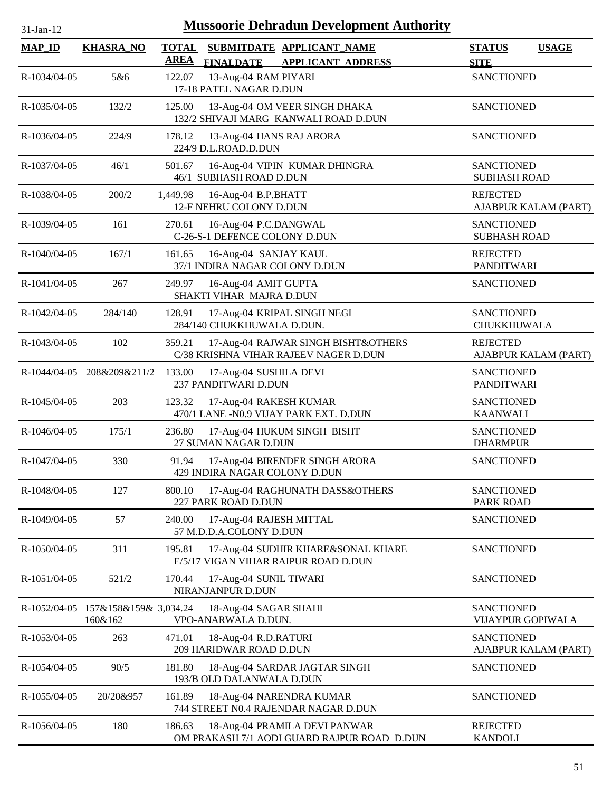| 31-Jan-12      |                                               | <b>Mussoorie Dehradun Development Authority</b>                                                          |                                              |  |
|----------------|-----------------------------------------------|----------------------------------------------------------------------------------------------------------|----------------------------------------------|--|
| <b>MAP_ID</b>  | <b>KHASRA_NO</b>                              | <b>TOTAL</b><br>SUBMITDATE APPLICANT NAME<br><b>AREA</b><br><b>FINALDATE</b><br><b>APPLICANT ADDRESS</b> | <b>STATUS</b><br><b>USAGE</b><br><b>SITE</b> |  |
| R-1034/04-05   | 5&6                                           | 13-Aug-04 RAM PIYARI<br>122.07<br>17-18 PATEL NAGAR D.DUN                                                | <b>SANCTIONED</b>                            |  |
| R-1035/04-05   | 132/2                                         | 125.00<br>13-Aug-04 OM VEER SINGH DHAKA<br>132/2 SHIVAJI MARG KANWALI ROAD D.DUN                         | <b>SANCTIONED</b>                            |  |
| R-1036/04-05   | 224/9                                         | 178.12<br>13-Aug-04 HANS RAJ ARORA<br>224/9 D.L.ROAD.D.DUN                                               | <b>SANCTIONED</b>                            |  |
| R-1037/04-05   | 46/1                                          | 501.67<br>16-Aug-04 VIPIN KUMAR DHINGRA<br>46/1 SUBHASH ROAD D.DUN                                       | <b>SANCTIONED</b><br><b>SUBHASH ROAD</b>     |  |
| R-1038/04-05   | 200/2                                         | 1,449.98<br>16-Aug-04 B.P.BHATT<br>12-F NEHRU COLONY D.DUN                                               | <b>REJECTED</b><br>AJABPUR KALAM (PART)      |  |
| R-1039/04-05   | 161                                           | 270.61<br>16-Aug-04 P.C.DANGWAL<br>C-26-S-1 DEFENCE COLONY D.DUN                                         | <b>SANCTIONED</b><br><b>SUBHASH ROAD</b>     |  |
| R-1040/04-05   | 167/1                                         | 161.65<br>16-Aug-04 SANJAY KAUL<br>37/1 INDIRA NAGAR COLONY D.DUN                                        | <b>REJECTED</b><br><b>PANDITWARI</b>         |  |
| R-1041/04-05   | 267                                           | 16-Aug-04 AMIT GUPTA<br>249.97<br>SHAKTI VIHAR MAJRA D.DUN                                               | <b>SANCTIONED</b>                            |  |
| R-1042/04-05   | 284/140                                       | 128.91<br>17-Aug-04 KRIPAL SINGH NEGI<br>284/140 CHUKKHUWALA D.DUN.                                      | <b>SANCTIONED</b><br>CHUKKHUWALA             |  |
| R-1043/04-05   | 102                                           | 17-Aug-04 RAJWAR SINGH BISHT&OTHERS<br>359.21<br>C/38 KRISHNA VIHAR RAJEEV NAGER D.DUN                   | <b>REJECTED</b><br>AJABPUR KALAM (PART)      |  |
|                | R-1044/04-05 208&209&211/2                    | 133.00<br>17-Aug-04 SUSHILA DEVI<br>237 PANDITWARI D.DUN                                                 | <b>SANCTIONED</b><br><b>PANDITWARI</b>       |  |
| R-1045/04-05   | 203                                           | 17-Aug-04 RAKESH KUMAR<br>123.32<br>470/1 LANE -N0.9 VIJAY PARK EXT. D.DUN                               | <b>SANCTIONED</b><br><b>KAANWALI</b>         |  |
| R-1046/04-05   | 175/1                                         | 236.80<br>17-Aug-04 HUKUM SINGH BISHT<br>27 SUMAN NAGAR D.DUN                                            | <b>SANCTIONED</b><br><b>DHARMPUR</b>         |  |
| $R-1047/04-05$ | 330                                           | 91.94<br>17-Aug-04 BIRENDER SINGH ARORA<br>429 INDIRA NAGAR COLONY D.DUN                                 | <b>SANCTIONED</b>                            |  |
| R-1048/04-05   | 127                                           | 17-Aug-04 RAGHUNATH DASS&OTHERS<br>800.10<br>227 PARK ROAD D.DUN                                         | <b>SANCTIONED</b><br>PARK ROAD               |  |
| R-1049/04-05   | 57                                            | 240.00<br>17-Aug-04 RAJESH MITTAL<br>57 M.D.D.A.COLONY D.DUN                                             | <b>SANCTIONED</b>                            |  |
| R-1050/04-05   | 311                                           | 17-Aug-04 SUDHIR KHARE&SONAL KHARE<br>195.81<br>E/5/17 VIGAN VIHAR RAIPUR ROAD D.DUN                     | <b>SANCTIONED</b>                            |  |
| R-1051/04-05   | 521/2                                         | 170.44<br>17-Aug-04 SUNIL TIWARI<br>NIRANJANPUR D.DUN                                                    | <b>SANCTIONED</b>                            |  |
|                | R-1052/04-05 157&158&159& 3,034.24<br>160&162 | 18-Aug-04 SAGAR SHAHI<br>VPO-ANARWALA D.DUN.                                                             | <b>SANCTIONED</b><br>VIJAYPUR GOPIWALA       |  |
| R-1053/04-05   | 263                                           | 471.01<br>18-Aug-04 R.D.RATURI<br>209 HARIDWAR ROAD D.DUN                                                | <b>SANCTIONED</b><br>AJABPUR KALAM (PART)    |  |
| R-1054/04-05   | 90/5                                          | 181.80<br>18-Aug-04 SARDAR JAGTAR SINGH<br>193/B OLD DALANWALA D.DUN                                     | <b>SANCTIONED</b>                            |  |
| R-1055/04-05   | 20/20&957                                     | 161.89<br>18-Aug-04 NARENDRA KUMAR<br>744 STREET N0.4 RAJENDAR NAGAR D.DUN                               | <b>SANCTIONED</b>                            |  |
| R-1056/04-05   | 180                                           | 186.63<br>18-Aug-04 PRAMILA DEVI PANWAR<br>OM PRAKASH 7/1 AODI GUARD RAJPUR ROAD D.DUN                   | <b>REJECTED</b><br><b>KANDOLI</b>            |  |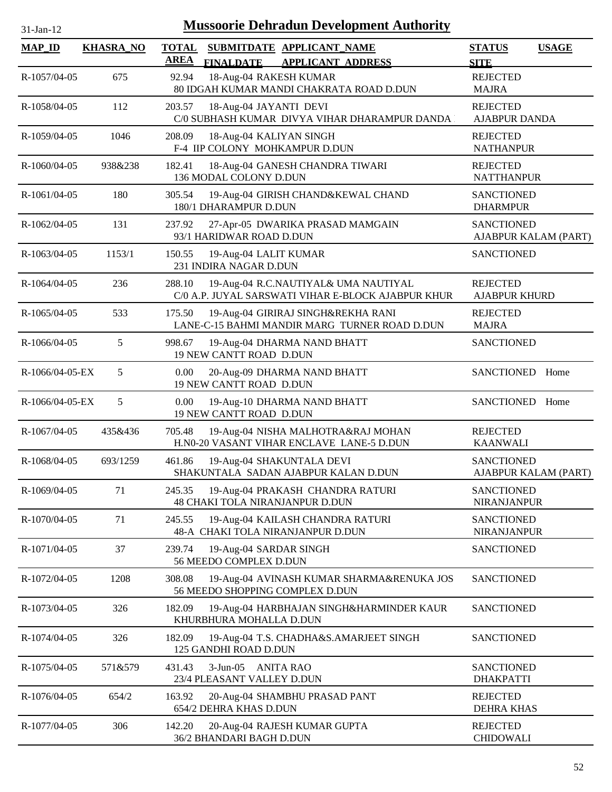| 31-Jan-12          |                  |                             | <b>Mussoorie Dehradun Development Authority</b>                                            |                                           |              |
|--------------------|------------------|-----------------------------|--------------------------------------------------------------------------------------------|-------------------------------------------|--------------|
| <b>MAP_ID</b>      | <b>KHASRA_NO</b> | <b>TOTAL</b><br><b>AREA</b> | SUBMITDATE APPLICANT NAME<br><b>FINALDATE</b><br><b>APPLICANT ADDRESS</b>                  | <b>STATUS</b><br><b>SITE</b>              | <b>USAGE</b> |
| R-1057/04-05       | 675              | 92.94                       | 18-Aug-04 RAKESH KUMAR<br>80 IDGAH KUMAR MANDI CHAKRATA ROAD D.DUN                         | <b>REJECTED</b><br><b>MAJRA</b>           |              |
| R-1058/04-05       | 112              | 203.57                      | 18-Aug-04 JAYANTI DEVI<br>C/0 SUBHASH KUMAR DIVYA VIHAR DHARAMPUR DANDA                    | <b>REJECTED</b><br><b>AJABPUR DANDA</b>   |              |
| R-1059/04-05       | 1046             | 208.09                      | 18-Aug-04 KALIYAN SINGH<br>F-4 IIP COLONY MOHKAMPUR D.DUN                                  | <b>REJECTED</b><br><b>NATHANPUR</b>       |              |
| $R - 1060/04 - 05$ | 938&238          | 182.41                      | 18-Aug-04 GANESH CHANDRA TIWARI<br>136 MODAL COLONY D.DUN                                  | <b>REJECTED</b><br><b>NATTHANPUR</b>      |              |
| R-1061/04-05       | 180              | 305.54                      | 19-Aug-04 GIRISH CHAND&KEWAL CHAND<br>180/1 DHARAMPUR D.DUN                                | <b>SANCTIONED</b><br><b>DHARMPUR</b>      |              |
| R-1062/04-05       | 131              | 237.92                      | 27-Apr-05 DWARIKA PRASAD MAMGAIN<br>93/1 HARIDWAR ROAD D.DUN                               | <b>SANCTIONED</b><br>AJABPUR KALAM (PART) |              |
| R-1063/04-05       | 1153/1           | 150.55                      | 19-Aug-04 LALIT KUMAR<br>231 INDIRA NAGAR D.DUN                                            | <b>SANCTIONED</b>                         |              |
| R-1064/04-05       | 236              | 288.10                      | 19-Aug-04 R.C.NAUTIYAL& UMA NAUTIYAL<br>C/0 A.P. JUYAL SARSWATI VIHAR E-BLOCK AJABPUR KHUR | <b>REJECTED</b><br><b>AJABPUR KHURD</b>   |              |
| R-1065/04-05       | 533              | 175.50                      | 19-Aug-04 GIRIRAJ SINGH&REKHA RANI<br>LANE-C-15 BAHMI MANDIR MARG TURNER ROAD D.DUN        | <b>REJECTED</b><br><b>MAJRA</b>           |              |
| R-1066/04-05       | 5                | 998.67                      | 19-Aug-04 DHARMA NAND BHATT<br>19 NEW CANTT ROAD D.DUN                                     | <b>SANCTIONED</b>                         |              |
| R-1066/04-05-EX    | 5                | 0.00                        | 20-Aug-09 DHARMA NAND BHATT<br>19 NEW CANTT ROAD D.DUN                                     | SANCTIONED Home                           |              |
| R-1066/04-05-EX    | 5                | 0.00                        | 19-Aug-10 DHARMA NAND BHATT<br>19 NEW CANTT ROAD D.DUN                                     | <b>SANCTIONED</b>                         | Home         |
| R-1067/04-05       | 435&436          | 705.48                      | 19-Aug-04 NISHA MALHOTRA&RAJ MOHAN<br>H.N0-20 VASANT VIHAR ENCLAVE LANE-5 D.DUN            | <b>REJECTED</b><br><b>KAANWALI</b>        |              |
| R-1068/04-05       | 693/1259         | 461.86                      | 19-Aug-04 SHAKUNTALA DEVI<br>SHAKUNTALA SADAN AJABPUR KALAN D.DUN                          | <b>SANCTIONED</b><br>AJABPUR KALAM (PART) |              |
| R-1069/04-05       | 71               | 245.35                      | 19-Aug-04 PRAKASH CHANDRA RATURI<br>48 CHAKI TOLA NIRANJANPUR D.DUN                        | <b>SANCTIONED</b><br><b>NIRANJANPUR</b>   |              |
| R-1070/04-05       | 71               | 245.55                      | 19-Aug-04 KAILASH CHANDRA RATURI<br>48-A CHAKI TOLA NIRANJANPUR D.DUN                      | <b>SANCTIONED</b><br><b>NIRANJANPUR</b>   |              |
| R-1071/04-05       | 37               | 239.74                      | 19-Aug-04 SARDAR SINGH<br>56 MEEDO COMPLEX D.DUN                                           | <b>SANCTIONED</b>                         |              |
| R-1072/04-05       | 1208             | 308.08                      | 19-Aug-04 AVINASH KUMAR SHARMA&RENUKA JOS<br>56 MEEDO SHOPPING COMPLEX D.DUN               | <b>SANCTIONED</b>                         |              |
| R-1073/04-05       | 326              | 182.09                      | 19-Aug-04 HARBHAJAN SINGH&HARMINDER KAUR<br>KHURBHURA MOHALLA D.DUN                        | <b>SANCTIONED</b>                         |              |
| R-1074/04-05       | 326              | 182.09                      | 19-Aug-04 T.S. CHADHA&S.AMARJEET SINGH<br>125 GANDHI ROAD D.DUN                            | <b>SANCTIONED</b>                         |              |
| R-1075/04-05       | 571&579          | 431.43                      | 3-Jun-05 ANITA RAO<br>23/4 PLEASANT VALLEY D.DUN                                           | <b>SANCTIONED</b><br><b>DHAKPATTI</b>     |              |
| R-1076/04-05       | 654/2            | 163.92                      | 20-Aug-04 SHAMBHU PRASAD PANT<br>654/2 DEHRA KHAS D.DUN                                    | <b>REJECTED</b><br><b>DEHRA KHAS</b>      |              |
| R-1077/04-05       | 306              | 142.20                      | 20-Aug-04 RAJESH KUMAR GUPTA<br>36/2 BHANDARI BAGH D.DUN                                   | <b>REJECTED</b><br><b>CHIDOWALI</b>       |              |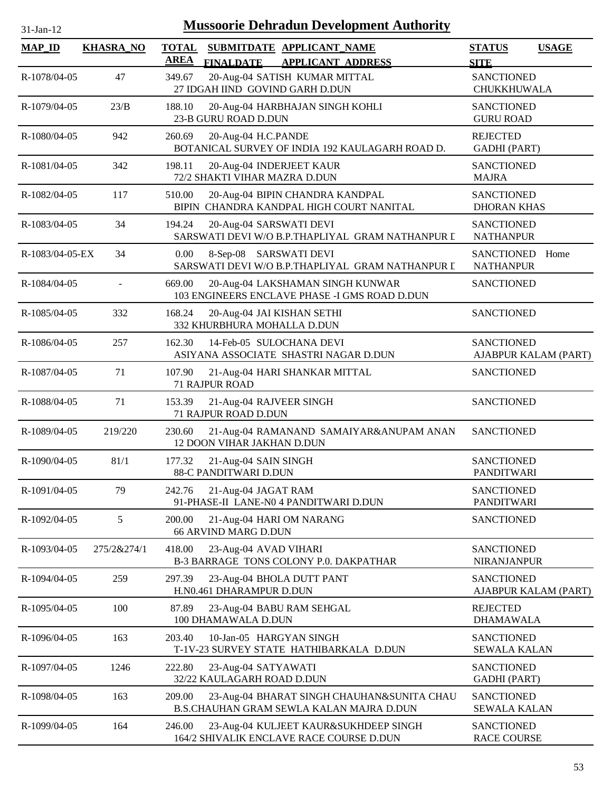| 31-Jan-12       |                  |              | <b>Mussoorie Dehradun Development Authority</b>                                        |                                          |                      |
|-----------------|------------------|--------------|----------------------------------------------------------------------------------------|------------------------------------------|----------------------|
| <b>MAP_ID</b>   | <b>KHASRA_NO</b> | <b>TOTAL</b> | SUBMITDATE APPLICANT NAME                                                              | <b>STATUS</b>                            | <b>USAGE</b>         |
|                 |                  | <b>AREA</b>  | <b>FINALDATE</b><br><b>APPLICANT ADDRESS</b>                                           | <b>SITE</b>                              |                      |
| R-1078/04-05    | 47               | 349.67       | 20-Aug-04 SATISH KUMAR MITTAL<br>27 IDGAH IIND GOVIND GARH D.DUN                       | <b>SANCTIONED</b><br>CHUKKHUWALA         |                      |
| R-1079/04-05    | 23/B             | 188.10       | 20-Aug-04 HARBHAJAN SINGH KOHLI<br>23-B GURU ROAD D.DUN                                | <b>SANCTIONED</b><br><b>GURU ROAD</b>    |                      |
| R-1080/04-05    | 942              | 260.69       | 20-Aug-04 H.C.PANDE<br>BOTANICAL SURVEY OF INDIA 192 KAULAGARH ROAD D.                 | <b>REJECTED</b><br><b>GADHI</b> (PART)   |                      |
| R-1081/04-05    | 342              | 198.11       | 20-Aug-04 INDERJEET KAUR<br>72/2 SHAKTI VIHAR MAZRA D.DUN                              | <b>SANCTIONED</b><br><b>MAJRA</b>        |                      |
| R-1082/04-05    | 117              | 510.00       | 20-Aug-04 BIPIN CHANDRA KANDPAL<br>BIPIN CHANDRA KANDPAL HIGH COURT NANITAL            | <b>SANCTIONED</b><br><b>DHORAN KHAS</b>  |                      |
| R-1083/04-05    | 34               | 194.24       | 20-Aug-04 SARSWATI DEVI<br>SARSWATI DEVI W/O B.P.THAPLIYAL GRAM NATHANPUR I            | <b>SANCTIONED</b><br><b>NATHANPUR</b>    |                      |
| R-1083/04-05-EX | 34               | 0.00         | 8-Sep-08 SARSWATI DEVI<br>SARSWATI DEVI W/O B.P.THAPLIYAL GRAM NATHANPUR I             | SANCTIONED<br><b>NATHANPUR</b>           | Home                 |
| R-1084/04-05    |                  | 669.00       | 20-Aug-04 LAKSHAMAN SINGH KUNWAR<br>103 ENGINEERS ENCLAVE PHASE -I GMS ROAD D.DUN      | <b>SANCTIONED</b>                        |                      |
| R-1085/04-05    | 332              | 168.24       | 20-Aug-04 JAI KISHAN SETHI<br>332 KHURBHURA MOHALLA D.DUN                              | <b>SANCTIONED</b>                        |                      |
| R-1086/04-05    | 257              | 162.30       | 14-Feb-05 SULOCHANA DEVI<br>ASIYANA ASSOCIATE SHASTRI NAGAR D.DUN                      | <b>SANCTIONED</b>                        | AJABPUR KALAM (PART) |
| R-1087/04-05    | 71               | 107.90       | 21-Aug-04 HARI SHANKAR MITTAL<br>71 RAJPUR ROAD                                        | <b>SANCTIONED</b>                        |                      |
| R-1088/04-05    | 71               | 153.39       | 21-Aug-04 RAJVEER SINGH<br>71 RAJPUR ROAD D.DUN                                        | <b>SANCTIONED</b>                        |                      |
| R-1089/04-05    | 219/220          | 230.60       | 21-Aug-04 RAMANAND SAMAIYAR&ANUPAM ANAN<br>12 DOON VIHAR JAKHAN D.DUN                  | <b>SANCTIONED</b>                        |                      |
| R-1090/04-05    | 81/1             | 177.32       | 21-Aug-04 SAIN SINGH<br><b>88-C PANDITWARI D.DUN</b>                                   | <b>SANCTIONED</b><br><b>PANDITWARI</b>   |                      |
| R-1091/04-05    | 79               | 242.76       | 21-Aug-04 JAGAT RAM<br>91-PHASE-II LANE-N0 4 PANDITWARI D.DUN                          | <b>SANCTIONED</b><br>PANDITWARI          |                      |
| R-1092/04-05    | 5                | 200.00       | 21-Aug-04 HARI OM NARANG<br>66 ARVIND MARG D.DUN                                       | <b>SANCTIONED</b>                        |                      |
| R-1093/04-05    | 275/2&274/1      | 418.00       | 23-Aug-04 AVAD VIHARI<br>B-3 BARRAGE TONS COLONY P.O. DAKPATHAR                        | <b>SANCTIONED</b><br><b>NIRANJANPUR</b>  |                      |
| R-1094/04-05    | 259              | 297.39       | 23-Aug-04 BHOLA DUTT PANT<br>H.N0.461 DHARAMPUR D.DUN                                  | <b>SANCTIONED</b>                        | AJABPUR KALAM (PART) |
| R-1095/04-05    | 100              | 87.89        | 23-Aug-04 BABU RAM SEHGAL<br>100 DHAMAWALA D.DUN                                       | <b>REJECTED</b><br><b>DHAMAWALA</b>      |                      |
| R-1096/04-05    | 163              | 203.40       | 10-Jan-05 HARGYAN SINGH<br>T-1V-23 SURVEY STATE HATHIBARKALA D.DUN                     | <b>SANCTIONED</b><br><b>SEWALA KALAN</b> |                      |
| R-1097/04-05    | 1246             | 222.80       | 23-Aug-04 SATYAWATI<br>32/22 KAULAGARH ROAD D.DUN                                      | <b>SANCTIONED</b><br><b>GADHI</b> (PART) |                      |
| R-1098/04-05    | 163              | 209.00       | 23-Aug-04 BHARAT SINGH CHAUHAN&SUNITA CHAU<br>B.S.CHAUHAN GRAM SEWLA KALAN MAJRA D.DUN | <b>SANCTIONED</b><br>SEWALA KALAN        |                      |
| R-1099/04-05    | 164              | 246.00       | 23-Aug-04 KULJEET KAUR&SUKHDEEP SINGH<br>164/2 SHIVALIK ENCLAVE RACE COURSE D.DUN      | <b>SANCTIONED</b><br><b>RACE COURSE</b>  |                      |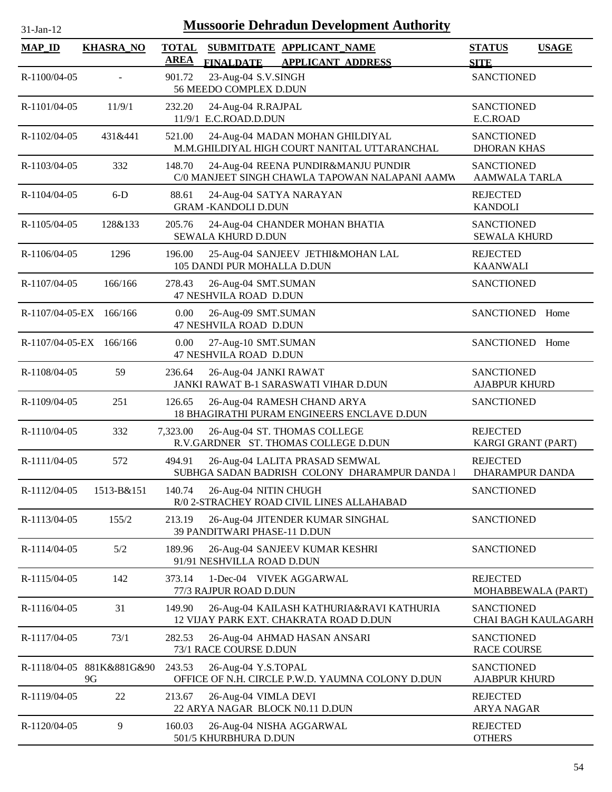| <b>Mussoorie Dehradun Development Authority</b><br>$31-Jan-12$ |                                 |                             |                                                                                       |                                           |                     |  |
|----------------------------------------------------------------|---------------------------------|-----------------------------|---------------------------------------------------------------------------------------|-------------------------------------------|---------------------|--|
| <b>MAP_ID</b>                                                  | <b>KHASRA_NO</b>                | <b>TOTAL</b><br><b>AREA</b> | SUBMITDATE APPLICANT NAME<br><b>FINALDATE</b><br><b>APPLICANT ADDRESS</b>             | <b>STATUS</b><br><b>SITE</b>              | <b>USAGE</b>        |  |
| R-1100/04-05                                                   | $\overline{\phantom{a}}$        | 901.72                      | 23-Aug-04 S.V.SINGH<br>56 MEEDO COMPLEX D.DUN                                         | <b>SANCTIONED</b>                         |                     |  |
| R-1101/04-05                                                   | 11/9/1                          | 232.20                      | 24-Aug-04 R.RAJPAL<br>11/9/1 E.C.ROAD.D.DUN                                           | <b>SANCTIONED</b><br>E.C.ROAD             |                     |  |
| R-1102/04-05                                                   | 431&441                         | 521.00                      | 24-Aug-04 MADAN MOHAN GHILDIYAL<br>M.M.GHILDIYAL HIGH COURT NANITAL UTTARANCHAL       | <b>SANCTIONED</b><br><b>DHORAN KHAS</b>   |                     |  |
| R-1103/04-05                                                   | 332                             | 148.70                      | 24-Aug-04 REENA PUNDIR&MANJU PUNDIR<br>C/0 MANJEET SINGH CHAWLA TAPOWAN NALAPANI AAMW | <b>SANCTIONED</b><br><b>AAMWALA TARLA</b> |                     |  |
| R-1104/04-05                                                   | $6-D$                           | 88.61                       | 24-Aug-04 SATYA NARAYAN<br><b>GRAM -KANDOLI D.DUN</b>                                 | <b>REJECTED</b><br><b>KANDOLI</b>         |                     |  |
| R-1105/04-05                                                   | 128&133                         | 205.76                      | 24-Aug-04 CHANDER MOHAN BHATIA<br><b>SEWALA KHURD D.DUN</b>                           | <b>SANCTIONED</b><br><b>SEWALA KHURD</b>  |                     |  |
| R-1106/04-05                                                   | 1296                            | 196.00                      | 25-Aug-04 SANJEEV JETHI&MOHAN LAL<br>105 DANDI PUR MOHALLA D.DUN                      | <b>REJECTED</b><br><b>KAANWALI</b>        |                     |  |
| R-1107/04-05                                                   | 166/166                         | 278.43                      | 26-Aug-04 SMT.SUMAN<br>47 NESHVILA ROAD D.DUN                                         | <b>SANCTIONED</b>                         |                     |  |
| R-1107/04-05-EX 166/166                                        |                                 | 0.00                        | 26-Aug-09 SMT.SUMAN<br>47 NESHVILA ROAD D.DUN                                         | SANCTIONED                                | Home                |  |
| R-1107/04-05-EX 166/166                                        |                                 | 0.00                        | 27-Aug-10 SMT.SUMAN<br>47 NESHVILA ROAD D.DUN                                         | <b>SANCTIONED</b>                         | Home                |  |
| R-1108/04-05                                                   | 59                              | 236.64                      | 26-Aug-04 JANKI RAWAT<br>JANKI RAWAT B-1 SARASWATI VIHAR D.DUN                        | <b>SANCTIONED</b><br><b>AJABPUR KHURD</b> |                     |  |
| R-1109/04-05                                                   | 251                             | 126.65                      | 26-Aug-04 RAMESH CHAND ARYA<br>18 BHAGIRATHI PURAM ENGINEERS ENCLAVE D.DUN            | <b>SANCTIONED</b>                         |                     |  |
| R-1110/04-05                                                   | 332                             | 7,323.00                    | 26-Aug-04 ST. THOMAS COLLEGE<br>R.V.GARDNER ST. THOMAS COLLEGE D.DUN                  | <b>REJECTED</b><br>KARGI GRANT (PART)     |                     |  |
| R-1111/04-05                                                   | 572                             | 494.91                      | 26-Aug-04 LALITA PRASAD SEMWAL<br>SUBHGA SADAN BADRISH COLONY DHARAMPUR DANDA I       | <b>REJECTED</b><br>DHARAMPUR DANDA        |                     |  |
| R-1112/04-05                                                   | 1513-B&151                      | 140.74                      | 26-Aug-04 NITIN CHUGH<br>R/0 2-STRACHEY ROAD CIVIL LINES ALLAHABAD                    | <b>SANCTIONED</b>                         |                     |  |
| R-1113/04-05                                                   | 155/2                           | 213.19                      | 26-Aug-04 JITENDER KUMAR SINGHAL<br>39 PANDITWARI PHASE-11 D.DUN                      | <b>SANCTIONED</b>                         |                     |  |
| R-1114/04-05                                                   | 5/2                             | 189.96                      | 26-Aug-04 SANJEEV KUMAR KESHRI<br>91/91 NESHVILLA ROAD D.DUN                          | <b>SANCTIONED</b>                         |                     |  |
| R-1115/04-05                                                   | 142                             | 373.14                      | 1-Dec-04 VIVEK AGGARWAL<br>77/3 RAJPUR ROAD D.DUN                                     | <b>REJECTED</b><br>MOHABBEWALA (PART)     |                     |  |
| R-1116/04-05                                                   | 31                              | 149.90                      | 26-Aug-04 KAILASH KATHURIA&RAVI KATHURIA<br>12 VIJAY PARK EXT. CHAKRATA ROAD D.DUN    | <b>SANCTIONED</b>                         | CHAI BAGH KAULAGARH |  |
| R-1117/04-05                                                   | 73/1                            | 282.53                      | 26-Aug-04 AHMAD HASAN ANSARI<br>73/1 RACE COURSE D.DUN                                | <b>SANCTIONED</b><br><b>RACE COURSE</b>   |                     |  |
|                                                                | R-1118/04-05 881K&881G&90<br>9G | 243.53                      | 26-Aug-04 Y.S.TOPAL<br>OFFICE OF N.H. CIRCLE P.W.D. YAUMNA COLONY D.DUN               | <b>SANCTIONED</b><br><b>AJABPUR KHURD</b> |                     |  |
| R-1119/04-05                                                   | 22                              | 213.67                      | 26-Aug-04 VIMLA DEVI<br>22 ARYA NAGAR BLOCK N0.11 D.DUN                               | <b>REJECTED</b><br><b>ARYA NAGAR</b>      |                     |  |
| R-1120/04-05                                                   | 9                               | 160.03                      | 26-Aug-04 NISHA AGGARWAL<br>501/5 KHURBHURA D.DUN                                     | <b>REJECTED</b><br><b>OTHERS</b>          |                     |  |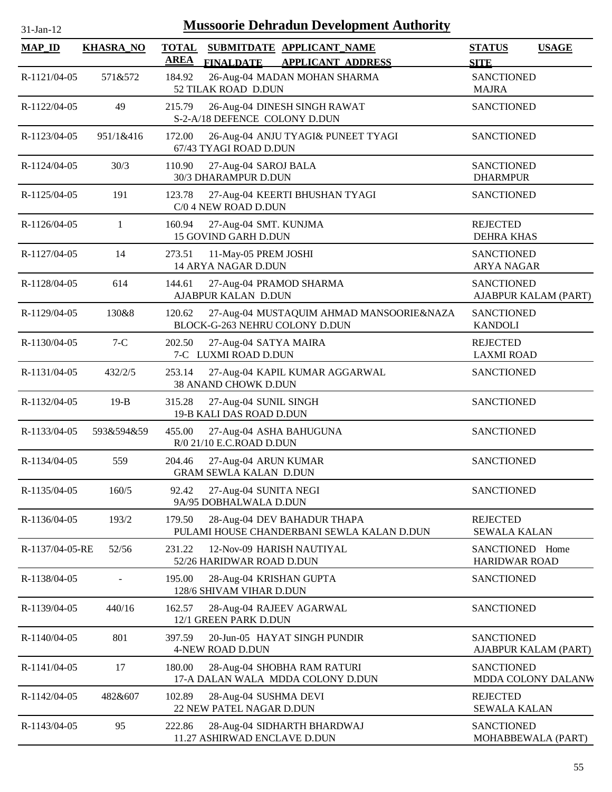| $31$ -Jan-12 |  |
|--------------|--|

| <b>MAP_ID</b>   | <b>KHASRA_NO</b> | <b>TOTAL</b><br>SUBMITDATE APPLICANT_NAME<br><b>AREA</b><br><b>FINALDATE</b><br><b>APPLICANT ADDRESS</b> | <b>STATUS</b><br><b>USAGE</b><br><b>SITE</b> |
|-----------------|------------------|----------------------------------------------------------------------------------------------------------|----------------------------------------------|
| R-1121/04-05    | 571&572          | 184.92<br>26-Aug-04 MADAN MOHAN SHARMA<br>52 TILAK ROAD D.DUN                                            | <b>SANCTIONED</b><br><b>MAJRA</b>            |
| R-1122/04-05    | 49               | 26-Aug-04 DINESH SINGH RAWAT<br>215.79<br>S-2-A/18 DEFENCE COLONY D.DUN                                  | <b>SANCTIONED</b>                            |
| R-1123/04-05    | 951/1&416        | 172.00<br>26-Aug-04 ANJU TYAGI& PUNEET TYAGI<br>67/43 TYAGI ROAD D.DUN                                   | <b>SANCTIONED</b>                            |
| R-1124/04-05    | 30/3             | 110.90<br>27-Aug-04 SAROJ BALA<br>30/3 DHARAMPUR D.DUN                                                   | <b>SANCTIONED</b><br><b>DHARMPUR</b>         |
| R-1125/04-05    | 191              | 123.78<br>27-Aug-04 KEERTI BHUSHAN TYAGI<br>C/0 4 NEW ROAD D.DUN                                         | <b>SANCTIONED</b>                            |
| R-1126/04-05    | 1                | 160.94<br>27-Aug-04 SMT. KUNJMA<br>15 GOVIND GARH D.DUN                                                  | <b>REJECTED</b><br><b>DEHRA KHAS</b>         |
| R-1127/04-05    | 14               | 273.51<br>11-May-05 PREM JOSHI<br>14 ARYA NAGAR D.DUN                                                    | <b>SANCTIONED</b><br><b>ARYA NAGAR</b>       |
| R-1128/04-05    | 614              | 27-Aug-04 PRAMOD SHARMA<br>144.61<br>AJABPUR KALAN D.DUN                                                 | <b>SANCTIONED</b><br>AJABPUR KALAM (PART)    |
| R-1129/04-05    | 130&8            | 27-Aug-04 MUSTAQUIM AHMAD MANSOORIE&NAZA<br>120.62<br>BLOCK-G-263 NEHRU COLONY D.DUN                     | <b>SANCTIONED</b><br><b>KANDOLI</b>          |
| R-1130/04-05    | $7-C$            | 202.50<br>27-Aug-04 SATYA MAIRA<br>7-C LUXMI ROAD D.DUN                                                  | <b>REJECTED</b><br><b>LAXMI ROAD</b>         |
| R-1131/04-05    | 432/2/5          | 253.14<br>27-Aug-04 KAPIL KUMAR AGGARWAL<br>38 ANAND CHOWK D.DUN                                         | <b>SANCTIONED</b>                            |
| R-1132/04-05    | $19-B$           | 315.28<br>27-Aug-04 SUNIL SINGH<br>19-B KALI DAS ROAD D.DUN                                              | <b>SANCTIONED</b>                            |
| R-1133/04-05    | 593&594&59       | 455.00<br>27-Aug-04 ASHA BAHUGUNA<br>R/0 21/10 E.C.ROAD D.DUN                                            | <b>SANCTIONED</b>                            |
| R-1134/04-05    | 559              | 204.46<br>27-Aug-04 ARUN KUMAR<br><b>GRAM SEWLA KALAN D.DUN</b>                                          | <b>SANCTIONED</b>                            |
| R-1135/04-05    | 160/5            | 27-Aug-04 SUNITA NEGI<br>92.42<br>9A/95 DOBHALWALA D.DUN                                                 | <b>SANCTIONED</b>                            |
| R-1136/04-05    | 193/2            | 28-Aug-04 DEV BAHADUR THAPA<br>179.50<br>PULAMI HOUSE CHANDERBANI SEWLA KALAN D.DUN                      | <b>REJECTED</b><br><b>SEWALA KALAN</b>       |
| R-1137/04-05-RE | 52/56            | 231.22<br>12-Nov-09 HARISH NAUTIYAL<br>52/26 HARIDWAR ROAD D.DUN                                         | SANCTIONED Home<br><b>HARIDWAR ROAD</b>      |
| R-1138/04-05    |                  | 195.00<br>28-Aug-04 KRISHAN GUPTA<br>128/6 SHIVAM VIHAR D.DUN                                            | <b>SANCTIONED</b>                            |
| R-1139/04-05    | 440/16           | 162.57<br>28-Aug-04 RAJEEV AGARWAL<br>12/1 GREEN PARK D.DUN                                              | <b>SANCTIONED</b>                            |
| R-1140/04-05    | 801              | 20-Jun-05 HAYAT SINGH PUNDIR<br>397.59<br>4-NEW ROAD D.DUN                                               | <b>SANCTIONED</b><br>AJABPUR KALAM (PART)    |
| R-1141/04-05    | 17               | 180.00<br>28-Aug-04 SHOBHA RAM RATURI<br>17-A DALAN WALA MDDA COLONY D.DUN                               | <b>SANCTIONED</b><br>MDDA COLONY DALANW      |
| R-1142/04-05    | 482&607          | 102.89<br>28-Aug-04 SUSHMA DEVI<br>22 NEW PATEL NAGAR D.DUN                                              | <b>REJECTED</b><br><b>SEWALA KALAN</b>       |
| R-1143/04-05    | 95               | 222.86<br>28-Aug-04 SIDHARTH BHARDWAJ<br>11.27 ASHIRWAD ENCLAVE D.DUN                                    | <b>SANCTIONED</b><br>MOHABBEWALA (PART)      |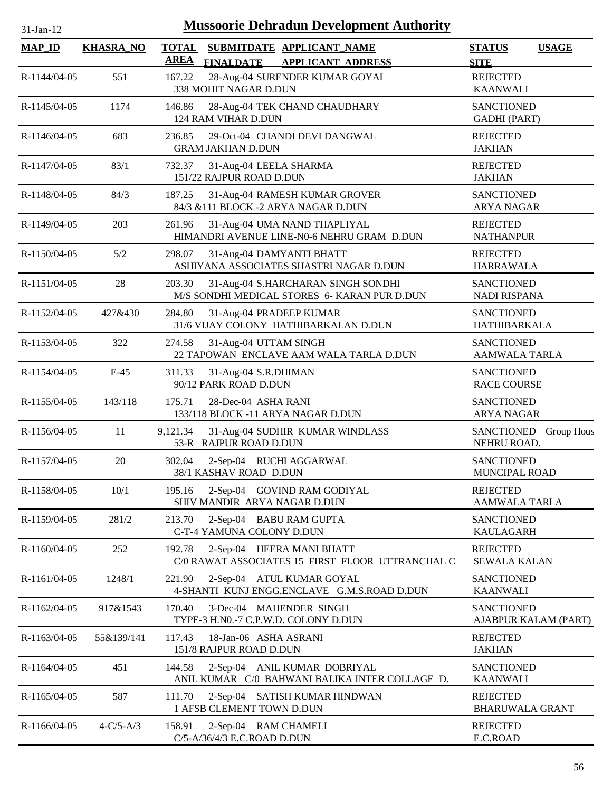| $31$ -Jan-12   |                  |                             | <b>Mussoorie Dehradun Development Authority</b>                                    |                                           |                   |
|----------------|------------------|-----------------------------|------------------------------------------------------------------------------------|-------------------------------------------|-------------------|
| <b>MAP_ID</b>  | <b>KHASRA_NO</b> | <b>TOTAL</b><br><b>AREA</b> | SUBMITDATE APPLICANT_NAME<br><b>APPLICANT ADDRESS</b><br><b>FINALDATE</b>          | <b>STATUS</b><br><b>SITE</b>              | <b>USAGE</b>      |
| R-1144/04-05   | 551              | 167.22                      | 28-Aug-04 SURENDER KUMAR GOYAL<br>338 MOHIT NAGAR D.DUN                            | <b>REJECTED</b><br><b>KAANWALI</b>        |                   |
| R-1145/04-05   | 1174             | 146.86                      | 28-Aug-04 TEK CHAND CHAUDHARY<br>124 RAM VIHAR D.DUN                               | <b>SANCTIONED</b><br><b>GADHI</b> (PART)  |                   |
| R-1146/04-05   | 683              | 236.85                      | 29-Oct-04 CHANDI DEVI DANGWAL<br><b>GRAM JAKHAN D.DUN</b>                          | <b>REJECTED</b><br><b>JAKHAN</b>          |                   |
| R-1147/04-05   | 83/1             | 732.37                      | 31-Aug-04 LEELA SHARMA<br>151/22 RAJPUR ROAD D.DUN                                 | <b>REJECTED</b><br><b>JAKHAN</b>          |                   |
| R-1148/04-05   | 84/3             | 187.25                      | 31-Aug-04 RAMESH KUMAR GROVER<br>84/3 &111 BLOCK -2 ARYA NAGAR D.DUN               | <b>SANCTIONED</b><br><b>ARYA NAGAR</b>    |                   |
| R-1149/04-05   | 203              | 261.96                      | 31-Aug-04 UMA NAND THAPLIYAL<br>HIMANDRI AVENUE LINE-N0-6 NEHRU GRAM D.DUN         | <b>REJECTED</b><br><b>NATHANPUR</b>       |                   |
| R-1150/04-05   | 5/2              | 298.07                      | 31-Aug-04 DAMYANTI BHATT<br>ASHIYANA ASSOCIATES SHASTRI NAGAR D.DUN                | <b>REJECTED</b><br><b>HARRAWALA</b>       |                   |
| $R-1151/04-05$ | 28               | 203.30                      | 31-Aug-04 S.HARCHARAN SINGH SONDHI<br>M/S SONDHI MEDICAL STORES 6- KARAN PUR D.DUN | <b>SANCTIONED</b><br>NADI RISPANA         |                   |
| R-1152/04-05   | 427&430          | 284.80                      | 31-Aug-04 PRADEEP KUMAR<br>31/6 VIJAY COLONY HATHIBARKALAN D.DUN                   | <b>SANCTIONED</b><br><b>HATHIBARKALA</b>  |                   |
| R-1153/04-05   | 322              | 274.58                      | 31-Aug-04 UTTAM SINGH<br>22 TAPOWAN ENCLAVE AAM WALA TARLA D.DUN                   | <b>SANCTIONED</b><br>AAMWALA TARLA        |                   |
| R-1154/04-05   | $E-45$           | 311.33                      | 31-Aug-04 S.R.DHIMAN<br>90/12 PARK ROAD D.DUN                                      | <b>SANCTIONED</b><br><b>RACE COURSE</b>   |                   |
| R-1155/04-05   | 143/118          | 175.71                      | 28-Dec-04 ASHA RANI<br>133/118 BLOCK -11 ARYA NAGAR D.DUN                          | <b>SANCTIONED</b><br><b>ARYA NAGAR</b>    |                   |
| R-1156/04-05   | 11               | 9,121.34                    | 31-Aug-04 SUDHIR KUMAR WINDLASS<br>53-R RAJPUR ROAD D.DUN                          | <b>SANCTIONED</b><br>NEHRU ROAD.          | <b>Group Hous</b> |
| R-1157/04-05   | 20               | 302.04                      | 2-Sep-04 RUCHI AGGARWAL<br>38/1 KASHAV ROAD D.DUN                                  | <b>SANCTIONED</b><br>MUNCIPAL ROAD        |                   |
| R-1158/04-05   | 10/1             | 195.16                      | 2-Sep-04 GOVIND RAM GODIYAL<br>SHIV MANDIR ARYA NAGAR D.DUN                        | <b>REJECTED</b><br>AAMWALA TARLA          |                   |
| R-1159/04-05   | 281/2            | 213.70                      | 2-Sep-04 BABU RAM GUPTA<br>C-T-4 YAMUNA COLONY D.DUN                               | <b>SANCTIONED</b><br><b>KAULAGARH</b>     |                   |
| R-1160/04-05   | 252              | 192.78                      | 2-Sep-04 HEERA MANI BHATT<br>C/0 RAWAT ASSOCIATES 15 FIRST FLOOR UTTRANCHAL C      | <b>REJECTED</b><br><b>SEWALA KALAN</b>    |                   |
| R-1161/04-05   | 1248/1           | 221.90                      | 2-Sep-04 ATUL KUMAR GOYAL<br>4-SHANTI KUNJ ENGG.ENCLAVE G.M.S.ROAD D.DUN           | <b>SANCTIONED</b><br><b>KAANWALI</b>      |                   |
| R-1162/04-05   | 917&1543         | 170.40                      | 3-Dec-04 MAHENDER SINGH<br>TYPE-3 H.N0.-7 C.P.W.D. COLONY D.DUN                    | <b>SANCTIONED</b><br>AJABPUR KALAM (PART) |                   |
| R-1163/04-05   | 55&139/141       | 117.43                      | 18-Jan-06 ASHA ASRANI<br>151/8 RAJPUR ROAD D.DUN                                   | <b>REJECTED</b><br><b>JAKHAN</b>          |                   |
| R-1164/04-05   | 451              | 144.58                      | 2-Sep-04 ANIL KUMAR DOBRIYAL<br>ANIL KUMAR C/0 BAHWANI BALIKA INTER COLLAGE D.     | <b>SANCTIONED</b><br><b>KAANWALI</b>      |                   |
| R-1165/04-05   | 587              | 111.70                      | 2-Sep-04 SATISH KUMAR HINDWAN<br>1 AFSB CLEMENT TOWN D.DUN                         | <b>REJECTED</b><br><b>BHARUWALA GRANT</b> |                   |
| R-1166/04-05   | $4-C/5-A/3$      | 158.91                      | 2-Sep-04 RAM CHAMELI<br>C/5-A/36/4/3 E.C.ROAD D.DUN                                | <b>REJECTED</b><br>E.C.ROAD               |                   |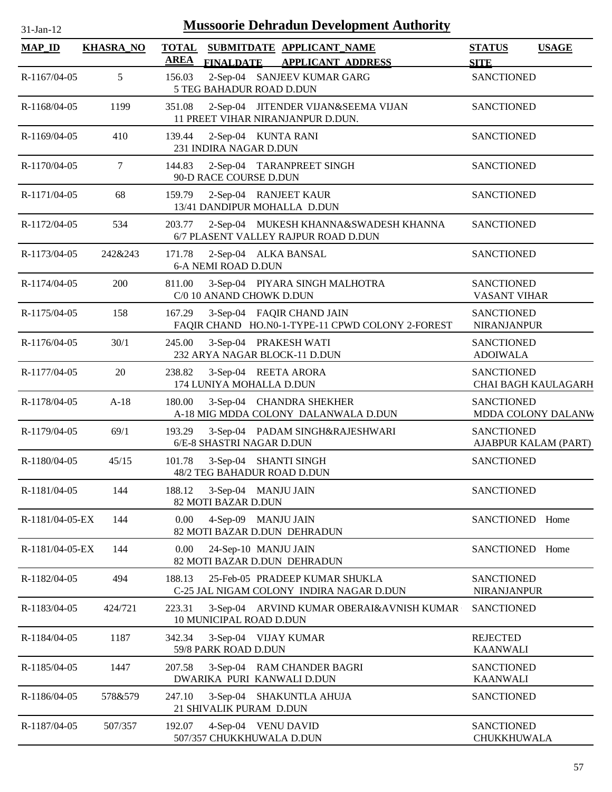| $31$ -Jan- $12$ | <b>Mussoorie Dehradun Development Authority</b> |             |                                                                               |                                           |                     |  |  |  |
|-----------------|-------------------------------------------------|-------------|-------------------------------------------------------------------------------|-------------------------------------------|---------------------|--|--|--|
| <b>MAP_ID</b>   | <b>KHASRA_NO</b>                                | <b>AREA</b> | TOTAL SUBMITDATE APPLICANT NAME<br>FINALDATE APPLICANT ADDRESS                | <b>STATUS</b><br><b>SITE</b>              | <b>USAGE</b>        |  |  |  |
| R-1167/04-05    | 5                                               | 156.03      | 2-Sep-04 SANJEEV KUMAR GARG<br>5 TEG BAHADUR ROAD D.DUN                       | <b>SANCTIONED</b>                         |                     |  |  |  |
| R-1168/04-05    | 1199                                            | 351.08      | 2-Sep-04 JITENDER VIJAN&SEEMA VIJAN<br>11 PREET VIHAR NIRANJANPUR D.DUN.      | <b>SANCTIONED</b>                         |                     |  |  |  |
| R-1169/04-05    | 410                                             | 139.44      | 2-Sep-04 KUNTA RANI<br>231 INDIRA NAGAR D.DUN                                 | <b>SANCTIONED</b>                         |                     |  |  |  |
| R-1170/04-05    | 7                                               | 144.83      | 2-Sep-04 TARANPREET SINGH<br>90-D RACE COURSE D.DUN                           | <b>SANCTIONED</b>                         |                     |  |  |  |
| R-1171/04-05    | 68                                              | 159.79      | 2-Sep-04 RANJEET KAUR<br>13/41 DANDIPUR MOHALLA D.DUN                         | <b>SANCTIONED</b>                         |                     |  |  |  |
| R-1172/04-05    | 534                                             | 203.77      | 2-Sep-04 MUKESH KHANNA&SWADESH KHANNA<br>6/7 PLASENT VALLEY RAJPUR ROAD D.DUN | <b>SANCTIONED</b>                         |                     |  |  |  |
| R-1173/04-05    | 242&243                                         | 171.78      | 2-Sep-04 ALKA BANSAL<br><b>6-A NEMI ROAD D.DUN</b>                            | <b>SANCTIONED</b>                         |                     |  |  |  |
| R-1174/04-05    | 200                                             | 811.00      | 3-Sep-04 PIYARA SINGH MALHOTRA<br>C/0 10 ANAND CHOWK D.DUN                    | <b>SANCTIONED</b><br><b>VASANT VIHAR</b>  |                     |  |  |  |
| R-1175/04-05    | 158                                             | 167.29      | 3-Sep-04 FAQIR CHAND JAIN<br>FAQIR CHAND HO.N0-1-TYPE-11 CPWD COLONY 2-FOREST | <b>SANCTIONED</b><br><b>NIRANJANPUR</b>   |                     |  |  |  |
| R-1176/04-05    | 30/1                                            | 245.00      | 3-Sep-04 PRAKESH WATI<br>232 ARYA NAGAR BLOCK-11 D.DUN                        | <b>SANCTIONED</b><br><b>ADOIWALA</b>      |                     |  |  |  |
| R-1177/04-05    | 20                                              | 238.82      | 3-Sep-04 REETA ARORA<br>174 LUNIYA MOHALLA D.DUN                              | <b>SANCTIONED</b>                         | CHAI BAGH KAULAGARH |  |  |  |
| R-1178/04-05    | $A-18$                                          | 180.00      | 3-Sep-04 CHANDRA SHEKHER<br>A-18 MIG MDDA COLONY DALANWALA D.DUN              | <b>SANCTIONED</b>                         | MDDA COLONY DALANW  |  |  |  |
| R-1179/04-05    | 69/1                                            | 193.29      | 3-Sep-04 PADAM SINGH&RAJESHWARI<br>6/E-8 SHASTRI NAGAR D.DUN                  | <b>SANCTIONED</b><br>AJABPUR KALAM (PART) |                     |  |  |  |
| $R-1180/04-05$  | 45/15                                           | 101.78      | 3-Sep-04 SHANTI SINGH<br>48/2 TEG BAHADUR ROAD D.DUN                          | <b>SANCTIONED</b>                         |                     |  |  |  |
| R-1181/04-05    | 144                                             | 188.12      | 3-Sep-04 MANJU JAIN<br>82 MOTI BAZAR D.DUN                                    | <b>SANCTIONED</b>                         |                     |  |  |  |
| R-1181/04-05-EX | 144                                             | $0.00\,$    | 4-Sep-09 MANJU JAIN<br>82 MOTI BAZAR D.DUN DEHRADUN                           | SANCTIONED Home                           |                     |  |  |  |
| R-1181/04-05-EX | 144                                             | $0.00\,$    | 24-Sep-10 MANJU JAIN<br>82 MOTI BAZAR D.DUN DEHRADUN                          | SANCTIONED Home                           |                     |  |  |  |
| R-1182/04-05    | 494                                             | 188.13      | 25-Feb-05 PRADEEP KUMAR SHUKLA<br>C-25 JAL NIGAM COLONY INDIRA NAGAR D.DUN    | <b>SANCTIONED</b><br><b>NIRANJANPUR</b>   |                     |  |  |  |
| R-1183/04-05    | 424/721                                         | 223.31      | 3-Sep-04 ARVIND KUMAR OBERAI&AVNISH KUMAR<br>10 MUNICIPAL ROAD D.DUN          | <b>SANCTIONED</b>                         |                     |  |  |  |
| R-1184/04-05    | 1187                                            | 342.34      | 3-Sep-04 VIJAY KUMAR<br>59/8 PARK ROAD D.DUN                                  | <b>REJECTED</b><br><b>KAANWALI</b>        |                     |  |  |  |
| R-1185/04-05    | 1447                                            | 207.58      | 3-Sep-04 RAM CHANDER BAGRI<br>DWARIKA PURI KANWALI D.DUN                      | <b>SANCTIONED</b><br><b>KAANWALI</b>      |                     |  |  |  |
| R-1186/04-05    | 578&579                                         | 247.10      | 3-Sep-04 SHAKUNTLA AHUJA<br>21 SHIVALIK PURAM D.DUN                           | <b>SANCTIONED</b>                         |                     |  |  |  |
| R-1187/04-05    | 507/357                                         | 192.07      | 4-Sep-04 VENU DAVID<br>507/357 CHUKKHUWALA D.DUN                              | <b>SANCTIONED</b><br><b>CHUKKHUWALA</b>   |                     |  |  |  |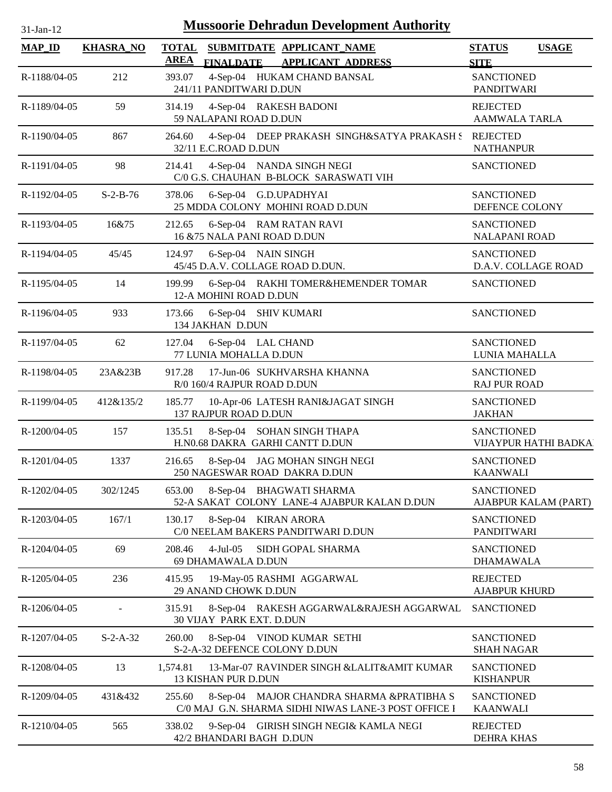| $31-Jan-12$   |                  |                             | <b>Mussoorie Dehradun Development Authority</b>                                                   |                                              |
|---------------|------------------|-----------------------------|---------------------------------------------------------------------------------------------------|----------------------------------------------|
| <b>MAP_ID</b> | <b>KHASRA_NO</b> | <b>TOTAL</b><br><u>AREA</u> | SUBMITDATE APPLICANT NAME<br>FINALDATE APPLICANT ADDRESS                                          | <b>STATUS</b><br><b>USAGE</b><br><b>SITE</b> |
| R-1188/04-05  | 212              | 393.07                      | 4-Sep-04 HUKAM CHAND BANSAL<br>241/11 PANDITWARI D.DUN                                            | <b>SANCTIONED</b><br>PANDITWARI              |
| R-1189/04-05  | 59               | 314.19                      | 4-Sep-04 RAKESH BADONI<br>59 NALAPANI ROAD D.DUN                                                  | <b>REJECTED</b><br><b>AAMWALA TARLA</b>      |
| R-1190/04-05  | 867              | 264.60                      | 4-Sep-04 DEEP PRAKASH SINGH&SATYA PRAKASH S REJECTED<br>32/11 E.C.ROAD D.DUN                      | <b>NATHANPUR</b>                             |
| R-1191/04-05  | 98               | 214.41                      | 4-Sep-04 NANDA SINGH NEGI<br>C/0 G.S. CHAUHAN B-BLOCK SARASWATI VIH                               | <b>SANCTIONED</b>                            |
| R-1192/04-05  | $S-2-B-76$       | 378.06                      | 6-Sep-04 G.D.UPADHYAI<br>25 MDDA COLONY MOHINI ROAD D.DUN                                         | <b>SANCTIONED</b><br>DEFENCE COLONY          |
| R-1193/04-05  | 16&75            | 212.65                      | 6-Sep-04 RAM RATAN RAVI<br>16 & 75 NALA PANI ROAD D.DUN                                           | <b>SANCTIONED</b><br><b>NALAPANI ROAD</b>    |
| R-1194/04-05  | 45/45            | 124.97                      | 6-Sep-04 NAIN SINGH<br>45/45 D.A.V. COLLAGE ROAD D.DUN.                                           | <b>SANCTIONED</b><br>D.A.V. COLLAGE ROAD     |
| R-1195/04-05  | 14               | 199.99                      | 6-Sep-04 RAKHI TOMER&HEMENDER TOMAR<br>12-A MOHINI ROAD D.DUN                                     | <b>SANCTIONED</b>                            |
| R-1196/04-05  | 933              | 173.66                      | 6-Sep-04 SHIV KUMARI<br>134 JAKHAN D.DUN                                                          | <b>SANCTIONED</b>                            |
| R-1197/04-05  | 62               | 127.04                      | 6-Sep-04 LAL CHAND<br>77 LUNIA MOHALLA D.DUN                                                      | <b>SANCTIONED</b><br>LUNIA MAHALLA           |
| R-1198/04-05  | 23A&23B          | 917.28                      | 17-Jun-06 SUKHVARSHA KHANNA<br>R/0 160/4 RAJPUR ROAD D.DUN                                        | <b>SANCTIONED</b><br><b>RAJ PUR ROAD</b>     |
| R-1199/04-05  | 412&135/2        | 185.77                      | 10-Apr-06 LATESH RANI&JAGAT SINGH<br>137 RAJPUR ROAD D.DUN                                        | <b>SANCTIONED</b><br><b>JAKHAN</b>           |
| R-1200/04-05  | 157              | 135.51                      | 8-Sep-04 SOHAN SINGH THAPA<br>H.N0.68 DAKRA GARHI CANTT D.DUN                                     | <b>SANCTIONED</b><br>VIJAYPUR HATHI BADKAI   |
| R-1201/04-05  | 1337             | 216.65                      | 8-Sep-04 JAG MOHAN SINGH NEGI<br>250 NAGESWAR ROAD DAKRA D.DUN                                    | <b>SANCTIONED</b><br><b>KAANWALI</b>         |
| R-1202/04-05  | 302/1245         | 653.00                      | 8-Sep-04 BHAGWATI SHARMA<br>52-A SAKAT COLONY LANE-4 AJABPUR KALAN D.DUN                          | <b>SANCTIONED</b><br>AJABPUR KALAM (PART)    |
| R-1203/04-05  | 167/1            | 130.17                      | 8-Sep-04 KIRAN ARORA<br>C/0 NEELAM BAKERS PANDITWARI D.DUN                                        | <b>SANCTIONED</b><br>PANDITWARI              |
| R-1204/04-05  | 69               | 208.46                      | $4-Jul-05$<br>SIDH GOPAL SHARMA<br>69 DHAMAWALA D.DUN                                             | <b>SANCTIONED</b><br><b>DHAMAWALA</b>        |
| R-1205/04-05  | 236              | 415.95                      | 19-May-05 RASHMI AGGARWAL<br>29 ANAND CHOWK D.DUN                                                 | <b>REJECTED</b><br><b>AJABPUR KHURD</b>      |
| R-1206/04-05  |                  | 315.91                      | 8-Sep-04 RAKESH AGGARWAL&RAJESH AGGARWAL<br>30 VIJAY PARK EXT. D.DUN                              | <b>SANCTIONED</b>                            |
| R-1207/04-05  | $S-2-A-32$       | 260.00                      | 8-Sep-04 VINOD KUMAR SETHI<br>S-2-A-32 DEFENCE COLONY D.DUN                                       | <b>SANCTIONED</b><br><b>SHAH NAGAR</b>       |
| R-1208/04-05  | 13               | 1,574.81                    | 13-Mar-07 RAVINDER SINGH &LALIT&AMIT KUMAR<br>13 KISHAN PUR D.DUN                                 | <b>SANCTIONED</b><br><b>KISHANPUR</b>        |
| R-1209/04-05  | 431&432          | 255.60                      | 8-Sep-04 MAJOR CHANDRA SHARMA &PRATIBHA S<br>C/0 MAJ G.N. SHARMA SIDHI NIWAS LANE-3 POST OFFICE I | <b>SANCTIONED</b><br><b>KAANWALI</b>         |
| R-1210/04-05  | 565              | 338.02                      | 9-Sep-04 GIRISH SINGH NEGI& KAMLA NEGI<br>42/2 BHANDARI BAGH D.DUN                                | <b>REJECTED</b><br>DEHRA KHAS                |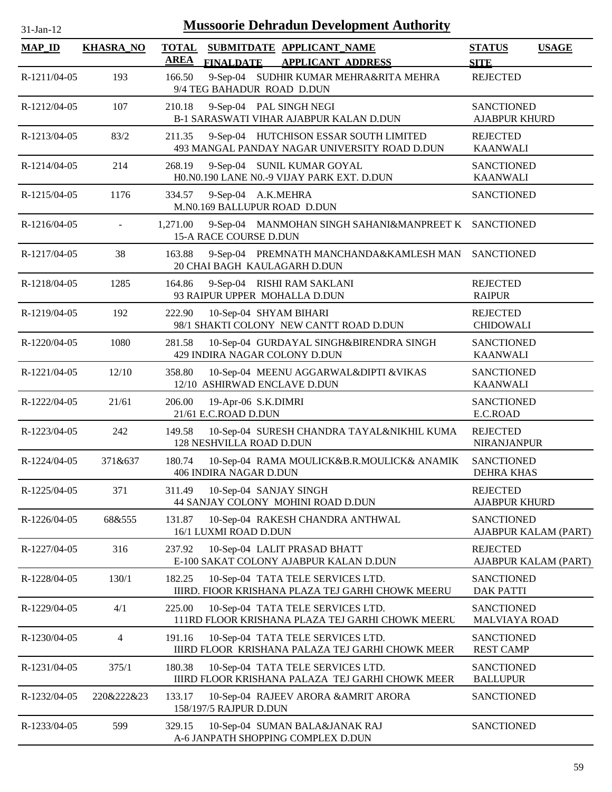| 31-Jan-12     | <b>Mussoorie Dehradun Development Authority</b> |                             |                                                                                                                      |                                           |                      |  |  |  |
|---------------|-------------------------------------------------|-----------------------------|----------------------------------------------------------------------------------------------------------------------|-------------------------------------------|----------------------|--|--|--|
| <b>MAP_ID</b> | <b>KHASRA_NO</b>                                | <b>TOTAL</b><br><b>AREA</b> | SUBMITDATE APPLICANT NAME                                                                                            | <b>STATUS</b>                             | <b>USAGE</b>         |  |  |  |
| R-1211/04-05  | 193                                             | 166.50                      | <b>FINALDATE</b><br><b>APPLICANT ADDRESS</b><br>9-Sep-04 SUDHIR KUMAR MEHRA&RITA MEHRA<br>9/4 TEG BAHADUR ROAD D.DUN | <b>SITE</b><br><b>REJECTED</b>            |                      |  |  |  |
| R-1212/04-05  | 107                                             | 210.18                      | 9-Sep-04 PAL SINGH NEGI<br>B-1 SARASWATI VIHAR AJABPUR KALAN D.DUN                                                   | <b>SANCTIONED</b><br><b>AJABPUR KHURD</b> |                      |  |  |  |
| R-1213/04-05  | 83/2                                            | 211.35                      | 9-Sep-04 HUTCHISON ESSAR SOUTH LIMITED<br>493 MANGAL PANDAY NAGAR UNIVERSITY ROAD D.DUN                              | <b>REJECTED</b><br><b>KAANWALI</b>        |                      |  |  |  |
| R-1214/04-05  | 214                                             | 268.19                      | 9-Sep-04 SUNIL KUMAR GOYAL<br>H0.N0.190 LANE N0.-9 VIJAY PARK EXT. D.DUN                                             | <b>SANCTIONED</b><br><b>KAANWALI</b>      |                      |  |  |  |
| R-1215/04-05  | 1176                                            | 334.57                      | 9-Sep-04 A.K.MEHRA<br>M.N0.169 BALLUPUR ROAD D.DUN                                                                   | <b>SANCTIONED</b>                         |                      |  |  |  |
| R-1216/04-05  | $\overline{a}$                                  | 1,271.00                    | 9-Sep-04 MANMOHAN SINGH SAHANI&MANPREET K SANCTIONED<br>15-A RACE COURSE D.DUN                                       |                                           |                      |  |  |  |
| R-1217/04-05  | 38                                              | 163.88                      | 9-Sep-04 PREMNATH MANCHANDA&KAMLESH MAN SANCTIONED<br>20 CHAI BAGH KAULAGARH D.DUN                                   |                                           |                      |  |  |  |
| R-1218/04-05  | 1285                                            | 164.86                      | 9-Sep-04 RISHI RAM SAKLANI<br>93 RAIPUR UPPER MOHALLA D.DUN                                                          | <b>REJECTED</b><br><b>RAIPUR</b>          |                      |  |  |  |
| R-1219/04-05  | 192                                             | 222.90                      | 10-Sep-04 SHYAM BIHARI<br>98/1 SHAKTI COLONY NEW CANTT ROAD D.DUN                                                    | <b>REJECTED</b><br><b>CHIDOWALI</b>       |                      |  |  |  |
| R-1220/04-05  | 1080                                            | 281.58                      | 10-Sep-04 GURDAYAL SINGH&BIRENDRA SINGH<br>429 INDIRA NAGAR COLONY D.DUN                                             | <b>SANCTIONED</b><br><b>KAANWALI</b>      |                      |  |  |  |
| R-1221/04-05  | 12/10                                           | 358.80                      | 10-Sep-04 MEENU AGGARWAL&DIPTI & VIKAS<br>12/10 ASHIRWAD ENCLAVE D.DUN                                               | <b>SANCTIONED</b><br><b>KAANWALI</b>      |                      |  |  |  |
| R-1222/04-05  | 21/61                                           | 206.00                      | 19-Apr-06 S.K.DIMRI<br>21/61 E.C.ROAD D.DUN                                                                          | <b>SANCTIONED</b><br>E.C.ROAD             |                      |  |  |  |
| R-1223/04-05  | 242                                             | 149.58                      | 10-Sep-04 SURESH CHANDRA TAYAL&NIKHIL KUMA<br>128 NESHVILLA ROAD D.DUN                                               | <b>REJECTED</b><br><b>NIRANJANPUR</b>     |                      |  |  |  |
| R-1224/04-05  | 371&637                                         | 180.74                      | 10-Sep-04 RAMA MOULICK&B.R.MOULICK& ANAMIK<br>406 INDIRA NAGAR D.DUN                                                 | <b>SANCTIONED</b><br><b>DEHRA KHAS</b>    |                      |  |  |  |
| R-1225/04-05  | 371                                             | 311.49                      | 10-Sep-04 SANJAY SINGH<br>44 SANJAY COLONY MOHINI ROAD D.DUN                                                         | <b>REJECTED</b><br><b>AJABPUR KHURD</b>   |                      |  |  |  |
| R-1226/04-05  | 68&555                                          | 131.87                      | 10-Sep-04 RAKESH CHANDRA ANTHWAL<br>16/1 LUXMI ROAD D.DUN                                                            | <b>SANCTIONED</b>                         | AJABPUR KALAM (PART) |  |  |  |
| R-1227/04-05  | 316                                             | 237.92                      | 10-Sep-04 LALIT PRASAD BHATT<br>E-100 SAKAT COLONY AJABPUR KALAN D.DUN                                               | <b>REJECTED</b>                           | AJABPUR KALAM (PART) |  |  |  |
| R-1228/04-05  | 130/1                                           | 182.25                      | 10-Sep-04 TATA TELE SERVICES LTD.<br>IIIRD. FIOOR KRISHANA PLAZA TEJ GARHI CHOWK MEERU                               | <b>SANCTIONED</b><br><b>DAK PATTI</b>     |                      |  |  |  |
| R-1229/04-05  | 4/1                                             | 225.00                      | 10-Sep-04 TATA TELE SERVICES LTD.<br>111RD FLOOR KRISHANA PLAZA TEJ GARHI CHOWK MEERU                                | <b>SANCTIONED</b><br><b>MALVIAYA ROAD</b> |                      |  |  |  |
| R-1230/04-05  | 4                                               | 191.16                      | 10-Sep-04 TATA TELE SERVICES LTD.<br>IIIRD FLOOR KRISHANA PALAZA TEJ GARHI CHOWK MEER                                | <b>SANCTIONED</b><br><b>REST CAMP</b>     |                      |  |  |  |
| R-1231/04-05  | 375/1                                           | 180.38                      | 10-Sep-04 TATA TELE SERVICES LTD.<br>IIIRD FLOOR KRISHANA PALAZA TEJ GARHI CHOWK MEER                                | <b>SANCTIONED</b><br><b>BALLUPUR</b>      |                      |  |  |  |
| R-1232/04-05  | 220&222&23                                      | 133.17                      | 10-Sep-04 RAJEEV ARORA & AMRIT ARORA<br>158/197/5 RAJPUR D.DUN                                                       | <b>SANCTIONED</b>                         |                      |  |  |  |
| R-1233/04-05  | 599                                             | 329.15                      | 10-Sep-04 SUMAN BALA&JANAK RAJ<br>A-6 JANPATH SHOPPING COMPLEX D.DUN                                                 | <b>SANCTIONED</b>                         |                      |  |  |  |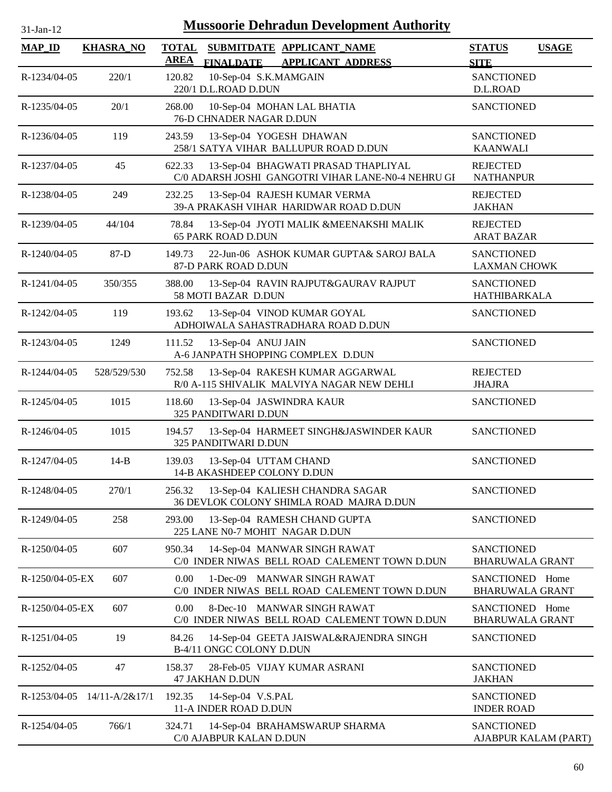| 31-Jan-12 |  |
|-----------|--|

| <b>MAP_ID</b>   | <b>KHASRA_NO</b>            | <b>TOTAL</b><br>SUBMITDATE APPLICANT_NAME<br><b>AREA</b><br><b>APPLICANT ADDRESS</b><br><b>FINALDATE</b> | <b>STATUS</b><br><b>USAGE</b><br><b>SITE</b>        |
|-----------------|-----------------------------|----------------------------------------------------------------------------------------------------------|-----------------------------------------------------|
| R-1234/04-05    | 220/1                       | 120.82<br>10-Sep-04 S.K.MAMGAIN<br>220/1 D.L.ROAD D.DUN                                                  | <b>SANCTIONED</b><br>D.L.ROAD                       |
| R-1235/04-05    | 20/1                        | 268.00<br>10-Sep-04 MOHAN LAL BHATIA<br>76-D CHNADER NAGAR D.DUN                                         | <b>SANCTIONED</b>                                   |
| R-1236/04-05    | 119                         | 243.59<br>13-Sep-04 YOGESH DHAWAN<br>258/1 SATYA VIHAR BALLUPUR ROAD D.DUN                               | <b>SANCTIONED</b><br><b>KAANWALI</b>                |
| R-1237/04-05    | 45                          | 622.33<br>13-Sep-04 BHAGWATI PRASAD THAPLIYAL<br>C/0 ADARSH JOSHI GANGOTRI VIHAR LANE-N0-4 NEHRU GI      | <b>REJECTED</b><br><b>NATHANPUR</b>                 |
| R-1238/04-05    | 249                         | 232.25<br>13-Sep-04 RAJESH KUMAR VERMA<br>39-A PRAKASH VIHAR HARIDWAR ROAD D.DUN                         | <b>REJECTED</b><br><b>JAKHAN</b>                    |
| R-1239/04-05    | 44/104                      | 78.84<br>13-Sep-04 JYOTI MALIK &MEENAKSHI MALIK<br><b>65 PARK ROAD D.DUN</b>                             | <b>REJECTED</b><br><b>ARAT BAZAR</b>                |
| R-1240/04-05    | $87-D$                      | 149.73<br>22-Jun-06 ASHOK KUMAR GUPTA& SAROJ BALA<br>87-D PARK ROAD D.DUN                                | <b>SANCTIONED</b><br><b>LAXMAN CHOWK</b>            |
| R-1241/04-05    | 350/355                     | 388.00<br>13-Sep-04 RAVIN RAJPUT&GAURAV RAJPUT<br>58 MOTI BAZAR D.DUN                                    | <b>SANCTIONED</b><br>HATHIBARKALA                   |
| R-1242/04-05    | 119                         | 193.62<br>13-Sep-04 VINOD KUMAR GOYAL<br>ADHOIWALA SAHASTRADHARA ROAD D.DUN                              | <b>SANCTIONED</b>                                   |
| R-1243/04-05    | 1249                        | 111.52<br>13-Sep-04 ANUJ JAIN<br>A-6 JANPATH SHOPPING COMPLEX D.DUN                                      | <b>SANCTIONED</b>                                   |
| R-1244/04-05    | 528/529/530                 | 13-Sep-04 RAKESH KUMAR AGGARWAL<br>752.58<br>R/0 A-115 SHIVALIK MALVIYA NAGAR NEW DEHLI                  | <b>REJECTED</b><br><b>JHAJRA</b>                    |
| R-1245/04-05    | 1015                        | 118.60<br>13-Sep-04 JASWINDRA KAUR<br>325 PANDITWARI D.DUN                                               | <b>SANCTIONED</b>                                   |
| R-1246/04-05    | 1015                        | 194.57<br>13-Sep-04 HARMEET SINGH&JASWINDER KAUR<br>325 PANDITWARI D.DUN                                 | <b>SANCTIONED</b>                                   |
| R-1247/04-05    | $14-B$                      | 13-Sep-04 UTTAM CHAND<br>139.03<br>14-B AKASHDEEP COLONY D.DUN                                           | <b>SANCTIONED</b>                                   |
| R-1248/04-05    | 270/1                       | 13-Sep-04 KALIESH CHANDRA SAGAR<br>256.32<br>36 DEVLOK COLONY SHIMLA ROAD MAJRA D.DUN                    | <b>SANCTIONED</b>                                   |
| R-1249/04-05    | 258                         | 293.00<br>13-Sep-04 RAMESH CHAND GUPTA<br>225 LANE N0-7 MOHIT NAGAR D.DUN                                | <b>SANCTIONED</b>                                   |
| R-1250/04-05    | 607                         | 950.34<br>14-Sep-04 MANWAR SINGH RAWAT<br>C/0 INDER NIWAS BELL ROAD CALEMENT TOWN D.DUN                  | <b>SANCTIONED</b><br><b>BHARUWALA GRANT</b>         |
| R-1250/04-05-EX | 607                         | 0.00<br>1-Dec-09 MANWAR SINGH RAWAT<br>C/0 INDER NIWAS BELL ROAD CALEMENT TOWN D.DUN                     | SANCTIONED Home<br><b>BHARUWALA GRANT</b>           |
| R-1250/04-05-EX | 607                         | 0.00<br>8-Dec-10 MANWAR SINGH RAWAT<br>C/0 INDER NIWAS BELL ROAD CALEMENT TOWN D.DUN                     | <b>SANCTIONED</b><br>Home<br><b>BHARUWALA GRANT</b> |
| R-1251/04-05    | 19                          | 84.26<br>14-Sep-04 GEETA JAISWAL&RAJENDRA SINGH<br>B-4/11 ONGC COLONY D.DUN                              | <b>SANCTIONED</b>                                   |
| R-1252/04-05    | 47                          | 158.37<br>28-Feb-05 VIJAY KUMAR ASRANI<br><b>47 JAKHAN D.DUN</b>                                         | <b>SANCTIONED</b><br><b>JAKHAN</b>                  |
|                 | R-1253/04-05 14/11-A/2&17/1 | 192.35<br>14-Sep-04 V.S.PAL<br>11-A INDER ROAD D.DUN                                                     | <b>SANCTIONED</b><br><b>INDER ROAD</b>              |
| R-1254/04-05    | 766/1                       | 324.71<br>14-Sep-04 BRAHAMSWARUP SHARMA<br>C/0 AJABPUR KALAN D.DUN                                       | <b>SANCTIONED</b><br>AJABPUR KALAM (PART)           |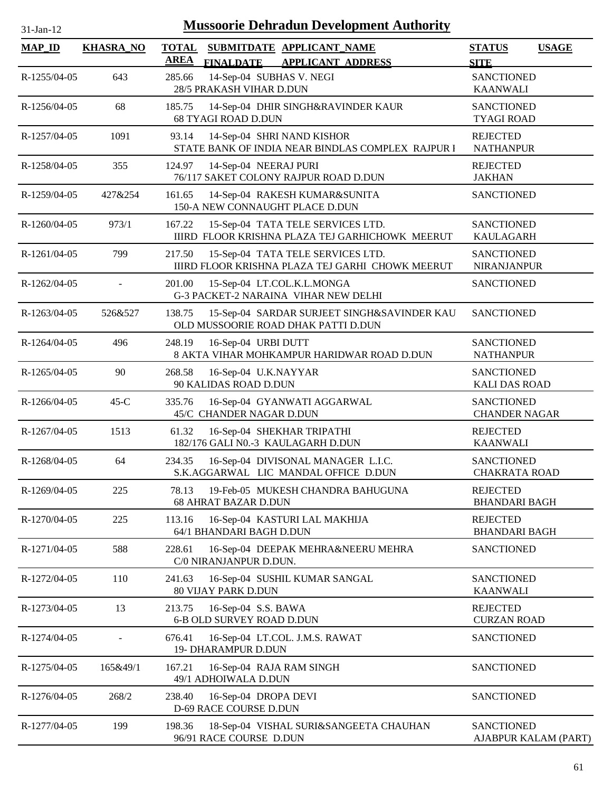| 31-Jan-12     | <b>Mussoorie Dehradun Development Authority</b> |                       |                                                                                       |                                           |              |  |  |  |
|---------------|-------------------------------------------------|-----------------------|---------------------------------------------------------------------------------------|-------------------------------------------|--------------|--|--|--|
| <b>MAP_ID</b> | <b>KHASRA_NO</b>                                | <b>TOTAL</b>          | SUBMITDATE APPLICANT NAME                                                             | <b>STATUS</b>                             | <b>USAGE</b> |  |  |  |
| R-1255/04-05  | 643                                             | <b>AREA</b><br>285.66 | <b>APPLICANT ADDRESS</b><br><b>FINALDATE</b><br>14-Sep-04 SUBHAS V. NEGI              | <b>SITE</b><br><b>SANCTIONED</b>          |              |  |  |  |
|               |                                                 |                       | 28/5 PRAKASH VIHAR D.DUN                                                              | <b>KAANWALI</b>                           |              |  |  |  |
| R-1256/04-05  | 68                                              | 185.75                | 14-Sep-04 DHIR SINGH&RAVINDER KAUR<br><b>68 TYAGI ROAD D.DUN</b>                      | <b>SANCTIONED</b><br><b>TYAGI ROAD</b>    |              |  |  |  |
| R-1257/04-05  | 1091                                            | 93.14                 | 14-Sep-04 SHRI NAND KISHOR<br>STATE BANK OF INDIA NEAR BINDLAS COMPLEX RAJPUR I       | <b>REJECTED</b><br><b>NATHANPUR</b>       |              |  |  |  |
| R-1258/04-05  | 355                                             | 124.97                | 14-Sep-04 NEERAJ PURI<br>76/117 SAKET COLONY RAJPUR ROAD D.DUN                        | <b>REJECTED</b><br><b>JAKHAN</b>          |              |  |  |  |
| R-1259/04-05  | 427&254                                         | 161.65                | 14-Sep-04 RAKESH KUMAR&SUNITA<br>150-A NEW CONNAUGHT PLACE D.DUN                      | <b>SANCTIONED</b>                         |              |  |  |  |
| R-1260/04-05  | 973/1                                           | 167.22                | 15-Sep-04 TATA TELE SERVICES LTD.<br>IIIRD FLOOR KRISHNA PLAZA TEJ GARHICHOWK MEERUT  | <b>SANCTIONED</b><br><b>KAULAGARH</b>     |              |  |  |  |
| R-1261/04-05  | 799                                             | 217.50                | 15-Sep-04 TATA TELE SERVICES LTD.<br>IIIRD FLOOR KRISHNA PLAZA TEJ GARHI CHOWK MEERUT | <b>SANCTIONED</b><br><b>NIRANJANPUR</b>   |              |  |  |  |
| R-1262/04-05  | L.                                              | 201.00                | 15-Sep-04 LT.COL.K.L.MONGA<br>G-3 PACKET-2 NARAINA VIHAR NEW DELHI                    | <b>SANCTIONED</b>                         |              |  |  |  |
| R-1263/04-05  | 526&527                                         | 138.75                | 15-Sep-04 SARDAR SURJEET SINGH&SAVINDER KAU<br>OLD MUSSOORIE ROAD DHAK PATTI D.DUN    | <b>SANCTIONED</b>                         |              |  |  |  |
| R-1264/04-05  | 496                                             | 248.19                | 16-Sep-04 URBI DUTT<br>8 AKTA VIHAR MOHKAMPUR HARIDWAR ROAD D.DUN                     | <b>SANCTIONED</b><br><b>NATHANPUR</b>     |              |  |  |  |
| R-1265/04-05  | 90                                              | 268.58                | 16-Sep-04 U.K.NAYYAR<br>90 KALIDAS ROAD D.DUN                                         | <b>SANCTIONED</b><br><b>KALI DAS ROAD</b> |              |  |  |  |
| R-1266/04-05  | $45-C$                                          | 335.76                | 16-Sep-04 GYANWATI AGGARWAL<br>45/C CHANDER NAGAR D.DUN                               | <b>SANCTIONED</b><br><b>CHANDER NAGAR</b> |              |  |  |  |
| R-1267/04-05  | 1513                                            | 61.32                 | 16-Sep-04 SHEKHAR TRIPATHI<br>182/176 GALI N0.-3 KAULAGARH D.DUN                      | <b>REJECTED</b><br><b>KAANWALI</b>        |              |  |  |  |
| R-1268/04-05  | 64                                              | 234.35                | 16-Sep-04 DIVISONAL MANAGER L.I.C.<br>S.K.AGGARWAL LIC MANDAL OFFICE D.DUN            | <b>SANCTIONED</b><br><b>CHAKRATA ROAD</b> |              |  |  |  |
| R-1269/04-05  | 225                                             | 78.13                 | 19-Feb-05 MUKESH CHANDRA BAHUGUNA<br><b>68 AHRAT BAZAR D.DUN</b>                      | <b>REJECTED</b><br><b>BHANDARI BAGH</b>   |              |  |  |  |
| R-1270/04-05  | 225                                             | 113.16                | 16-Sep-04 KASTURI LAL MAKHIJA<br>64/1 BHANDARI BAGH D.DUN                             | <b>REJECTED</b><br><b>BHANDARI BAGH</b>   |              |  |  |  |
| R-1271/04-05  | 588                                             | 228.61                | 16-Sep-04 DEEPAK MEHRA&NEERU MEHRA<br>C/0 NIRANJANPUR D.DUN.                          | <b>SANCTIONED</b>                         |              |  |  |  |
| R-1272/04-05  | 110                                             | 241.63                | 16-Sep-04 SUSHIL KUMAR SANGAL<br><b>80 VIJAY PARK D.DUN</b>                           | <b>SANCTIONED</b><br><b>KAANWALI</b>      |              |  |  |  |
| R-1273/04-05  | 13                                              | 213.75                | 16-Sep-04 S.S. BAWA<br><b>6-B OLD SURVEY ROAD D.DUN</b>                               | <b>REJECTED</b><br><b>CURZAN ROAD</b>     |              |  |  |  |
| R-1274/04-05  |                                                 | 676.41                | 16-Sep-04 LT.COL. J.M.S. RAWAT<br>19- DHARAMPUR D.DUN                                 | <b>SANCTIONED</b>                         |              |  |  |  |
| R-1275/04-05  | 165&49/1                                        | 167.21                | 16-Sep-04 RAJA RAM SINGH<br>49/1 ADHOIWALA D.DUN                                      | <b>SANCTIONED</b>                         |              |  |  |  |
| R-1276/04-05  | 268/2                                           | 238.40                | 16-Sep-04 DROPA DEVI<br>D-69 RACE COURSE D.DUN                                        | <b>SANCTIONED</b>                         |              |  |  |  |
| R-1277/04-05  | 199                                             | 198.36                | 18-Sep-04 VISHAL SURI&SANGEETA CHAUHAN<br>96/91 RACE COURSE D.DUN                     | <b>SANCTIONED</b><br>AJABPUR KALAM (PART) |              |  |  |  |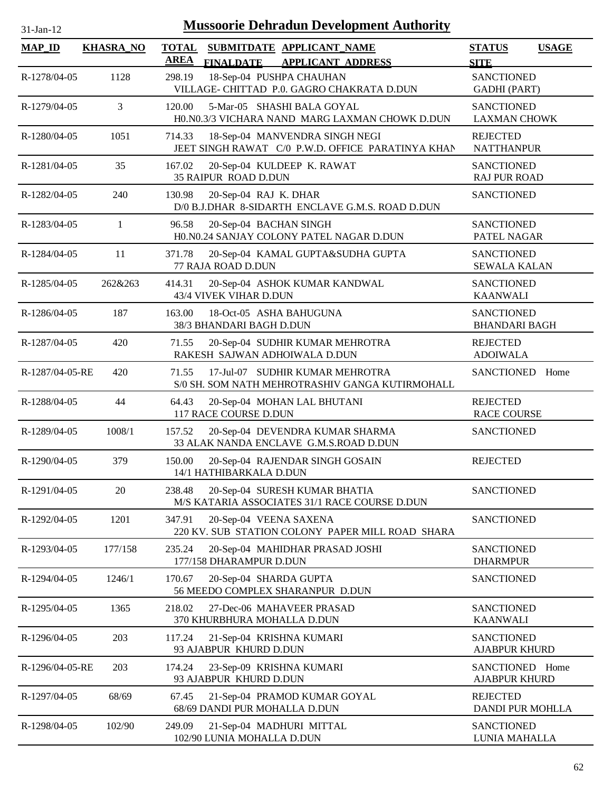| 31-Jan-12       | <b>Mussoorie Dehradun Development Authority</b> |                             |                                                                                     |                                           |              |  |  |
|-----------------|-------------------------------------------------|-----------------------------|-------------------------------------------------------------------------------------|-------------------------------------------|--------------|--|--|
| <b>MAP_ID</b>   | <b>KHASRA_NO</b>                                | <b>TOTAL</b><br><b>AREA</b> | SUBMITDATE APPLICANT NAME<br><b>FINALDATE</b><br><b>APPLICANT ADDRESS</b>           | <b>STATUS</b><br><b>SITE</b>              | <b>USAGE</b> |  |  |
| R-1278/04-05    | 1128                                            | 298.19                      | 18-Sep-04 PUSHPA CHAUHAN<br>VILLAGE- CHITTAD P.0. GAGRO CHAKRATA D.DUN              | <b>SANCTIONED</b><br><b>GADHI</b> (PART)  |              |  |  |
| R-1279/04-05    | 3                                               | 120.00                      | 5-Mar-05 SHASHI BALA GOYAL<br>H0.N0.3/3 VICHARA NAND MARG LAXMAN CHOWK D.DUN        | <b>SANCTIONED</b><br><b>LAXMAN CHOWK</b>  |              |  |  |
| R-1280/04-05    | 1051                                            | 714.33                      | 18-Sep-04 MANVENDRA SINGH NEGI<br>JEET SINGH RAWAT C/0 P.W.D. OFFICE PARATINYA KHAN | <b>REJECTED</b><br><b>NATTHANPUR</b>      |              |  |  |
| R-1281/04-05    | 35                                              | 167.02                      | 20-Sep-04 KULDEEP K. RAWAT<br>35 RAIPUR ROAD D.DUN                                  | <b>SANCTIONED</b><br><b>RAJ PUR ROAD</b>  |              |  |  |
| R-1282/04-05    | 240                                             | 130.98                      | 20-Sep-04 RAJ K. DHAR<br>D/0 B.J.DHAR 8-SIDARTH ENCLAVE G.M.S. ROAD D.DUN           | <b>SANCTIONED</b>                         |              |  |  |
| R-1283/04-05    | $\mathbf{1}$                                    | 96.58                       | 20-Sep-04 BACHAN SINGH<br>H0.N0.24 SANJAY COLONY PATEL NAGAR D.DUN                  | <b>SANCTIONED</b><br>PATEL NAGAR          |              |  |  |
| R-1284/04-05    | 11                                              | 371.78                      | 20-Sep-04 KAMAL GUPTA&SUDHA GUPTA<br>77 RAJA ROAD D.DUN                             | <b>SANCTIONED</b><br><b>SEWALA KALAN</b>  |              |  |  |
| R-1285/04-05    | 262&263                                         | 414.31                      | 20-Sep-04 ASHOK KUMAR KANDWAL<br>43/4 VIVEK VIHAR D.DUN                             | <b>SANCTIONED</b><br><b>KAANWALI</b>      |              |  |  |
| R-1286/04-05    | 187                                             | 163.00                      | 18-Oct-05 ASHA BAHUGUNA<br>38/3 BHANDARI BAGH D.DUN                                 | <b>SANCTIONED</b><br><b>BHANDARI BAGH</b> |              |  |  |
| R-1287/04-05    | 420                                             | 71.55                       | 20-Sep-04 SUDHIR KUMAR MEHROTRA<br>RAKESH SAJWAN ADHOIWALA D.DUN                    | <b>REJECTED</b><br><b>ADOIWALA</b>        |              |  |  |
| R-1287/04-05-RE | 420                                             | 71.55                       | 17-Jul-07 SUDHIR KUMAR MEHROTRA<br>S/0 SH. SOM NATH MEHROTRASHIV GANGA KUTIRMOHALL  | SANCTIONED Home                           |              |  |  |
| R-1288/04-05    | 44                                              | 64.43                       | 20-Sep-04 MOHAN LAL BHUTANI<br>117 RACE COURSE D.DUN                                | <b>REJECTED</b><br><b>RACE COURSE</b>     |              |  |  |
| R-1289/04-05    | 1008/1                                          | 157.52                      | 20-Sep-04 DEVENDRA KUMAR SHARMA<br>33 ALAK NANDA ENCLAVE G.M.S.ROAD D.DUN           | <b>SANCTIONED</b>                         |              |  |  |
| R-1290/04-05    | 379                                             | 150.00                      | 20-Sep-04 RAJENDAR SINGH GOSAIN<br>14/1 HATHIBARKALA D.DUN                          | <b>REJECTED</b>                           |              |  |  |
| R-1291/04-05    | 20                                              | 238.48                      | 20-Sep-04 SURESH KUMAR BHATIA<br>M/S KATARIA ASSOCIATES 31/1 RACE COURSE D.DUN      | <b>SANCTIONED</b>                         |              |  |  |
| R-1292/04-05    | 1201                                            | 347.91                      | 20-Sep-04 VEENA SAXENA<br>220 KV. SUB STATION COLONY PAPER MILL ROAD SHARA          | <b>SANCTIONED</b>                         |              |  |  |
| R-1293/04-05    | 177/158                                         | 235.24                      | 20-Sep-04 MAHIDHAR PRASAD JOSHI<br>177/158 DHARAMPUR D.DUN                          | <b>SANCTIONED</b><br><b>DHARMPUR</b>      |              |  |  |
| R-1294/04-05    | 1246/1                                          | 170.67                      | 20-Sep-04 SHARDA GUPTA<br>56 MEEDO COMPLEX SHARANPUR D.DUN                          | <b>SANCTIONED</b>                         |              |  |  |
| R-1295/04-05    | 1365                                            | 218.02                      | 27-Dec-06 MAHAVEER PRASAD<br>370 KHURBHURA MOHALLA D.DUN                            | <b>SANCTIONED</b><br><b>KAANWALI</b>      |              |  |  |
| R-1296/04-05    | 203                                             | 117.24                      | 21-Sep-04 KRISHNA KUMARI<br>93 AJABPUR KHURD D.DUN                                  | <b>SANCTIONED</b><br><b>AJABPUR KHURD</b> |              |  |  |
| R-1296/04-05-RE | 203                                             | 174.24                      | 23-Sep-09 KRISHNA KUMARI<br>93 AJABPUR KHURD D.DUN                                  | SANCTIONED Home<br><b>AJABPUR KHURD</b>   |              |  |  |
| R-1297/04-05    | 68/69                                           | 67.45                       | 21-Sep-04 PRAMOD KUMAR GOYAL<br>68/69 DANDI PUR MOHALLA D.DUN                       | <b>REJECTED</b><br>DANDI PUR MOHLLA       |              |  |  |
| R-1298/04-05    | 102/90                                          | 249.09                      | 21-Sep-04 MADHURI MITTAL<br>102/90 LUNIA MOHALLA D.DUN                              | <b>SANCTIONED</b><br>LUNIA MAHALLA        |              |  |  |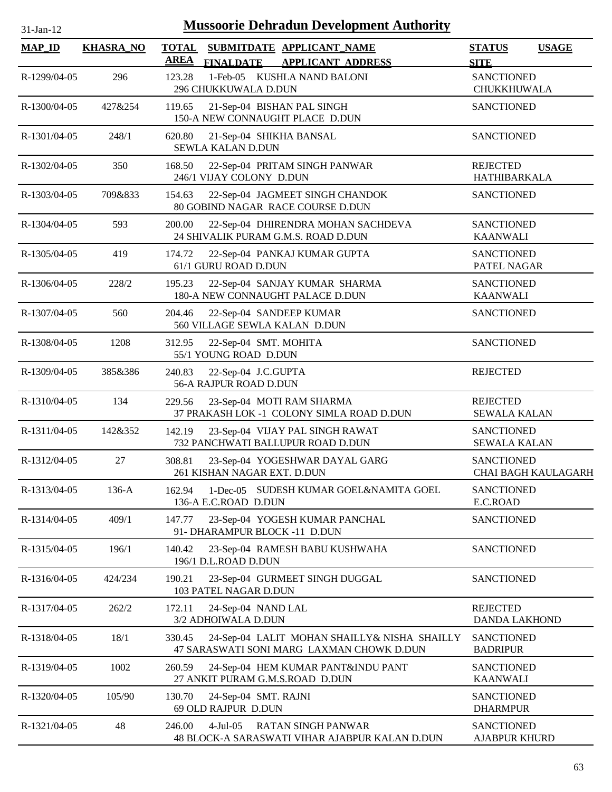| $31-Ian-12$   |                  | <b>Mussoorie Dehradun Development Authority</b>                                                          |                                           |                     |
|---------------|------------------|----------------------------------------------------------------------------------------------------------|-------------------------------------------|---------------------|
| <b>MAP_ID</b> | <b>KHASRA_NO</b> | <b>TOTAL</b><br>SUBMITDATE APPLICANT_NAME<br><b>AREA</b><br><b>FINALDATE</b><br><b>APPLICANT ADDRESS</b> | <b>STATUS</b><br><b>SITE</b>              | <b>USAGE</b>        |
| R-1299/04-05  | 296              | 1-Feb-05 KUSHLA NAND BALONI<br>123.28<br>296 CHUKKUWALA D.DUN                                            | <b>SANCTIONED</b><br>CHUKKHUWALA          |                     |
| R-1300/04-05  | 427&254          | 119.65<br>21-Sep-04 BISHAN PAL SINGH<br>150-A NEW CONNAUGHT PLACE D.DUN                                  | <b>SANCTIONED</b>                         |                     |
| R-1301/04-05  | 248/1            | 620.80<br>21-Sep-04 SHIKHA BANSAL<br><b>SEWLA KALAN D.DUN</b>                                            | <b>SANCTIONED</b>                         |                     |
| R-1302/04-05  | 350              | 168.50<br>22-Sep-04 PRITAM SINGH PANWAR<br>246/1 VIJAY COLONY D.DUN                                      | <b>REJECTED</b><br>HATHIBARKALA           |                     |
| R-1303/04-05  | 709&833          | 22-Sep-04 JAGMEET SINGH CHANDOK<br>154.63<br>80 GOBIND NAGAR RACE COURSE D.DUN                           | <b>SANCTIONED</b>                         |                     |
| R-1304/04-05  | 593              | 200.00<br>22-Sep-04 DHIRENDRA MOHAN SACHDEVA<br>24 SHIVALIK PURAM G.M.S. ROAD D.DUN                      | <b>SANCTIONED</b><br><b>KAANWALI</b>      |                     |
| R-1305/04-05  | 419              | 174.72<br>22-Sep-04 PANKAJ KUMAR GUPTA<br>61/1 GURU ROAD D.DUN                                           | <b>SANCTIONED</b><br>PATEL NAGAR          |                     |
| R-1306/04-05  | 228/2            | 22-Sep-04 SANJAY KUMAR SHARMA<br>195.23<br>180-A NEW CONNAUGHT PALACE D.DUN                              | <b>SANCTIONED</b><br><b>KAANWALI</b>      |                     |
| R-1307/04-05  | 560              | 204.46<br>22-Sep-04 SANDEEP KUMAR<br>560 VILLAGE SEWLA KALAN D.DUN                                       | <b>SANCTIONED</b>                         |                     |
| R-1308/04-05  | 1208             | 22-Sep-04 SMT. MOHITA<br>312.95<br>55/1 YOUNG ROAD D.DUN                                                 | <b>SANCTIONED</b>                         |                     |
| R-1309/04-05  | 385&386          | 240.83<br>22-Sep-04 J.C.GUPTA<br>56-A RAJPUR ROAD D.DUN                                                  | <b>REJECTED</b>                           |                     |
| R-1310/04-05  | 134              | 23-Sep-04 MOTI RAM SHARMA<br>229.56<br>37 PRAKASH LOK -1 COLONY SIMLA ROAD D.DUN                         | <b>REJECTED</b><br><b>SEWALA KALAN</b>    |                     |
| R-1311/04-05  | 142&352          | 142.19<br>23-Sep-04 VIJAY PAL SINGH RAWAT<br>732 PANCHWATI BALLUPUR ROAD D.DUN                           | <b>SANCTIONED</b><br><b>SEWALA KALAN</b>  |                     |
| R-1312/04-05  | 27               | 308.81<br>23-Sep-04 YOGESHWAR DAYAL GARG<br>261 KISHAN NAGAR EXT. D.DUN                                  | <b>SANCTIONED</b>                         | CHAI BAGH KAULAGARH |
| R-1313/04-05  | $136-A$          | 1-Dec-05 SUDESH KUMAR GOEL&NAMITA GOEL<br>162.94<br>136-A E.C.ROAD D.DUN                                 | <b>SANCTIONED</b><br>E.C.ROAD             |                     |
| R-1314/04-05  | 409/1            | 147.77<br>23-Sep-04 YOGESH KUMAR PANCHAL<br>91- DHARAMPUR BLOCK -11 D.DUN                                | <b>SANCTIONED</b>                         |                     |
| R-1315/04-05  | 196/1            | 140.42<br>23-Sep-04 RAMESH BABU KUSHWAHA<br>196/1 D.L.ROAD D.DUN                                         | <b>SANCTIONED</b>                         |                     |
| R-1316/04-05  | 424/234          | 190.21<br>23-Sep-04 GURMEET SINGH DUGGAL<br>103 PATEL NAGAR D.DUN                                        | <b>SANCTIONED</b>                         |                     |
| R-1317/04-05  | 262/2            | 172.11<br>24-Sep-04 NAND LAL<br>3/2 ADHOIWALA D.DUN                                                      | <b>REJECTED</b><br><b>DANDA LAKHOND</b>   |                     |
| R-1318/04-05  | 18/1             | 24-Sep-04 LALIT MOHAN SHAILLY& NISHA SHAILLY<br>330.45<br>47 SARASWATI SONI MARG LAXMAN CHOWK D.DUN      | <b>SANCTIONED</b><br><b>BADRIPUR</b>      |                     |
| R-1319/04-05  | 1002             | 260.59<br>24-Sep-04 HEM KUMAR PANT&INDU PANT<br>27 ANKIT PURAM G.M.S.ROAD D.DUN                          | <b>SANCTIONED</b><br><b>KAANWALI</b>      |                     |
| R-1320/04-05  | 105/90           | 130.70<br>24-Sep-04 SMT. RAJNI<br>69 OLD RAJPUR D.DUN                                                    | <b>SANCTIONED</b><br><b>DHARMPUR</b>      |                     |
| R-1321/04-05  | 48               | <b>RATAN SINGH PANWAR</b><br>246.00<br>$4$ -Jul $-05$<br>48 BLOCK-A SARASWATI VIHAR AJABPUR KALAN D.DUN  | <b>SANCTIONED</b><br><b>AJABPUR KHURD</b> |                     |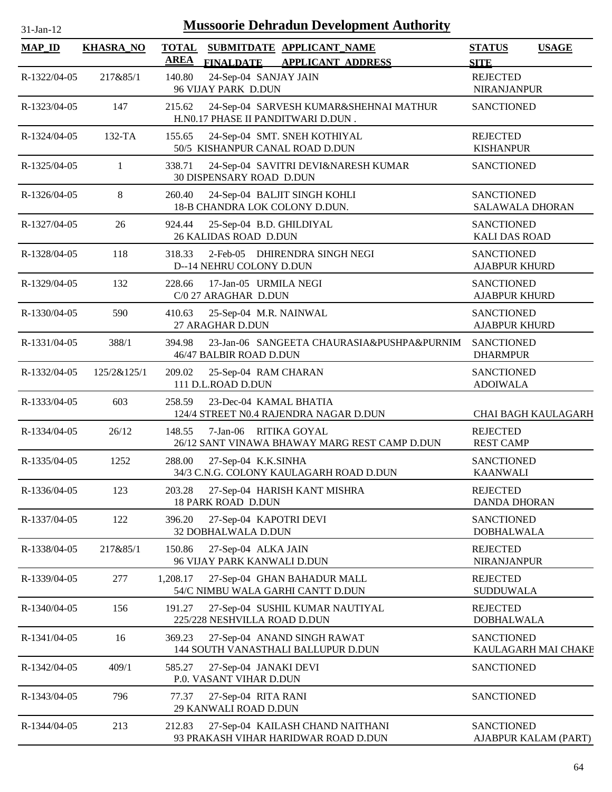| $31$ -Jan-12 |  |
|--------------|--|

| <b>MAP_ID</b> | <b>KHASRA_NO</b> | <b>TOTAL</b><br><b>AREA</b> |                                                          | SUBMITDATE APPLICANT NAME                                                |                                               | <b>STATUS</b>                               | <b>USAGE</b>               |
|---------------|------------------|-----------------------------|----------------------------------------------------------|--------------------------------------------------------------------------|-----------------------------------------------|---------------------------------------------|----------------------------|
| R-1322/04-05  | 217&85/1         | 140.80                      | <b>FINALDATE</b><br>24-Sep-04 SANJAY JAIN                | <b>APPLICANT ADDRESS</b>                                                 |                                               | <b>SITE</b><br><b>REJECTED</b>              |                            |
|               |                  |                             | 96 VIJAY PARK D.DUN                                      |                                                                          |                                               | <b>NIRANJANPUR</b>                          |                            |
| R-1323/04-05  | 147              | 215.62                      |                                                          | H.NO.17 PHASE II PANDITWARI D.DUN.                                       | 24-Sep-04 SARVESH KUMAR&SHEHNAI MATHUR        | <b>SANCTIONED</b>                           |                            |
| R-1324/04-05  | 132-TA           | 155.65                      |                                                          | 24-Sep-04 SMT. SNEH KOTHIYAL<br>50/5 KISHANPUR CANAL ROAD D.DUN          |                                               | <b>REJECTED</b><br><b>KISHANPUR</b>         |                            |
| R-1325/04-05  | 1                | 338.71                      | 30 DISPENSARY ROAD D.DUN                                 |                                                                          | 24-Sep-04 SAVITRI DEVI&NARESH KUMAR           | <b>SANCTIONED</b>                           |                            |
| R-1326/04-05  | 8                | 260.40                      |                                                          | 24-Sep-04 BALJIT SINGH KOHLI<br>18-B CHANDRA LOK COLONY D.DUN.           |                                               | <b>SANCTIONED</b><br><b>SALAWALA DHORAN</b> |                            |
| R-1327/04-05  | 26               | 924.44                      | 25-Sep-04 B.D. GHILDIYAL<br><b>26 KALIDAS ROAD D.DUN</b> |                                                                          |                                               | <b>SANCTIONED</b><br><b>KALI DAS ROAD</b>   |                            |
| R-1328/04-05  | 118              | 318.33                      | D--14 NEHRU COLONY D.DUN                                 | 2-Feb-05 DHIRENDRA SINGH NEGI                                            |                                               | <b>SANCTIONED</b><br><b>AJABPUR KHURD</b>   |                            |
| R-1329/04-05  | 132              | 228.66                      | 17-Jan-05 URMILA NEGI<br>C/0 27 ARAGHAR D.DUN            |                                                                          |                                               | <b>SANCTIONED</b><br><b>AJABPUR KHURD</b>   |                            |
| R-1330/04-05  | 590              | 410.63                      | 25-Sep-04 M.R. NAINWAL<br>27 ARAGHAR D.DUN               |                                                                          |                                               | <b>SANCTIONED</b><br><b>AJABPUR KHURD</b>   |                            |
| R-1331/04-05  | 388/1            | 394.98                      | 46/47 BALBIR ROAD D.DUN                                  |                                                                          | 23-Jan-06 SANGEETA CHAURASIA&PUSHPA&PURNIM    | <b>SANCTIONED</b><br><b>DHARMPUR</b>        |                            |
| R-1332/04-05  | 125/2&125/1      | 209.02                      | 25-Sep-04 RAM CHARAN<br>111 D.L.ROAD D.DUN               |                                                                          |                                               | <b>SANCTIONED</b><br><b>ADOIWALA</b>        |                            |
| R-1333/04-05  | 603              | 258.59                      | 23-Dec-04 KAMAL BHATIA                                   | 124/4 STREET N0.4 RAJENDRA NAGAR D.DUN                                   |                                               |                                             | <b>CHAI BAGH KAULAGARH</b> |
| R-1334/04-05  | 26/12            | 148.55                      | 7-Jan-06 RITIKA GOYAL                                    |                                                                          | 26/12 SANT VINAWA BHAWAY MARG REST CAMP D.DUN | <b>REJECTED</b><br><b>REST CAMP</b>         |                            |
| R-1335/04-05  | 1252             | 288.00                      | 27-Sep-04 K.K.SINHA                                      | 34/3 C.N.G. COLONY KAULAGARH ROAD D.DUN                                  |                                               | <b>SANCTIONED</b><br><b>KAANWALI</b>        |                            |
| R-1336/04-05  | 123              | 203.28                      | <b>18 PARK ROAD D.DUN</b>                                | 27-Sep-04 HARISH KANT MISHRA                                             |                                               | <b>REJECTED</b><br><b>DANDA DHORAN</b>      |                            |
| R-1337/04-05  | 122              | 396.20                      | 27-Sep-04 KAPOTRI DEVI<br>32 DOBHALWALA D.DUN            |                                                                          |                                               | <b>SANCTIONED</b><br><b>DOBHALWALA</b>      |                            |
| R-1338/04-05  | 217&85/1         | 150.86                      | 27-Sep-04 ALKA JAIN<br>96 VIJAY PARK KANWALI D.DUN       |                                                                          |                                               | <b>REJECTED</b><br><b>NIRANJANPUR</b>       |                            |
| R-1339/04-05  | 277              | 1,208.17                    |                                                          | 27-Sep-04 GHAN BAHADUR MALL<br>54/C NIMBU WALA GARHI CANTT D.DUN         |                                               | <b>REJECTED</b><br><b>SUDDUWALA</b>         |                            |
| R-1340/04-05  | 156              | 191.27                      | 225/228 NESHVILLA ROAD D.DUN                             | 27-Sep-04 SUSHIL KUMAR NAUTIYAL                                          |                                               | <b>REJECTED</b><br><b>DOBHALWALA</b>        |                            |
| R-1341/04-05  | 16               | 369.23                      |                                                          | 27-Sep-04 ANAND SINGH RAWAT<br>144 SOUTH VANASTHALI BALLUPUR D.DUN       |                                               | <b>SANCTIONED</b>                           | KAULAGARH MAI CHAKE        |
| R-1342/04-05  | 409/1            | 585.27                      | 27-Sep-04 JANAKI DEVI<br>P.O. VASANT VIHAR D.DUN         |                                                                          |                                               | <b>SANCTIONED</b>                           |                            |
| R-1343/04-05  | 796              | 77.37                       | 27-Sep-04 RITA RANI<br>29 KANWALI ROAD D.DUN             |                                                                          |                                               | <b>SANCTIONED</b>                           |                            |
| R-1344/04-05  | 213              | 212.83                      |                                                          | 27-Sep-04 KAILASH CHAND NAITHANI<br>93 PRAKASH VIHAR HARIDWAR ROAD D.DUN |                                               | <b>SANCTIONED</b>                           | AJABPUR KALAM (PART)       |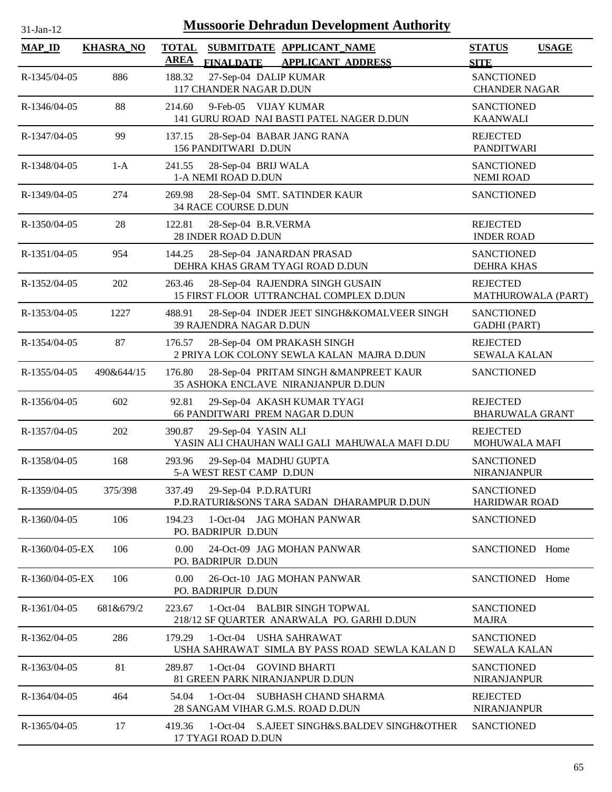| 31-Jan-12 |  |
|-----------|--|

| <b>MAP_ID</b>   | <b>KHASRA_NO</b> | <b>TOTAL</b><br><b>AREA</b> | SUBMITDATE APPLICANT_NAME<br><b>FINALDATE</b><br><b>APPLICANT ADDRESS</b>              | <b>STATUS</b><br><b>SITE</b>              | <b>USAGE</b> |
|-----------------|------------------|-----------------------------|----------------------------------------------------------------------------------------|-------------------------------------------|--------------|
| R-1345/04-05    | 886              | 188.32                      | 27-Sep-04 DALIP KUMAR<br>117 CHANDER NAGAR D.DUN                                       | <b>SANCTIONED</b><br><b>CHANDER NAGAR</b> |              |
| R-1346/04-05    | 88               | 214.60                      | 9-Feb-05 VIJAY KUMAR<br>141 GURU ROAD NAI BASTI PATEL NAGER D.DUN                      | <b>SANCTIONED</b><br><b>KAANWALI</b>      |              |
| R-1347/04-05    | 99               | 137.15                      | 28-Sep-04 BABAR JANG RANA<br>156 PANDITWARI D.DUN                                      | <b>REJECTED</b><br><b>PANDITWARI</b>      |              |
| R-1348/04-05    | $1-A$            | 241.55                      | 28-Sep-04 BRIJ WALA<br>1-A NEMI ROAD D.DUN                                             | <b>SANCTIONED</b><br><b>NEMI ROAD</b>     |              |
| R-1349/04-05    | 274              | 269.98                      | 28-Sep-04 SMT. SATINDER KAUR<br>34 RACE COURSE D.DUN                                   | <b>SANCTIONED</b>                         |              |
| R-1350/04-05    | 28               | 122.81                      | 28-Sep-04 B.R.VERMA<br>28 INDER ROAD D.DUN                                             | <b>REJECTED</b><br><b>INDER ROAD</b>      |              |
| R-1351/04-05    | 954              | 144.25                      | 28-Sep-04 JANARDAN PRASAD<br>DEHRA KHAS GRAM TYAGI ROAD D.DUN                          | <b>SANCTIONED</b><br><b>DEHRA KHAS</b>    |              |
| R-1352/04-05    | 202              | 263.46                      | 28-Sep-04 RAJENDRA SINGH GUSAIN<br>15 FIRST FLOOR UTTRANCHAL COMPLEX D.DUN             | <b>REJECTED</b><br>MATHUROWALA (PART)     |              |
| R-1353/04-05    | 1227             | 488.91                      | 28-Sep-04 INDER JEET SINGH&KOMALVEER SINGH<br>39 RAJENDRA NAGAR D.DUN                  | <b>SANCTIONED</b><br><b>GADHI</b> (PART)  |              |
| R-1354/04-05    | 87               | 176.57                      | 28-Sep-04 OM PRAKASH SINGH<br>2 PRIYA LOK COLONY SEWLA KALAN MAJRA D.DUN               | <b>REJECTED</b><br><b>SEWALA KALAN</b>    |              |
| R-1355/04-05    | 490&644/15       | 176.80                      | 28-Sep-04 PRITAM SINGH &MANPREET KAUR<br>35 ASHOKA ENCLAVE NIRANJANPUR D.DUN           | <b>SANCTIONED</b>                         |              |
| R-1356/04-05    | 602              | 92.81                       | 29-Sep-04 AKASH KUMAR TYAGI<br>66 PANDITWARI PREM NAGAR D.DUN                          | <b>REJECTED</b><br><b>BHARUWALA GRANT</b> |              |
| R-1357/04-05    | 202              | 390.87                      | 29-Sep-04 YASIN ALI<br>YASIN ALI CHAUHAN WALI GALI MAHUWALA MAFI D.DU                  | <b>REJECTED</b><br><b>MOHUWALA MAFI</b>   |              |
| R-1358/04-05    | 168              | 293.96                      | 29-Sep-04 MADHU GUPTA<br>5-A WEST REST CAMP D.DUN                                      | <b>SANCTIONED</b><br><b>NIRANJANPUR</b>   |              |
| R-1359/04-05    | 375/398          | 337.49                      | 29-Sep-04 P.D.RATURI<br>P.D.RATURI&SONS TARA SADAN DHARAMPUR D.DUN                     | <b>SANCTIONED</b><br><b>HARIDWAR ROAD</b> |              |
| R-1360/04-05    | 106              | 194.23                      | 1-Oct-04 JAG MOHAN PANWAR<br>PO. BADRIPUR D.DUN                                        | <b>SANCTIONED</b>                         |              |
| R-1360/04-05-EX | 106              | 0.00                        | 24-Oct-09 JAG MOHAN PANWAR<br>PO. BADRIPUR D.DUN                                       | <b>SANCTIONED</b>                         | Home         |
| R-1360/04-05-EX | 106              | 0.00                        | 26-Oct-10 JAG MOHAN PANWAR<br>PO. BADRIPUR D.DUN                                       | <b>SANCTIONED</b>                         | Home         |
| R-1361/04-05    | 681&679/2        | 223.67                      | <b>BALBIR SINGH TOPWAL</b><br>$1-Oct-04$<br>218/12 SF QUARTER ANARWALA PO. GARHI D.DUN | <b>SANCTIONED</b><br><b>MAJRA</b>         |              |
| R-1362/04-05    | 286              | 179.29                      | $1-Oct-04$<br>USHA SAHRAWAT<br>USHA SAHRAWAT SIMLA BY PASS ROAD SEWLA KALAN D          | <b>SANCTIONED</b><br><b>SEWALA KALAN</b>  |              |
| R-1363/04-05    | 81               | 289.87                      | 1-Oct-04 GOVIND BHARTI<br>81 GREEN PARK NIRANJANPUR D.DUN                              | <b>SANCTIONED</b><br><b>NIRANJANPUR</b>   |              |
| R-1364/04-05    | 464              | 54.04                       | $1-Oct-04$<br>SUBHASH CHAND SHARMA<br>28 SANGAM VIHAR G.M.S. ROAD D.DUN                | <b>REJECTED</b><br><b>NIRANJANPUR</b>     |              |
| R-1365/04-05    | 17               | 419.36                      | 1-Oct-04 S.AJEET SINGH&S.BALDEV SINGH&OTHER<br>17 TYAGI ROAD D.DUN                     | <b>SANCTIONED</b>                         |              |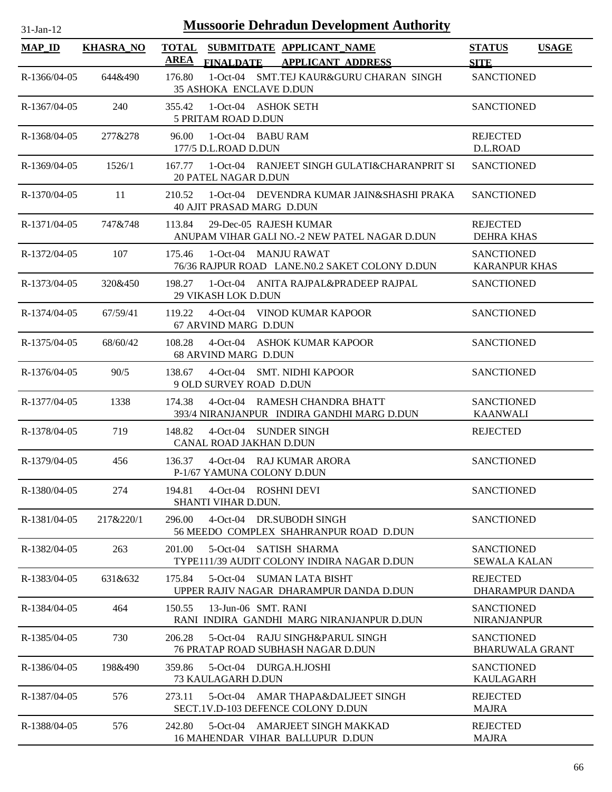| <b>Mussoorie Dehradun Development Authority</b><br>$31-Jan-12$ |                  |                       |                                                     |                                                                             |                                             |              |  |
|----------------------------------------------------------------|------------------|-----------------------|-----------------------------------------------------|-----------------------------------------------------------------------------|---------------------------------------------|--------------|--|
| $MAP$ <sub>ID</sub>                                            | <b>KHASRA NO</b> |                       |                                                     | TOTAL SUBMITDATE APPLICANT NAME                                             | <b>STATUS</b>                               | <b>USAGE</b> |  |
| R-1366/04-05                                                   | 644&490          | <u>AREA</u><br>176.80 | <b>FINALDATE</b><br>35 ASHOKA ENCLAVE D.DUN         | <b>APPLICANT ADDRESS</b><br>1-Oct-04 SMT.TEJ KAUR&GURU CHARAN SINGH         | <b>SITE</b><br><b>SANCTIONED</b>            |              |  |
| R-1367/04-05                                                   | 240              | 355.42                | 1-Oct-04 ASHOK SETH<br>5 PRITAM ROAD D.DUN          |                                                                             | <b>SANCTIONED</b>                           |              |  |
| R-1368/04-05                                                   | 277&278          | 96.00                 | 1-Oct-04 BABU RAM<br>177/5 D.L.ROAD D.DUN           |                                                                             | <b>REJECTED</b><br>D.L.ROAD                 |              |  |
| R-1369/04-05                                                   | 1526/1           |                       | <b>20 PATEL NAGAR D.DUN</b>                         | 167.77 1-Oct-04 RANJEET SINGH GULATI&CHARANPRIT SI                          | <b>SANCTIONED</b>                           |              |  |
| R-1370/04-05                                                   | 11               | 210.52                | 40 AJIT PRASAD MARG D.DUN                           | 1-Oct-04 DEVENDRA KUMAR JAIN&SHASHI PRAKA                                   | <b>SANCTIONED</b>                           |              |  |
| R-1371/04-05                                                   | 747&748          | 113.84                | 29-Dec-05 RAJESH KUMAR                              | ANUPAM VIHAR GALI NO.-2 NEW PATEL NAGAR D.DUN                               | <b>REJECTED</b><br><b>DEHRA KHAS</b>        |              |  |
| R-1372/04-05                                                   | 107              | 175.46                | 1-Oct-04 MANJU RAWAT                                | 76/36 RAJPUR ROAD LANE.NO.2 SAKET COLONY D.DUN                              | <b>SANCTIONED</b><br><b>KARANPUR KHAS</b>   |              |  |
| R-1373/04-05                                                   | 320&450          | 198.27                | <b>29 VIKASH LOK D.DUN</b>                          | 1-Oct-04 ANITA RAJPAL&PRADEEP RAJPAL                                        | <b>SANCTIONED</b>                           |              |  |
| R-1374/04-05                                                   | 67/59/41         | 119.22                | 67 ARVIND MARG D.DUN                                | 4-Oct-04 VINOD KUMAR KAPOOR                                                 | <b>SANCTIONED</b>                           |              |  |
| R-1375/04-05                                                   | 68/60/42         | 108.28                | 68 ARVIND MARG D.DUN                                | 4-Oct-04 ASHOK KUMAR KAPOOR                                                 | <b>SANCTIONED</b>                           |              |  |
| R-1376/04-05                                                   | 90/5             | 138.67                | 9 OLD SURVEY ROAD D.DUN                             | 4-Oct-04 SMT. NIDHI KAPOOR                                                  | <b>SANCTIONED</b>                           |              |  |
| R-1377/04-05                                                   | 1338             | 174.38                |                                                     | 4-Oct-04 RAMESH CHANDRA BHATT<br>393/4 NIRANJANPUR INDIRA GANDHI MARG D.DUN | <b>SANCTIONED</b><br><b>KAANWALI</b>        |              |  |
| R-1378/04-05                                                   | 719              | 148.82                | 4-Oct-04 SUNDER SINGH<br>CANAL ROAD JAKHAN D.DUN    |                                                                             | <b>REJECTED</b>                             |              |  |
| R-1379/04-05                                                   | 456              | 136.37                | P-1/67 YAMUNA COLONY D.DUN                          | 4-Oct-04 RAJ KUMAR ARORA                                                    | <b>SANCTIONED</b>                           |              |  |
| R-1380/04-05                                                   | 274              | 194.81                | 4-Oct-04 ROSHNI DEVI<br>SHANTI VIHAR D.DUN.         |                                                                             | <b>SANCTIONED</b>                           |              |  |
| R-1381/04-05                                                   | 217&220/1        | 296.00                |                                                     | 4-Oct-04 DR.SUBODH SINGH<br>56 MEEDO COMPLEX SHAHRANPUR ROAD D.DUN          | <b>SANCTIONED</b>                           |              |  |
| R-1382/04-05                                                   | 263              | 201.00                | $5-Oct-04$                                          | SATISH SHARMA<br>TYPE111/39 AUDIT COLONY INDIRA NAGAR D.DUN                 | <b>SANCTIONED</b><br><b>SEWALA KALAN</b>    |              |  |
| R-1383/04-05                                                   | 631&632          | 175.84                |                                                     | 5-Oct-04 SUMAN LATA BISHT<br>UPPER RAJIV NAGAR DHARAMPUR DANDA D.DUN        | <b>REJECTED</b><br><b>DHARAMPUR DANDA</b>   |              |  |
| R-1384/04-05                                                   | 464              | 150.55                | 13-Jun-06 SMT. RANI                                 | RANI INDIRA GANDHI MARG NIRANJANPUR D.DUN                                   | <b>SANCTIONED</b><br><b>NIRANJANPUR</b>     |              |  |
| R-1385/04-05                                                   | 730              | 206.28                |                                                     | 5-Oct-04 RAJU SINGH&PARUL SINGH<br>76 PRATAP ROAD SUBHASH NAGAR D.DUN       | <b>SANCTIONED</b><br><b>BHARUWALA GRANT</b> |              |  |
| R-1386/04-05                                                   | 198&490          | 359.86                | 5-Oct-04 DURGA.H.JOSHI<br><b>73 KAULAGARH D.DUN</b> |                                                                             | <b>SANCTIONED</b><br><b>KAULAGARH</b>       |              |  |
| R-1387/04-05                                                   | 576              | 273.11                |                                                     | 5-Oct-04 AMAR THAPA&DALJEET SINGH<br>SECT.1V.D-103 DEFENCE COLONY D.DUN     | <b>REJECTED</b><br><b>MAJRA</b>             |              |  |
| R-1388/04-05                                                   | 576              | 242.80                |                                                     | 5-Oct-04 AMARJEET SINGH MAKKAD<br>16 MAHENDAR VIHAR BALLUPUR D.DUN          | <b>REJECTED</b><br><b>MAJRA</b>             |              |  |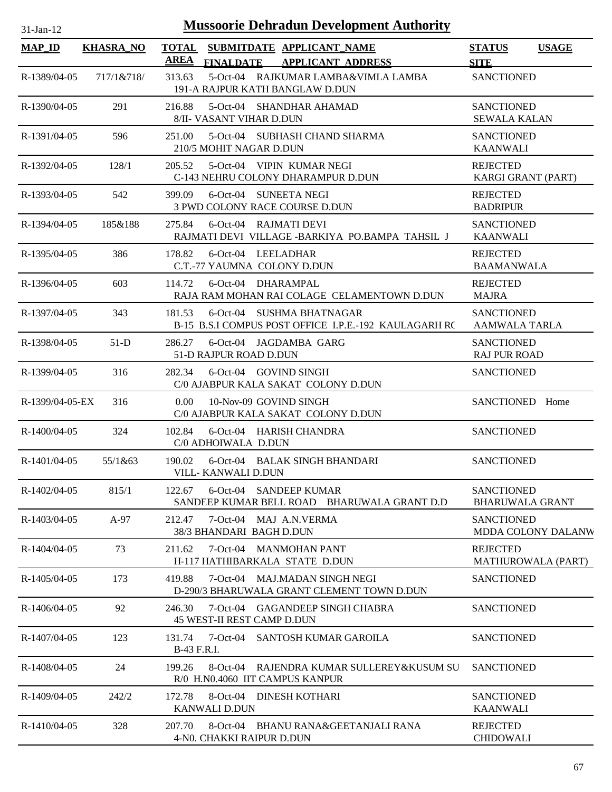| <b>Mussoorie Dehradun Development Authority</b><br>$31-Jan-12$ |                  |                                                                                                |                                                |  |  |  |  |
|----------------------------------------------------------------|------------------|------------------------------------------------------------------------------------------------|------------------------------------------------|--|--|--|--|
| <b>MAP_ID</b>                                                  | <b>KHASRA_NO</b> | TOTAL SUBMITDATE APPLICANT_NAME<br><b>AREA</b><br><b>FINALDATE</b><br><b>APPLICANT ADDRESS</b> | <b>STATUS</b><br><b>USAGE</b><br><b>SITE</b>   |  |  |  |  |
| $R-1389/04-05$                                                 | 717/1&718/       | 5-Oct-04 RAJKUMAR LAMBA&VIMLA LAMBA<br>313.63<br>191-A RAJPUR KATH BANGLAW D.DUN               | <b>SANCTIONED</b>                              |  |  |  |  |
| R-1390/04-05                                                   | 291              | 216.88<br>5-Oct-04 SHANDHAR AHAMAD<br>8/II- VASANT VIHAR D.DUN                                 | <b>SANCTIONED</b><br><b>SEWALA KALAN</b>       |  |  |  |  |
| R-1391/04-05                                                   | 596              | 5-Oct-04 SUBHASH CHAND SHARMA<br>251.00<br>210/5 MOHIT NAGAR D.DUN                             | <b>SANCTIONED</b><br><b>KAANWALI</b>           |  |  |  |  |
| R-1392/04-05                                                   | 128/1            | 5-Oct-04 VIPIN KUMAR NEGI<br>205.52<br>C-143 NEHRU COLONY DHARAMPUR D.DUN                      | <b>REJECTED</b><br>KARGI GRANT (PART)          |  |  |  |  |
| R-1393/04-05                                                   | 542              | 399.09<br>6-Oct-04 SUNEETA NEGI<br>3 PWD COLONY RACE COURSE D.DUN                              | <b>REJECTED</b><br><b>BADRIPUR</b>             |  |  |  |  |
| R-1394/04-05                                                   | 185&188          | 6-Oct-04 RAJMATI DEVI<br>275.84<br>RAJMATI DEVI VILLAGE -BARKIYA PO.BAMPA TAHSIL J             | <b>SANCTIONED</b><br><b>KAANWALI</b>           |  |  |  |  |
| R-1395/04-05                                                   | 386              | 178.82<br>6-Oct-04 LEELADHAR<br>C.T.-77 YAUMNA COLONY D.DUN                                    | <b>REJECTED</b><br><b>BAAMANWALA</b>           |  |  |  |  |
| R-1396/04-05                                                   | 603              | 6-Oct-04 DHARAMPAL<br>114.72<br>RAJA RAM MOHAN RAI COLAGE CELAMENTOWN D.DUN                    | <b>REJECTED</b><br><b>MAJRA</b>                |  |  |  |  |
| R-1397/04-05                                                   | 343              | 181.53<br>6-Oct-04 SUSHMA BHATNAGAR<br>B-15 B.S.I COMPUS POST OFFICE I.P.E.-192 KAULAGARH RC   | <b>SANCTIONED</b><br><b>AAMWALA TARLA</b>      |  |  |  |  |
| R-1398/04-05                                                   | $51-D$           | 6-Oct-04 JAGDAMBA GARG<br>286.27<br>51-D RAJPUR ROAD D.DUN                                     | <b>SANCTIONED</b><br><b>RAJ PUR ROAD</b>       |  |  |  |  |
| R-1399/04-05                                                   | 316              | 282.34<br>6-Oct-04 GOVIND SINGH<br>C/0 AJABPUR KALA SAKAT COLONY D.DUN                         | <b>SANCTIONED</b>                              |  |  |  |  |
| R-1399/04-05-EX                                                | 316              | 10-Nov-09 GOVIND SINGH<br>0.00<br>C/0 AJABPUR KALA SAKAT COLONY D.DUN                          | SANCTIONED Home                                |  |  |  |  |
| $R-1400/04-05$                                                 | 324              | 102.84<br>6-Oct-04 HARISH CHANDRA<br>C/0 ADHOIWALA D.DUN                                       | <b>SANCTIONED</b>                              |  |  |  |  |
| $R-1401/04-05$                                                 | 55/1&63          | 6-Oct-04 BALAK SINGH BHANDARI<br>190.02<br>VILL-KANWALI D.DUN                                  | <b>SANCTIONED</b>                              |  |  |  |  |
| R-1402/04-05                                                   | 815/1            | 122.67<br>6-Oct-04 SANDEEP KUMAR<br>SANDEEP KUMAR BELL ROAD BHARUWALA GRANT D.D                | <b>SANCTIONED</b><br><b>BHARUWALA GRANT</b>    |  |  |  |  |
| $R-1403/04-05$                                                 | $A-97$           | 7-Oct-04 MAJ A.N.VERMA<br>212.47<br>38/3 BHANDARI BAGH D.DUN                                   | <b>SANCTIONED</b><br><b>MDDA COLONY DALANW</b> |  |  |  |  |
| R-1404/04-05                                                   | 73               | 7-Oct-04 MANMOHAN PANT<br>211.62<br>H-117 HATHIBARKALA STATE D.DUN                             | <b>REJECTED</b><br><b>MATHUROWALA (PART)</b>   |  |  |  |  |
| $R-1405/04-05$                                                 | 173              | 7-Oct-04 MAJ.MADAN SINGH NEGI<br>419.88<br>D-290/3 BHARUWALA GRANT CLEMENT TOWN D.DUN          | <b>SANCTIONED</b>                              |  |  |  |  |
| $R-1406/04-05$                                                 | 92               | 246.30<br>7-Oct-04 GAGANDEEP SINGH CHABRA<br>45 WEST-II REST CAMP D.DUN                        | <b>SANCTIONED</b>                              |  |  |  |  |
| R-1407/04-05                                                   | 123              | 7-Oct-04 SANTOSH KUMAR GAROILA<br>131.74<br>B-43 F.R.I.                                        | <b>SANCTIONED</b>                              |  |  |  |  |
| R-1408/04-05                                                   | 24               | 199.26<br>8-Oct-04 RAJENDRA KUMAR SULLEREY&KUSUM SU<br>R/0 H.N0.4060 IIT CAMPUS KANPUR         | <b>SANCTIONED</b>                              |  |  |  |  |
| R-1409/04-05                                                   | 242/2            | 172.78<br>8-Oct-04 DINESH KOTHARI<br>KANWALI D.DUN                                             | <b>SANCTIONED</b><br><b>KAANWALI</b>           |  |  |  |  |
| R-1410/04-05                                                   | 328              | 207.70<br>8-Oct-04 BHANU RANA&GEETANJALI RANA<br>4-N0. CHAKKI RAIPUR D.DUN                     | <b>REJECTED</b><br><b>CHIDOWALI</b>            |  |  |  |  |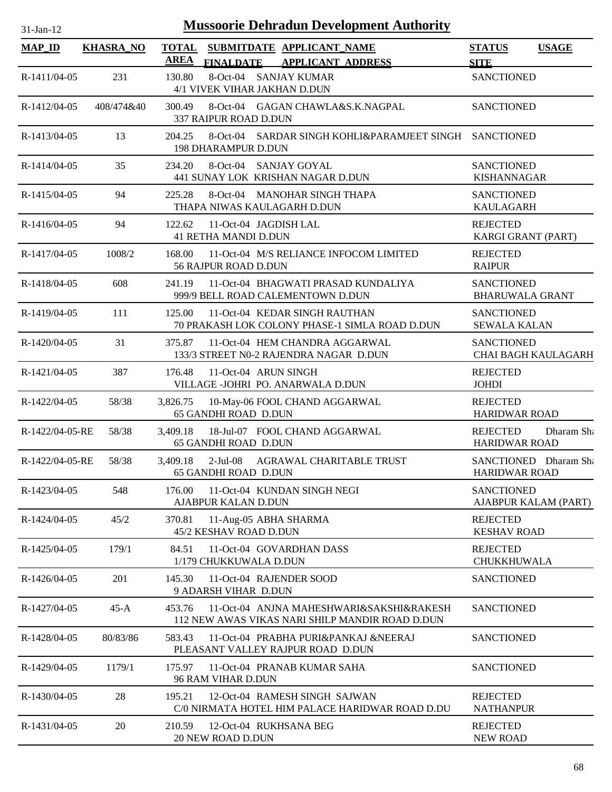| <b>Mussoorie Dehradun Development Authority</b><br>$31-Jan-12$ |                  |             |                                                                                             |                                               |                     |  |  |
|----------------------------------------------------------------|------------------|-------------|---------------------------------------------------------------------------------------------|-----------------------------------------------|---------------------|--|--|
| <b>MAP_ID</b>                                                  | <b>KHASRA_NO</b> |             | TOTAL SUBMITDATE APPLICANT NAME                                                             | <b>STATUS</b>                                 | <b>USAGE</b>        |  |  |
|                                                                |                  | <b>AREA</b> | FINALDATE APPLICANT ADDRESS                                                                 | <b>SITE</b>                                   |                     |  |  |
| R-1411/04-05                                                   | 231              | 130.80      | 8-Oct-04 SANJAY KUMAR<br>4/1 VIVEK VIHAR JAKHAN D.DUN                                       | <b>SANCTIONED</b>                             |                     |  |  |
| R-1412/04-05                                                   | 408/474&40       | 300.49      | 8-Oct-04 GAGAN CHAWLA&S.K.NAGPAL<br>337 RAIPUR ROAD D.DUN                                   | <b>SANCTIONED</b>                             |                     |  |  |
| R-1413/04-05                                                   | 13               | 204.25      | 8-Oct-04 SARDAR SINGH KOHLI&PARAMJEET SINGH SANCTIONED<br><b>198 DHARAMPUR D.DUN</b>        |                                               |                     |  |  |
| R-1414/04-05                                                   | 35               | 234.20      | 8-Oct-04 SANJAY GOYAL<br>441 SUNAY LOK KRISHAN NAGAR D.DUN                                  | <b>SANCTIONED</b><br><b>KISHANNAGAR</b>       |                     |  |  |
| R-1415/04-05                                                   | 94               | 225.28      | 8-Oct-04 MANOHAR SINGH THAPA<br>THAPA NIWAS KAULAGARH D.DUN                                 | <b>SANCTIONED</b><br><b>KAULAGARH</b>         |                     |  |  |
| R-1416/04-05                                                   | 94               | 122.62      | 11-Oct-04 JAGDISH LAL<br><b>41 RETHA MANDI D.DUN</b>                                        | <b>REJECTED</b><br>KARGI GRANT (PART)         |                     |  |  |
| R-1417/04-05                                                   | 1008/2           | 168.00      | 11-Oct-04 M/S RELIANCE INFOCOM LIMITED<br><b>56 RAJPUR ROAD D.DUN</b>                       | <b>REJECTED</b><br><b>RAIPUR</b>              |                     |  |  |
| R-1418/04-05                                                   | 608              | 241.19      | 11-Oct-04 BHAGWATI PRASAD KUNDALIYA<br>999/9 BELL ROAD CALEMENTOWN D.DUN                    | <b>SANCTIONED</b><br><b>BHARUWALA GRANT</b>   |                     |  |  |
| R-1419/04-05                                                   | 111              | 125.00      | 11-Oct-04 KEDAR SINGH RAUTHAN<br>70 PRAKASH LOK COLONY PHASE-1 SIMLA ROAD D.DUN             | <b>SANCTIONED</b><br><b>SEWALA KALAN</b>      |                     |  |  |
| R-1420/04-05                                                   | 31               | 375.87      | 11-Oct-04 HEM CHANDRA AGGARWAL<br>133/3 STREET N0-2 RAJENDRA NAGAR D.DUN                    | <b>SANCTIONED</b>                             | CHAI BAGH KAULAGARH |  |  |
| R-1421/04-05                                                   | 387              | 176.48      | 11-Oct-04 ARUN SINGH<br>VILLAGE -JOHRI PO. ANARWALA D.DUN                                   | <b>REJECTED</b><br><b>JOHDI</b>               |                     |  |  |
| R-1422/04-05                                                   | 58/38            | 3,826.75    | 10-May-06 FOOL CHAND AGGARWAL<br>65 GANDHI ROAD D.DUN                                       | <b>REJECTED</b><br><b>HARIDWAR ROAD</b>       |                     |  |  |
| R-1422/04-05-RE                                                | 58/38            | 3,409.18    | 18-Jul-07 FOOL CHAND AGGARWAL<br><b>65 GANDHI ROAD D.DUN</b>                                | <b>REJECTED</b><br><b>HARIDWAR ROAD</b>       | Dharam Sh           |  |  |
| R-1422/04-05-RE                                                | 58/38            | 3,409.18    | 2-Jul-08 AGRAWAL CHARITABLE TRUST<br><b>65 GANDHI ROAD D.DUN</b>                            | SANCTIONED Dharam Sha<br><b>HARIDWAR ROAD</b> |                     |  |  |
| R-1423/04-05                                                   | 548              | 176.00      | 11-Oct-04 KUNDAN SINGH NEGI<br>AJABPUR KALAN D.DUN                                          | <b>SANCTIONED</b><br>AJABPUR KALAM (PART)     |                     |  |  |
| R-1424/04-05                                                   | 45/2             | 370.81      | 11-Aug-05 ABHA SHARMA<br>45/2 KESHAV ROAD D.DUN                                             | <b>REJECTED</b><br><b>KESHAV ROAD</b>         |                     |  |  |
| R-1425/04-05                                                   | 179/1            | 84.51       | 11-Oct-04 GOVARDHAN DASS<br>1/179 CHUKKUWALA D.DUN                                          | <b>REJECTED</b><br>CHUKKHUWALA                |                     |  |  |
| R-1426/04-05                                                   | 201              | 145.30      | 11-Oct-04 RAJENDER SOOD<br>9 ADARSH VIHAR D.DUN                                             | <b>SANCTIONED</b>                             |                     |  |  |
| R-1427/04-05                                                   | $45-A$           | 453.76      | 11-Oct-04 ANJNA MAHESHWARI&SAKSHI&RAKESH<br>112 NEW AWAS VIKAS NARI SHILP MANDIR ROAD D.DUN | <b>SANCTIONED</b>                             |                     |  |  |
| R-1428/04-05                                                   | 80/83/86         | 583.43      | 11-Oct-04 PRABHA PURI&PANKAJ &NEERAJ<br>PLEASANT VALLEY RAJPUR ROAD D.DUN                   | <b>SANCTIONED</b>                             |                     |  |  |
| R-1429/04-05                                                   | 1179/1           | 175.97      | 11-Oct-04 PRANAB KUMAR SAHA<br>96 RAM VIHAR D.DUN                                           | <b>SANCTIONED</b>                             |                     |  |  |
| R-1430/04-05                                                   | 28               | 195.21      | 12-Oct-04 RAMESH SINGH SAJWAN<br>C/0 NIRMATA HOTEL HIM PALACE HARIDWAR ROAD D.DU            | <b>REJECTED</b><br><b>NATHANPUR</b>           |                     |  |  |
| R-1431/04-05                                                   | 20               | 210.59      | 12-Oct-04 RUKHSANA BEG<br>20 NEW ROAD D.DUN                                                 | <b>REJECTED</b><br><b>NEW ROAD</b>            |                     |  |  |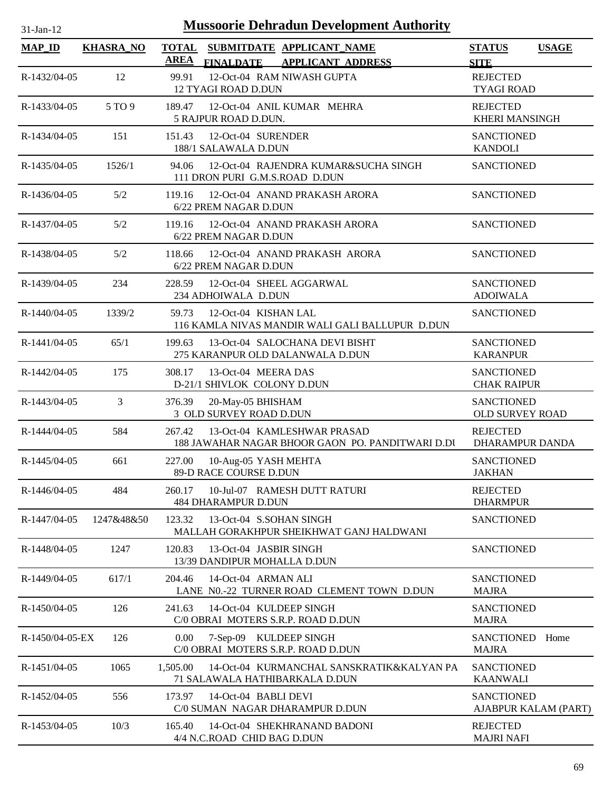| $31$ -Jan-12    |                  |                             | <b>Mussoorie Dehradun Development Authority</b>                                 |                                           |                      |
|-----------------|------------------|-----------------------------|---------------------------------------------------------------------------------|-------------------------------------------|----------------------|
| <b>MAP_ID</b>   | <b>KHASRA_NO</b> | <b>TOTAL</b><br><b>AREA</b> | SUBMITDATE APPLICANT_NAME<br>FINALDATE APPLICANT ADDRESS                        | <b>STATUS</b><br><b>SITE</b>              | <b>USAGE</b>         |
| R-1432/04-05    | 12               | 99.91                       | 12-Oct-04 RAM NIWASH GUPTA<br>12 TYAGI ROAD D.DUN                               | <b>REJECTED</b><br><b>TYAGI ROAD</b>      |                      |
| R-1433/04-05    | 5 TO 9           | 189.47                      | 12-Oct-04 ANIL KUMAR MEHRA<br>5 RAJPUR ROAD D.DUN.                              | <b>REJECTED</b><br><b>KHERI MANSINGH</b>  |                      |
| R-1434/04-05    | 151              | 151.43                      | 12-Oct-04 SURENDER<br>188/1 SALAWALA D.DUN                                      | <b>SANCTIONED</b><br><b>KANDOLI</b>       |                      |
| R-1435/04-05    | 1526/1           | 94.06                       | 12-Oct-04 RAJENDRA KUMAR&SUCHA SINGH<br>111 DRON PURI G.M.S.ROAD D.DUN          | <b>SANCTIONED</b>                         |                      |
| R-1436/04-05    | 5/2              | 119.16                      | 12-Oct-04 ANAND PRAKASH ARORA<br>6/22 PREM NAGAR D.DUN                          | <b>SANCTIONED</b>                         |                      |
| R-1437/04-05    | 5/2              | 119.16                      | 12-Oct-04 ANAND PRAKASH ARORA<br>6/22 PREM NAGAR D.DUN                          | <b>SANCTIONED</b>                         |                      |
| R-1438/04-05    | 5/2              | 118.66                      | 12-Oct-04 ANAND PRAKASH ARORA<br>6/22 PREM NAGAR D.DUN                          | <b>SANCTIONED</b>                         |                      |
| R-1439/04-05    | 234              | 228.59                      | 12-Oct-04 SHEEL AGGARWAL<br>234 ADHOIWALA D.DUN                                 | <b>SANCTIONED</b><br><b>ADOIWALA</b>      |                      |
| R-1440/04-05    | 1339/2           | 59.73                       | 12-Oct-04 KISHAN LAL<br>116 KAMLA NIVAS MANDIR WALI GALI BALLUPUR D.DUN         | <b>SANCTIONED</b>                         |                      |
| R-1441/04-05    | 65/1             | 199.63                      | 13-Oct-04 SALOCHANA DEVI BISHT<br>275 KARANPUR OLD DALANWALA D.DUN              | <b>SANCTIONED</b><br><b>KARANPUR</b>      |                      |
| R-1442/04-05    | 175              | 308.17                      | 13-Oct-04 MEERA DAS<br>D-21/1 SHIVLOK COLONY D.DUN                              | <b>SANCTIONED</b><br><b>CHAK RAIPUR</b>   |                      |
| R-1443/04-05    | 3                | 376.39                      | 20-May-05 BHISHAM<br>3 OLD SURVEY ROAD D.DUN                                    | <b>SANCTIONED</b><br>OLD SURVEY ROAD      |                      |
| R-1444/04-05    | 584              | 267.42                      | 13-Oct-04 KAMLESHWAR PRASAD<br>188 JAWAHAR NAGAR BHOOR GAON PO. PANDITWARI D.DI | <b>REJECTED</b><br><b>DHARAMPUR DANDA</b> |                      |
| R-1445/04-05    | 661              | 227.00                      | 10-Aug-05 YASH MEHTA<br>89-D RACE COURSE D.DUN                                  | <b>SANCTIONED</b><br><b>JAKHAN</b>        |                      |
| R-1446/04-05    | 484              | 260.17                      | 10-Jul-07 RAMESH DUTT RATURI<br><b>484 DHARAMPUR D.DUN</b>                      | <b>REJECTED</b><br><b>DHARMPUR</b>        |                      |
| R-1447/04-05    | 1247&48&50       | 123.32                      | 13-Oct-04 S.SOHAN SINGH<br>MALLAH GORAKHPUR SHEIKHWAT GANJ HALDWANI             | <b>SANCTIONED</b>                         |                      |
| R-1448/04-05    | 1247             | 120.83                      | 13-Oct-04 JASBIR SINGH<br>13/39 DANDIPUR MOHALLA D.DUN                          | <b>SANCTIONED</b>                         |                      |
| R-1449/04-05    | 617/1            | 204.46                      | 14-Oct-04 ARMAN ALI<br>LANE N0.-22 TURNER ROAD CLEMENT TOWN D.DUN               | <b>SANCTIONED</b><br><b>MAJRA</b>         |                      |
| R-1450/04-05    | 126              | 241.63                      | 14-Oct-04 KULDEEP SINGH<br>C/0 OBRAI MOTERS S.R.P. ROAD D.DUN                   | <b>SANCTIONED</b><br><b>MAJRA</b>         |                      |
| R-1450/04-05-EX | 126              | $0.00\,$                    | 7-Sep-09 KULDEEP SINGH<br>C/0 OBRAI MOTERS S.R.P. ROAD D.DUN                    | SANCTIONED<br><b>MAJRA</b>                | Home                 |
| R-1451/04-05    | 1065             | 1,505.00                    | 14-Oct-04 KURMANCHAL SANSKRATIK&KALYAN PA<br>71 SALAWALA HATHIBARKALA D.DUN     | <b>SANCTIONED</b><br><b>KAANWALI</b>      |                      |
| R-1452/04-05    | 556              | 173.97                      | 14-Oct-04 BABLI DEVI<br>C/0 SUMAN NAGAR DHARAMPUR D.DUN                         | <b>SANCTIONED</b>                         | AJABPUR KALAM (PART) |
| R-1453/04-05    | 10/3             | 165.40                      | 14-Oct-04 SHEKHRANAND BADONI<br>4/4 N.C.ROAD CHID BAG D.DUN                     | <b>REJECTED</b><br><b>MAJRI NAFI</b>      |                      |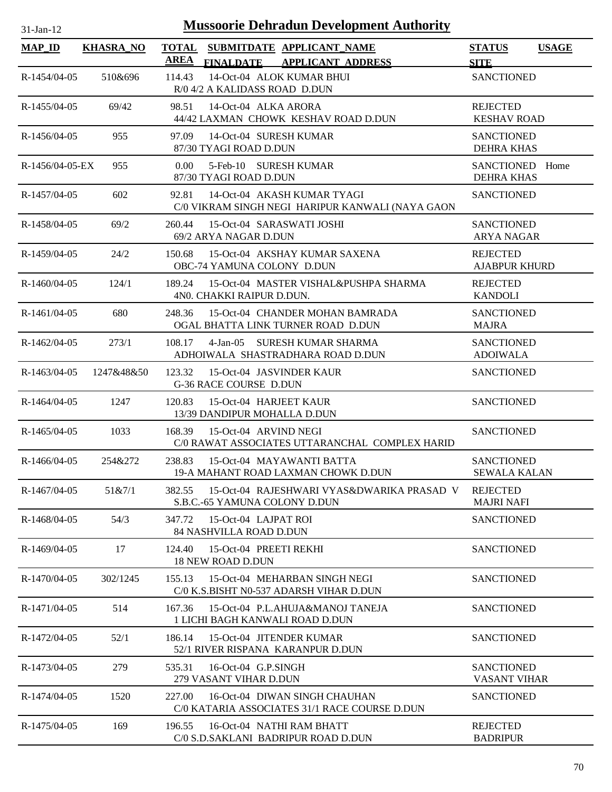| <b>Mussoorie Dehradun Development Authority</b><br>$31-Jan-12$ |                  |                                                                                                          |                                          |              |  |  |
|----------------------------------------------------------------|------------------|----------------------------------------------------------------------------------------------------------|------------------------------------------|--------------|--|--|
| <b>MAP_ID</b>                                                  | <b>KHASRA_NO</b> | <b>TOTAL</b><br>SUBMITDATE APPLICANT_NAME<br><b>AREA</b><br><b>APPLICANT ADDRESS</b><br><b>FINALDATE</b> | <b>STATUS</b><br><b>SITE</b>             | <b>USAGE</b> |  |  |
| R-1454/04-05                                                   | 510&696          | 14-Oct-04 ALOK KUMAR BHUI<br>114.43<br>R/0 4/2 A KALIDASS ROAD D.DUN                                     | <b>SANCTIONED</b>                        |              |  |  |
| R-1455/04-05                                                   | 69/42            | 14-Oct-04 ALKA ARORA<br>98.51<br>44/42 LAXMAN CHOWK KESHAV ROAD D.DUN                                    | <b>REJECTED</b><br><b>KESHAV ROAD</b>    |              |  |  |
| R-1456/04-05                                                   | 955              | 14-Oct-04 SURESH KUMAR<br>97.09<br>87/30 TYAGI ROAD D.DUN                                                | <b>SANCTIONED</b><br><b>DEHRA KHAS</b>   |              |  |  |
| $R-1456/04-05-EX$                                              | 955              | 5-Feb-10 SURESH KUMAR<br>$0.00^{\circ}$<br>87/30 TYAGI ROAD D.DUN                                        | SANCTIONED Home<br><b>DEHRA KHAS</b>     |              |  |  |
| R-1457/04-05                                                   | 602              | 14-Oct-04 AKASH KUMAR TYAGI<br>92.81<br>C/0 VIKRAM SINGH NEGI HARIPUR KANWALI (NAYA GAON                 | <b>SANCTIONED</b>                        |              |  |  |
| R-1458/04-05                                                   | 69/2             | 260.44<br>15-Oct-04 SARASWATI JOSHI<br>69/2 ARYA NAGAR D.DUN                                             | <b>SANCTIONED</b><br><b>ARYA NAGAR</b>   |              |  |  |
| $R-1459/04-05$                                                 | 24/2             | 15-Oct-04 AKSHAY KUMAR SAXENA<br>150.68<br>OBC-74 YAMUNA COLONY D.DUN                                    | <b>REJECTED</b><br><b>AJABPUR KHURD</b>  |              |  |  |
| $R-1460/04-05$                                                 | 124/1            | 189.24<br>15-Oct-04 MASTER VISHAL&PUSHPA SHARMA<br>4N0. CHAKKI RAIPUR D.DUN.                             | <b>REJECTED</b><br><b>KANDOLI</b>        |              |  |  |
| R-1461/04-05                                                   | 680              | 248.36<br>15-Oct-04 CHANDER MOHAN BAMRADA<br>OGAL BHATTA LINK TURNER ROAD D.DUN                          | <b>SANCTIONED</b><br><b>MAJRA</b>        |              |  |  |
| R-1462/04-05                                                   | 273/1            | 108.17<br>4-Jan-05 SURESH KUMAR SHARMA<br>ADHOIWALA SHASTRADHARA ROAD D.DUN                              | <b>SANCTIONED</b><br><b>ADOIWALA</b>     |              |  |  |
| R-1463/04-05                                                   | 1247&48&50       | 123.32<br>15-Oct-04 JASVINDER KAUR<br><b>G-36 RACE COURSE D.DUN</b>                                      | <b>SANCTIONED</b>                        |              |  |  |
| R-1464/04-05                                                   | 1247             | 120.83<br>15-Oct-04 HARJEET KAUR<br>13/39 DANDIPUR MOHALLA D.DUN                                         | <b>SANCTIONED</b>                        |              |  |  |
| $R-1465/04-05$                                                 | 1033             | 168.39<br>15-Oct-04 ARVIND NEGI<br>C/0 RAWAT ASSOCIATES UTTARANCHAL COMPLEX HARID                        | <b>SANCTIONED</b>                        |              |  |  |
| R-1466/04-05                                                   | 254&272          | 238.83<br>15-Oct-04 MAYAWANTI BATTA<br>19-A MAHANT ROAD LAXMAN CHOWK D.DUN                               | <b>SANCTIONED</b><br><b>SEWALA KALAN</b> |              |  |  |
| R-1467/04-05                                                   | 51&7/1           | 382.55<br>15-Oct-04 RAJESHWARI VYAS&DWARIKA PRASAD V<br>S.B.C.-65 YAMUNA COLONY D.DUN                    | <b>REJECTED</b><br><b>MAJRI NAFI</b>     |              |  |  |
| $R-1468/04-05$                                                 | 54/3             | 347.72<br>15-Oct-04 LAJPAT ROI<br><b>84 NASHVILLA ROAD D.DUN</b>                                         | <b>SANCTIONED</b>                        |              |  |  |
| R-1469/04-05                                                   | 17               | 15-Oct-04 PREETI REKHI<br>124.40<br><b>18 NEW ROAD D.DUN</b>                                             | <b>SANCTIONED</b>                        |              |  |  |
| R-1470/04-05                                                   | 302/1245         | 155.13<br>15-Oct-04 MEHARBAN SINGH NEGI<br>C/0 K.S.BISHT N0-537 ADARSH VIHAR D.DUN                       | <b>SANCTIONED</b>                        |              |  |  |
| R-1471/04-05                                                   | 514              | 15-Oct-04 P.L.AHUJA&MANOJ TANEJA<br>167.36<br>1 LICHI BAGH KANWALI ROAD D.DUN                            | <b>SANCTIONED</b>                        |              |  |  |
| R-1472/04-05                                                   | 52/1             | 15-Oct-04 JITENDER KUMAR<br>186.14<br>52/1 RIVER RISPANA KARANPUR D.DUN                                  | <b>SANCTIONED</b>                        |              |  |  |
| R-1473/04-05                                                   | 279              | 16-Oct-04 G.P.SINGH<br>535.31<br>279 VASANT VIHAR D.DUN                                                  | <b>SANCTIONED</b><br><b>VASANT VIHAR</b> |              |  |  |
| R-1474/04-05                                                   | 1520             | 16-Oct-04 DIWAN SINGH CHAUHAN<br>227.00<br>C/0 KATARIA ASSOCIATES 31/1 RACE COURSE D.DUN                 | <b>SANCTIONED</b>                        |              |  |  |
| R-1475/04-05                                                   | 169              | 196.55<br>16-Oct-04 NATHI RAM BHATT<br>C/0 S.D.SAKLANI BADRIPUR ROAD D.DUN                               | <b>REJECTED</b><br><b>BADRIPUR</b>       |              |  |  |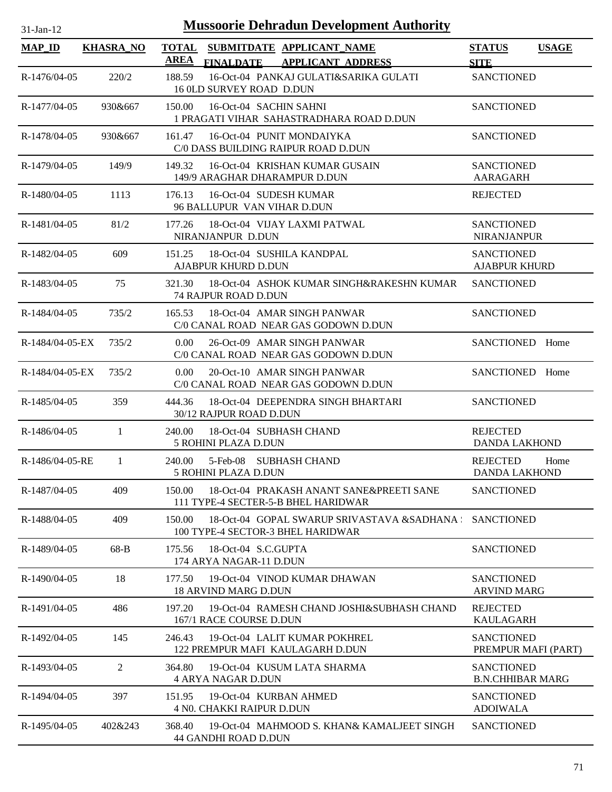| <b>Mussoorie Dehradun Development Authority</b><br>$31$ -Jan-12 |                  |                   |                                                                                              |                                              |              |  |
|-----------------------------------------------------------------|------------------|-------------------|----------------------------------------------------------------------------------------------|----------------------------------------------|--------------|--|
| $MAP$ <sub>ID</sub>                                             | <b>KHASRA NO</b> | <b>TOTAL</b>      | SUBMITDATE APPLICANT NAME                                                                    | <b>STATUS</b>                                | <b>USAGE</b> |  |
|                                                                 |                  | <u>AREA</u>       | FINALDATE APPLICANT ADDRESS                                                                  | <b>SITE</b>                                  |              |  |
| R-1476/04-05                                                    | 220/2            | 188.59            | 16-Oct-04 PANKAJ GULATI&SARIKA GULATI<br>16 OLD SURVEY ROAD D.DUN                            | <b>SANCTIONED</b>                            |              |  |
| R-1477/04-05                                                    | 930&667          | 150.00            | 16-Oct-04 SACHIN SAHNI<br>1 PRAGATI VIHAR SAHASTRADHARA ROAD D.DUN                           | <b>SANCTIONED</b>                            |              |  |
| R-1478/04-05                                                    | 930&667          | 161.47            | 16-Oct-04 PUNIT MONDAIYKA<br>C/0 DASS BUILDING RAIPUR ROAD D.DUN                             | <b>SANCTIONED</b>                            |              |  |
| $R-1479/04-05$                                                  | 149/9            | 149.32            | 16-Oct-04 KRISHAN KUMAR GUSAIN<br>149/9 ARAGHAR DHARAMPUR D.DUN                              | <b>SANCTIONED</b><br><b>AARAGARH</b>         |              |  |
| R-1480/04-05                                                    | 1113             | 176.13            | 16-Oct-04 SUDESH KUMAR<br>96 BALLUPUR VAN VIHAR D.DUN                                        | <b>REJECTED</b>                              |              |  |
| R-1481/04-05                                                    | 81/2             | 177.26            | 18-Oct-04 VIJAY LAXMI PATWAL<br>NIRANJANPUR D.DUN                                            | <b>SANCTIONED</b><br><b>NIRANJANPUR</b>      |              |  |
| R-1482/04-05                                                    | 609              | 151.25            | 18-Oct-04 SUSHILA KANDPAL<br>AJABPUR KHURD D.DUN                                             | <b>SANCTIONED</b><br><b>AJABPUR KHURD</b>    |              |  |
| R-1483/04-05                                                    | 75               |                   | 321.30 18-Oct-04 ASHOK KUMAR SINGH&RAKESHN KUMAR<br><b>74 RAJPUR ROAD D.DUN</b>              | <b>SANCTIONED</b>                            |              |  |
| R-1484/04-05                                                    | 735/2            |                   | 165.53 18-Oct-04 AMAR SINGH PANWAR<br>C/0 CANAL ROAD NEAR GAS GODOWN D.DUN                   | <b>SANCTIONED</b>                            |              |  |
| R-1484/04-05-EX                                                 | 735/2            | $0.00 -$          | 26-Oct-09 AMAR SINGH PANWAR<br>C/0 CANAL ROAD NEAR GAS GODOWN D.DUN                          | SANCTIONED Home                              |              |  |
| R-1484/04-05-EX                                                 | 735/2            | 0.00 <sub>1</sub> | 20-Oct-10 AMAR SINGH PANWAR<br>C/0 CANAL ROAD NEAR GAS GODOWN D.DUN                          | SANCTIONED Home                              |              |  |
| R-1485/04-05                                                    | 359              | 444.36            | 18-Oct-04 DEEPENDRA SINGH BHARTARI<br>30/12 RAJPUR ROAD D.DUN                                | <b>SANCTIONED</b>                            |              |  |
| R-1486/04-05                                                    | 1                | 240.00            | 18-Oct-04 SUBHASH CHAND<br>5 ROHINI PLAZA D.DUN                                              | <b>REJECTED</b><br><b>DANDA LAKHOND</b>      |              |  |
| R-1486/04-05-RE                                                 | 1                | 240.00            | 5-Feb-08 SUBHASH CHAND<br>5 ROHINI PLAZA D.DUN                                               | <b>REJECTED</b><br><b>DANDA LAKHOND</b>      | Home         |  |
| R-1487/04-05                                                    | 409              | 150.00            | 18-Oct-04 PRAKASH ANANT SANE&PREETI SANE<br>111 TYPE-4 SECTER-5-B BHEL HARIDWAR              | <b>SANCTIONED</b>                            |              |  |
| R-1488/04-05                                                    | 409              | 150.00            | 18-Oct-04 GOPAL SWARUP SRIVASTAVA &SADHANA : SANCTIONED<br>100 TYPE-4 SECTOR-3 BHEL HARIDWAR |                                              |              |  |
| R-1489/04-05                                                    | 68-B             | 175.56            | 18-Oct-04 S.C.GUPTA<br>174 ARYA NAGAR-11 D.DUN                                               | <b>SANCTIONED</b>                            |              |  |
| R-1490/04-05                                                    | 18               | 177.50            | 19-Oct-04 VINOD KUMAR DHAWAN<br><b>18 ARVIND MARG D.DUN</b>                                  | <b>SANCTIONED</b><br><b>ARVIND MARG</b>      |              |  |
| R-1491/04-05                                                    | 486              | 197.20            | 19-Oct-04 RAMESH CHAND JOSHI&SUBHASH CHAND<br>167/1 RACE COURSE D.DUN                        | <b>REJECTED</b><br><b>KAULAGARH</b>          |              |  |
| R-1492/04-05                                                    | 145              | 246.43            | 19-Oct-04 LALIT KUMAR POKHREL<br>122 PREMPUR MAFI KAULAGARH D.DUN                            | <b>SANCTIONED</b><br>PREMPUR MAFI (PART)     |              |  |
| R-1493/04-05                                                    | 2                | 364.80            | 19-Oct-04 KUSUM LATA SHARMA<br><b>4 ARYA NAGAR D.DUN</b>                                     | <b>SANCTIONED</b><br><b>B.N.CHHIBAR MARG</b> |              |  |
| R-1494/04-05                                                    | 397              | 151.95            | 19-Oct-04 KURBAN AHMED<br>4 NO. CHAKKI RAIPUR D.DUN                                          | <b>SANCTIONED</b><br><b>ADOIWALA</b>         |              |  |
| R-1495/04-05                                                    | 402&243          | 368.40            | 19-Oct-04 MAHMOOD S. KHAN& KAMALJEET SINGH<br>44 GANDHI ROAD D.DUN                           | <b>SANCTIONED</b>                            |              |  |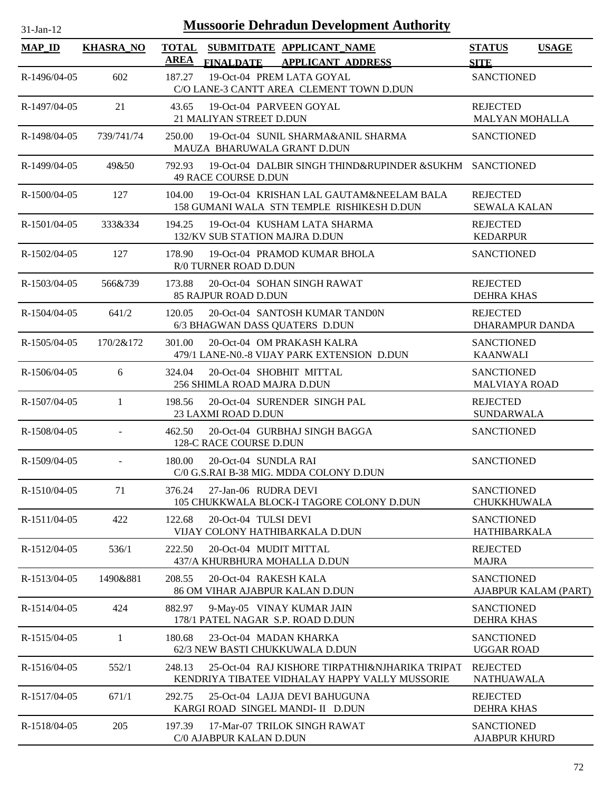| <b>Mussoorie Dehradun Development Authority</b><br>$31-Jan-12$ |                  |                             |                                                                                                  |                                           |              |  |  |
|----------------------------------------------------------------|------------------|-----------------------------|--------------------------------------------------------------------------------------------------|-------------------------------------------|--------------|--|--|
| <b>MAP_ID</b>                                                  | <b>KHASRA_NO</b> | <b>TOTAL</b><br><b>AREA</b> | SUBMITDATE APPLICANT_NAME<br><b>FINALDATE</b><br><b>APPLICANT ADDRESS</b>                        | <b>STATUS</b><br><b>SITE</b>              | <b>USAGE</b> |  |  |
| R-1496/04-05                                                   | 602              | 187.27                      | 19-Oct-04 PREM LATA GOYAL<br>C/O LANE-3 CANTT AREA CLEMENT TOWN D.DUN                            | <b>SANCTIONED</b>                         |              |  |  |
| R-1497/04-05                                                   | 21               | 43.65                       | 19-Oct-04 PARVEEN GOYAL<br>21 MALIYAN STREET D.DUN                                               | <b>REJECTED</b><br><b>MALYAN MOHALLA</b>  |              |  |  |
| R-1498/04-05                                                   | 739/741/74       | 250.00                      | 19-Oct-04 SUNIL SHARMA&ANIL SHARMA<br>MAUZA BHARUWALA GRANT D.DUN                                | <b>SANCTIONED</b>                         |              |  |  |
| R-1499/04-05                                                   | 49&50            | 792.93                      | 19-Oct-04 DALBIR SINGH THIND&RUPINDER &SUKHM SANCTIONED<br>49 RACE COURSE D.DUN                  |                                           |              |  |  |
| R-1500/04-05                                                   | 127              | 104.00                      | 19-Oct-04 KRISHAN LAL GAUTAM&NEELAM BALA<br>158 GUMANI WALA STN TEMPLE RISHIKESH D.DUN           | <b>REJECTED</b><br><b>SEWALA KALAN</b>    |              |  |  |
| R-1501/04-05                                                   | 333&334          | 194.25                      | 19-Oct-04 KUSHAM LATA SHARMA<br>132/KV SUB STATION MAJRA D.DUN                                   | <b>REJECTED</b><br><b>KEDARPUR</b>        |              |  |  |
| R-1502/04-05                                                   | 127              | 178.90                      | 19-Oct-04 PRAMOD KUMAR BHOLA<br>R/0 TURNER ROAD D.DUN                                            | <b>SANCTIONED</b>                         |              |  |  |
| R-1503/04-05                                                   | 566&739          | 173.88                      | 20-Oct-04 SOHAN SINGH RAWAT<br><b>85 RAJPUR ROAD D.DUN</b>                                       | <b>REJECTED</b><br><b>DEHRA KHAS</b>      |              |  |  |
| R-1504/04-05                                                   | 641/2            | 120.05                      | 20-Oct-04 SANTOSH KUMAR TANDON<br>6/3 BHAGWAN DASS QUATERS D.DUN                                 | <b>REJECTED</b><br>DHARAMPUR DANDA        |              |  |  |
| $R-1505/04-05$                                                 | 170/2&172        | 301.00                      | 20-Oct-04 OM PRAKASH KALRA<br>479/1 LANE-N0.-8 VIJAY PARK EXTENSION D.DUN                        | <b>SANCTIONED</b><br><b>KAANWALI</b>      |              |  |  |
| R-1506/04-05                                                   | 6                | 324.04                      | 20-Oct-04 SHOBHIT MITTAL<br>256 SHIMLA ROAD MAJRA D.DUN                                          | <b>SANCTIONED</b><br><b>MALVIAYA ROAD</b> |              |  |  |
| R-1507/04-05                                                   | 1                | 198.56                      | 20-Oct-04 SURENDER SINGH PAL<br>23 LAXMI ROAD D.DUN                                              | <b>REJECTED</b><br><b>SUNDARWALA</b>      |              |  |  |
| R-1508/04-05                                                   | $\blacksquare$   | 462.50                      | 20-Oct-04 GURBHAJ SINGH BAGGA<br>128-C RACE COURSE D.DUN                                         | <b>SANCTIONED</b>                         |              |  |  |
| R-1509/04-05                                                   | $\blacksquare$   | 180.00                      | 20-Oct-04 SUNDLA RAI<br>C/0 G.S.RAI B-38 MIG. MDDA COLONY D.DUN                                  | <b>SANCTIONED</b>                         |              |  |  |
| R-1510/04-05                                                   | 71               | 376.24                      | 27-Jan-06 RUDRA DEVI<br>105 CHUKKWALA BLOCK-I TAGORE COLONY D.DUN                                | <b>SANCTIONED</b><br>CHUKKHUWALA          |              |  |  |
| R-1511/04-05                                                   | 422              | 122.68                      | 20-Oct-04 TULSI DEVI<br>VIJAY COLONY HATHIBARKALA D.DUN                                          | <b>SANCTIONED</b><br><b>HATHIBARKALA</b>  |              |  |  |
| R-1512/04-05                                                   | 536/1            | 222.50                      | 20-Oct-04 MUDIT MITTAL<br>437/A KHURBHURA MOHALLA D.DUN                                          | <b>REJECTED</b><br><b>MAJRA</b>           |              |  |  |
| R-1513/04-05                                                   | 1490&881         | 208.55                      | 20-Oct-04 RAKESH KALA<br>86 OM VIHAR AJABPUR KALAN D.DUN                                         | <b>SANCTIONED</b><br>AJABPUR KALAM (PART) |              |  |  |
| R-1514/04-05                                                   | 424              | 882.97                      | 9-May-05 VINAY KUMAR JAIN<br>178/1 PATEL NAGAR S.P. ROAD D.DUN                                   | <b>SANCTIONED</b><br><b>DEHRA KHAS</b>    |              |  |  |
| R-1515/04-05                                                   | 1                | 180.68                      | 23-Oct-04 MADAN KHARKA<br>62/3 NEW BASTI CHUKKUWALA D.DUN                                        | <b>SANCTIONED</b><br><b>UGGAR ROAD</b>    |              |  |  |
| R-1516/04-05                                                   | 552/1            | 248.13                      | 25-Oct-04 RAJ KISHORE TIRPATHI&NJHARIKA TRIPAT<br>KENDRIYA TIBATEE VIDHALAY HAPPY VALLY MUSSORIE | <b>REJECTED</b><br><b>NATHUAWALA</b>      |              |  |  |
| R-1517/04-05                                                   | 671/1            | 292.75                      | 25-Oct-04 LAJJA DEVI BAHUGUNA<br>KARGI ROAD SINGEL MANDI- II D.DUN                               | <b>REJECTED</b><br><b>DEHRA KHAS</b>      |              |  |  |
| R-1518/04-05                                                   | 205              | 197.39                      | 17-Mar-07 TRILOK SINGH RAWAT<br>C/0 AJABPUR KALAN D.DUN                                          | <b>SANCTIONED</b><br><b>AJABPUR KHURD</b> |              |  |  |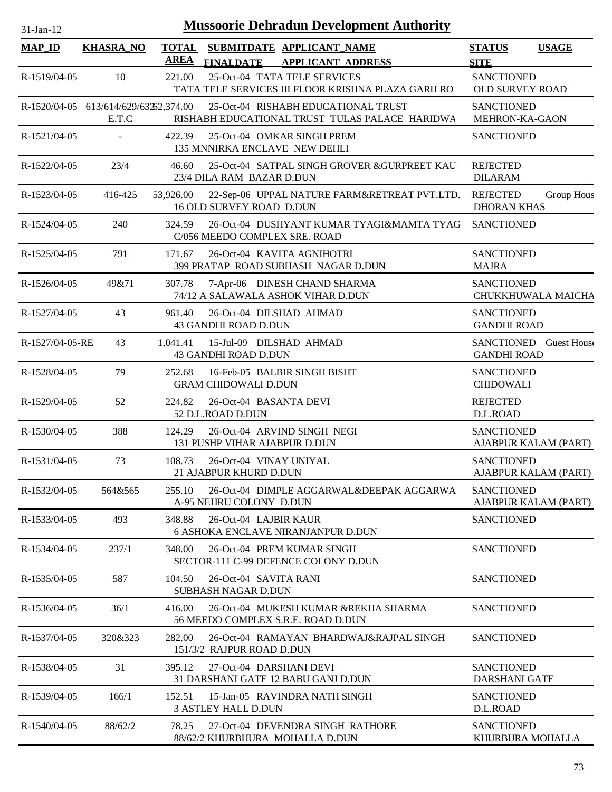| $31-Jan-12$     |                                                |             | <b>Mussoorie Dehradun Development Authority</b>                                       |                                           |                        |
|-----------------|------------------------------------------------|-------------|---------------------------------------------------------------------------------------|-------------------------------------------|------------------------|
| <b>MAP ID</b>   | <b>KHASRA_NO</b>                               | <b>AREA</b> | TOTAL SUBMITDATE APPLICANT NAME<br><b>APPLICANT ADDRESS</b><br><b>FINALDATE</b>       | <b>STATUS</b><br><b>SITE</b>              | <b>USAGE</b>           |
| R-1519/04-05    | 10                                             | 221.00      | 25-Oct-04 TATA TELE SERVICES<br>TATA TELE SERVICES III FLOOR KRISHNA PLAZA GARH RO    | <b>SANCTIONED</b><br>OLD SURVEY ROAD      |                        |
|                 | R-1520/04-05 613/614/629/63263,374.00<br>E.T.C |             | 25-Oct-04 RISHABH EDUCATIONAL TRUST<br>RISHABH EDUCATIONAL TRUST TULAS PALACE HARIDWA | <b>SANCTIONED</b><br>MEHRON-KA-GAON       |                        |
| R-1521/04-05    | $\omega$                                       | 422.39      | 25-Oct-04 OMKAR SINGH PREM<br>135 MNNIRKA ENCLAVE NEW DEHLI                           | <b>SANCTIONED</b>                         |                        |
| R-1522/04-05    | 23/4                                           | 46.60       | 25-Oct-04 SATPAL SINGH GROVER & GURPREET KAU<br>23/4 DILA RAM BAZAR D.DUN             | <b>REJECTED</b><br><b>DILARAM</b>         |                        |
| R-1523/04-05    | 416-425                                        | 53,926.00   | 22-Sep-06 UPPAL NATURE FARM&RETREAT PVT.LTD.<br><b>16 OLD SURVEY ROAD D.DUN</b>       | <b>REJECTED</b><br><b>DHORAN KHAS</b>     | Group Hous             |
| R-1524/04-05    | 240                                            | 324.59      | 26-Oct-04 DUSHYANT KUMAR TYAGI&MAMTA TYAG<br>C/056 MEEDO COMPLEX SRE. ROAD            | <b>SANCTIONED</b>                         |                        |
| R-1525/04-05    | 791                                            | 171.67      | 26-Oct-04 KAVITA AGNIHOTRI<br>399 PRATAP ROAD SUBHASH NAGAR D.DUN                     | <b>SANCTIONED</b><br><b>MAJRA</b>         |                        |
| R-1526/04-05    | 49&71                                          | 307.78      | 7-Apr-06 DINESH CHAND SHARMA<br>74/12 A SALAWALA ASHOK VIHAR D.DUN                    | <b>SANCTIONED</b>                         | CHUKKHUWALA MAICHA     |
| R-1527/04-05    | 43                                             | 961.40      | 26-Oct-04 DILSHAD AHMAD<br>43 GANDHI ROAD D.DUN                                       | <b>SANCTIONED</b><br><b>GANDHI ROAD</b>   |                        |
| R-1527/04-05-RE | 43                                             | 1,041.41    | 15-Jul-09 DILSHAD AHMAD<br>43 GANDHI ROAD D.DUN                                       | <b>GANDHI ROAD</b>                        | SANCTIONED Guest House |
| R-1528/04-05    | 79                                             | 252.68      | 16-Feb-05 BALBIR SINGH BISHT<br><b>GRAM CHIDOWALI D.DUN</b>                           | <b>SANCTIONED</b><br><b>CHIDOWALI</b>     |                        |
| R-1529/04-05    | 52                                             | 224.82      | 26-Oct-04 BASANTA DEVI<br>52 D.L.ROAD D.DUN                                           | <b>REJECTED</b><br>D.L.ROAD               |                        |
| R-1530/04-05    | 388                                            | 124.29      | 26-Oct-04 ARVIND SINGH NEGI<br>131 PUSHP VIHAR AJABPUR D.DUN                          | <b>SANCTIONED</b>                         | AJABPUR KALAM (PART)   |
| R-1531/04-05    | 73                                             | 108.73      | 26-Oct-04 VINAY UNIYAL<br>21 AJABPUR KHURD D.DUN                                      | <b>SANCTIONED</b>                         | AJABPUR KALAM (PART)   |
| R-1532/04-05    | 564&565                                        | 255.10      | 26-Oct-04 DIMPLE AGGARWAL&DEEPAK AGGARWA<br>A-95 NEHRU COLONY D.DUN                   | <b>SANCTIONED</b>                         | AJABPUR KALAM (PART)   |
| R-1533/04-05    | 493                                            | 348.88      | 26-Oct-04 LAJBIR KAUR<br><b>6 ASHOKA ENCLAVE NIRANJANPUR D.DUN</b>                    | <b>SANCTIONED</b>                         |                        |
| R-1534/04-05    | 237/1                                          | 348.00      | 26-Oct-04 PREM KUMAR SINGH<br>SECTOR-111 C-99 DEFENCE COLONY D.DUN                    | <b>SANCTIONED</b>                         |                        |
| R-1535/04-05    | 587                                            | 104.50      | 26-Oct-04 SAVITA RANI<br><b>SUBHASH NAGAR D.DUN</b>                                   | <b>SANCTIONED</b>                         |                        |
| R-1536/04-05    | 36/1                                           | 416.00      | 26-Oct-04 MUKESH KUMAR &REKHA SHARMA<br>56 MEEDO COMPLEX S.R.E. ROAD D.DUN            | <b>SANCTIONED</b>                         |                        |
| R-1537/04-05    | 320&323                                        | 282.00      | 26-Oct-04 RAMAYAN BHARDWAJ&RAJPAL SINGH<br>151/3/2 RAJPUR ROAD D.DUN                  | <b>SANCTIONED</b>                         |                        |
| R-1538/04-05    | 31                                             | 395.12      | 27-Oct-04 DARSHANI DEVI<br>31 DARSHANI GATE 12 BABU GANJ D.DUN                        | <b>SANCTIONED</b><br><b>DARSHANI GATE</b> |                        |
| R-1539/04-05    | 166/1                                          | 152.51      | 15-Jan-05 RAVINDRA NATH SINGH<br><b>3 ASTLEY HALL D.DUN</b>                           | <b>SANCTIONED</b><br>D.L.ROAD             |                        |
| R-1540/04-05    | 88/62/2                                        | 78.25       | 27-Oct-04 DEVENDRA SINGH RATHORE<br>88/62/2 KHURBHURA MOHALLA D.DUN                   | <b>SANCTIONED</b><br>KHURBURA MOHALLA     |                        |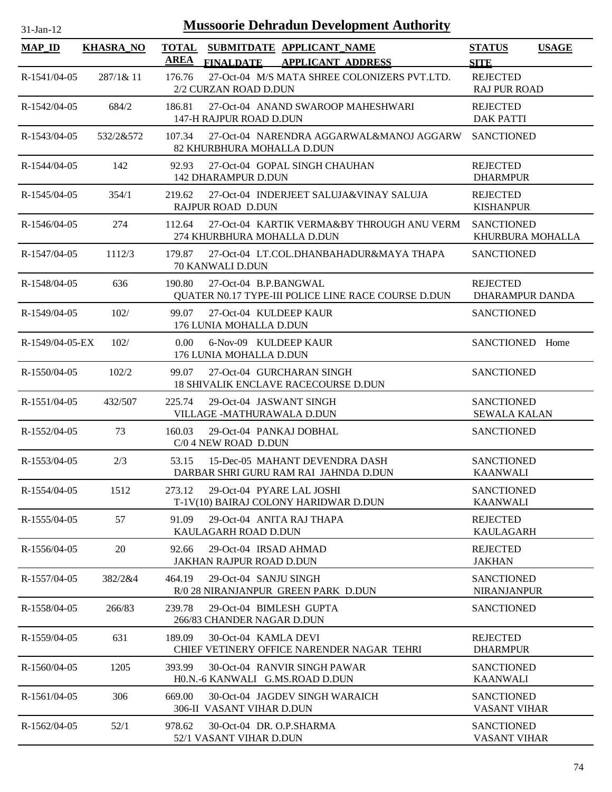| <b>Mussoorie Dehradun Development Authority</b><br>$31$ -Jan- $12$ |                  |                             |                                                                                   |                                          |              |  |  |  |  |
|--------------------------------------------------------------------|------------------|-----------------------------|-----------------------------------------------------------------------------------|------------------------------------------|--------------|--|--|--|--|
| <b>MAP_ID</b>                                                      | <b>KHASRA NO</b> | <b>TOTAL</b><br><b>AREA</b> | SUBMITDATE APPLICANT_NAME<br><b>FINALDATE</b><br><b>APPLICANT ADDRESS</b>         | <b>STATUS</b><br><b>SITE</b>             | <b>USAGE</b> |  |  |  |  |
| $R-1541/04-05$                                                     | 287/1& 11        | 176.76                      | 27-Oct-04 M/S MATA SHREE COLONIZERS PVT.LTD.<br>2/2 CURZAN ROAD D.DUN             | <b>REJECTED</b><br><b>RAJ PUR ROAD</b>   |              |  |  |  |  |
| R-1542/04-05                                                       | 684/2            | 186.81                      | 27-Oct-04 ANAND SWAROOP MAHESHWARI<br>147-H RAJPUR ROAD D.DUN                     | <b>REJECTED</b><br><b>DAK PATTI</b>      |              |  |  |  |  |
| R-1543/04-05                                                       | 532/2&572        | 107.34                      | 27-Oct-04 NARENDRA AGGARWAL&MANOJ AGGARW SANCTIONED<br>82 KHURBHURA MOHALLA D.DUN |                                          |              |  |  |  |  |
| R-1544/04-05                                                       | 142              | 92.93                       | 27-Oct-04 GOPAL SINGH CHAUHAN<br><b>142 DHARAMPUR D.DUN</b>                       | <b>REJECTED</b><br><b>DHARMPUR</b>       |              |  |  |  |  |
| R-1545/04-05                                                       | 354/1            | 219.62                      | 27-Oct-04 INDERJEET SALUJA&VINAY SALUJA<br>RAJPUR ROAD D.DUN                      | <b>REJECTED</b><br><b>KISHANPUR</b>      |              |  |  |  |  |
| R-1546/04-05                                                       | 274              | 112.64                      | 27-Oct-04 KARTIK VERMA&BY THROUGH ANU VERM<br>274 KHURBHURA MOHALLA D.DUN         | <b>SANCTIONED</b><br>KHURBURA MOHALLA    |              |  |  |  |  |
| $R-1547/04-05$                                                     | 1112/3           | 179.87                      | 27-Oct-04 LT.COL.DHANBAHADUR&MAYA THAPA<br>70 KANWALI D.DUN                       | <b>SANCTIONED</b>                        |              |  |  |  |  |
| R-1548/04-05                                                       | 636              | 190.80                      | 27-Oct-04 B.P.BANGWAL<br>QUATER N0.17 TYPE-III POLICE LINE RACE COURSE D.DUN      | <b>REJECTED</b><br>DHARAMPUR DANDA       |              |  |  |  |  |
| R-1549/04-05                                                       | 102/             | 99.07                       | 27-Oct-04 KULDEEP KAUR<br>176 LUNIA MOHALLA D.DUN                                 | <b>SANCTIONED</b>                        |              |  |  |  |  |
| R-1549/04-05-EX                                                    | 102/             | $0.00^{\circ}$              | 6-Nov-09 KULDEEP KAUR<br>176 LUNIA MOHALLA D.DUN                                  | SANCTIONED Home                          |              |  |  |  |  |
| $R-1550/04-05$                                                     | 102/2            | 99.07                       | 27-Oct-04 GURCHARAN SINGH<br><b>18 SHIVALIK ENCLAVE RACECOURSE D.DUN</b>          | <b>SANCTIONED</b>                        |              |  |  |  |  |
| R-1551/04-05                                                       | 432/507          | 225.74                      | 29-Oct-04 JASWANT SINGH<br>VILLAGE -MATHURAWALA D.DUN                             | <b>SANCTIONED</b><br><b>SEWALA KALAN</b> |              |  |  |  |  |
| R-1552/04-05                                                       | 73               | 160.03                      | 29-Oct-04 PANKAJ DOBHAL<br>C/0 4 NEW ROAD D.DUN                                   | <b>SANCTIONED</b>                        |              |  |  |  |  |
| R-1553/04-05                                                       | 2/3              | 53.15                       | 15-Dec-05 MAHANT DEVENDRA DASH<br>DARBAR SHRI GURU RAM RAI JAHNDA D.DUN           | <b>SANCTIONED</b><br><b>KAANWALI</b>     |              |  |  |  |  |
| R-1554/04-05                                                       | 1512             | 273.12                      | 29-Oct-04 PYARE LAL JOSHI<br>T-1V(10) BAIRAJ COLONY HARIDWAR D.DUN                | <b>SANCTIONED</b><br>KAANWALI            |              |  |  |  |  |
| R-1555/04-05                                                       | 57               | 91.09                       | 29-Oct-04 ANITA RAJ THAPA<br>KAULAGARH ROAD D.DUN                                 | <b>REJECTED</b><br><b>KAULAGARH</b>      |              |  |  |  |  |
| R-1556/04-05                                                       | 20               | 92.66                       | 29-Oct-04 IRSAD AHMAD<br><b>JAKHAN RAJPUR ROAD D.DUN</b>                          | <b>REJECTED</b><br><b>JAKHAN</b>         |              |  |  |  |  |
| R-1557/04-05                                                       | 382/2&4          | 464.19                      | 29-Oct-04 SANJU SINGH<br>R/0 28 NIRANJANPUR GREEN PARK D.DUN                      | <b>SANCTIONED</b><br><b>NIRANJANPUR</b>  |              |  |  |  |  |
| R-1558/04-05                                                       | 266/83           | 239.78                      | 29-Oct-04 BIMLESH GUPTA<br>266/83 CHANDER NAGAR D.DUN                             | <b>SANCTIONED</b>                        |              |  |  |  |  |
| R-1559/04-05                                                       | 631              | 189.09                      | 30-Oct-04 KAMLA DEVI<br>CHIEF VETINERY OFFICE NARENDER NAGAR TEHRI                | <b>REJECTED</b><br><b>DHARMPUR</b>       |              |  |  |  |  |
| $R-1560/04-05$                                                     | 1205             | 393.99                      | 30-Oct-04 RANVIR SINGH PAWAR<br>HO.N.-6 KANWALI G.MS.ROAD D.DUN                   | <b>SANCTIONED</b><br><b>KAANWALI</b>     |              |  |  |  |  |
| R-1561/04-05                                                       | 306              | 669.00                      | 30-Oct-04 JAGDEV SINGH WARAICH<br>306-II VASANT VIHAR D.DUN                       | <b>SANCTIONED</b><br><b>VASANT VIHAR</b> |              |  |  |  |  |
| R-1562/04-05                                                       | 52/1             | 978.62                      | 30-Oct-04 DR. O.P.SHARMA<br>52/1 VASANT VIHAR D.DUN                               | <b>SANCTIONED</b><br>VASANT VIHAR        |              |  |  |  |  |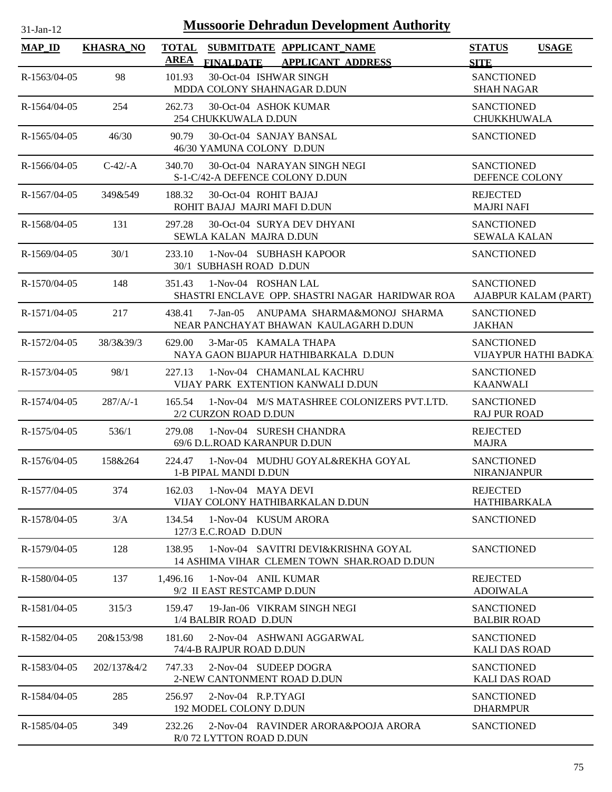| <b>Mussoorie Dehradun Development Authority</b><br>$31-Ian-12$ |                  |              |                                                   |                              |                                                                                    |                                           |                       |  |
|----------------------------------------------------------------|------------------|--------------|---------------------------------------------------|------------------------------|------------------------------------------------------------------------------------|-------------------------------------------|-----------------------|--|
| $MAP$ <sub>ID</sub>                                            | <b>KHASRA_NO</b> | <b>TOTAL</b> |                                                   |                              | SUBMITDATE APPLICANT NAME                                                          | <b>STATUS</b>                             | <b>USAGE</b>          |  |
|                                                                |                  | <b>AREA</b>  |                                                   |                              | FINALDATE APPLICANT ADDRESS                                                        | <b>SITE</b>                               |                       |  |
| R-1563/04-05                                                   | 98               | 101.93       | MDDA COLONY SHAHNAGAR D.DUN                       | 30-Oct-04 ISHWAR SINGH       |                                                                                    | <b>SANCTIONED</b><br><b>SHAH NAGAR</b>    |                       |  |
| R-1564/04-05                                                   | 254              | 262.73       | 254 CHUKKUWALA D.DUN                              | 30-Oct-04 ASHOK KUMAR        |                                                                                    | <b>SANCTIONED</b><br>CHUKKHUWALA          |                       |  |
| R-1565/04-05                                                   | 46/30            | 90.79        | 46/30 YAMUNA COLONY D.DUN                         | 30-Oct-04 SANJAY BANSAL      |                                                                                    | <b>SANCTIONED</b>                         |                       |  |
| $R-1566/04-05$                                                 | $C-42/-A$        | 340.70       | S-1-C/42-A DEFENCE COLONY D.DUN                   | 30-Oct-04 NARAYAN SINGH NEGI |                                                                                    | <b>SANCTIONED</b><br>DEFENCE COLONY       |                       |  |
| R-1567/04-05                                                   | 349&549          | 188.32       | ROHIT BAJAJ MAJRI MAFI D.DUN                      | 30-Oct-04 ROHIT BAJAJ        |                                                                                    | <b>REJECTED</b><br><b>MAJRI NAFI</b>      |                       |  |
| R-1568/04-05                                                   | 131              | 297.28       | SEWLA KALAN MAJRA D.DUN                           | 30-Oct-04 SURYA DEV DHYANI   |                                                                                    | <b>SANCTIONED</b><br><b>SEWALA KALAN</b>  |                       |  |
| R-1569/04-05                                                   | 30/1             | 233.10       | 30/1 SUBHASH ROAD D.DUN                           | 1-Nov-04 SUBHASH KAPOOR      |                                                                                    | <b>SANCTIONED</b>                         |                       |  |
| R-1570/04-05                                                   | 148              | 351.43       |                                                   | 1-Nov-04 ROSHAN LAL          | SHASTRI ENCLAVE OPP. SHASTRI NAGAR HARIDWAR ROA                                    | <b>SANCTIONED</b>                         | AJABPUR KALAM (PART)  |  |
| R-1571/04-05                                                   | 217              | 438.41       |                                                   |                              | 7-Jan-05 ANUPAMA SHARMA&MONOJ SHARMA<br>NEAR PANCHAYAT BHAWAN KAULAGARH D.DUN      | <b>SANCTIONED</b><br><b>JAKHAN</b>        |                       |  |
| R-1572/04-05                                                   | 38/3&39/3        | 629.00       |                                                   | 3-Mar-05 KAMALA THAPA        | NAYA GAON BIJAPUR HATHIBARKALA D.DUN                                               | <b>SANCTIONED</b>                         | VIJAYPUR HATHI BADKAI |  |
| R-1573/04-05                                                   | 98/1             | 227.13       |                                                   | 1-Nov-04 CHAMANLAL KACHRU    | VIJAY PARK EXTENTION KANWALI D.DUN                                                 | <b>SANCTIONED</b><br><b>KAANWALI</b>      |                       |  |
| R-1574/04-05                                                   | $287/A/-1$       | 165.54       | 2/2 CURZON ROAD D.DUN                             |                              | 1-Nov-04 M/S MATASHREE COLONIZERS PVT.LTD.                                         | <b>SANCTIONED</b><br><b>RAJ PUR ROAD</b>  |                       |  |
| R-1575/04-05                                                   | 536/1            | 279.08       | 69/6 D.L.ROAD KARANPUR D.DUN                      | 1-Nov-04 SURESH CHANDRA      |                                                                                    | <b>REJECTED</b><br><b>MAJRA</b>           |                       |  |
| R-1576/04-05                                                   | 158&264          | 224.47       | 1-B PIPAL MANDI D.DUN                             |                              | 1-Nov-04 MUDHU GOYAL&REKHA GOYAL                                                   | <b>SANCTIONED</b><br><b>NIRANJANPUR</b>   |                       |  |
| R-1577/04-05                                                   | 374              | 162.03       | VIJAY COLONY HATHIBARKALAN D.DUN                  | 1-Nov-04 MAYA DEVI           |                                                                                    | <b>REJECTED</b><br>HATHIBARKALA           |                       |  |
| R-1578/04-05                                                   | 3/A              | 134.54       | 127/3 E.C.ROAD D.DUN                              | 1-Nov-04 KUSUM ARORA         |                                                                                    | <b>SANCTIONED</b>                         |                       |  |
| R-1579/04-05                                                   | 128              | 138.95       |                                                   |                              | 1-Nov-04 SAVITRI DEVI&KRISHNA GOYAL<br>14 ASHIMA VIHAR CLEMEN TOWN SHAR.ROAD D.DUN | <b>SANCTIONED</b>                         |                       |  |
| R-1580/04-05                                                   | 137              | 1,496.16     | 1-Nov-04 ANIL KUMAR<br>9/2 II EAST RESTCAMP D.DUN |                              |                                                                                    | <b>REJECTED</b><br><b>ADOIWALA</b>        |                       |  |
| R-1581/04-05                                                   | 315/3            | 159.47       | 1/4 BALBIR ROAD D.DUN                             | 19-Jan-06 VIKRAM SINGH NEGI  |                                                                                    | <b>SANCTIONED</b><br><b>BALBIR ROAD</b>   |                       |  |
| R-1582/04-05                                                   | 20&153/98        | 181.60       | 74/4-B RAJPUR ROAD D.DUN                          | 2-Nov-04 ASHWANI AGGARWAL    |                                                                                    | <b>SANCTIONED</b><br><b>KALI DAS ROAD</b> |                       |  |
| R-1583/04-05                                                   | 202/137&4/2      | 747.33       | 2-NEW CANTONMENT ROAD D.DUN                       | 2-Nov-04 SUDEEP DOGRA        |                                                                                    | <b>SANCTIONED</b><br><b>KALI DAS ROAD</b> |                       |  |
| R-1584/04-05                                                   | 285              | 256.97       | 2-Nov-04 R.P.TYAGI<br>192 MODEL COLONY D.DUN      |                              |                                                                                    | <b>SANCTIONED</b><br><b>DHARMPUR</b>      |                       |  |
| R-1585/04-05                                                   | 349              | 232.26       | R/0 72 LYTTON ROAD D.DUN                          |                              | 2-Nov-04 RAVINDER ARORA&POOJA ARORA                                                | <b>SANCTIONED</b>                         |                       |  |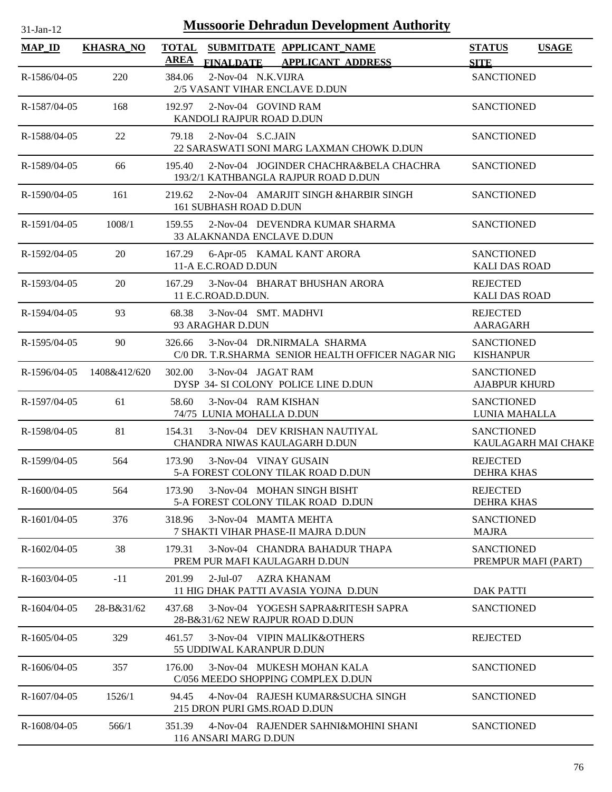| <b>Mussoorie Dehradun Development Authority</b><br>31-Jan-12 |                  |              |                                                  |  |                                                                                  |                                           |                     |  |
|--------------------------------------------------------------|------------------|--------------|--------------------------------------------------|--|----------------------------------------------------------------------------------|-------------------------------------------|---------------------|--|
| <b>MAP_ID</b>                                                | <b>KHASRA_NO</b> | <b>TOTAL</b> |                                                  |  | SUBMITDATE APPLICANT NAME                                                        | <b>STATUS</b>                             | <b>USAGE</b>        |  |
|                                                              |                  | <b>AREA</b>  | <b>FINALDATE</b>                                 |  | <b>APPLICANT ADDRESS</b>                                                         | <b>SITE</b>                               |                     |  |
| R-1586/04-05                                                 | 220              | 384.06       | 2-Nov-04 N.K.VIJRA                               |  | 2/5 VASANT VIHAR ENCLAVE D.DUN                                                   | <b>SANCTIONED</b>                         |                     |  |
| R-1587/04-05                                                 | 168              | 192.97       | 2-Nov-04 GOVIND RAM<br>KANDOLI RAJPUR ROAD D.DUN |  |                                                                                  | <b>SANCTIONED</b>                         |                     |  |
| R-1588/04-05                                                 | 22               | 79.18        | 2-Nov-04 S.C.JAIN                                |  | 22 SARASWATI SONI MARG LAXMAN CHOWK D.DUN                                        | <b>SANCTIONED</b>                         |                     |  |
| R-1589/04-05                                                 | 66               | 195.40       |                                                  |  | 2-Nov-04 JOGINDER CHACHRA&BELA CHACHRA<br>193/2/1 KATHBANGLA RAJPUR ROAD D.DUN   | <b>SANCTIONED</b>                         |                     |  |
| R-1590/04-05                                                 | 161              | 219.62       | 161 SUBHASH ROAD D.DUN                           |  | 2-Nov-04 AMARJIT SINGH &HARBIR SINGH                                             | <b>SANCTIONED</b>                         |                     |  |
| R-1591/04-05                                                 | 1008/1           | 159.55       | 33 ALAKNANDA ENCLAVE D.DUN                       |  | 2-Nov-04 DEVENDRA KUMAR SHARMA                                                   | <b>SANCTIONED</b>                         |                     |  |
| R-1592/04-05                                                 | 20               | 167.29       | 11-A E.C.ROAD D.DUN                              |  | 6-Apr-05 KAMAL KANT ARORA                                                        | <b>SANCTIONED</b><br><b>KALI DAS ROAD</b> |                     |  |
| R-1593/04-05                                                 | 20               | 167.29       | 11 E.C.ROAD.D.DUN.                               |  | 3-Nov-04 BHARAT BHUSHAN ARORA                                                    | <b>REJECTED</b><br><b>KALI DAS ROAD</b>   |                     |  |
| R-1594/04-05                                                 | 93               | 68.38        | 3-Nov-04 SMT. MADHVI<br>93 ARAGHAR D.DUN         |  |                                                                                  | <b>REJECTED</b><br><b>AARAGARH</b>        |                     |  |
| R-1595/04-05                                                 | 90               | 326.66       |                                                  |  | 3-Nov-04 DR.NIRMALA SHARMA<br>C/0 DR. T.R.SHARMA SENIOR HEALTH OFFICER NAGAR NIG | <b>SANCTIONED</b><br><b>KISHANPUR</b>     |                     |  |
| R-1596/04-05                                                 | 1408&412/620     | 302.00       | 3-Nov-04 JAGAT RAM                               |  | DYSP 34- SI COLONY POLICE LINE D.DUN                                             | <b>SANCTIONED</b><br><b>AJABPUR KHURD</b> |                     |  |
| R-1597/04-05                                                 | 61               | 58.60        | 3-Nov-04 RAM KISHAN<br>74/75 LUNIA MOHALLA D.DUN |  |                                                                                  | <b>SANCTIONED</b><br>LUNIA MAHALLA        |                     |  |
| R-1598/04-05                                                 | 81               | 154.31       |                                                  |  | 3-Nov-04 DEV KRISHAN NAUTIYAL<br>CHANDRA NIWAS KAULAGARH D.DUN                   | <b>SANCTIONED</b>                         | KAULAGARH MAI CHAKE |  |
| R-1599/04-05                                                 | 564              | 173.90       | 3-Nov-04 VINAY GUSAIN                            |  | 5-A FOREST COLONY TILAK ROAD D.DUN                                               | <b>REJECTED</b><br><b>DEHRA KHAS</b>      |                     |  |
| R-1600/04-05                                                 | 564              | 173.90       |                                                  |  | 3-Nov-04 MOHAN SINGH BISHT<br>5-A FOREST COLONY TILAK ROAD D.DUN                 | <b>REJECTED</b><br>DEHRA KHAS             |                     |  |
| $R-1601/04-05$                                               | 376              | 318.96       |                                                  |  | 3-Nov-04 MAMTA MEHTA<br>7 SHAKTI VIHAR PHASE-II MAJRA D.DUN                      | <b>SANCTIONED</b><br><b>MAJRA</b>         |                     |  |
| R-1602/04-05                                                 | 38               | 179.31       |                                                  |  | 3-Nov-04 CHANDRA BAHADUR THAPA<br>PREM PUR MAFI KAULAGARH D.DUN                  | <b>SANCTIONED</b><br>PREMPUR MAFI (PART)  |                     |  |
| R-1603/04-05                                                 | $-11$            | 201.99       | 2-Jul-07 AZRA KHANAM                             |  | 11 HIG DHAK PATTI AVASIA YOJNA D.DUN                                             | <b>DAK PATTI</b>                          |                     |  |
| $R-1604/04-05$                                               | 28-B&31/62       | 437.68       |                                                  |  | 3-Nov-04 YOGESH SAPRA&RITESH SAPRA<br>28-B&31/62 NEW RAJPUR ROAD D.DUN           | <b>SANCTIONED</b>                         |                     |  |
| R-1605/04-05                                                 | 329              | 461.57       | 55 UDDIWAL KARANPUR D.DUN                        |  | 3-Nov-04 VIPIN MALIK&OTHERS                                                      | <b>REJECTED</b>                           |                     |  |
| $R-1606/04-05$                                               | 357              | 176.00       |                                                  |  | 3-Nov-04 MUKESH MOHAN KALA<br>C/056 MEEDO SHOPPING COMPLEX D.DUN                 | <b>SANCTIONED</b>                         |                     |  |
| $R-1607/04-05$                                               | 1526/1           | 94.45        | 215 DRON PURI GMS.ROAD D.DUN                     |  | 4-Nov-04 RAJESH KUMAR&SUCHA SINGH                                                | <b>SANCTIONED</b>                         |                     |  |
| R-1608/04-05                                                 | 566/1            | 351.39       | 116 ANSARI MARG D.DUN                            |  | 4-Nov-04 RAJENDER SAHNI&MOHINI SHANI                                             | <b>SANCTIONED</b>                         |                     |  |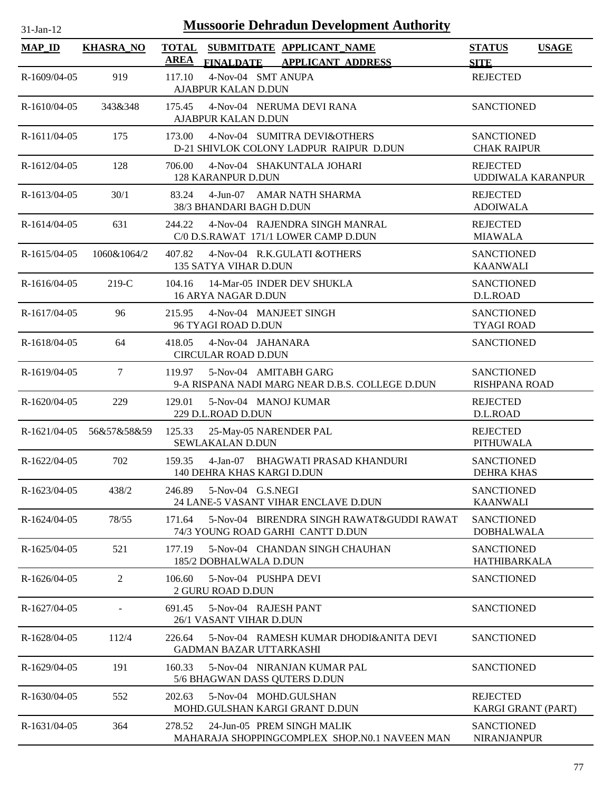| $31$ -Jan-12   |                          | <b>Mussoorie Dehradun Development Authority</b>                                          |                                              |              |
|----------------|--------------------------|------------------------------------------------------------------------------------------|----------------------------------------------|--------------|
| <b>MAP_ID</b>  | <b>KHASRA_NO</b>         | <b>TOTAL</b><br>SUBMITDATE APPLICANT_NAME<br><b>AREA</b><br>FINALDATE APPLICANT ADDRESS  | <b>STATUS</b><br><b>SITE</b>                 | <b>USAGE</b> |
| R-1609/04-05   | 919                      | 4-Nov-04 SMT ANUPA<br>117.10<br>AJABPUR KALAN D.DUN                                      | <b>REJECTED</b>                              |              |
| $R-1610/04-05$ | 343&348                  | 4-Nov-04 NERUMA DEVI RANA<br>175.45<br>AJABPUR KALAN D.DUN                               | <b>SANCTIONED</b>                            |              |
| $R-1611/04-05$ | 175                      | 4-Nov-04 SUMITRA DEVI&OTHERS<br>173.00<br>D-21 SHIVLOK COLONY LADPUR RAIPUR D.DUN        | <b>SANCTIONED</b><br><b>CHAK RAIPUR</b>      |              |
| R-1612/04-05   | 128                      | 4-Nov-04 SHAKUNTALA JOHARI<br>706.00<br>128 KARANPUR D.DUN                               | <b>REJECTED</b><br><b>UDDIWALA KARANPUR</b>  |              |
| R-1613/04-05   | 30/1                     | 83.24<br>4-Jun-07 AMAR NATH SHARMA<br>38/3 BHANDARI BAGH D.DUN                           | <b>REJECTED</b><br><b>ADOIWALA</b>           |              |
| $R-1614/04-05$ | 631                      | 4-Nov-04 RAJENDRA SINGH MANRAL<br>244.22<br>C/0 D.S.RAWAT 171/1 LOWER CAMP D.DUN         | <b>REJECTED</b><br><b>MIAWALA</b>            |              |
| R-1615/04-05   | 1060&1064/2              | 407.82<br>4-Nov-04 R.K.GULATI & OTHERS<br>135 SATYA VIHAR D.DUN                          | <b>SANCTIONED</b><br><b>KAANWALI</b>         |              |
| $R-1616/04-05$ | $219-C$                  | 14-Mar-05 INDER DEV SHUKLA<br>104.16<br>16 ARYA NAGAR D.DUN                              | <b>SANCTIONED</b><br>D.L.ROAD                |              |
| R-1617/04-05   | 96                       | 4-Nov-04 MANJEET SINGH<br>215.95<br>96 TYAGI ROAD D.DUN                                  | <b>SANCTIONED</b><br><b>TYAGI ROAD</b>       |              |
| R-1618/04-05   | 64                       | 4-Nov-04 JAHANARA<br>418.05<br><b>CIRCULAR ROAD D.DUN</b>                                | <b>SANCTIONED</b>                            |              |
| R-1619/04-05   | $\tau$                   | 5-Nov-04 AMITABH GARG<br>119.97<br>9-A RISPANA NADI MARG NEAR D.B.S. COLLEGE D.DUN       | <b>SANCTIONED</b><br>RISHPANA ROAD           |              |
| R-1620/04-05   | 229                      | 129.01<br>5-Nov-04 MANOJ KUMAR<br>229 D.L.ROAD D.DUN                                     | <b>REJECTED</b><br>D.L.ROAD                  |              |
|                | R-1621/04-05 56&57&58&59 | 125.33<br>25-May-05 NARENDER PAL<br>SEWLAKALAN D.DUN                                     | <b>REJECTED</b><br><b>PITHUWALA</b>          |              |
| $R-1622/04-05$ | 702                      | 159.35<br>4-Jan-07 BHAGWATI PRASAD KHANDURI<br>140 DEHRA KHAS KARGI D.DUN                | <b>SANCTIONED</b><br><b>DEHRA KHAS</b>       |              |
| R-1623/04-05   | 438/2                    | 246.89<br>5-Nov-04 G.S.NEGI<br>24 LANE-5 VASANT VIHAR ENCLAVE D.DUN                      | <b>SANCTIONED</b><br><b>KAANWALI</b>         |              |
| $R-1624/04-05$ | 78/55                    | 5-Nov-04 BIRENDRA SINGH RAWAT&GUDDI RAWAT<br>171.64<br>74/3 YOUNG ROAD GARHI CANTT D.DUN | <b>SANCTIONED</b><br><b>DOBHALWALA</b>       |              |
| R-1625/04-05   | 521                      | 5-Nov-04 CHANDAN SINGH CHAUHAN<br>177.19<br>185/2 DOBHALWALA D.DUN                       | <b>SANCTIONED</b><br><b>HATHIBARKALA</b>     |              |
| R-1626/04-05   | 2                        | 106.60<br>5-Nov-04 PUSHPA DEVI<br>2 GURU ROAD D.DUN                                      | <b>SANCTIONED</b>                            |              |
| R-1627/04-05   | $\overline{a}$           | 5-Nov-04 RAJESH PANT<br>691.45<br>26/1 VASANT VIHAR D.DUN                                | <b>SANCTIONED</b>                            |              |
| R-1628/04-05   | 112/4                    | 5-Nov-04 RAMESH KUMAR DHODI&ANITA DEVI<br>226.64<br><b>GADMAN BAZAR UTTARKASHI</b>       | <b>SANCTIONED</b>                            |              |
| R-1629/04-05   | 191                      | 160.33<br>5-Nov-04 NIRANJAN KUMAR PAL<br>5/6 BHAGWAN DASS QUTERS D.DUN                   | <b>SANCTIONED</b>                            |              |
| R-1630/04-05   | 552                      | 202.63<br>5-Nov-04 MOHD.GULSHAN<br>MOHD.GULSHAN KARGI GRANT D.DUN                        | <b>REJECTED</b><br><b>KARGI GRANT (PART)</b> |              |
| R-1631/04-05   | 364                      | 278.52<br>24-Jun-05 PREM SINGH MALIK<br>MAHARAJA SHOPPINGCOMPLEX SHOP.N0.1 NAVEEN MAN    | <b>SANCTIONED</b><br><b>NIRANJANPUR</b>      |              |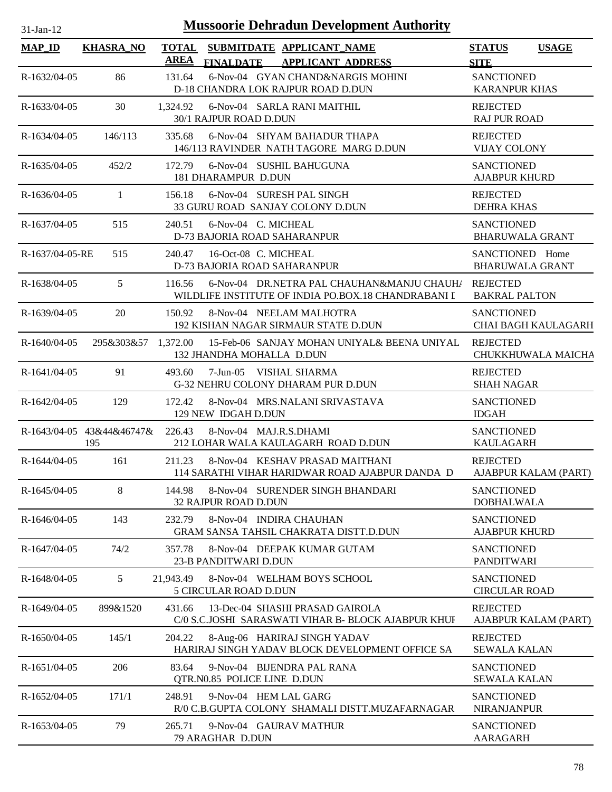| $31$ -Jan-12    | <b>Mussoorie Dehradun Development Authority</b> |           |                             |  |                                                                                                   |                                           |                        |  |  |
|-----------------|-------------------------------------------------|-----------|-----------------------------|--|---------------------------------------------------------------------------------------------------|-------------------------------------------|------------------------|--|--|
| <b>MAP_ID</b>   | <b>KHASRA_NO</b>                                | AREA      | <b>FINALDATE</b>            |  | TOTAL SUBMITDATE APPLICANT_NAME<br><b>APPLICANT ADDRESS</b>                                       | <b>STATUS</b><br><b>SITE</b>              | <b>USAGE</b>           |  |  |
| R-1632/04-05    | 86                                              | 131.64    |                             |  | 6-Nov-04 GYAN CHAND&NARGIS MOHINI<br>D-18 CHANDRA LOK RAJPUR ROAD D.DUN                           | <b>SANCTIONED</b><br><b>KARANPUR KHAS</b> |                        |  |  |
| R-1633/04-05    | 30                                              |           | 30/1 RAJPUR ROAD D.DUN      |  | 1,324.92 6-Nov-04 SARLA RANI MAITHIL                                                              | <b>REJECTED</b><br><b>RAJ PUR ROAD</b>    |                        |  |  |
| $R-1634/04-05$  | 146/113                                         | 335.68    |                             |  | 6-Nov-04 SHYAM BAHADUR THAPA<br>146/113 RAVINDER NATH TAGORE MARG D.DUN                           | <b>REJECTED</b><br><b>VIJAY COLONY</b>    |                        |  |  |
| R-1635/04-05    | 452/2                                           |           | 181 DHARAMPUR D.DUN         |  | 172.79 6-Nov-04 SUSHIL BAHUGUNA                                                                   | <b>SANCTIONED</b><br><b>AJABPUR KHURD</b> |                        |  |  |
| $R-1636/04-05$  | $\mathbf{1}$                                    |           |                             |  | 156.18 6-Nov-04 SURESH PAL SINGH<br>33 GURU ROAD SANJAY COLONY D.DUN                              | <b>REJECTED</b><br><b>DEHRA KHAS</b>      |                        |  |  |
| R-1637/04-05    | 515                                             | 240.51    | 6-Nov-04 C. MICHEAL         |  | D-73 BAJORIA ROAD SAHARANPUR                                                                      | <b>SANCTIONED</b>                         | <b>BHARUWALA GRANT</b> |  |  |
| R-1637/04-05-RE | 515                                             | 240.47    | 16-Oct-08 C. MICHEAL        |  | D-73 BAJORIA ROAD SAHARANPUR                                                                      | SANCTIONED Home                           | <b>BHARUWALA GRANT</b> |  |  |
| R-1638/04-05    | 5                                               | 116.56    |                             |  | 6-Nov-04 DR.NETRA PAL CHAUHAN&MANJU CHAUH/<br>WILDLIFE INSTITUTE OF INDIA PO.BOX.18 CHANDRABANI I | <b>REJECTED</b><br><b>BAKRAL PALTON</b>   |                        |  |  |
| R-1639/04-05    | 20                                              | 150.92    |                             |  | 8-Nov-04 NEELAM MALHOTRA<br>192 KISHAN NAGAR SIRMAUR STATE D.DUN                                  | <b>SANCTIONED</b>                         | CHAI BAGH KAULAGARH    |  |  |
| $R-1640/04-05$  |                                                 |           | 132 JHANDHA MOHALLA D.DUN   |  | 295&303&57 1,372.00 15-Feb-06 SANJAY MOHAN UNIYAL& BEENA UNIYAL                                   | <b>REJECTED</b>                           | CHUKKHUWALA MAICHA     |  |  |
| $R-1641/04-05$  | 91                                              | 493.60    |                             |  | 7-Jun-05 VISHAL SHARMA<br>G-32 NEHRU COLONY DHARAM PUR D.DUN                                      | <b>REJECTED</b><br><b>SHAH NAGAR</b>      |                        |  |  |
| $R-1642/04-05$  | 129                                             | 172.42    | 129 NEW IDGAH D.DUN         |  | 8-Nov-04 MRS.NALANI SRIVASTAVA                                                                    | <b>SANCTIONED</b><br><b>IDGAH</b>         |                        |  |  |
|                 | R-1643/04-05 43&44&46747&<br>195                | 226.43    |                             |  | 8-Nov-04 MAJ.R.S.DHAMI<br>212 LOHAR WALA KAULAGARH ROAD D.DUN                                     | <b>SANCTIONED</b><br><b>KAULAGARH</b>     |                        |  |  |
| R-1644/04-05    | 161                                             |           |                             |  | 211.23 8-Nov-04 KESHAV PRASAD MAITHANI<br>114 SARATHI VIHAR HARIDWAR ROAD AJABPUR DANDA D         | <b>REJECTED</b>                           | AJABPUR KALAM (PART)   |  |  |
| R-1645/04-05    | 8                                               | 144.98    | 32 RAJPUR ROAD D.DUN        |  | 8-Nov-04 SURENDER SINGH BHANDARI                                                                  | <b>SANCTIONED</b><br><b>DOBHALWALA</b>    |                        |  |  |
| R-1646/04-05    | 143                                             | 232.79    |                             |  | 8-Nov-04 INDIRA CHAUHAN<br>GRAM SANSA TAHSIL CHAKRATA DISTT.D.DUN                                 | <b>SANCTIONED</b><br><b>AJABPUR KHURD</b> |                        |  |  |
| R-1647/04-05    | 74/2                                            | 357.78    | 23-B PANDITWARI D.DUN       |  | 8-Nov-04 DEEPAK KUMAR GUTAM                                                                       | <b>SANCTIONED</b><br><b>PANDITWARI</b>    |                        |  |  |
| R-1648/04-05    | 5 <sup>5</sup>                                  | 21,943.49 | 5 CIRCULAR ROAD D.DUN       |  | 8-Nov-04 WELHAM BOYS SCHOOL                                                                       | <b>SANCTIONED</b><br><b>CIRCULAR ROAD</b> |                        |  |  |
| R-1649/04-05    | 899&1520                                        | 431.66    |                             |  | 13-Dec-04 SHASHI PRASAD GAIROLA<br>C/0 S.C.JOSHI SARASWATI VIHAR B- BLOCK AJABPUR KHUI            | <b>REJECTED</b>                           | AJABPUR KALAM (PART)   |  |  |
| R-1650/04-05    | 145/1                                           | 204.22    |                             |  | 8-Aug-06 HARIRAJ SINGH YADAV<br>HARIRAJ SINGH YADAV BLOCK DEVELOPMENT OFFICE SA                   | <b>REJECTED</b><br><b>SEWALA KALAN</b>    |                        |  |  |
| R-1651/04-05    | 206                                             | 83.64     | QTR.N0.85 POLICE LINE D.DUN |  | 9-Nov-04 BIJENDRA PAL RANA                                                                        | <b>SANCTIONED</b><br><b>SEWALA KALAN</b>  |                        |  |  |
| R-1652/04-05    | 171/1                                           | 248.91    |                             |  | 9-Nov-04 HEM LAL GARG<br>R/0 C.B.GUPTA COLONY SHAMALI DISTT.MUZAFARNAGAR                          | <b>SANCTIONED</b><br><b>NIRANJANPUR</b>   |                        |  |  |
| R-1653/04-05    | 79                                              | 265.71    | 79 ARAGHAR D.DUN            |  | 9-Nov-04 GAURAV MATHUR                                                                            | <b>SANCTIONED</b><br>AARAGARH             |                        |  |  |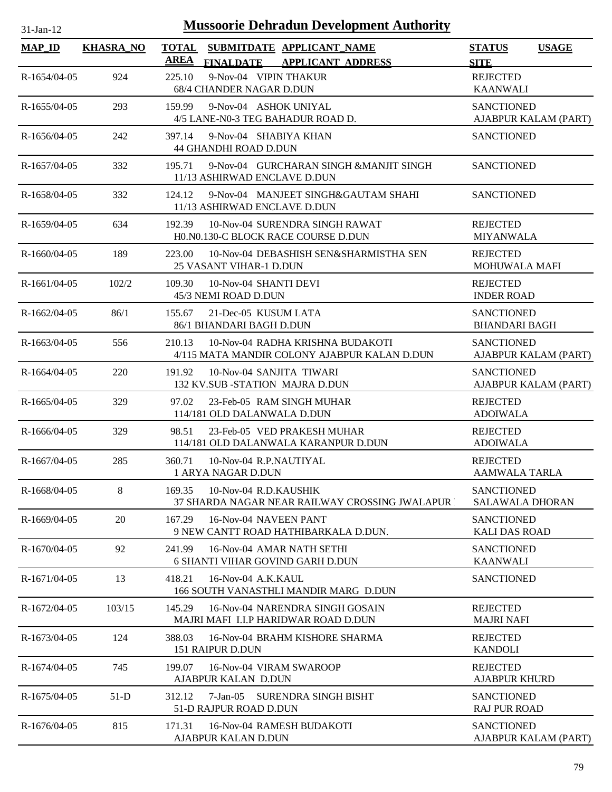| <b>Mussoorie Dehradun Development Authority</b><br>$31-Jan-12$ |                  |                                                                                                          |                                             |              |  |  |  |  |
|----------------------------------------------------------------|------------------|----------------------------------------------------------------------------------------------------------|---------------------------------------------|--------------|--|--|--|--|
| <b>MAP_ID</b>                                                  | <b>KHASRA_NO</b> | <b>TOTAL</b><br>SUBMITDATE APPLICANT NAME<br><b>AREA</b><br><b>FINALDATE</b><br><b>APPLICANT ADDRESS</b> | <b>STATUS</b><br><b>SITE</b>                | <b>USAGE</b> |  |  |  |  |
| $R-1654/04-05$                                                 | 924              | 9-Nov-04 VIPIN THAKUR<br>225.10<br>68/4 CHANDER NAGAR D.DUN                                              | <b>REJECTED</b><br><b>KAANWALI</b>          |              |  |  |  |  |
| $R-1655/04-05$                                                 | 293              | 9-Nov-04 ASHOK UNIYAL<br>159.99<br>4/5 LANE-N0-3 TEG BAHADUR ROAD D.                                     | <b>SANCTIONED</b><br>AJABPUR KALAM (PART)   |              |  |  |  |  |
| R-1656/04-05                                                   | 242              | 397.14<br>9-Nov-04 SHABIYA KHAN<br><b>44 GHANDHI ROAD D.DUN</b>                                          | <b>SANCTIONED</b>                           |              |  |  |  |  |
| $R-1657/04-05$                                                 | 332              | 9-Nov-04 GURCHARAN SINGH &MANJIT SINGH<br>195.71<br>11/13 ASHIRWAD ENCLAVE D.DUN                         | <b>SANCTIONED</b>                           |              |  |  |  |  |
| R-1658/04-05                                                   | 332              | 124.12<br>9-Nov-04 MANJEET SINGH&GAUTAM SHAHI<br>11/13 ASHIRWAD ENCLAVE D.DUN                            | <b>SANCTIONED</b>                           |              |  |  |  |  |
| $R-1659/04-05$                                                 | 634              | 192.39<br>10-Nov-04 SURENDRA SINGH RAWAT<br>HO.NO.130-C BLOCK RACE COURSE D.DUN                          | <b>REJECTED</b><br><b>MIYANWALA</b>         |              |  |  |  |  |
| $R-1660/04-05$                                                 | 189              | 223.00<br>10-Nov-04 DEBASHISH SEN&SHARMISTHA SEN<br>25 VASANT VIHAR-1 D.DUN                              | <b>REJECTED</b><br><b>MOHUWALA MAFI</b>     |              |  |  |  |  |
| $R-1661/04-05$                                                 | 102/2            | 10-Nov-04 SHANTI DEVI<br>109.30<br>45/3 NEMI ROAD D.DUN                                                  | <b>REJECTED</b><br><b>INDER ROAD</b>        |              |  |  |  |  |
| $R-1662/04-05$                                                 | 86/1             | 155.67<br>21-Dec-05 KUSUM LATA<br>86/1 BHANDARI BAGH D.DUN                                               | <b>SANCTIONED</b><br><b>BHANDARI BAGH</b>   |              |  |  |  |  |
| R-1663/04-05                                                   | 556              | 10-Nov-04 RADHA KRISHNA BUDAKOTI<br>210.13<br>4/115 MATA MANDIR COLONY AJABPUR KALAN D.DUN               | <b>SANCTIONED</b><br>AJABPUR KALAM (PART)   |              |  |  |  |  |
| $R-1664/04-05$                                                 | 220              | 191.92<br>10-Nov-04 SANJITA TIWARI<br>132 KV.SUB -STATION MAJRA D.DUN                                    | <b>SANCTIONED</b><br>AJABPUR KALAM (PART)   |              |  |  |  |  |
| $R-1665/04-05$                                                 | 329              | 97.02<br>23-Feb-05 RAM SINGH MUHAR<br>114/181 OLD DALANWALA D.DUN                                        | <b>REJECTED</b><br><b>ADOIWALA</b>          |              |  |  |  |  |
| $R-1666/04-05$                                                 | 329              | 98.51<br>23-Feb-05 VED PRAKESH MUHAR<br>114/181 OLD DALANWALA KARANPUR D.DUN                             | <b>REJECTED</b><br><b>ADOIWALA</b>          |              |  |  |  |  |
| R-1667/04-05                                                   | 285              | 360.71<br>10-Nov-04 R.P.NAUTIYAL<br>1 ARYA NAGAR D.DUN                                                   | <b>REJECTED</b><br><b>AAMWALA TARLA</b>     |              |  |  |  |  |
| R-1668/04-05                                                   | 8                | 169.35<br>10-Nov-04 R.D.KAUSHIK<br><b>37 SHARDA NAGAR NEAR RAILWAY CROSSING JWALAPUR I</b>               | <b>SANCTIONED</b><br><b>SALAWALA DHORAN</b> |              |  |  |  |  |
| $R-1669/04-05$                                                 | 20               | 167.29<br>16-Nov-04 NAVEEN PANT<br>9 NEW CANTT ROAD HATHIBARKALA D.DUN.                                  | <b>SANCTIONED</b><br><b>KALI DAS ROAD</b>   |              |  |  |  |  |
| R-1670/04-05                                                   | 92               | 241.99<br>16-Nov-04 AMAR NATH SETHI<br><b>6 SHANTI VIHAR GOVIND GARH D.DUN</b>                           | <b>SANCTIONED</b><br><b>KAANWALI</b>        |              |  |  |  |  |
| R-1671/04-05                                                   | 13               | 418.21<br>16-Nov-04 A.K.KAUL<br>166 SOUTH VANASTHLI MANDIR MARG D.DUN                                    | <b>SANCTIONED</b>                           |              |  |  |  |  |
| R-1672/04-05                                                   | 103/15           | 145.29<br>16-Nov-04 NARENDRA SINGH GOSAIN<br>MAJRI MAFI I.I.P HARIDWAR ROAD D.DUN                        | <b>REJECTED</b><br><b>MAJRI NAFI</b>        |              |  |  |  |  |
| R-1673/04-05                                                   | 124              | 388.03<br>16-Nov-04 BRAHM KISHORE SHARMA<br>151 RAIPUR D.DUN                                             | <b>REJECTED</b><br><b>KANDOLI</b>           |              |  |  |  |  |
| R-1674/04-05                                                   | 745              | 199.07<br>16-Nov-04 VIRAM SWAROOP<br>AJABPUR KALAN D.DUN                                                 | <b>REJECTED</b><br><b>AJABPUR KHURD</b>     |              |  |  |  |  |
| R-1675/04-05                                                   | $51-D$           | 7-Jan-05 SURENDRA SINGH BISHT<br>312.12<br>51-D RAJPUR ROAD D.DUN                                        | <b>SANCTIONED</b><br><b>RAJ PUR ROAD</b>    |              |  |  |  |  |
| R-1676/04-05                                                   | 815              | 171.31<br>16-Nov-04 RAMESH BUDAKOTI<br>AJABPUR KALAN D.DUN                                               | <b>SANCTIONED</b><br>AJABPUR KALAM (PART)   |              |  |  |  |  |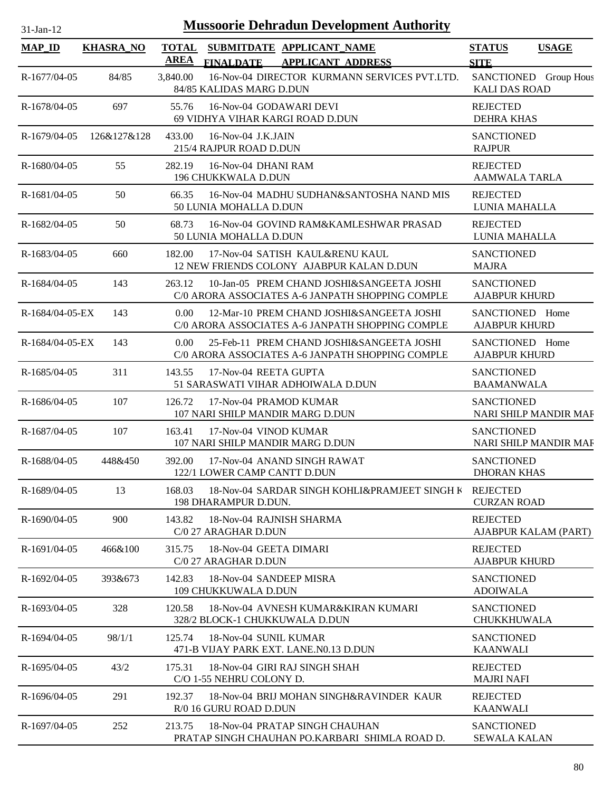| <b>Mussoorie Dehradun Development Authority</b><br>$31-Jan-12$ |                  |                                                                                                                 |                                                   |  |  |  |  |  |
|----------------------------------------------------------------|------------------|-----------------------------------------------------------------------------------------------------------------|---------------------------------------------------|--|--|--|--|--|
| <b>MAP_ID</b>                                                  | <b>KHASRA_NO</b> | <b>TOTAL</b><br>SUBMITDATE APPLICANT NAME<br>AREA<br>FINALDATE APPLICANT ADDRESS                                | <b>STATUS</b><br><b>USAGE</b><br><b>SITE</b>      |  |  |  |  |  |
| R-1677/04-05                                                   | 84/85            | 16-Nov-04 DIRECTOR KURMANN SERVICES PVT.LTD.<br>3,840.00<br>84/85 KALIDAS MARG D.DUN                            | SANCTIONED Group Hous<br><b>KALI DAS ROAD</b>     |  |  |  |  |  |
| R-1678/04-05                                                   | 697              | 55.76<br>16-Nov-04 GODAWARI DEVI<br>69 VIDHYA VIHAR KARGI ROAD D.DUN                                            | <b>REJECTED</b><br><b>DEHRA KHAS</b>              |  |  |  |  |  |
| R-1679/04-05                                                   | 126&127&128      | 16-Nov-04 J.K.JAIN<br>433.00<br>215/4 RAJPUR ROAD D.DUN                                                         | <b>SANCTIONED</b><br><b>RAJPUR</b>                |  |  |  |  |  |
| R-1680/04-05                                                   | 55               | 282.19<br>16-Nov-04 DHANI RAM<br>196 CHUKKWALA D.DUN                                                            | <b>REJECTED</b><br><b>AAMWALA TARLA</b>           |  |  |  |  |  |
| R-1681/04-05                                                   | 50               | 16-Nov-04 MADHU SUDHAN&SANTOSHA NAND MIS<br>66.35<br>50 LUNIA MOHALLA D.DUN                                     | <b>REJECTED</b><br>LUNIA MAHALLA                  |  |  |  |  |  |
| R-1682/04-05                                                   | 50               | 68.73<br>16-Nov-04 GOVIND RAM&KAMLESHWAR PRASAD<br>50 LUNIA MOHALLA D.DUN                                       | <b>REJECTED</b><br>LUNIA MAHALLA                  |  |  |  |  |  |
| R-1683/04-05                                                   | 660              | 17-Nov-04 SATISH KAUL&RENU KAUL<br>182.00<br>12 NEW FRIENDS COLONY AJABPUR KALAN D.DUN                          | <b>SANCTIONED</b><br><b>MAJRA</b>                 |  |  |  |  |  |
| R-1684/04-05                                                   | 143              | 10-Jan-05 PREM CHAND JOSHI&SANGEETA JOSHI<br>263.12<br>C/0 ARORA ASSOCIATES A-6 JANPATH SHOPPING COMPLE         | <b>SANCTIONED</b><br><b>AJABPUR KHURD</b>         |  |  |  |  |  |
| $R-1684/04-05-EX$                                              | 143              | 12-Mar-10 PREM CHAND JOSHI&SANGEETA JOSHI<br>0.00<br>C/0 ARORA ASSOCIATES A-6 JANPATH SHOPPING COMPLE           | SANCTIONED Home<br><b>AJABPUR KHURD</b>           |  |  |  |  |  |
| $R-1684/04-05-EX$                                              | 143              | $0.00^{\circ}$<br>25-Feb-11 PREM CHAND JOSHI&SANGEETA JOSHI<br>C/0 ARORA ASSOCIATES A-6 JANPATH SHOPPING COMPLE | SANCTIONED Home<br><b>AJABPUR KHURD</b>           |  |  |  |  |  |
| R-1685/04-05                                                   | 311              | 143.55<br>17-Nov-04 REETA GUPTA<br>51 SARASWATI VIHAR ADHOIWALA D.DUN                                           | <b>SANCTIONED</b><br><b>BAAMANWALA</b>            |  |  |  |  |  |
| R-1686/04-05                                                   | 107              | 126.72<br>17-Nov-04 PRAMOD KUMAR<br>107 NARI SHILP MANDIR MARG D.DUN                                            | <b>SANCTIONED</b><br><b>NARI SHILP MANDIR MAF</b> |  |  |  |  |  |
| R-1687/04-05                                                   | 107              | 163.41<br>17-Nov-04 VINOD KUMAR<br>107 NARI SHILP MANDIR MARG D.DUN                                             | <b>SANCTIONED</b><br>NARI SHILP MANDIR MAF        |  |  |  |  |  |
| R-1688/04-05                                                   | 448&450          | 392.00<br>17-Nov-04 ANAND SINGH RAWAT<br>122/1 LOWER CAMP CANTT D.DUN                                           | <b>SANCTIONED</b><br><b>DHORAN KHAS</b>           |  |  |  |  |  |
| R-1689/04-05                                                   | 13               | 18-Nov-04 SARDAR SINGH KOHLI&PRAMJEET SINGH K REJECTED<br>168.03<br>198 DHARAMPUR D.DUN.                        | <b>CURZAN ROAD</b>                                |  |  |  |  |  |
| R-1690/04-05                                                   | 900              | 143.82<br>18-Nov-04 RAJNISH SHARMA<br>C/0 27 ARAGHAR D.DUN                                                      | <b>REJECTED</b><br>AJABPUR KALAM (PART)           |  |  |  |  |  |
| R-1691/04-05                                                   | 466&100          | 18-Nov-04 GEETA DIMARI<br>315.75<br>C/0 27 ARAGHAR D.DUN                                                        | <b>REJECTED</b><br><b>AJABPUR KHURD</b>           |  |  |  |  |  |
| R-1692/04-05                                                   | 393&673          | 142.83<br>18-Nov-04 SANDEEP MISRA<br>109 CHUKKUWALA D.DUN                                                       | <b>SANCTIONED</b><br><b>ADOIWALA</b>              |  |  |  |  |  |
| R-1693/04-05                                                   | 328              | 120.58<br>18-Nov-04 AVNESH KUMAR&KIRAN KUMARI<br>328/2 BLOCK-1 CHUKKUWALA D.DUN                                 | <b>SANCTIONED</b><br>CHUKKHUWALA                  |  |  |  |  |  |
| R-1694/04-05                                                   | 98/1/1           | 125.74<br>18-Nov-04 SUNIL KUMAR<br>471-B VIJAY PARK EXT. LANE.N0.13 D.DUN                                       | <b>SANCTIONED</b><br><b>KAANWALI</b>              |  |  |  |  |  |
| R-1695/04-05                                                   | 43/2             | 18-Nov-04 GIRI RAJ SINGH SHAH<br>175.31<br>C/O 1-55 NEHRU COLONY D.                                             | <b>REJECTED</b><br><b>MAJRI NAFI</b>              |  |  |  |  |  |
| R-1696/04-05                                                   | 291              | 18-Nov-04 BRIJ MOHAN SINGH&RAVINDER KAUR<br>192.37<br>R/0 16 GURU ROAD D.DUN                                    | <b>REJECTED</b><br><b>KAANWALI</b>                |  |  |  |  |  |
| R-1697/04-05                                                   | 252              | 213.75<br>18-Nov-04 PRATAP SINGH CHAUHAN<br>PRATAP SINGH CHAUHAN PO.KARBARI SHIMLA ROAD D.                      | <b>SANCTIONED</b><br><b>SEWALA KALAN</b>          |  |  |  |  |  |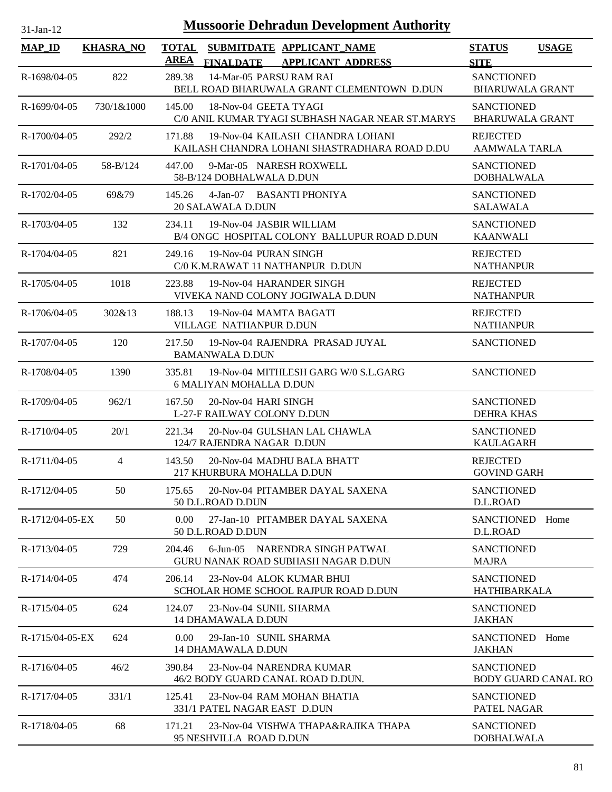| <b>Mussoorie Dehradun Development Authority</b><br>$31$ -Jan-12 |                  |                                                                                             |                                                  |  |  |  |  |
|-----------------------------------------------------------------|------------------|---------------------------------------------------------------------------------------------|--------------------------------------------------|--|--|--|--|
| <b>MAP_ID</b>                                                   | <b>KHASRA_NO</b> | TOTAL SUBMITDATE APPLICANT_NAME<br>AREA<br>FINALDATE APPLICANT ADDRESS                      | <b>STATUS</b><br><b>USAGE</b><br><b>SITE</b>     |  |  |  |  |
| R-1698/04-05                                                    | 822              | 14-Mar-05 PARSU RAM RAI<br>289.38<br>BELL ROAD BHARUWALA GRANT CLEMENTOWN D.DUN             | <b>SANCTIONED</b><br><b>BHARUWALA GRANT</b>      |  |  |  |  |
| R-1699/04-05                                                    | 730/1&1000       | 145.00<br>18-Nov-04 GEETA TYAGI<br>C/0 ANIL KUMAR TYAGI SUBHASH NAGAR NEAR ST.MARYS         | <b>SANCTIONED</b><br><b>BHARUWALA GRANT</b>      |  |  |  |  |
| $R-1700/04-05$                                                  | 292/2            | 19-Nov-04 KAILASH CHANDRA LOHANI<br>171.88<br>KAILASH CHANDRA LOHANI SHASTRADHARA ROAD D.DU | <b>REJECTED</b><br>AAMWALA TARLA                 |  |  |  |  |
| R-1701/04-05                                                    | 58-B/124         | 447.00<br>9-Mar-05 NARESH ROXWELL<br>58-B/124 DOBHALWALA D.DUN                              | <b>SANCTIONED</b><br><b>DOBHALWALA</b>           |  |  |  |  |
| R-1702/04-05                                                    | 69&79            | 4-Jan-07 BASANTI PHONIYA<br>145.26<br>20 SALAWALA D.DUN                                     | <b>SANCTIONED</b><br><b>SALAWALA</b>             |  |  |  |  |
| $R-1703/04-05$                                                  | 132              | 234.11<br>19-Nov-04 JASBIR WILLIAM<br>B/4 ONGC HOSPITAL COLONY BALLUPUR ROAD D.DUN          | <b>SANCTIONED</b><br><b>KAANWALI</b>             |  |  |  |  |
| R-1704/04-05                                                    | 821              | 249.16<br>19-Nov-04 PURAN SINGH<br>C/0 K.M.RAWAT 11 NATHANPUR D.DUN                         | <b>REJECTED</b><br><b>NATHANPUR</b>              |  |  |  |  |
| R-1705/04-05                                                    | 1018             | 223.88<br>19-Nov-04 HARANDER SINGH<br>VIVEKA NAND COLONY JOGIWALA D.DUN                     | <b>REJECTED</b><br><b>NATHANPUR</b>              |  |  |  |  |
| R-1706/04-05                                                    | 302&13           | 188.13<br>19-Nov-04 MAMTA BAGATI<br>VILLAGE NATHANPUR D.DUN                                 | <b>REJECTED</b><br><b>NATHANPUR</b>              |  |  |  |  |
| R-1707/04-05                                                    | 120              | 217.50<br>19-Nov-04 RAJENDRA PRASAD JUYAL<br><b>BAMANWALA D.DUN</b>                         | <b>SANCTIONED</b>                                |  |  |  |  |
| R-1708/04-05                                                    | 1390             | 19-Nov-04 MITHLESH GARG W/0 S.L.GARG<br>335.81<br><b>6 MALIYAN MOHALLA D.DUN</b>            | <b>SANCTIONED</b>                                |  |  |  |  |
| R-1709/04-05                                                    | 962/1            | 167.50<br>20-Nov-04 HARI SINGH<br>L-27-F RAILWAY COLONY D.DUN                               | <b>SANCTIONED</b><br><b>DEHRA KHAS</b>           |  |  |  |  |
| R-1710/04-05                                                    | 20/1             | 20-Nov-04 GULSHAN LAL CHAWLA<br>221.34<br>124/7 RAJENDRA NAGAR D.DUN                        | <b>SANCTIONED</b><br><b>KAULAGARH</b>            |  |  |  |  |
| R-1711/04-05                                                    | 4                | 143.50<br>20-Nov-04 MADHU BALA BHATT<br>217 KHURBURA MOHALLA D.DUN                          | <b>REJECTED</b><br><b>GOVIND GARH</b>            |  |  |  |  |
| R-1712/04-05                                                    | 50               | 20-Nov-04 PITAMBER DAYAL SAXENA<br>175.65<br>50 D.L.ROAD D.DUN                              | <b>SANCTIONED</b><br>D.L.ROAD                    |  |  |  |  |
| R-1712/04-05-EX                                                 | 50               | 0.00<br>27-Jan-10 PITAMBER DAYAL SAXENA<br>50 D.L.ROAD D.DUN                                | SANCTIONED Home<br>D.L.ROAD                      |  |  |  |  |
| R-1713/04-05                                                    | 729              | 6-Jun-05 NARENDRA SINGH PATWAL<br>204.46<br><b>GURU NANAK ROAD SUBHASH NAGAR D.DUN</b>      | <b>SANCTIONED</b><br><b>MAJRA</b>                |  |  |  |  |
| R-1714/04-05                                                    | 474              | 206.14<br>23-Nov-04 ALOK KUMAR BHUI<br>SCHOLAR HOME SCHOOL RAJPUR ROAD D.DUN                | <b>SANCTIONED</b><br><b>HATHIBARKALA</b>         |  |  |  |  |
| R-1715/04-05                                                    | 624              | 23-Nov-04 SUNIL SHARMA<br>124.07<br>14 DHAMAWALA D.DUN                                      | <b>SANCTIONED</b><br><b>JAKHAN</b>               |  |  |  |  |
| $R-1715/04-05-EX$                                               | 624              | 0.00<br>29-Jan-10 SUNIL SHARMA<br><b>14 DHAMAWALA D.DUN</b>                                 | SANCTIONED Home<br><b>JAKHAN</b>                 |  |  |  |  |
| R-1716/04-05                                                    | 46/2             | 23-Nov-04 NARENDRA KUMAR<br>390.84<br>46/2 BODY GUARD CANAL ROAD D.DUN.                     | <b>SANCTIONED</b><br><b>BODY GUARD CANAL RO.</b> |  |  |  |  |
| R-1717/04-05                                                    | 331/1            | 23-Nov-04 RAM MOHAN BHATIA<br>125.41<br>331/1 PATEL NAGAR EAST D.DUN                        | <b>SANCTIONED</b><br>PATEL NAGAR                 |  |  |  |  |
| R-1718/04-05                                                    | 68               | 23-Nov-04 VISHWA THAPA&RAJIKA THAPA<br>171.21<br>95 NESHVILLA ROAD D.DUN                    | <b>SANCTIONED</b><br><b>DOBHALWALA</b>           |  |  |  |  |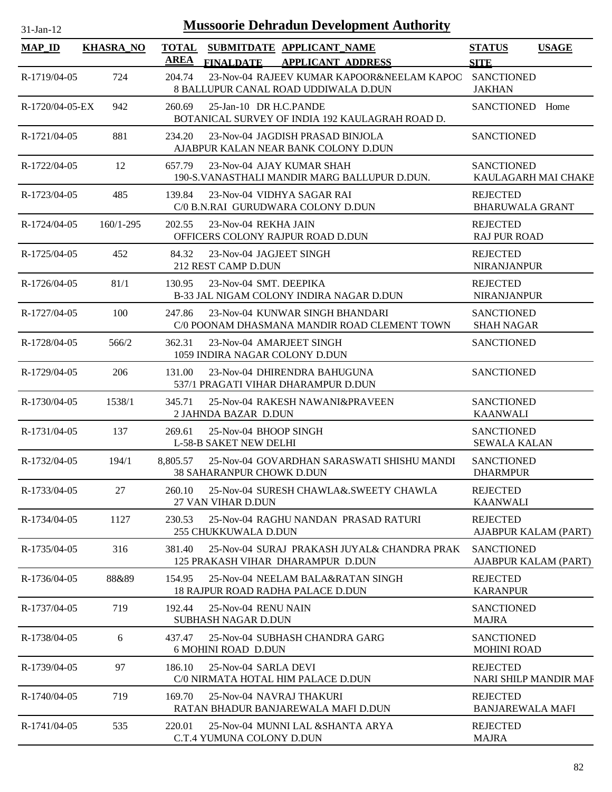| <b>Mussoorie Dehradun Development Authority</b><br>$31$ -Jan-12 |                  |             |                                                            |                                                                                    |                                            |              |  |  |
|-----------------------------------------------------------------|------------------|-------------|------------------------------------------------------------|------------------------------------------------------------------------------------|--------------------------------------------|--------------|--|--|
| <b>MAP_ID</b>                                                   | <b>KHASRA NO</b> | <b>AREA</b> | <b>FINALDATE</b>                                           | TOTAL SUBMITDATE APPLICANT NAME<br><b>APPLICANT ADDRESS</b>                        | <b>STATUS</b><br><b>SITE</b>               | <b>USAGE</b> |  |  |
| R-1719/04-05                                                    | 724              | 204.74      |                                                            | 23-Nov-04 RAJEEV KUMAR KAPOOR&NEELAM KAPOO<br>8 BALLUPUR CANAL ROAD UDDIWALA D.DUN | <b>SANCTIONED</b><br><b>JAKHAN</b>         |              |  |  |
| R-1720/04-05-EX                                                 | 942              | 260.69      | 25-Jan-10 DR H.C.PANDE                                     | BOTANICAL SURVEY OF INDIA 192 KAULAGRAH ROAD D.                                    | SANCTIONED Home                            |              |  |  |
| R-1721/04-05                                                    | 881              | 234.20      |                                                            | 23-Nov-04 JAGDISH PRASAD BINJOLA<br>AJABPUR KALAN NEAR BANK COLONY D.DUN           | <b>SANCTIONED</b>                          |              |  |  |
| R-1722/04-05                                                    | 12               | 657.79      |                                                            | 23-Nov-04 AJAY KUMAR SHAH<br>190-S. VANASTHALI MANDIR MARG BALLUPUR D.DUN.         | <b>SANCTIONED</b><br>KAULAGARH MAI CHAKE   |              |  |  |
| R-1723/04-05                                                    | 485              | 139.84      |                                                            | 23-Nov-04 VIDHYA SAGAR RAI<br>C/0 B.N.RAI GURUDWARA COLONY D.DUN                   | <b>REJECTED</b><br><b>BHARUWALA GRANT</b>  |              |  |  |
| R-1724/04-05                                                    | $160/1 - 295$    | 202.55      | 23-Nov-04 REKHA JAIN                                       | OFFICERS COLONY RAJPUR ROAD D.DUN                                                  | <b>REJECTED</b><br><b>RAJ PUR ROAD</b>     |              |  |  |
| R-1725/04-05                                                    | 452              | 84.32       | 23-Nov-04 JAGJEET SINGH<br>212 REST CAMP D.DUN             |                                                                                    | <b>REJECTED</b><br>NIRANJANPUR             |              |  |  |
| R-1726/04-05                                                    | 81/1             | 130.95      | 23-Nov-04 SMT. DEEPIKA                                     | B-33 JAL NIGAM COLONY INDIRA NAGAR D.DUN                                           | <b>REJECTED</b><br><b>NIRANJANPUR</b>      |              |  |  |
| R-1727/04-05                                                    | 100              | 247.86      |                                                            | 23-Nov-04 KUNWAR SINGH BHANDARI<br>C/0 POONAM DHASMANA MANDIR ROAD CLEMENT TOWN    | <b>SANCTIONED</b><br><b>SHAH NAGAR</b>     |              |  |  |
| R-1728/04-05                                                    | 566/2            | 362.31      | 23-Nov-04 AMARJEET SINGH<br>1059 INDIRA NAGAR COLONY D.DUN |                                                                                    | <b>SANCTIONED</b>                          |              |  |  |
| R-1729/04-05                                                    | 206              | 131.00      |                                                            | 23-Nov-04 DHIRENDRA BAHUGUNA<br>537/1 PRAGATI VIHAR DHARAMPUR D.DUN                | <b>SANCTIONED</b>                          |              |  |  |
| R-1730/04-05                                                    | 1538/1           | 345.71      | 2 JAHNDA BAZAR D.DUN                                       | 25-Nov-04 RAKESH NAWANI&PRAVEEN                                                    | <b>SANCTIONED</b><br><b>KAANWALI</b>       |              |  |  |
| R-1731/04-05                                                    | 137              | 269.61      | 25-Nov-04 BHOOP SINGH<br><b>L-58-B SAKET NEW DELHI</b>     |                                                                                    | <b>SANCTIONED</b><br><b>SEWALA KALAN</b>   |              |  |  |
| R-1732/04-05                                                    | 194/1            | 8,805.57    | 38 SAHARANPUR CHOWK D.DUN                                  | 25-Nov-04 GOVARDHAN SARASWATI SHISHU MANDI                                         | <b>SANCTIONED</b><br><b>DHARMPUR</b>       |              |  |  |
| R-1733/04-05                                                    | 27               | 260.10      | 27 VAN VIHAR D.DUN                                         | 25-Nov-04 SURESH CHAWLA& SWEETY CHAWLA                                             | <b>REJECTED</b><br><b>KAANWALI</b>         |              |  |  |
| R-1734/04-05                                                    | 1127             | 230.53      | <b>255 CHUKKUWALA D.DUN</b>                                | 25-Nov-04 RAGHU NANDAN PRASAD RATURI                                               | <b>REJECTED</b><br>AJABPUR KALAM (PART)    |              |  |  |
| R-1735/04-05                                                    | 316              | 381.40      |                                                            | 25-Nov-04 SURAJ PRAKASH JUYAL& CHANDRA PRAK<br>125 PRAKASH VIHAR DHARAMPUR D.DUN   | <b>SANCTIONED</b><br>AJABPUR KALAM (PART)  |              |  |  |
| R-1736/04-05                                                    | 88&89            | 154.95      |                                                            | 25-Nov-04 NEELAM BALA&RATAN SINGH<br><b>18 RAJPUR ROAD RADHA PALACE D.DUN</b>      | <b>REJECTED</b><br><b>KARANPUR</b>         |              |  |  |
| R-1737/04-05                                                    | 719              | 192.44      | 25-Nov-04 RENU NAIN<br><b>SUBHASH NAGAR D.DUN</b>          |                                                                                    | SANCTIONED<br><b>MAJRA</b>                 |              |  |  |
| R-1738/04-05                                                    | 6                | 437.47      | <b>6 MOHINI ROAD D.DUN</b>                                 | 25-Nov-04 SUBHASH CHANDRA GARG                                                     | <b>SANCTIONED</b><br><b>MOHINI ROAD</b>    |              |  |  |
| R-1739/04-05                                                    | 97               | 186.10      | 25-Nov-04 SARLA DEVI                                       | C/0 NIRMATA HOTAL HIM PALACE D.DUN                                                 | <b>REJECTED</b><br>NARI SHILP MANDIR MAF   |              |  |  |
| R-1740/04-05                                                    | 719              | 169.70      | 25-Nov-04 NAVRAJ THAKURI                                   | RATAN BHADUR BANJAREWALA MAFI D.DUN                                                | <b>REJECTED</b><br><b>BANJAREWALA MAFI</b> |              |  |  |
| R-1741/04-05                                                    | 535              | 220.01      | C.T.4 YUMUNA COLONY D.DUN                                  | 25-Nov-04 MUNNI LAL & SHANTA ARYA                                                  | <b>REJECTED</b><br><b>MAJRA</b>            |              |  |  |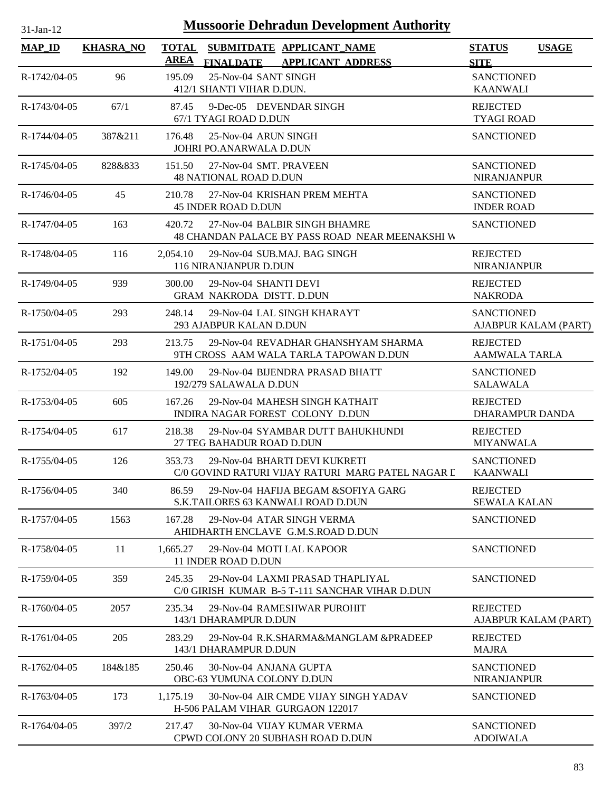| <b>Mussoorie Dehradun Development Authority</b><br>$31-Jan-12$ |                  |             |                                                                                                   |                                                     |                      |  |  |
|----------------------------------------------------------------|------------------|-------------|---------------------------------------------------------------------------------------------------|-----------------------------------------------------|----------------------|--|--|
| <b>MAP ID</b>                                                  | <b>KHASRA_NO</b> | <b>AREA</b> | TOTAL SUBMITDATE APPLICANT NAME                                                                   | <b>STATUS</b>                                       | <b>USAGE</b>         |  |  |
| R-1742/04-05                                                   | 96               | 195.09      | <b>FINALDATE</b><br><b>APPLICANT ADDRESS</b><br>25-Nov-04 SANT SINGH<br>412/1 SHANTI VIHAR D.DUN. | <b>SITE</b><br><b>SANCTIONED</b><br><b>KAANWALI</b> |                      |  |  |
| R-1743/04-05                                                   | 67/1             | 87.45       | 9-Dec-05 DEVENDAR SINGH<br>67/1 TYAGI ROAD D.DUN                                                  | <b>REJECTED</b><br><b>TYAGI ROAD</b>                |                      |  |  |
| R-1744/04-05                                                   | 387&211          | 176.48      | 25-Nov-04 ARUN SINGH<br>JOHRI PO.ANARWALA D.DUN                                                   | <b>SANCTIONED</b>                                   |                      |  |  |
| R-1745/04-05                                                   | 828&833          | 151.50      | 27-Nov-04 SMT, PRAVEEN<br><b>48 NATIONAL ROAD D.DUN</b>                                           | <b>SANCTIONED</b><br><b>NIRANJANPUR</b>             |                      |  |  |
| R-1746/04-05                                                   | 45               | 210.78      | 27-Nov-04 KRISHAN PREM MEHTA<br><b>45 INDER ROAD D.DUN</b>                                        | <b>SANCTIONED</b><br><b>INDER ROAD</b>              |                      |  |  |
| R-1747/04-05                                                   | 163              | 420.72      | 27-Nov-04 BALBIR SINGH BHAMRE<br>48 CHANDAN PALACE BY PASS ROAD NEAR MEENAKSHI W                  | <b>SANCTIONED</b>                                   |                      |  |  |
| R-1748/04-05                                                   | 116              | 2.054.10    | 29-Nov-04 SUB.MAJ. BAG SINGH<br>116 NIRANJANPUR D.DUN                                             | <b>REJECTED</b><br><b>NIRANJANPUR</b>               |                      |  |  |
| R-1749/04-05                                                   | 939              | 300.00      | 29-Nov-04 SHANTI DEVI<br><b>GRAM NAKRODA DISTT. D.DUN</b>                                         | <b>REJECTED</b><br><b>NAKRODA</b>                   |                      |  |  |
| R-1750/04-05                                                   | 293              | 248.14      | 29-Nov-04 LAL SINGH KHARAYT<br>293 AJABPUR KALAN D.DUN                                            | <b>SANCTIONED</b>                                   | AJABPUR KALAM (PART) |  |  |
| R-1751/04-05                                                   | 293              | 213.75      | 29-Nov-04 REVADHAR GHANSHYAM SHARMA<br>9TH CROSS AAM WALA TARLA TAPOWAN D.DUN                     | <b>REJECTED</b><br><b>AAMWALA TARLA</b>             |                      |  |  |
| R-1752/04-05                                                   | 192              | 149.00      | 29-Nov-04 BIJENDRA PRASAD BHATT<br>192/279 SALAWALA D.DUN                                         | <b>SANCTIONED</b><br><b>SALAWALA</b>                |                      |  |  |
| R-1753/04-05                                                   | 605              | 167.26      | 29-Nov-04 MAHESH SINGH KATHAIT<br>INDIRA NAGAR FOREST COLONY D.DUN                                | <b>REJECTED</b><br>DHARAMPUR DANDA                  |                      |  |  |
| R-1754/04-05                                                   | 617              | 218.38      | 29-Nov-04 SYAMBAR DUTT BAHUKHUNDI<br>27 TEG BAHADUR ROAD D.DUN                                    | <b>REJECTED</b><br><b>MIYANWALA</b>                 |                      |  |  |
| R-1755/04-05                                                   | 126              | 353.73      | 29-Nov-04 BHARTI DEVI KUKRETI<br>C/0 GOVIND RATURI VIJAY RATURI MARG PATEL NAGAR I                | <b>SANCTIONED</b><br><b>KAANWALI</b>                |                      |  |  |
| R-1756/04-05                                                   | 340              | 86.59       | 29-Nov-04 HAFIJA BEGAM & SOFIYA GARG<br>S.K.TAILORES 63 KANWALI ROAD D.DUN                        | <b>REJECTED</b><br><b>SEWALA KALAN</b>              |                      |  |  |
| R-1757/04-05                                                   | 1563             | 167.28      | 29-Nov-04 ATAR SINGH VERMA<br>AHIDHARTH ENCLAVE G.M.S.ROAD D.DUN                                  | <b>SANCTIONED</b>                                   |                      |  |  |
| R-1758/04-05                                                   | 11               | 1,665.27    | 29-Nov-04 MOTI LAL KAPOOR<br>11 INDER ROAD D.DUN                                                  | <b>SANCTIONED</b>                                   |                      |  |  |
| R-1759/04-05                                                   | 359              | 245.35      | 29-Nov-04 LAXMI PRASAD THAPLIYAL<br>C/0 GIRISH KUMAR B-5 T-111 SANCHAR VIHAR D.DUN                | <b>SANCTIONED</b>                                   |                      |  |  |
| R-1760/04-05                                                   | 2057             | 235.34      | 29-Nov-04 RAMESHWAR PUROHIT<br>143/1 DHARAMPUR D.DUN                                              | <b>REJECTED</b>                                     | AJABPUR KALAM (PART) |  |  |
| R-1761/04-05                                                   | 205              | 283.29      | 29-Nov-04 R.K.SHARMA&MANGLAM &PRADEEP<br>143/1 DHARAMPUR D.DUN                                    | <b>REJECTED</b><br><b>MAJRA</b>                     |                      |  |  |
| R-1762/04-05                                                   | 184&185          | 250.46      | 30-Nov-04 ANJANA GUPTA<br>OBC-63 YUMUNA COLONY D.DUN                                              | <b>SANCTIONED</b><br><b>NIRANJANPUR</b>             |                      |  |  |
| R-1763/04-05                                                   | 173              | 1,175.19    | 30-Nov-04 AIR CMDE VIJAY SINGH YADAV<br>H-506 PALAM VIHAR GURGAON 122017                          | <b>SANCTIONED</b>                                   |                      |  |  |
| R-1764/04-05                                                   | 397/2            | 217.47      | 30-Nov-04 VIJAY KUMAR VERMA<br>CPWD COLONY 20 SUBHASH ROAD D.DUN                                  | <b>SANCTIONED</b><br><b>ADOIWALA</b>                |                      |  |  |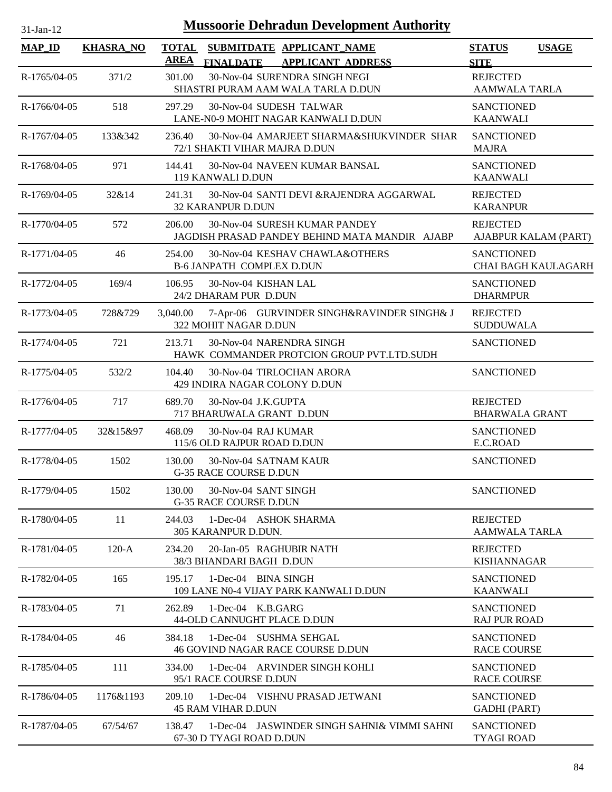| 31-Jan-12          |                  | <b>Mussoorie Dehradun Development Authority</b>                                                          |                                              |
|--------------------|------------------|----------------------------------------------------------------------------------------------------------|----------------------------------------------|
| <b>MAP_ID</b>      | <b>KHASRA_NO</b> | <b>TOTAL</b><br>SUBMITDATE APPLICANT NAME<br><b>AREA</b><br><b>FINALDATE</b><br><b>APPLICANT ADDRESS</b> | <b>STATUS</b><br><b>USAGE</b><br><b>SITE</b> |
| R-1765/04-05       | 371/2            | 30-Nov-04 SURENDRA SINGH NEGI<br>301.00<br>SHASTRI PURAM AAM WALA TARLA D.DUN                            | <b>REJECTED</b><br><b>AAMWALA TARLA</b>      |
| R-1766/04-05       | 518              | 297.29<br>30-Nov-04 SUDESH TALWAR<br>LANE-N0-9 MOHIT NAGAR KANWALI D.DUN                                 | <b>SANCTIONED</b><br><b>KAANWALI</b>         |
| $R-1767/04-05$     | 133&342          | 30-Nov-04 AMARJEET SHARMA&SHUKVINDER SHAR<br>236.40<br>72/1 SHAKTI VIHAR MAJRA D.DUN                     | <b>SANCTIONED</b><br><b>MAJRA</b>            |
| R-1768/04-05       | 971              | 144.41<br>30-Nov-04 NAVEEN KUMAR BANSAL<br>119 KANWALI D.DUN                                             | <b>SANCTIONED</b><br><b>KAANWALI</b>         |
| R-1769/04-05       | 32&14            | 30-Nov-04 SANTI DEVI &RAJENDRA AGGARWAL<br>241.31<br>32 KARANPUR D.DUN                                   | <b>REJECTED</b><br><b>KARANPUR</b>           |
| $R - 1770/04 - 05$ | 572              | 206.00<br>30-Nov-04 SURESH KUMAR PANDEY<br>JAGDISH PRASAD PANDEY BEHIND MATA MANDIR AJABP                | <b>REJECTED</b><br>AJABPUR KALAM (PART)      |
| R-1771/04-05       | 46               | 30-Nov-04 KESHAV CHAWLA&OTHERS<br>254.00<br><b>B-6 JANPATH COMPLEX D.DUN</b>                             | <b>SANCTIONED</b><br>CHAI BAGH KAULAGARH     |
| R-1772/04-05       | 169/4            | 30-Nov-04 KISHAN LAL<br>106.95<br>24/2 DHARAM PUR D.DUN                                                  | <b>SANCTIONED</b><br><b>DHARMPUR</b>         |
| R-1773/04-05       | 728&729          | 7-Apr-06 GURVINDER SINGH&RAVINDER SINGH& J<br>3,040.00<br>322 MOHIT NAGAR D.DUN                          | <b>REJECTED</b><br><b>SUDDUWALA</b>          |
| R-1774/04-05       | 721              | 213.71<br>30-Nov-04 NARENDRA SINGH<br>HAWK COMMANDER PROTCION GROUP PVT.LTD.SUDH                         | <b>SANCTIONED</b>                            |
| R-1775/04-05       | 532/2            | 104.40<br>30-Nov-04 TIRLOCHAN ARORA<br>429 INDIRA NAGAR COLONY D.DUN                                     | <b>SANCTIONED</b>                            |
| R-1776/04-05       | 717              | 689.70<br>30-Nov-04 J.K.GUPTA<br>717 BHARUWALA GRANT D.DUN                                               | <b>REJECTED</b><br><b>BHARWALA GRANT</b>     |
| R-1777/04-05       | 32&15&97         | 468.09<br>30-Nov-04 RAJ KUMAR<br>115/6 OLD RAJPUR ROAD D.DUN                                             | <b>SANCTIONED</b><br>E.C.ROAD                |
| R-1778/04-05       | 1502             | 130.00<br>30-Nov-04 SATNAM KAUR<br><b>G-35 RACE COURSE D.DUN</b>                                         | <b>SANCTIONED</b>                            |
| R-1779/04-05       | 1502             | 30-Nov-04 SANT SINGH<br>130.00<br>G-35 RACE COURSE D.DUN                                                 | <b>SANCTIONED</b>                            |
| R-1780/04-05       | 11               | 244.03<br>1-Dec-04 ASHOK SHARMA<br>305 KARANPUR D.DUN.                                                   | <b>REJECTED</b><br><b>AAMWALA TARLA</b>      |
| R-1781/04-05       | $120-A$          | 20-Jan-05 RAGHUBIR NATH<br>234.20<br>38/3 BHANDARI BAGH D.DUN                                            | <b>REJECTED</b><br><b>KISHANNAGAR</b>        |
| R-1782/04-05       | 165              | 195.17<br>1-Dec-04 BINA SINGH<br>109 LANE N0-4 VIJAY PARK KANWALI D.DUN                                  | <b>SANCTIONED</b><br><b>KAANWALI</b>         |
| R-1783/04-05       | 71               | 262.89<br>1-Dec-04 K.B.GARG<br>44-OLD CANNUGHT PLACE D.DUN                                               | <b>SANCTIONED</b><br><b>RAJ PUR ROAD</b>     |
| R-1784/04-05       | 46               | 384.18<br>1-Dec-04 SUSHMA SEHGAL<br>46 GOVIND NAGAR RACE COURSE D.DUN                                    | <b>SANCTIONED</b><br>RACE COURSE             |
| R-1785/04-05       | 111              | 334.00<br>1-Dec-04 ARVINDER SINGH KOHLI<br>95/1 RACE COURSE D.DUN                                        | <b>SANCTIONED</b><br><b>RACE COURSE</b>      |
| R-1786/04-05       | 1176&1193        | 209.10<br>1-Dec-04 VISHNU PRASAD JETWANI<br><b>45 RAM VIHAR D.DUN</b>                                    | <b>SANCTIONED</b><br><b>GADHI</b> (PART)     |
| R-1787/04-05       | 67/54/67         | 138.47<br>1-Dec-04 JASWINDER SINGH SAHNI& VIMMI SAHNI<br>67-30 D TYAGI ROAD D.DUN                        | <b>SANCTIONED</b><br><b>TYAGI ROAD</b>       |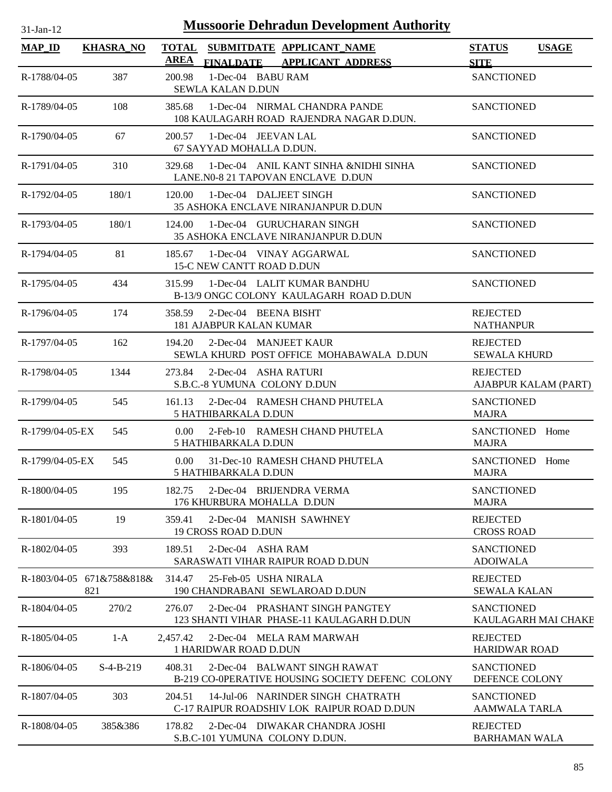|                                  |                  | <b>Mussoorie Dehradun Development Authority</b><br>$31-Jan-12$ |                                                                                               |                                           |              |  |  |  |  |
|----------------------------------|------------------|----------------------------------------------------------------|-----------------------------------------------------------------------------------------------|-------------------------------------------|--------------|--|--|--|--|
| <b>MAP_ID</b>                    | <b>KHASRA_NO</b> | <b>AREA</b>                                                    | TOTAL SUBMITDATE APPLICANT NAME                                                               | <b>STATUS</b>                             | <b>USAGE</b> |  |  |  |  |
| R-1788/04-05                     | 387              | 200.98                                                         | <b>FINALDATE</b><br><b>APPLICANT ADDRESS</b><br>1-Dec-04 BABU RAM<br><b>SEWLA KALAN D.DUN</b> | <b>SITE</b><br><b>SANCTIONED</b>          |              |  |  |  |  |
| R-1789/04-05                     | 108              | 385.68                                                         | 1-Dec-04 NIRMAL CHANDRA PANDE<br>108 KAULAGARH ROAD RAJENDRA NAGAR D.DUN.                     | <b>SANCTIONED</b>                         |              |  |  |  |  |
| R-1790/04-05                     | 67               | 200.57                                                         | 1-Dec-04 JEEVAN LAL<br>67 SAYYAD MOHALLA D.DUN.                                               | <b>SANCTIONED</b>                         |              |  |  |  |  |
| R-1791/04-05                     | 310              | 329.68                                                         | 1-Dec-04 ANIL KANT SINHA &NIDHI SINHA<br>LANE.N0-8 21 TAPOVAN ENCLAVE D.DUN                   | <b>SANCTIONED</b>                         |              |  |  |  |  |
| R-1792/04-05                     | 180/1            | 120.00                                                         | 1-Dec-04 DALJEET SINGH<br>35 ASHOKA ENCLAVE NIRANJANPUR D.DUN                                 | <b>SANCTIONED</b>                         |              |  |  |  |  |
| R-1793/04-05                     | 180/1            | 124.00                                                         | 1-Dec-04 GURUCHARAN SINGH<br><b>35 ASHOKA ENCLAVE NIRANJANPUR D.DUN</b>                       | <b>SANCTIONED</b>                         |              |  |  |  |  |
| R-1794/04-05                     | 81               | 185.67                                                         | 1-Dec-04 VINAY AGGARWAL<br>15-C NEW CANTT ROAD D.DUN                                          | <b>SANCTIONED</b>                         |              |  |  |  |  |
| R-1795/04-05                     | 434              | 315.99                                                         | 1-Dec-04 LALIT KUMAR BANDHU<br>B-13/9 ONGC COLONY KAULAGARH ROAD D.DUN                        | <b>SANCTIONED</b>                         |              |  |  |  |  |
| R-1796/04-05                     | 174              | 358.59                                                         | 2-Dec-04 BEENA BISHT<br><b>181 AJABPUR KALAN KUMAR</b>                                        | <b>REJECTED</b><br><b>NATHANPUR</b>       |              |  |  |  |  |
| R-1797/04-05                     | 162              | 194.20                                                         | 2-Dec-04 MANJEET KAUR<br>SEWLA KHURD POST OFFICE MOHABAWALA D.DUN                             | <b>REJECTED</b><br><b>SEWALA KHURD</b>    |              |  |  |  |  |
| R-1798/04-05                     | 1344             | 273.84                                                         | 2-Dec-04 ASHA RATURI<br>S.B.C.-8 YUMUNA COLONY D.DUN                                          | <b>REJECTED</b><br>AJABPUR KALAM (PART)   |              |  |  |  |  |
| R-1799/04-05                     | 545              | 161.13                                                         | 2-Dec-04 RAMESH CHAND PHUTELA<br>5 HATHIBARKALA D.DUN                                         | <b>SANCTIONED</b><br><b>MAJRA</b>         |              |  |  |  |  |
| R-1799/04-05-EX                  | 545              | 0.00                                                           | 2-Feb-10 RAMESH CHAND PHUTELA<br>5 HATHIBARKALA D.DUN                                         | SANCTIONED Home<br><b>MAJRA</b>           |              |  |  |  |  |
| R-1799/04-05-EX                  | 545              | 0.00                                                           | 31-Dec-10 RAMESH CHAND PHUTELA<br>5 HATHIBARKALA D.DUN                                        | SANCTIONED Home<br><b>MAJRA</b>           |              |  |  |  |  |
| $R - 1800/04 - 05$               | 195              | 182.75                                                         | 2-Dec-04 BRUENDRA VERMA<br>176 KHURBURA MOHALLA D.DUN                                         | <b>SANCTIONED</b><br>MAJRA                |              |  |  |  |  |
| R-1801/04-05                     | 19               | 359.41                                                         | 2-Dec-04 MANISH SAWHNEY<br><b>19 CROSS ROAD D.DUN</b>                                         | <b>REJECTED</b><br><b>CROSS ROAD</b>      |              |  |  |  |  |
| R-1802/04-05                     | 393              | 189.51                                                         | 2-Dec-04 ASHA RAM<br>SARASWATI VIHAR RAIPUR ROAD D.DUN                                        | <b>SANCTIONED</b><br><b>ADOIWALA</b>      |              |  |  |  |  |
| R-1803/04-05 671&758&818&<br>821 |                  | 314.47                                                         | 25-Feb-05 USHA NIRALA<br>190 CHANDRABANI SEWLAROAD D.DUN                                      | <b>REJECTED</b><br><b>SEWALA KALAN</b>    |              |  |  |  |  |
| R-1804/04-05                     | 270/2            | 276.07                                                         | 2-Dec-04 PRASHANT SINGH PANGTEY<br>123 SHANTI VIHAR PHASE-11 KAULAGARH D.DUN                  | <b>SANCTIONED</b><br>KAULAGARH MAI CHAKE  |              |  |  |  |  |
| R-1805/04-05                     | $1-A$            |                                                                | 2,457.42 2-Dec-04 MELA RAM MARWAH<br>1 HARIDWAR ROAD D.DUN                                    | <b>REJECTED</b><br><b>HARIDWAR ROAD</b>   |              |  |  |  |  |
| R-1806/04-05                     | $S-4-B-219$      | 408.31                                                         | 2-Dec-04 BALWANT SINGH RAWAT<br>B-219 CO-0PERATIVE HOUSING SOCIETY DEFENC COLONY              | <b>SANCTIONED</b><br>DEFENCE COLONY       |              |  |  |  |  |
| R-1807/04-05                     | 303              | 204.51                                                         | 14-Jul-06 NARINDER SINGH CHATRATH<br>C-17 RAIPUR ROADSHIV LOK RAIPUR ROAD D.DUN               | <b>SANCTIONED</b><br><b>AAMWALA TARLA</b> |              |  |  |  |  |
| R-1808/04-05                     | 385&386          | 178.82                                                         | 2-Dec-04 DIWAKAR CHANDRA JOSHI<br>S.B.C-101 YUMUNA COLONY D.DUN.                              | <b>REJECTED</b><br><b>BARHAMAN WALA</b>   |              |  |  |  |  |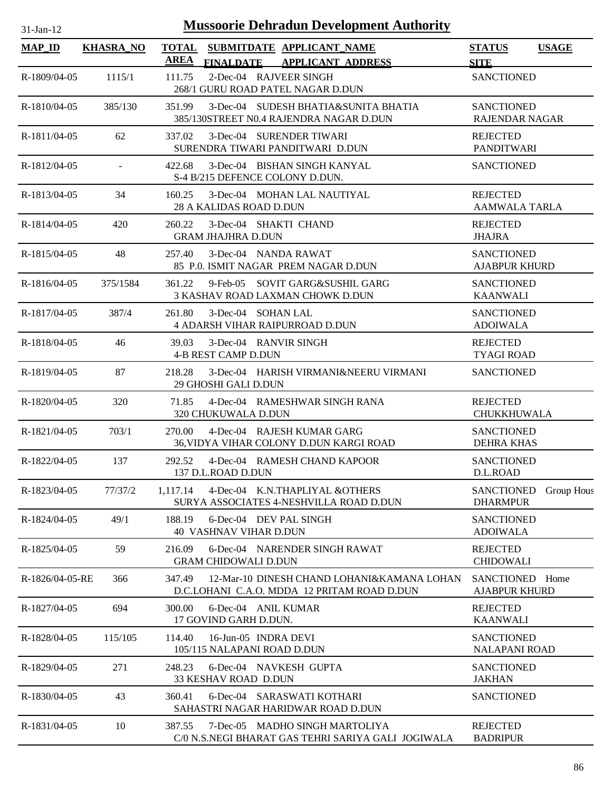| <b>Mussoorie Dehradun Development Authority</b><br>$31$ -Jan-12 |                  |                                                                                                     |                                                           |  |  |  |  |
|-----------------------------------------------------------------|------------------|-----------------------------------------------------------------------------------------------------|-----------------------------------------------------------|--|--|--|--|
| <b>MAP_ID</b>                                                   | <b>KHASRA_NO</b> | TOTAL SUBMITDATE APPLICANT_NAME<br><b>AREA</b><br>FINALDATE APPLICANT ADDRESS                       | <b>USAGE</b><br><b>STATUS</b><br><b>SITE</b>              |  |  |  |  |
| R-1809/04-05                                                    | 1115/1           | 2-Dec-04 RAJVEER SINGH<br>111.75<br>268/1 GURU ROAD PATEL NAGAR D.DUN                               | <b>SANCTIONED</b>                                         |  |  |  |  |
| R-1810/04-05                                                    | 385/130          | 351.99<br>3-Dec-04 SUDESH BHATIA&SUNITA BHATIA<br>385/130STREET N0.4 RAJENDRA NAGAR D.DUN           | <b>SANCTIONED</b><br><b>RAJENDAR NAGAR</b>                |  |  |  |  |
| R-1811/04-05                                                    | 62               | 3-Dec-04 SURENDER TIWARI<br>337.02<br>SURENDRA TIWARI PANDITWARI D.DUN                              | <b>REJECTED</b><br>PANDITWARI                             |  |  |  |  |
| R-1812/04-05                                                    | $\omega$         | 3-Dec-04 BISHAN SINGH KANYAL<br>422.68<br>S-4 B/215 DEFENCE COLONY D.DUN.                           | <b>SANCTIONED</b>                                         |  |  |  |  |
| R-1813/04-05                                                    | 34               | 3-Dec-04 MOHAN LAL NAUTIYAL<br>160.25<br>28 A KALIDAS ROAD D.DUN                                    | <b>REJECTED</b><br><b>AAMWALA TARLA</b>                   |  |  |  |  |
| R-1814/04-05                                                    | 420              | 260.22<br>3-Dec-04 SHAKTI CHAND<br><b>GRAM JHAJHRA D.DUN</b>                                        | <b>REJECTED</b><br><b>JHAJRA</b>                          |  |  |  |  |
| R-1815/04-05                                                    | 48               | 3-Dec-04 NANDA RAWAT<br>257.40<br>85 P.O. ISMIT NAGAR PREM NAGAR D.DUN                              | <b>SANCTIONED</b><br><b>AJABPUR KHURD</b>                 |  |  |  |  |
| $R-1816/04-05$                                                  | 375/1584         | 9-Feb-05 SOVIT GARG&SUSHIL GARG<br>361.22<br>3 KASHAV ROAD LAXMAN CHOWK D.DUN                       | <b>SANCTIONED</b><br><b>KAANWALI</b>                      |  |  |  |  |
| R-1817/04-05                                                    | 387/4            | 261.80<br>3-Dec-04 SOHAN LAL<br><b>4 ADARSH VIHAR RAIPURROAD D.DUN</b>                              | <b>SANCTIONED</b><br><b>ADOIWALA</b>                      |  |  |  |  |
| R-1818/04-05                                                    | 46               | 3-Dec-04 RANVIR SINGH<br>39.03<br>4-B REST CAMP D.DUN                                               | <b>REJECTED</b><br><b>TYAGI ROAD</b>                      |  |  |  |  |
| R-1819/04-05                                                    | 87               | 3-Dec-04 HARISH VIRMANI&NEERU VIRMANI<br>218.28<br>29 GHOSHI GALI D.DUN                             | <b>SANCTIONED</b>                                         |  |  |  |  |
| R-1820/04-05                                                    | 320              | 4-Dec-04 RAMESHWAR SINGH RANA<br>71.85<br>320 CHUKUWALA D.DUN                                       | <b>REJECTED</b><br>CHUKKHUWALA                            |  |  |  |  |
| R-1821/04-05                                                    | 703/1            | 4-Dec-04 RAJESH KUMAR GARG<br>270.00<br>36, VIDYA VIHAR COLONY D.DUN KARGI ROAD                     | <b>SANCTIONED</b><br><b>DEHRA KHAS</b>                    |  |  |  |  |
| R-1822/04-05                                                    | 137              | 292.52<br>4-Dec-04 RAMESH CHAND KAPOOR<br>137 D.L.ROAD D.DUN                                        | <b>SANCTIONED</b><br>D.L.ROAD                             |  |  |  |  |
| R-1823/04-05                                                    | 77/37/2          | 4-Dec-04 K.N.THAPLIYAL &OTHERS<br>1,117.14<br>SURYA ASSOCIATES 4-NESHVILLA ROAD D.DUN               | <b>SANCTIONED</b><br><b>Group Hous</b><br><b>DHARMPUR</b> |  |  |  |  |
| R-1824/04-05                                                    | 49/1             | 188.19<br>6-Dec-04 DEV PAL SINGH<br><b>40 VASHNAV VIHAR D.DUN</b>                                   | <b>SANCTIONED</b><br><b>ADOIWALA</b>                      |  |  |  |  |
| R-1825/04-05                                                    | 59               | 6-Dec-04 NARENDER SINGH RAWAT<br>216.09<br><b>GRAM CHIDOWALI D.DUN</b>                              | <b>REJECTED</b><br><b>CHIDOWALI</b>                       |  |  |  |  |
| R-1826/04-05-RE                                                 | 366              | 12-Mar-10 DINESH CHAND LOHANI&KAMANA LOHAN<br>347.49<br>D.C.LOHANI C.A.O. MDDA 12 PRITAM ROAD D.DUN | SANCTIONED Home<br><b>AJABPUR KHURD</b>                   |  |  |  |  |
| R-1827/04-05                                                    | 694              | 300.00<br>6-Dec-04 ANIL KUMAR<br>17 GOVIND GARH D.DUN.                                              | <b>REJECTED</b><br><b>KAANWALI</b>                        |  |  |  |  |
| R-1828/04-05                                                    | 115/105          | 114.40<br>16-Jun-05 INDRA DEVI<br>105/115 NALAPANI ROAD D.DUN                                       | <b>SANCTIONED</b><br><b>NALAPANI ROAD</b>                 |  |  |  |  |
| R-1829/04-05                                                    | 271              | 248.23<br>6-Dec-04 NAVKESH GUPTA<br>33 KESHAV ROAD D.DUN                                            | <b>SANCTIONED</b><br><b>JAKHAN</b>                        |  |  |  |  |
| R-1830/04-05                                                    | 43               | 360.41<br>6-Dec-04 SARASWATI KOTHARI<br>SAHASTRI NAGAR HARIDWAR ROAD D.DUN                          | <b>SANCTIONED</b>                                         |  |  |  |  |
| R-1831/04-05                                                    | 10               | 387.55<br>7-Dec-05 MADHO SINGH MARTOLIYA<br>C/0 N.S.NEGI BHARAT GAS TEHRI SARIYA GALI JOGIWALA      | <b>REJECTED</b><br><b>BADRIPUR</b>                        |  |  |  |  |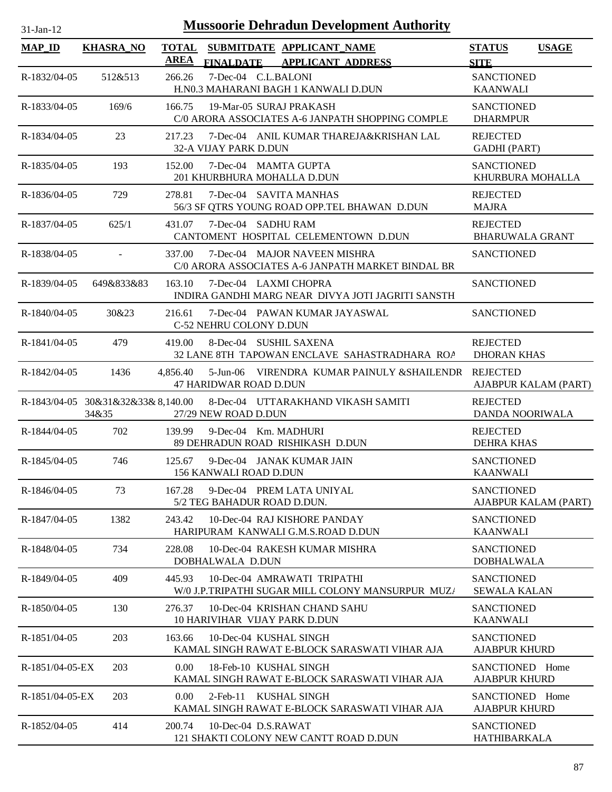| 31-Jan-12       | <b>Mussoorie Dehradun Development Authority</b> |                             |                             |  |                                                                                   |                                           |                      |
|-----------------|-------------------------------------------------|-----------------------------|-----------------------------|--|-----------------------------------------------------------------------------------|-------------------------------------------|----------------------|
| <b>MAP_ID</b>   | <b>KHASRA_NO</b>                                | <b>TOTAL</b><br><b>AREA</b> |                             |  | SUBMITDATE APPLICANT_NAME<br>FINALDATE APPLICANT ADDRESS                          | <b>STATUS</b><br><b>SITE</b>              | <b>USAGE</b>         |
| R-1832/04-05    | 512&513                                         | 266.26                      | 7-Dec-04 C.L.BALONI         |  | H.N0.3 MAHARANI BAGH 1 KANWALI D.DUN                                              | <b>SANCTIONED</b><br><b>KAANWALI</b>      |                      |
| R-1833/04-05    | 169/6                                           | 166.75                      |                             |  | 19-Mar-05 SURAJ PRAKASH<br>C/0 ARORA ASSOCIATES A-6 JANPATH SHOPPING COMPLE       | <b>SANCTIONED</b><br><b>DHARMPUR</b>      |                      |
| R-1834/04-05    | 23                                              | 217.23                      | 32-A VIJAY PARK D.DUN       |  | 7-Dec-04 ANIL KUMAR THAREJA&KRISHAN LAL                                           | <b>REJECTED</b><br><b>GADHI</b> (PART)    |                      |
| R-1835/04-05    | 193                                             | 152.00                      |                             |  | 7-Dec-04 MAMTA GUPTA<br>201 KHURBHURA MOHALLA D.DUN                               | <b>SANCTIONED</b><br>KHURBURA MOHALLA     |                      |
| R-1836/04-05    | 729                                             | 278.81                      |                             |  | 7-Dec-04 SAVITA MANHAS<br>56/3 SF QTRS YOUNG ROAD OPP.TEL BHAWAN D.DUN            | <b>REJECTED</b><br><b>MAJRA</b>           |                      |
| R-1837/04-05    | 625/1                                           | 431.07                      | 7-Dec-04 SADHU RAM          |  | CANTOMENT HOSPITAL CELEMENTOWN D.DUN                                              | <b>REJECTED</b><br><b>BHARUWALA GRANT</b> |                      |
| R-1838/04-05    | $\overline{\phantom{a}}$                        | 337.00                      |                             |  | 7-Dec-04 MAJOR NAVEEN MISHRA<br>C/0 ARORA ASSOCIATES A-6 JANPATH MARKET BINDAL BR | <b>SANCTIONED</b>                         |                      |
| R-1839/04-05    | 649&833&83                                      | 163.10                      |                             |  | 7-Dec-04 LAXMI CHOPRA<br>INDIRA GANDHI MARG NEAR DIVYA JOTI JAGRITI SANSTH        | <b>SANCTIONED</b>                         |                      |
| R-1840/04-05    | 30&23                                           | 216.61                      | C-52 NEHRU COLONY D.DUN     |  | 7-Dec-04 PAWAN KUMAR JAYASWAL                                                     | <b>SANCTIONED</b>                         |                      |
| R-1841/04-05    | 479                                             | 419.00                      |                             |  | 8-Dec-04 SUSHIL SAXENA<br>32 LANE 8TH TAPOWAN ENCLAVE SAHASTRADHARA ROA           | <b>REJECTED</b><br><b>DHORAN KHAS</b>     |                      |
| R-1842/04-05    | 1436                                            | 4.856.40                    | 47 HARIDWAR ROAD D.DUN      |  | 5-Jun-06 VIRENDRA KUMAR PAINULY & SHAILENDR                                       | <b>REJECTED</b>                           | AJABPUR KALAM (PART) |
|                 | 34&35                                           |                             | 27/29 NEW ROAD D.DUN        |  | R-1843/04-05 30&31&32&33&8,140.00 8-Dec-04 UTTARAKHAND VIKASH SAMITI              | <b>REJECTED</b><br>DANDA NOORIWALA        |                      |
| R-1844/04-05    | 702                                             | 139.99                      |                             |  | 9-Dec-04 Km. MADHURI<br>89 DEHRADUN ROAD RISHIKASH D.DUN                          | <b>REJECTED</b><br><b>DEHRA KHAS</b>      |                      |
| R-1845/04-05    | 746                                             | 125.67                      | 156 KANWALI ROAD D.DUN      |  | 9-Dec-04 JANAK KUMAR JAIN                                                         | <b>SANCTIONED</b><br><b>KAANWALI</b>      |                      |
| R-1846/04-05    | 73                                              | 167.28                      | 5/2 TEG BAHADUR ROAD D.DUN. |  | 9-Dec-04 PREM LATA UNIYAL                                                         | <b>SANCTIONED</b>                         | AJABPUR KALAM (PART) |
| R-1847/04-05    | 1382                                            | 243.42                      |                             |  | 10-Dec-04 RAJ KISHORE PANDAY<br>HARIPURAM KANWALI G.M.S.ROAD D.DUN                | <b>SANCTIONED</b><br><b>KAANWALI</b>      |                      |
| R-1848/04-05    | 734                                             | 228.08                      | DOBHALWALA D.DUN            |  | 10-Dec-04 RAKESH KUMAR MISHRA                                                     | <b>SANCTIONED</b><br><b>DOBHALWALA</b>    |                      |
| R-1849/04-05    | 409                                             | 445.93                      |                             |  | 10-Dec-04 AMRAWATI TRIPATHI<br>W/0 J.P.TRIPATHI SUGAR MILL COLONY MANSURPUR MUZ/  | <b>SANCTIONED</b><br><b>SEWALA KALAN</b>  |                      |
| R-1850/04-05    | 130                                             | 276.37                      |                             |  | 10-Dec-04 KRISHAN CHAND SAHU<br>10 HARIVIHAR VIJAY PARK D.DUN                     | <b>SANCTIONED</b><br><b>KAANWALI</b>      |                      |
| R-1851/04-05    | 203                                             | 163.66                      |                             |  | 10-Dec-04 KUSHAL SINGH<br>KAMAL SINGH RAWAT E-BLOCK SARASWATI VIHAR AJA           | <b>SANCTIONED</b><br><b>AJABPUR KHURD</b> |                      |
| R-1851/04-05-EX | 203                                             | 0.00                        |                             |  | 18-Feb-10 KUSHAL SINGH<br>KAMAL SINGH RAWAT E-BLOCK SARASWATI VIHAR AJA           | SANCTIONED Home<br><b>AJABPUR KHURD</b>   |                      |
| R-1851/04-05-EX | 203                                             | 0.00 <sub>1</sub>           |                             |  | 2-Feb-11 KUSHAL SINGH<br>KAMAL SINGH RAWAT E-BLOCK SARASWATI VIHAR AJA            | SANCTIONED Home<br><b>AJABPUR KHURD</b>   |                      |
| R-1852/04-05    | 414                                             | 200.74                      | 10-Dec-04 D.S.RAWAT         |  | 121 SHAKTI COLONY NEW CANTT ROAD D.DUN                                            | <b>SANCTIONED</b><br>HATHIBARKALA         |                      |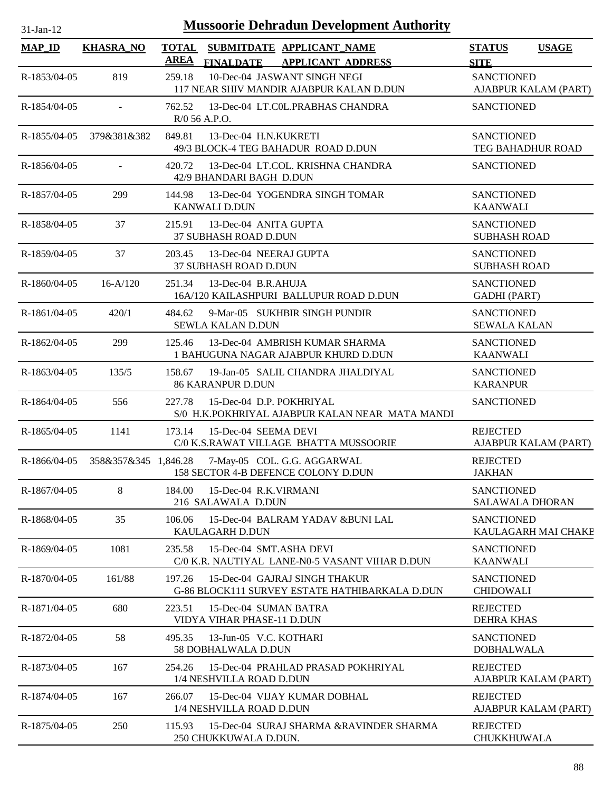| <b>Mussoorie Dehradun Development Authority</b><br>$31-Jan-12$ |                      |             |                                                                                 |                                             |                      |  |  |
|----------------------------------------------------------------|----------------------|-------------|---------------------------------------------------------------------------------|---------------------------------------------|----------------------|--|--|
| $MAP$ <sub>ID</sub>                                            | <b>KHASRA NO</b>     | <b>AREA</b> | TOTAL SUBMITDATE APPLICANT NAME<br><b>FINALDATE</b><br><b>APPLICANT ADDRESS</b> | <b>STATUS</b>                               | <b>USAGE</b>         |  |  |
| R-1853/04-05                                                   | 819                  | 259.18      | 10-Dec-04 JASWANT SINGH NEGI<br>117 NEAR SHIV MANDIR AJABPUR KALAN D.DUN        | <b>SITE</b><br><b>SANCTIONED</b>            | AJABPUR KALAM (PART) |  |  |
| R-1854/04-05                                                   | $\sim$               |             | 762.52 13-Dec-04 LT.COL.PRABHAS CHANDRA<br>$R/0$ 56 A.P.O.                      | <b>SANCTIONED</b>                           |                      |  |  |
| R-1855/04-05                                                   | 379&381&382          | 849.81      | 13-Dec-04 H.N.KUKRETI<br>49/3 BLOCK-4 TEG BAHADUR ROAD D.DUN                    | <b>SANCTIONED</b><br>TEG BAHADHUR ROAD      |                      |  |  |
| $R-1856/04-05$                                                 |                      | 420.72      | 13-Dec-04 LT.COL. KRISHNA CHANDRA<br>42/9 BHANDARI BAGH D.DUN                   | <b>SANCTIONED</b>                           |                      |  |  |
| R-1857/04-05                                                   | 299                  | 144.98      | 13-Dec-04 YOGENDRA SINGH TOMAR<br><b>KANWALI D.DUN</b>                          | <b>SANCTIONED</b><br><b>KAANWALI</b>        |                      |  |  |
| R-1858/04-05                                                   | 37                   |             | 215.91 13-Dec-04 ANITA GUPTA<br>37 SUBHASH ROAD D.DUN                           | <b>SANCTIONED</b><br><b>SUBHASH ROAD</b>    |                      |  |  |
| R-1859/04-05                                                   | 37                   | 203.45      | 13-Dec-04 NEERAJ GUPTA<br>37 SUBHASH ROAD D.DUN                                 | <b>SANCTIONED</b><br><b>SUBHASH ROAD</b>    |                      |  |  |
| R-1860/04-05                                                   | $16-A/120$           | 251.34      | 13-Dec-04 B.R.AHUJA<br>16A/120 KAILASHPURI BALLUPUR ROAD D.DUN                  | <b>SANCTIONED</b><br><b>GADHI</b> (PART)    |                      |  |  |
| R-1861/04-05                                                   | 420/1                |             | 484.62 9-Mar-05 SUKHBIR SINGH PUNDIR<br><b>SEWLA KALAN D.DUN</b>                | <b>SANCTIONED</b><br><b>SEWALA KALAN</b>    |                      |  |  |
| R-1862/04-05                                                   | 299                  | 125.46      | 13-Dec-04 AMBRISH KUMAR SHARMA<br>1 BAHUGUNA NAGAR AJABPUR KHURD D.DUN          | <b>SANCTIONED</b><br><b>KAANWALI</b>        |                      |  |  |
| R-1863/04-05                                                   | 135/5                | 158.67      | 19-Jan-05 SALIL CHANDRA JHALDIYAL<br><b>86 KARANPUR D.DUN</b>                   | <b>SANCTIONED</b><br><b>KARANPUR</b>        |                      |  |  |
| R-1864/04-05                                                   | 556                  | 227.78      | 15-Dec-04 D.P. POKHRIYAL<br>S/0 H.K.POKHRIYAL AJABPUR KALAN NEAR MATA MANDI     | <b>SANCTIONED</b>                           |                      |  |  |
| $R-1865/04-05$                                                 | 1141                 | 173.14      | 15-Dec-04 SEEMA DEVI<br>C/0 K.S.RAWAT VILLAGE BHATTA MUSSOORIE                  | <b>REJECTED</b>                             | AJABPUR KALAM (PART) |  |  |
| R-1866/04-05                                                   | 358&357&345 1,846.28 |             | 7-May-05 COL. G.G. AGGARWAL<br>158 SECTOR 4-B DEFENCE COLONY D.DUN              | <b>REJECTED</b><br><b>JAKHAN</b>            |                      |  |  |
| R-1867/04-05                                                   | 8                    | 184.00      | 15-Dec-04 R.K.VIRMANI<br>216 SALAWALA D.DUN                                     | <b>SANCTIONED</b><br><b>SALAWALA DHORAN</b> |                      |  |  |
| R-1868/04-05                                                   | 35                   | 106.06      | 15-Dec-04 BALRAM YADAV & BUNI LAL<br>KAULAGARH D.DUN                            | <b>SANCTIONED</b>                           | KAULAGARH MAI CHAKE  |  |  |
| R-1869/04-05                                                   | 1081                 | 235.58      | 15-Dec-04 SMT.ASHA DEVI<br>C/0 K.R. NAUTIYAL LANE-N0-5 VASANT VIHAR D.DUN       | <b>SANCTIONED</b><br><b>KAANWALI</b>        |                      |  |  |
| R-1870/04-05                                                   | 161/88               | 197.26      | 15-Dec-04 GAJRAJ SINGH THAKUR<br>G-86 BLOCK111 SURVEY ESTATE HATHIBARKALA D.DUN | <b>SANCTIONED</b><br><b>CHIDOWALI</b>       |                      |  |  |
| R-1871/04-05                                                   | 680                  | 223.51      | 15-Dec-04 SUMAN BATRA<br>VIDYA VIHAR PHASE-11 D.DUN                             | <b>REJECTED</b><br><b>DEHRA KHAS</b>        |                      |  |  |
| R-1872/04-05                                                   | 58                   | 495.35      | 13-Jun-05 V.C. KOTHARI<br>58 DOBHALWALA D.DUN                                   | <b>SANCTIONED</b><br><b>DOBHALWALA</b>      |                      |  |  |
| R-1873/04-05                                                   | 167                  | 254.26      | 15-Dec-04 PRAHLAD PRASAD POKHRIYAL<br>1/4 NESHVILLA ROAD D.DUN                  | <b>REJECTED</b>                             | AJABPUR KALAM (PART) |  |  |
| R-1874/04-05                                                   | 167                  | 266.07      | 15-Dec-04 VIJAY KUMAR DOBHAL<br>1/4 NESHVILLA ROAD D.DUN                        | <b>REJECTED</b>                             | AJABPUR KALAM (PART) |  |  |
| R-1875/04-05                                                   | 250                  | 115.93      | 15-Dec-04 SURAJ SHARMA &RAVINDER SHARMA<br>250 CHUKKUWALA D.DUN.                | <b>REJECTED</b><br>CHUKKHUWALA              |                      |  |  |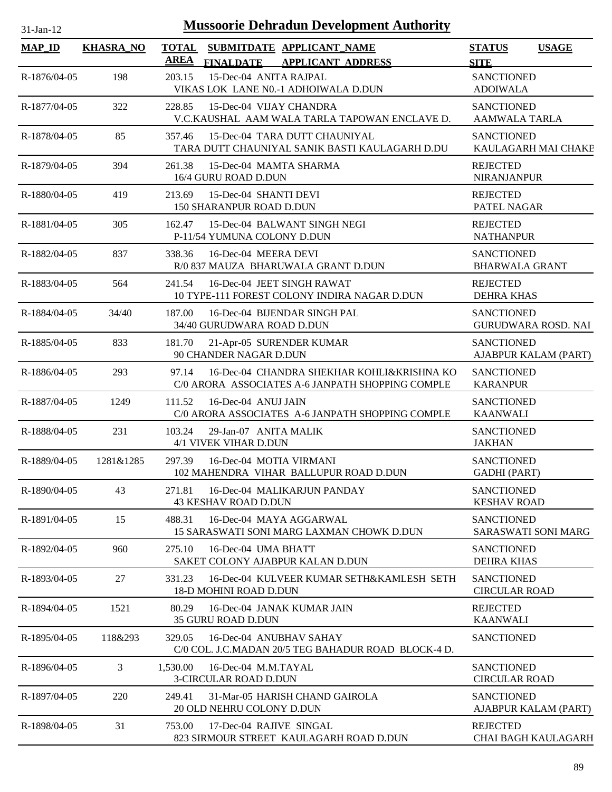| <b>Mussoorie Dehradun Development Authority</b><br>$31$ -Jan-12 |                  |             |                                                                                                |                                            |                            |  |  |
|-----------------------------------------------------------------|------------------|-------------|------------------------------------------------------------------------------------------------|--------------------------------------------|----------------------------|--|--|
| <b>MAP_ID</b>                                                   | <b>KHASRA NO</b> | <b>AREA</b> | TOTAL SUBMITDATE APPLICANT NAME<br><b>APPLICANT ADDRESS</b><br><b>FINALDATE</b>                | <b>STATUS</b><br><b>SITE</b>               | <b>USAGE</b>               |  |  |
| R-1876/04-05                                                    | 198              | 203.15      | 15-Dec-04 ANITA RAJPAL<br>VIKAS LOK LANE N0.-1 ADHOIWALA D.DUN                                 | <b>SANCTIONED</b><br><b>ADOIWALA</b>       |                            |  |  |
| R-1877/04-05                                                    | 322              | 228.85      | 15-Dec-04 VIJAY CHANDRA<br>V.C.KAUSHAL AAM WALA TARLA TAPOWAN ENCLAVE D.                       | <b>SANCTIONED</b><br><b>AAMWALA TARLA</b>  |                            |  |  |
| R-1878/04-05                                                    | 85               | 357.46      | 15-Dec-04 TARA DUTT CHAUNIYAL<br>TARA DUTT CHAUNIYAL SANIK BASTI KAULAGARH D.DU                | <b>SANCTIONED</b>                          | KAULAGARH MAI CHAKE        |  |  |
| R-1879/04-05                                                    | 394              | 261.38      | 15-Dec-04 MAMTA SHARMA<br>16/4 GURU ROAD D.DUN                                                 | <b>REJECTED</b><br><b>NIRANJANPUR</b>      |                            |  |  |
| R-1880/04-05                                                    | 419              | 213.69      | 15-Dec-04 SHANTI DEVI<br>150 SHARANPUR ROAD D.DUN                                              | <b>REJECTED</b><br>PATEL NAGAR             |                            |  |  |
| R-1881/04-05                                                    | 305              | 162.47      | 15-Dec-04 BALWANT SINGH NEGI<br>P-11/54 YUMUNA COLONY D.DUN                                    | <b>REJECTED</b><br><b>NATHANPUR</b>        |                            |  |  |
| R-1882/04-05                                                    | 837              | 338.36      | 16-Dec-04 MEERA DEVI<br>R/0 837 MAUZA BHARUWALA GRANT D.DUN                                    | <b>SANCTIONED</b><br><b>BHARWALA GRANT</b> |                            |  |  |
| R-1883/04-05                                                    | 564              | 241.54      | 16-Dec-04 JEET SINGH RAWAT<br>10 TYPE-111 FOREST COLONY INDIRA NAGAR D.DUN                     | <b>REJECTED</b><br><b>DEHRA KHAS</b>       |                            |  |  |
| R-1884/04-05                                                    | 34/40            | 187.00      | 16-Dec-04 BIJENDAR SINGH PAL<br>34/40 GURUDWARA ROAD D.DUN                                     | <b>SANCTIONED</b>                          | <b>GURUDWARA ROSD. NAI</b> |  |  |
| R-1885/04-05                                                    | 833              | 181.70      | 21-Apr-05 SURENDER KUMAR<br>90 CHANDER NAGAR D.DUN                                             | <b>SANCTIONED</b>                          | AJABPUR KALAM (PART)       |  |  |
| R-1886/04-05                                                    | 293              | 97.14       | 16-Dec-04 CHANDRA SHEKHAR KOHLI&KRISHNA KO<br>C/0 ARORA ASSOCIATES A-6 JANPATH SHOPPING COMPLE | <b>SANCTIONED</b><br><b>KARANPUR</b>       |                            |  |  |
| R-1887/04-05                                                    | 1249             | 111.52      | 16-Dec-04 ANUJ JAIN<br>C/0 ARORA ASSOCIATES A-6 JANPATH SHOPPING COMPLE                        | <b>SANCTIONED</b><br><b>KAANWALI</b>       |                            |  |  |
| R-1888/04-05                                                    | 231              | 103.24      | 29-Jan-07 ANITA MALIK<br>4/1 VIVEK VIHAR D.DUN                                                 | <b>SANCTIONED</b><br><b>JAKHAN</b>         |                            |  |  |
| R-1889/04-05                                                    | 1281&1285        | 297.39      | 16-Dec-04 MOTIA VIRMANI<br>102 MAHENDRA VIHAR BALLUPUR ROAD D.DUN                              | <b>SANCTIONED</b><br><b>GADHI (PART)</b>   |                            |  |  |
| R-1890/04-05                                                    | 43               | 271.81      | 16-Dec-04 MALIKARJUN PANDAY<br><b>43 KESHAV ROAD D.DUN</b>                                     | <b>SANCTIONED</b><br><b>KESHAV ROAD</b>    |                            |  |  |
| R-1891/04-05                                                    | 15               | 488.31      | 16-Dec-04 MAYA AGGARWAL<br>15 SARASWATI SONI MARG LAXMAN CHOWK D.DUN                           | <b>SANCTIONED</b>                          | <b>SARASWATI SONI MARG</b> |  |  |
| R-1892/04-05                                                    | 960              | 275.10      | 16-Dec-04 UMA BHATT<br>SAKET COLONY AJABPUR KALAN D.DUN                                        | <b>SANCTIONED</b><br><b>DEHRA KHAS</b>     |                            |  |  |
| R-1893/04-05                                                    | 27               | 331.23      | 16-Dec-04 KULVEER KUMAR SETH&KAMLESH SETH<br>18-D MOHINI ROAD D.DUN                            | <b>SANCTIONED</b><br><b>CIRCULAR ROAD</b>  |                            |  |  |
| R-1894/04-05                                                    | 1521             | 80.29       | 16-Dec-04 JANAK KUMAR JAIN<br><b>35 GURU ROAD D.DUN</b>                                        | <b>REJECTED</b><br><b>KAANWALI</b>         |                            |  |  |
| R-1895/04-05                                                    | 118&293          |             | 329.05 16-Dec-04 ANUBHAV SAHAY<br>C/0 COL. J.C.MADAN 20/5 TEG BAHADUR ROAD BLOCK-4 D.          | <b>SANCTIONED</b>                          |                            |  |  |
| R-1896/04-05                                                    | 3                | 1,530.00    | 16-Dec-04 M.M.TAYAL<br><b>3-CIRCULAR ROAD D.DUN</b>                                            | <b>SANCTIONED</b><br><b>CIRCULAR ROAD</b>  |                            |  |  |
| R-1897/04-05                                                    | 220              | 249.41      | 31-Mar-05 HARISH CHAND GAIROLA<br>20 OLD NEHRU COLONY D.DUN                                    | <b>SANCTIONED</b>                          | AJABPUR KALAM (PART)       |  |  |
| R-1898/04-05                                                    | 31               | 753.00      | 17-Dec-04 RAJIVE SINGAL<br>823 SIRMOUR STREET KAULAGARH ROAD D.DUN                             | <b>REJECTED</b>                            | CHAI BAGH KAULAGARH        |  |  |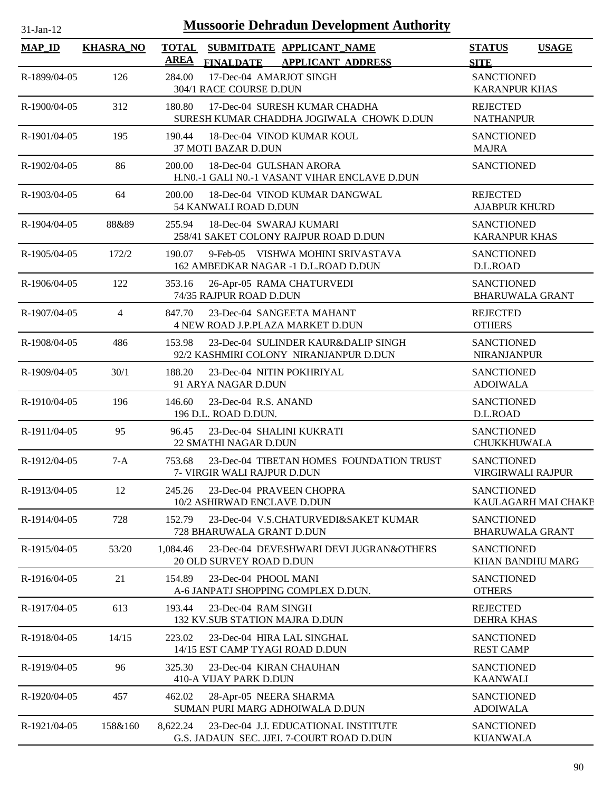| 31-Jan-12     | <b>Mussoorie Dehradun Development Authority</b> |                             |                                                                                   |                                               |                     |  |  |  |
|---------------|-------------------------------------------------|-----------------------------|-----------------------------------------------------------------------------------|-----------------------------------------------|---------------------|--|--|--|
| <b>MAP_ID</b> | <b>KHASRA_NO</b>                                | <b>TOTAL</b><br><b>AREA</b> | SUBMITDATE APPLICANT_NAME<br><b>FINALDATE</b><br><b>APPLICANT ADDRESS</b>         | <b>STATUS</b><br><b>SITE</b>                  | <b>USAGE</b>        |  |  |  |
| R-1899/04-05  | 126                                             | 284.00                      | 17-Dec-04 AMARJOT SINGH<br>304/1 RACE COURSE D.DUN                                | <b>SANCTIONED</b><br><b>KARANPUR KHAS</b>     |                     |  |  |  |
| R-1900/04-05  | 312                                             | 180.80                      | 17-Dec-04 SURESH KUMAR CHADHA<br>SURESH KUMAR CHADDHA JOGIWALA CHOWK D.DUN        | <b>REJECTED</b><br><b>NATHANPUR</b>           |                     |  |  |  |
| R-1901/04-05  | 195                                             | 190.44                      | 18-Dec-04 VINOD KUMAR KOUL<br>37 MOTI BAZAR D.DUN                                 | <b>SANCTIONED</b><br><b>MAJRA</b>             |                     |  |  |  |
| R-1902/04-05  | 86                                              | 200.00                      | 18-Dec-04 GULSHAN ARORA<br>H.NO.-1 GALI NO.-1 VASANT VIHAR ENCLAVE D.DUN          | <b>SANCTIONED</b>                             |                     |  |  |  |
| R-1903/04-05  | 64                                              | 200.00                      | 18-Dec-04 VINOD KUMAR DANGWAL<br>54 KANWALI ROAD D.DUN                            | <b>REJECTED</b><br><b>AJABPUR KHURD</b>       |                     |  |  |  |
| R-1904/04-05  | 88&89                                           | 255.94                      | 18-Dec-04 SWARAJ KUMARI<br>258/41 SAKET COLONY RAJPUR ROAD D.DUN                  | <b>SANCTIONED</b><br><b>KARANPUR KHAS</b>     |                     |  |  |  |
| R-1905/04-05  | 172/2                                           | 190.07                      | 9-Feb-05 VISHWA MOHINI SRIVASTAVA<br>162 AMBEDKAR NAGAR -1 D.L.ROAD D.DUN         | <b>SANCTIONED</b><br>D.L.ROAD                 |                     |  |  |  |
| R-1906/04-05  | 122                                             | 353.16                      | 26-Apr-05 RAMA CHATURVEDI<br>74/35 RAJPUR ROAD D.DUN                              | <b>SANCTIONED</b><br><b>BHARUWALA GRANT</b>   |                     |  |  |  |
| R-1907/04-05  | 4                                               | 847.70                      | 23-Dec-04 SANGEETA MAHANT<br>4 NEW ROAD J.P.PLAZA MARKET D.DUN                    | <b>REJECTED</b><br><b>OTHERS</b>              |                     |  |  |  |
| R-1908/04-05  | 486                                             | 153.98                      | 23-Dec-04 SULINDER KAUR&DALIP SINGH<br>92/2 KASHMIRI COLONY NIRANJANPUR D.DUN     | <b>SANCTIONED</b><br>NIRANJANPUR              |                     |  |  |  |
| R-1909/04-05  | 30/1                                            | 188.20                      | 23-Dec-04 NITIN POKHRIYAL<br>91 ARYA NAGAR D.DUN                                  | <b>SANCTIONED</b><br><b>ADOIWALA</b>          |                     |  |  |  |
| R-1910/04-05  | 196                                             | 146.60                      | 23-Dec-04 R.S. ANAND<br>196 D.L. ROAD D.DUN.                                      | <b>SANCTIONED</b><br>D.L.ROAD                 |                     |  |  |  |
| R-1911/04-05  | 95                                              | 96.45                       | 23-Dec-04 SHALINI KUKRATI<br>22 SMATHI NAGAR D.DUN                                | <b>SANCTIONED</b><br>CHUKKHUWALA              |                     |  |  |  |
| R-1912/04-05  | $7-A$                                           | 753.68                      | 23-Dec-04 TIBETAN HOMES FOUNDATION TRUST<br>7- VIRGIR WALI RAJPUR D.DUN           | <b>SANCTIONED</b><br><b>VIRGIRWALI RAJPUR</b> |                     |  |  |  |
| R-1913/04-05  | 12                                              | 245.26                      | 23-Dec-04 PRAVEEN CHOPRA<br>10/2 ASHIRWAD ENCLAVE D.DUN                           | <b>SANCTIONED</b>                             | KAULAGARH MAI CHAKE |  |  |  |
| R-1914/04-05  | 728                                             | 152.79                      | 23-Dec-04 V.S.CHATURVEDI&SAKET KUMAR<br>728 BHARUWALA GRANT D.DUN                 | <b>SANCTIONED</b><br><b>BHARUWALA GRANT</b>   |                     |  |  |  |
| R-1915/04-05  | 53/20                                           | 1,084.46                    | 23-Dec-04 DEVESHWARI DEVI JUGRAN&OTHERS<br>20 OLD SURVEY ROAD D.DUN               | <b>SANCTIONED</b><br>KHAN BANDHU MARG         |                     |  |  |  |
| R-1916/04-05  | 21                                              | 154.89                      | 23-Dec-04 PHOOL MANI<br>A-6 JANPATJ SHOPPING COMPLEX D.DUN.                       | <b>SANCTIONED</b><br><b>OTHERS</b>            |                     |  |  |  |
| R-1917/04-05  | 613                                             | 193.44                      | 23-Dec-04 RAM SINGH<br>132 KV.SUB STATION MAJRA D.DUN                             | <b>REJECTED</b><br><b>DEHRA KHAS</b>          |                     |  |  |  |
| R-1918/04-05  | 14/15                                           | 223.02                      | 23-Dec-04 HIRA LAL SINGHAL<br>14/15 EST CAMP TYAGI ROAD D.DUN                     | <b>SANCTIONED</b><br><b>REST CAMP</b>         |                     |  |  |  |
| R-1919/04-05  | 96                                              | 325.30                      | 23-Dec-04 KIRAN CHAUHAN<br>410-A VIJAY PARK D.DUN                                 | <b>SANCTIONED</b><br><b>KAANWALI</b>          |                     |  |  |  |
| R-1920/04-05  | 457                                             | 462.02                      | 28-Apr-05 NEERA SHARMA<br>SUMAN PURI MARG ADHOIWALA D.DUN                         | <b>SANCTIONED</b><br><b>ADOIWALA</b>          |                     |  |  |  |
| R-1921/04-05  | 158&160                                         | 8,622.24                    | 23-Dec-04 J.J. EDUCATIONAL INSTITUTE<br>G.S. JADAUN SEC. JJEI. 7-COURT ROAD D.DUN | <b>SANCTIONED</b><br><b>KUANWALA</b>          |                     |  |  |  |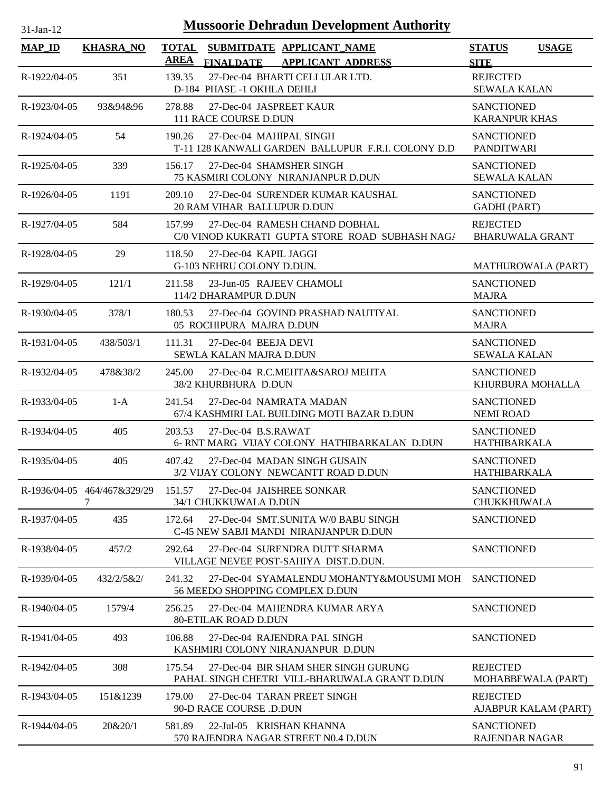| <b>Mussoorie Dehradun Development Authority</b><br>$31$ -Jan-12 |                                  |                                                                                                  |                                           |              |  |  |
|-----------------------------------------------------------------|----------------------------------|--------------------------------------------------------------------------------------------------|-------------------------------------------|--------------|--|--|
| <b>MAP_ID</b>                                                   | <b>KHASRA NO</b>                 | <b>TOTAL</b><br>SUBMITDATE APPLICANT NAME<br><b>AREA</b><br>FINALDATE APPLICANT ADDRESS          | <b>STATUS</b><br><b>SITE</b>              | <b>USAGE</b> |  |  |
| R-1922/04-05                                                    | 351                              | 27-Dec-04 BHARTI CELLULAR LTD.<br>139.35<br>D-184 PHASE -1 OKHLA DEHLI                           | <b>REJECTED</b><br><b>SEWALA KALAN</b>    |              |  |  |
| R-1923/04-05                                                    | 93&94&96                         | 278.88<br>27-Dec-04 JASPREET KAUR<br>111 RACE COURSE D.DUN                                       | <b>SANCTIONED</b><br><b>KARANPUR KHAS</b> |              |  |  |
| R-1924/04-05                                                    | 54                               | 27-Dec-04 MAHIPAL SINGH<br>190.26<br>T-11 128 KANWALI GARDEN BALLUPUR F.R.I. COLONY D.D          | <b>SANCTIONED</b><br><b>PANDITWARI</b>    |              |  |  |
| R-1925/04-05                                                    | 339                              | 156.17<br>27-Dec-04 SHAMSHER SINGH<br><b>75 KASMIRI COLONY NIRANJANPUR D.DUN</b>                 | <b>SANCTIONED</b><br><b>SEWALA KALAN</b>  |              |  |  |
| R-1926/04-05                                                    | 1191                             | 27-Dec-04 SURENDER KUMAR KAUSHAL<br>209.10<br>20 RAM VIHAR BALLUPUR D.DUN                        | <b>SANCTIONED</b><br><b>GADHI</b> (PART)  |              |  |  |
| R-1927/04-05                                                    | 584                              | 27-Dec-04 RAMESH CHAND DOBHAL<br>157.99<br>C/0 VINOD KUKRATI GUPTA STORE ROAD SUBHASH NAG/       | <b>REJECTED</b><br><b>BHARUWALA GRANT</b> |              |  |  |
| R-1928/04-05                                                    | 29                               | 118.50<br>27-Dec-04 KAPIL JAGGI<br>G-103 NEHRU COLONY D.DUN.                                     | <b>MATHUROWALA (PART)</b>                 |              |  |  |
| R-1929/04-05                                                    | 121/1                            | 23-Jun-05 RAJEEV CHAMOLI<br>211.58<br>114/2 DHARAMPUR D.DUN                                      | <b>SANCTIONED</b><br><b>MAJRA</b>         |              |  |  |
| R-1930/04-05                                                    | 378/1                            | 27-Dec-04 GOVIND PRASHAD NAUTIYAL<br>180.53<br>05 ROCHIPURA MAJRA D.DUN                          | <b>SANCTIONED</b><br><b>MAJRA</b>         |              |  |  |
| R-1931/04-05                                                    | 438/503/1                        | 111.31<br>27-Dec-04 BEEJA DEVI<br>SEWLA KALAN MAJRA D.DUN                                        | <b>SANCTIONED</b><br><b>SEWALA KALAN</b>  |              |  |  |
| R-1932/04-05                                                    | 478&38/2                         | 245.00<br>27-Dec-04 R.C.MEHTA&SAROJ MEHTA<br>38/2 KHURBHURA D.DUN                                | <b>SANCTIONED</b><br>KHURBURA MOHALLA     |              |  |  |
| R-1933/04-05                                                    | $1-A$                            | 241.54<br>27-Dec-04 NAMRATA MADAN<br>67/4 KASHMIRI LAL BUILDING MOTI BAZAR D.DUN                 | <b>SANCTIONED</b><br><b>NEMI ROAD</b>     |              |  |  |
| R-1934/04-05                                                    | 405                              | 203.53<br>27-Dec-04 B.S.RAWAT<br>6- RNT MARG VIJAY COLONY HATHIBARKALAN D.DUN                    | <b>SANCTIONED</b><br>HATHIBARKALA         |              |  |  |
| R-1935/04-05                                                    | 405                              | 407.42<br>27-Dec-04 MADAN SINGH GUSAIN<br>3/2 VIJAY COLONY NEWCANTT ROAD D.DUN                   | <b>SANCTIONED</b><br>HATHIBARKALA         |              |  |  |
|                                                                 | R-1936/04-05 464/467&329/29<br>7 | 27-Dec-04 JAISHREE SONKAR<br>151.57<br>34/1 CHUKKUWALA D.DUN                                     | <b>SANCTIONED</b><br><b>CHUKKHUWALA</b>   |              |  |  |
| R-1937/04-05                                                    | 435                              | 172.64<br>27-Dec-04 SMT.SUNITA W/0 BABU SINGH<br>C-45 NEW SABJI MANDI NIRANJANPUR D.DUN          | <b>SANCTIONED</b>                         |              |  |  |
| R-1938/04-05                                                    | 457/2                            | 292.64<br>27-Dec-04 SURENDRA DUTT SHARMA<br>VILLAGE NEVEE POST-SAHIYA DIST.D.DUN.                | <b>SANCTIONED</b>                         |              |  |  |
| $R-1939/04-05$                                                  | 432/2/5&2/                       | 241.32<br>27-Dec-04 SYAMALENDU MOHANTY&MOUSUMI MOH SANCTIONED<br>56 MEEDO SHOPPING COMPLEX D.DUN |                                           |              |  |  |
| R-1940/04-05                                                    | 1579/4                           | 27-Dec-04 MAHENDRA KUMAR ARYA<br>256.25<br><b>80-ETILAK ROAD D.DUN</b>                           | <b>SANCTIONED</b>                         |              |  |  |
| R-1941/04-05                                                    | 493                              | 106.88<br>27-Dec-04 RAJENDRA PAL SINGH<br>KASHMIRI COLONY NIRANJANPUR D.DUN                      | <b>SANCTIONED</b>                         |              |  |  |
| R-1942/04-05                                                    | 308                              | 27-Dec-04 BIR SHAM SHER SINGH GURUNG<br>175.54<br>PAHAL SINGH CHETRI VILL-BHARUWALA GRANT D.DUN  | <b>REJECTED</b><br>MOHABBEWALA (PART)     |              |  |  |
| R-1943/04-05                                                    | 151&1239                         | 179.00<br>27-Dec-04 TARAN PREET SINGH<br>90-D RACE COURSE .D.DUN                                 | <b>REJECTED</b><br>AJABPUR KALAM (PART)   |              |  |  |
| R-1944/04-05                                                    | 20&20/1                          | 581.89<br>22-Jul-05 KRISHAN KHANNA<br>570 RAJENDRA NAGAR STREET N0.4 D.DUN                       | <b>SANCTIONED</b><br>RAJENDAR NAGAR       |              |  |  |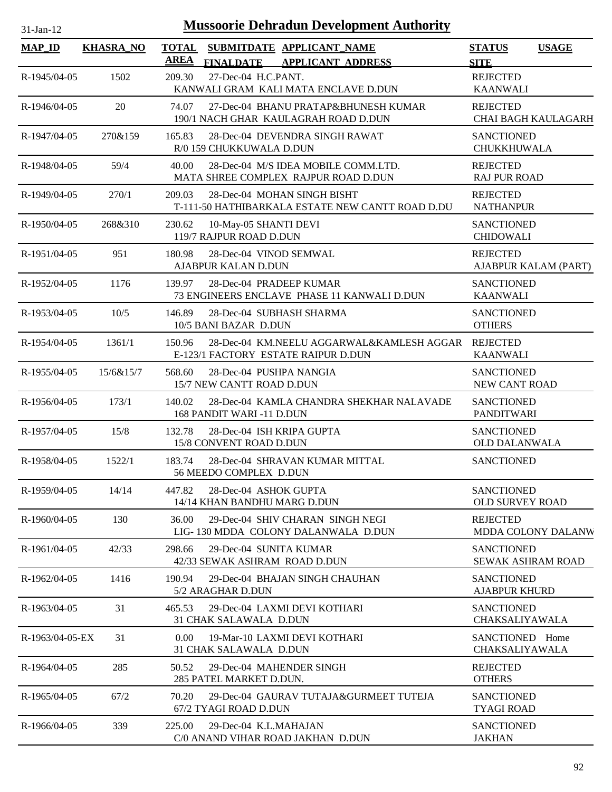| $31$ -Jan-12      | <b>Mussoorie Dehradun Development Authority</b> |                                                                                                          |                                               |  |  |  |  |
|-------------------|-------------------------------------------------|----------------------------------------------------------------------------------------------------------|-----------------------------------------------|--|--|--|--|
| <b>MAP_ID</b>     | <b>KHASRA_NO</b>                                | <b>TOTAL</b><br>SUBMITDATE APPLICANT_NAME<br><b>AREA</b><br><b>FINALDATE</b><br><b>APPLICANT ADDRESS</b> | <b>STATUS</b><br><b>USAGE</b><br><b>SITE</b>  |  |  |  |  |
| R-1945/04-05      | 1502                                            | 27-Dec-04 H.C.PANT.<br>209.30<br>KANWALI GRAM KALI MATA ENCLAVE D.DUN                                    | <b>REJECTED</b><br><b>KAANWALI</b>            |  |  |  |  |
| R-1946/04-05      | 20                                              | 27-Dec-04 BHANU PRATAP&BHUNESH KUMAR<br>74.07<br>190/1 NACH GHAR KAULAGRAH ROAD D.DUN                    | <b>REJECTED</b><br><b>CHAI BAGH KAULAGARH</b> |  |  |  |  |
| R-1947/04-05      | 270&159                                         | 28-Dec-04 DEVENDRA SINGH RAWAT<br>165.83<br>R/0 159 CHUKKUWALA D.DUN                                     | <b>SANCTIONED</b><br><b>CHUKKHUWALA</b>       |  |  |  |  |
| R-1948/04-05      | 59/4                                            | 28-Dec-04 M/S IDEA MOBILE COMM.LTD.<br>40.00<br>MATA SHREE COMPLEX RAJPUR ROAD D.DUN                     | <b>REJECTED</b><br><b>RAJ PUR ROAD</b>        |  |  |  |  |
| R-1949/04-05      | 270/1                                           | 209.03<br>28-Dec-04 MOHAN SINGH BISHT<br>T-111-50 HATHIBARKALA ESTATE NEW CANTT ROAD D.DU                | <b>REJECTED</b><br><b>NATHANPUR</b>           |  |  |  |  |
| $R-1950/04-05$    | 268&310                                         | 230.62<br>10-May-05 SHANTI DEVI<br>119/7 RAJPUR ROAD D.DUN                                               | <b>SANCTIONED</b><br><b>CHIDOWALI</b>         |  |  |  |  |
| R-1951/04-05      | 951                                             | 28-Dec-04 VINOD SEMWAL<br>180.98<br><b>AJABPUR KALAN D.DUN</b>                                           | <b>REJECTED</b><br>AJABPUR KALAM (PART)       |  |  |  |  |
| R-1952/04-05      | 1176                                            | 28-Dec-04 PRADEEP KUMAR<br>139.97<br>73 ENGINEERS ENCLAVE PHASE 11 KANWALI D.DUN                         | <b>SANCTIONED</b><br><b>KAANWALI</b>          |  |  |  |  |
| R-1953/04-05      | 10/5                                            | 146.89<br>28-Dec-04 SUBHASH SHARMA<br>10/5 BANI BAZAR D.DUN                                              | <b>SANCTIONED</b><br><b>OTHERS</b>            |  |  |  |  |
| R-1954/04-05      | 1361/1                                          | 28-Dec-04 KM.NEELU AGGARWAL&KAMLESH AGGAR REJECTED<br>150.96<br>E-123/1 FACTORY ESTATE RAIPUR D.DUN      | <b>KAANWALI</b>                               |  |  |  |  |
| R-1955/04-05      | 15/6&15/7                                       | 28-Dec-04 PUSHPA NANGIA<br>568.60<br>15/7 NEW CANTT ROAD D.DUN                                           | <b>SANCTIONED</b><br>NEW CANT ROAD            |  |  |  |  |
| R-1956/04-05      | 173/1                                           | 28-Dec-04 KAMLA CHANDRA SHEKHAR NALAVADE<br>140.02<br>168 PANDIT WARI -11 D.DUN                          | <b>SANCTIONED</b><br><b>PANDITWARI</b>        |  |  |  |  |
| R-1957/04-05      | 15/8                                            | 132.78<br>28-Dec-04 ISH KRIPA GUPTA<br>15/8 CONVENT ROAD D.DUN                                           | <b>SANCTIONED</b><br><b>OLD DALANWALA</b>     |  |  |  |  |
| R-1958/04-05      | 1522/1                                          | 183.74<br>28-Dec-04 SHRAVAN KUMAR MITTAL<br>56 MEEDO COMPLEX D.DUN                                       | <b>SANCTIONED</b>                             |  |  |  |  |
| R-1959/04-05      | 14/14                                           | 28-Dec-04 ASHOK GUPTA<br>447.82<br>14/14 KHAN BANDHU MARG D.DUN                                          | <b>SANCTIONED</b><br><b>OLD SURVEY ROAD</b>   |  |  |  |  |
| R-1960/04-05      | 130                                             | 36.00<br>29-Dec-04 SHIV CHARAN SINGH NEGI<br>LIG-130 MDDA COLONY DALANWALA D.DUN                         | <b>REJECTED</b><br>MDDA COLONY DALANW         |  |  |  |  |
| R-1961/04-05      | 42/33                                           | 298.66<br>29-Dec-04 SUNITA KUMAR<br>42/33 SEWAK ASHRAM ROAD D.DUN                                        | <b>SANCTIONED</b><br><b>SEWAK ASHRAM ROAD</b> |  |  |  |  |
| R-1962/04-05      | 1416                                            | 190.94<br>29-Dec-04 BHAJAN SINGH CHAUHAN<br>5/2 ARAGHAR D.DUN                                            | <b>SANCTIONED</b><br><b>AJABPUR KHURD</b>     |  |  |  |  |
| R-1963/04-05      | 31                                              | 29-Dec-04 LAXMI DEVI KOTHARI<br>465.53<br>31 CHAK SALAWALA D.DUN                                         | <b>SANCTIONED</b><br>CHAKSALIYAWALA           |  |  |  |  |
| $R-1963/04-05-EX$ | 31                                              | 19-Mar-10 LAXMI DEVI KOTHARI<br>$0.00 -$<br>31 CHAK SALAWALA D.DUN                                       | SANCTIONED Home<br>CHAKSALIYAWALA             |  |  |  |  |
| R-1964/04-05      | 285                                             | 29-Dec-04 MAHENDER SINGH<br>50.52<br>285 PATEL MARKET D.DUN.                                             | <b>REJECTED</b><br><b>OTHERS</b>              |  |  |  |  |
| R-1965/04-05      | 67/2                                            | 29-Dec-04 GAURAV TUTAJA&GURMEET TUTEJA<br>70.20<br>67/2 TYAGI ROAD D.DUN                                 | <b>SANCTIONED</b><br><b>TYAGI ROAD</b>        |  |  |  |  |
| R-1966/04-05      | 339                                             | 225.00<br>29-Dec-04 K.L.MAHAJAN<br>C/0 ANAND VIHAR ROAD JAKHAN D.DUN                                     | <b>SANCTIONED</b><br><b>JAKHAN</b>            |  |  |  |  |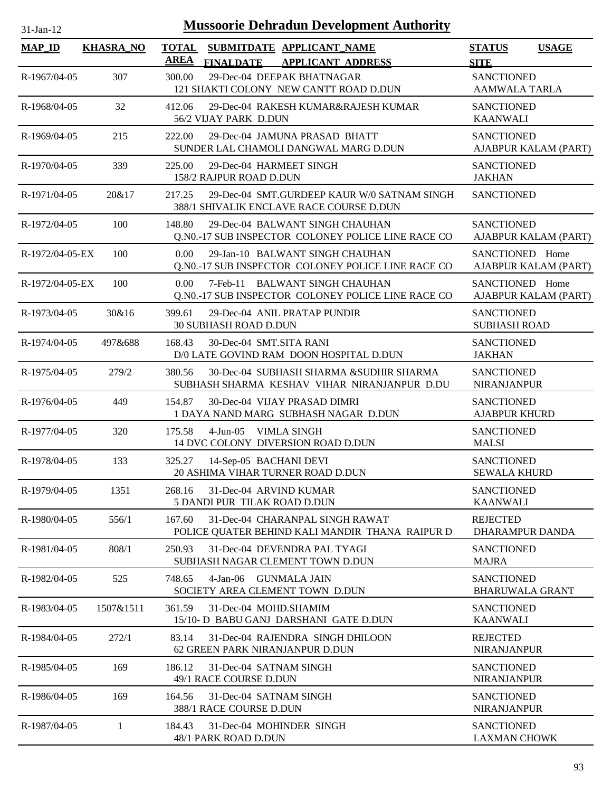| $31$ -Jan-12    |                  | <b>Mussoorie Dehradun Development Authority</b>                                                        |                                             |              |
|-----------------|------------------|--------------------------------------------------------------------------------------------------------|---------------------------------------------|--------------|
| <b>MAP_ID</b>   | <b>KHASRA_NO</b> | <b>TOTAL</b><br>SUBMITDATE APPLICANT_NAME<br>AREA<br><b>FINALDATE</b><br><b>APPLICANT ADDRESS</b>      | <b>STATUS</b><br><b>SITE</b>                | <b>USAGE</b> |
| R-1967/04-05    | 307              | 29-Dec-04 DEEPAK BHATNAGAR<br>300.00<br>121 SHAKTI COLONY NEW CANTT ROAD D.DUN                         | <b>SANCTIONED</b><br><b>AAMWALA TARLA</b>   |              |
| R-1968/04-05    | 32               | 412.06<br>29-Dec-04 RAKESH KUMAR&RAJESH KUMAR<br>56/2 VIJAY PARK D.DUN                                 | <b>SANCTIONED</b><br><b>KAANWALI</b>        |              |
| R-1969/04-05    | 215              | 29-Dec-04 JAMUNA PRASAD BHATT<br>222.00<br>SUNDER LAL CHAMOLI DANGWAL MARG D.DUN                       | <b>SANCTIONED</b><br>AJABPUR KALAM (PART)   |              |
| R-1970/04-05    | 339              | 225.00<br>29-Dec-04 HARMEET SINGH<br>158/2 RAJPUR ROAD D.DUN                                           | <b>SANCTIONED</b><br><b>JAKHAN</b>          |              |
| R-1971/04-05    | 20&17            | 29-Dec-04 SMT.GURDEEP KAUR W/0 SATNAM SINGH<br>217.25<br>388/1 SHIVALIK ENCLAVE RACE COURSE D.DUN      | <b>SANCTIONED</b>                           |              |
| R-1972/04-05    | 100              | 29-Dec-04 BALWANT SINGH CHAUHAN<br>148.80<br>O.NO.-17 SUB INSPECTOR COLONEY POLICE LINE RACE CO        | <b>SANCTIONED</b><br>AJABPUR KALAM (PART)   |              |
| R-1972/04-05-EX | 100              | 0.00<br>29-Jan-10 BALWANT SINGH CHAUHAN<br>Q.N0.-17 SUB INSPECTOR COLONEY POLICE LINE RACE CO          | SANCTIONED Home<br>AJABPUR KALAM (PART)     |              |
| R-1972/04-05-EX | 100              | $0.00^{\circ}$<br>7-Feb-11 BALWANT SINGH CHAUHAN<br>Q.NO.-17 SUB INSPECTOR COLONEY POLICE LINE RACE CO | SANCTIONED Home<br>AJABPUR KALAM (PART)     |              |
| R-1973/04-05    | 30&16            | 29-Dec-04 ANIL PRATAP PUNDIR<br>399.61<br>30 SUBHASH ROAD D.DUN                                        | <b>SANCTIONED</b><br><b>SUBHASH ROAD</b>    |              |
| R-1974/04-05    | 497&688          | 168.43<br>30-Dec-04 SMT.SITA RANI<br>D/0 LATE GOVIND RAM DOON HOSPITAL D.DUN                           | <b>SANCTIONED</b><br><b>JAKHAN</b>          |              |
| R-1975/04-05    | 279/2            | 30-Dec-04 SUBHASH SHARMA & SUDHIR SHARMA<br>380.56<br>SUBHASH SHARMA KESHAV VIHAR NIRANJANPUR D.DU     | <b>SANCTIONED</b><br><b>NIRANJANPUR</b>     |              |
| R-1976/04-05    | 449              | 154.87<br>30-Dec-04 VIJAY PRASAD DIMRI<br>1 DAYA NAND MARG SUBHASH NAGAR D.DUN                         | <b>SANCTIONED</b><br><b>AJABPUR KHURD</b>   |              |
| R-1977/04-05    | 320              | 175.58<br>$4-Jun-05$<br>VIMLA SINGH<br>14 DVC COLONY DIVERSION ROAD D.DUN                              | <b>SANCTIONED</b><br><b>MALSI</b>           |              |
| R-1978/04-05    | 133              | 325.27<br>14-Sep-05 BACHANI DEVI<br>20 ASHIMA VIHAR TURNER ROAD D.DUN                                  | <b>SANCTIONED</b><br><b>SEWALA KHURD</b>    |              |
| R-1979/04-05    | 1351             | 31-Dec-04 ARVIND KUMAR<br>268.16<br>5 DANDI PUR TILAK ROAD D.DUN                                       | <b>SANCTIONED</b><br><b>KAANWALI</b>        |              |
| R-1980/04-05    | 556/1            | 167.60<br>31-Dec-04 CHARANPAL SINGH RAWAT<br>POLICE QUATER BEHIND KALI MANDIR THANA RAIPUR D           | <b>REJECTED</b><br>DHARAMPUR DANDA          |              |
| R-1981/04-05    | 808/1            | 31-Dec-04 DEVENDRA PAL TYAGI<br>250.93<br>SUBHASH NAGAR CLEMENT TOWN D.DUN                             | <b>SANCTIONED</b><br><b>MAJRA</b>           |              |
| R-1982/04-05    | 525              | 748.65<br>$4-Jan-06$<br>GUNMALA JAIN<br>SOCIETY AREA CLEMENT TOWN D.DUN                                | <b>SANCTIONED</b><br><b>BHARUWALA GRANT</b> |              |
| R-1983/04-05    | 1507&1511        | 31-Dec-04 MOHD.SHAMIM<br>361.59<br>15/10- D BABU GANJ DARSHANI GATE D.DUN                              | <b>SANCTIONED</b><br><b>KAANWALI</b>        |              |
| R-1984/04-05    | 272/1            | 83.14<br>31-Dec-04 RAJENDRA SINGH DHILOON<br>62 GREEN PARK NIRANJANPUR D.DUN                           | <b>REJECTED</b><br><b>NIRANJANPUR</b>       |              |
| R-1985/04-05    | 169              | 31-Dec-04 SATNAM SINGH<br>186.12<br>49/1 RACE COURSE D.DUN                                             | <b>SANCTIONED</b><br><b>NIRANJANPUR</b>     |              |
| R-1986/04-05    | 169              | 164.56<br>31-Dec-04 SATNAM SINGH<br>388/1 RACE COURSE D.DUN                                            | <b>SANCTIONED</b><br><b>NIRANJANPUR</b>     |              |
| R-1987/04-05    | 1                | 184.43<br>31-Dec-04 MOHINDER SINGH<br>48/1 PARK ROAD D.DUN                                             | <b>SANCTIONED</b><br><b>LAXMAN CHOWK</b>    |              |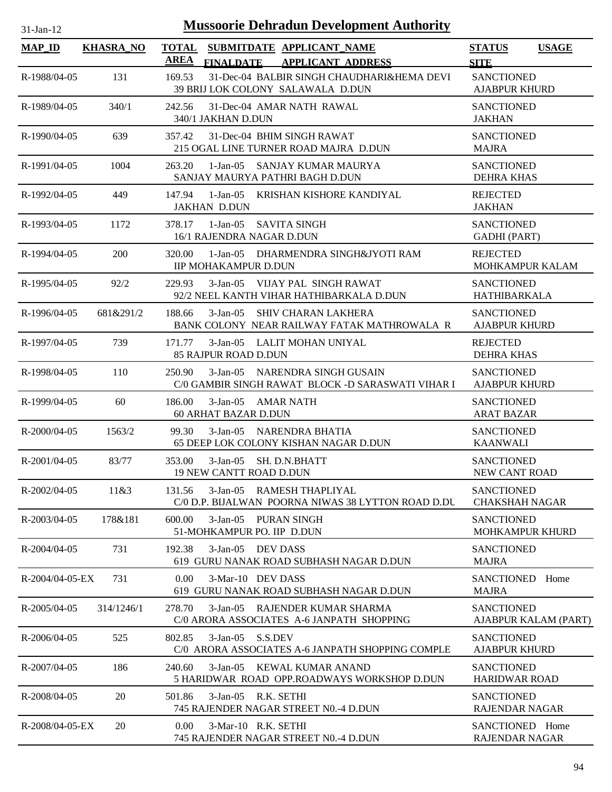| <b>Mussoorie Dehradun Development Authority</b><br>$31-Jan-12$ |                  |                             |                                                                                          |                                             |                      |  |  |
|----------------------------------------------------------------|------------------|-----------------------------|------------------------------------------------------------------------------------------|---------------------------------------------|----------------------|--|--|
| <b>MAP_ID</b>                                                  | <b>KHASRA_NO</b> | <b>TOTAL</b><br><b>AREA</b> | SUBMITDATE APPLICANT NAME<br><b>FINALDATE</b><br><b>APPLICANT ADDRESS</b>                | <b>STATUS</b><br><b>SITE</b>                | <b>USAGE</b>         |  |  |
| R-1988/04-05                                                   | 131              | 169.53                      | 31-Dec-04 BALBIR SINGH CHAUDHARI&HEMA DEVI<br>39 BRIJ LOK COLONY SALAWALA D.DUN          | <b>SANCTIONED</b><br><b>AJABPUR KHURD</b>   |                      |  |  |
| R-1989/04-05                                                   | 340/1            | 242.56                      | 31-Dec-04 AMAR NATH RAWAL<br>340/1 JAKHAN D.DUN                                          | <b>SANCTIONED</b><br><b>JAKHAN</b>          |                      |  |  |
| R-1990/04-05                                                   | 639              | 357.42                      | 31-Dec-04 BHIM SINGH RAWAT<br>215 OGAL LINE TURNER ROAD MAJRA D.DUN                      | <b>SANCTIONED</b><br><b>MAJRA</b>           |                      |  |  |
| R-1991/04-05                                                   | 1004             | 263.20                      | $1-Jan-05$<br>SANJAY KUMAR MAURYA<br>SANJAY MAURYA PATHRI BAGH D.DUN                     | <b>SANCTIONED</b><br><b>DEHRA KHAS</b>      |                      |  |  |
| R-1992/04-05                                                   | 449              | 147.94                      | $1-Jan-05$<br>KRISHAN KISHORE KANDIYAL<br><b>JAKHAN D.DUN</b>                            | <b>REJECTED</b><br><b>JAKHAN</b>            |                      |  |  |
| R-1993/04-05                                                   | 1172             | 378.17                      | $1-Jan-05$<br><b>SAVITA SINGH</b><br>16/1 RAJENDRA NAGAR D.DUN                           | <b>SANCTIONED</b><br><b>GADHI (PART)</b>    |                      |  |  |
| R-1994/04-05                                                   | 200              | 320.00                      | 1-Jan-05 DHARMENDRA SINGH&JYOTI RAM<br><b>IIP MOHAKAMPUR D.DUN</b>                       | <b>REJECTED</b><br><b>MOHKAMPUR KALAM</b>   |                      |  |  |
| R-1995/04-05                                                   | 92/2             | 229.93                      | VIJAY PAL SINGH RAWAT<br>$3-Jan-05$<br>92/2 NEEL KANTH VIHAR HATHIBARKALA D.DUN          | <b>SANCTIONED</b><br><b>HATHIBARKALA</b>    |                      |  |  |
| R-1996/04-05                                                   | 681&291/2        | 188.66                      | $3-Jan-05$<br><b>SHIV CHARAN LAKHERA</b><br>BANK COLONY NEAR RAILWAY FATAK MATHROWALA R  | <b>SANCTIONED</b><br><b>AJABPUR KHURD</b>   |                      |  |  |
| R-1997/04-05                                                   | 739              | 171.77                      | 3-Jan-05 LALIT MOHAN UNIYAL<br>85 RAJPUR ROAD D.DUN                                      | <b>REJECTED</b><br><b>DEHRA KHAS</b>        |                      |  |  |
| R-1998/04-05                                                   | 110              | 250.90                      | NARENDRA SINGH GUSAIN<br>$3-Jan-05$<br>C/0 GAMBIR SINGH RAWAT BLOCK -D SARASWATI VIHAR I | <b>SANCTIONED</b><br><b>AJABPUR KHURD</b>   |                      |  |  |
| R-1999/04-05                                                   | 60               | 186.00                      | 3-Jan-05 AMAR NATH<br>60 ARHAT BAZAR D.DUN                                               | <b>SANCTIONED</b><br><b>ARAT BAZAR</b>      |                      |  |  |
| $R - 2000/04 - 05$                                             | 1563/2           | 99.30                       | 3-Jan-05 NARENDRA BHATIA<br>65 DEEP LOK COLONY KISHAN NAGAR D.DUN                        | <b>SANCTIONED</b><br><b>KAANWALI</b>        |                      |  |  |
| $R - 2001/04 - 05$                                             | 83/77            | 353.00                      | $3-Jan-05$<br><b>SH. D.N.BHATT</b><br><b>19 NEW CANTT ROAD D.DUN</b>                     | <b>SANCTIONED</b><br>NEW CANT ROAD          |                      |  |  |
| R-2002/04-05                                                   | 11&3             | 131.56                      | $3-Jan-05$<br>RAMESH THAPLIYAL<br>C/0 D.P. BIJALWAN POORNA NIWAS 38 LYTTON ROAD D.DU     | <b>SANCTIONED</b><br><b>CHAKSHAH NAGAR</b>  |                      |  |  |
| R-2003/04-05                                                   | 178&181          | 600.00                      | $3-Jan-05$<br>PURAN SINGH<br>51-MOHKAMPUR PO. IIP D.DUN                                  | <b>SANCTIONED</b><br><b>MOHKAMPUR KHURD</b> |                      |  |  |
| R-2004/04-05                                                   | 731              | 192.38                      | $3-Jan-05$<br>DEV DASS<br>619 GURU NANAK ROAD SUBHASH NAGAR D.DUN                        | SANCTIONED<br><b>MAJRA</b>                  |                      |  |  |
| R-2004/04-05-EX                                                | 731              | 0.00                        | 3-Mar-10 DEV DASS<br>619 GURU NANAK ROAD SUBHASH NAGAR D.DUN                             | <b>SANCTIONED</b><br><b>MAJRA</b>           | Home                 |  |  |
| $R - 2005/04 - 05$                                             | 314/1246/1       | 278.70                      | 3-Jan-05 RAJENDER KUMAR SHARMA<br>C/0 ARORA ASSOCIATES A-6 JANPATH SHOPPING              | <b>SANCTIONED</b>                           | AJABPUR KALAM (PART) |  |  |
| R-2006/04-05                                                   | 525              | 802.85                      | $3-Jan-05$<br>S.S.DEV<br>C/0 ARORA ASSOCIATES A-6 JANPATH SHOPPING COMPLE                | <b>SANCTIONED</b><br><b>AJABPUR KHURD</b>   |                      |  |  |
| R-2007/04-05                                                   | 186              | 240.60                      | 3-Jan-05 KEWAL KUMAR ANAND<br>5 HARIDWAR ROAD OPP.ROADWAYS WORKSHOP D.DUN                | <b>SANCTIONED</b><br><b>HARIDWAR ROAD</b>   |                      |  |  |
| R-2008/04-05                                                   | 20               | 501.86                      | 3-Jan-05 R.K. SETHI<br>745 RAJENDER NAGAR STREET N0.-4 D.DUN                             | <b>SANCTIONED</b><br><b>RAJENDAR NAGAR</b>  |                      |  |  |
| R-2008/04-05-EX                                                | 20               | 0.00                        | 3-Mar-10 R.K. SETHI<br>745 RAJENDER NAGAR STREET N0.-4 D.DUN                             | SANCTIONED Home<br><b>RAJENDAR NAGAR</b>    |                      |  |  |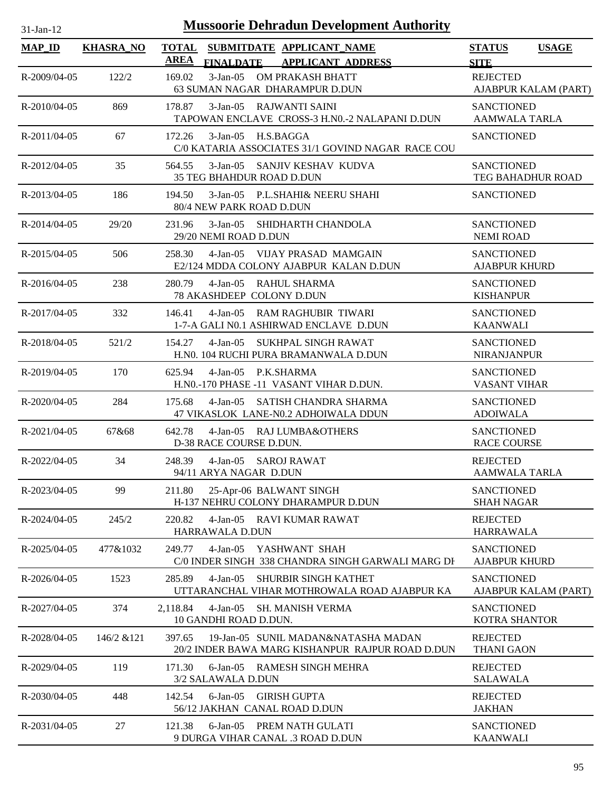| 1-Jan-1 |  |
|---------|--|
|         |  |

| <b>MAP_ID</b>  | <b>KHASRA NO</b> | SUBMITDATE APPLICANT NAME<br><b>TOTAL</b><br><b>AREA</b><br><b>FINALDATE</b>                        | <b>APPLICANT ADDRESS</b> | <b>STATUS</b><br><b>SITE</b>                  | <b>USAGE</b>         |
|----------------|------------------|-----------------------------------------------------------------------------------------------------|--------------------------|-----------------------------------------------|----------------------|
| R-2009/04-05   | 122/2            | 169.02<br>3-Jan-05 OM PRAKASH BHATT<br>63 SUMAN NAGAR DHARAMPUR D.DUN                               |                          | <b>REJECTED</b>                               | AJABPUR KALAM (PART) |
| R-2010/04-05   | 869              | $3-Jan-05$<br>RAJWANTI SAINI<br>178.87<br>TAPOWAN ENCLAVE CROSS-3 H.NO.-2 NALAPANI D.DUN            |                          | <b>SANCTIONED</b><br>AAMWALA TARLA            |                      |
| $R-2011/04-05$ | 67               | H.S.BAGGA<br>172.26<br>$3-Jan-05$<br>C/0 KATARIA ASSOCIATES 31/1 GOVIND NAGAR RACE COU              |                          | <b>SANCTIONED</b>                             |                      |
| R-2012/04-05   | 35               | 564.55<br>3-Jan-05 SANJIV KESHAV KUDVA<br><b>35 TEG BHAHDUR ROAD D.DUN</b>                          |                          | <b>SANCTIONED</b><br><b>TEG BAHADHUR ROAD</b> |                      |
| R-2013/04-05   | 186              | $3-Jan-05$<br>P.L.SHAHI& NEERU SHAHI<br>194.50<br>80/4 NEW PARK ROAD D.DUN                          |                          | <b>SANCTIONED</b>                             |                      |
| R-2014/04-05   | 29/20            | SHIDHARTH CHANDOLA<br>231.96<br>$3-Jan-05$<br>29/20 NEMI ROAD D.DUN                                 |                          | <b>SANCTIONED</b><br><b>NEMI ROAD</b>         |                      |
| R-2015/04-05   | 506              | 258.30<br>$4-Jan-05$<br>VIJAY PRASAD MAMGAIN<br>E2/124 MDDA COLONY AJABPUR KALAN D.DUN              |                          | <b>SANCTIONED</b><br><b>AJABPUR KHURD</b>     |                      |
| R-2016/04-05   | 238              | 280.79<br>$4-Jan-05$<br><b>RAHUL SHARMA</b><br>78 AKASHDEEP COLONY D.DUN                            |                          | <b>SANCTIONED</b><br><b>KISHANPUR</b>         |                      |
| R-2017/04-05   | 332              | $4-Jan-05$<br><b>RAM RAGHUBIR TIWARI</b><br>146.41<br>1-7-A GALI N0.1 ASHIRWAD ENCLAVE D.DUN        |                          | <b>SANCTIONED</b><br><b>KAANWALI</b>          |                      |
| R-2018/04-05   | 521/2            | 154.27<br>$4-Jan-05$<br>SUKHPAL SINGH RAWAT<br>H.NO. 104 RUCHI PURA BRAMANWALA D.DUN                |                          | <b>SANCTIONED</b><br><b>NIRANJANPUR</b>       |                      |
| R-2019/04-05   | 170              | 625.94<br>$4-Jan-05$<br>P.K.SHARMA<br>H.NO.-170 PHASE -11 VASANT VIHAR D.DUN.                       |                          | <b>SANCTIONED</b><br><b>VASANT VIHAR</b>      |                      |
| R-2020/04-05   | 284              | 175.68<br>$4-Jan-05$<br>SATISH CHANDRA SHARMA<br>47 VIKASLOK LANE-N0.2 ADHOIWALA DDUN               |                          | <b>SANCTIONED</b><br><b>ADOIWALA</b>          |                      |
| R-2021/04-05   | 67&68            | 642.78<br>4-Jan-05 RAJ LUMBA&OTHERS<br>D-38 RACE COURSE D.DUN.                                      |                          | <b>SANCTIONED</b><br><b>RACE COURSE</b>       |                      |
| R-2022/04-05   | 34               | 248.39<br>4-Jan-05 SAROJ RAWAT<br>94/11 ARYA NAGAR D.DUN                                            |                          | <b>REJECTED</b><br><b>AAMWALA TARLA</b>       |                      |
| R-2023/04-05   | 99               | 25-Apr-06 BALWANT SINGH<br>211.80<br>H-137 NEHRU COLONY DHARAMPUR D.DUN                             |                          | <b>SANCTIONED</b><br><b>SHAH NAGAR</b>        |                      |
| R-2024/04-05   | 245/2            | 220.82<br>$4-Jan-05$<br>RAVI KUMAR RAWAT<br>HARRAWALA D.DUN                                         |                          | <b>REJECTED</b><br><b>HARRAWALA</b>           |                      |
| R-2025/04-05   | 477&1032         | YASHWANT SHAH<br>249.77<br>$4-Jan-05$<br>C/0 INDER SINGH 338 CHANDRA SINGH GARWALI MARG DH          |                          | <b>SANCTIONED</b><br><b>AJABPUR KHURD</b>     |                      |
| R-2026/04-05   | 1523             | 285.89<br>$4-Jan-05$<br><b>SHURBIR SINGH KATHET</b><br>UTTARANCHAL VIHAR MOTHROWALA ROAD AJABPUR KA |                          | <b>SANCTIONED</b>                             | AJABPUR KALAM (PART) |
| R-2027/04-05   | 374              | 2,118.84<br>$4-Jan-05$<br><b>SH. MANISH VERMA</b><br>10 GANDHI ROAD D.DUN.                          |                          | <b>SANCTIONED</b><br><b>KOTRA SHANTOR</b>     |                      |
| R-2028/04-05   | 146/2 & 121      | 397.65<br>19-Jan-05 SUNIL MADAN&NATASHA MADAN<br>20/2 INDER BAWA MARG KISHANPUR RAJPUR ROAD D.DUN   |                          | <b>REJECTED</b><br><b>THANI GAON</b>          |                      |
| R-2029/04-05   | 119              | $6$ -Jan $-05$<br>RAMESH SINGH MEHRA<br>171.30<br>3/2 SALAWALA D.DUN                                |                          | <b>REJECTED</b><br><b>SALAWALA</b>            |                      |
| R-2030/04-05   | 448              | 142.54<br>$6$ -Jan $-05$<br><b>GIRISH GUPTA</b><br>56/12 JAKHAN CANAL ROAD D.DUN                    |                          | <b>REJECTED</b><br><b>JAKHAN</b>              |                      |
| R-2031/04-05   | 27               | 121.38<br>$6$ -Jan $-05$<br>PREM NATH GULATI<br>9 DURGA VIHAR CANAL .3 ROAD D.DUN                   |                          | <b>SANCTIONED</b><br><b>KAANWALI</b>          |                      |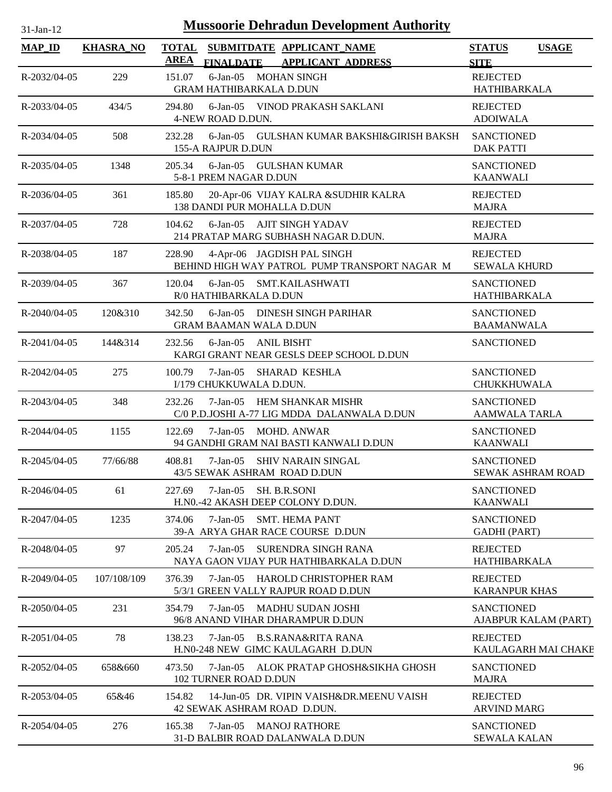| n. | $t$ -Jan- $\cdot$ |  |
|----|-------------------|--|

| <b>MAP_ID</b>      | <b>KHASRA_NO</b> | <b>TOTAL</b><br>SUBMITDATE APPLICANT_NAME<br><b>AREA</b><br><b>FINALDATE</b><br><b>APPLICANT ADDRESS</b> | <b>STATUS</b><br><b>USAGE</b><br><b>SITE</b>  |
|--------------------|------------------|----------------------------------------------------------------------------------------------------------|-----------------------------------------------|
| R-2032/04-05       | 229              | 151.07<br>6-Jan-05 MOHAN SINGH<br><b>GRAM HATHIBARKALA D.DUN</b>                                         | <b>REJECTED</b><br><b>HATHIBARKALA</b>        |
| R-2033/04-05       | 434/5            | 294.80<br>6-Jan-05 VINOD PRAKASH SAKLANI<br>4-NEW ROAD D.DUN.                                            | <b>REJECTED</b><br><b>ADOIWALA</b>            |
| R-2034/04-05       | 508              | $6$ -Jan- $05$<br>232.28<br>GULSHAN KUMAR BAKSHI&GIRISH BAKSH<br>155-A RAJPUR D.DUN                      | <b>SANCTIONED</b><br><b>DAK PATTI</b>         |
| $R - 2035/04 - 05$ | 1348             | 205.34<br>6-Jan-05 GULSHAN KUMAR<br>5-8-1 PREM NAGAR D.DUN                                               | <b>SANCTIONED</b><br><b>KAANWALI</b>          |
| R-2036/04-05       | 361              | 185.80<br>20-Apr-06 VIJAY KALRA &SUDHIR KALRA<br>138 DANDI PUR MOHALLA D.DUN                             | <b>REJECTED</b><br><b>MAJRA</b>               |
| R-2037/04-05       | 728              | 6-Jan-05 AJIT SINGH YADAV<br>104.62<br>214 PRATAP MARG SUBHASH NAGAR D.DUN.                              | <b>REJECTED</b><br><b>MAJRA</b>               |
| R-2038/04-05       | 187              | 4-Apr-06 JAGDISH PAL SINGH<br>228.90<br>BEHIND HIGH WAY PATROL PUMP TRANSPORT NAGAR M                    | <b>REJECTED</b><br><b>SEWALA KHURD</b>        |
| R-2039/04-05       | 367              | 120.04<br>6-Jan-05 SMT.KAILASHWATI<br>R/0 HATHIBARKALA D.DUN                                             | <b>SANCTIONED</b><br>HATHIBARKALA             |
| $R - 2040/04 - 05$ | 120&310          | DINESH SINGH PARIHAR<br>342.50<br>$6$ -Jan- $05$<br><b>GRAM BAAMAN WALA D.DUN</b>                        | <b>SANCTIONED</b><br><b>BAAMANWALA</b>        |
| R-2041/04-05       | 144&314          | 232.56<br>$6$ -Jan $-05$<br><b>ANIL BISHT</b><br>KARGI GRANT NEAR GESLS DEEP SCHOOL D.DUN                | <b>SANCTIONED</b>                             |
| R-2042/04-05       | 275              | 100.79<br>7-Jan-05<br><b>SHARAD KESHLA</b><br>I/179 CHUKKUWALA D.DUN.                                    | <b>SANCTIONED</b><br>CHUKKHUWALA              |
| R-2043/04-05       | 348              | 7-Jan-05 HEM SHANKAR MISHR<br>232.26<br>C/0 P.D.JOSHI A-77 LIG MDDA DALANWALA D.DUN                      | <b>SANCTIONED</b><br><b>AAMWALA TARLA</b>     |
| R-2044/04-05       | 1155             | 7-Jan-05 MOHD. ANWAR<br>122.69<br>94 GANDHI GRAM NAI BASTI KANWALI D.DUN                                 | <b>SANCTIONED</b><br><b>KAANWALI</b>          |
| R-2045/04-05       | 77/66/88         | 408.81<br>$7-Jan-05$<br><b>SHIV NARAIN SINGAL</b><br>43/5 SEWAK ASHRAM ROAD D.DUN                        | <b>SANCTIONED</b><br><b>SEWAK ASHRAM ROAD</b> |
| R-2046/04-05       | 61               | SH. B.R.SONI<br>227.69<br>$7-Jan-05$<br>H.N0.-42 AKASH DEEP COLONY D.DUN.                                | <b>SANCTIONED</b><br><b>KAANWALI</b>          |
| R-2047/04-05       | 1235             | <b>SMT. HEMA PANT</b><br>374.06<br>$7 - Jan - 0.5$<br>39-A ARYA GHAR RACE COURSE D.DUN                   | <b>SANCTIONED</b><br><b>GADHI</b> (PART)      |
| R-2048/04-05       | 97               | 205.24<br>7-Jan-05<br><b>SURENDRA SINGH RANA</b><br>NAYA GAON VIJAY PUR HATHIBARKALA D.DUN               | <b>REJECTED</b><br>HATHIBARKALA               |
| R-2049/04-05       | 107/108/109      | 376.39<br>HAROLD CHRISTOPHER RAM<br>7-Jan-05<br>5/3/1 GREEN VALLY RAJPUR ROAD D.DUN                      | <b>REJECTED</b><br><b>KARANPUR KHAS</b>       |
| R-2050/04-05       | 231              | $7 - Jan - 0.5$<br><b>MADHU SUDAN JOSHI</b><br>354.79<br>96/8 ANAND VIHAR DHARAMPUR D.DUN                | <b>SANCTIONED</b><br>AJABPUR KALAM (PART)     |
| R-2051/04-05       | 78               | 138.23<br>$7-Jan-05$<br><b>B.S.RANA&amp;RITA RANA</b><br>H.N0-248 NEW GIMC KAULAGARH D.DUN               | <b>REJECTED</b><br>KAULAGARH MAI CHAKE        |
| R-2052/04-05       | 658&660          | $7-Jan-05$<br>ALOK PRATAP GHOSH&SIKHA GHOSH<br>473.50<br><b>102 TURNER ROAD D.DUN</b>                    | <b>SANCTIONED</b><br><b>MAJRA</b>             |
| R-2053/04-05       | 65&46            | 154.82<br>14-Jun-05 DR. VIPIN VAISH&DR.MEENU VAISH<br>42 SEWAK ASHRAM ROAD D.DUN.                        | <b>REJECTED</b><br><b>ARVIND MARG</b>         |
| R-2054/04-05       | 276              | $7-Jan-05$<br><b>MANOJ RATHORE</b><br>165.38<br>31-D BALBIR ROAD DALANWALA D.DUN                         | <b>SANCTIONED</b><br><b>SEWALA KALAN</b>      |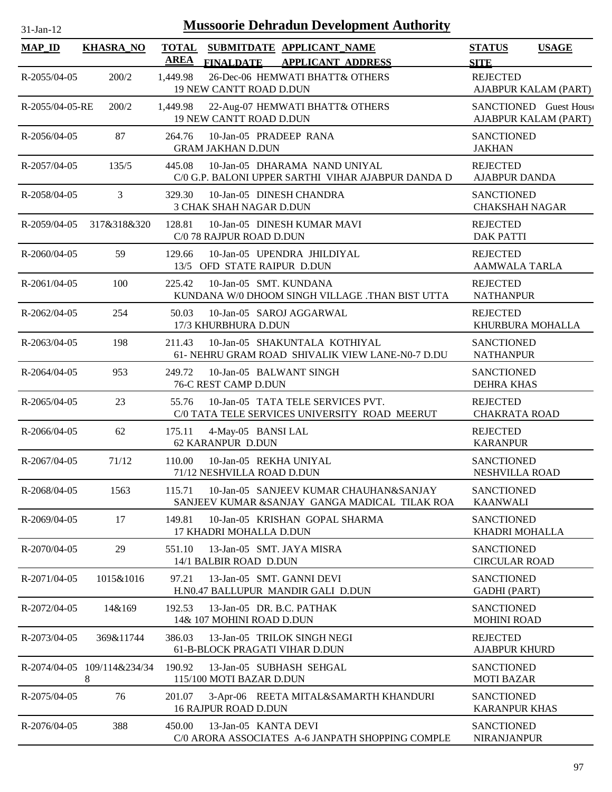| 31-Jan-12 |  |
|-----------|--|

| <b>MAP_ID</b>      | <b>KHASRA_NO</b>                 | <b>AREA</b> | TOTAL SUBMITDATE APPLICANT NAME<br><b>FINALDATE</b><br><b>APPLICANT ADDRESS</b>         | <b>STATUS</b><br><b>SITE</b>                   | <b>USAGE</b> |
|--------------------|----------------------------------|-------------|-----------------------------------------------------------------------------------------|------------------------------------------------|--------------|
| $R - 2055/04 - 05$ | 200/2                            | 1,449.98    | 26-Dec-06 HEMWATI BHATT& OTHERS<br>19 NEW CANTT ROAD D.DUN                              | <b>REJECTED</b><br>AJABPUR KALAM (PART)        |              |
| R-2055/04-05-RE    | 200/2                            | 1,449.98    | 22-Aug-07 HEMWATI BHATT& OTHERS<br><b>19 NEW CANTT ROAD D.DUN</b>                       | SANCTIONED Guest House<br>AJABPUR KALAM (PART) |              |
| R-2056/04-05       | 87                               | 264.76      | 10-Jan-05 PRADEEP RANA<br><b>GRAM JAKHAN D.DUN</b>                                      | <b>SANCTIONED</b><br><b>JAKHAN</b>             |              |
| R-2057/04-05       | 135/5                            | 445.08      | 10-Jan-05 DHARAMA NAND UNIYAL<br>C/0 G.P. BALONI UPPER SARTHI VIHAR AJABPUR DANDA D     | <b>REJECTED</b><br><b>AJABPUR DANDA</b>        |              |
| R-2058/04-05       | 3                                | 329.30      | 10-Jan-05 DINESH CHANDRA<br>3 CHAK SHAH NAGAR D.DUN                                     | <b>SANCTIONED</b><br><b>CHAKSHAH NAGAR</b>     |              |
| R-2059/04-05       | 317&318&320                      | 128.81      | 10-Jan-05 DINESH KUMAR MAVI<br>C/0 78 RAJPUR ROAD D.DUN                                 | <b>REJECTED</b><br><b>DAK PATTI</b>            |              |
| R-2060/04-05       | 59                               | 129.66      | 10-Jan-05 UPENDRA JHILDIYAL<br>13/5 OFD STATE RAIPUR D.DUN                              | <b>REJECTED</b><br><b>AAMWALA TARLA</b>        |              |
| R-2061/04-05       | 100                              | 225.42      | 10-Jan-05 SMT, KUNDANA<br>KUNDANA W/0 DHOOM SINGH VILLAGE .THAN BIST UTTA               | <b>REJECTED</b><br><b>NATHANPUR</b>            |              |
| $R - 2062/04 - 05$ | 254                              | 50.03       | 10-Jan-05 SAROJ AGGARWAL<br>17/3 KHURBHURA D.DUN                                        | <b>REJECTED</b><br>KHURBURA MOHALLA            |              |
| R-2063/04-05       | 198                              | 211.43      | 10-Jan-05 SHAKUNTALA KOTHIYAL<br>61- NEHRU GRAM ROAD SHIVALIK VIEW LANE-N0-7 D.DU       | <b>SANCTIONED</b><br><b>NATHANPUR</b>          |              |
| R-2064/04-05       | 953                              | 249.72      | 10-Jan-05 BALWANT SINGH<br>76-C REST CAMP D.DUN                                         | <b>SANCTIONED</b><br><b>DEHRA KHAS</b>         |              |
| R-2065/04-05       | 23                               | 55.76       | 10-Jan-05 TATA TELE SERVICES PVT.<br>C/0 TATA TELE SERVICES UNIVERSITY ROAD MEERUT      | <b>REJECTED</b><br><b>CHAKRATA ROAD</b>        |              |
| R-2066/04-05       | 62                               | 175.11      | 4-May-05 BANSI LAL<br>62 KARANPUR D.DUN                                                 | <b>REJECTED</b><br><b>KARANPUR</b>             |              |
| R-2067/04-05       | 71/12                            | 110.00      | 10-Jan-05 REKHA UNIYAL<br>71/12 NESHVILLA ROAD D.DUN                                    | <b>SANCTIONED</b><br>NESHVILLA ROAD            |              |
| R-2068/04-05       | 1563                             | 115.71      | 10-Jan-05 SANJEEV KUMAR CHAUHAN&SANJAY<br>SANJEEV KUMAR &SANJAY GANGA MADICAL TILAK ROA | <b>SANCTIONED</b><br><b>KAANWALI</b>           |              |
| R-2069/04-05       | 17                               | 149.81      | 10-Jan-05 KRISHAN GOPAL SHARMA<br>17 KHADRI MOHALLA D.DUN                               | <b>SANCTIONED</b><br>KHADRI MOHALLA            |              |
| R-2070/04-05       | 29                               | 551.10      | 13-Jan-05 SMT. JAYA MISRA<br>14/1 BALBIR ROAD D.DUN                                     | <b>SANCTIONED</b><br><b>CIRCULAR ROAD</b>      |              |
| R-2071/04-05       | 1015&1016                        | 97.21       | 13-Jan-05 SMT, GANNI DEVI<br>H.N0.47 BALLUPUR MANDIR GALI D.DUN                         | <b>SANCTIONED</b><br><b>GADHI</b> (PART)       |              |
| R-2072/04-05       | 14&169                           | 192.53      | 13-Jan-05 DR. B.C. PATHAK<br>14& 107 MOHINI ROAD D.DUN                                  | <b>SANCTIONED</b><br><b>MOHINI ROAD</b>        |              |
| R-2073/04-05       | 369&11744                        | 386.03      | 13-Jan-05 TRILOK SINGH NEGI<br>61-B-BLOCK PRAGATI VIHAR D.DUN                           | <b>REJECTED</b><br><b>AJABPUR KHURD</b>        |              |
|                    | R-2074/04-05 109/114&234/34<br>8 | 190.92      | 13-Jan-05 SUBHASH SEHGAL<br>115/100 MOTI BAZAR D.DUN                                    | <b>SANCTIONED</b><br><b>MOTI BAZAR</b>         |              |
| R-2075/04-05       | 76                               | 201.07      | 3-Apr-06 REETA MITAL&SAMARTH KHANDURI<br><b>16 RAJPUR ROAD D.DUN</b>                    | <b>SANCTIONED</b><br><b>KARANPUR KHAS</b>      |              |
| R-2076/04-05       | 388                              | 450.00      | 13-Jan-05 KANTA DEVI<br>C/0 ARORA ASSOCIATES A-6 JANPATH SHOPPING COMPLE                | <b>SANCTIONED</b><br><b>NIRANJANPUR</b>        |              |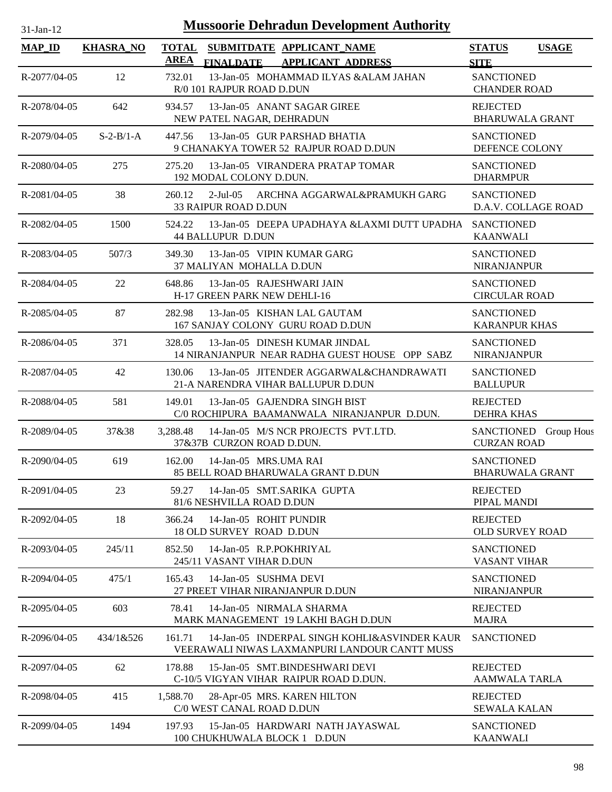| <b>Mussoorie Dehradun Development Authority</b><br>$31-Jan-12$ |                  |                             |                                                                                               |                                             |                       |
|----------------------------------------------------------------|------------------|-----------------------------|-----------------------------------------------------------------------------------------------|---------------------------------------------|-----------------------|
| <b>MAP_ID</b>                                                  | <b>KHASRA_NO</b> | <b>TOTAL</b><br><b>AREA</b> | SUBMITDATE APPLICANT_NAME<br><b>APPLICANT ADDRESS</b><br><b>FINALDATE</b>                     | <b>STATUS</b><br><b>SITE</b>                | <b>USAGE</b>          |
| R-2077/04-05                                                   | 12               | 732.01                      | 13-Jan-05 MOHAMMAD ILYAS &ALAM JAHAN<br>R/0 101 RAJPUR ROAD D.DUN                             | <b>SANCTIONED</b><br><b>CHANDER ROAD</b>    |                       |
| R-2078/04-05                                                   | 642              | 934.57                      | 13-Jan-05 ANANT SAGAR GIREE<br>NEW PATEL NAGAR, DEHRADUN                                      | <b>REJECTED</b><br><b>BHARUWALA GRANT</b>   |                       |
| R-2079/04-05                                                   | $S-2-B/1-A$      | 447.56                      | 13-Jan-05 GUR PARSHAD BHATIA<br>9 CHANAKYA TOWER 52 RAJPUR ROAD D.DUN                         | <b>SANCTIONED</b><br>DEFENCE COLONY         |                       |
| $R - 2080/04 - 05$                                             | 275              | 275.20                      | 13-Jan-05 VIRANDERA PRATAP TOMAR<br>192 MODAL COLONY D.DUN.                                   | <b>SANCTIONED</b><br><b>DHARMPUR</b>        |                       |
| R-2081/04-05                                                   | 38               | 260.12                      | $2$ -Jul-05<br>ARCHNA AGGARWAL&PRAMUKH GARG<br><b>33 RAIPUR ROAD D.DUN</b>                    | <b>SANCTIONED</b><br>D.A.V. COLLAGE ROAD    |                       |
| R-2082/04-05                                                   | 1500             | 524.22                      | 13-Jan-05 DEEPA UPADHAYA &LAXMI DUTT UPADHA<br><b>44 BALLUPUR D.DUN</b>                       | <b>SANCTIONED</b><br><b>KAANWALI</b>        |                       |
| R-2083/04-05                                                   | 507/3            | 349.30                      | 13-Jan-05 VIPIN KUMAR GARG<br>37 MALIYAN MOHALLA D.DUN                                        | <b>SANCTIONED</b><br>NIRANJANPUR            |                       |
| R-2084/04-05                                                   | 22               | 648.86                      | 13-Jan-05 RAJESHWARI JAIN<br>H-17 GREEN PARK NEW DEHLI-16                                     | <b>SANCTIONED</b><br><b>CIRCULAR ROAD</b>   |                       |
| R-2085/04-05                                                   | 87               | 282.98                      | 13-Jan-05 KISHAN LAL GAUTAM<br>167 SANJAY COLONY GURU ROAD D.DUN                              | <b>SANCTIONED</b><br><b>KARANPUR KHAS</b>   |                       |
| R-2086/04-05                                                   | 371              | 328.05                      | 13-Jan-05 DINESH KUMAR JINDAL<br>14 NIRANJANPUR NEAR RADHA GUEST HOUSE OPP SABZ               | <b>SANCTIONED</b><br><b>NIRANJANPUR</b>     |                       |
| R-2087/04-05                                                   | 42               | 130.06                      | 13-Jan-05 JITENDER AGGARWAL&CHANDRAWATI<br>21-A NARENDRA VIHAR BALLUPUR D.DUN                 | <b>SANCTIONED</b><br><b>BALLUPUR</b>        |                       |
| R-2088/04-05                                                   | 581              | 149.01                      | 13-Jan-05 GAJENDRA SINGH BIST<br>C/0 ROCHIPURA BAAMANWALA NIRANJANPUR D.DUN.                  | <b>REJECTED</b><br><b>DEHRA KHAS</b>        |                       |
| $R - 2089/04 - 05$                                             | 37&38            | 3,288.48                    | 14-Jan-05 M/S NCR PROJECTS PVT.LTD.<br>37&37B CURZON ROAD D.DUN.                              | <b>CURZAN ROAD</b>                          | SANCTIONED Group Hous |
| R-2090/04-05                                                   | 619              | 162.00                      | 14-Jan-05 MRS.UMA RAI<br>85 BELL ROAD BHARUWALA GRANT D.DUN                                   | <b>SANCTIONED</b><br><b>BHARUWALA GRANT</b> |                       |
| R-2091/04-05                                                   | 23               | 59.27                       | 14-Jan-05 SMT.SARIKA GUPTA<br>81/6 NESHVILLA ROAD D.DUN                                       | <b>REJECTED</b><br>PIPAL MANDI              |                       |
| R-2092/04-05                                                   | 18               | 366.24                      | 14-Jan-05 ROHIT PUNDIR<br><b>18 OLD SURVEY ROAD D.DUN</b>                                     | <b>REJECTED</b><br><b>OLD SURVEY ROAD</b>   |                       |
| R-2093/04-05                                                   | 245/11           | 852.50                      | 14-Jan-05 R.P.POKHRIYAL<br>245/11 VASANT VIHAR D.DUN                                          | <b>SANCTIONED</b><br><b>VASANT VIHAR</b>    |                       |
| R-2094/04-05                                                   | 475/1            | 165.43                      | 14-Jan-05 SUSHMA DEVI<br>27 PREET VIHAR NIRANJANPUR D.DUN                                     | <b>SANCTIONED</b><br><b>NIRANJANPUR</b>     |                       |
| R-2095/04-05                                                   | 603              | 78.41                       | 14-Jan-05 NIRMALA SHARMA<br>MARK MANAGEMENT 19 LAKHI BAGH D.DUN                               | <b>REJECTED</b><br><b>MAJRA</b>             |                       |
| R-2096/04-05                                                   | 434/1&526        | 161.71                      | 14-Jan-05 INDERPAL SINGH KOHLI&ASVINDER KAUR<br>VEERAWALI NIWAS LAXMANPURI LANDOUR CANTT MUSS | <b>SANCTIONED</b>                           |                       |
| R-2097/04-05                                                   | 62               | 178.88                      | 15-Jan-05 SMT.BINDESHWARI DEVI<br>C-10/5 VIGYAN VIHAR RAIPUR ROAD D.DUN.                      | <b>REJECTED</b><br><b>AAMWALA TARLA</b>     |                       |
| R-2098/04-05                                                   | 415              | 1,588.70                    | 28-Apr-05 MRS. KAREN HILTON<br>C/0 WEST CANAL ROAD D.DUN                                      | <b>REJECTED</b><br><b>SEWALA KALAN</b>      |                       |
| R-2099/04-05                                                   | 1494             | 197.93                      | 15-Jan-05 HARDWARI NATH JAYASWAL<br>100 CHUKHUWALA BLOCK 1 D.DUN                              | <b>SANCTIONED</b><br><b>KAANWALI</b>        |                       |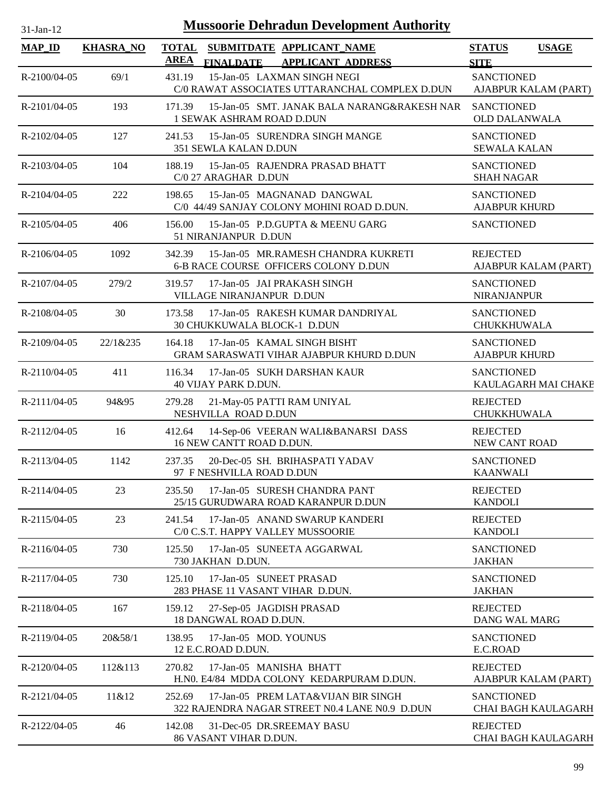| $31$ -Jan-12       |                  | <b>Mussoorie Dehradun Development Authority</b>                                                          |                                              |
|--------------------|------------------|----------------------------------------------------------------------------------------------------------|----------------------------------------------|
| <b>MAP_ID</b>      | <b>KHASRA NO</b> | <b>TOTAL</b><br>SUBMITDATE APPLICANT_NAME<br><b>AREA</b><br><b>FINALDATE</b><br><b>APPLICANT ADDRESS</b> | <b>STATUS</b><br><b>USAGE</b><br><b>SITE</b> |
| R-2100/04-05       | 69/1             | 431.19<br>15-Jan-05 LAXMAN SINGH NEGI<br>C/0 RAWAT ASSOCIATES UTTARANCHAL COMPLEX D.DUN                  | <b>SANCTIONED</b><br>AJABPUR KALAM (PART)    |
| R-2101/04-05       | 193              | 171.39<br>15-Jan-05 SMT. JANAK BALA NARANG&RAKESH NAR<br>1 SEWAK ASHRAM ROAD D.DUN                       | <b>SANCTIONED</b><br><b>OLD DALANWALA</b>    |
| R-2102/04-05       | 127              | 15-Jan-05 SURENDRA SINGH MANGE<br>241.53<br>351 SEWLA KALAN D.DUN                                        | <b>SANCTIONED</b><br><b>SEWALA KALAN</b>     |
| R-2103/04-05       | 104              | 188.19<br>15-Jan-05 RAJENDRA PRASAD BHATT<br>C/0 27 ARAGHAR D.DUN                                        | <b>SANCTIONED</b><br><b>SHAH NAGAR</b>       |
| R-2104/04-05       | 222              | 198.65<br>15-Jan-05 MAGNANAD DANGWAL<br>C/0 44/49 SANJAY COLONY MOHINI ROAD D.DUN.                       | <b>SANCTIONED</b><br><b>AJABPUR KHURD</b>    |
| $R - 2105/04 - 05$ | 406              | 156.00<br>15-Jan-05 P.D.GUPTA & MEENU GARG<br>51 NIRANJANPUR D.DUN                                       | <b>SANCTIONED</b>                            |
| R-2106/04-05       | 1092             | 15-Jan-05 MR.RAMESH CHANDRA KUKRETI<br>342.39<br>6-B RACE COURSE OFFICERS COLONY D.DUN                   | <b>REJECTED</b><br>AJABPUR KALAM (PART)      |
| R-2107/04-05       | 279/2            | 17-Jan-05 JAI PRAKASH SINGH<br>319.57<br>VILLAGE NIRANJANPUR D.DUN                                       | <b>SANCTIONED</b><br><b>NIRANJANPUR</b>      |
| R-2108/04-05       | 30               | 17-Jan-05 RAKESH KUMAR DANDRIYAL<br>173.58<br>30 CHUKKUWALA BLOCK-1 D.DUN                                | <b>SANCTIONED</b><br><b>CHUKKHUWALA</b>      |
| R-2109/04-05       | 22/1&235         | 17-Jan-05 KAMAL SINGH BISHT<br>164.18<br>GRAM SARASWATI VIHAR AJABPUR KHURD D.DUN                        | <b>SANCTIONED</b><br><b>AJABPUR KHURD</b>    |
| R-2110/04-05       | 411              | 116.34<br>17-Jan-05 SUKH DARSHAN KAUR<br>40 VIJAY PARK D.DUN.                                            | <b>SANCTIONED</b><br>KAULAGARH MAI CHAKE     |
| $R-2111/04-05$     | 94&95            | 279.28<br>21-May-05 PATTI RAM UNIYAL<br>NESHVILLA ROAD D.DUN                                             | <b>REJECTED</b><br><b>CHUKKHUWALA</b>        |
| R-2112/04-05       | 16               | 412.64<br>14-Sep-06 VEERAN WALI&BANARSI DASS<br>16 NEW CANTT ROAD D.DUN.                                 | <b>REJECTED</b><br>NEW CANT ROAD             |
| R-2113/04-05       | 1142             | 237.35<br>20-Dec-05 SH. BRIHASPATI YADAV<br>97 F NESHVILLA ROAD D.DUN                                    | <b>SANCTIONED</b><br><b>KAANWALI</b>         |
| R-2114/04-05       | 23               | 17-Jan-05 SURESH CHANDRA PANT<br>235.50<br>25/15 GURUDWARA ROAD KARANPUR D.DUN                           | <b>REJECTED</b><br><b>KANDOLI</b>            |
| R-2115/04-05       | 23               | 241.54<br>17-Jan-05 ANAND SWARUP KANDERI<br>C/0 C.S.T. HAPPY VALLEY MUSSOORIE                            | <b>REJECTED</b><br><b>KANDOLI</b>            |
| R-2116/04-05       | 730              | 17-Jan-05 SUNEETA AGGARWAL<br>125.50<br>730 JAKHAN D.DUN.                                                | <b>SANCTIONED</b><br><b>JAKHAN</b>           |
| R-2117/04-05       | 730              | 17-Jan-05 SUNEET PRASAD<br>125.10<br>283 PHASE 11 VASANT VIHAR D.DUN.                                    | <b>SANCTIONED</b><br><b>JAKHAN</b>           |
| R-2118/04-05       | 167              | 159.12<br>27-Sep-05 JAGDISH PRASAD<br>18 DANGWAL ROAD D.DUN.                                             | <b>REJECTED</b><br>DANG WAL MARG             |
| R-2119/04-05       | 20&58/1          | 138.95<br>17-Jan-05 MOD. YOUNUS<br>12 E.C.ROAD D.DUN.                                                    | <b>SANCTIONED</b><br>E.C.ROAD                |
| R-2120/04-05       | 112&113          | 17-Jan-05 MANISHA BHATT<br>270.82<br>H.NO. E4/84 MDDA COLONY KEDARPURAM D.DUN.                           | <b>REJECTED</b><br>AJABPUR KALAM (PART)      |
| R-2121/04-05       | 11&12            | 252.69<br>17-Jan-05 PREM LATA&VIJAN BIR SINGH<br>322 RAJENDRA NAGAR STREET N0.4 LANE N0.9 D.DUN          | <b>SANCTIONED</b><br>CHAI BAGH KAULAGARH     |
| R-2122/04-05       | 46               | 142.08<br>31-Dec-05 DR.SREEMAY BASU<br>86 VASANT VIHAR D.DUN.                                            | <b>REJECTED</b><br>CHAI BAGH KAULAGARH       |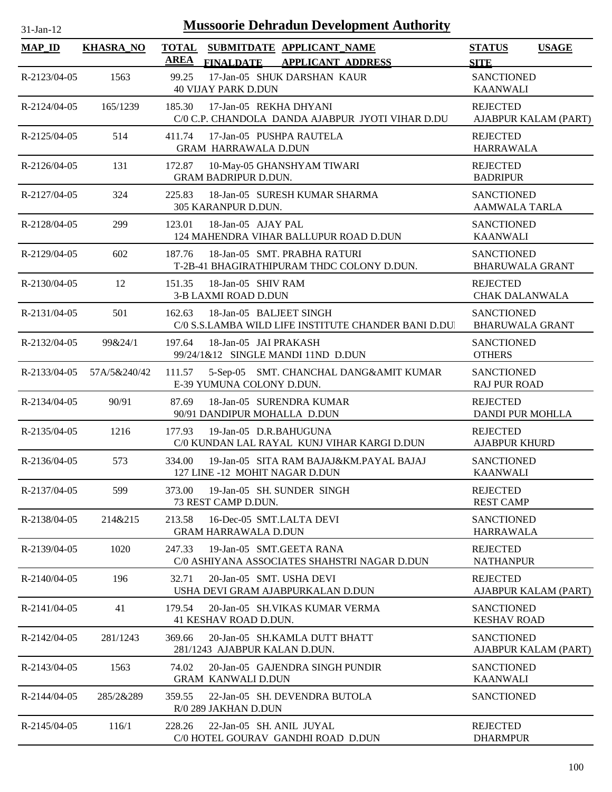| 31-Jan-12           |                  | <b>Mussoorie Dehradun Development Authority</b>                                           |                                              |
|---------------------|------------------|-------------------------------------------------------------------------------------------|----------------------------------------------|
| $MAP$ <sub>ID</sub> | <b>KHASRA_NO</b> | <b>TOTAL</b><br>SUBMITDATE APPLICANT_NAME<br><b>AREA</b><br>FINALDATE APPLICANT ADDRESS   | <b>STATUS</b><br><b>USAGE</b><br><b>SITE</b> |
| R-2123/04-05        | 1563             | 17-Jan-05 SHUK DARSHAN KAUR<br>99.25<br><b>40 VIJAY PARK D.DUN</b>                        | <b>SANCTIONED</b><br><b>KAANWALI</b>         |
| R-2124/04-05        | 165/1239         | 185.30<br>17-Jan-05 REKHA DHYANI<br>C/0 C.P. CHANDOLA DANDA AJABPUR JYOTI VIHAR D.DU      | <b>REJECTED</b><br>AJABPUR KALAM (PART)      |
| R-2125/04-05        | 514              | 411.74<br>17-Jan-05 PUSHPA RAUTELA<br><b>GRAM HARRAWALA D.DUN</b>                         | <b>REJECTED</b><br><b>HARRAWALA</b>          |
| R-2126/04-05        | 131              | 172.87<br>10-May-05 GHANSHYAM TIWARI<br><b>GRAM BADRIPUR D.DUN.</b>                       | <b>REJECTED</b><br><b>BADRIPUR</b>           |
| R-2127/04-05        | 324              | 18-Jan-05 SURESH KUMAR SHARMA<br>225.83<br>305 KARANPUR D.DUN.                            | <b>SANCTIONED</b><br><b>AAMWALA TARLA</b>    |
| R-2128/04-05        | 299              | 18-Jan-05 AJAY PAL<br>123.01<br>124 MAHENDRA VIHAR BALLUPUR ROAD D.DUN                    | <b>SANCTIONED</b><br><b>KAANWALI</b>         |
| R-2129/04-05        | 602              | 18-Jan-05 SMT. PRABHA RATURI<br>187.76<br>T-2B-41 BHAGIRATHIPURAM THDC COLONY D.DUN.      | <b>SANCTIONED</b><br><b>BHARUWALA GRANT</b>  |
| R-2130/04-05        | 12               | 18-Jan-05 SHIV RAM<br>151.35<br>3-B LAXMI ROAD D.DUN                                      | <b>REJECTED</b><br><b>CHAK DALANWALA</b>     |
| R-2131/04-05        | 501              | 18-Jan-05 BALJEET SINGH<br>162.63<br>C/0 S.S.LAMBA WILD LIFE INSTITUTE CHANDER BANI D.DUI | <b>SANCTIONED</b><br><b>BHARUWALA GRANT</b>  |
| R-2132/04-05        | 99&24/1          | 197.64<br>18-Jan-05 JAI PRAKASH<br>99/24/1&12 SINGLE MANDI 11ND D.DUN                     | <b>SANCTIONED</b><br><b>OTHERS</b>           |
| R-2133/04-05        | 57A/5&240/42     | 5-Sep-05 SMT. CHANCHAL DANG&AMIT KUMAR<br>111.57<br>E-39 YUMUNA COLONY D.DUN.             | <b>SANCTIONED</b><br><b>RAJ PUR ROAD</b>     |
| R-2134/04-05        | 90/91            | 87.69<br>18-Jan-05 SURENDRA KUMAR<br>90/91 DANDIPUR MOHALLA D.DUN                         | <b>REJECTED</b><br><b>DANDI PUR MOHLLA</b>   |
| R-2135/04-05        | 1216             | 177.93<br>19-Jan-05 D.R.BAHUGUNA<br>C/0 KUNDAN LAL RAYAL KUNJ VIHAR KARGI D.DUN           | <b>REJECTED</b><br><b>AJABPUR KHURD</b>      |
| R-2136/04-05        | 573              | 334.00<br>19-Jan-05 SITA RAM BAJAJ&KM.PAYAL BAJAJ<br>127 LINE -12 MOHIT NAGAR D.DUN       | <b>SANCTIONED</b><br><b>KAANWALI</b>         |
| R-2137/04-05        | 599              | 19-Jan-05 SH. SUNDER SINGH<br>373.00<br>73 REST CAMP D.DUN.                               | <b>REJECTED</b><br><b>REST CAMP</b>          |
| R-2138/04-05        | 214&215          | 213.58<br>16-Dec-05 SMT.LALTA DEVI<br><b>GRAM HARRAWALA D.DUN</b>                         | <b>SANCTIONED</b><br><b>HARRAWALA</b>        |
| R-2139/04-05        | 1020             | 19-Jan-05 SMT.GEETA RANA<br>247.33<br>C/0 ASHIYANA ASSOCIATES SHAHSTRI NAGAR D.DUN        | <b>REJECTED</b><br><b>NATHANPUR</b>          |
| $R-2140/04-05$      | 196              | 32.71<br>20-Jan-05 SMT. USHA DEVI<br>USHA DEVI GRAM AJABPURKALAN D.DUN                    | <b>REJECTED</b><br>AJABPUR KALAM (PART)      |
| $R-2141/04-05$      | 41               | 20-Jan-05 SH.VIKAS KUMAR VERMA<br>179.54<br>41 KESHAV ROAD D.DUN.                         | <b>SANCTIONED</b><br><b>KESHAV ROAD</b>      |
| R-2142/04-05        | 281/1243         | 369.66<br>20-Jan-05 SH.KAMLA DUTT BHATT<br>281/1243 AJABPUR KALAN D.DUN.                  | <b>SANCTIONED</b><br>AJABPUR KALAM (PART)    |
| R-2143/04-05        | 1563             | 74.02<br>20-Jan-05 GAJENDRA SINGH PUNDIR<br><b>GRAM KANWALI D.DUN</b>                     | <b>SANCTIONED</b><br><b>KAANWALI</b>         |
| $R-2144/04-05$      | 285/2&289        | 359.55<br>22-Jan-05 SH. DEVENDRA BUTOLA<br>R/0 289 JAKHAN D.DUN                           | <b>SANCTIONED</b>                            |
| R-2145/04-05        | 116/1            | 228.26<br>22-Jan-05 SH. ANIL JUYAL<br>C/0 HOTEL GOURAV GANDHI ROAD D.DUN                  | <b>REJECTED</b><br><b>DHARMPUR</b>           |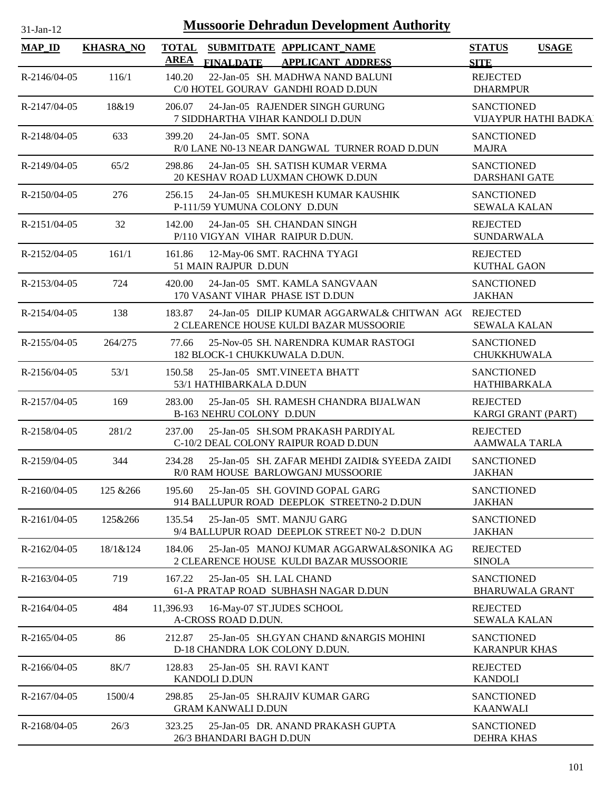| $31$ -Jan-1 |  |
|-------------|--|
|             |  |

| <b>MAP_ID</b>  | <b>KHASRA_NO</b> | <b>TOTAL</b><br>SUBMITDATE APPLICANT NAME<br><b>AREA</b>                                                                         | <b>STATUS</b><br><b>USAGE</b>                     |
|----------------|------------------|----------------------------------------------------------------------------------------------------------------------------------|---------------------------------------------------|
| R-2146/04-05   | 116/1            | <b>FINALDATE</b><br><b>APPLICANT ADDRESS</b><br>140.20<br>22-Jan-05 SH. MADHWA NAND BALUNI<br>C/0 HOTEL GOURAV GANDHI ROAD D.DUN | <b>SITE</b><br><b>REJECTED</b><br><b>DHARMPUR</b> |
| R-2147/04-05   | 18&19            | 24-Jan-05 RAJENDER SINGH GURUNG<br>206.07<br>7 SIDDHARTHA VIHAR KANDOLI D.DUN                                                    | <b>SANCTIONED</b><br>VIJAYPUR HATHI BADKA         |
| R-2148/04-05   | 633              | 24-Jan-05 SMT. SONA<br>399.20<br>R/0 LANE N0-13 NEAR DANGWAL TURNER ROAD D.DUN                                                   | <b>SANCTIONED</b><br><b>MAJRA</b>                 |
| R-2149/04-05   | 65/2             | 24-Jan-05 SH. SATISH KUMAR VERMA<br>298.86<br>20 KESHAV ROAD LUXMAN CHOWK D.DUN                                                  | <b>SANCTIONED</b><br><b>DARSHANI GATE</b>         |
| R-2150/04-05   | 276              | 24-Jan-05 SH.MUKESH KUMAR KAUSHIK<br>256.15<br>P-111/59 YUMUNA COLONY D.DUN                                                      | <b>SANCTIONED</b><br><b>SEWALA KALAN</b>          |
| R-2151/04-05   | 32               | 24-Jan-05 SH. CHANDAN SINGH<br>142.00<br>P/110 VIGYAN VIHAR RAIPUR D.DUN.                                                        | <b>REJECTED</b><br><b>SUNDARWALA</b>              |
| R-2152/04-05   | 161/1            | 161.86<br>12-May-06 SMT. RACHNA TYAGI<br>51 MAIN RAJPUR D.DUN                                                                    | <b>REJECTED</b><br><b>KUTHAL GAON</b>             |
| R-2153/04-05   | 724              | 24-Jan-05 SMT. KAMLA SANGVAAN<br>420.00<br>170 VASANT VIHAR PHASE IST D.DUN                                                      | <b>SANCTIONED</b><br><b>JAKHAN</b>                |
| R-2154/04-05   | 138              | 24-Jan-05 DILIP KUMAR AGGARWAL& CHITWAN AG(REJECTED<br>183.87<br>2 CLEARENCE HOUSE KULDI BAZAR MUSSOORIE                         | <b>SEWALA KALAN</b>                               |
| R-2155/04-05   | 264/275          | 77.66<br>25-Nov-05 SH. NARENDRA KUMAR RASTOGI<br>182 BLOCK-1 CHUKKUWALA D.DUN.                                                   | <b>SANCTIONED</b><br>CHUKKHUWALA                  |
| $R-2156/04-05$ | 53/1             | 150.58<br>25-Jan-05 SMT.VINEETA BHATT<br>53/1 HATHIBARKALA D.DUN                                                                 | <b>SANCTIONED</b><br>HATHIBARKALA                 |
| R-2157/04-05   | 169              | 283.00<br>25-Jan-05 SH. RAMESH CHANDRA BIJALWAN<br>B-163 NEHRU COLONY D.DUN                                                      | <b>REJECTED</b><br>KARGI GRANT (PART)             |
| R-2158/04-05   | 281/2            | 25-Jan-05 SH.SOM PRAKASH PARDIYAL<br>237.00<br>C-10/2 DEAL COLONY RAIPUR ROAD D.DUN                                              | <b>REJECTED</b><br><b>AAMWALA TARLA</b>           |
| R-2159/04-05   | 344              | 25-Jan-05 SH. ZAFAR MEHDI ZAIDI& SYEEDA ZAIDI<br>234.28<br>R/0 RAM HOUSE BARLOWGANJ MUSSOORIE                                    | <b>SANCTIONED</b><br><b>JAKHAN</b>                |
| $R-2160/04-05$ | 125 & 266        | 25-Jan-05 SH. GOVIND GOPAL GARG<br>195.60<br>914 BALLUPUR ROAD DEEPLOK STREETN0-2 D.DUN                                          | <b>SANCTIONED</b><br><b>JAKHAN</b>                |
| $R-2161/04-05$ | 125&266          | 25-Jan-05 SMT. MANJU GARG<br>135.54<br>9/4 BALLUPUR ROAD DEEPLOK STREET N0-2 D.DUN                                               | <b>SANCTIONED</b><br><b>JAKHAN</b>                |
| R-2162/04-05   | 18/1&124         | 184.06<br>25-Jan-05 MANOJ KUMAR AGGARWAL&SONIKA AG<br>2 CLEARENCE HOUSE KULDI BAZAR MUSSOORIE                                    | <b>REJECTED</b><br><b>SINOLA</b>                  |
| R-2163/04-05   | 719              | 167.22<br>25-Jan-05 SH. LAL CHAND<br>61-A PRATAP ROAD SUBHASH NAGAR D.DUN                                                        | <b>SANCTIONED</b><br><b>BHARUWALA GRANT</b>       |
| $R-2164/04-05$ | 484              | 11,396.93<br>16-May-07 ST.JUDES SCHOOL<br>A-CROSS ROAD D.DUN.                                                                    | <b>REJECTED</b><br><b>SEWALA KALAN</b>            |
| R-2165/04-05   | 86               | 212.87<br>25-Jan-05 SH.GYAN CHAND &NARGIS MOHINI<br>D-18 CHANDRA LOK COLONY D.DUN.                                               | <b>SANCTIONED</b><br><b>KARANPUR KHAS</b>         |
| R-2166/04-05   | 8K/7             | 128.83<br>25-Jan-05 SH. RAVI KANT<br><b>KANDOLI D.DUN</b>                                                                        | <b>REJECTED</b><br><b>KANDOLI</b>                 |
| R-2167/04-05   | 1500/4           | 298.85<br>25-Jan-05 SH.RAJIV KUMAR GARG<br><b>GRAM KANWALI D.DUN</b>                                                             | <b>SANCTIONED</b><br><b>KAANWALI</b>              |
| R-2168/04-05   | 26/3             | 25-Jan-05 DR. ANAND PRAKASH GUPTA<br>323.25<br>26/3 BHANDARI BAGH D.DUN                                                          | <b>SANCTIONED</b><br><b>DEHRA KHAS</b>            |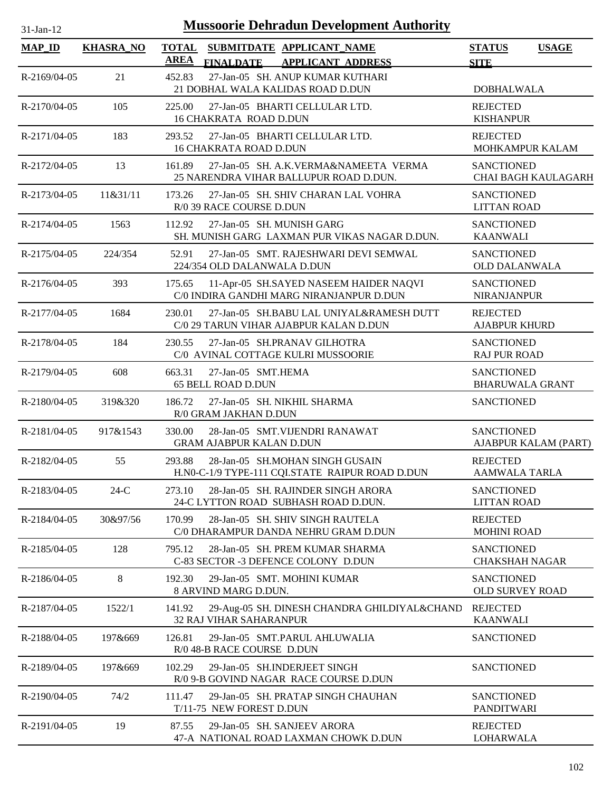| $31-Jan-12$    |                  | <b>Mussoorie Dehradun Development Authority</b>                                                          |                                                 |              |
|----------------|------------------|----------------------------------------------------------------------------------------------------------|-------------------------------------------------|--------------|
| <b>MAP_ID</b>  | <b>KHASRA_NO</b> | <b>TOTAL</b><br>SUBMITDATE APPLICANT_NAME<br><b>AREA</b><br><b>FINALDATE</b><br><b>APPLICANT ADDRESS</b> | <b>STATUS</b><br><b>SITE</b>                    | <b>USAGE</b> |
| R-2169/04-05   | 21               | 27-Jan-05 SH. ANUP KUMAR KUTHARI<br>452.83<br>21 DOBHAL WALA KALIDAS ROAD D.DUN                          | <b>DOBHALWALA</b>                               |              |
| R-2170/04-05   | 105              | 225.00<br>27-Jan-05 BHARTI CELLULAR LTD.<br>16 CHAKRATA ROAD D.DUN                                       | <b>REJECTED</b><br><b>KISHANPUR</b>             |              |
| R-2171/04-05   | 183              | 27-Jan-05 BHARTI CELLULAR LTD.<br>293.52<br><b>16 CHAKRATA ROAD D.DUN</b>                                | <b>REJECTED</b><br><b>MOHKAMPUR KALAM</b>       |              |
| R-2172/04-05   | 13               | 27-Jan-05 SH. A.K.VERMA&NAMEETA VERMA<br>161.89<br>25 NARENDRA VIHAR BALLUPUR ROAD D.DUN.                | <b>SANCTIONED</b><br><b>CHAI BAGH KAULAGARH</b> |              |
| R-2173/04-05   | 11&31/11         | 27-Jan-05 SH. SHIV CHARAN LAL VOHRA<br>173.26<br>R/0 39 RACE COURSE D.DUN                                | <b>SANCTIONED</b><br><b>LITTAN ROAD</b>         |              |
| R-2174/04-05   | 1563             | 112.92<br>27-Jan-05 SH. MUNISH GARG<br>SH. MUNISH GARG LAXMAN PUR VIKAS NAGAR D.DUN.                     | <b>SANCTIONED</b><br><b>KAANWALI</b>            |              |
| R-2175/04-05   | 224/354          | 27-Jan-05 SMT. RAJESHWARI DEVI SEMWAL<br>52.91<br>224/354 OLD DALANWALA D.DUN                            | <b>SANCTIONED</b><br><b>OLD DALANWALA</b>       |              |
| R-2176/04-05   | 393              | 11-Apr-05 SH.SAYED NASEEM HAIDER NAQVI<br>175.65<br>C/0 INDIRA GANDHI MARG NIRANJANPUR D.DUN             | <b>SANCTIONED</b><br><b>NIRANJANPUR</b>         |              |
| R-2177/04-05   | 1684             | 27-Jan-05 SH.BABU LAL UNIYAL&RAMESH DUTT<br>230.01<br>C/0 29 TARUN VIHAR AJABPUR KALAN D.DUN             | <b>REJECTED</b><br><b>AJABPUR KHURD</b>         |              |
| R-2178/04-05   | 184              | 27-Jan-05 SH.PRANAV GILHOTRA<br>230.55<br>C/0 AVINAL COTTAGE KULRI MUSSOORIE                             | <b>SANCTIONED</b><br><b>RAJ PUR ROAD</b>        |              |
| R-2179/04-05   | 608              | 27-Jan-05 SMT.HEMA<br>663.31<br><b>65 BELL ROAD D.DUN</b>                                                | <b>SANCTIONED</b><br><b>BHARUWALA GRANT</b>     |              |
| $R-2180/04-05$ | 319&320          | 186.72<br>27-Jan-05 SH. NIKHIL SHARMA<br>R/0 GRAM JAKHAN D.DUN                                           | <b>SANCTIONED</b>                               |              |
| R-2181/04-05   | 917&1543         | 330.00<br>28-Jan-05 SMT. VIJENDRI RANAWAT<br><b>GRAM AJABPUR KALAN D.DUN</b>                             | <b>SANCTIONED</b><br>AJABPUR KALAM (PART)       |              |
| R-2182/04-05   | 55               | 293.88<br>28-Jan-05 SH.MOHAN SINGH GUSAIN<br>H.NO-C-1/9 TYPE-111 CQLSTATE RAIPUR ROAD D.DUN              | <b>REJECTED</b><br><b>AAMWALA TARLA</b>         |              |
| R-2183/04-05   | $24-C$           | 28-Jan-05 SH. RAJINDER SINGH ARORA<br>273.10<br>24-C LYTTON ROAD SUBHASH ROAD D.DUN.                     | <b>SANCTIONED</b><br><b>LITTAN ROAD</b>         |              |
| R-2184/04-05   | 30&97/56         | 170.99<br>28-Jan-05 SH. SHIV SINGH RAUTELA<br>C/0 DHARAMPUR DANDA NEHRU GRAM D.DUN                       | <b>REJECTED</b><br><b>MOHINI ROAD</b>           |              |
| R-2185/04-05   | 128              | 28-Jan-05 SH. PREM KUMAR SHARMA<br>795.12<br>C-83 SECTOR -3 DEFENCE COLONY D.DUN                         | <b>SANCTIONED</b><br><b>CHAKSHAH NAGAR</b>      |              |
| R-2186/04-05   | 8                | 192.30<br>29-Jan-05 SMT. MOHINI KUMAR<br>8 ARVIND MARG D.DUN.                                            | <b>SANCTIONED</b><br><b>OLD SURVEY ROAD</b>     |              |
| R-2187/04-05   | 1522/1           | 29-Aug-05 SH. DINESH CHANDRA GHILDIYAL&CHAND<br>141.92<br><b>32 RAJ VIHAR SAHARANPUR</b>                 | <b>REJECTED</b><br><b>KAANWALI</b>              |              |
| R-2188/04-05   | 197&669          | 126.81<br>29-Jan-05 SMT.PARUL AHLUWALIA<br>R/0 48-B RACE COURSE D.DUN                                    | <b>SANCTIONED</b>                               |              |
| R-2189/04-05   | 197&669          | 29-Jan-05 SH.INDERJEET SINGH<br>102.29<br>R/0 9-B GOVIND NAGAR RACE COURSE D.DUN                         | <b>SANCTIONED</b>                               |              |
| R-2190/04-05   | 74/2             | 111.47<br>29-Jan-05 SH. PRATAP SINGH CHAUHAN<br>T/11-75 NEW FOREST D.DUN                                 | <b>SANCTIONED</b><br><b>PANDITWARI</b>          |              |
| R-2191/04-05   | 19               | 29-Jan-05 SH. SANJEEV ARORA<br>87.55<br>47-A NATIONAL ROAD LAXMAN CHOWK D.DUN                            | <b>REJECTED</b><br>LOHARWALA                    |              |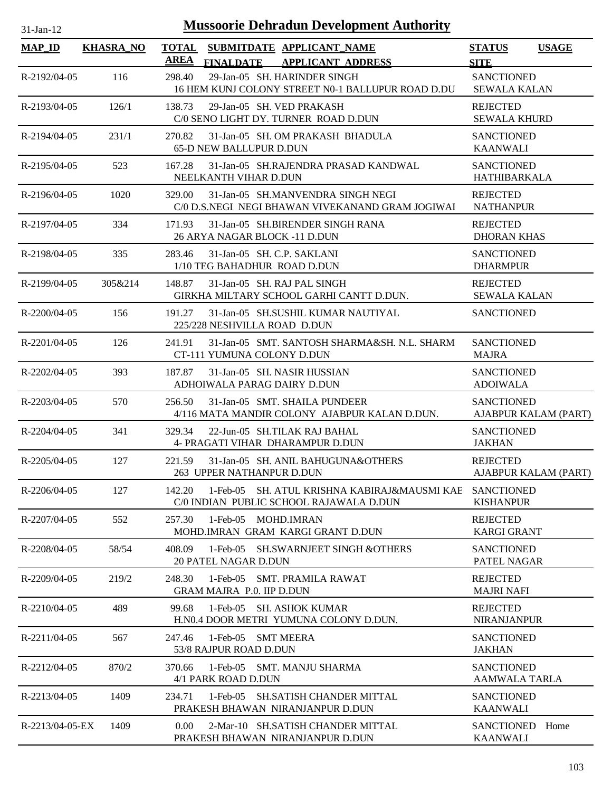| <b>Mussoorie Dehradun Development Authority</b><br>$31$ -Jan-12 |                  |             |                                                                                                                                   |                                                         |                      |
|-----------------------------------------------------------------|------------------|-------------|-----------------------------------------------------------------------------------------------------------------------------------|---------------------------------------------------------|----------------------|
| <b>MAP_ID</b>                                                   | <b>KHASRA_NO</b> | <b>AREA</b> | TOTAL SUBMITDATE APPLICANT NAME                                                                                                   | <b>STATUS</b>                                           | <b>USAGE</b>         |
| R-2192/04-05                                                    | 116              | 298.40      | <b>FINALDATE</b><br><b>APPLICANT ADDRESS</b><br>29-Jan-05 SH. HARINDER SINGH<br>16 HEM KUNJ COLONY STREET N0-1 BALLUPUR ROAD D.DU | <b>SITE</b><br><b>SANCTIONED</b><br><b>SEWALA KALAN</b> |                      |
| R-2193/04-05                                                    | 126/1            | 138.73      | 29-Jan-05 SH. VED PRAKASH<br>C/0 SENO LIGHT DY. TURNER ROAD D.DUN                                                                 | <b>REJECTED</b><br><b>SEWALA KHURD</b>                  |                      |
| R-2194/04-05                                                    | 231/1            | 270.82      | 31-Jan-05 SH. OM PRAKASH BHADULA<br><b>65-D NEW BALLUPUR D.DUN</b>                                                                | <b>SANCTIONED</b><br><b>KAANWALI</b>                    |                      |
| $R - 2195/04 - 05$                                              | 523              | 167.28      | 31-Jan-05 SH.RAJENDRA PRASAD KANDWAL<br>NEELKANTH VIHAR D.DUN                                                                     | <b>SANCTIONED</b><br>HATHIBARKALA                       |                      |
| R-2196/04-05                                                    | 1020             | 329.00      | 31-Jan-05 SH.MANVENDRA SINGH NEGI<br>C/0 D.S.NEGI NEGI BHAWAN VIVEKANAND GRAM JOGIWAI                                             | <b>REJECTED</b><br><b>NATHANPUR</b>                     |                      |
| R-2197/04-05                                                    | 334              | 171.93      | 31-Jan-05 SH.BIRENDER SINGH RANA<br>26 ARYA NAGAR BLOCK -11 D.DUN                                                                 | <b>REJECTED</b><br><b>DHORAN KHAS</b>                   |                      |
| R-2198/04-05                                                    | 335              | 283.46      | 31-Jan-05 SH. C.P. SAKLANI<br>1/10 TEG BAHADHUR ROAD D.DUN                                                                        | <b>SANCTIONED</b><br><b>DHARMPUR</b>                    |                      |
| R-2199/04-05                                                    | 305&214          | 148.87      | 31-Jan-05 SH. RAJ PAL SINGH<br>GIRKHA MILTARY SCHOOL GARHI CANTT D.DUN.                                                           | <b>REJECTED</b><br><b>SEWALA KALAN</b>                  |                      |
| $R-2200/04-05$                                                  | 156              | 191.27      | 31-Jan-05 SH.SUSHIL KUMAR NAUTIYAL<br>225/228 NESHVILLA ROAD D.DUN                                                                | <b>SANCTIONED</b>                                       |                      |
| $R-2201/04-05$                                                  | 126              | 241.91      | 31-Jan-05 SMT. SANTOSH SHARMA&SH. N.L. SHARM<br>CT-111 YUMUNA COLONY D.DUN                                                        | <b>SANCTIONED</b><br><b>MAJRA</b>                       |                      |
| R-2202/04-05                                                    | 393              | 187.87      | 31-Jan-05 SH. NASIR HUSSIAN<br>ADHOIWALA PARAG DAIRY D.DUN                                                                        | <b>SANCTIONED</b><br><b>ADOIWALA</b>                    |                      |
| R-2203/04-05                                                    | 570              | 256.50      | 31-Jan-05 SMT. SHAILA PUNDEER<br>4/116 MATA MANDIR COLONY AJABPUR KALAN D.DUN.                                                    | <b>SANCTIONED</b>                                       | AJABPUR KALAM (PART) |
| $R-2204/04-05$                                                  | 341              | 329.34      | 22-Jun-05 SH.TILAK RAJ BAHAL<br>4- PRAGATI VIHAR DHARAMPUR D.DUN                                                                  | <b>SANCTIONED</b><br><b>JAKHAN</b>                      |                      |
| $R - 2205/04 - 05$                                              | 127              | 221.59      | 31-Jan-05 SH, ANIL BAHUGUNA&OTHERS<br>263 UPPER NATHANPUR D.DUN                                                                   | <b>REJECTED</b>                                         | AJABPUR KALAM (PART) |
| R-2206/04-05                                                    | 127              | 142.20      | $1$ -Feb- $05$<br>SH. ATUL KRISHNA KABIRAJ&MAUSMI KAE<br>C/0 INDIAN PUBLIC SCHOOL RAJAWALA D.DUN                                  | <b>SANCTIONED</b><br><b>KISHANPUR</b>                   |                      |
| R-2207/04-05                                                    | 552              | 257.30      | 1-Feb-05 MOHD.IMRAN<br>MOHD.IMRAN GRAM KARGI GRANT D.DUN                                                                          | <b>REJECTED</b><br><b>KARGI GRANT</b>                   |                      |
| R-2208/04-05                                                    | 58/54            | 408.09      | 1-Feb-05 SH.SWARNJEET SINGH &OTHERS<br><b>20 PATEL NAGAR D.DUN</b>                                                                | <b>SANCTIONED</b><br>PATEL NAGAR                        |                      |
| R-2209/04-05                                                    | 219/2            | 248.30      | 1-Feb-05 SMT. PRAMILA RAWAT<br><b>GRAM MAJRA P.0. IIP D.DUN</b>                                                                   | <b>REJECTED</b><br><b>MAJRI NAFI</b>                    |                      |
| R-2210/04-05                                                    | 489              | 99.68       | 1-Feb-05 SH. ASHOK KUMAR<br>H.NO.4 DOOR METRI YUMUNA COLONY D.DUN.                                                                | <b>REJECTED</b><br><b>NIRANJANPUR</b>                   |                      |
| R-2211/04-05                                                    | 567              | 247.46      | 1-Feb-05 SMT MEERA<br>53/8 RAJPUR ROAD D.DUN                                                                                      | <b>SANCTIONED</b><br><b>JAKHAN</b>                      |                      |
| R-2212/04-05                                                    | 870/2            | 370.66      | 1-Feb-05 SMT. MANJU SHARMA<br>4/1 PARK ROAD D.DUN                                                                                 | <b>SANCTIONED</b><br>AAMWALA TARLA                      |                      |
| R-2213/04-05                                                    | 1409             | 234.71      | 1-Feb-05 SH.SATISH CHANDER MITTAL<br>PRAKESH BHAWAN NIRANJANPUR D.DUN                                                             | <b>SANCTIONED</b><br><b>KAANWALI</b>                    |                      |
| R-2213/04-05-EX                                                 | 1409             | 0.00        | 2-Mar-10 SH.SATISH CHANDER MITTAL<br>PRAKESH BHAWAN NIRANJANPUR D.DUN                                                             | <b>SANCTIONED</b><br><b>KAANWALI</b>                    | Home                 |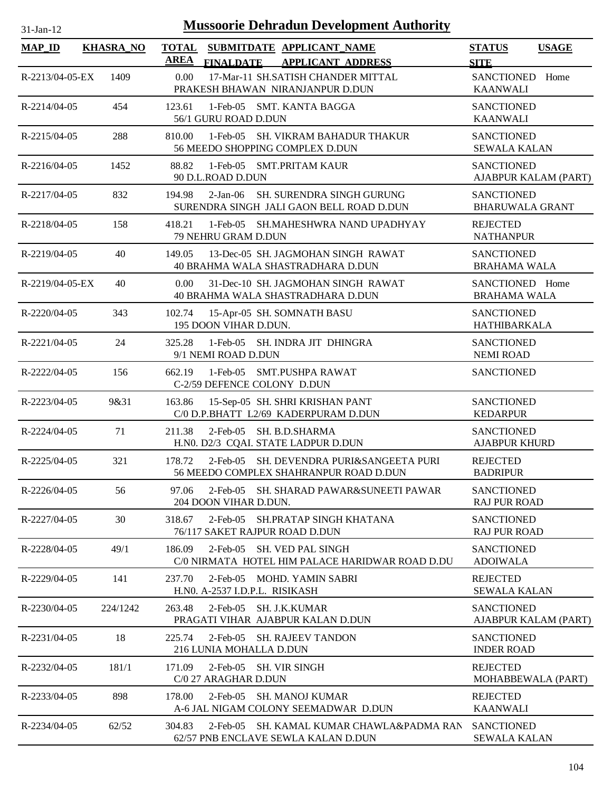| $31$ -Jan-1 |  |
|-------------|--|
|             |  |

| <b>MAP_ID</b>   | <b>KHASRA_NO</b> | <b>AREA</b> | TOTAL SUBMITDATE APPLICANT_NAME<br><b>FINALDATE</b><br><b>APPLICANT ADDRESS</b>             | <b>STATUS</b><br><b>USAGE</b><br><b>SITE</b> |
|-----------------|------------------|-------------|---------------------------------------------------------------------------------------------|----------------------------------------------|
| R-2213/04-05-EX | 1409             | 0.00        | 17-Mar-11 SH.SATISH CHANDER MITTAL<br>PRAKESH BHAWAN NIRANJANPUR D.DUN                      | SANCTIONED<br>Home<br><b>KAANWALI</b>        |
| R-2214/04-05    | 454              | 123.61      | 1-Feb-05 SMT. KANTA BAGGA<br>56/1 GURU ROAD D.DUN                                           | <b>SANCTIONED</b><br><b>KAANWALI</b>         |
| R-2215/04-05    | 288              | 810.00      | $1-Feb-05$<br><b>SH. VIKRAM BAHADUR THAKUR</b><br>56 MEEDO SHOPPING COMPLEX D.DUN           | <b>SANCTIONED</b><br><b>SEWALA KALAN</b>     |
| $R-2216/04-05$  | 1452             | 88.82       | 1-Feb-05 SMT.PRITAM KAUR<br>90 D.L.ROAD D.DUN                                               | <b>SANCTIONED</b><br>AJABPUR KALAM (PART)    |
| R-2217/04-05    | 832              | 194.98      | SH. SURENDRA SINGH GURUNG<br>$2-Jan-06$<br>SURENDRA SINGH JALI GAON BELL ROAD D.DUN         | <b>SANCTIONED</b><br><b>BHARUWALA GRANT</b>  |
| R-2218/04-05    | 158              | 418.21      | 1-Feb-05 SH.MAHESHWRA NAND UPADHYAY<br>79 NEHRU GRAM D.DUN                                  | <b>REJECTED</b><br><b>NATHANPUR</b>          |
| R-2219/04-05    | 40               | 149.05      | 13-Dec-05 SH. JAGMOHAN SINGH RAWAT<br>40 BRAHMA WALA SHASTRADHARA D.DUN                     | <b>SANCTIONED</b><br><b>BRAHAMA WALA</b>     |
| R-2219/04-05-EX | 40               | 0.00        | 31-Dec-10 SH. JAGMOHAN SINGH RAWAT<br>40 BRAHMA WALA SHASTRADHARA D.DUN                     | SANCTIONED Home<br><b>BRAHAMA WALA</b>       |
| R-2220/04-05    | 343              | 102.74      | 15-Apr-05 SH. SOMNATH BASU<br>195 DOON VIHAR D.DUN.                                         | <b>SANCTIONED</b><br>HATHIBARKALA            |
| R-2221/04-05    | 24               | 325.28      | 1-Feb-05 SH. INDRA JIT DHINGRA<br>9/1 NEMI ROAD D.DUN                                       | <b>SANCTIONED</b><br><b>NEMI ROAD</b>        |
| R-2222/04-05    | 156              | 662.19      | 1-Feb-05 SMT.PUSHPA RAWAT<br>C-2/59 DEFENCE COLONY D.DUN                                    | <b>SANCTIONED</b>                            |
| R-2223/04-05    | 9&31             | 163.86      | 15-Sep-05 SH. SHRI KRISHAN PANT<br>C/0 D.P.BHATT L2/69 KADERPURAM D.DUN                     | <b>SANCTIONED</b><br><b>KEDARPUR</b>         |
| R-2224/04-05    | 71               | 211.38      | 2-Feb-05 SH. B.D.SHARMA<br>H.N0. D2/3 CQAI. STATE LADPUR D.DUN                              | <b>SANCTIONED</b><br><b>AJABPUR KHURD</b>    |
| R-2225/04-05    | 321              | 178.72      | SH. DEVENDRA PURI&SANGEETA PURI<br>$2$ -Feb- $05$<br>56 MEEDO COMPLEX SHAHRANPUR ROAD D.DUN | <b>REJECTED</b><br><b>BADRIPUR</b>           |
| R-2226/04-05    | 56               | 97.06       | 2-Feb-05 SH. SHARAD PAWAR&SUNEETI PAWAR<br>204 DOON VIHAR D.DUN.                            | <b>SANCTIONED</b><br><b>RAJ PUR ROAD</b>     |
| R-2227/04-05    | 30               | 318.67      | $2$ -Feb-05<br>SH.PRATAP SINGH KHATANA<br>76/117 SAKET RAJPUR ROAD D.DUN                    | <b>SANCTIONED</b><br><b>RAJ PUR ROAD</b>     |
| R-2228/04-05    | 49/1             | 186.09      | $2$ -Feb-05<br><b>SH. VED PAL SINGH</b><br>C/0 NIRMATA HOTEL HIM PALACE HARIDWAR ROAD D.DU  | <b>SANCTIONED</b><br><b>ADOIWALA</b>         |
| R-2229/04-05    | 141              | 237.70      | $2$ -Feb-05<br>MOHD. YAMIN SABRI<br>H.NO. A-2537 I.D.P.L. RISIKASH                          | <b>REJECTED</b><br><b>SEWALA KALAN</b>       |
| R-2230/04-05    | 224/1242         | 263.48      | $2$ -Feb-05<br><b>SH. J.K.KUMAR</b><br>PRAGATI VIHAR AJABPUR KALAN D.DUN                    | <b>SANCTIONED</b><br>AJABPUR KALAM (PART)    |
| R-2231/04-05    | 18               | 225.74      | $2$ -Feb-05<br><b>SH. RAJEEV TANDON</b><br>216 LUNIA MOHALLA D.DUN                          | <b>SANCTIONED</b><br><b>INDER ROAD</b>       |
| R-2232/04-05    | 181/1            | 171.09      | 2-Feb-05 SH. VIR SINGH<br>C/0 27 ARAGHAR D.DUN                                              | <b>REJECTED</b><br>MOHABBEWALA (PART)        |
| R-2233/04-05    | 898              | 178.00      | $2$ -Feb-05<br><b>SH. MANOJ KUMAR</b><br>A-6 JAL NIGAM COLONY SEEMADWAR D.DUN               | <b>REJECTED</b><br><b>KAANWALI</b>           |
| R-2234/04-05    | 62/52            | 304.83      | SH. KAMAL KUMAR CHAWLA&PADMA RAN<br>$2$ -Feb- $05$<br>62/57 PNB ENCLAVE SEWLA KALAN D.DUN   | <b>SANCTIONED</b><br><b>SEWALA KALAN</b>     |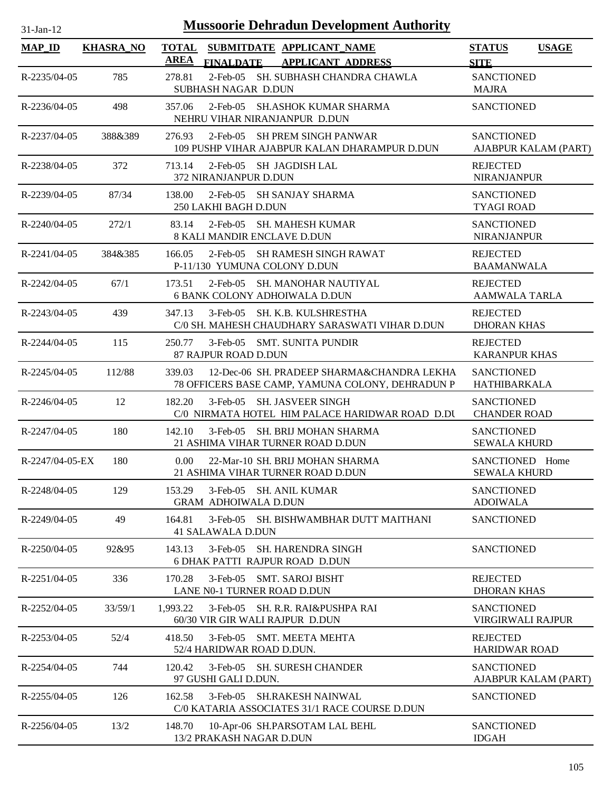| $31$ -Jan-12       | <b>Mussoorie Dehradun Development Authority</b> |                                                                                                          |                                              |
|--------------------|-------------------------------------------------|----------------------------------------------------------------------------------------------------------|----------------------------------------------|
| <b>MAP ID</b>      | <b>KHASRA_NO</b>                                | <b>TOTAL</b><br>SUBMITDATE APPLICANT_NAME<br><b>AREA</b><br><b>FINALDATE</b><br><b>APPLICANT ADDRESS</b> | <b>USAGE</b><br><b>STATUS</b><br><b>SITE</b> |
| R-2235/04-05       | 785                                             | 2-Feb-05 SH. SUBHASH CHANDRA CHAWLA<br>278.81<br>SUBHASH NAGAR D.DUN                                     | <b>SANCTIONED</b><br><b>MAJRA</b>            |
| R-2236/04-05       | 498                                             | 2-Feb-05 SH.ASHOK KUMAR SHARMA<br>357.06<br>NEHRU VIHAR NIRANJANPUR D.DUN                                | <b>SANCTIONED</b>                            |
| R-2237/04-05       | 388&389                                         | 2-Feb-05 SH PREM SINGH PANWAR<br>276.93<br>109 PUSHP VIHAR AJABPUR KALAN DHARAMPUR D.DUN                 | <b>SANCTIONED</b><br>AJABPUR KALAM (PART)    |
| R-2238/04-05       | 372                                             | 713.14<br>2-Feb-05 SH JAGDISH LAL<br>372 NIRANJANPUR D.DUN                                               | <b>REJECTED</b><br><b>NIRANJANPUR</b>        |
| R-2239/04-05       | 87/34                                           | 138.00<br>2-Feb-05 SH SANJAY SHARMA<br>250 LAKHI BAGH D.DUN                                              | <b>SANCTIONED</b><br><b>TYAGI ROAD</b>       |
| $R - 2240/04 - 05$ | 272/1                                           | 83.14<br>2-Feb-05 SH, MAHESH KUMAR<br><b>8 KALI MANDIR ENCLAVE D.DUN</b>                                 | <b>SANCTIONED</b><br><b>NIRANJANPUR</b>      |
| R-2241/04-05       | 384&385                                         | 166.05<br>2-Feb-05 SH RAMESH SINGH RAWAT<br>P-11/130 YUMUNA COLONY D.DUN                                 | <b>REJECTED</b><br><b>BAAMANWALA</b>         |
| R-2242/04-05       | 67/1                                            | 173.51<br>2-Feb-05 SH, MANOHAR NAUTIYAL<br><b>6 BANK COLONY ADHOIWALA D.DUN</b>                          | <b>REJECTED</b><br><b>AAMWALA TARLA</b>      |
| R-2243/04-05       | 439                                             | 347.13<br>3-Feb-05 SH. K.B. KULSHRESTHA<br>C/0 SH. MAHESH CHAUDHARY SARASWATI VIHAR D.DUN                | <b>REJECTED</b><br><b>DHORAN KHAS</b>        |
| R-2244/04-05       | 115                                             | 3-Feb-05 SMT. SUNITA PUNDIR<br>250.77<br>87 RAJPUR ROAD D.DUN                                            | <b>REJECTED</b><br><b>KARANPUR KHAS</b>      |
| R-2245/04-05       | 112/88                                          | 339.03<br>12-Dec-06 SH. PRADEEP SHARMA&CHANDRA LEKHA<br>78 OFFICERS BASE CAMP, YAMUNA COLONY, DEHRADUN P | <b>SANCTIONED</b><br><b>HATHIBARKALA</b>     |
| R-2246/04-05       | 12                                              | 3-Feb-05 SH. JASVEER SINGH<br>182.20<br>C/0 NIRMATA HOTEL HIM PALACE HARIDWAR ROAD D.DU                  | <b>SANCTIONED</b><br><b>CHANDER ROAD</b>     |
| R-2247/04-05       | 180                                             | 3-Feb-05 SH. BRIJ MOHAN SHARMA<br>142.10<br>21 ASHIMA VIHAR TURNER ROAD D.DUN                            | <b>SANCTIONED</b><br><b>SEWALA KHURD</b>     |
| $R-2247/04-05-EX$  | 180                                             | 0.00<br>22-Mar-10 SH. BRIJ MOHAN SHARMA<br>21 ASHIMA VIHAR TURNER ROAD D.DUN                             | SANCTIONED Home<br><b>SEWALA KHURD</b>       |
| R-2248/04-05       | 129                                             | 153.29<br>3-Feb-05 SH. ANIL KUMAR<br><b>GRAM ADHOIWALA D.DUN</b>                                         | <b>SANCTIONED</b><br><b>ADOIWALA</b>         |
| R-2249/04-05       | 49                                              | 3-Feb-05 SH. BISHWAMBHAR DUTT MAITHANI<br>164.81<br><b>41 SALAWALA D.DUN</b>                             | <b>SANCTIONED</b>                            |
| R-2250/04-05       | 92&95                                           | 3-Feb-05 SH. HARENDRA SINGH<br>143.13<br><b>6 DHAK PATTI RAJPUR ROAD D.DUN</b>                           | <b>SANCTIONED</b>                            |
| R-2251/04-05       | 336                                             | 3-Feb-05 SMT. SAROJ BISHT<br>170.28<br>LANE N0-1 TURNER ROAD D.DUN                                       | <b>REJECTED</b><br><b>DHORAN KHAS</b>        |
| R-2252/04-05       | 33/59/1                                         | 1.993.22<br>3-Feb-05 SH. R.R. RAI&PUSHPA RAI<br>60/30 VIR GIR WALI RAJPUR D.DUN                          | <b>SANCTIONED</b><br>VIRGIRWALI RAJPUR       |
| R-2253/04-05       | 52/4                                            | 418.50<br>3-Feb-05 SMT. MEETA MEHTA<br>52/4 HARIDWAR ROAD D.DUN.                                         | <b>REJECTED</b><br><b>HARIDWAR ROAD</b>      |
| R-2254/04-05       | 744                                             | 120.42<br>3-Feb-05 SH. SURESH CHANDER<br>97 GUSHI GALI D.DUN.                                            | <b>SANCTIONED</b><br>AJABPUR KALAM (PART)    |
| R-2255/04-05       | 126                                             | 3-Feb-05 SH.RAKESH NAINWAL<br>162.58<br>C/0 KATARIA ASSOCIATES 31/1 RACE COURSE D.DUN                    | <b>SANCTIONED</b>                            |
| R-2256/04-05       | 13/2                                            | 148.70<br>10-Apr-06 SH.PARSOTAM LAL BEHL<br>13/2 PRAKASH NAGAR D.DUN                                     | <b>SANCTIONED</b><br><b>IDGAH</b>            |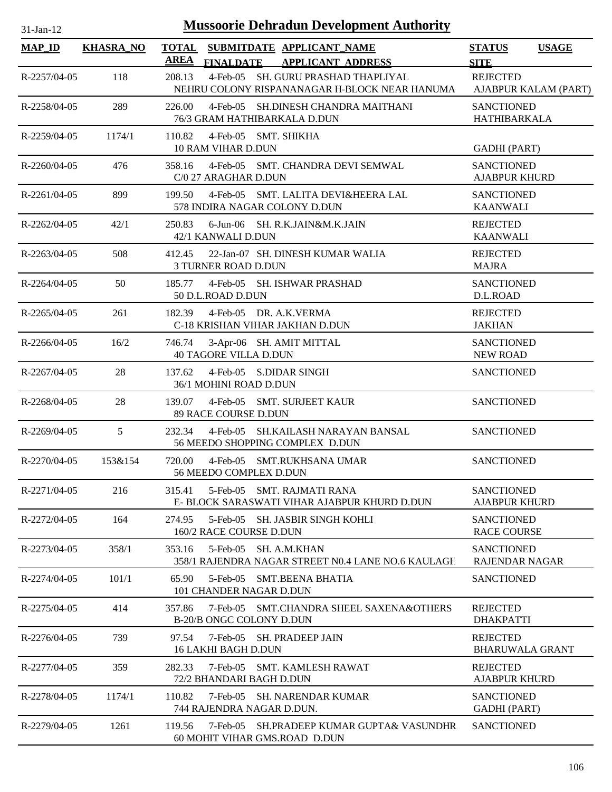| $31$ -Jan-12       |                  | <b>Mussoorie Dehradun Development Authority</b>                                                          |                                            |                      |
|--------------------|------------------|----------------------------------------------------------------------------------------------------------|--------------------------------------------|----------------------|
| <b>MAP_ID</b>      | <b>KHASRA_NO</b> | <b>TOTAL</b><br>SUBMITDATE APPLICANT NAME<br><b>AREA</b><br><b>FINALDATE</b><br><b>APPLICANT ADDRESS</b> | <b>STATUS</b><br><b>SITE</b>               | <b>USAGE</b>         |
| R-2257/04-05       | 118              | 208.13<br>4-Feb-05 SH. GURU PRASHAD THAPLIYAL<br>NEHRU COLONY RISPANANAGAR H-BLOCK NEAR HANUMA           | <b>REJECTED</b>                            | AJABPUR KALAM (PART) |
| R-2258/04-05       | 289              | 4-Feb-05 SH.DINESH CHANDRA MAITHANI<br>226.00<br>76/3 GRAM HATHIBARKALA D.DUN                            | <b>SANCTIONED</b><br><b>HATHIBARKALA</b>   |                      |
| R-2259/04-05       | 1174/1           | 4-Feb-05 SMT. SHIKHA<br>110.82<br>10 RAM VIHAR D.DUN                                                     | <b>GADHI</b> (PART)                        |                      |
| $R-2260/04-05$     | 476              | 358.16<br>4-Feb-05 SMT. CHANDRA DEVI SEMWAL<br>C/0 27 ARAGHAR D.DUN                                      | <b>SANCTIONED</b><br><b>AJABPUR KHURD</b>  |                      |
| $R-2261/04-05$     | 899              | 4-Feb-05 SMT. LALITA DEVI&HEERA LAL<br>199.50<br>578 INDIRA NAGAR COLONY D.DUN                           | <b>SANCTIONED</b><br><b>KAANWALI</b>       |                      |
| R-2262/04-05       | 42/1             | 250.83<br>6-Jun-06 SH. R.K.JAIN&M.K.JAIN<br>42/1 KANWALI D.DUN                                           | <b>REJECTED</b><br><b>KAANWALI</b>         |                      |
| $R - 2263/04 - 05$ | 508              | 22-Jan-07 SH. DINESH KUMAR WALIA<br>412.45<br>3 TURNER ROAD D.DUN                                        | <b>REJECTED</b><br><b>MAJRA</b>            |                      |
| $R-2264/04-05$     | 50               | 4-Feb-05 SH. ISHWAR PRASHAD<br>185.77<br>50 D.L.ROAD D.DUN                                               | <b>SANCTIONED</b><br>D.L.ROAD              |                      |
| $R-2265/04-05$     | 261              | 4-Feb-05 DR. A.K. VERMA<br>182.39<br>C-18 KRISHAN VIHAR JAKHAN D.DUN                                     | <b>REJECTED</b><br><b>JAKHAN</b>           |                      |
| $R-2266/04-05$     | 16/2             | 3-Apr-06 SH. AMIT MITTAL<br>746.74<br><b>40 TAGORE VILLA D.DUN</b>                                       | <b>SANCTIONED</b><br><b>NEW ROAD</b>       |                      |
| R-2267/04-05       | 28               | 4-Feb-05 S.DIDAR SINGH<br>137.62<br>36/1 MOHINI ROAD D.DUN                                               | <b>SANCTIONED</b>                          |                      |
| R-2268/04-05       | 28               | 139.07<br>4-Feb-05 SMT. SURJEET KAUR<br>89 RACE COURSE D.DUN                                             | <b>SANCTIONED</b>                          |                      |
| R-2269/04-05       | 5                | 4-Feb-05 SH.KAILASH NARAYAN BANSAL<br>232.34<br>56 MEEDO SHOPPING COMPLEX D.DUN                          | <b>SANCTIONED</b>                          |                      |
| R-2270/04-05       | 153&154          | 720.00<br>4-Feb-05 SMT.RUKHSANA UMAR<br>56 MEEDO COMPLEX D.DUN                                           | <b>SANCTIONED</b>                          |                      |
| R-2271/04-05       | 216              | 5-Feb-05 SMT. RAJMATI RANA<br>315.41<br>E- BLOCK SARASWATI VIHAR AJABPUR KHURD D.DUN                     | <b>SANCTIONED</b><br><b>AJABPUR KHURD</b>  |                      |
| R-2272/04-05       | 164              | 274.95<br>$5$ -Feb-05<br>SH. JASBIR SINGH KOHLI<br>160/2 RACE COURSE D.DUN                               | <b>SANCTIONED</b><br><b>RACE COURSE</b>    |                      |
| R-2273/04-05       | 358/1            | 353.16<br>$5$ -Feb $-05$<br><b>SH. A.M.KHAN</b><br>358/1 RAJENDRA NAGAR STREET N0.4 LANE NO.6 KAULAGE    | <b>SANCTIONED</b><br><b>RAJENDAR NAGAR</b> |                      |
| R-2274/04-05       | 101/1            | 65.90<br>5-Feb-05<br><b>SMT.BEENA BHATIA</b><br>101 CHANDER NAGAR D.DUN                                  | <b>SANCTIONED</b>                          |                      |
| R-2275/04-05       | 414              | 357.86<br>$7$ -Feb-05<br>SMT.CHANDRA SHEEL SAXENA&OTHERS<br>B-20/B ONGC COLONY D.DUN                     | <b>REJECTED</b><br><b>DHAKPATTI</b>        |                      |
| R-2276/04-05       | 739              | $7$ -Feb- $05$<br>SH. PRADEEP JAIN<br>97.54<br><b>16 LAKHI BAGH D.DUN</b>                                | <b>REJECTED</b><br><b>BHARUWALA GRANT</b>  |                      |
| R-2277/04-05       | 359              | 282.33<br>$7$ -Feb-05<br><b>SMT. KAMLESH RAWAT</b><br>72/2 BHANDARI BAGH D.DUN                           | <b>REJECTED</b><br><b>AJABPUR KHURD</b>    |                      |
| R-2278/04-05       | 1174/1           | 110.82<br>7-Feb-05<br><b>SH. NARENDAR KUMAR</b><br>744 RAJENDRA NAGAR D.DUN.                             | <b>SANCTIONED</b><br><b>GADHI (PART)</b>   |                      |
| R-2279/04-05       | 1261             | $7$ -Feb-05<br>SH.PRADEEP KUMAR GUPTA& VASUNDHR<br>119.56<br>60 MOHIT VIHAR GMS.ROAD D.DUN               | <b>SANCTIONED</b>                          |                      |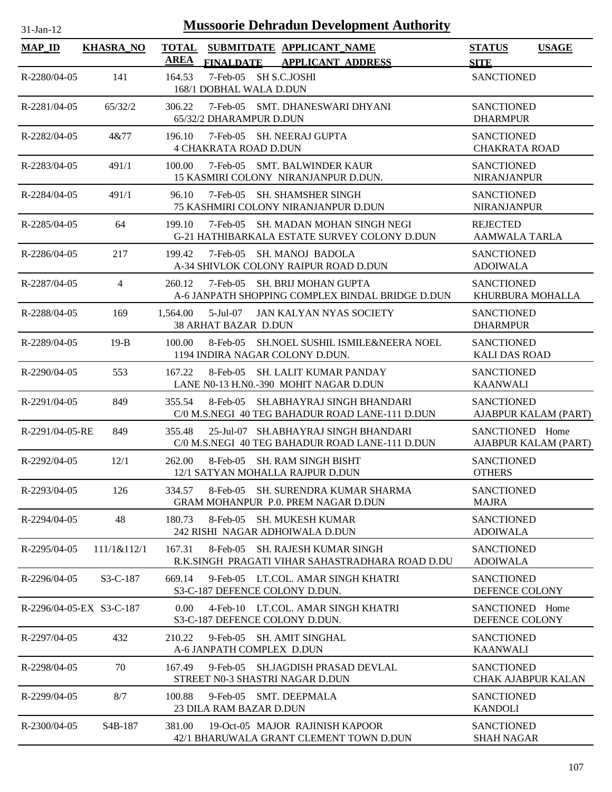| $31$ -Jan-12             |                      | <b>Mussoorie Dehradun Development Authority</b>                                                     |                                                |
|--------------------------|----------------------|-----------------------------------------------------------------------------------------------------|------------------------------------------------|
| $MAP$ ID                 | <b>KHASRA_NO</b>     | <b>TOTAL</b><br>SUBMITDATE APPLICANT NAME<br><b>AREA</b><br>FINALDATE APPLICANT ADDRESS             | <b>USAGE</b><br><b>STATUS</b><br><b>SITE</b>   |
| R-2280/04-05             | 141                  | 7-Feb-05 SH S.C.JOSHI<br>164.53<br>168/1 DOBHAL WALA D.DUN                                          | <b>SANCTIONED</b>                              |
| R-2281/04-05             | 65/32/2              | 306.22<br>7-Feb-05 SMT. DHANESWARI DHYANI<br>65/32/2 DHARAMPUR D.DUN                                | <b>SANCTIONED</b><br><b>DHARMPUR</b>           |
| R-2282/04-05             | 4&77                 | 196.10<br>7-Feb-05 SH. NEERAJ GUPTA<br><b>4 CHAKRATA ROAD D.DUN</b>                                 | <b>SANCTIONED</b><br><b>CHAKRATA ROAD</b>      |
| R-2283/04-05             | 491/1                | 7-Feb-05 SMT. BALWINDER KAUR<br>100.00<br>15 KASMIRI COLONY NIRANJANPUR D.DUN.                      | <b>SANCTIONED</b><br><b>NIRANJANPUR</b>        |
| R-2284/04-05             | 491/1                | 7-Feb-05 SH. SHAMSHER SINGH<br>96.10<br>75 KASHMIRI COLONY NIRANJANPUR D.DUN                        | <b>SANCTIONED</b><br><b>NIRANJANPUR</b>        |
| R-2285/04-05             | 64                   | 199.10<br>7-Feb-05 SH. MADAN MOHAN SINGH NEGI<br>G-21 HATHIBARKALA ESTATE SURVEY COLONY D.DUN       | <b>REJECTED</b><br><b>AAMWALA TARLA</b>        |
| R-2286/04-05             | 217                  | 7-Feb-05 SH. MANOJ BADOLA<br>199.42<br>A-34 SHIVLOK COLONY RAIPUR ROAD D.DUN                        | <b>SANCTIONED</b><br><b>ADOIWALA</b>           |
| R-2287/04-05             | 4                    | 7-Feb-05 SH. BRIJ MOHAN GUPTA<br>260.12<br>A-6 JANPATH SHOPPING COMPLEX BINDAL BRIDGE D.DUN         | <b>SANCTIONED</b><br>KHURBURA MOHALLA          |
| R-2288/04-05             | 169                  | 5-Jul-07<br>1,564.00<br>JAN KALYAN NYAS SOCIETY<br>38 ARHAT BAZAR D.DUN                             | <b>SANCTIONED</b><br><b>DHARMPUR</b>           |
| R-2289/04-05             | $19-B$               | 8-Feb-05 SH.NOEL SUSHIL ISMILE&NEERA NOEL<br>100.00<br>1194 INDIRA NAGAR COLONY D.DUN.              | <b>SANCTIONED</b><br><b>KALI DAS ROAD</b>      |
| R-2290/04-05             | 553                  | <b>SH. LALIT KUMAR PANDAY</b><br>167.22<br>8-Feb-05<br>LANE N0-13 H.N0.-390 MOHIT NAGAR D.DUN       | <b>SANCTIONED</b><br><b>KAANWALI</b>           |
| R-2291/04-05             | 849                  | 355.54<br>8-Feb-05<br>SH.ABHAYRAJ SINGH BHANDARI<br>C/0 M.S.NEGI 40 TEG BAHADUR ROAD LANE-111 D.DUN | <b>SANCTIONED</b><br>AJABPUR KALAM (PART)      |
| R-2291/04-05-RE          | 849                  | 355.48<br>25-Jul-07 SH.ABHAYRAJ SINGH BHANDARI<br>C/0 M.S.NEGI 40 TEG BAHADUR ROAD LANE-111 D.DUN   | SANCTIONED Home<br>AJABPUR KALAM (PART)        |
| R-2292/04-05             | 12/1                 | 262.00<br>8-Feb-05 SH. RAM SINGH BISHT<br>12/1 SATYAN MOHALLA RAJPUR D.DUN                          | <b>SANCTIONED</b><br><b>OTHERS</b>             |
| R-2293/04-05             | 126                  | 8-Feb-05 SH, SURENDRA KUMAR SHARMA<br>334.57<br><b>GRAM MOHANPUR P.0. PREM NAGAR D.DUN</b>          | <b>SANCTIONED</b><br><b>MAJRA</b>              |
| R-2294/04-05             | 48                   | 180.73<br>8-Feb-05 SH, MUKESH KUMAR<br>242 RISHI NAGAR ADHOIWALA D.DUN                              | <b>SANCTIONED</b><br><b>ADOIWALA</b>           |
| R-2295/04-05             | 111/1&112/1          | 8-Feb-05 SH. RAJESH KUMAR SINGH<br>167.31<br>R.K.SINGH PRAGATI VIHAR SAHASTRADHARA ROAD D.DU        | <b>SANCTIONED</b><br><b>ADOIWALA</b>           |
| $R - 2296/04 - 05$       | $S3-C-187$           | 669.14<br>9-Feb-05 LT.COL. AMAR SINGH KHATRI<br>S3-C-187 DEFENCE COLONY D.DUN.                      | <b>SANCTIONED</b><br>DEFENCE COLONY            |
| R-2296/04-05-EX S3-C-187 |                      | 4-Feb-10 LT.COL. AMAR SINGH KHATRI<br>0.00<br>S3-C-187 DEFENCE COLONY D.DUN.                        | SANCTIONED Home<br>DEFENCE COLONY              |
| R-2297/04-05             | 432                  | 210.22<br>9-Feb-05 SH. AMIT SINGHAL<br>A-6 JANPATH COMPLEX D.DUN                                    | <b>SANCTIONED</b><br><b>KAANWALI</b>           |
| R-2298/04-05             | 70                   | 167.49<br>9-Feb-05<br><b>SH.JAGDISH PRASAD DEVLAL</b><br>STREET N0-3 SHASTRI NAGAR D.DUN            | <b>SANCTIONED</b><br><b>CHAK AJABPUR KALAN</b> |
| R-2299/04-05             | 8/7                  | 100.88<br>9-Feb-05 SMT. DEEPMALA<br>23 DILA RAM BAZAR D.DUN                                         | <b>SANCTIONED</b><br><b>KANDOLI</b>            |
| R-2300/04-05             | S <sub>4</sub> B-187 | 381.00<br>19-Oct-05 MAJOR RAJINISH KAPOOR<br>42/1 BHARUWALA GRANT CLEMENT TOWN D.DUN                | <b>SANCTIONED</b><br><b>SHAH NAGAR</b>         |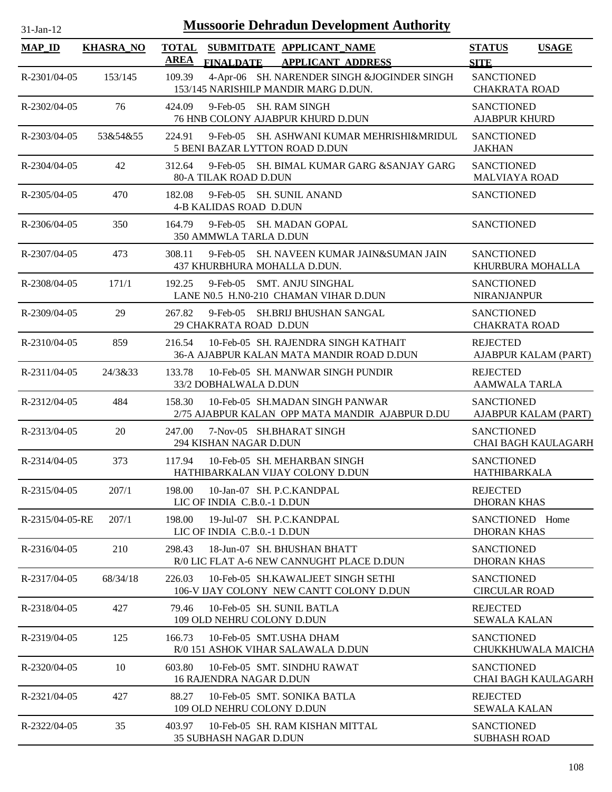| $31$ -Jan-1 |  |
|-------------|--|
|             |  |

| <b>MAP_ID</b>   | <b>KHASRA_NO</b> | <b>TOTAL</b><br>SUBMITDATE APPLICANT NAME<br><b>AREA</b><br><b>FINALDATE</b><br><b>APPLICANT ADDRESS</b> | <b>STATUS</b><br><b>USAGE</b><br><b>SITE</b>    |
|-----------------|------------------|----------------------------------------------------------------------------------------------------------|-------------------------------------------------|
| R-2301/04-05    | 153/145          | 4-Apr-06 SH. NARENDER SINGH & JOGINDER SINGH<br>109.39<br>153/145 NARISHILP MANDIR MARG D.DUN.           | <b>SANCTIONED</b><br><b>CHAKRATA ROAD</b>       |
| R-2302/04-05    | 76               | 424.09<br>$9$ -Feb-05<br>SH. RAM SINGH<br>76 HNB COLONY AJABPUR KHURD D.DUN                              | <b>SANCTIONED</b><br><b>AJABPUR KHURD</b>       |
| R-2303/04-05    | 53&54&55         | 224.91<br>9-Feb-05 SH. ASHWANI KUMAR MEHRISHI&MRIDUL<br>5 BENI BAZAR LYTTON ROAD D.DUN                   | <b>SANCTIONED</b><br><b>JAKHAN</b>              |
| R-2304/04-05    | 42               | 9-Feb-05 SH. BIMAL KUMAR GARG & SANJAY GARG<br>312.64<br><b>80-A TILAK ROAD D.DUN</b>                    | <b>SANCTIONED</b><br><b>MALVIAYA ROAD</b>       |
| R-2305/04-05    | 470              | 9-Feb-05 SH. SUNIL ANAND<br>182.08<br><b>4-B KALIDAS ROAD D.DUN</b>                                      | <b>SANCTIONED</b>                               |
| R-2306/04-05    | 350              | $9$ -Feb-05<br>SH. MADAN GOPAL<br>164.79<br>350 AMMWLA TARLA D.DUN                                       | <b>SANCTIONED</b>                               |
| R-2307/04-05    | 473              | 9-Feb-05 SH. NAVEEN KUMAR JAIN&SUMAN JAIN<br>308.11<br>437 KHURBHURA MOHALLA D.DUN.                      | <b>SANCTIONED</b><br>KHURBURA MOHALLA           |
| R-2308/04-05    | 171/1            | SMT. ANJU SINGHAL<br>192.25<br>$9$ -Feb- $05$<br>LANE N0.5 H.N0-210 CHAMAN VIHAR D.DUN                   | <b>SANCTIONED</b><br><b>NIRANJANPUR</b>         |
| R-2309/04-05    | 29               | 267.82<br>$9$ -Feb-05<br>SH.BRIJ BHUSHAN SANGAL<br>29 CHAKRATA ROAD D.DUN                                | <b>SANCTIONED</b><br><b>CHAKRATA ROAD</b>       |
| R-2310/04-05    | 859              | 10-Feb-05 SH. RAJENDRA SINGH KATHAIT<br>216.54<br>36-A AJABPUR KALAN MATA MANDIR ROAD D.DUN              | <b>REJECTED</b><br>AJABPUR KALAM (PART)         |
| $R-2311/04-05$  | 24/3&33          | 133.78<br>10-Feb-05 SH. MANWAR SINGH PUNDIR<br>33/2 DOBHALWALA D.DUN                                     | <b>REJECTED</b><br><b>AAMWALA TARLA</b>         |
| R-2312/04-05    | 484              | 10-Feb-05 SH.MADAN SINGH PANWAR<br>158.30<br>2/75 AJABPUR KALAN OPP MATA MANDIR AJABPUR D.DU             | <b>SANCTIONED</b><br>AJABPUR KALAM (PART)       |
| R-2313/04-05    | 20               | 247.00<br>7-Nov-05 SH.BHARAT SINGH<br>294 KISHAN NAGAR D.DUN                                             | <b>SANCTIONED</b><br><b>CHAI BAGH KAULAGARH</b> |
| R-2314/04-05    | 373              | 117.94<br>10-Feb-05 SH. MEHARBAN SINGH<br>HATHIBARKALAN VIJAY COLONY D.DUN                               | <b>SANCTIONED</b><br><b>HATHIBARKALA</b>        |
| R-2315/04-05    | 207/1            | 198.00<br>10-Jan-07 SH. P.C.KANDPAL<br>LIC OF INDIA C.B.0.-1 D.DUN                                       | <b>REJECTED</b><br><b>DHORAN KHAS</b>           |
| R-2315/04-05-RE | 207/1            | 198.00<br>19-Jul-07 SH. P.C.KANDPAL<br>LIC OF INDIA C.B.0.-1 D.DUN                                       | SANCTIONED Home<br><b>DHORAN KHAS</b>           |
| R-2316/04-05    | 210              | 298.43<br>18-Jun-07 SH, BHUSHAN BHATT<br>R/0 LIC FLAT A-6 NEW CANNUGHT PLACE D.DUN                       | <b>SANCTIONED</b><br><b>DHORAN KHAS</b>         |
| R-2317/04-05    | 68/34/18         | 226.03<br>10-Feb-05 SH.KAWALJEET SINGH SETHI<br>106-V IJAY COLONY NEW CANTT COLONY D.DUN                 | <b>SANCTIONED</b><br><b>CIRCULAR ROAD</b>       |
| R-2318/04-05    | 427              | 79.46<br>10-Feb-05 SH. SUNIL BATLA<br>109 OLD NEHRU COLONY D.DUN                                         | <b>REJECTED</b><br><b>SEWALA KALAN</b>          |
| R-2319/04-05    | 125              | 10-Feb-05 SMT.USHA DHAM<br>166.73<br>R/0 151 ASHOK VIHAR SALAWALA D.DUN                                  | <b>SANCTIONED</b><br>CHUKKHUWALA MAICHA         |
| R-2320/04-05    | 10               | 603.80<br>10-Feb-05 SMT. SINDHU RAWAT<br><b>16 RAJENDRA NAGAR D.DUN</b>                                  | <b>SANCTIONED</b><br>CHAI BAGH KAULAGARH        |
| R-2321/04-05    | 427              | 10-Feb-05 SMT, SONIKA BATLA<br>88.27<br>109 OLD NEHRU COLONY D.DUN                                       | <b>REJECTED</b><br><b>SEWALA KALAN</b>          |
| R-2322/04-05    | 35               | 10-Feb-05 SH. RAM KISHAN MITTAL<br>403.97<br><b>35 SUBHASH NAGAR D.DUN</b>                               | <b>SANCTIONED</b><br><b>SUBHASH ROAD</b>        |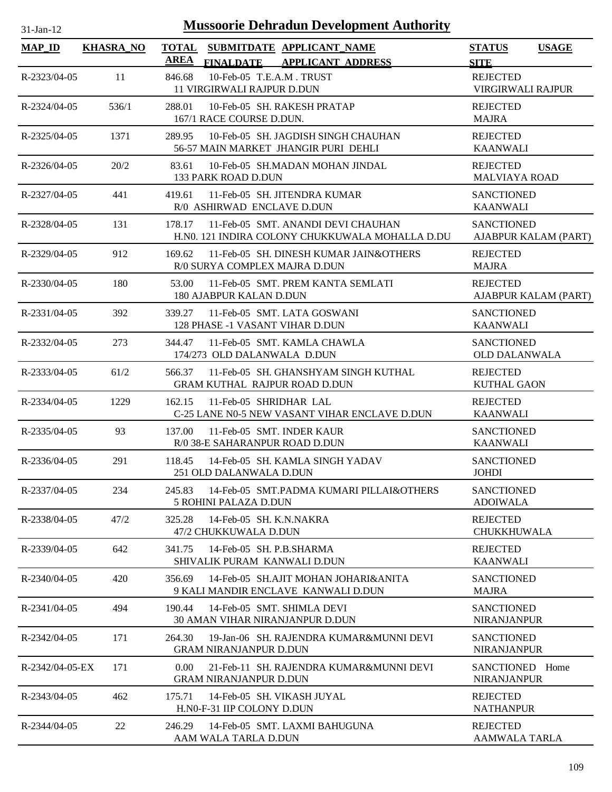| <b>Mussoorie Dehradun Development Authority</b><br>$31-Jan-12$ |                  |                                                                                                          |                                              |  |  |  |
|----------------------------------------------------------------|------------------|----------------------------------------------------------------------------------------------------------|----------------------------------------------|--|--|--|
| <b>MAP_ID</b>                                                  | <b>KHASRA NO</b> | <b>TOTAL</b><br>SUBMITDATE APPLICANT NAME<br><b>AREA</b><br><b>FINALDATE</b><br><b>APPLICANT ADDRESS</b> | <b>USAGE</b><br><b>STATUS</b><br><b>SITE</b> |  |  |  |
| R-2323/04-05                                                   | 11               | 10-Feb-05 T.E.A.M. TRUST<br>846.68<br><b>11 VIRGIRWALI RAJPUR D.DUN</b>                                  | <b>REJECTED</b><br>VIRGIRWALI RAJPUR         |  |  |  |
| R-2324/04-05                                                   | 536/1            | 10-Feb-05 SH. RAKESH PRATAP<br>288.01<br>167/1 RACE COURSE D.DUN.                                        | <b>REJECTED</b><br><b>MAJRA</b>              |  |  |  |
| R-2325/04-05                                                   | 1371             | 289.95<br>10-Feb-05 SH. JAGDISH SINGH CHAUHAN<br>56-57 MAIN MARKET JHANGIR PURI DEHLI                    | <b>REJECTED</b><br><b>KAANWALI</b>           |  |  |  |
| R-2326/04-05                                                   | 20/2             | 10-Feb-05 SH.MADAN MOHAN JINDAL<br>83.61<br>133 PARK ROAD D.DUN                                          | <b>REJECTED</b><br><b>MALVIAYA ROAD</b>      |  |  |  |
| R-2327/04-05                                                   | 441              | 419.61<br>11-Feb-05 SH. JITENDRA KUMAR<br>R/0 ASHIRWAD ENCLAVE D.DUN                                     | <b>SANCTIONED</b><br><b>KAANWALI</b>         |  |  |  |
| R-2328/04-05                                                   | 131              | 11-Feb-05 SMT, ANANDI DEVI CHAUHAN<br>178.17<br>H.NO. 121 INDIRA COLONY CHUKKUWALA MOHALLA D.DU          | <b>SANCTIONED</b><br>AJABPUR KALAM (PART)    |  |  |  |
| R-2329/04-05                                                   | 912              | 169.62<br>11-Feb-05 SH. DINESH KUMAR JAIN&OTHERS<br>R/0 SURYA COMPLEX MAJRA D.DUN                        | <b>REJECTED</b><br><b>MAJRA</b>              |  |  |  |
| R-2330/04-05                                                   | 180              | 11-Feb-05 SMT. PREM KANTA SEMLATI<br>53.00<br><b>180 AJABPUR KALAN D.DUN</b>                             | <b>REJECTED</b><br>AJABPUR KALAM (PART)      |  |  |  |
| R-2331/04-05                                                   | 392              | 11-Feb-05 SMT. LATA GOSWANI<br>339.27<br>128 PHASE -1 VASANT VIHAR D.DUN                                 | <b>SANCTIONED</b><br><b>KAANWALI</b>         |  |  |  |
| R-2332/04-05                                                   | 273              | 11-Feb-05 SMT. KAMLA CHAWLA<br>344.47<br>174/273 OLD DALANWALA D.DUN                                     | <b>SANCTIONED</b><br><b>OLD DALANWALA</b>    |  |  |  |
| R-2333/04-05                                                   | 61/2             | 11-Feb-05 SH. GHANSHYAM SINGH KUTHAL<br>566.37<br>GRAM KUTHAL RAJPUR ROAD D.DUN                          | <b>REJECTED</b><br><b>KUTHAL GAON</b>        |  |  |  |
| R-2334/04-05                                                   | 1229             | 162.15<br>11-Feb-05 SHRIDHAR LAL<br>C-25 LANE N0-5 NEW VASANT VIHAR ENCLAVE D.DUN                        | <b>REJECTED</b><br><b>KAANWALI</b>           |  |  |  |
| R-2335/04-05                                                   | 93               | 137.00<br>11-Feb-05 SMT. INDER KAUR<br>R/0 38-E SAHARANPUR ROAD D.DUN                                    | <b>SANCTIONED</b><br><b>KAANWALI</b>         |  |  |  |
| R-2336/04-05                                                   | 291              | 118.45<br>14-Feb-05 SH. KAMLA SINGH YADAV<br>251 OLD DALANWALA D.DUN                                     | <b>SANCTIONED</b><br><b>JOHDI</b>            |  |  |  |
| R-2337/04-05                                                   | 234              | 245.83<br>14-Feb-05 SMT.PADMA KUMARI PILLAI&OTHERS<br>5 ROHINI PALAZA D.DUN                              | <b>SANCTIONED</b><br><b>ADOIWALA</b>         |  |  |  |
| R-2338/04-05                                                   | 47/2             | 14-Feb-05 SH, K.N.NAKRA<br>325.28<br>47/2 CHUKKUWALA D.DUN                                               | <b>REJECTED</b><br><b>CHUKKHUWALA</b>        |  |  |  |
| R-2339/04-05                                                   | 642              | 14-Feb-05 SH. P.B.SHARMA<br>341.75<br>SHIVALIK PURAM KANWALI D.DUN                                       | <b>REJECTED</b><br><b>KAANWALI</b>           |  |  |  |
| R-2340/04-05                                                   | 420              | 14-Feb-05 SH.AJIT MOHAN JOHARI&ANITA<br>356.69<br>9 KALI MANDIR ENCLAVE KANWALI D.DUN                    | <b>SANCTIONED</b><br><b>MAJRA</b>            |  |  |  |
| R-2341/04-05                                                   | 494              | 190.44<br>14-Feb-05 SMT. SHIMLA DEVI<br><b>30 AMAN VIHAR NIRANJANPUR D.DUN</b>                           | <b>SANCTIONED</b><br><b>NIRANJANPUR</b>      |  |  |  |
| R-2342/04-05                                                   | 171              | 264.30<br>19-Jan-06 SH. RAJENDRA KUMAR&MUNNI DEVI<br><b>GRAM NIRANJANPUR D.DUN</b>                       | <b>SANCTIONED</b><br><b>NIRANJANPUR</b>      |  |  |  |
| R-2342/04-05-EX                                                | 171              | 0.00<br>21-Feb-11 SH. RAJENDRA KUMAR&MUNNI DEVI<br><b>GRAM NIRANJANPUR D.DUN</b>                         | SANCTIONED Home<br><b>NIRANJANPUR</b>        |  |  |  |
| R-2343/04-05                                                   | 462              | 14-Feb-05 SH. VIKASH JUYAL<br>175.71<br>H.N0-F-31 IIP COLONY D.DUN                                       | <b>REJECTED</b><br><b>NATHANPUR</b>          |  |  |  |
| R-2344/04-05                                                   | 22               | 246.29<br>14-Feb-05 SMT. LAXMI BAHUGUNA<br>AAM WALA TARLA D.DUN                                          | <b>REJECTED</b><br>AAMWALA TARLA             |  |  |  |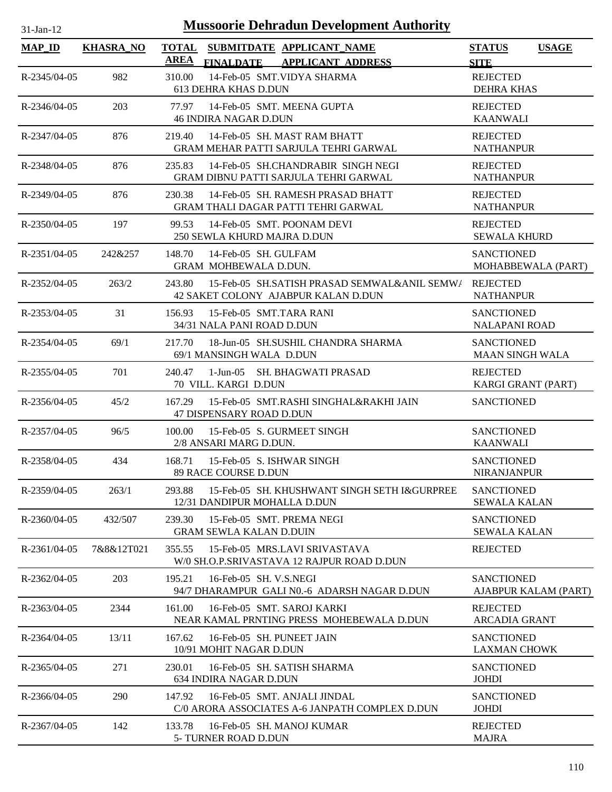| $31$ -Jan-12       |                  | <b>Mussoorie Dehradun Development Authority</b>                                                        |                                              |
|--------------------|------------------|--------------------------------------------------------------------------------------------------------|----------------------------------------------|
| <b>MAP_ID</b>      | <b>KHASRA_NO</b> | <b>TOTAL</b><br>SUBMITDATE APPLICANT_NAME<br><b>AREA</b><br>FINALDATE APPLICANT ADDRESS                | <b>STATUS</b><br><b>USAGE</b><br><b>SITE</b> |
| R-2345/04-05       | 982              | 14-Feb-05 SMT.VIDYA SHARMA<br>310.00<br><b>613 DEHRA KHAS D.DUN</b>                                    | <b>REJECTED</b><br><b>DEHRA KHAS</b>         |
| R-2346/04-05       | 203              | 77.97<br>14-Feb-05 SMT. MEENA GUPTA<br><b>46 INDIRA NAGAR D.DUN</b>                                    | <b>REJECTED</b><br><b>KAANWALI</b>           |
| R-2347/04-05       | 876              | 14-Feb-05 SH. MAST RAM BHATT<br>219.40<br>GRAM MEHAR PATTI SARJULA TEHRI GARWAL                        | <b>REJECTED</b><br><b>NATHANPUR</b>          |
| R-2348/04-05       | 876              | 235.83<br>14-Feb-05 SH.CHANDRABIR SINGH NEGI<br><b>GRAM DIBNU PATTI SARJULA TEHRI GARWAL</b>           | <b>REJECTED</b><br><b>NATHANPUR</b>          |
| R-2349/04-05       | 876              | 14-Feb-05 SH. RAMESH PRASAD BHATT<br>230.38<br>GRAM THALI DAGAR PATTI TEHRI GARWAL                     | <b>REJECTED</b><br><b>NATHANPUR</b>          |
| $R - 2350/04 - 05$ | 197              | 99.53<br>14-Feb-05 SMT. POONAM DEVI<br>250 SEWLA KHURD MAJRA D.DUN                                     | <b>REJECTED</b><br><b>SEWALA KHURD</b>       |
| R-2351/04-05       | 242&257          | 14-Feb-05 SH. GULFAM<br>148.70<br>GRAM MOHBEWALA D.DUN.                                                | <b>SANCTIONED</b><br>MOHABBEWALA (PART)      |
| $R - 2352/04 - 05$ | 263/2            | 15-Feb-05 SH.SATISH PRASAD SEMWAL&ANIL SEMW/ REJECTED<br>243.80<br>42 SAKET COLONY AJABPUR KALAN D.DUN | <b>NATHANPUR</b>                             |
| R-2353/04-05       | 31               | 15-Feb-05 SMT.TARA RANI<br>156.93<br>34/31 NALA PANI ROAD D.DUN                                        | <b>SANCTIONED</b><br><b>NALAPANI ROAD</b>    |
| R-2354/04-05       | 69/1             | 217.70<br>18-Jun-05 SH.SUSHIL CHANDRA SHARMA<br>69/1 MANSINGH WALA D.DUN                               | <b>SANCTIONED</b><br><b>MAAN SINGH WALA</b>  |
| R-2355/04-05       | 701              | 240.47<br>1-Jun-05 SH. BHAGWATI PRASAD<br>70 VILL. KARGI D.DUN                                         | <b>REJECTED</b><br>KARGI GRANT (PART)        |
| $R-2356/04-05$     | 45/2             | 15-Feb-05 SMT.RASHI SINGHAL&RAKHI JAIN<br>167.29<br>47 DISPENSARY ROAD D.DUN                           | <b>SANCTIONED</b>                            |
| R-2357/04-05       | 96/5             | 15-Feb-05 S. GURMEET SINGH<br>100.00<br>2/8 ANSARI MARG D.DUN.                                         | <b>SANCTIONED</b><br><b>KAANWALI</b>         |
| R-2358/04-05       | 434              | 168.71<br>15-Feb-05 S. ISHWAR SINGH<br><b>89 RACE COURSE D.DUN</b>                                     | <b>SANCTIONED</b><br><b>NIRANJANPUR</b>      |
| R-2359/04-05       | 263/1            | 293.88<br>15-Feb-05 SH. KHUSHWANT SINGH SETH I&GURPREE<br>12/31 DANDIPUR MOHALLA D.DUN                 | <b>SANCTIONED</b><br><b>SEWALA KALAN</b>     |
| R-2360/04-05       | 432/507          | 239.30<br>15-Feb-05 SMT, PREMA NEGI<br><b>GRAM SEWLA KALAN D.DUIN</b>                                  | <b>SANCTIONED</b><br><b>SEWALA KALAN</b>     |
| $R-2361/04-05$     | 7&8&12T021       | 355.55<br>15-Feb-05 MRS.LAVI SRIVASTAVA<br>W/0 SH.O.P.SRIVASTAVA 12 RAJPUR ROAD D.DUN                  | <b>REJECTED</b>                              |
| R-2362/04-05       | 203              | 195.21<br>16-Feb-05 SH. V.S.NEGI<br>94/7 DHARAMPUR GALI N0.-6 ADARSH NAGAR D.DUN                       | <b>SANCTIONED</b><br>AJABPUR KALAM (PART)    |
| R-2363/04-05       | 2344             | 161.00<br>16-Feb-05 SMT. SAROJ KARKI<br>NEAR KAMAL PRNTING PRESS MOHEBEWALA D.DUN                      | <b>REJECTED</b><br><b>ARCADIA GRANT</b>      |
| $R-2364/04-05$     | 13/11            | 167.62<br>16-Feb-05 SH. PUNEET JAIN<br>10/91 MOHIT NAGAR D.DUN                                         | <b>SANCTIONED</b><br><b>LAXMAN CHOWK</b>     |
| R-2365/04-05       | 271              | 16-Feb-05 SH, SATISH SHARMA<br>230.01<br>634 INDIRA NAGAR D.DUN                                        | <b>SANCTIONED</b><br><b>JOHDI</b>            |
| R-2366/04-05       | 290              | 16-Feb-05 SMT. ANJALI JINDAL<br>147.92<br>C/0 ARORA ASSOCIATES A-6 JANPATH COMPLEX D.DUN               | <b>SANCTIONED</b><br><b>JOHDI</b>            |
| R-2367/04-05       | 142              | 133.78<br>16-Feb-05 SH, MANOJ KUMAR<br>5- TURNER ROAD D.DUN                                            | <b>REJECTED</b><br><b>MAJRA</b>              |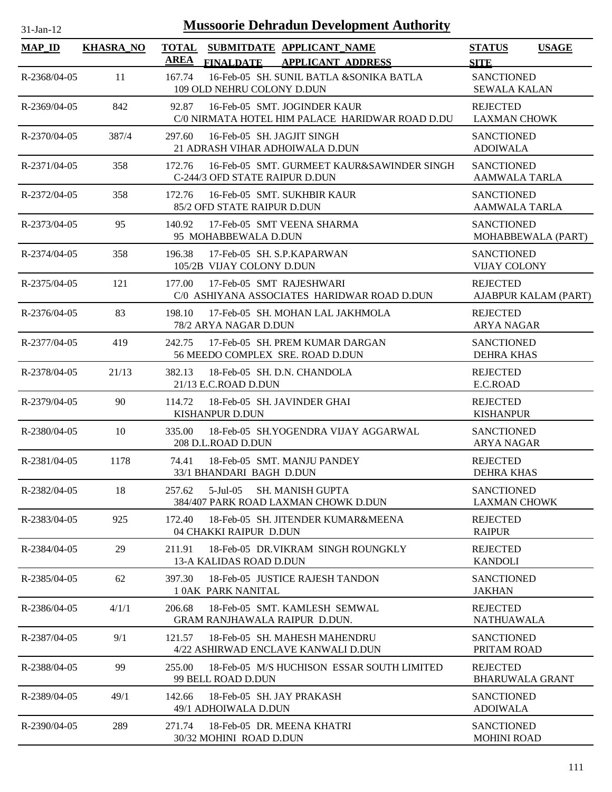| <b>Mussoorie Dehradun Development Authority</b><br>$31-Jan-12$ |                  |             |                                                                                                                           |                                           |                      |  |
|----------------------------------------------------------------|------------------|-------------|---------------------------------------------------------------------------------------------------------------------------|-------------------------------------------|----------------------|--|
| <b>MAP ID</b>                                                  | <b>KHASRA_NO</b> | <b>AREA</b> | TOTAL SUBMITDATE APPLICANT NAME<br><b>FINALDATE</b><br><b>APPLICANT ADDRESS</b>                                           | <b>STATUS</b><br><b>SITE</b>              | <b>USAGE</b>         |  |
| R-2368/04-05                                                   | 11               | 167.74      | 16-Feb-05 SH. SUNIL BATLA &SONIKA BATLA<br>109 OLD NEHRU COLONY D.DUN                                                     | <b>SANCTIONED</b><br><b>SEWALA KALAN</b>  |                      |  |
| R-2369/04-05                                                   | 842              | 92.87       | 16-Feb-05 SMT. JOGINDER KAUR<br><b>REJECTED</b><br>C/0 NIRMATA HOTEL HIM PALACE HARIDWAR ROAD D.DU<br><b>LAXMAN CHOWK</b> |                                           |                      |  |
| R-2370/04-05                                                   | 387/4            | 297.60      | 16-Feb-05 SH. JAGJIT SINGH<br>21 ADRASH VIHAR ADHOIWALA D.DUN                                                             | <b>SANCTIONED</b><br><b>ADOIWALA</b>      |                      |  |
| $R - 2371/04 - 05$                                             | 358              | 172.76      | 16-Feb-05 SMT. GURMEET KAUR&SAWINDER SINGH<br>C-244/3 OFD STATE RAIPUR D.DUN                                              | <b>SANCTIONED</b><br><b>AAMWALA TARLA</b> |                      |  |
| R-2372/04-05                                                   | 358              | 172.76      | 16-Feb-05 SMT. SUKHBIR KAUR<br>85/2 OFD STATE RAIPUR D.DUN                                                                | <b>SANCTIONED</b><br><b>AAMWALA TARLA</b> |                      |  |
| R-2373/04-05                                                   | 95               | 140.92      | 17-Feb-05 SMT VEENA SHARMA<br>95 MOHABBEWALA D.DUN                                                                        | <b>SANCTIONED</b>                         | MOHABBEWALA (PART)   |  |
| R-2374/04-05                                                   | 358              | 196.38      | 17-Feb-05 SH. S.P.KAPARWAN<br>105/2B VIJAY COLONY D.DUN                                                                   | <b>SANCTIONED</b><br><b>VIJAY COLONY</b>  |                      |  |
| R-2375/04-05                                                   | 121              | 177.00      | 17-Feb-05 SMT RAJESHWARI<br>C/0 ASHIYANA ASSOCIATES HARIDWAR ROAD D.DUN                                                   | <b>REJECTED</b>                           | AJABPUR KALAM (PART) |  |
| R-2376/04-05                                                   | 83               | 198.10      | 17-Feb-05 SH. MOHAN LAL JAKHMOLA<br>78/2 ARYA NAGAR D.DUN                                                                 | <b>REJECTED</b><br><b>ARYA NAGAR</b>      |                      |  |
| R-2377/04-05                                                   | 419              | 242.75      | 17-Feb-05 SH. PREM KUMAR DARGAN<br>56 MEEDO COMPLEX SRE. ROAD D.DUN                                                       | <b>SANCTIONED</b><br><b>DEHRA KHAS</b>    |                      |  |
| R-2378/04-05                                                   | 21/13            | 382.13      | 18-Feb-05 SH. D.N. CHANDOLA<br>21/13 E.C.ROAD D.DUN                                                                       | <b>REJECTED</b><br>E.C.ROAD               |                      |  |
| R-2379/04-05                                                   | 90               | 114.72      | 18-Feb-05 SH. JAVINDER GHAI<br>KISHANPUR D.DUN                                                                            | <b>REJECTED</b><br><b>KISHANPUR</b>       |                      |  |
| R-2380/04-05                                                   | 10               | 335.00      | 18-Feb-05 SH.YOGENDRA VIJAY AGGARWAL<br>208 D.L.ROAD D.DUN                                                                | <b>SANCTIONED</b><br><b>ARYA NAGAR</b>    |                      |  |
| R-2381/04-05                                                   | 1178             | 74.41       | 18-Feb-05 SMT. MANJU PANDEY<br>33/1 BHANDARI BAGH D.DUN                                                                   | <b>REJECTED</b><br><b>DEHRA KHAS</b>      |                      |  |
| R-2382/04-05                                                   | 18               | 257.62      | 5-Jul-05<br><b>SH. MANISH GUPTA</b><br>384/407 PARK ROAD LAXMAN CHOWK D.DUN                                               | <b>SANCTIONED</b><br><b>LAXMAN CHOWK</b>  |                      |  |
| R-2383/04-05                                                   | 925              | 172.40      | 18-Feb-05 SH. JITENDER KUMAR&MEENA<br>04 CHAKKI RAIPUR D.DUN                                                              | <b>REJECTED</b><br><b>RAIPUR</b>          |                      |  |
| R-2384/04-05                                                   | 29               | 211.91      | 18-Feb-05 DR.VIKRAM SINGH ROUNGKLY<br>13-A KALIDAS ROAD D.DUN                                                             | <b>REJECTED</b><br><b>KANDOLI</b>         |                      |  |
| R-2385/04-05                                                   | 62               | 397.30      | 18-Feb-05 JUSTICE RAJESH TANDON<br>10AK PARK NANITAL                                                                      | <b>SANCTIONED</b><br>JAKHAN               |                      |  |
| R-2386/04-05                                                   | 4/1/1            | 206.68      | 18-Feb-05 SMT. KAMLESH SEMWAL<br><b>GRAM RANJHAWALA RAIPUR D.DUN.</b>                                                     | <b>REJECTED</b><br><b>NATHUAWALA</b>      |                      |  |
| R-2387/04-05                                                   | 9/1              | 121.57      | 18-Feb-05 SH. MAHESH MAHENDRU<br>4/22 ASHIRWAD ENCLAVE KANWALI D.DUN                                                      | <b>SANCTIONED</b><br>PRITAM ROAD          |                      |  |
| R-2388/04-05                                                   | 99               | 255.00      | 18-Feb-05 M/S HUCHISON ESSAR SOUTH LIMITED<br>99 BELL ROAD D.DUN                                                          | <b>REJECTED</b><br><b>BHARUWALA GRANT</b> |                      |  |
| R-2389/04-05                                                   | 49/1             | 142.66      | 18-Feb-05 SH. JAY PRAKASH<br>49/1 ADHOIWALA D.DUN                                                                         | <b>SANCTIONED</b><br><b>ADOIWALA</b>      |                      |  |
| R-2390/04-05                                                   | 289              | 271.74      | 18-Feb-05 DR. MEENA KHATRI<br>30/32 MOHINI ROAD D.DUN                                                                     | <b>SANCTIONED</b><br><b>MOHINI ROAD</b>   |                      |  |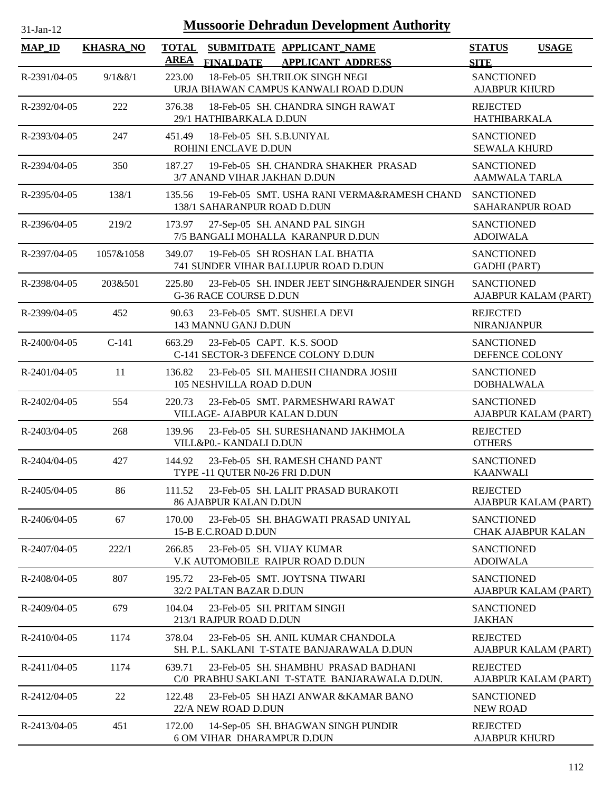| $31$ -Jan-12 |  |
|--------------|--|
|              |  |

## **Mussoorie Dehradun Development Authority**

| <b>MAP_ID</b>      | <b>KHASRA_NO</b> | <b>AREA</b> | TOTAL SUBMITDATE APPLICANT NAME<br><b>FINALDATE</b><br><b>APPLICANT ADDRESS</b>       | <b>STATUS</b><br><b>SITE</b>                   | <b>USAGE</b>         |
|--------------------|------------------|-------------|---------------------------------------------------------------------------------------|------------------------------------------------|----------------------|
| R-2391/04-05       | 9/1&8/1          | 223.00      | 18-Feb-05 SH.TRILOK SINGH NEGI<br>URJA BHAWAN CAMPUS KANWALI ROAD D.DUN               | <b>SANCTIONED</b><br><b>AJABPUR KHURD</b>      |                      |
| R-2392/04-05       | 222              | 376.38      | 18-Feb-05 SH. CHANDRA SINGH RAWAT<br>29/1 HATHIBARKALA D.DUN                          | <b>REJECTED</b><br>HATHIBARKALA                |                      |
| R-2393/04-05       | 247              | 451.49      | 18-Feb-05 SH. S.B.UNIYAL<br>ROHINI ENCLAVE D.DUN                                      | <b>SANCTIONED</b><br><b>SEWALA KHURD</b>       |                      |
| R-2394/04-05       | 350              | 187.27      | 19-Feb-05 SH. CHANDRA SHAKHER PRASAD<br>3/7 ANAND VIHAR JAKHAN D.DUN                  | <b>SANCTIONED</b><br><b>AAMWALA TARLA</b>      |                      |
| R-2395/04-05       | 138/1            | 135.56      | 19-Feb-05 SMT. USHA RANI VERMA&RAMESH CHAND<br>138/1 SAHARANPUR ROAD D.DUN            | <b>SANCTIONED</b><br>SAHARANPUR ROAD           |                      |
| R-2396/04-05       | 219/2            | 173.97      | 27-Sep-05 SH. ANAND PAL SINGH<br>7/5 BANGALI MOHALLA KARANPUR D.DUN                   | <b>SANCTIONED</b><br><b>ADOIWALA</b>           |                      |
| R-2397/04-05       | 1057&1058        | 349.07      | 19-Feb-05 SH ROSHAN LAL BHATIA<br>741 SUNDER VIHAR BALLUPUR ROAD D.DUN                | <b>SANCTIONED</b><br><b>GADHI</b> (PART)       |                      |
| R-2398/04-05       | 203&501          | 225.80      | 23-Feb-05 SH. INDER JEET SINGH&RAJENDER SINGH<br><b>G-36 RACE COURSE D.DUN</b>        | <b>SANCTIONED</b>                              | AJABPUR KALAM (PART) |
| R-2399/04-05       | 452              | 90.63       | 23-Feb-05 SMT. SUSHELA DEVI<br>143 MANNU GANJ D.DUN                                   | <b>REJECTED</b><br>NIRANJANPUR                 |                      |
| $R - 2400/04 - 05$ | $C-141$          | 663.29      | 23-Feb-05 CAPT. K.S. SOOD<br>C-141 SECTOR-3 DEFENCE COLONY D.DUN                      | <b>SANCTIONED</b><br>DEFENCE COLONY            |                      |
| R-2401/04-05       | 11               | 136.82      | 23-Feb-05 SH. MAHESH CHANDRA JOSHI<br>105 NESHVILLA ROAD D.DUN                        | <b>SANCTIONED</b><br><b>DOBHALWALA</b>         |                      |
| R-2402/04-05       | 554              | 220.73      | 23-Feb-05 SMT. PARMESHWARI RAWAT<br>VILLAGE- AJABPUR KALAN D.DUN                      | <b>SANCTIONED</b>                              | AJABPUR KALAM (PART) |
| $R - 2403/04 - 05$ | 268              | 139.96      | 23-Feb-05 SH. SURESHANAND JAKHMOLA<br>VILL&P0.- KANDALI D.DUN                         | <b>REJECTED</b><br><b>OTHERS</b>               |                      |
| R-2404/04-05       | 427              | 144.92      | 23-Feb-05 SH. RAMESH CHAND PANT<br>TYPE -11 QUTER N0-26 FRI D.DUN                     | <b>SANCTIONED</b><br><b>KAANWALI</b>           |                      |
| R-2405/04-05       | 86               | 111.52      | 23-Feb-05 SH. LALIT PRASAD BURAKOTI<br><b>86 AJABPUR KALAN D.DUN</b>                  | <b>REJECTED</b>                                | AJABPUR KALAM (PART) |
| R-2406/04-05       | 67               | 170.00      | 23-Feb-05 SH. BHAGWATI PRASAD UNIYAL<br>15-B E.C.ROAD D.DUN                           | <b>SANCTIONED</b><br><b>CHAK AJABPUR KALAN</b> |                      |
| R-2407/04-05       | 222/1            | 266.85      | 23-Feb-05 SH. VIJAY KUMAR<br>V.K AUTOMOBILE RAIPUR ROAD D.DUN                         | <b>SANCTIONED</b><br><b>ADOIWALA</b>           |                      |
| R-2408/04-05       | 807              | 195.72      | 23-Feb-05 SMT. JOYTSNA TIWARI<br>32/2 PALTAN BAZAR D.DUN                              | <b>SANCTIONED</b>                              | AJABPUR KALAM (PART) |
| R-2409/04-05       | 679              | 104.04      | 23-Feb-05 SH. PRITAM SINGH<br>213/1 RAJPUR ROAD D.DUN                                 | <b>SANCTIONED</b><br><b>JAKHAN</b>             |                      |
| R-2410/04-05       | 1174             | 378.04      | 23-Feb-05 SH. ANIL KUMAR CHANDOLA<br>SH. P.L. SAKLANI T-STATE BANJARAWALA D.DUN       | <b>REJECTED</b>                                | AJABPUR KALAM (PART) |
| R-2411/04-05       | 1174             | 639.71      | 23-Feb-05 SH. SHAMBHU PRASAD BADHANI<br>C/0 PRABHU SAKLANI T-STATE BANJARAWALA D.DUN. | <b>REJECTED</b>                                | AJABPUR KALAM (PART) |
| R-2412/04-05       | 22               | 122.48      | 23-Feb-05 SH HAZI ANWAR & KAMAR BANO<br>22/A NEW ROAD D.DUN                           | <b>SANCTIONED</b><br><b>NEW ROAD</b>           |                      |
| R-2413/04-05       | 451              | 172.00      | 14-Sep-05 SH. BHAGWAN SINGH PUNDIR<br><b>6 OM VIHAR DHARAMPUR D.DUN</b>               | <b>REJECTED</b><br><b>AJABPUR KHURD</b>        |                      |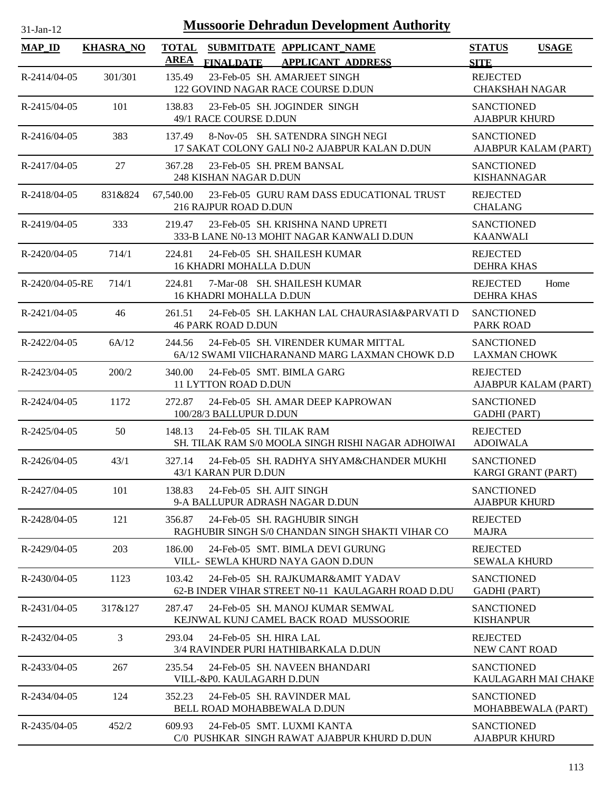| $31$ -Jan-12       |                  |                             |                                                          | <b>Mussoorie Dehradun Development Authority</b>                                        |                                           |                      |
|--------------------|------------------|-----------------------------|----------------------------------------------------------|----------------------------------------------------------------------------------------|-------------------------------------------|----------------------|
| <b>MAP_ID</b>      | <b>KHASRA_NO</b> | <b>TOTAL</b><br><b>AREA</b> | <b>FINALDATE</b>                                         | SUBMITDATE APPLICANT_NAME<br><b>APPLICANT ADDRESS</b>                                  | <b>STATUS</b><br><b>SITE</b>              | <b>USAGE</b>         |
| R-2414/04-05       | 301/301          | 135.49                      |                                                          | 23-Feb-05 SH. AMARJEET SINGH<br>122 GOVIND NAGAR RACE COURSE D.DUN                     | <b>REJECTED</b><br><b>CHAKSHAH NAGAR</b>  |                      |
| $R-2415/04-05$     | 101              | 138.83                      | 49/1 RACE COURSE D.DUN                                   | 23-Feb-05 SH. JOGINDER SINGH                                                           | <b>SANCTIONED</b><br><b>AJABPUR KHURD</b> |                      |
| $R-2416/04-05$     | 383              | 137.49                      |                                                          | 8-Nov-05 SH. SATENDRA SINGH NEGI<br>17 SAKAT COLONY GALI N0-2 AJABPUR KALAN D.DUN      | <b>SANCTIONED</b>                         | AJABPUR KALAM (PART) |
| R-2417/04-05       | 27               | 367.28                      | 23-Feb-05 SH. PREM BANSAL<br>248 KISHAN NAGAR D.DUN      |                                                                                        | <b>SANCTIONED</b><br><b>KISHANNAGAR</b>   |                      |
| R-2418/04-05       | 831&824          | 67,540.00                   | 216 RAJPUR ROAD D.DUN                                    | 23-Feb-05 GURU RAM DASS EDUCATIONAL TRUST                                              | <b>REJECTED</b><br><b>CHALANG</b>         |                      |
| R-2419/04-05       | 333              | 219.47                      |                                                          | 23-Feb-05 SH. KRISHNA NAND UPRETI<br>333-B LANE N0-13 MOHIT NAGAR KANWALI D.DUN        | <b>SANCTIONED</b><br><b>KAANWALI</b>      |                      |
| R-2420/04-05       | 714/1            | 224.81                      | <b>16 KHADRI MOHALLA D.DUN</b>                           | 24-Feb-05 SH. SHAILESH KUMAR                                                           | <b>REJECTED</b><br><b>DEHRA KHAS</b>      |                      |
| R-2420/04-05-RE    | 714/1            | 224.81                      | <b>16 KHADRI MOHALLA D.DUN</b>                           | 7-Mar-08 SH, SHAILESH KUMAR                                                            | <b>REJECTED</b><br><b>DEHRA KHAS</b>      | Home                 |
| R-2421/04-05       | 46               | 261.51                      | <b>46 PARK ROAD D.DUN</b>                                | 24-Feb-05 SH. LAKHAN LAL CHAURASIA&PARVATI D                                           | <b>SANCTIONED</b><br><b>PARK ROAD</b>     |                      |
| R-2422/04-05       | 6A/12            | 244.56                      |                                                          | 24-Feb-05 SH. VIRENDER KUMAR MITTAL<br>6A/12 SWAMI VIICHARANAND MARG LAXMAN CHOWK D.D  | <b>SANCTIONED</b><br><b>LAXMAN CHOWK</b>  |                      |
| R-2423/04-05       | 200/2            | 340.00                      | 24-Feb-05 SMT. BIMLA GARG<br><b>11 LYTTON ROAD D.DUN</b> |                                                                                        | <b>REJECTED</b>                           | AJABPUR KALAM (PART) |
| R-2424/04-05       | 1172             | 272.87                      | 100/28/3 BALLUPUR D.DUN                                  | 24-Feb-05 SH. AMAR DEEP KAPROWAN                                                       | <b>SANCTIONED</b><br><b>GADHI</b> (PART)  |                      |
| R-2425/04-05       | 50               | 148.13                      | 24-Feb-05 SH. TILAK RAM                                  | SH. TILAK RAM S/0 MOOLA SINGH RISHI NAGAR ADHOIWAI                                     | <b>REJECTED</b><br><b>ADOIWALA</b>        |                      |
| R-2426/04-05       | 43/1             | 327.14                      | 43/1 KARAN PUR D.DUN                                     | 24-Feb-05 SH. RADHYA SHYAM&CHANDER MUKHI                                               | <b>SANCTIONED</b><br>KARGI GRANT (PART)   |                      |
| R-2427/04-05       | 101              | 138.83                      | 24-Feb-05 SH. AJIT SINGH                                 | 9-A BALLUPUR ADRASH NAGAR D.DUN                                                        | <b>SANCTIONED</b><br><b>AJABPUR KHURD</b> |                      |
| R-2428/04-05       | 121              | 356.87                      |                                                          | 24-Feb-05 SH, RAGHUBIR SINGH<br>RAGHUBIR SINGH S/0 CHANDAN SINGH SHAKTI VIHAR CO       | <b>REJECTED</b><br><b>MAJRA</b>           |                      |
| R-2429/04-05       | 203              | 186.00                      |                                                          | 24-Feb-05 SMT. BIMLA DEVI GURUNG<br>VILL- SEWLA KHURD NAYA GAON D.DUN                  | <b>REJECTED</b><br><b>SEWALA KHURD</b>    |                      |
| $R - 2430/04 - 05$ | 1123             | 103.42                      |                                                          | 24-Feb-05 SH, RAJKUMAR&AMIT YADAV<br>62-B INDER VIHAR STREET N0-11 KAULAGARH ROAD D.DU | <b>SANCTIONED</b><br><b>GADHI</b> (PART)  |                      |
| R-2431/04-05       | 317&127          | 287.47                      |                                                          | 24-Feb-05 SH. MANOJ KUMAR SEMWAL<br>KEJNWAL KUNJ CAMEL BACK ROAD MUSSOORIE             | <b>SANCTIONED</b><br><b>KISHANPUR</b>     |                      |
| R-2432/04-05       | 3                | 293.04                      | 24-Feb-05 SH. HIRA LAL                                   | 3/4 RAVINDER PURI HATHIBARKALA D.DUN                                                   | <b>REJECTED</b><br><b>NEW CANT ROAD</b>   |                      |
| R-2433/04-05       | 267              | 235.54                      | VILL-&P0. KAULAGARH D.DUN                                | 24-Feb-05 SH. NAVEEN BHANDARI                                                          | <b>SANCTIONED</b>                         | KAULAGARH MAI CHAKE  |
| R-2434/04-05       | 124              | 352.23                      | BELL ROAD MOHABBEWALA D.DUN                              | 24-Feb-05 SH. RAVINDER MAL                                                             | <b>SANCTIONED</b><br>MOHABBEWALA (PART)   |                      |
| R-2435/04-05       | 452/2            | 609.93                      |                                                          | 24-Feb-05 SMT. LUXMI KANTA<br>C/0 PUSHKAR SINGH RAWAT AJABPUR KHURD D.DUN              | <b>SANCTIONED</b><br><b>AJABPUR KHURD</b> |                      |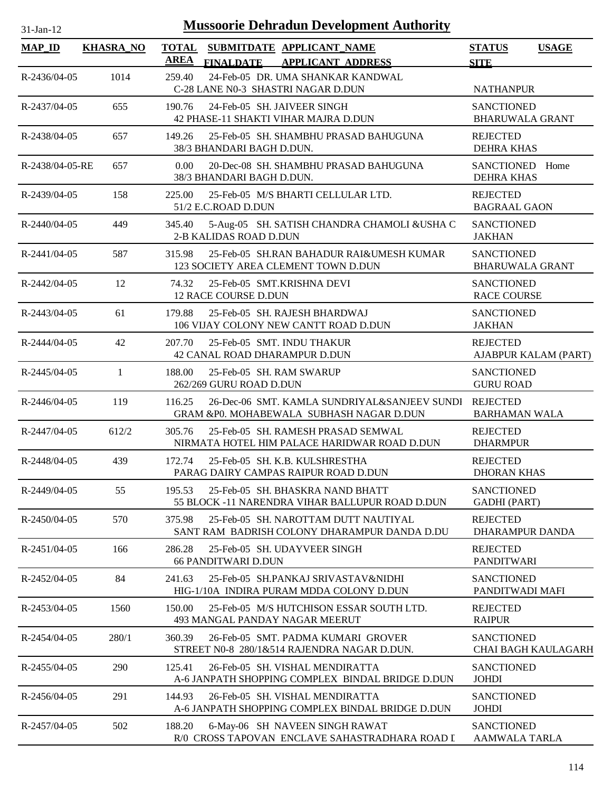| $31$ -Jan-12       |                  | <b>Mussoorie Dehradun Development Authority</b>                                                          |                                             |                            |
|--------------------|------------------|----------------------------------------------------------------------------------------------------------|---------------------------------------------|----------------------------|
| <b>MAP_ID</b>      | <b>KHASRA_NO</b> | <b>TOTAL</b><br>SUBMITDATE APPLICANT_NAME<br><b>AREA</b><br><b>FINALDATE</b><br><b>APPLICANT ADDRESS</b> | <b>STATUS</b><br><b>SITE</b>                | <b>USAGE</b>               |
| R-2436/04-05       | 1014             | 24-Feb-05 DR. UMA SHANKAR KANDWAL<br>259.40<br>C-28 LANE N0-3 SHASTRI NAGAR D.DUN                        | <b>NATHANPUR</b>                            |                            |
| R-2437/04-05       | 655              | 190.76<br>24-Feb-05 SH. JAIVEER SINGH<br>42 PHASE-11 SHAKTI VIHAR MAJRA D.DUN                            | <b>SANCTIONED</b><br><b>BHARUWALA GRANT</b> |                            |
| R-2438/04-05       | 657              | 25-Feb-05 SH. SHAMBHU PRASAD BAHUGUNA<br>149.26<br>38/3 BHANDARI BAGH D.DUN.                             | <b>REJECTED</b><br><b>DEHRA KHAS</b>        |                            |
| R-2438/04-05-RE    | 657              | 20-Dec-08 SH. SHAMBHU PRASAD BAHUGUNA<br>$0.00^{\circ}$<br>38/3 BHANDARI BAGH D.DUN.                     | SANCTIONED Home<br><b>DEHRA KHAS</b>        |                            |
| R-2439/04-05       | 158              | 25-Feb-05 M/S BHARTI CELLULAR LTD.<br>225.00<br>51/2 E.C.ROAD D.DUN                                      | <b>REJECTED</b><br><b>BAGRAAL GAON</b>      |                            |
| $R - 2440/04 - 05$ | 449              | 345.40<br>5-Aug-05 SH. SATISH CHANDRA CHAMOLI &USHA C<br>2-B KALIDAS ROAD D.DUN                          | <b>SANCTIONED</b><br><b>JAKHAN</b>          |                            |
| $R - 2441/04 - 05$ | 587              | 25-Feb-05 SH.RAN BAHADUR RAI&UMESH KUMAR<br>315.98<br>123 SOCIETY AREA CLEMENT TOWN D.DUN                | <b>SANCTIONED</b><br><b>BHARUWALA GRANT</b> |                            |
| R-2442/04-05       | 12               | 74.32<br>25-Feb-05 SMT.KRISHNA DEVI<br>12 RACE COURSE D.DUN                                              | <b>SANCTIONED</b><br><b>RACE COURSE</b>     |                            |
| R-2443/04-05       | 61               | 179.88<br>25-Feb-05 SH. RAJESH BHARDWAJ<br>106 VIJAY COLONY NEW CANTT ROAD D.DUN                         | <b>SANCTIONED</b><br><b>JAKHAN</b>          |                            |
| $R - 2444/04 - 05$ | 42               | 207.70<br>25-Feb-05 SMT. INDU THAKUR<br>42 CANAL ROAD DHARAMPUR D.DUN                                    | <b>REJECTED</b>                             | AJABPUR KALAM (PART)       |
| R-2445/04-05       | 1                | 188.00<br>25-Feb-05 SH, RAM SWARUP<br>262/269 GURU ROAD D.DUN                                            | <b>SANCTIONED</b><br><b>GURU ROAD</b>       |                            |
| R-2446/04-05       | 119              | 26-Dec-06 SMT. KAMLA SUNDRIYAL&SANJEEV SUNDI<br>116.25<br>GRAM &PO. MOHABEWALA SUBHASH NAGAR D.DUN       | REJECTED<br><b>BARHAMAN WALA</b>            |                            |
| R-2447/04-05       | 612/2            | 305.76<br>25-Feb-05 SH, RAMESH PRASAD SEMWAL<br>NIRMATA HOTEL HIM PALACE HARIDWAR ROAD D.DUN             | <b>REJECTED</b><br><b>DHARMPUR</b>          |                            |
| R-2448/04-05       | 439              | 172.74<br>25-Feb-05 SH, K.B. KULSHRESTHA<br>PARAG DAIRY CAMPAS RAIPUR ROAD D.DUN                         | <b>REJECTED</b><br><b>DHORAN KHAS</b>       |                            |
| R-2449/04-05       | 55               | 195.53<br>25-Feb-05 SH. BHASKRA NAND BHATT<br>55 BLOCK -11 NARENDRA VIHAR BALLUPUR ROAD D.DUN            | <b>SANCTIONED</b><br><b>GADHI</b> (PART)    |                            |
| $R-2450/04-05$     | 570              | 25-Feb-05 SH. NAROTTAM DUTT NAUTIYAL<br>375.98<br>SANT RAM BADRISH COLONY DHARAMPUR DANDA D.DU           | <b>REJECTED</b><br>DHARAMPUR DANDA          |                            |
| R-2451/04-05       | 166              | 286.28<br>25-Feb-05 SH. UDAYVEER SINGH<br><b>66 PANDITWARI D.DUN</b>                                     | <b>REJECTED</b><br><b>PANDITWARI</b>        |                            |
| R-2452/04-05       | 84               | 241.63<br>25-Feb-05 SH.PANKAJ SRIVASTAV&NIDHI<br>HIG-1/10A INDIRA PURAM MDDA COLONY D.DUN                | <b>SANCTIONED</b><br>PANDITWADI MAFI        |                            |
| R-2453/04-05       | 1560             | 150.00<br>25-Feb-05 M/S HUTCHISON ESSAR SOUTH LTD.<br>493 MANGAL PANDAY NAGAR MEERUT                     | <b>REJECTED</b><br><b>RAIPUR</b>            |                            |
| R-2454/04-05       | 280/1            | 360.39<br>26-Feb-05 SMT. PADMA KUMARI GROVER<br>STREET N0-8 280/1&514 RAJENDRA NAGAR D.DUN.              | <b>SANCTIONED</b>                           | <b>CHAI BAGH KAULAGARH</b> |
| R-2455/04-05       | 290              | 125.41<br>26-Feb-05 SH. VISHAL MENDIRATTA<br>A-6 JANPATH SHOPPING COMPLEX BINDAL BRIDGE D.DUN            | <b>SANCTIONED</b><br>JOHDI                  |                            |
| R-2456/04-05       | 291              | 144.93<br>26-Feb-05 SH. VISHAL MENDIRATTA<br>A-6 JANPATH SHOPPING COMPLEX BINDAL BRIDGE D.DUN            | <b>SANCTIONED</b><br><b>JOHDI</b>           |                            |
| R-2457/04-05       | 502              | 188.20<br>6-May-06 SH NAVEEN SINGH RAWAT<br>R/0 CROSS TAPOVAN ENCLAVE SAHASTRADHARA ROAD I               | <b>SANCTIONED</b><br>AAMWALA TARLA          |                            |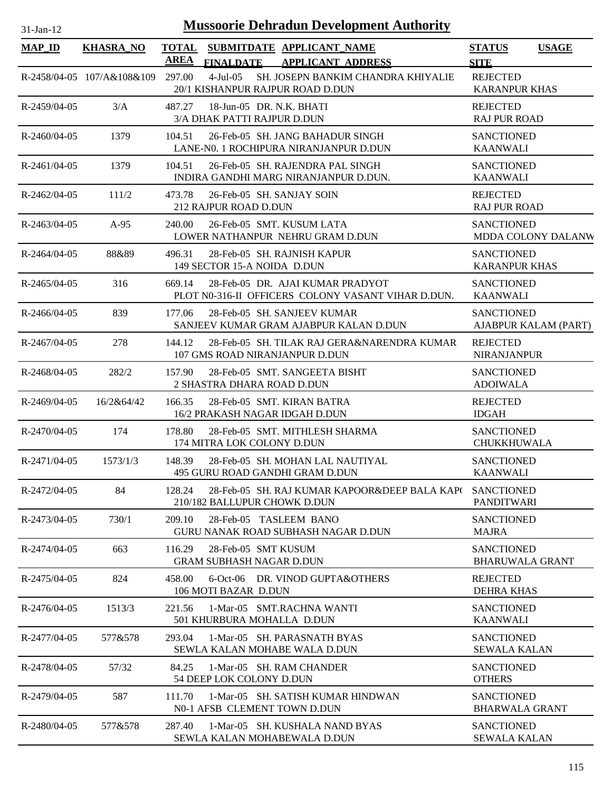# 31-Jan-12 **Mussoorie Dehradun Development Authority**

| <b>MAP_ID</b>      | <b>KHASRA_NO</b>           | <b>AREA</b> | <b>FINALDATE</b>                                        | TOTAL SUBMITDATE APPLICANT NAME<br><b>APPLICANT ADDRESS</b>                            | <b>STATUS</b><br><b>SITE</b>                | <b>USAGE</b>         |
|--------------------|----------------------------|-------------|---------------------------------------------------------|----------------------------------------------------------------------------------------|---------------------------------------------|----------------------|
|                    | R-2458/04-05 107/A&108&109 | 297.00      | $4$ -Jul $-05$                                          | SH. JOSEPN BANKIM CHANDRA KHIYALIE<br>20/1 KISHANPUR RAJPUR ROAD D.DUN                 | <b>REJECTED</b><br><b>KARANPUR KHAS</b>     |                      |
| R-2459/04-05       | 3/A                        | 487.27      | 18-Jun-05 DR. N.K. BHATI<br>3/A DHAK PATTI RAJPUR D.DUN |                                                                                        | <b>REJECTED</b><br><b>RAJ PUR ROAD</b>      |                      |
| $R - 2460/04 - 05$ | 1379                       | 104.51      |                                                         | 26-Feb-05 SH. JANG BAHADUR SINGH<br>LANE-N0. 1 ROCHIPURA NIRANJANPUR D.DUN             | <b>SANCTIONED</b><br><b>KAANWALI</b>        |                      |
| R-2461/04-05       | 1379                       | 104.51      |                                                         | 26-Feb-05 SH. RAJENDRA PAL SINGH<br>INDIRA GANDHI MARG NIRANJANPUR D.DUN.              | <b>SANCTIONED</b><br><b>KAANWALI</b>        |                      |
| R-2462/04-05       | 111/2                      | 473.78      | 26-Feb-05 SH, SANJAY SOIN<br>212 RAJPUR ROAD D.DUN      |                                                                                        | <b>REJECTED</b><br><b>RAJ PUR ROAD</b>      |                      |
| R-2463/04-05       | $A-95$                     | 240.00      |                                                         | 26-Feb-05 SMT. KUSUM LATA<br>LOWER NATHANPUR NEHRU GRAM D.DUN                          | <b>SANCTIONED</b>                           | MDDA COLONY DALANW   |
| $R - 2464/04 - 05$ | 88&89                      | 496.31      | 149 SECTOR 15-A NOIDA D.DUN                             | 28-Feb-05 SH, RAJNISH KAPUR                                                            | <b>SANCTIONED</b><br><b>KARANPUR KHAS</b>   |                      |
| $R - 2465/04 - 05$ | 316                        | 669.14      |                                                         | 28-Feb-05 DR. AJAI KUMAR PRADYOT<br>PLOT N0-316-II OFFICERS COLONY VASANT VIHAR D.DUN. | <b>SANCTIONED</b><br><b>KAANWALI</b>        |                      |
| $R-2466/04-05$     | 839                        | 177.06      |                                                         | 28-Feb-05 SH, SANJEEV KUMAR<br>SANJEEV KUMAR GRAM AJABPUR KALAN D.DUN                  | <b>SANCTIONED</b>                           | AJABPUR KALAM (PART) |
| R-2467/04-05       | 278                        | 144.12      | 107 GMS ROAD NIRANJANPUR D.DUN                          | 28-Feb-05 SH. TILAK RAJ GERA&NARENDRA KUMAR                                            | <b>REJECTED</b><br><b>NIRANJANPUR</b>       |                      |
| R-2468/04-05       | 282/2                      | 157.90      | 2 SHASTRA DHARA ROAD D.DUN                              | 28-Feb-05 SMT. SANGEETA BISHT                                                          | <b>SANCTIONED</b><br><b>ADOIWALA</b>        |                      |
| $R - 2469/04 - 05$ | 16/2&64/42                 | 166.35      | 16/2 PRAKASH NAGAR IDGAH D.DUN                          | 28-Feb-05 SMT. KIRAN BATRA                                                             | <b>REJECTED</b><br><b>IDGAH</b>             |                      |
| R-2470/04-05       | 174                        | 178.80      | 174 MITRA LOK COLONY D.DUN                              | 28-Feb-05 SMT. MITHLESH SHARMA                                                         | <b>SANCTIONED</b><br>CHUKKHUWALA            |                      |
| R-2471/04-05       | 1573/1/3                   | 148.39      |                                                         | 28-Feb-05 SH, MOHAN LAL NAUTIYAL<br>495 GURU ROAD GANDHI GRAM D.DUN                    | <b>SANCTIONED</b><br><b>KAANWALI</b>        |                      |
| R-2472/04-05       | 84                         | 128.24      | 210/182 BALLUPUR CHOWK D.DUN                            | 28-Feb-05 SH. RAJ KUMAR KAPOOR&DEEP BALA KAP( SANCTIONED                               | <b>PANDITWARI</b>                           |                      |
| R-2473/04-05       | 730/1                      | 209.10      | 28-Feb-05 TASLEEM BANO                                  | GURU NANAK ROAD SUBHASH NAGAR D.DUN                                                    | <b>SANCTIONED</b><br><b>MAJRA</b>           |                      |
| R-2474/04-05       | 663                        | 116.29      | 28-Feb-05 SMT KUSUM<br><b>GRAM SUBHASH NAGAR D.DUN</b>  |                                                                                        | <b>SANCTIONED</b><br><b>BHARUWALA GRANT</b> |                      |
| R-2475/04-05       | 824                        | 458.00      | 106 MOTI BAZAR D.DUN                                    | 6-Oct-06 DR. VINOD GUPTA&OTHERS                                                        | <b>REJECTED</b><br><b>DEHRA KHAS</b>        |                      |
| $R - 2476/04 - 05$ | 1513/3                     | 221.56      | 501 KHURBURA MOHALLA D.DUN                              | 1-Mar-05 SMT.RACHNA WANTI                                                              | <b>SANCTIONED</b><br><b>KAANWALI</b>        |                      |
| R-2477/04-05       | 577&578                    | 293.04      |                                                         | 1-Mar-05 SH. PARASNATH BYAS<br>SEWLA KALAN MOHABE WALA D.DUN                           | <b>SANCTIONED</b><br><b>SEWALA KALAN</b>    |                      |
| R-2478/04-05       | 57/32                      | 84.25       | 54 DEEP LOK COLONY D.DUN                                | 1-Mar-05 SH. RAM CHANDER                                                               | <b>SANCTIONED</b><br><b>OTHERS</b>          |                      |
| R-2479/04-05       | 587                        | 111.70      | N0-1 AFSB CLEMENT TOWN D.DUN                            | 1-Mar-05 SH, SATISH KUMAR HINDWAN                                                      | <b>SANCTIONED</b><br><b>BHARWALA GRANT</b>  |                      |
| R-2480/04-05       | 577&578                    | 287.40      |                                                         | 1-Mar-05 SH. KUSHALA NAND BYAS<br>SEWLA KALAN MOHABEWALA D.DUN                         | <b>SANCTIONED</b><br><b>SEWALA KALAN</b>    |                      |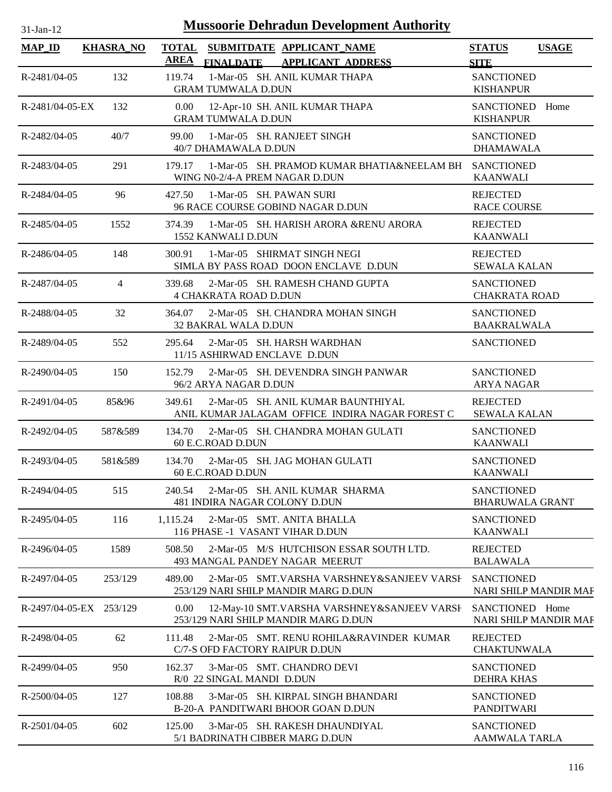| $31-Jan-12$             |                  | <b>Mussoorie Dehradun Development Authority</b>                                                 |                                                   |
|-------------------------|------------------|-------------------------------------------------------------------------------------------------|---------------------------------------------------|
| $MAP$ <sub>ID</sub>     | <b>KHASRA_NO</b> | TOTAL SUBMITDATE APPLICANT_NAME<br>AREA<br>FINALDATE APPLICANT ADDRESS                          | <b>USAGE</b><br><b>STATUS</b><br><b>SITE</b>      |
| R-2481/04-05            | 132              | 1-Mar-05 SH. ANIL KUMAR THAPA<br>119.74<br><b>GRAM TUMWALA D.DUN</b>                            | <b>SANCTIONED</b><br><b>KISHANPUR</b>             |
| R-2481/04-05-EX         | 132              | 0.00<br>12-Apr-10 SH. ANIL KUMAR THAPA<br><b>GRAM TUMWALA D.DUN</b>                             | SANCTIONED Home<br><b>KISHANPUR</b>               |
| R-2482/04-05            | 40/7             | 1-Mar-05 SH. RANJEET SINGH<br>99.00<br>40/7 DHAMAWALA D.DUN                                     | <b>SANCTIONED</b><br><b>DHAMAWALA</b>             |
| R-2483/04-05            | 291              | 179.17<br>1-Mar-05 SH. PRAMOD KUMAR BHATIA&NEELAM BH<br>WING N0-2/4-A PREM NAGAR D.DUN          | <b>SANCTIONED</b><br><b>KAANWALI</b>              |
| R-2484/04-05            | 96               | 427.50<br>1-Mar-05 SH. PAWAN SURI<br>96 RACE COURSE GOBIND NAGAR D.DUN                          | <b>REJECTED</b><br><b>RACE COURSE</b>             |
| R-2485/04-05            | 1552             | 374.39<br>1-Mar-05 SH. HARISH ARORA &RENU ARORA<br>1552 KANWALI D.DUN                           | <b>REJECTED</b><br><b>KAANWALI</b>                |
| R-2486/04-05            | 148              | 1-Mar-05 SHIRMAT SINGH NEGI<br>300.91<br>SIMLA BY PASS ROAD DOON ENCLAVE D.DUN                  | <b>REJECTED</b><br><b>SEWALA KALAN</b>            |
| R-2487/04-05            | 4                | 339.68<br>2-Mar-05 SH. RAMESH CHAND GUPTA<br><b>4 CHAKRATA ROAD D.DUN</b>                       | <b>SANCTIONED</b><br><b>CHAKRATA ROAD</b>         |
| R-2488/04-05            | 32               | 364.07<br>2-Mar-05 SH. CHANDRA MOHAN SINGH<br>32 BAKRAL WALA D.DUN                              | <b>SANCTIONED</b><br><b>BAAKRALWALA</b>           |
| R-2489/04-05            | 552              | 2-Mar-05 SH. HARSH WARDHAN<br>295.64<br>11/15 ASHIRWAD ENCLAVE D.DUN                            | <b>SANCTIONED</b>                                 |
| R-2490/04-05            | 150              | 2-Mar-05 SH. DEVENDRA SINGH PANWAR<br>152.79<br>96/2 ARYA NAGAR D.DUN                           | <b>SANCTIONED</b><br><b>ARYA NAGAR</b>            |
| R-2491/04-05            | 85&96            | 349.61<br>2-Mar-05 SH. ANIL KUMAR BAUNTHIYAL<br>ANIL KUMAR JALAGAM OFFICE INDIRA NAGAR FOREST C | <b>REJECTED</b><br><b>SEWALA KALAN</b>            |
| R-2492/04-05            | 587&589          | 134.70<br>2-Mar-05 SH. CHANDRA MOHAN GULATI<br>60 E.C.ROAD D.DUN                                | <b>SANCTIONED</b><br><b>KAANWALI</b>              |
| R-2493/04-05            | 581&589          | 134.70<br>2-Mar-05 SH. JAG MOHAN GULATI<br>60 E.C.ROAD D.DUN                                    | <b>SANCTIONED</b><br><b>KAANWALI</b>              |
| R-2494/04-05            | 515              | 2-Mar-05 SH. ANIL KUMAR SHARMA<br>240.54<br>481 INDIRA NAGAR COLONY D.DUN                       | <b>SANCTIONED</b><br><b>BHARUWALA GRANT</b>       |
| R-2495/04-05            | 116              | 1,115.24<br>2-Mar-05 SMT. ANITA BHALLA<br>116 PHASE -1 VASANT VIHAR D.DUN                       | <b>SANCTIONED</b><br><b>KAANWALI</b>              |
| R-2496/04-05            | 1589             | 2-Mar-05 M/S HUTCHISON ESSAR SOUTH LTD.<br>508.50<br>493 MANGAL PANDEY NAGAR MEERUT             | <b>REJECTED</b><br><b>BALAWALA</b>                |
| R-2497/04-05            | 253/129          | 489.00<br>2-Mar-05 SMT. VARSHA VARSHNEY&SANJEEV VARSH<br>253/129 NARI SHILP MANDIR MARG D.DUN   | <b>SANCTIONED</b><br><b>NARI SHILP MANDIR MAF</b> |
| R-2497/04-05-EX 253/129 |                  | 0.00<br>12-May-10 SMT.VARSHA VARSHNEY&SANJEEV VARSH<br>253/129 NARI SHILP MANDIR MARG D.DUN     | SANCTIONED Home<br>NARI SHILP MANDIR MAF          |
| R-2498/04-05            | 62               | 111.48<br>2-Mar-05 SMT. RENU ROHILA&RAVINDER KUMAR<br>C/7-S OFD FACTORY RAIPUR D.DUN            | <b>REJECTED</b><br><b>CHAKTUNWALA</b>             |
| R-2499/04-05            | 950              | 162.37<br>3-Mar-05 SMT. CHANDRO DEVI<br>R/0 22 SINGAL MANDI D.DUN                               | <b>SANCTIONED</b><br><b>DEHRA KHAS</b>            |
| R-2500/04-05            | 127              | 108.88<br>3-Mar-05 SH. KIRPAL SINGH BHANDARI<br>B-20-A PANDITWARI BHOOR GOAN D.DUN              | <b>SANCTIONED</b><br><b>PANDITWARI</b>            |
| R-2501/04-05            | 602              | 125.00<br>3-Mar-05 SH. RAKESH DHAUNDIYAL<br>5/1 BADRINATH CIBBER MARG D.DUN                     | <b>SANCTIONED</b><br>AAMWALA TARLA                |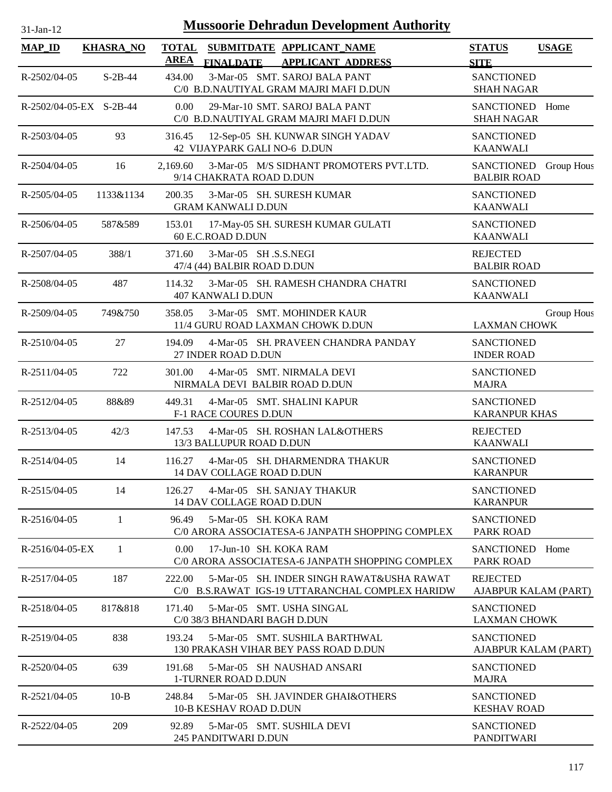# 31-Jan-12 **Mussoorie Dehradun Development Authority**

| $MAP$ <sub>ID</sub>     | <b>KHASRA_NO</b> | <b>TOTAL</b><br>SUBMITDATE APPLICANT_NAME<br><b>AREA</b><br><b>FINALDATE</b><br><b>APPLICANT ADDRESS</b> | <b>STATUS</b><br><b>USAGE</b><br><b>SITE</b>                 |
|-------------------------|------------------|----------------------------------------------------------------------------------------------------------|--------------------------------------------------------------|
| R-2502/04-05            | $S-2B-44$        | 3-Mar-05 SMT. SAROJ BALA PANT<br>434.00<br>C/0 B.D.NAUTIYAL GRAM MAJRI MAFI D.DUN                        | <b>SANCTIONED</b><br><b>SHAH NAGAR</b>                       |
| R-2502/04-05-EX S-2B-44 |                  | 0.00<br>29-Mar-10 SMT. SAROJ BALA PANT<br>C/0 B.D.NAUTIYAL GRAM MAJRI MAFI D.DUN                         | SANCTIONED Home<br><b>SHAH NAGAR</b>                         |
| R-2503/04-05            | 93               | 316.45<br>12-Sep-05 SH. KUNWAR SINGH YADAV<br>42 VIJAYPARK GALI NO-6 D.DUN                               | <b>SANCTIONED</b><br><b>KAANWALI</b>                         |
| R-2504/04-05            | 16               | 3-Mar-05 M/S SIDHANT PROMOTERS PVT.LTD.<br>2,169.60<br>9/14 CHAKRATA ROAD D.DUN                          | <b>SANCTIONED</b><br><b>Group Hous</b><br><b>BALBIR ROAD</b> |
| R-2505/04-05            | 1133&1134        | 200.35<br>3-Mar-05 SH. SURESH KUMAR<br><b>GRAM KANWALI D.DUN</b>                                         | <b>SANCTIONED</b><br><b>KAANWALI</b>                         |
| R-2506/04-05            | 587&589          | 153.01<br>17-May-05 SH. SURESH KUMAR GULATI<br>60 E.C.ROAD D.DUN                                         | <b>SANCTIONED</b><br><b>KAANWALI</b>                         |
| R-2507/04-05            | 388/1            | 3-Mar-05 SH .S.S.NEGI<br>371.60<br>47/4 (44) BALBIR ROAD D.DUN                                           | <b>REJECTED</b><br><b>BALBIR ROAD</b>                        |
| R-2508/04-05            | 487              | 3-Mar-05 SH. RAMESH CHANDRA CHATRI<br>114.32<br><b>407 KANWALI D.DUN</b>                                 | <b>SANCTIONED</b><br><b>KAANWALI</b>                         |
| R-2509/04-05            | 749&750          | 3-Mar-05 SMT. MOHINDER KAUR<br>358.05<br>11/4 GURU ROAD LAXMAN CHOWK D.DUN                               | Group Hous<br><b>LAXMAN CHOWK</b>                            |
| R-2510/04-05            | 27               | 194.09<br>4-Mar-05 SH. PRAVEEN CHANDRA PANDAY<br>27 INDER ROAD D.DUN                                     | <b>SANCTIONED</b><br><b>INDER ROAD</b>                       |
| R-2511/04-05            | 722              | 4-Mar-05 SMT. NIRMALA DEVI<br>301.00<br>NIRMALA DEVI BALBIR ROAD D.DUN                                   | <b>SANCTIONED</b><br><b>MAJRA</b>                            |
| R-2512/04-05            | 88&89            | 449.31<br>4-Mar-05 SMT. SHALINI KAPUR<br>F-1 RACE COURES D.DUN                                           | <b>SANCTIONED</b><br><b>KARANPUR KHAS</b>                    |
| R-2513/04-05            | 42/3             | 4-Mar-05 SH. ROSHAN LAL&OTHERS<br>147.53<br>13/3 BALLUPUR ROAD D.DUN                                     | <b>REJECTED</b><br><b>KAANWALI</b>                           |
| R-2514/04-05            | 14               | 4-Mar-05 SH. DHARMENDRA THAKUR<br>116.27<br>14 DAV COLLAGE ROAD D.DUN                                    | <b>SANCTIONED</b><br><b>KARANPUR</b>                         |
| R-2515/04-05            | 14               | 4-Mar-05 SH. SANJAY THAKUR<br>126.27<br><b>14 DAV COLLAGE ROAD D.DUN</b>                                 | <b>SANCTIONED</b><br><b>KARANPUR</b>                         |
| $R-2516/04-05$          | 1                | 96.49<br>5-Mar-05 SH. KOKA RAM<br>C/0 ARORA ASSOCIATESA-6 JANPATH SHOPPING COMPLEX                       | <b>SANCTIONED</b><br><b>PARK ROAD</b>                        |
| R-2516/04-05-EX         | 1                | 0.00<br>17-Jun-10 SH. KOKA RAM<br>C/0 ARORA ASSOCIATESA-6 JANPATH SHOPPING COMPLEX                       | <b>SANCTIONED</b><br>Home<br><b>PARK ROAD</b>                |
| R-2517/04-05            | 187              | 222.00<br>5-Mar-05 SH. INDER SINGH RAWAT&USHA RAWAT<br>C/0 B.S.RAWAT IGS-19 UTTARANCHAL COMPLEX HARIDW   | <b>REJECTED</b><br>AJABPUR KALAM (PART)                      |
| R-2518/04-05            | 817&818          | 5-Mar-05 SMT. USHA SINGAL<br>171.40<br>C/0 38/3 BHANDARI BAGH D.DUN                                      | <b>SANCTIONED</b><br><b>LAXMAN CHOWK</b>                     |
| R-2519/04-05            | 838              | 193.24<br>5-Mar-05 SMT. SUSHILA BARTHWAL<br>130 PRAKASH VIHAR BEY PASS ROAD D.DUN                        | <b>SANCTIONED</b><br>AJABPUR KALAM (PART)                    |
| R-2520/04-05            | 639              | 5-Mar-05 SH NAUSHAD ANSARI<br>191.68<br>1-TURNER ROAD D.DUN                                              | <b>SANCTIONED</b><br><b>MAJRA</b>                            |
| R-2521/04-05            | $10-B$           | 248.84<br>5-Mar-05 SH. JAVINDER GHAI&OTHERS<br>10-B KESHAV ROAD D.DUN                                    | <b>SANCTIONED</b><br><b>KESHAV ROAD</b>                      |
| R-2522/04-05            | 209              | 5-Mar-05 SMT. SUSHILA DEVI<br>92.89<br>245 PANDITWARI D.DUN                                              | <b>SANCTIONED</b><br><b>PANDITWARI</b>                       |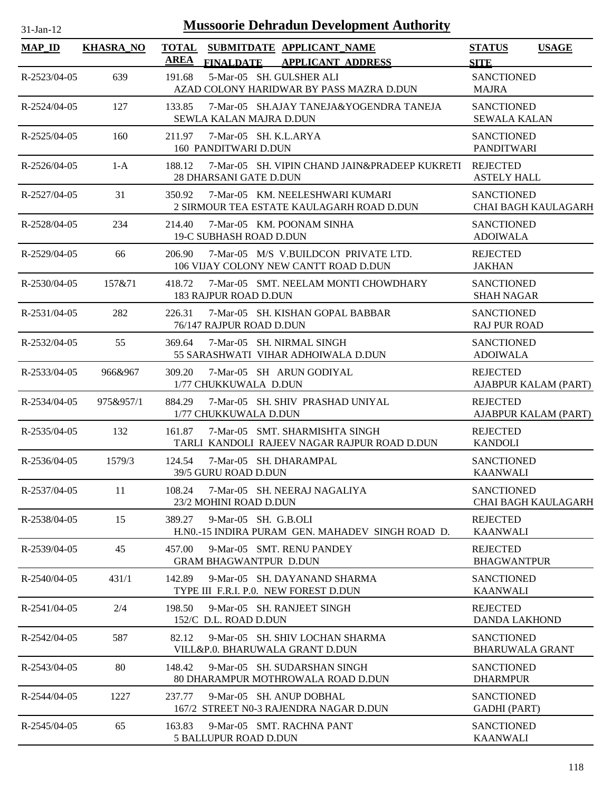| <b>Mussoorie Dehradun Development Authority</b><br>$31$ -Jan-12 |                  |                                                                                                          |                                                 |  |  |  |
|-----------------------------------------------------------------|------------------|----------------------------------------------------------------------------------------------------------|-------------------------------------------------|--|--|--|
| <b>MAP_ID</b>                                                   | <b>KHASRA_NO</b> | <b>TOTAL</b><br>SUBMITDATE APPLICANT NAME<br><b>AREA</b><br><b>APPLICANT ADDRESS</b><br><b>FINALDATE</b> | <b>STATUS</b><br><b>USAGE</b><br><b>SITE</b>    |  |  |  |
| R-2523/04-05                                                    | 639              | 191.68<br>5-Mar-05 SH. GULSHER ALI<br>AZAD COLONY HARIDWAR BY PASS MAZRA D.DUN                           | <b>SANCTIONED</b><br><b>MAJRA</b>               |  |  |  |
| R-2524/04-05                                                    | 127              | 133.85<br>7-Mar-05 SH.AJAY TANEJA&YOGENDRA TANEJA<br>SEWLA KALAN MAJRA D.DUN                             | <b>SANCTIONED</b><br><b>SEWALA KALAN</b>        |  |  |  |
| $R - 2525/04 - 05$                                              | 160              | 7-Mar-05 SH, K.L.ARYA<br>211.97<br>160 PANDITWARI D.DUN                                                  | <b>SANCTIONED</b><br><b>PANDITWARI</b>          |  |  |  |
| R-2526/04-05                                                    | $1-A$            | 7-Mar-05 SH. VIPIN CHAND JAIN&PRADEEP KUKRETI<br>188.12<br>28 DHARSANI GATE D.DUN                        | <b>REJECTED</b><br><b>ASTELY HALL</b>           |  |  |  |
| R-2527/04-05                                                    | 31               | 7-Mar-05 KM. NEELESHWARI KUMARI<br>350.92<br>2 SIRMOUR TEA ESTATE KAULAGARH ROAD D.DUN                   | <b>SANCTIONED</b><br><b>CHAI BAGH KAULAGARH</b> |  |  |  |
| R-2528/04-05                                                    | 234              | 214.40<br>7-Mar-05 KM, POONAM SINHA<br><b>19-C SUBHASH ROAD D.DUN</b>                                    | <b>SANCTIONED</b><br><b>ADOIWALA</b>            |  |  |  |
| R-2529/04-05                                                    | 66               | 7-Mar-05 M/S V.BUILDCON PRIVATE LTD.<br>206.90<br>106 VIJAY COLONY NEW CANTT ROAD D.DUN                  | <b>REJECTED</b><br><b>JAKHAN</b>                |  |  |  |
| $R - 2530/04 - 05$                                              | 157&71           | 418.72<br>7-Mar-05 SMT. NEELAM MONTI CHOWDHARY<br><b>183 RAJPUR ROAD D.DUN</b>                           | <b>SANCTIONED</b><br><b>SHAH NAGAR</b>          |  |  |  |
| $R-2531/04-05$                                                  | 282              | 226.31<br>7-Mar-05 SH. KISHAN GOPAL BABBAR<br>76/147 RAJPUR ROAD D.DUN                                   | <b>SANCTIONED</b><br><b>RAJ PUR ROAD</b>        |  |  |  |
| R-2532/04-05                                                    | 55               | 369.64<br>7-Mar-05 SH. NIRMAL SINGH<br>55 SARASHWATI VIHAR ADHOIWALA D.DUN                               | <b>SANCTIONED</b><br><b>ADOIWALA</b>            |  |  |  |
| R-2533/04-05                                                    | 966&967          | 309.20<br>7-Mar-05 SH ARUN GODIYAL<br>1/77 CHUKKUWALA D.DUN                                              | <b>REJECTED</b><br>AJABPUR KALAM (PART)         |  |  |  |
| R-2534/04-05                                                    | 975&957/1        | 884.29<br>7-Mar-05 SH, SHIV PRASHAD UNIYAL<br>1/77 CHUKKUWALA D.DUN                                      | <b>REJECTED</b><br>AJABPUR KALAM (PART)         |  |  |  |
| R-2535/04-05                                                    | 132              | 7-Mar-05 SMT. SHARMISHTA SINGH<br>161.87<br>TARLI KANDOLI RAJEEV NAGAR RAJPUR ROAD D.DUN                 | <b>REJECTED</b><br><b>KANDOLI</b>               |  |  |  |
| $R-2536/04-05$                                                  | 1579/3           | 124.54<br>7-Mar-05 SH. DHARAMPAL<br>39/5 GURU ROAD D.DUN                                                 | <b>SANCTIONED</b><br><b>KAANWALI</b>            |  |  |  |
| R-2537/04-05                                                    | 11               | 7-Mar-05 SH. NEERAJ NAGALIYA<br>108.24<br>23/2 MOHINI ROAD D.DUN                                         | <b>SANCTIONED</b><br>CHAI BAGH KAULAGARH        |  |  |  |
| R-2538/04-05                                                    | 15               | 389.27<br>9-Mar-05 SH. G.B.OLI<br>H.NO.-15 INDIRA PURAM GEN. MAHADEV SINGH ROAD D.                       | <b>REJECTED</b><br><b>KAANWALI</b>              |  |  |  |
| R-2539/04-05                                                    | 45               | 9-Mar-05 SMT. RENU PANDEY<br>457.00<br><b>GRAM BHAGWANTPUR D.DUN</b>                                     | <b>REJECTED</b><br><b>BHAGWANTPUR</b>           |  |  |  |
| $R-2540/04-05$                                                  | 431/1            | 142.89<br>9-Mar-05 SH. DAYANAND SHARMA<br>TYPE III F.R.I. P.O. NEW FOREST D.DUN                          | <b>SANCTIONED</b><br><b>KAANWALI</b>            |  |  |  |
| R-2541/04-05                                                    | 2/4              | 198.50<br>9-Mar-05 SH. RANJEET SINGH<br>152/C D.L. ROAD D.DUN                                            | <b>REJECTED</b><br><b>DANDA LAKHOND</b>         |  |  |  |
| R-2542/04-05                                                    | 587              | 9-Mar-05 SH. SHIV LOCHAN SHARMA<br>82.12<br>VILL&P.0. BHARUWALA GRANT D.DUN                              | <b>SANCTIONED</b><br><b>BHARUWALA GRANT</b>     |  |  |  |
| R-2543/04-05                                                    | 80               | 148.42<br>9-Mar-05 SH. SUDARSHAN SINGH<br>80 DHARAMPUR MOTHROWALA ROAD D.DUN                             | <b>SANCTIONED</b><br><b>DHARMPUR</b>            |  |  |  |
| R-2544/04-05                                                    | 1227             | 9-Mar-05 SH. ANUP DOBHAL<br>237.77<br>167/2 STREET N0-3 RAJENDRA NAGAR D.DUN                             | <b>SANCTIONED</b><br><b>GADHI</b> (PART)        |  |  |  |
| R-2545/04-05                                                    | 65               | 163.83<br>9-Mar-05 SMT. RACHNA PANT<br>5 BALLUPUR ROAD D.DUN                                             | <b>SANCTIONED</b><br><b>KAANWALI</b>            |  |  |  |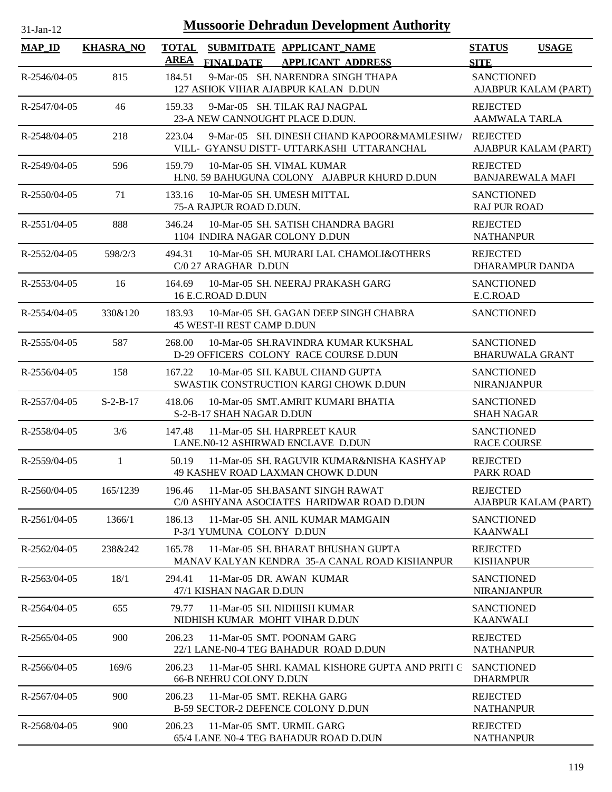| $31$ -Jan-12       |                  | <b>Mussoorie Dehradun Development Authority</b>                                                             |                                              |
|--------------------|------------------|-------------------------------------------------------------------------------------------------------------|----------------------------------------------|
| <b>MAP_ID</b>      | <b>KHASRA_NO</b> | <b>TOTAL</b><br>SUBMITDATE APPLICANT_NAME<br><b>AREA</b><br>FINALDATE APPLICANT ADDRESS                     | <b>STATUS</b><br><b>USAGE</b><br><b>SITE</b> |
| R-2546/04-05       | 815              | 9-Mar-05 SH. NARENDRA SINGH THAPA<br>184.51<br>127 ASHOK VIHAR AJABPUR KALAN D.DUN                          | <b>SANCTIONED</b><br>AJABPUR KALAM (PART)    |
| R-2547/04-05       | 46               | 159.33<br>9-Mar-05 SH. TILAK RAJ NAGPAL<br>23-A NEW CANNOUGHT PLACE D.DUN.                                  | <b>REJECTED</b><br><b>AAMWALA TARLA</b>      |
| R-2548/04-05       | 218              | 223.04<br>9-Mar-05 SH. DINESH CHAND KAPOOR&MAMLESHW/ REJECTED<br>VILL- GYANSU DISTT- UTTARKASHI UTTARANCHAL | AJABPUR KALAM (PART)                         |
| R-2549/04-05       | 596              | 159.79<br>10-Mar-05 SH. VIMAL KUMAR<br>H.NO. 59 BAHUGUNA COLONY AJABPUR KHURD D.DUN                         | <b>REJECTED</b><br><b>BANJAREWALA MAFI</b>   |
| R-2550/04-05       | 71               | 133.16<br>10-Mar-05 SH. UMESH MITTAL<br>75-A RAJPUR ROAD D.DUN.                                             | <b>SANCTIONED</b><br><b>RAJ PUR ROAD</b>     |
| R-2551/04-05       | 888              | 346.24<br>10-Mar-05 SH. SATISH CHANDRA BAGRI<br>1104 INDIRA NAGAR COLONY D.DUN                              | <b>REJECTED</b><br><b>NATHANPUR</b>          |
| R-2552/04-05       | 598/2/3          | 10-Mar-05 SH. MURARI LAL CHAMOLI&OTHERS<br>494.31<br>C/0 27 ARAGHAR D.DUN                                   | <b>REJECTED</b><br><b>DHARAMPUR DANDA</b>    |
| R-2553/04-05       | 16               | 164.69<br>10-Mar-05 SH, NEERAJ PRAKASH GARG<br>16 E.C.ROAD D.DUN                                            | <b>SANCTIONED</b><br>E.C.ROAD                |
| R-2554/04-05       | 330&120          | 183.93<br>10-Mar-05 SH. GAGAN DEEP SINGH CHABRA<br>45 WEST-II REST CAMP D.DUN                               | <b>SANCTIONED</b>                            |
| $R - 2555/04 - 05$ | 587              | 268.00<br>10-Mar-05 SH.RAVINDRA KUMAR KUKSHAL<br>D-29 OFFICERS COLONY RACE COURSE D.DUN                     | <b>SANCTIONED</b><br><b>BHARUWALA GRANT</b>  |
| $R-2556/04-05$     | 158              | 10-Mar-05 SH. KABUL CHAND GUPTA<br>167.22<br>SWASTIK CONSTRUCTION KARGI CHOWK D.DUN                         | <b>SANCTIONED</b><br><b>NIRANJANPUR</b>      |
| $R-2557/04-05$     | $S-2-B-17$       | 418.06<br>10-Mar-05 SMT.AMRIT KUMARI BHATIA<br>S-2-B-17 SHAH NAGAR D.DUN                                    | <b>SANCTIONED</b><br><b>SHAH NAGAR</b>       |
| R-2558/04-05       | 3/6              | 147.48<br>11-Mar-05 SH. HARPREET KAUR<br>LANE.N0-12 ASHIRWAD ENCLAVE D.DUN                                  | <b>SANCTIONED</b><br><b>RACE COURSE</b>      |
| R-2559/04-05       |                  | 50.19<br>11-Mar-05 SH. RAGUVIR KUMAR&NISHA KASHYAP<br>49 KASHEV ROAD LAXMAN CHOWK D.DUN                     | <b>REJECTED</b><br><b>PARK ROAD</b>          |
| $R-2560/04-05$     | 165/1239         | 11-Mar-05 SH.BASANT SINGH RAWAT<br>196.46<br>C/0 ASHIYANA ASOCIATES HARIDWAR ROAD D.DUN                     | <b>REJECTED</b><br>AJABPUR KALAM (PART)      |
| R-2561/04-05       | 1366/1           | 186.13<br>11-Mar-05 SH, ANIL KUMAR MAMGAIN<br>P-3/1 YUMUNA COLONY D.DUN                                     | <b>SANCTIONED</b><br><b>KAANWALI</b>         |
| R-2562/04-05       | 238&242          | 11-Mar-05 SH. BHARAT BHUSHAN GUPTA<br>165.78<br>MANAV KALYAN KENDRA 35-A CANAL ROAD KISHANPUR               | <b>REJECTED</b><br><b>KISHANPUR</b>          |
| R-2563/04-05       | 18/1             | 294.41<br>11-Mar-05 DR. AWAN KUMAR<br>47/1 KISHAN NAGAR D.DUN                                               | <b>SANCTIONED</b><br><b>NIRANJANPUR</b>      |
| R-2564/04-05       | 655              | 11-Mar-05 SH. NIDHISH KUMAR<br>79.77<br>NIDHISH KUMAR MOHIT VIHAR D.DUN                                     | <b>SANCTIONED</b><br><b>KAANWALI</b>         |
| R-2565/04-05       | 900              | 206.23<br>11-Mar-05 SMT. POONAM GARG<br>22/1 LANE-N0-4 TEG BAHADUR ROAD D.DUN                               | <b>REJECTED</b><br><b>NATHANPUR</b>          |
| R-2566/04-05       | 169/6            | 206.23<br>11-Mar-05 SHRI. KAMAL KISHORE GUPTA AND PRITI G<br><b>66-B NEHRU COLONY D.DUN</b>                 | <b>SANCTIONED</b><br><b>DHARMPUR</b>         |
| R-2567/04-05       | 900              | 206.23<br>11-Mar-05 SMT. REKHA GARG<br>B-59 SECTOR-2 DEFENCE COLONY D.DUN                                   | <b>REJECTED</b><br><b>NATHANPUR</b>          |
| R-2568/04-05       | 900              | 11-Mar-05 SMT. URMIL GARG<br>206.23<br>65/4 LANE N0-4 TEG BAHADUR ROAD D.DUN                                | <b>REJECTED</b><br><b>NATHANPUR</b>          |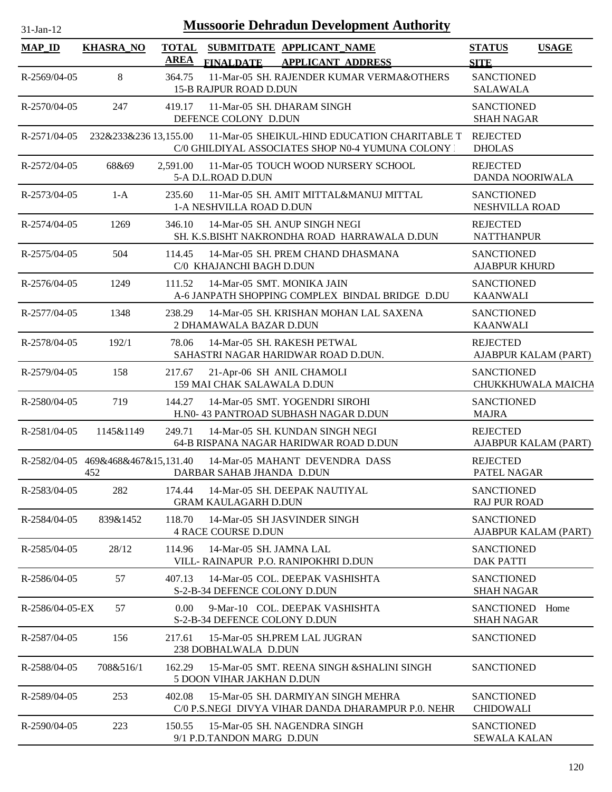| $31-Jan-12$        | <b>Mussoorie Dehradun Development Authority</b> |                             |                                                                                                     |                                           |                      |  |  |
|--------------------|-------------------------------------------------|-----------------------------|-----------------------------------------------------------------------------------------------------|-------------------------------------------|----------------------|--|--|
| <b>MAP_ID</b>      | <b>KHASRA_NO</b>                                | <b>TOTAL</b><br><b>AREA</b> | SUBMITDATE APPLICANT_NAME<br><b>FINALDATE</b><br><b>APPLICANT ADDRESS</b>                           | <b>STATUS</b><br><b>SITE</b>              | <b>USAGE</b>         |  |  |
| R-2569/04-05       | 8                                               | 364.75                      | 11-Mar-05 SH. RAJENDER KUMAR VERMA&OTHERS<br>15-B RAJPUR ROAD D.DUN                                 | <b>SANCTIONED</b><br><b>SALAWALA</b>      |                      |  |  |
| R-2570/04-05       | 247                                             | 419.17                      | 11-Mar-05 SH. DHARAM SINGH<br>DEFENCE COLONY D.DUN                                                  | <b>SANCTIONED</b><br><b>SHAH NAGAR</b>    |                      |  |  |
| R-2571/04-05       | 232&233&236 13,155.00                           |                             | 11-Mar-05 SHEIKUL-HIND EDUCATION CHARITABLE T<br>C/0 GHILDIYAL ASSOCIATES SHOP N0-4 YUMUNA COLONY : | <b>REJECTED</b><br><b>DHOLAS</b>          |                      |  |  |
| $R - 2572/04 - 05$ | 68&69                                           | 2.591.00                    | 11-Mar-05 TOUCH WOOD NURSERY SCHOOL<br>5-A D.L.ROAD D.DUN                                           | <b>REJECTED</b><br>DANDA NOORIWALA        |                      |  |  |
| R-2573/04-05       | $1-A$                                           | 235.60                      | 11-Mar-05 SH. AMIT MITTAL&MANUJ MITTAL<br>1-A NESHVILLA ROAD D.DUN                                  | <b>SANCTIONED</b><br>NESHVILLA ROAD       |                      |  |  |
| R-2574/04-05       | 1269                                            | 346.10                      | 14-Mar-05 SH, ANUP SINGH NEGI<br>SH. K.S.BISHT NAKRONDHA ROAD HARRAWALA D.DUN                       | <b>REJECTED</b><br><b>NATTHANPUR</b>      |                      |  |  |
| $R - 2575/04 - 05$ | 504                                             | 114.45                      | 14-Mar-05 SH. PREM CHAND DHASMANA<br>C/0 KHAJANCHI BAGH D.DUN                                       | <b>SANCTIONED</b><br><b>AJABPUR KHURD</b> |                      |  |  |
| R-2576/04-05       | 1249                                            | 111.52                      | 14-Mar-05 SMT. MONIKA JAIN<br>A-6 JANPATH SHOPPING COMPLEX BINDAL BRIDGE D.DU                       | <b>SANCTIONED</b><br><b>KAANWALI</b>      |                      |  |  |
| R-2577/04-05       | 1348                                            | 238.29                      | 14-Mar-05 SH. KRISHAN MOHAN LAL SAXENA<br>2 DHAMAWALA BAZAR D.DUN                                   | <b>SANCTIONED</b><br><b>KAANWALI</b>      |                      |  |  |
| R-2578/04-05       | 192/1                                           | 78.06                       | 14-Mar-05 SH. RAKESH PETWAL<br>SAHASTRI NAGAR HARIDWAR ROAD D.DUN.                                  | <b>REJECTED</b>                           | AJABPUR KALAM (PART) |  |  |
| R-2579/04-05       | 158                                             | 217.67                      | 21-Apr-06 SH ANIL CHAMOLI<br>159 MAI CHAK SALAWALA D.DUN                                            | <b>SANCTIONED</b>                         | CHUKKHUWALA MAICHA   |  |  |
| R-2580/04-05       | 719                                             | 144.27                      | 14-Mar-05 SMT. YOGENDRI SIROHI<br>H.N0- 43 PANTROAD SUBHASH NAGAR D.DUN                             | <b>SANCTIONED</b><br><b>MAJRA</b>         |                      |  |  |
| R-2581/04-05       | 1145&1149                                       | 249.71                      | 14-Mar-05 SH. KUNDAN SINGH NEGI<br>64-B RISPANA NAGAR HARIDWAR ROAD D.DUN                           | <b>REJECTED</b>                           | AJABPUR KALAM (PART) |  |  |
|                    | R-2582/04-05 469&468&467&15,131.40<br>452       |                             | 14-Mar-05 MAHANT DEVENDRA DASS<br>DARBAR SAHAB JHANDA D.DUN                                         | <b>REJECTED</b><br>PATEL NAGAR            |                      |  |  |
| R-2583/04-05       | 282                                             | 174.44                      | 14-Mar-05 SH. DEEPAK NAUTIYAL<br><b>GRAM KAULAGARH D.DUN</b>                                        | <b>SANCTIONED</b><br><b>RAJ PUR ROAD</b>  |                      |  |  |
| R-2584/04-05       | 839&1452                                        | 118.70                      | 14-Mar-05 SH JASVINDER SINGH<br><b>4 RACE COURSE D.DUN</b>                                          | <b>SANCTIONED</b>                         | AJABPUR KALAM (PART) |  |  |
| R-2585/04-05       | 28/12                                           | 114.96                      | 14-Mar-05 SH. JAMNA LAL<br>VILL-RAINAPUR P.O. RANIPOKHRI D.DUN                                      | <b>SANCTIONED</b><br><b>DAK PATTI</b>     |                      |  |  |
| R-2586/04-05       | 57                                              | 407.13                      | 14-Mar-05 COL. DEEPAK VASHISHTA<br>S-2-B-34 DEFENCE COLONY D.DUN                                    | <b>SANCTIONED</b><br><b>SHAH NAGAR</b>    |                      |  |  |
| $R-2586/04-05-EX$  | 57                                              | 0.00 <sub>1</sub>           | 9-Mar-10 COL. DEEPAK VASHISHTA<br>S-2-B-34 DEFENCE COLONY D.DUN                                     | SANCTIONED Home<br><b>SHAH NAGAR</b>      |                      |  |  |
| R-2587/04-05       | 156                                             | 217.61                      | 15-Mar-05 SH.PREM LAL JUGRAN<br>238 DOBHALWALA D.DUN                                                | <b>SANCTIONED</b>                         |                      |  |  |
| R-2588/04-05       | 708&516/1                                       | 162.29                      | 15-Mar-05 SMT. REENA SINGH & SHALINI SINGH<br>5 DOON VIHAR JAKHAN D.DUN                             | <b>SANCTIONED</b>                         |                      |  |  |
| R-2589/04-05       | 253                                             | 402.08                      | 15-Mar-05 SH. DARMIYAN SINGH MEHRA<br>C/0 P.S.NEGI DIVYA VIHAR DANDA DHARAMPUR P.0. NEHR            | <b>SANCTIONED</b><br><b>CHIDOWALI</b>     |                      |  |  |
| R-2590/04-05       | 223                                             | 150.55                      | 15-Mar-05 SH. NAGENDRA SINGH<br>9/1 P.D.TANDON MARG D.DUN                                           | <b>SANCTIONED</b><br><b>SEWALA KALAN</b>  |                      |  |  |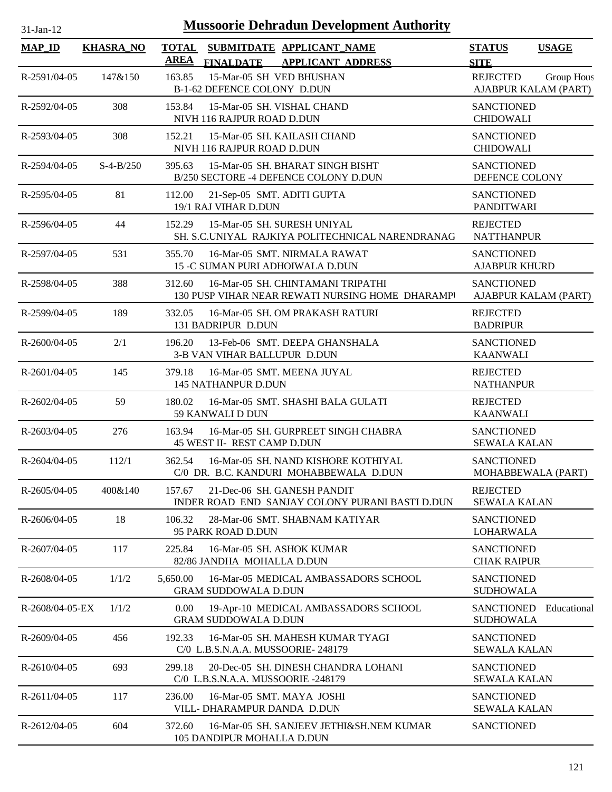| 1-Jan-12 |  |
|----------|--|

## **Mussoorie Dehradun Development Authority**

| <b>MAP_ID</b>   | <b>KHASRA_NO</b> | <b>AREA</b><br><b>FINALDATE</b>         | TOTAL SUBMITDATE APPLICANT NAME<br><b>APPLICANT ADDRESS</b>                           | <b>STATUS</b>                             | <b>USAGE</b>                       |
|-----------------|------------------|-----------------------------------------|---------------------------------------------------------------------------------------|-------------------------------------------|------------------------------------|
| R-2591/04-05    | 147&150          | 163.85                                  | 15-Mar-05 SH VED BHUSHAN<br>B-1-62 DEFENCE COLONY D.DUN                               | <b>SITE</b><br><b>REJECTED</b>            | Group Hous<br>AJABPUR KALAM (PART) |
| R-2592/04-05    | 308              | 153.84<br>NIVH 116 RAJPUR ROAD D.DUN    | 15-Mar-05 SH. VISHAL CHAND                                                            | <b>SANCTIONED</b><br><b>CHIDOWALI</b>     |                                    |
| R-2593/04-05    | 308              | 152.21<br>NIVH 116 RAJPUR ROAD D.DUN    | 15-Mar-05 SH. KAILASH CHAND                                                           | <b>SANCTIONED</b><br><b>CHIDOWALI</b>     |                                    |
| R-2594/04-05    | $S-4-B/250$      | 395.63                                  | 15-Mar-05 SH. BHARAT SINGH BISHT<br>B/250 SECTORE -4 DEFENCE COLONY D.DUN             | <b>SANCTIONED</b><br>DEFENCE COLONY       |                                    |
| R-2595/04-05    | 81               | 112.00<br>19/1 RAJ VIHAR D.DUN          | 21-Sep-05 SMT. ADITI GUPTA                                                            | <b>SANCTIONED</b><br><b>PANDITWARI</b>    |                                    |
| R-2596/04-05    | 44               | 152.29                                  | 15-Mar-05 SH. SURESH UNIYAL<br>SH. S.C.UNIYAL RAJKIYA POLITECHNICAL NARENDRANAG       | <b>REJECTED</b><br><b>NATTHANPUR</b>      |                                    |
| R-2597/04-05    | 531              | 355.70                                  | 16-Mar-05 SMT. NIRMALA RAWAT<br>15 -C SUMAN PURI ADHOIWALA D.DUN                      | <b>SANCTIONED</b><br><b>AJABPUR KHURD</b> |                                    |
| R-2598/04-05    | 388              | 312.60                                  | 16-Mar-05 SH. CHINTAMANI TRIPATHI<br>130 PUSP VIHAR NEAR REWATI NURSING HOME DHARAMPI | <b>SANCTIONED</b>                         | AJABPUR KALAM (PART)               |
| R-2599/04-05    | 189              | 332.05<br>131 BADRIPUR D.DUN            | 16-Mar-05 SH. OM PRAKASH RATURI                                                       | <b>REJECTED</b><br><b>BADRIPUR</b>        |                                    |
| R-2600/04-05    | 2/1              | 196.20                                  | 13-Feb-06 SMT. DEEPA GHANSHALA<br>3-B VAN VIHAR BALLUPUR D.DUN                        | <b>SANCTIONED</b><br><b>KAANWALI</b>      |                                    |
| R-2601/04-05    | 145              | 379.18<br>145 NATHANPUR D.DUN           | 16-Mar-05 SMT. MEENA JUYAL                                                            | <b>REJECTED</b><br><b>NATHANPUR</b>       |                                    |
| R-2602/04-05    | 59               | 180.02<br>59 KANWALI D DUN              | 16-Mar-05 SMT. SHASHI BALA GULATI                                                     | <b>REJECTED</b><br><b>KAANWALI</b>        |                                    |
| R-2603/04-05    | 276              | 163.94<br>45 WEST II- REST CAMP D.DUN   | 16-Mar-05 SH. GURPREET SINGH CHABRA                                                   | <b>SANCTIONED</b><br><b>SEWALA KALAN</b>  |                                    |
| R-2604/04-05    | 112/1            | 362.54                                  | 16-Mar-05 SH. NAND KISHORE KOTHIYAL<br>C/0 DR. B.C. KANDURI MOHABBEWALA D.DUN         | <b>SANCTIONED</b>                         | MOHABBEWALA (PART)                 |
| R-2605/04-05    | 400&140          | 157.67                                  | 21-Dec-06 SH. GANESH PANDIT<br>INDER ROAD END SANJAY COLONY PURANI BASTI D.DUN        | <b>REJECTED</b><br><b>SEWALA KALAN</b>    |                                    |
| R-2606/04-05    | 18               | 106.32<br>95 PARK ROAD D.DUN            | 28-Mar-06 SMT. SHABNAM KATIYAR                                                        | <b>SANCTIONED</b><br><b>LOHARWALA</b>     |                                    |
| R-2607/04-05    | 117              | 225.84<br>82/86 JANDHA MOHALLA D.DUN    | 16-Mar-05 SH, ASHOK KUMAR                                                             | <b>SANCTIONED</b><br><b>CHAK RAIPUR</b>   |                                    |
| R-2608/04-05    | 1/1/2            | 5,650.00<br><b>GRAM SUDDOWALA D.DUN</b> | 16-Mar-05 MEDICAL AMBASSADORS SCHOOL                                                  | <b>SANCTIONED</b><br><b>SUDHOWALA</b>     |                                    |
| R-2608/04-05-EX | 1/1/2            | 0.00<br><b>GRAM SUDDOWALA D.DUN</b>     | 19-Apr-10 MEDICAL AMBASSADORS SCHOOL                                                  | <b>SANCTIONED</b><br><b>SUDHOWALA</b>     | Educational                        |
| R-2609/04-05    | 456              | 192.33                                  | 16-Mar-05 SH. MAHESH KUMAR TYAGI<br>C/0 L.B.S.N.A.A. MUSSOORIE- 248179                | <b>SANCTIONED</b><br><b>SEWALA KALAN</b>  |                                    |
| R-2610/04-05    | 693              | 299.18                                  | 20-Dec-05 SH. DINESH CHANDRA LOHANI<br>C/0 L.B.S.N.A.A. MUSSOORIE -248179             | <b>SANCTIONED</b><br><b>SEWALA KALAN</b>  |                                    |
| R-2611/04-05    | 117              | 236.00                                  | 16-Mar-05 SMT. MAYA JOSHI<br>VILL-DHARAMPUR DANDA D.DUN                               | <b>SANCTIONED</b><br><b>SEWALA KALAN</b>  |                                    |
| R-2612/04-05    | 604              | 372.60<br>105 DANDIPUR MOHALLA D.DUN    | 16-Mar-05 SH, SANJEEV JETHI&SH, NEM KUMAR                                             | <b>SANCTIONED</b>                         |                                    |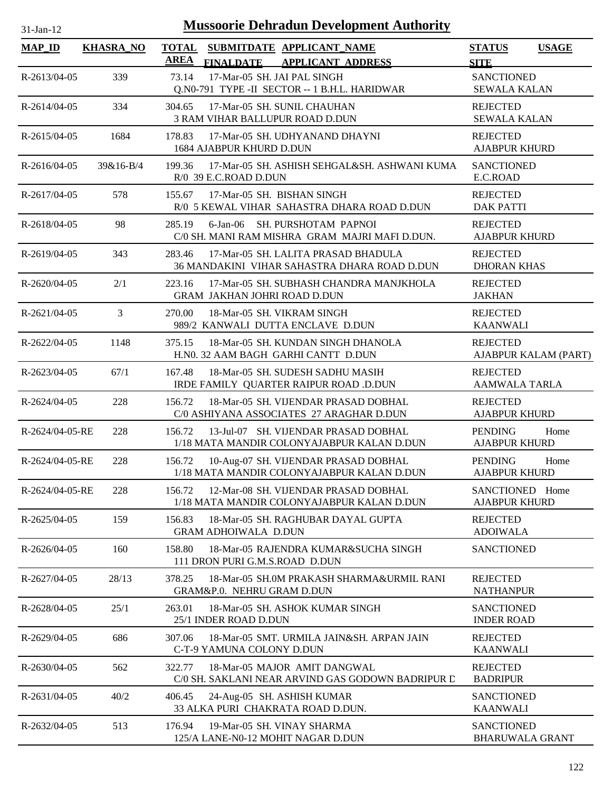| $31-Jan-12$     |                  | <b>Mussoorie Dehradun Development Authority</b>                                                      |                                                |
|-----------------|------------------|------------------------------------------------------------------------------------------------------|------------------------------------------------|
| <b>MAP_ID</b>   | <b>KHASRA NO</b> | <b>TOTAL</b><br>SUBMITDATE APPLICANT_NAME<br>AREA<br><b>FINALDATE</b><br><b>APPLICANT ADDRESS</b>    | <b>STATUS</b><br><b>USAGE</b><br><b>SITE</b>   |
| R-2613/04-05    | 339              | 73.14<br>17-Mar-05 SH. JAI PAL SINGH<br>Q.N0-791 TYPE -II SECTOR -- 1 B.H.L. HARIDWAR                | <b>SANCTIONED</b><br><b>SEWALA KALAN</b>       |
| R-2614/04-05    | 334              | 17-Mar-05 SH. SUNIL CHAUHAN<br>304.65<br>3 RAM VIHAR BALLUPUR ROAD D.DUN                             | <b>REJECTED</b><br><b>SEWALA KALAN</b>         |
| R-2615/04-05    | 1684             | 178.83<br>17-Mar-05 SH, UDHYANAND DHAYNI<br>1684 AJABPUR KHURD D.DUN                                 | <b>REJECTED</b><br><b>AJABPUR KHURD</b>        |
| R-2616/04-05    | $39&16-B/4$      | 17-Mar-05 SH. ASHISH SEHGAL&SH. ASHWANI KUMA<br>199.36<br>R/0 39 E.C.ROAD D.DUN                      | <b>SANCTIONED</b><br>E.C.ROAD                  |
| R-2617/04-05    | 578              | 17-Mar-05 SH. BISHAN SINGH<br>155.67<br>R/0 5 KEWAL VIHAR SAHASTRA DHARA ROAD D.DUN                  | <b>REJECTED</b><br><b>DAK PATTI</b>            |
| R-2618/04-05    | 98               | 6-Jan-06 SH. PURSHOTAM PAPNOI<br>285.19<br>C/0 SH. MANI RAM MISHRA GRAM MAJRI MAFI D.DUN.            | <b>REJECTED</b><br><b>AJABPUR KHURD</b>        |
| R-2619/04-05    | 343              | 17-Mar-05 SH. LALITA PRASAD BHADULA<br>283.46<br><b>36 MANDAKINI VIHAR SAHASTRA DHARA ROAD D.DUN</b> | <b>REJECTED</b><br><b>DHORAN KHAS</b>          |
| R-2620/04-05    | 2/1              | 223.16<br>17-Mar-05 SH, SUBHASH CHANDRA MANJKHOLA<br><b>GRAM JAKHAN JOHRI ROAD D.DUN</b>             | <b>REJECTED</b><br><b>JAKHAN</b>               |
| R-2621/04-05    | 3                | 270.00<br>18-Mar-05 SH. VIKRAM SINGH<br>989/2 KANWALI DUTTA ENCLAVE D.DUN                            | <b>REJECTED</b><br><b>KAANWALI</b>             |
| $R-2622/04-05$  | 1148             | 18-Mar-05 SH. KUNDAN SINGH DHANOLA<br>375.15<br>H.NO. 32 AAM BAGH GARHI CANTT D.DUN                  | <b>REJECTED</b><br>AJABPUR KALAM (PART)        |
| R-2623/04-05    | 67/1             | 167.48<br>18-Mar-05 SH. SUDESH SADHU MASIH<br>IRDE FAMILY QUARTER RAIPUR ROAD .D.DUN                 | <b>REJECTED</b><br><b>AAMWALA TARLA</b>        |
| R-2624/04-05    | 228              | 156.72<br>18-Mar-05 SH. VIJENDAR PRASAD DOBHAL<br>C/0 ASHIYANA ASSOCIATES 27 ARAGHAR D.DUN           | <b>REJECTED</b><br><b>AJABPUR KHURD</b>        |
| R-2624/04-05-RE | 228              | 13-Jul-07 SH. VIJENDAR PRASAD DOBHAL<br>156.72<br>1/18 MATA MANDIR COLONYAJABPUR KALAN D.DUN         | <b>PENDING</b><br>Home<br><b>AJABPUR KHURD</b> |
| R-2624/04-05-RE | 228              | 156.72<br>10-Aug-07 SH. VIJENDAR PRASAD DOBHAL<br>1/18 MATA MANDIR COLONYAJABPUR KALAN D.DUN         | <b>PENDING</b><br>Home<br><b>AJABPUR KHURD</b> |
| R-2624/04-05-RE | 228              | 12-Mar-08 SH. VIJENDAR PRASAD DOBHAL<br>156.72<br>1/18 MATA MANDIR COLONYAJABPUR KALAN D.DUN         | SANCTIONED Home<br><b>AJABPUR KHURD</b>        |
| R-2625/04-05    | 159              | 156.83<br>18-Mar-05 SH. RAGHUBAR DAYAL GUPTA<br><b>GRAM ADHOIWALA D.DUN</b>                          | <b>REJECTED</b><br><b>ADOIWALA</b>             |
| R-2626/04-05    | 160              | 18-Mar-05 RAJENDRA KUMAR&SUCHA SINGH<br>158.80<br>111 DRON PURI G.M.S.ROAD D.DUN                     | <b>SANCTIONED</b>                              |
| R-2627/04-05    | 28/13            | 378.25<br>18-Mar-05 SH.0M PRAKASH SHARMA&URMIL RANI<br>GRAM&P.0. NEHRU GRAM D.DUN                    | <b>REJECTED</b><br><b>NATHANPUR</b>            |
| R-2628/04-05    | 25/1             | 18-Mar-05 SH. ASHOK KUMAR SINGH<br>263.01<br>25/1 INDER ROAD D.DUN                                   | <b>SANCTIONED</b><br><b>INDER ROAD</b>         |
| R-2629/04-05    | 686              | 18-Mar-05 SMT. URMILA JAIN&SH. ARPAN JAIN<br>307.06<br>C-T-9 YAMUNA COLONY D.DUN                     | <b>REJECTED</b><br><b>KAANWALI</b>             |
| R-2630/04-05    | 562              | 18-Mar-05 MAJOR AMIT DANGWAL<br>322.77<br>C/0 SH. SAKLANI NEAR ARVIND GAS GODOWN BADRIPUR D          | <b>REJECTED</b><br><b>BADRIPUR</b>             |
| R-2631/04-05    | 40/2             | 406.45<br>24-Aug-05 SH. ASHISH KUMAR<br>33 ALKA PURI CHAKRATA ROAD D.DUN.                            | <b>SANCTIONED</b><br><b>KAANWALI</b>           |
| R-2632/04-05    | 513              | 176.94<br>19-Mar-05 SH. VINAY SHARMA<br>125/A LANE-N0-12 MOHIT NAGAR D.DUN                           | <b>SANCTIONED</b><br><b>BHARUWALA GRANT</b>    |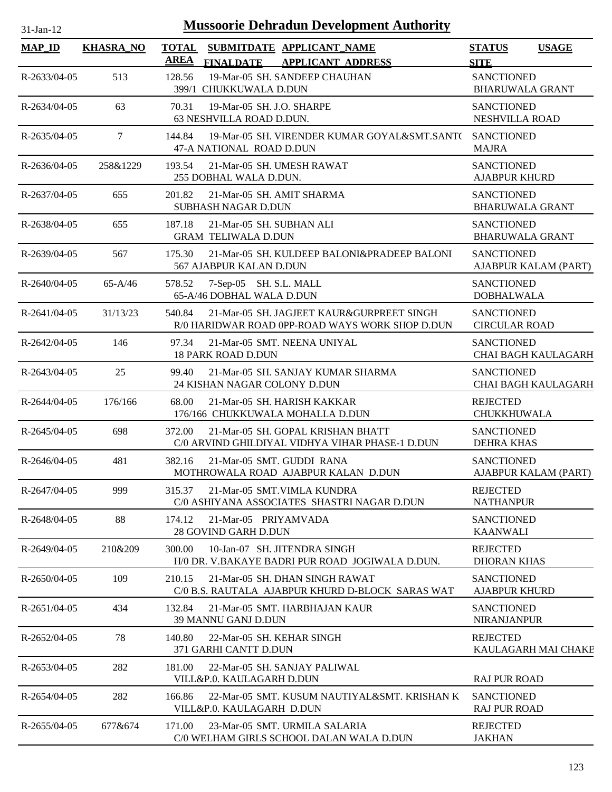| $31-Jan-12$        |                  | <b>Mussoorie Dehradun Development Authority</b>                                                          |                                                 |
|--------------------|------------------|----------------------------------------------------------------------------------------------------------|-------------------------------------------------|
| <b>MAP_ID</b>      | <b>KHASRA_NO</b> | <b>TOTAL</b><br>SUBMITDATE APPLICANT_NAME<br><b>AREA</b><br><b>FINALDATE</b><br><b>APPLICANT ADDRESS</b> | <b>STATUS</b><br><b>USAGE</b><br><b>SITE</b>    |
| R-2633/04-05       | 513              | 128.56<br>19-Mar-05 SH. SANDEEP CHAUHAN<br>399/1 CHUKKUWALA D.DUN                                        | <b>SANCTIONED</b><br><b>BHARUWALA GRANT</b>     |
| R-2634/04-05       | 63               | 19-Mar-05 SH. J.O. SHARPE<br>70.31<br>63 NESHVILLA ROAD D.DUN.                                           | <b>SANCTIONED</b><br>NESHVILLA ROAD             |
| R-2635/04-05       | $7\overline{ }$  | 144.84<br>19-Mar-05 SH. VIRENDER KUMAR GOYAL&SMT.SANT( SANCTIONED<br>47-A NATIONAL ROAD D.DUN            | <b>MAJRA</b>                                    |
| $R-2636/04-05$     | 258&1229         | 21-Mar-05 SH. UMESH RAWAT<br>193.54<br>255 DOBHAL WALA D.DUN.                                            | <b>SANCTIONED</b><br><b>AJABPUR KHURD</b>       |
| R-2637/04-05       | 655              | 21-Mar-05 SH. AMIT SHARMA<br>201.82<br>SUBHASH NAGAR D.DUN                                               | <b>SANCTIONED</b><br><b>BHARUWALA GRANT</b>     |
| R-2638/04-05       | 655              | 187.18<br>21-Mar-05 SH, SUBHAN ALI<br><b>GRAM TELIWALA D.DUN</b>                                         | <b>SANCTIONED</b><br><b>BHARUWALA GRANT</b>     |
| $R - 2639/04 - 05$ | 567              | 21-Mar-05 SH. KULDEEP BALONI&PRADEEP BALONI<br>175.30<br>567 AJABPUR KALAN D.DUN                         | <b>SANCTIONED</b><br>AJABPUR KALAM (PART)       |
| $R-2640/04-05$     | $65 - A/46$      | 7-Sep-05 SH. S.L. MALL<br>578.52<br>65-A/46 DOBHAL WALA D.DUN                                            | <b>SANCTIONED</b><br><b>DOBHALWALA</b>          |
| $R-2641/04-05$     | 31/13/23         | 540.84<br>21-Mar-05 SH. JAGJEET KAUR&GURPREET SINGH<br>R/0 HARIDWAR ROAD OPP-ROAD WAYS WORK SHOP D.DUN   | <b>SANCTIONED</b><br><b>CIRCULAR ROAD</b>       |
| $R-2642/04-05$     | 146              | 97.34<br>21-Mar-05 SMT. NEENA UNIYAL<br><b>18 PARK ROAD D.DUN</b>                                        | <b>SANCTIONED</b><br><b>CHAI BAGH KAULAGARH</b> |
| R-2643/04-05       | 25               | 99.40<br>21-Mar-05 SH. SANJAY KUMAR SHARMA<br>24 KISHAN NAGAR COLONY D.DUN                               | <b>SANCTIONED</b><br><b>CHAI BAGH KAULAGARH</b> |
| R-2644/04-05       | 176/166          | 68.00<br>21-Mar-05 SH. HARISH KAKKAR<br>176/166 CHUKKUWALA MOHALLA D.DUN                                 | <b>REJECTED</b><br><b>CHUKKHUWALA</b>           |
| R-2645/04-05       | 698              | 372.00<br>21-Mar-05 SH, GOPAL KRISHAN BHATT<br>C/0 ARVIND GHILDIYAL VIDHYA VIHAR PHASE-1 D.DUN           | <b>SANCTIONED</b><br><b>DEHRA KHAS</b>          |
| $R-2646/04-05$     | 481              | 382.16<br>21-Mar-05 SMT. GUDDI RANA<br>MOTHROWALA ROAD AJABPUR KALAN D.DUN                               | <b>SANCTIONED</b><br>AJABPUR KALAM (PART)       |
| R-2647/04-05       | 999              | 315.37<br>21-Mar-05 SMT. VIMLA KUNDRA<br>C/0 ASHIYANA ASSOCIATES SHASTRI NAGAR D.DUN                     | <b>REJECTED</b><br><b>NATHANPUR</b>             |
| R-2648/04-05       | 88               | 174.12<br>21-Mar-05 PRIYAMVADA<br>28 GOVIND GARH D.DUN                                                   | <b>SANCTIONED</b><br><b>KAANWALI</b>            |
| R-2649/04-05       | 210&209          | 10-Jan-07 SH. JITENDRA SINGH<br>300.00<br>H/0 DR. V.BAKAYE BADRI PUR ROAD JOGIWALA D.DUN.                | <b>REJECTED</b><br><b>DHORAN KHAS</b>           |
| $R-2650/04-05$     | 109              | 210.15<br>21-Mar-05 SH. DHAN SINGH RAWAT<br>C/0 B.S. RAUTALA AJABPUR KHURD D-BLOCK SARAS WAT             | <b>SANCTIONED</b><br><b>AJABPUR KHURD</b>       |
| R-2651/04-05       | 434              | 21-Mar-05 SMT. HARBHAJAN KAUR<br>132.84<br>39 MANNU GANJ D.DUN                                           | <b>SANCTIONED</b><br><b>NIRANJANPUR</b>         |
| R-2652/04-05       | 78               | 140.80<br>22-Mar-05 SH. KEHAR SINGH<br>371 GARHI CANTT D.DUN                                             | <b>REJECTED</b><br>KAULAGARH MAI CHAKE          |
| R-2653/04-05       | 282              | 181.00<br>22-Mar-05 SH. SANJAY PALIWAL<br>VILL&P.0. KAULAGARH D.DUN                                      | <b>RAJ PUR ROAD</b>                             |
| $R-2654/04-05$     | 282              | 22-Mar-05 SMT. KUSUM NAUTIYAL&SMT. KRISHAN K<br>166.86<br>VILL&P.0. KAULAGARH D.DUN                      | <b>SANCTIONED</b><br><b>RAJ PUR ROAD</b>        |
| $R-2655/04-05$     | 677&674          | 171.00<br>23-Mar-05 SMT. URMILA SALARIA<br>C/0 WELHAM GIRLS SCHOOL DALAN WALA D.DUN                      | <b>REJECTED</b><br><b>JAKHAN</b>                |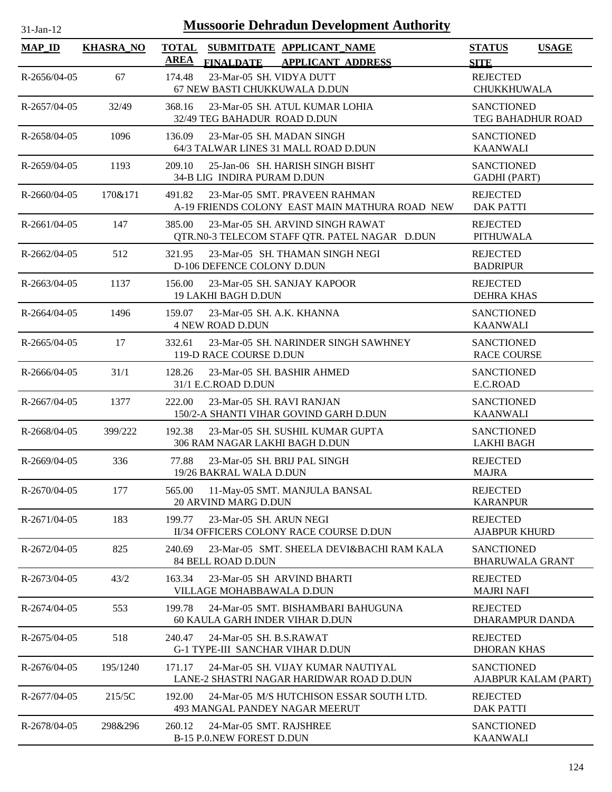| $31$ -Jan-12       |                  | <b>Mussoorie Dehradun Development Authority</b>                                             |                                              |
|--------------------|------------------|---------------------------------------------------------------------------------------------|----------------------------------------------|
| <b>MAP_ID</b>      | <b>KHASRA_NO</b> | <b>TOTAL</b><br>SUBMITDATE APPLICANT_NAME<br><b>AREA</b><br>FINALDATE APPLICANT ADDRESS     | <b>STATUS</b><br><b>USAGE</b><br><b>SITE</b> |
| $R-2656/04-05$     | 67               | 23-Mar-05 SH. VIDYA DUTT<br>174.48<br>67 NEW BASTI CHUKKUWALA D.DUN                         | <b>REJECTED</b><br><b>CHUKKHUWALA</b>        |
| R-2657/04-05       | 32/49            | 368.16<br>23-Mar-05 SH. ATUL KUMAR LOHIA<br>32/49 TEG BAHADUR ROAD D.DUN                    | <b>SANCTIONED</b><br>TEG BAHADHUR ROAD       |
| R-2658/04-05       | 1096             | 136.09<br>23-Mar-05 SH. MADAN SINGH<br>64/3 TALWAR LINES 31 MALL ROAD D.DUN                 | <b>SANCTIONED</b><br><b>KAANWALI</b>         |
| R-2659/04-05       | 1193             | 209.10<br>25-Jan-06 SH. HARISH SINGH BISHT<br>34-B LIG INDIRA PURAM D.DUN                   | <b>SANCTIONED</b><br><b>GADHI</b> (PART)     |
| $R-2660/04-05$     | 170&171          | 491.82<br>23-Mar-05 SMT. PRAVEEN RAHMAN<br>A-19 FRIENDS COLONY EAST MAIN MATHURA ROAD NEW   | <b>REJECTED</b><br><b>DAK PATTI</b>          |
| R-2661/04-05       | 147              | 385.00<br>23-Mar-05 SH, ARVIND SINGH RAWAT<br>QTR.N0-3 TELECOM STAFF QTR. PATEL NAGAR D.DUN | <b>REJECTED</b><br><b>PITHUWALA</b>          |
| R-2662/04-05       | 512              | 23-Mar-05 SH. THAMAN SINGH NEGI<br>321.95<br>D-106 DEFENCE COLONY D.DUN                     | <b>REJECTED</b><br><b>BADRIPUR</b>           |
| $R - 2663/04 - 05$ | 1137             | 156.00<br>23-Mar-05 SH. SANJAY KAPOOR<br>19 LAKHI BAGH D.DUN                                | <b>REJECTED</b><br><b>DEHRA KHAS</b>         |
| R-2664/04-05       | 1496             | 159.07<br>23-Mar-05 SH. A.K. KHANNA<br><b>4 NEW ROAD D.DUN</b>                              | <b>SANCTIONED</b><br><b>KAANWALI</b>         |
| $R-2665/04-05$     | 17               | 332.61<br>23-Mar-05 SH. NARINDER SINGH SAWHNEY<br>119-D RACE COURSE D.DUN                   | <b>SANCTIONED</b><br><b>RACE COURSE</b>      |
| $R-2666/04-05$     | 31/1             | 128.26<br>23-Mar-05 SH. BASHIR AHMED<br>31/1 E.C.ROAD D.DUN                                 | <b>SANCTIONED</b><br>E.C.ROAD                |
| $R-2667/04-05$     | 1377             | 23-Mar-05 SH. RAVI RANJAN<br>222.00<br>150/2-A SHANTI VIHAR GOVIND GARH D.DUN               | <b>SANCTIONED</b><br><b>KAANWALI</b>         |
| R-2668/04-05       | 399/222          | 192.38<br>23-Mar-05 SH, SUSHIL KUMAR GUPTA<br>306 RAM NAGAR LAKHI BAGH D.DUN                | <b>SANCTIONED</b><br><b>LAKHI BAGH</b>       |
| $R-2669/04-05$     | 336              | 77.88<br>23-Mar-05 SH. BRIJ PAL SINGH<br>19/26 BAKRAL WALA D.DUN                            | <b>REJECTED</b><br><b>MAJRA</b>              |
| R-2670/04-05       | 177              | 565.00<br>11-May-05 SMT. MANJULA BANSAL<br><b>20 ARVIND MARG D.DUN</b>                      | <b>REJECTED</b><br><b>KARANPUR</b>           |
| R-2671/04-05       | 183              | 199.77<br>23-Mar-05 SH. ARUN NEGI<br>II/34 OFFICERS COLONY RACE COURSE D.DUN                | <b>REJECTED</b><br><b>AJABPUR KHURD</b>      |
| R-2672/04-05       | 825              | 23-Mar-05 SMT. SHEELA DEVI&BACHI RAM KALA<br>240.69<br>84 BELL ROAD D.DUN                   | <b>SANCTIONED</b><br><b>BHARUWALA GRANT</b>  |
| R-2673/04-05       | 43/2             | 163.34<br>23-Mar-05 SH ARVIND BHARTI<br><b>VILLAGE MOHABBAWALA D.DUN</b>                    | <b>REJECTED</b><br><b>MAJRI NAFI</b>         |
| R-2674/04-05       | 553              | 24-Mar-05 SMT. BISHAMBARI BAHUGUNA<br>199.78<br>60 KAULA GARH INDER VIHAR D.DUN             | <b>REJECTED</b><br>DHARAMPUR DANDA           |
| R-2675/04-05       | 518              | 240.47<br>24-Mar-05 SH. B.S.RAWAT<br><b>G-1 TYPE-III SANCHAR VIHAR D.DUN</b>                | <b>REJECTED</b><br><b>DHORAN KHAS</b>        |
| R-2676/04-05       | 195/1240         | 24-Mar-05 SH. VIJAY KUMAR NAUTIYAL<br>171.17<br>LANE-2 SHASTRI NAGAR HARIDWAR ROAD D.DUN    | <b>SANCTIONED</b><br>AJABPUR KALAM (PART)    |
| R-2677/04-05       | 215/5C           | 192.00<br>24-Mar-05 M/S HUTCHISON ESSAR SOUTH LTD.<br>493 MANGAL PANDEY NAGAR MEERUT        | <b>REJECTED</b><br><b>DAK PATTI</b>          |
| R-2678/04-05       | 298&296          | 260.12<br>24-Mar-05 SMT. RAJSHREE<br><b>B-15 P.O.NEW FOREST D.DUN</b>                       | <b>SANCTIONED</b><br><b>KAANWALI</b>         |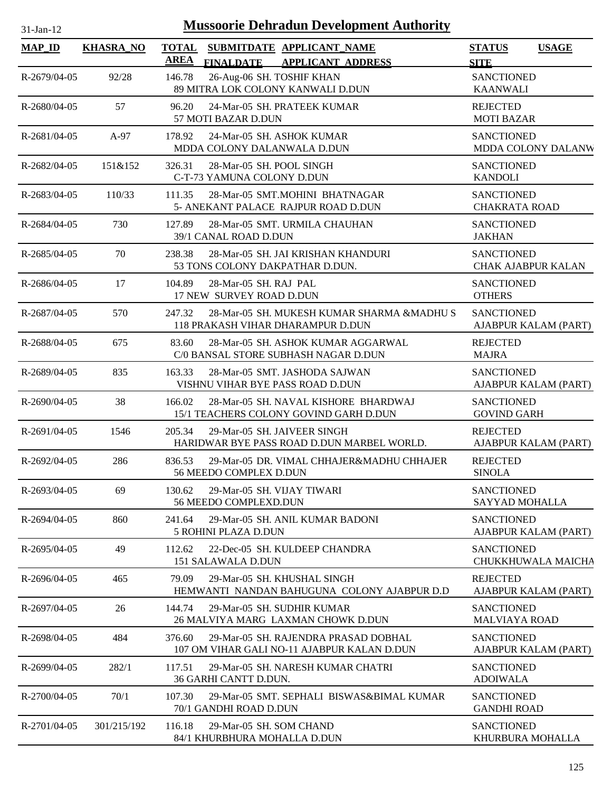| 31-Jan-12          | <b>Mussoorie Dehradun Development Authority</b> |                                                                                                          |                                                |  |  |  |  |
|--------------------|-------------------------------------------------|----------------------------------------------------------------------------------------------------------|------------------------------------------------|--|--|--|--|
| <b>MAP_ID</b>      | <b>KHASRA_NO</b>                                | <b>TOTAL</b><br>SUBMITDATE APPLICANT_NAME<br><b>AREA</b><br><b>FINALDATE</b><br><b>APPLICANT ADDRESS</b> | <b>STATUS</b><br><b>USAGE</b><br><b>SITE</b>   |  |  |  |  |
| R-2679/04-05       | 92/28                                           | 26-Aug-06 SH. TOSHIF KHAN<br>146.78<br>89 MITRA LOK COLONY KANWALI D.DUN                                 | <b>SANCTIONED</b><br><b>KAANWALI</b>           |  |  |  |  |
| R-2680/04-05       | 57                                              | 96.20<br>24-Mar-05 SH. PRATEEK KUMAR<br>57 MOTI BAZAR D.DUN                                              | <b>REJECTED</b><br><b>MOTI BAZAR</b>           |  |  |  |  |
| R-2681/04-05       | $A-97$                                          | 24-Mar-05 SH. ASHOK KUMAR<br>178.92<br>MDDA COLONY DALANWALA D.DUN                                       | <b>SANCTIONED</b><br>MDDA COLONY DALANW        |  |  |  |  |
| R-2682/04-05       | 151&152                                         | 28-Mar-05 SH. POOL SINGH<br>326.31<br>C-T-73 YAMUNA COLONY D.DUN                                         | <b>SANCTIONED</b><br><b>KANDOLI</b>            |  |  |  |  |
| R-2683/04-05       | 110/33                                          | 28-Mar-05 SMT.MOHINI BHATNAGAR<br>111.35<br>5- ANEKANT PALACE RAJPUR ROAD D.DUN                          | <b>SANCTIONED</b><br><b>CHAKRATA ROAD</b>      |  |  |  |  |
| R-2684/04-05       | 730                                             | 127.89<br>28-Mar-05 SMT. URMILA CHAUHAN<br>39/1 CANAL ROAD D.DUN                                         | <b>SANCTIONED</b><br><b>JAKHAN</b>             |  |  |  |  |
| $R - 2685/04 - 05$ | 70                                              | 28-Mar-05 SH. JAI KRISHAN KHANDURI<br>238.38<br>53 TONS COLONY DAKPATHAR D.DUN.                          | <b>SANCTIONED</b><br><b>CHAK AJABPUR KALAN</b> |  |  |  |  |
| R-2686/04-05       | 17                                              | 28-Mar-05 SH. RAJ PAL<br>104.89<br>17 NEW SURVEY ROAD D.DUN                                              | <b>SANCTIONED</b><br><b>OTHERS</b>             |  |  |  |  |
| R-2687/04-05       | 570                                             | 247.32<br>28-Mar-05 SH. MUKESH KUMAR SHARMA &MADHU S<br>118 PRAKASH VIHAR DHARAMPUR D.DUN                | <b>SANCTIONED</b><br>AJABPUR KALAM (PART)      |  |  |  |  |
| R-2688/04-05       | 675                                             | 28-Mar-05 SH. ASHOK KUMAR AGGARWAL<br>83.60<br>C/0 BANSAL STORE SUBHASH NAGAR D.DUN                      | <b>REJECTED</b><br><b>MAJRA</b>                |  |  |  |  |
| R-2689/04-05       | 835                                             | 163.33<br>28-Mar-05 SMT. JASHODA SAJWAN<br>VISHNU VIHAR BYE PASS ROAD D.DUN                              | <b>SANCTIONED</b><br>AJABPUR KALAM (PART)      |  |  |  |  |
| R-2690/04-05       | 38                                              | 166.02<br>28-Mar-05 SH. NAVAL KISHORE BHARDWAJ<br>15/1 TEACHERS COLONY GOVIND GARH D.DUN                 | <b>SANCTIONED</b><br><b>GOVIND GARH</b>        |  |  |  |  |
| R-2691/04-05       | 1546                                            | 205.34<br>29-Mar-05 SH. JAIVEER SINGH<br>HARIDWAR BYE PASS ROAD D.DUN MARBEL WORLD.                      | <b>REJECTED</b><br>AJABPUR KALAM (PART)        |  |  |  |  |
| R-2692/04-05       | 286                                             | 836.53<br>29-Mar-05 DR. VIMAL CHHAJER&MADHU CHHAJER<br>56 MEEDO COMPLEX D.DUN                            | <b>REJECTED</b><br><b>SINOLA</b>               |  |  |  |  |
| R-2693/04-05       | 69                                              | 29-Mar-05 SH. VIJAY TIWARI<br>130.62<br>56 MEEDO COMPLEXD.DUN                                            | <b>SANCTIONED</b><br>SAYYAD MOHALLA            |  |  |  |  |
| $R-2694/04-05$     | 860                                             | 241.64<br>29-Mar-05 SH. ANIL KUMAR BADONI<br>5 ROHINI PLAZA D.DUN                                        | <b>SANCTIONED</b><br>AJABPUR KALAM (PART)      |  |  |  |  |
| R-2695/04-05       | 49                                              | 22-Dec-05 SH. KULDEEP CHANDRA<br>112.62<br>151 SALAWALA D.DUN                                            | <b>SANCTIONED</b><br>CHUKKHUWALA MAICHA        |  |  |  |  |
| R-2696/04-05       | 465                                             | 79.09<br>29-Mar-05 SH. KHUSHAL SINGH<br>HEMWANTI NANDAN BAHUGUNA COLONY AJABPUR D.D                      | <b>REJECTED</b><br>AJABPUR KALAM (PART)        |  |  |  |  |
| R-2697/04-05       | 26                                              | 144.74<br>29-Mar-05 SH. SUDHIR KUMAR<br>26 MALVIYA MARG LAXMAN CHOWK D.DUN                               | <b>SANCTIONED</b><br><b>MALVIAYA ROAD</b>      |  |  |  |  |
| R-2698/04-05       | 484                                             | 29-Mar-05 SH. RAJENDRA PRASAD DOBHAL<br>376.60<br>107 OM VIHAR GALI NO-11 AJABPUR KALAN D.DUN            | <b>SANCTIONED</b><br>AJABPUR KALAM (PART)      |  |  |  |  |
| R-2699/04-05       | 282/1                                           | 29-Mar-05 SH. NARESH KUMAR CHATRI<br>117.51<br>36 GARHI CANTT D.DUN.                                     | <b>SANCTIONED</b><br><b>ADOIWALA</b>           |  |  |  |  |
| R-2700/04-05       | 70/1                                            | 107.30<br>29-Mar-05 SMT, SEPHALI BISWAS&BIMAL KUMAR<br>70/1 GANDHI ROAD D.DUN                            | <b>SANCTIONED</b><br><b>GANDHI ROAD</b>        |  |  |  |  |

R-2701/04-05 301/215/192 116.18 29-Mar-05 SH. SOM CHAND SANCTIONED

84/1 KHURBHURA MOHALLA D.DUN

KHURBURA MOHALLA